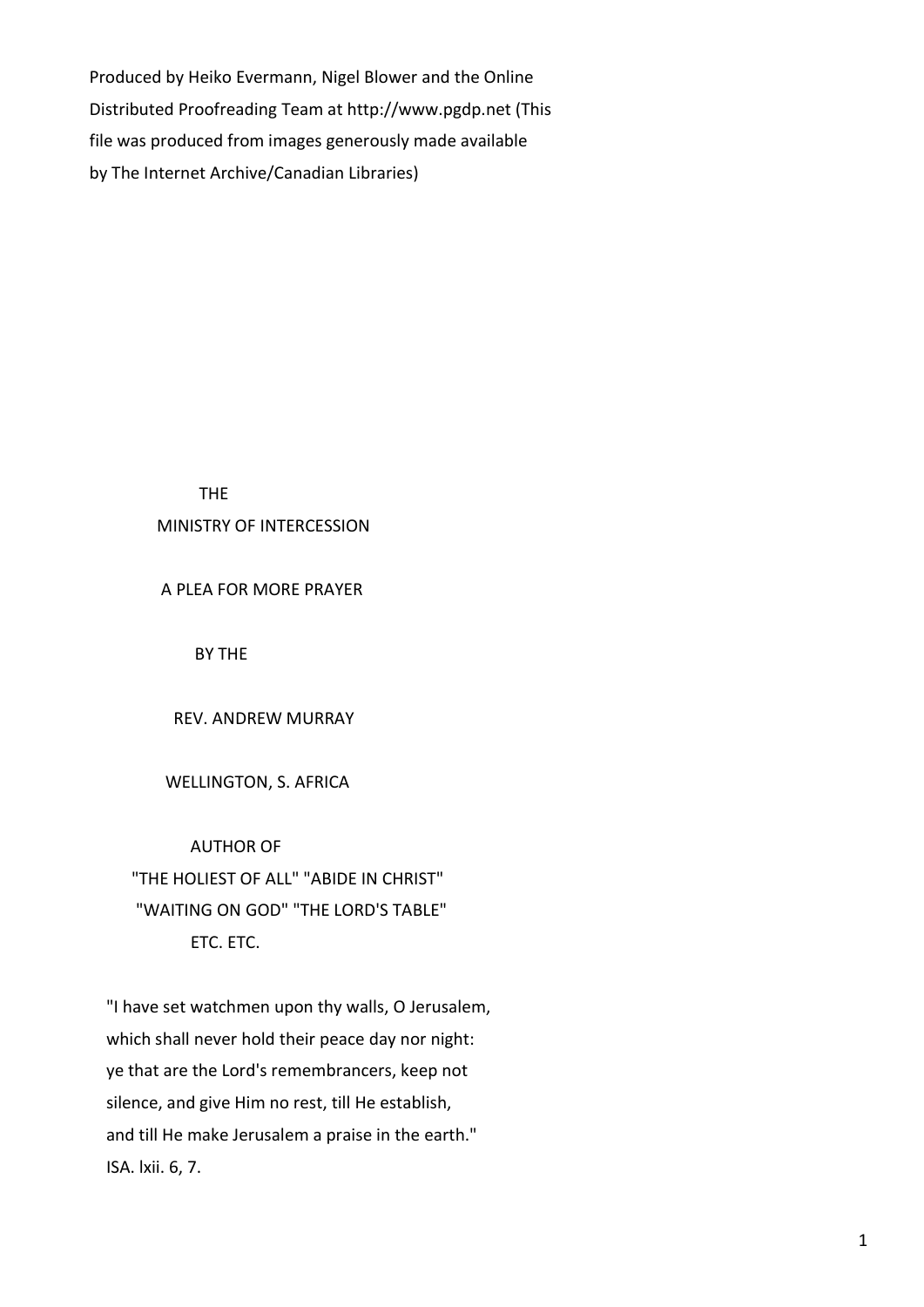Produced by Heiko Evermann, Nigel Blower and the Online Distributed Proofreading Team at http://www.pgdp.net (This file was produced from images generously made available by The Internet Archive/Canadian Libraries)

THE

# MINISTRY OF INTERCESSION

A PLEA FOR MORE PRAYER

BY THE

REV. ANDREW MURRAY

#### WELLINGTON, S. AFRICA

#### AUTHOR OF

 "THE HOLIEST OF ALL" "ABIDE IN CHRIST" "WAITING ON GOD" "THE LORD'S TABLE" ETC. ETC.

 "I have set watchmen upon thy walls, O Jerusalem, which shall never hold their peace day nor night: ye that are the Lord's remembrancers, keep not silence, and give Him no rest, till He establish, and till He make Jerusalem a praise in the earth." ISA. lxii. 6, 7.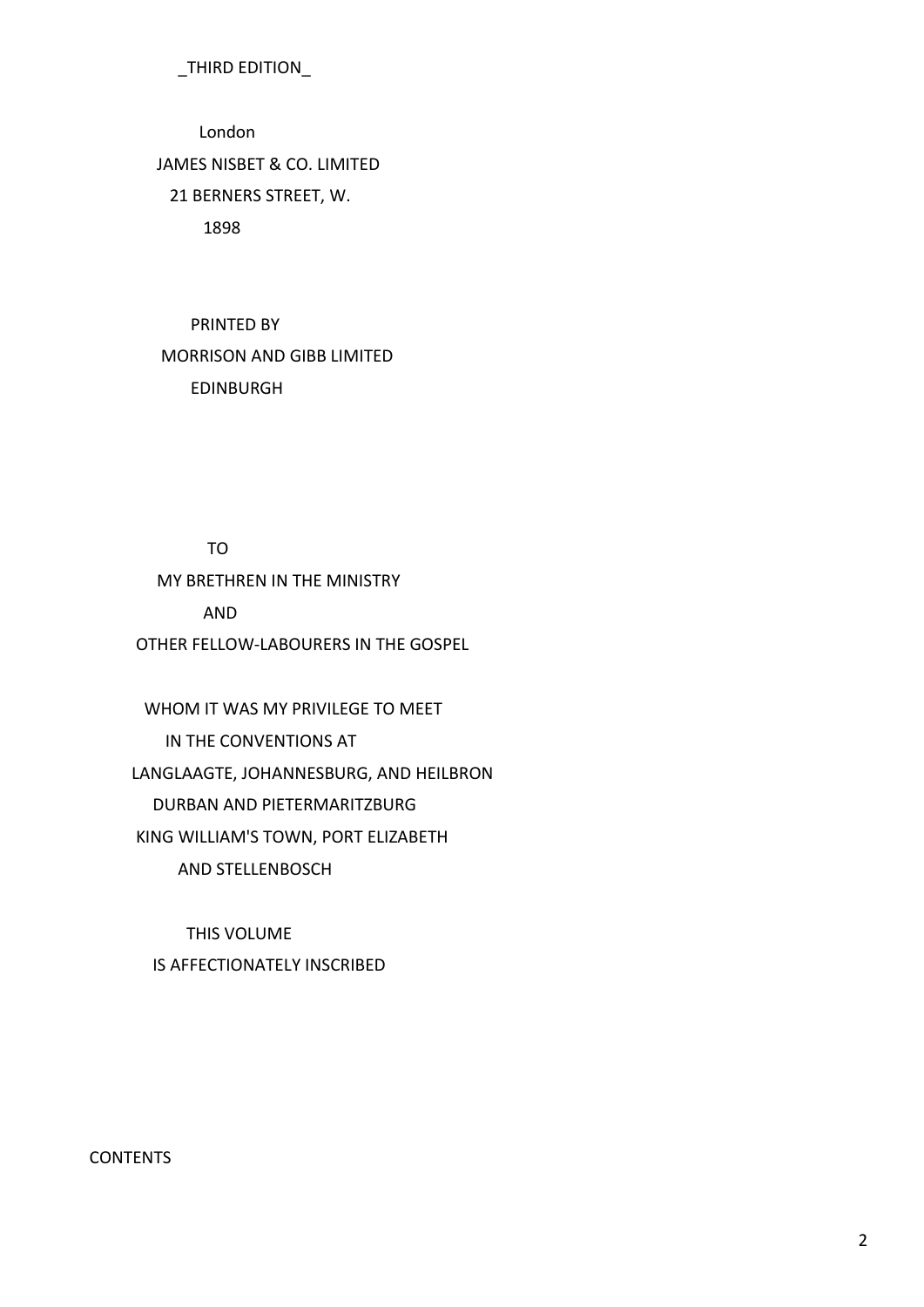# \_THIRD EDITION\_

 London JAMES NISBET & CO. LIMITED 21 BERNERS STREET, W. 1898

 PRINTED BY MORRISON AND GIBB LIMITED EDINBURGH

TO

MY BRETHREN IN THE MINISTRY

AND

OTHER FELLOW-LABOURERS IN THE GOSPEL

 WHOM IT WAS MY PRIVILEGE TO MEET IN THE CONVENTIONS AT LANGLAAGTE, JOHANNESBURG, AND HEILBRON DURBAN AND PIETERMARITZBURG KING WILLIAM'S TOWN, PORT ELIZABETH AND STELLENBOSCH

 THIS VOLUME IS AFFECTIONATELY INSCRIBED

**CONTENTS**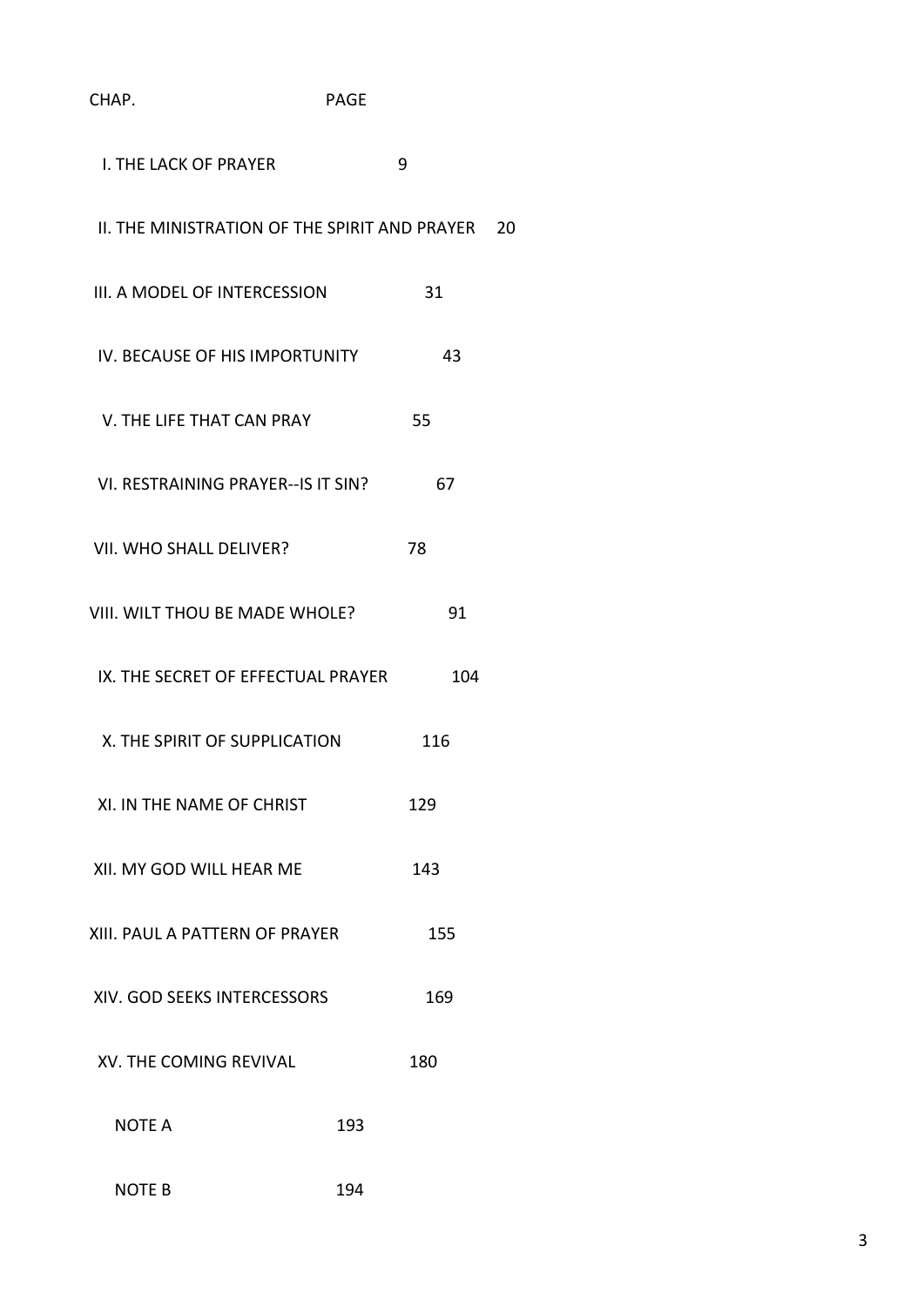| CHAP.                                            | <b>PAGE</b> |     |
|--------------------------------------------------|-------------|-----|
| <b>I. THE LACK OF PRAYER</b>                     | 9           |     |
| II. THE MINISTRATION OF THE SPIRIT AND PRAYER 20 |             |     |
| III. A MODEL OF INTERCESSION                     | 31          |     |
| IV. BECAUSE OF HIS IMPORTUNITY                   | 43          |     |
| V. THE LIFE THAT CAN PRAY                        | 55          |     |
| VI. RESTRAINING PRAYER--IS IT SIN?               | 67          |     |
| VII. WHO SHALL DELIVER?                          | 78          |     |
| VIII. WILT THOU BE MADE WHOLE?                   | 91          |     |
| IX. THE SECRET OF EFFECTUAL PRAYER               |             | 104 |
| X. THE SPIRIT OF SUPPLICATION                    | 116         |     |
| XI. IN THE NAME OF CHRIST                        | 129         |     |
| XII. MY GOD WILL HEAR ME                         | 143         |     |
| XIII. PAUL A PATTERN OF PRAYER                   | 155         |     |
| XIV. GOD SEEKS INTERCESSORS                      | 169         |     |
| XV. THE COMING REVIVAL                           | 180         |     |
| <b>NOTE A</b>                                    | 193         |     |
| <b>NOTE B</b>                                    | 194         |     |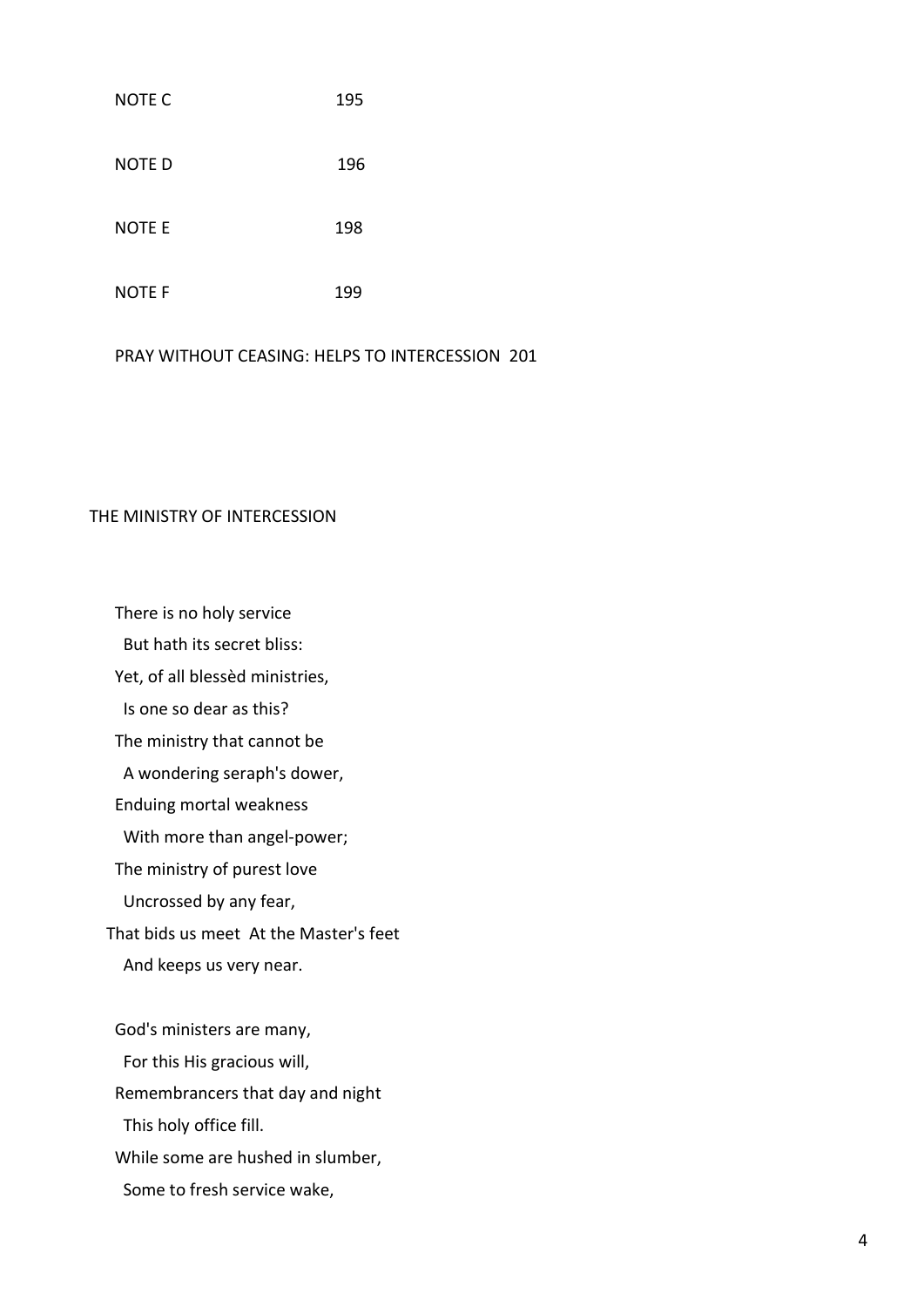# NOTE C<sub>195</sub> NOTE D 196 NOTE E 198 NOTE F 199

PRAY WITHOUT CEASING: HELPS TO INTERCESSION 201

# THE MINISTRY OF INTERCESSION

There is no holy service

But hath its secret bliss:

Yet, of all blessèd ministries,

Is one so dear as this?

The ministry that cannot be

A wondering seraph's dower,

Enduing mortal weakness

With more than angel-power;

The ministry of purest love

Uncrossed by any fear,

That bids us meet At the Master's feet

And keeps us very near.

 God's ministers are many, For this His gracious will, Remembrancers that day and night This holy office fill. While some are hushed in slumber, Some to fresh service wake,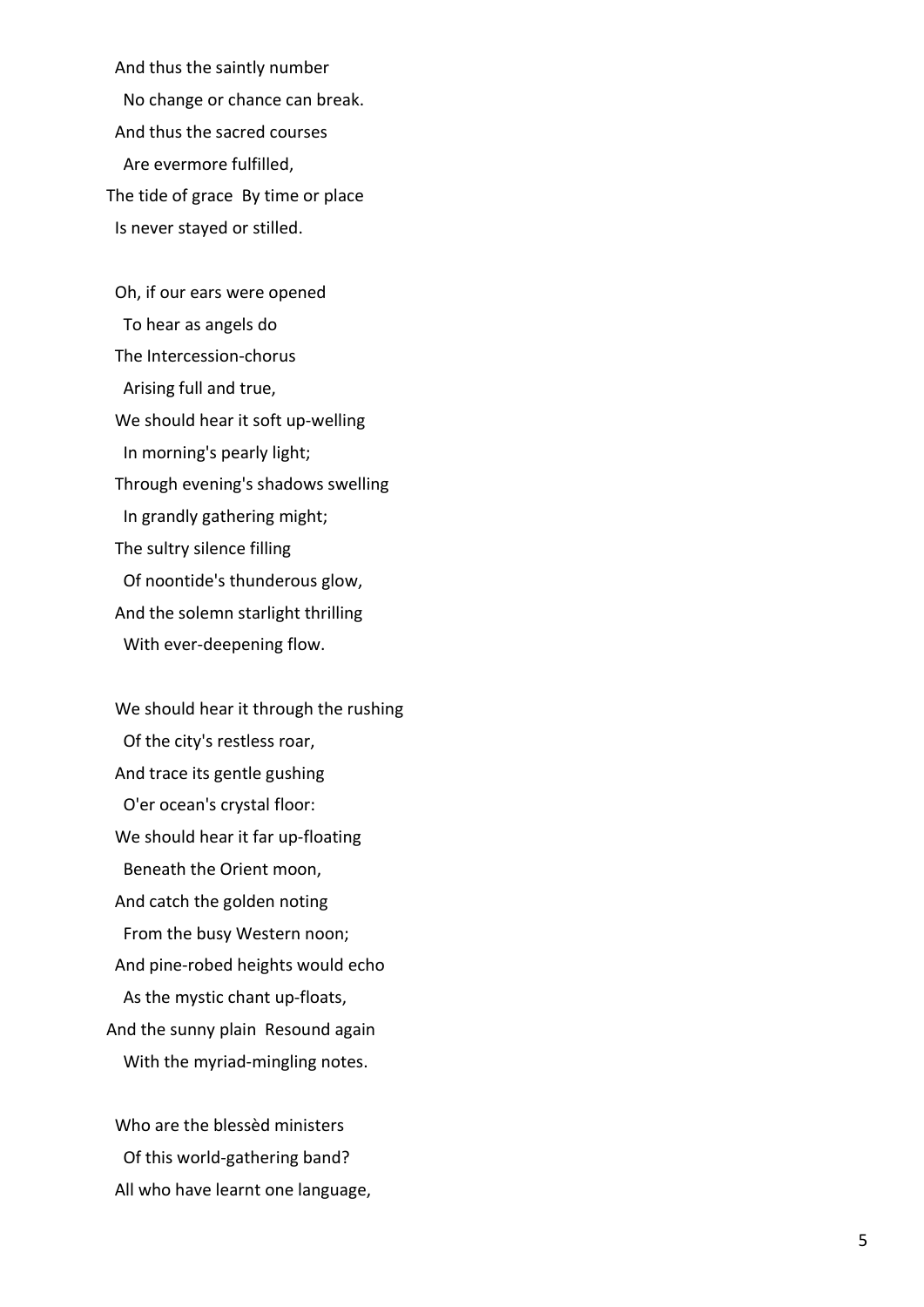And thus the saintly number No change or chance can break. And thus the sacred courses Are evermore fulfilled, The tide of grace By time or place Is never stayed or stilled.

 Oh, if our ears were opened To hear as angels do The Intercession -chorus Arising full and true, We should hear it soft up -welling In morning's pearly light; Through evening's shadows swelling In grandly gathering might; The sultry silence filling Of noontide's thunderous glow, And the solemn starlight thrilling With ever -deepening flow.

 We should hear it through the rushing Of the city's restless roar, And trace its gentle gushing O'er ocean's crystal floor: We should hear it far up -floating Beneath the Orient moon, And catch the golden noting From the busy Western noon; And pine -robed heights would echo As the mystic chant up -floats, And the sunny plain Resound again With the myriad -mingling notes.

 Who are the blessèd ministers Of this world -gathering band? All who have learnt one language,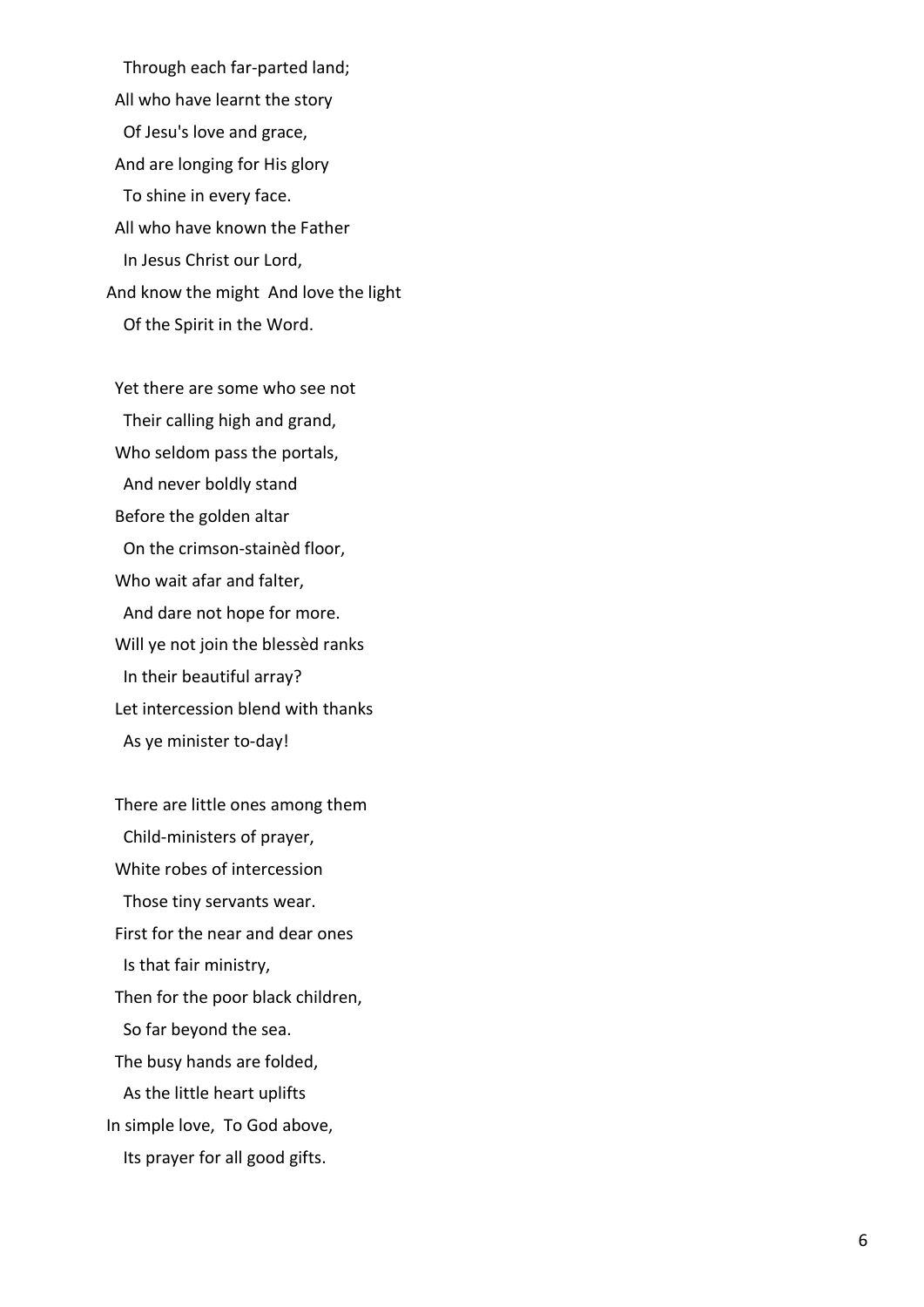Through each far -parted land; All who have learnt the story Of Jesu's love and grace, And are longing for His glory To shine in every face. All who have known the Father In Jesus Christ our Lord, And know the might And love the light Of the Spirit in the Word.

 Yet there are some who see not Their calling high and grand, Who seldom pass the portals, And never boldly stand Before the golden altar On the crimson -stainèd floor, Who wait afar and falter, And dare not hope for more. Will ye not join the blessèd ranks In their beautiful array? Let intercession blend with thanks As ye minister to -day!

 There are little ones among them Child -ministers of prayer, White robes of intercession Those tiny servants wear. First for the near and dear ones Is that fair ministry, Then for the poor black children, So far beyond the sea. The busy hands are folded, As the little heart uplifts In simple love, To God above, Its prayer for all good gifts.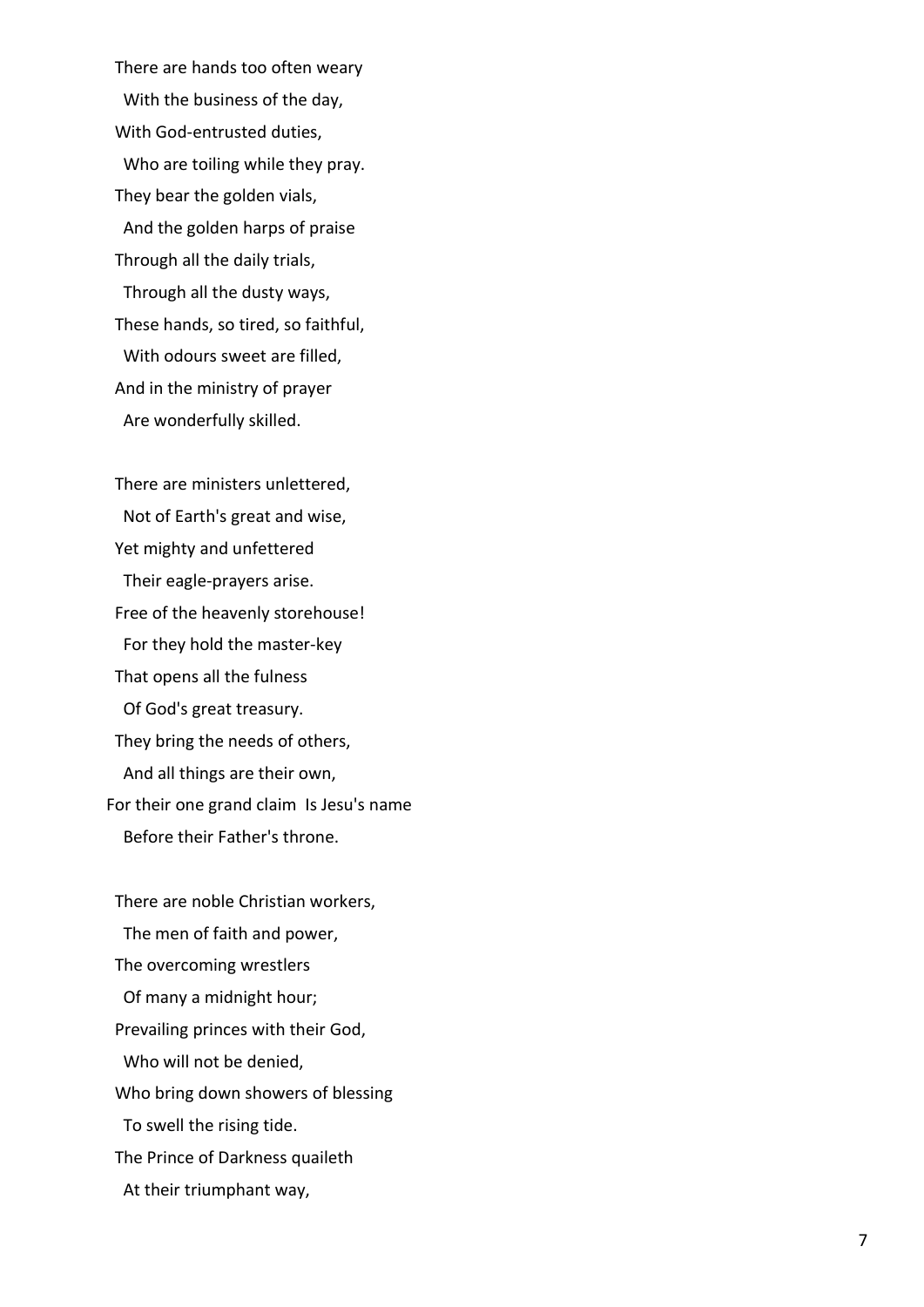There are hands too often weary With the business of the day, With God -entrusted duties, Who are toiling while they pray. They bear the golden vials, And the golden harps of praise Through all the daily trials, Through all the dusty ways, These hands, so tired, so faithful, With odours sweet are filled, And in the ministry of prayer Are wonderfully skilled.

 There are ministers unlettered, Not of Earth's great and wise, Yet mighty and unfettered Their eagle -prayers arise. Free of the heavenly storehouse! For they hold the master -key That opens all the fulness Of God's great treasury. They bring the needs of others, And all things are their own, For their one grand claim Is Jesu's name Before their Father's throne.

 There are noble Christian workers, The men of faith and power, The overcoming wrestlers Of many a midnight hour; Prevailing princes with their God, Who will not be denied, Who bring down showers of blessing To swell the rising tide. The Prince of Darkness quaileth At their triumphant way,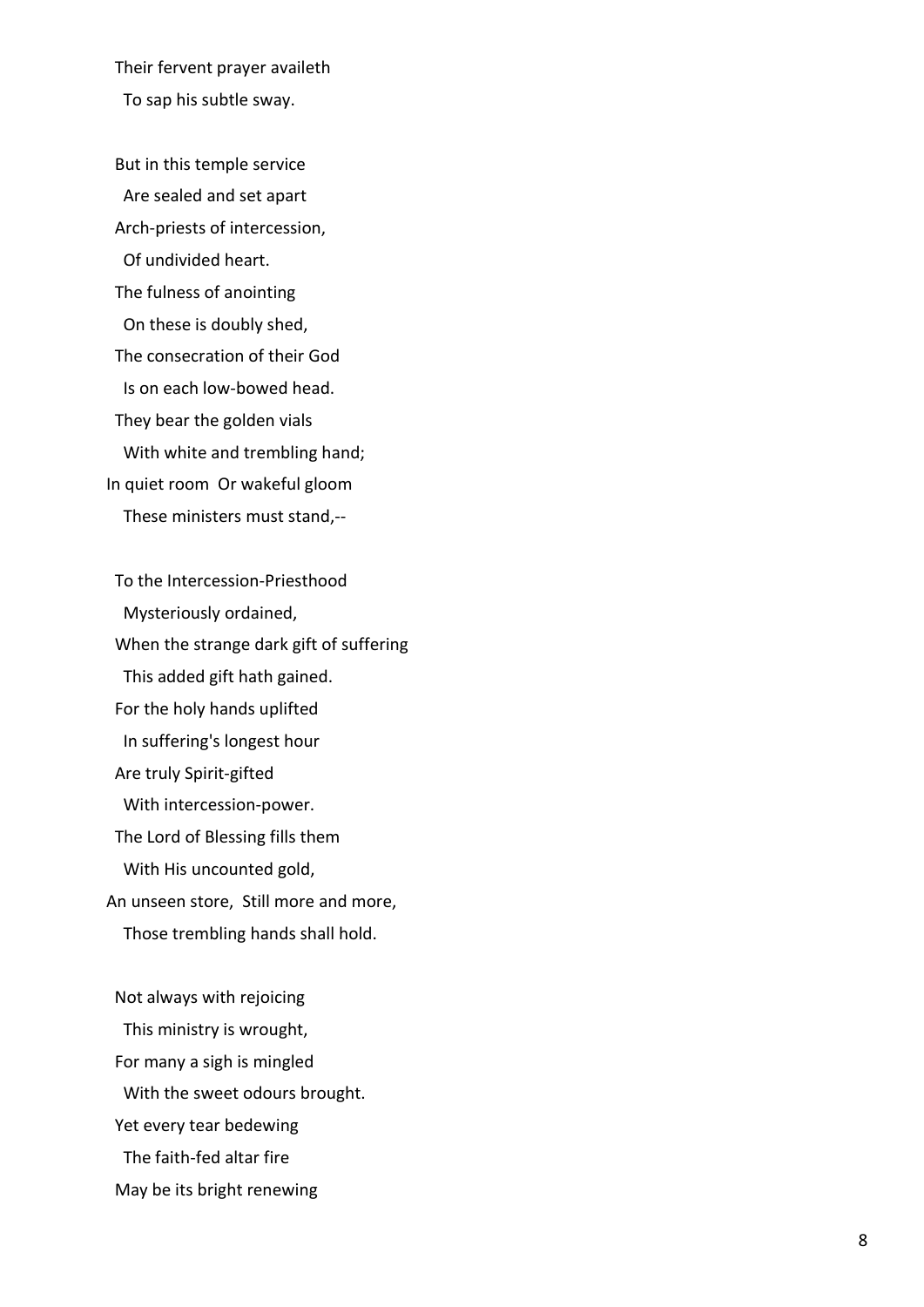Their fervent prayer availeth

To sap his subtle sway.

 But in this temple service Are sealed and set apart Arch -priests of intercession, Of undivided heart. The fulness of anointing On these is doubly shed, The consecration of their God Is on each low -bowed head. They bear the golden vials With white and trembling hand; In quiet room Or wakeful gloom These ministers must stand,--

 To the Intercession -Priesthood Mysteriously ordained, When the strange dark gift of suffering This added gift hath gained. For the holy hands uplifted In suffering's longest hour Are truly Spirit -gifted With intercession -power. The Lord of Blessing fills them With His uncounted gold, An unseen store, Still more and more, Those trembling hands shall hold.

 Not always with rejoicing This ministry is wrought, For many a sigh is mingled With the sweet odours brought. Yet every tear bedewing The faith -fed altar fire May be its bright renewing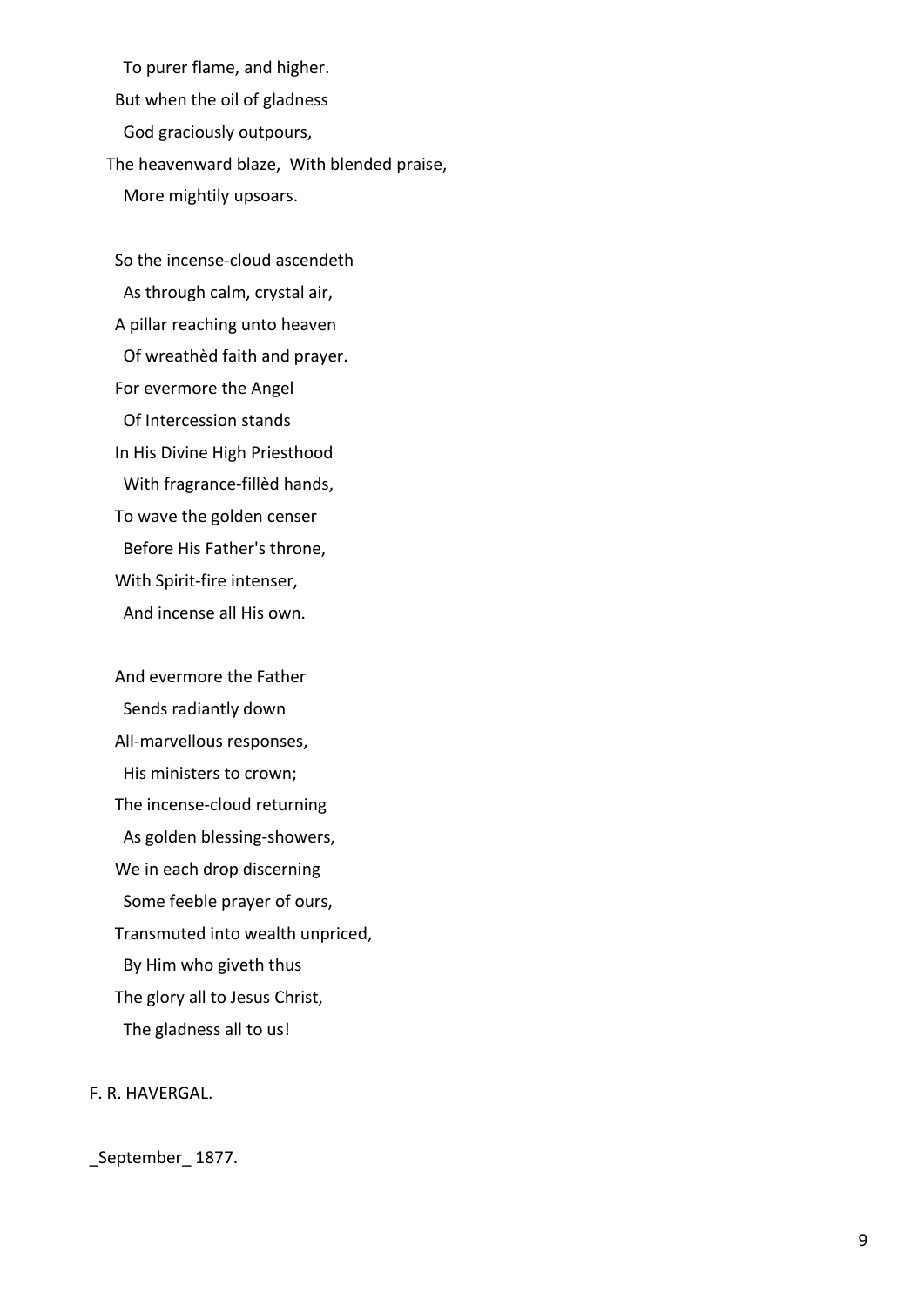To purer flame, and higher. But when the oil of gladness God graciously outpours, The heavenward blaze, With blended praise, More mightily upsoars.

 So the incense-cloud ascendeth As through calm, crystal air, A pillar reaching unto heaven Of wreathèd faith and prayer. For evermore the Angel Of Intercession stands In His Divine High Priesthood With fragrance-fillèd hands, To wave the golden censer Before His Father's throne, With Spirit-fire intenser, And incense all His own.

 And evermore the Father Sends radiantly down All-marvellous responses, His ministers to crown; The incense-cloud returning As golden blessing-showers, We in each drop discerning Some feeble prayer of ours, Transmuted into wealth unpriced, By Him who giveth thus The glory all to Jesus Christ, The gladness all to us!

# F. R. HAVERGAL.

# \_September\_ 1877.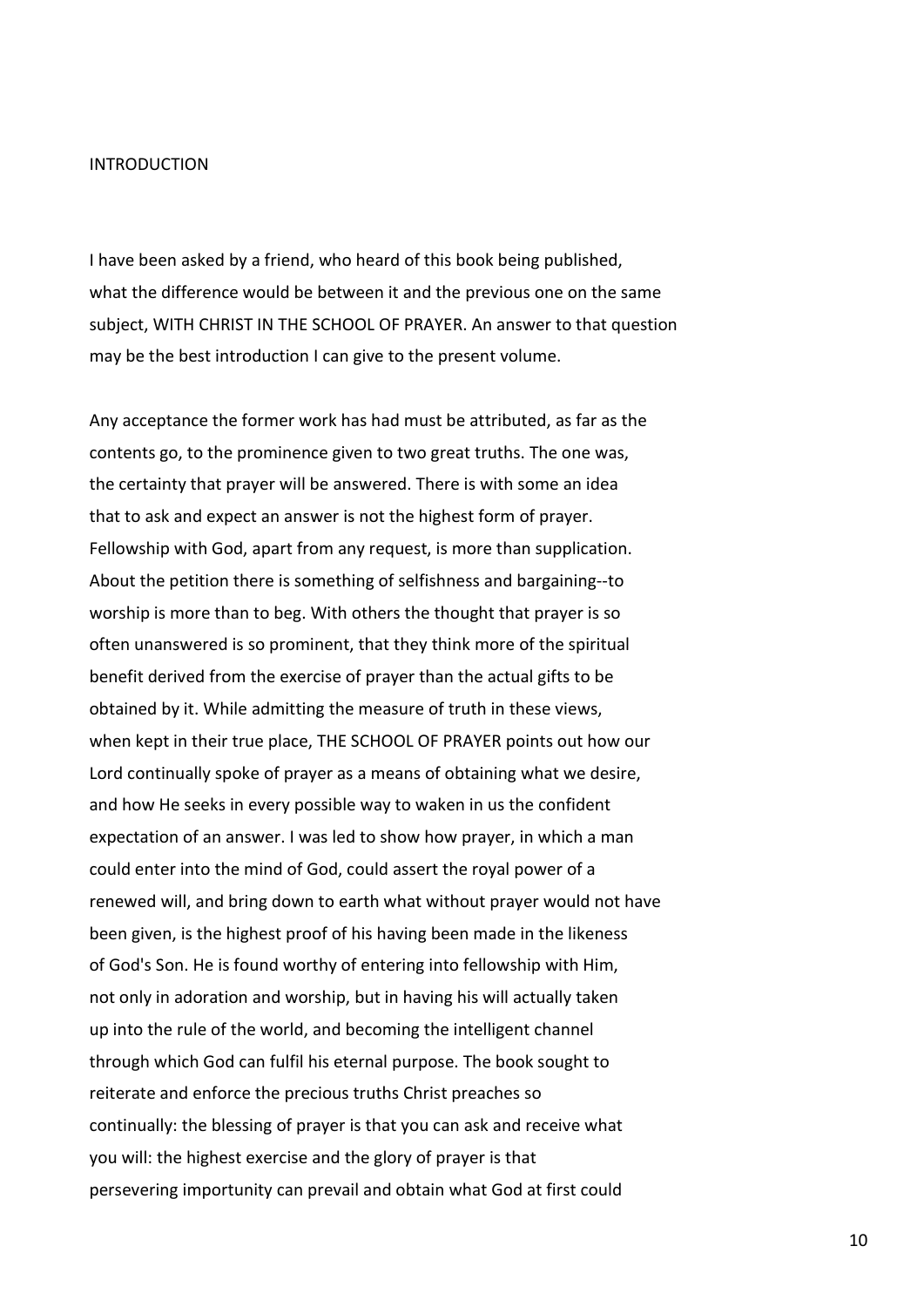#### INTRODUCTION

I have been asked by a friend, who heard of this book being published, what the difference would be between it and the previous one on the same subject, WITH CHRIST IN THE SCHOOL OF PRAYER. An answer to that question may be the best introduction I can give to the present volume.

Any acceptance the former work has had must be attributed, as far as the contents go, to the prominence given to two great truths. The one was, the certainty that prayer will be answered. There is with some an idea that to ask and expect an answer is not the highest form of prayer. Fellowship with God, apart from any request, is more than supplication. About the petition there is something of selfishness and bargaining--to worship is more than to beg. With others the thought that prayer is so often unanswered is so prominent, that they think more of the spiritual benefit derived from the exercise of prayer than the actual gifts to be obtained by it. While admitting the measure of truth in these views, when kept in their true place, THE SCHOOL OF PRAYER points out how our Lord continually spoke of prayer as a means of obtaining what we desire, and how He seeks in every possible way to waken in us the confident expectation of an answer. I was led to show how prayer, in which a man could enter into the mind of God, could assert the royal power of a renewed will, and bring down to earth what without prayer would not have been given, is the highest proof of his having been made in the likeness of God's Son. He is found worthy of entering into fellowship with Him, not only in adoration and worship, but in having his will actually taken up into the rule of the world, and becoming the intelligent channel through which God can fulfil his eternal purpose. The book sought to reiterate and enforce the precious truths Christ preaches so continually: the blessing of prayer is that you can ask and receive what you will: the highest exercise and the glory of prayer is that persevering importunity can prevail and obtain what God at first could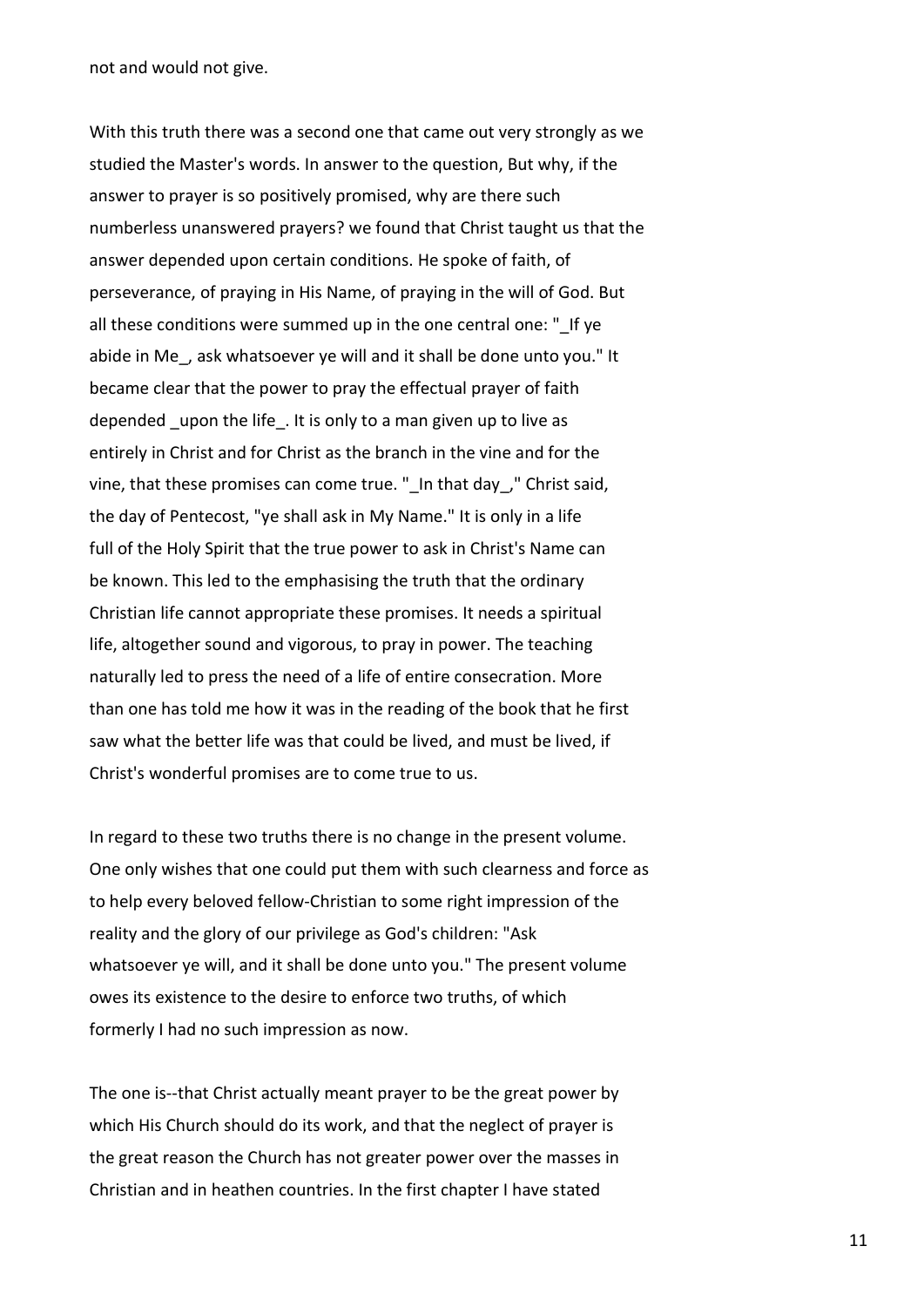not and would not give.

With this truth there was a second one that came out very strongly as we studied the Master's words. In answer to the question, But why, if the answer to prayer is so positively promised, why are there such numberless unanswered prayers? we found that Christ taught us that the answer depended upon certain conditions. He spoke of faith, of perseverance, of praying in His Name, of praying in the will of God. But all these conditions were summed up in the one central one: " If ye abide in Me, ask whatsoever ye will and it shall be done unto you." It became clear that the power to pray the effectual prayer of faith depended upon the life. It is only to a man given up to live as entirely in Christ and for Christ as the branch in the vine and for the vine, that these promises can come true. "\_In that day\_," Christ said, the day of Pentecost, "ye shall ask in My Name." It is only in a life full of the Holy Spirit that the true power to ask in Christ's Name can be known. This led to the emphasising the truth that the ordinary Christian life cannot appropriate these promises. It needs a spiritual life, altogether sound and vigorous, to pray in power. The teaching naturally led to press the need of a life of entire consecration. More than one has told me how it was in the reading of the book that he first saw what the better life was that could be lived, and must be lived, if Christ's wonderful promises are to come true to us.

In regard to these two truths there is no change in the present volume. One only wishes that one could put them with such clearness and force as to help every beloved fellow-Christian to some right impression of the reality and the glory of our privilege as God's children: "Ask whatsoever ye will, and it shall be done unto you." The present volume owes its existence to the desire to enforce two truths, of which formerly I had no such impression as now.

The one is--that Christ actually meant prayer to be the great power by which His Church should do its work, and that the neglect of prayer is the great reason the Church has not greater power over the masses in Christian and in heathen countries. In the first chapter I have stated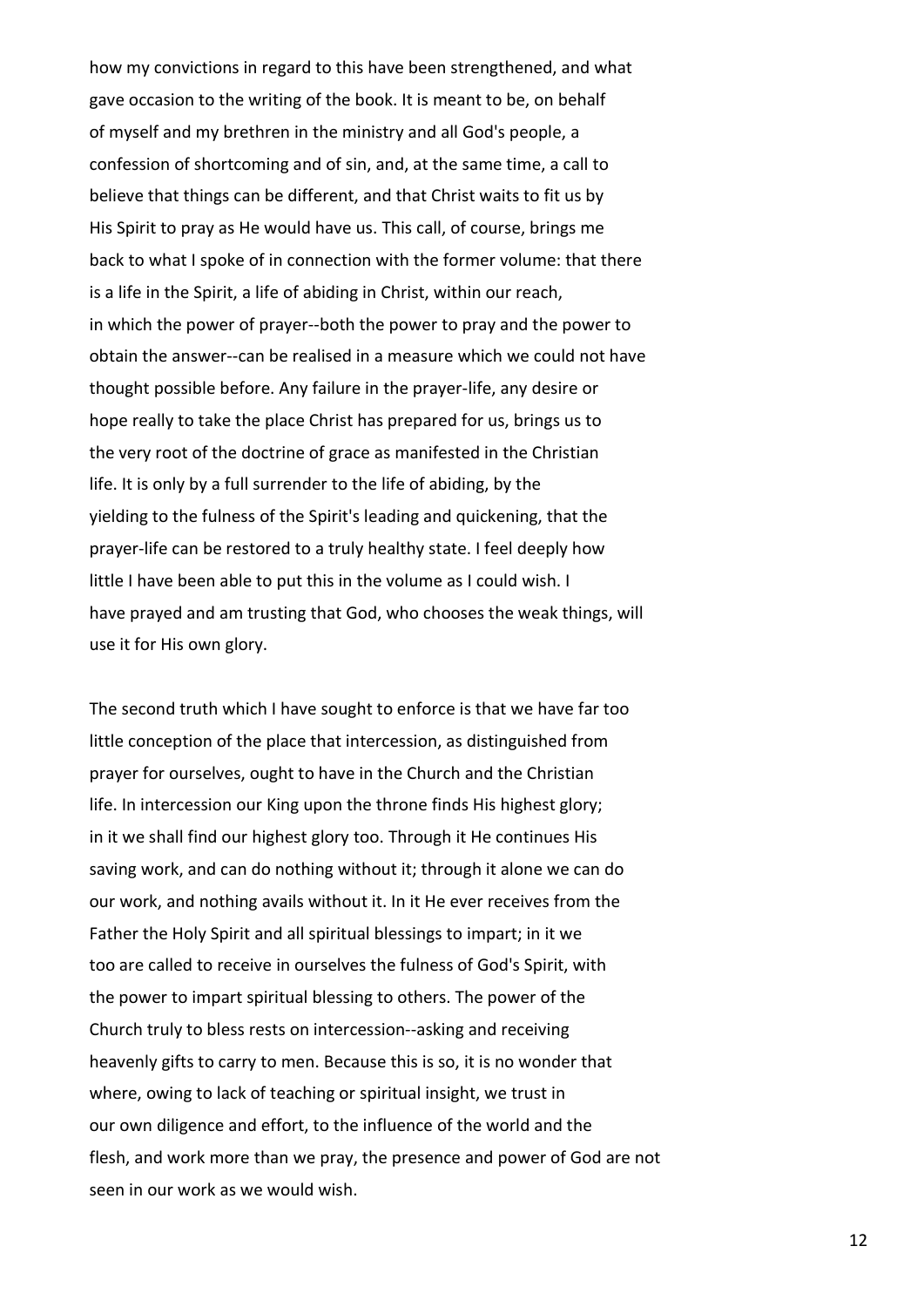how my convictions in regard to this have been strengthened, and what gave occasion to the writing of the book. It is meant to be, on behalf of myself and my brethren in the ministry and all God's people, a confession of shortcoming and of sin, and, at the same time, a call to believe that things can be different, and that Christ waits to fit us by His Spirit to pray as He would have us. This call, of course, brings me back to what I spoke of in connection with the former volume: that there is a life in the Spirit, a life of abiding in Christ, within our reach, in which the power of prayer--both the power to pray and the power to obtain the answer--can be realised in a measure which we could not have thought possible before. Any failure in the prayer-life, any desire or hope really to take the place Christ has prepared for us, brings us to the very root of the doctrine of grace as manifested in the Christian life. It is only by a full surrender to the life of abiding, by the yielding to the fulness of the Spirit's leading and quickening, that the prayer-life can be restored to a truly healthy state. I feel deeply how little I have been able to put this in the volume as I could wish. I have prayed and am trusting that God, who chooses the weak things, will use it for His own glory.

The second truth which I have sought to enforce is that we have far too little conception of the place that intercession, as distinguished from prayer for ourselves, ought to have in the Church and the Christian life. In intercession our King upon the throne finds His highest glory; in it we shall find our highest glory too. Through it He continues His saving work, and can do nothing without it; through it alone we can do our work, and nothing avails without it. In it He ever receives from the Father the Holy Spirit and all spiritual blessings to impart; in it we too are called to receive in ourselves the fulness of God's Spirit, with the power to impart spiritual blessing to others. The power of the Church truly to bless rests on intercession--asking and receiving heavenly gifts to carry to men. Because this is so, it is no wonder that where, owing to lack of teaching or spiritual insight, we trust in our own diligence and effort, to the influence of the world and the flesh, and work more than we pray, the presence and power of God are not seen in our work as we would wish.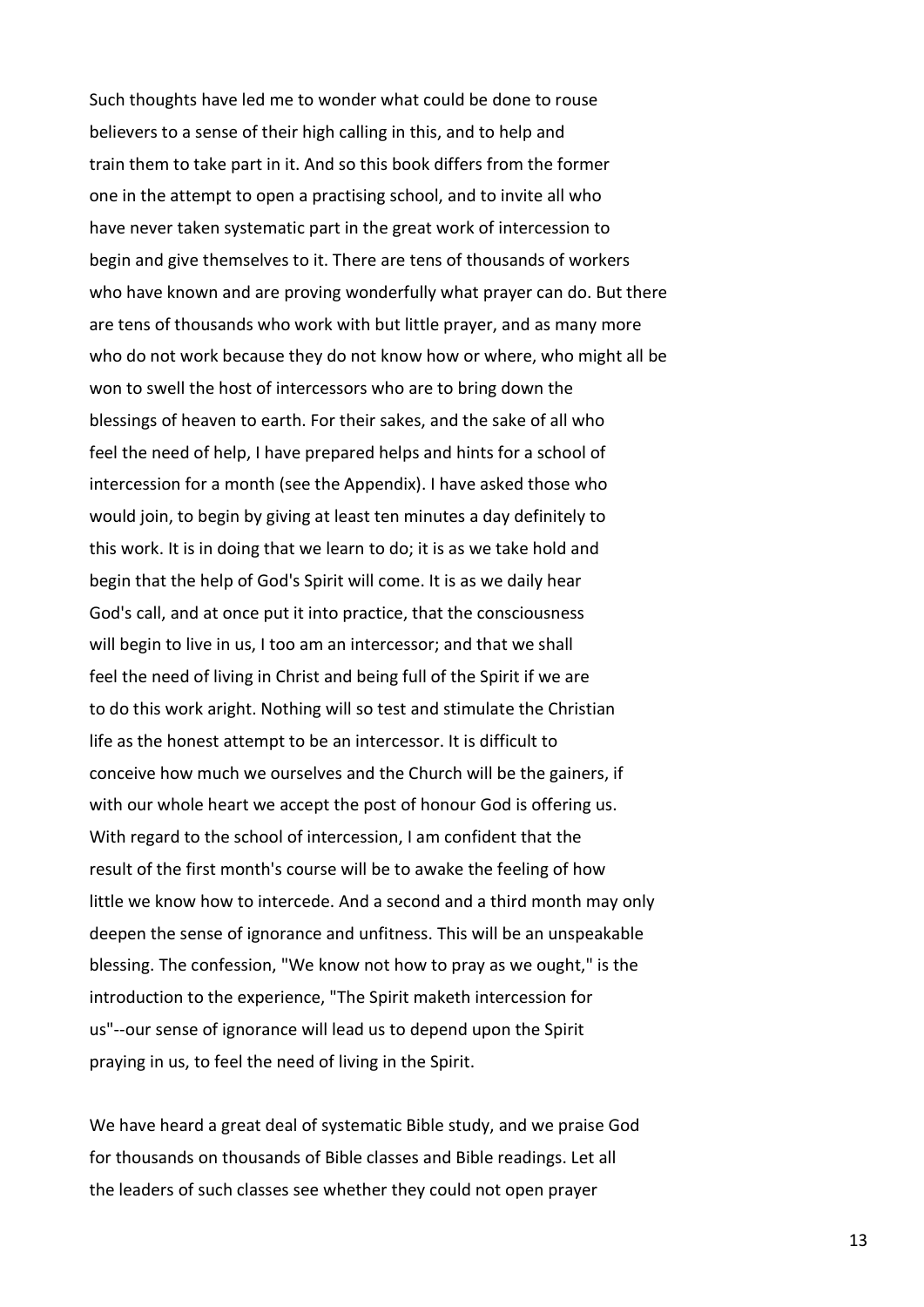Such thoughts have led me to wonder what could be done to rouse believers to a sense of their high calling in this, and to help and train them to take part in it. And so this book differs from the former one in the attempt to open a practising school, and to invite all who have never taken systematic part in the great work of intercession to begin and give themselves to it. There are tens of thousands of workers who have known and are proving wonderfully what prayer can do. But there are tens of thousands who work with but little prayer, and as many more who do not work because they do not know how or where, who might all be won to swell the host of intercessors who are to bring down the blessings of heaven to earth. For their sakes, and the sake of all who feel the need of help, I have prepared helps and hints for a school of intercession for a month (see the Appendix). I have asked those who would join, to begin by giving at least ten minutes a day definitely to this work. It is in doing that we learn to do; it is as we take hold and begin that the help of God's Spirit will come. It is as we daily hear God's call, and at once put it into practice, that the consciousness will begin to live in us, I too am an intercessor; and that we shall feel the need of living in Christ and being full of the Spirit if we are to do this work aright. Nothing will so test and stimulate the Christian life as the honest attempt to be an intercessor. It is difficult to conceive how much we ourselves and the Church will be the gainers, if with our whole heart we accept the post of honour God is offering us. With regard to the school of intercession, I am confident that the result of the first month's course will be to awake the feeling of how little we know how to intercede. And a second and a third month may only deepen the sense of ignorance and unfitness. This will be an unspeakable blessing. The confession, "We know not how to pray as we ought," is the introduction to the experience, "The Spirit maketh intercession for us"--our sense of ignorance will lead us to depend upon the Spirit praying in us, to feel the need of living in the Spirit.

We have heard a great deal of systematic Bible study, and we praise God for thousands on thousands of Bible classes and Bible readings. Let all the leaders of such classes see whether they could not open prayer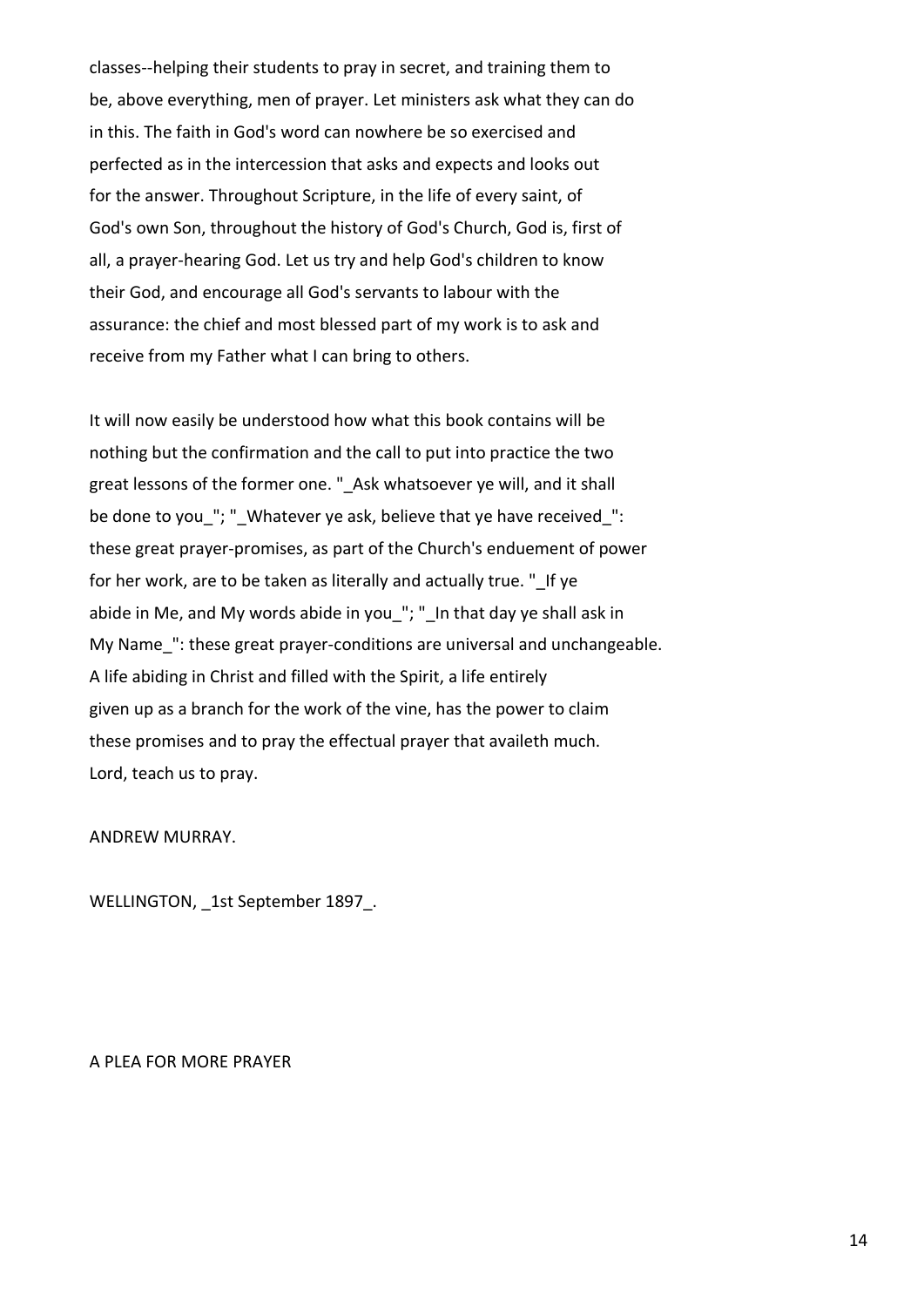classes--helping their students to pray in secret, and training them to be, above everything, men of prayer. Let ministers ask what they can do in this. The faith in God's word can nowhere be so exercised and perfected as in the intercession that asks and expects and looks out for the answer. Throughout Scripture, in the life of every saint, of God's own Son, throughout the history of God's Church, God is, first of all, a prayer-hearing God. Let us try and help God's children to know their God, and encourage all God's servants to labour with the assurance: the chief and most blessed part of my work is to ask and receive from my Father what I can bring to others.

It will now easily be understood how what this book contains will be nothing but the confirmation and the call to put into practice the two great lessons of the former one. " Ask whatsoever ye will, and it shall be done to you "; " Whatever ye ask, believe that ye have received ": these great prayer-promises, as part of the Church's enduement of power for her work, are to be taken as literally and actually true. " If ye abide in Me, and My words abide in you\_"; "\_In that day ye shall ask in My Name ": these great prayer-conditions are universal and unchangeable. A life abiding in Christ and filled with the Spirit, a life entirely given up as a branch for the work of the vine, has the power to claim these promises and to pray the effectual prayer that availeth much. Lord, teach us to pray.

#### ANDREW MURRAY.

WELLINGTON, 1st September 1897.

A PLEA FOR MORE PRAYER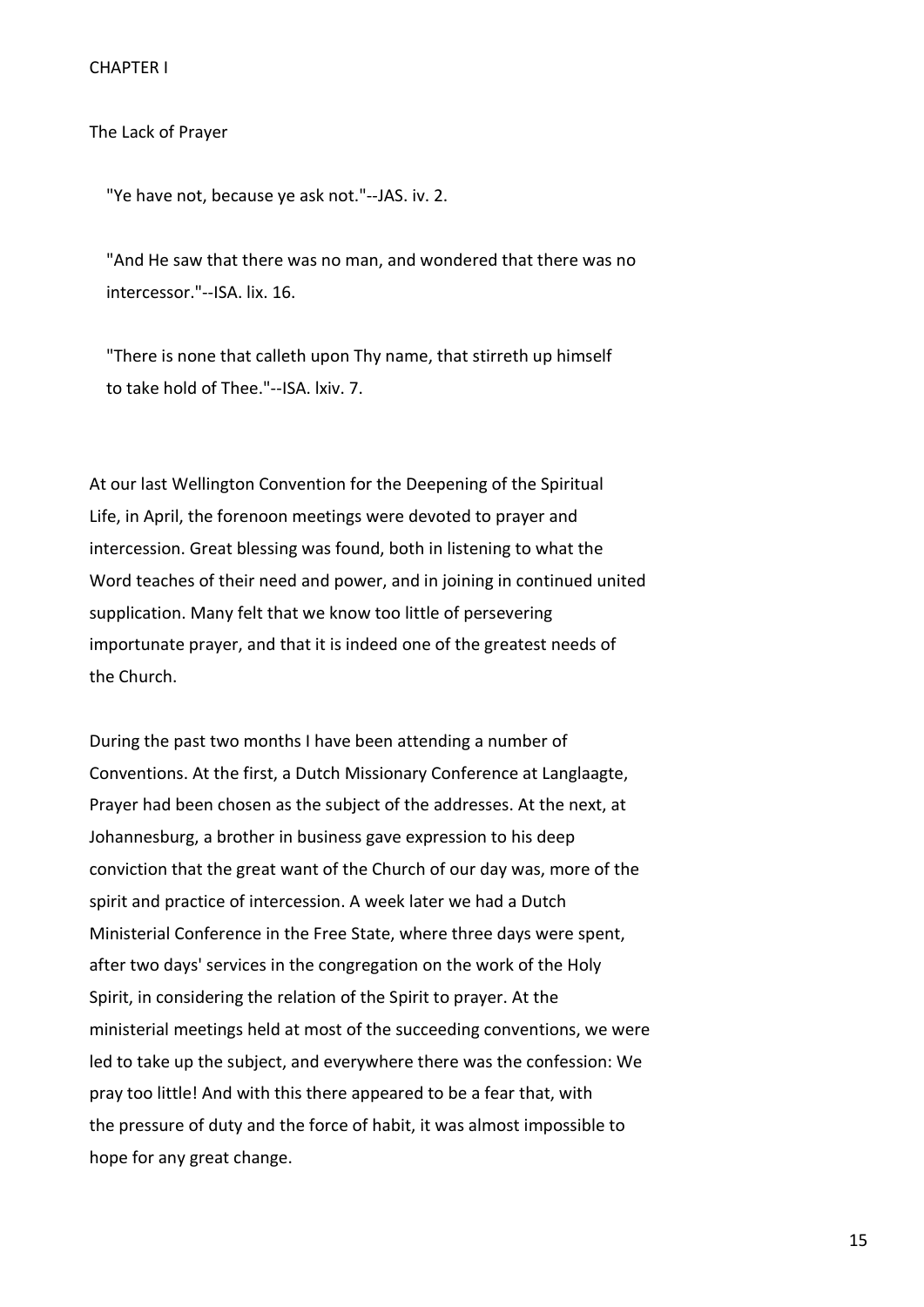The Lack of Prayer

"Ye have not, because ye ask not."--JAS. iv. 2.

 "And He saw that there was no man, and wondered that there was no intercessor."--ISA. lix. 16.

 "There is none that calleth upon Thy name, that stirreth up himself to take hold of Thee."--ISA. lxiv. 7.

At our last Wellington Convention for the Deepening of the Spiritual Life, in April, the forenoon meetings were devoted to prayer and intercession. Great blessing was found, both in listening to what the Word teaches of their need and power, and in joining in continued united supplication. Many felt that we know too little of persevering importunate prayer, and that it is indeed one of the greatest needs of the Church.

During the past two months I have been attending a number of Conventions. At the first, a Dutch Missionary Conference at Langlaagte, Prayer had been chosen as the subject of the addresses. At the next, at Johannesburg, a brother in business gave expression to his deep conviction that the great want of the Church of our day was, more of the spirit and practice of intercession. A week later we had a Dutch Ministerial Conference in the Free State, where three days were spent, after two days' services in the congregation on the work of the Holy Spirit, in considering the relation of the Spirit to prayer. At the ministerial meetings held at most of the succeeding conventions, we were led to take up the subject, and everywhere there was the confession: We pray too little! And with this there appeared to be a fear that, with the pressure of duty and the force of habit, it was almost impossible to hope for any great change.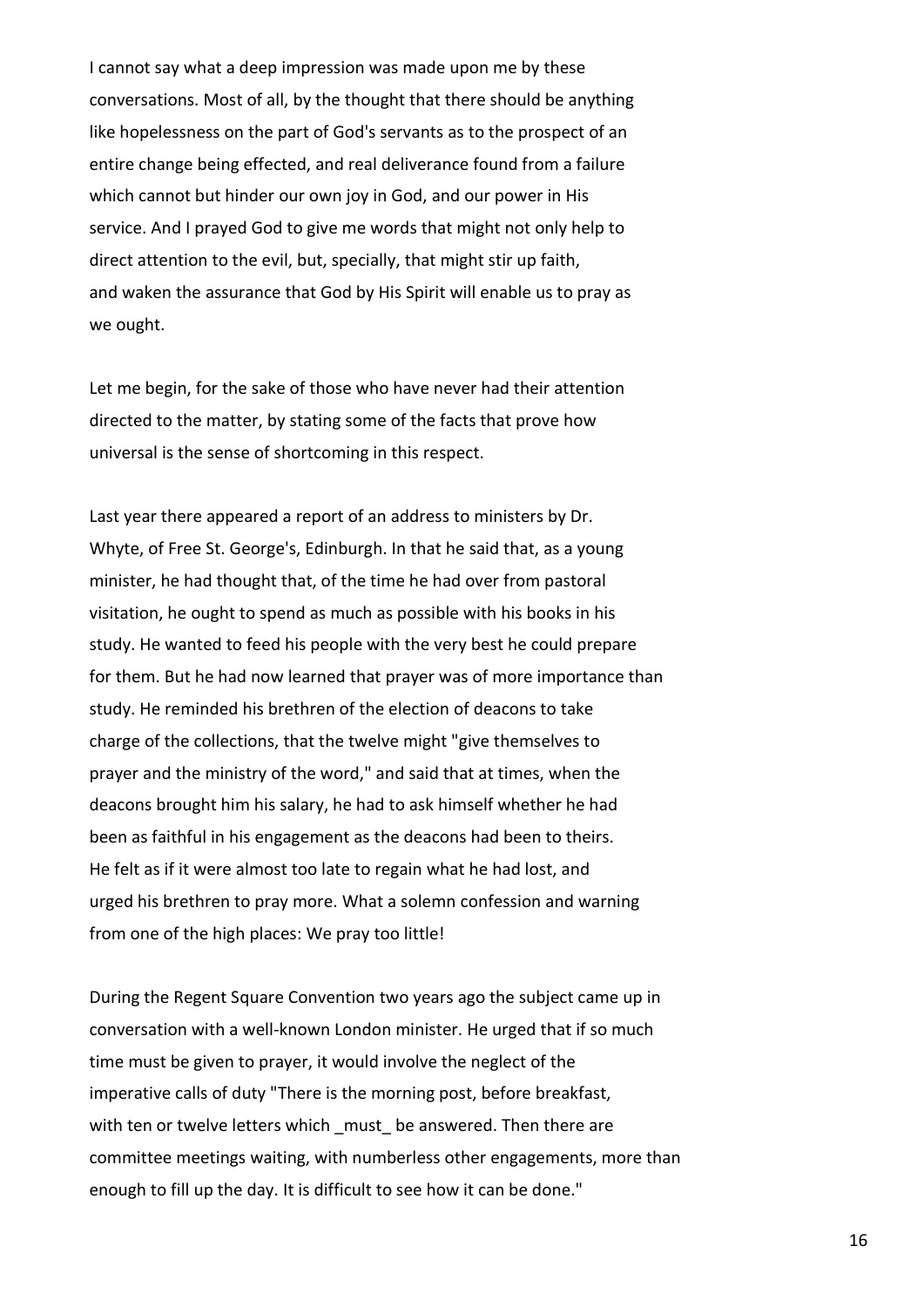I cannot say what a deep impression was made upon me by these conversations. Most of all, by the thought that there should be anything like hopelessness on the part of God's servants as to the prospect of an entire change being effected, and real deliverance found from a failure which cannot but hinder our own joy in God, and our power in His service. And I prayed God to give me words that might not only help to direct attention to the evil, but, specially, that might stir up faith, and waken the assurance that God by His Spirit will enable us to pray as we ought.

Let me begin, for the sake of those who have never had their attention directed to the matter, by stating some of the facts that prove how universal is the sense of shortcoming in this respect.

Last year there appeared a report of an address to ministers by Dr. Whyte, of Free St. George's, Edinburgh. In that he said that, as a young minister, he had thought that, of the time he had over from pastoral visitation, he ought to spend as much as possible with his books in his study. He wanted to feed his people with the very best he could prepare for them. But he had now learned that prayer was of more importance than study. He reminded his brethren of the election of deacons to take charge of the collections, that the twelve might "give themselves to prayer and the ministry of the word," and said that at times, when the deacons brought him his salary, he had to ask himself whether he had been as faithful in his engagement as the deacons had been to theirs. He felt as if it were almost too late to regain what he had lost, and urged his brethren to pray more. What a solemn confession and warning from one of the high places: We pray too little!

During the Regent Square Convention two years ago the subject came up in conversation with a well-known London minister. He urged that if so much time must be given to prayer, it would involve the neglect of the imperative calls of duty "There is the morning post, before breakfast, with ten or twelve letters which must be answered. Then there are committee meetings waiting, with numberless other engagements, more than enough to fill up the day. It is difficult to see how it can be done."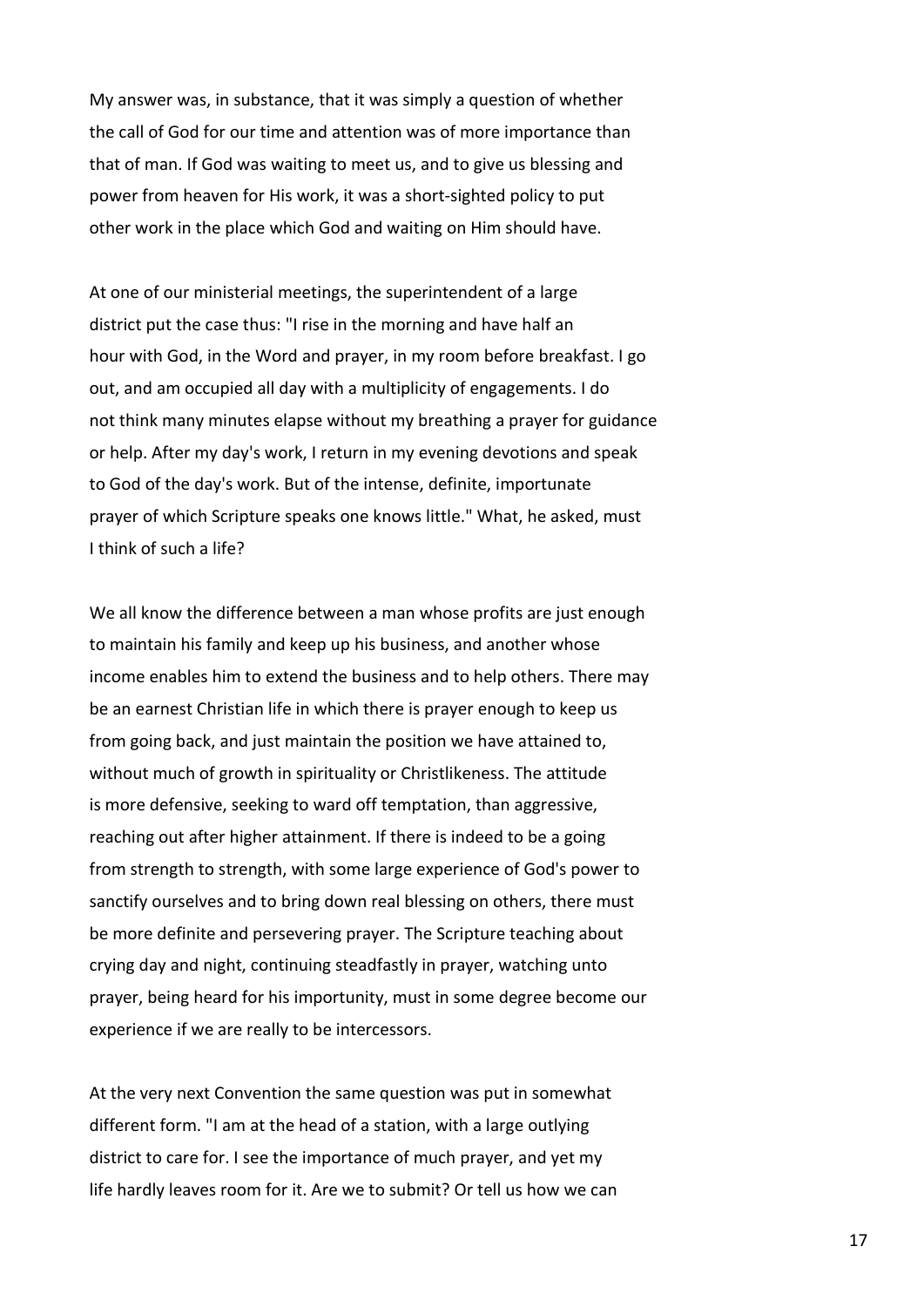My answer was, in substance, that it was simply a question of whether the call of God for our time and attention was of more importance than that of man. If God was waiting to meet us, and to give us blessing and power from heaven for His work, it was a short-sighted policy to put other work in the place which God and waiting on Him should have.

At one of our ministerial meetings, the superintendent of a large district put the case thus: "I rise in the morning and have half an hour with God, in the Word and prayer, in my room before breakfast. I go out, and am occupied all day with a multiplicity of engagements. I do not think many minutes elapse without my breathing a prayer for guidance or help. After my day's work, I return in my evening devotions and speak to God of the day's work. But of the intense, definite, importunate prayer of which Scripture speaks one knows little." What, he asked, must I think of such a life?

We all know the difference between a man whose profits are just enough to maintain his family and keep up his business, and another whose income enables him to extend the business and to help others. There may be an earnest Christian life in which there is prayer enough to keep us from going back, and just maintain the position we have attained to, without much of growth in spirituality or Christlikeness. The attitude is more defensive, seeking to ward off temptation, than aggressive, reaching out after higher attainment. If there is indeed to be a going from strength to strength, with some large experience of God's power to sanctify ourselves and to bring down real blessing on others, there must be more definite and persevering prayer. The Scripture teaching about crying day and night, continuing steadfastly in prayer, watching unto prayer, being heard for his importunity, must in some degree become our experience if we are really to be intercessors.

At the very next Convention the same question was put in somewhat different form. "I am at the head of a station, with a large outlying district to care for. I see the importance of much prayer, and yet my life hardly leaves room for it. Are we to submit? Or tell us how we can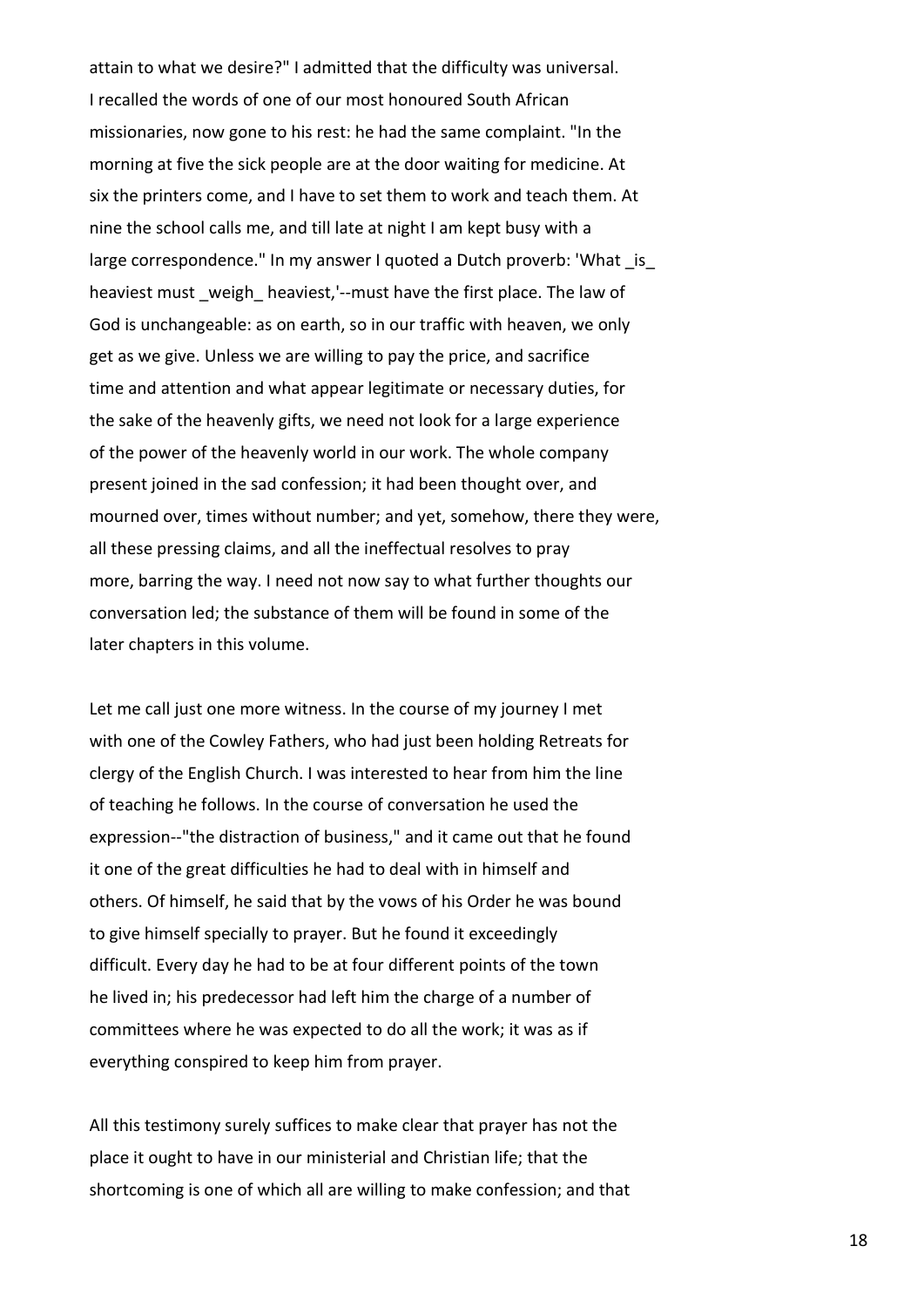attain to what we desire?" I admitted that the difficulty was universal. I recalled the words of one of our most honoured South African missionaries, now gone to his rest: he had the same complaint. "In the morning at five the sick people are at the door waiting for medicine. At six the printers come, and I have to set them to work and teach them. At nine the school calls me, and till late at night I am kept busy with a large correspondence." In my answer I quoted a Dutch proverb: 'What is heaviest must weigh heaviest,'--must have the first place. The law of God is unchangeable: as on earth, so in our traffic with heaven, we only get as we give. Unless we are willing to pay the price, and sacrifice time and attention and what appear legitimate or necessary duties, for the sake of the heavenly gifts, we need not look for a large experience of the power of the heavenly world in our work. The whole company present joined in the sad confession; it had been thought over, and mourned over, times without number; and yet, somehow, there they were, all these pressing claims, and all the ineffectual resolves to pray more, barring the way. I need not now say to what further thoughts our conversation led; the substance of them will be found in some of the later chapters in this volume.

Let me call just one more witness. In the course of my journey I met with one of the Cowley Fathers, who had just been holding Retreats for clergy of the English Church. I was interested to hear from him the line of teaching he follows. In the course of conversation he used the expression--"the distraction of business," and it came out that he found it one of the great difficulties he had to deal with in himself and others. Of himself, he said that by the vows of his Order he was bound to give himself specially to prayer. But he found it exceedingly difficult. Every day he had to be at four different points of the town he lived in; his predecessor had left him the charge of a number of committees where he was expected to do all the work; it was as if everything conspired to keep him from prayer.

All this testimony surely suffices to make clear that prayer has not the place it ought to have in our ministerial and Christian life; that the shortcoming is one of which all are willing to make confession; and that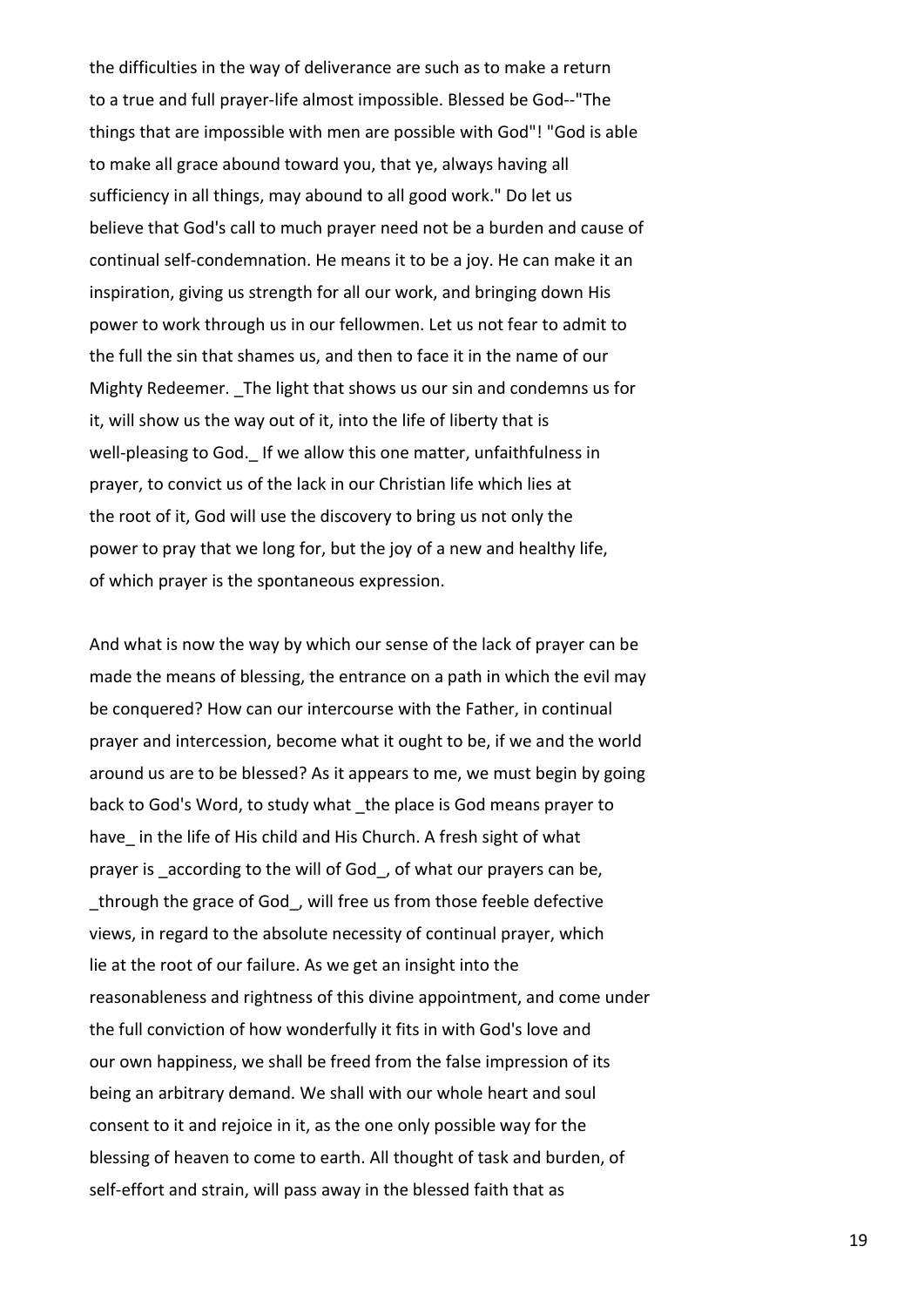the difficulties in the way of deliverance are such as to make a return to a true and full prayer-life almost impossible. Blessed be God--"The things that are impossible with men are possible with God"! "God is able to make all grace abound toward you, that ye, always having all sufficiency in all things, may abound to all good work." Do let us believe that God's call to much prayer need not be a burden and cause of continual self-condemnation. He means it to be a joy. He can make it an inspiration, giving us strength for all our work, and bringing down His power to work through us in our fellowmen. Let us not fear to admit to the full the sin that shames us, and then to face it in the name of our Mighty Redeemer. The light that shows us our sin and condemns us for it, will show us the way out of it, into the life of liberty that is well-pleasing to God. If we allow this one matter, unfaithfulness in prayer, to convict us of the lack in our Christian life which lies at the root of it, God will use the discovery to bring us not only the power to pray that we long for, but the joy of a new and healthy life, of which prayer is the spontaneous expression.

And what is now the way by which our sense of the lack of prayer can be made the means of blessing, the entrance on a path in which the evil may be conquered? How can our intercourse with the Father, in continual prayer and intercession, become what it ought to be, if we and the world around us are to be blessed? As it appears to me, we must begin by going back to God's Word, to study what \_the place is God means prayer to have in the life of His child and His Church. A fresh sight of what prayer is according to the will of God, of what our prayers can be, through the grace of God, will free us from those feeble defective views, in regard to the absolute necessity of continual prayer, which lie at the root of our failure. As we get an insight into the reasonableness and rightness of this divine appointment, and come under the full conviction of how wonderfully it fits in with God's love and our own happiness, we shall be freed from the false impression of its being an arbitrary demand. We shall with our whole heart and soul consent to it and rejoice in it, as the one only possible way for the blessing of heaven to come to earth. All thought of task and burden, of self-effort and strain, will pass away in the blessed faith that as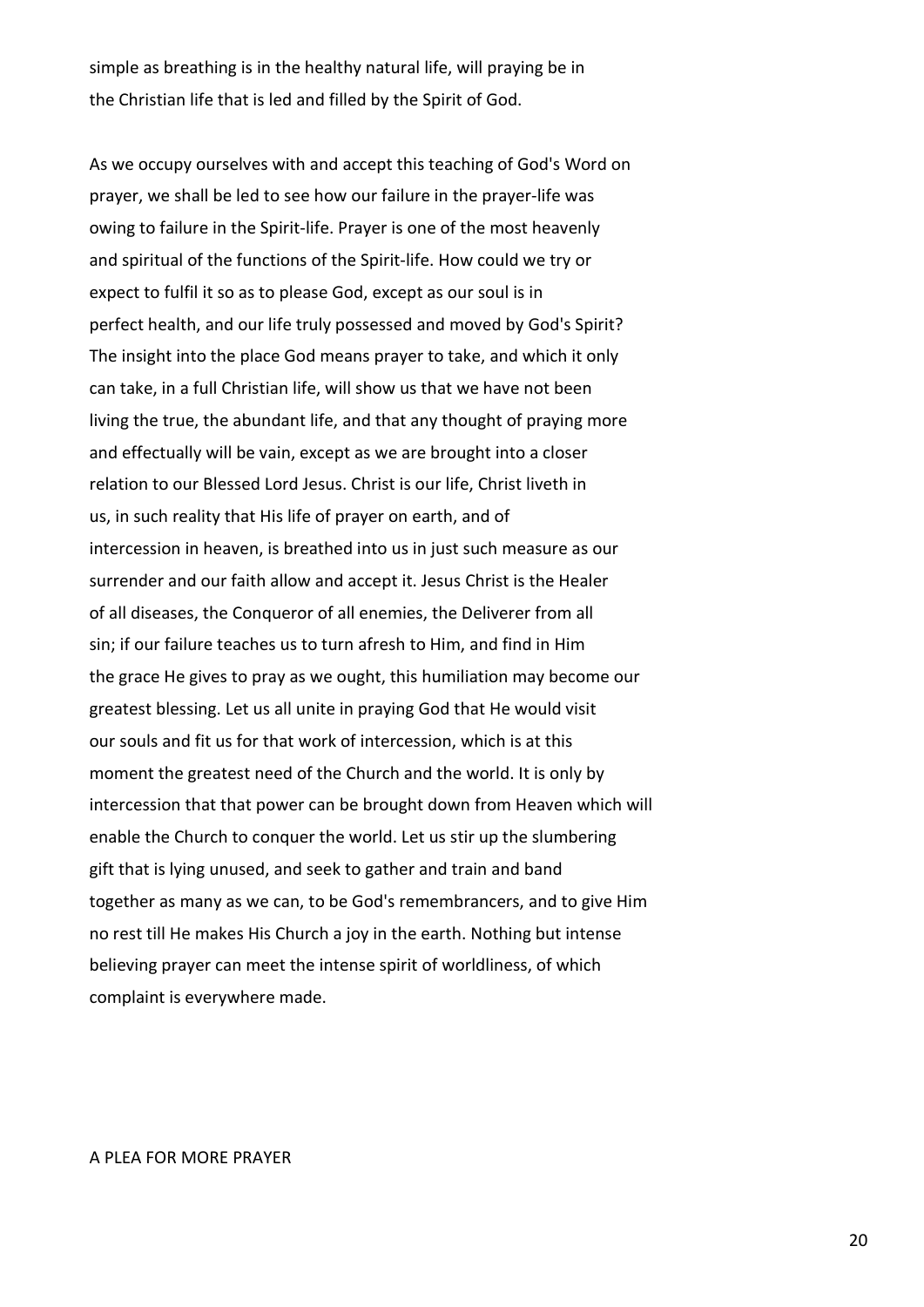simple as breathing is in the healthy natural life, will praying be in the Christian life that is led and filled by the Spirit of God.

As we occupy ourselves with and accept this teaching of God's Word on prayer, we shall be led to see how our failure in the prayer-life was owing to failure in the Spirit-life. Prayer is one of the most heavenly and spiritual of the functions of the Spirit-life. How could we try or expect to fulfil it so as to please God, except as our soul is in perfect health, and our life truly possessed and moved by God's Spirit? The insight into the place God means prayer to take, and which it only can take, in a full Christian life, will show us that we have not been living the true, the abundant life, and that any thought of praying more and effectually will be vain, except as we are brought into a closer relation to our Blessed Lord Jesus. Christ is our life, Christ liveth in us, in such reality that His life of prayer on earth, and of intercession in heaven, is breathed into us in just such measure as our surrender and our faith allow and accept it. Jesus Christ is the Healer of all diseases, the Conqueror of all enemies, the Deliverer from all sin; if our failure teaches us to turn afresh to Him, and find in Him the grace He gives to pray as we ought, this humiliation may become our greatest blessing. Let us all unite in praying God that He would visit our souls and fit us for that work of intercession, which is at this moment the greatest need of the Church and the world. It is only by intercession that that power can be brought down from Heaven which will enable the Church to conquer the world. Let us stir up the slumbering gift that is lying unused, and seek to gather and train and band together as many as we can, to be God's remembrancers, and to give Him no rest till He makes His Church a joy in the earth. Nothing but intense believing prayer can meet the intense spirit of worldliness, of which complaint is everywhere made.

#### A PLEA FOR MORE PRAYER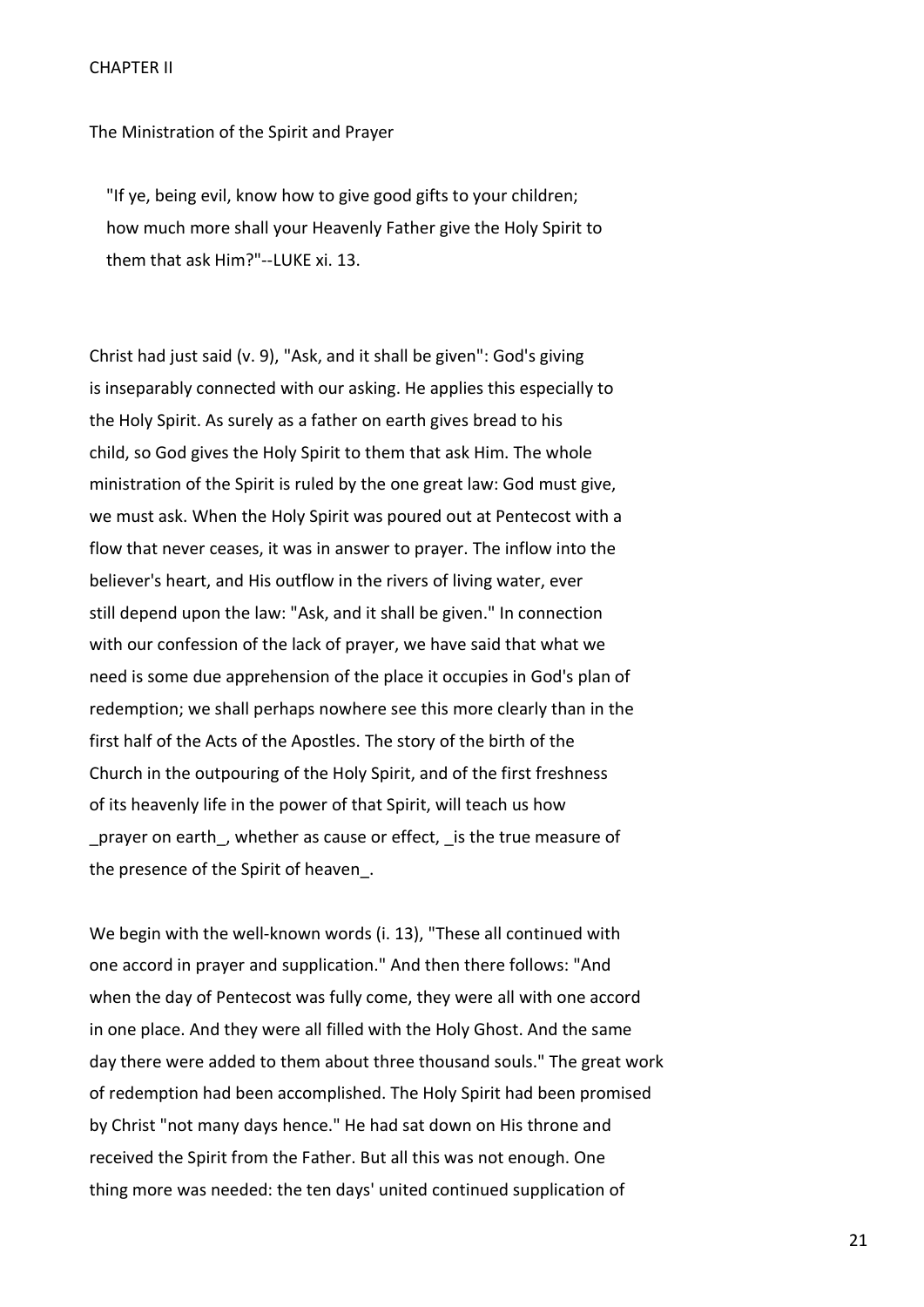#### CHAPTER II

The Ministration of the Spirit and Prayer

 "If ye, being evil, know how to give good gifts to your children; how much more shall your Heavenly Father give the Holy Spirit to them that ask Him?"--LUKE xi. 13.

Christ had just said (v. 9), "Ask, and it shall be given": God's giving is inseparably connected with our asking. He applies this especially to the Holy Spirit. As surely as a father on earth gives bread to his child, so God gives the Holy Spirit to them that ask Him. The whole ministration of the Spirit is ruled by the one great law: God must give, we must ask. When the Holy Spirit was poured out at Pentecost with a flow that never ceases, it was in answer to prayer. The inflow into the believer's heart, and His outflow in the rivers of living water, ever still depend upon the law: "Ask, and it shall be given." In connection with our confession of the lack of prayer, we have said that what we need is some due apprehension of the place it occupies in God's plan of redemption; we shall perhaps nowhere see this more clearly than in the first half of the Acts of the Apostles. The story of the birth of the Church in the outpouring of the Holy Spirit, and of the first freshness of its heavenly life in the power of that Spirit, will teach us how prayer on earth, whether as cause or effect, is the true measure of the presence of the Spirit of heaven\_.

We begin with the well-known words (i. 13), "These all continued with one accord in prayer and supplication." And then there follows: "And when the day of Pentecost was fully come, they were all with one accord in one place. And they were all filled with the Holy Ghost. And the same day there were added to them about three thousand souls." The great work of redemption had been accomplished. The Holy Spirit had been promised by Christ "not many days hence." He had sat down on His throne and received the Spirit from the Father. But all this was not enough. One thing more was needed: the ten days' united continued supplication of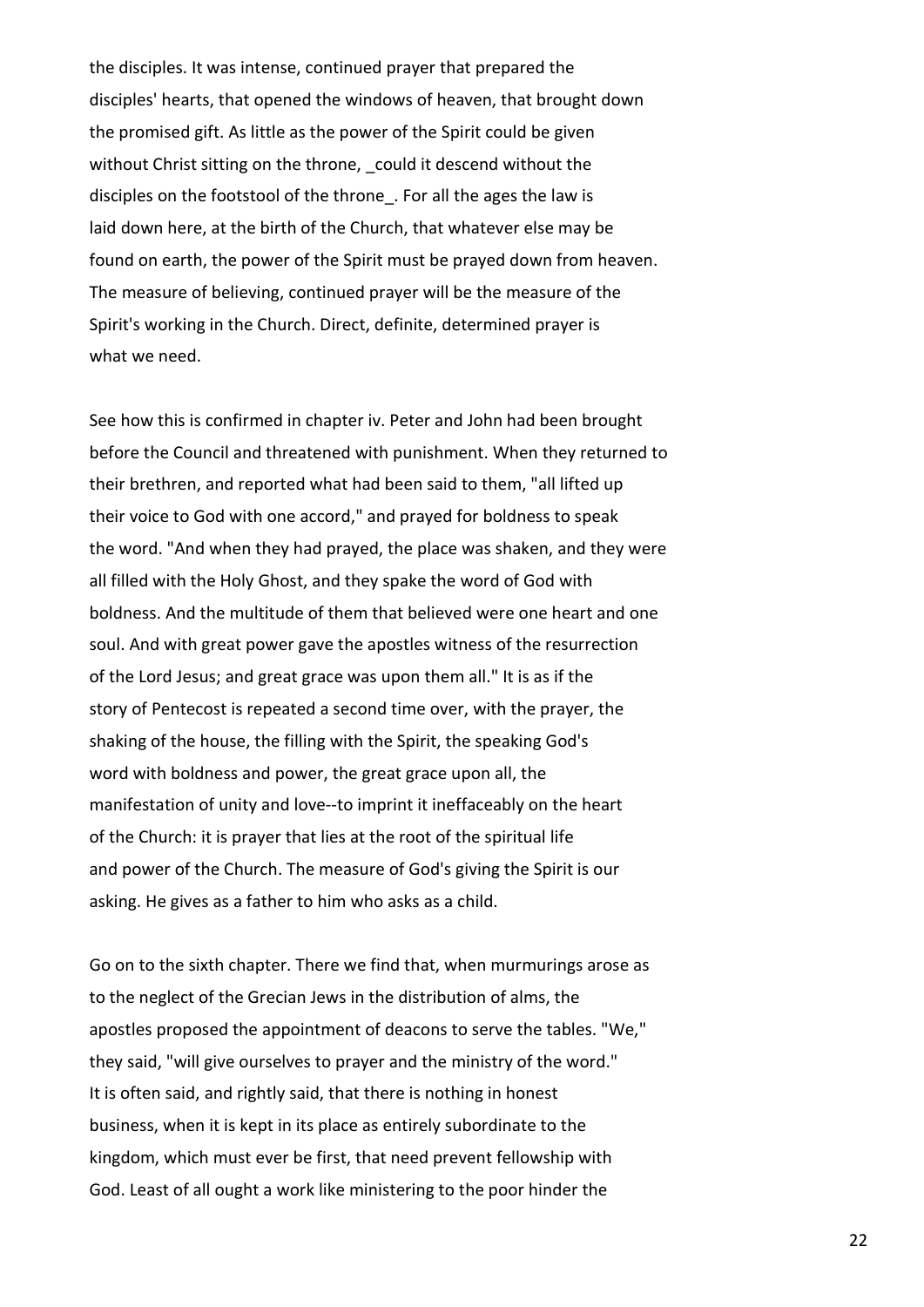the disciples. It was intense, continued prayer that prepared the disciples' hearts, that opened the windows of heaven, that brought down the promised gift. As little as the power of the Spirit could be given without Christ sitting on the throne, could it descend without the disciples on the footstool of the throne\_. For all the ages the law is laid down here, at the birth of the Church, that whatever else may be found on earth, the power of the Spirit must be prayed down from heaven. The measure of believing, continued prayer will be the measure of the Spirit's working in the Church. Direct, definite, determined prayer is what we need.

See how this is confirmed in chapter iv. Peter and John had been brought before the Council and threatened with punishment. When they returned to their brethren, and reported what had been said to them, "all lifted up their voice to God with one accord," and prayed for boldness to speak the word. "And when they had prayed, the place was shaken, and they were all filled with the Holy Ghost, and they spake the word of God with boldness. And the multitude of them that believed were one heart and one soul. And with great power gave the apostles witness of the resurrection of the Lord Jesus; and great grace was upon them all." It is as if the story of Pentecost is repeated a second time over, with the prayer, the shaking of the house, the filling with the Spirit, the speaking God's word with boldness and power, the great grace upon all, the manifestation of unity and love--to imprint it ineffaceably on the heart of the Church: it is prayer that lies at the root of the spiritual life and power of the Church. The measure of God's giving the Spirit is our asking. He gives as a father to him who asks as a child.

Go on to the sixth chapter. There we find that, when murmurings arose as to the neglect of the Grecian Jews in the distribution of alms, the apostles proposed the appointment of deacons to serve the tables. "We," they said, "will give ourselves to prayer and the ministry of the word." It is often said, and rightly said, that there is nothing in honest business, when it is kept in its place as entirely subordinate to the kingdom, which must ever be first, that need prevent fellowship with God. Least of all ought a work like ministering to the poor hinder the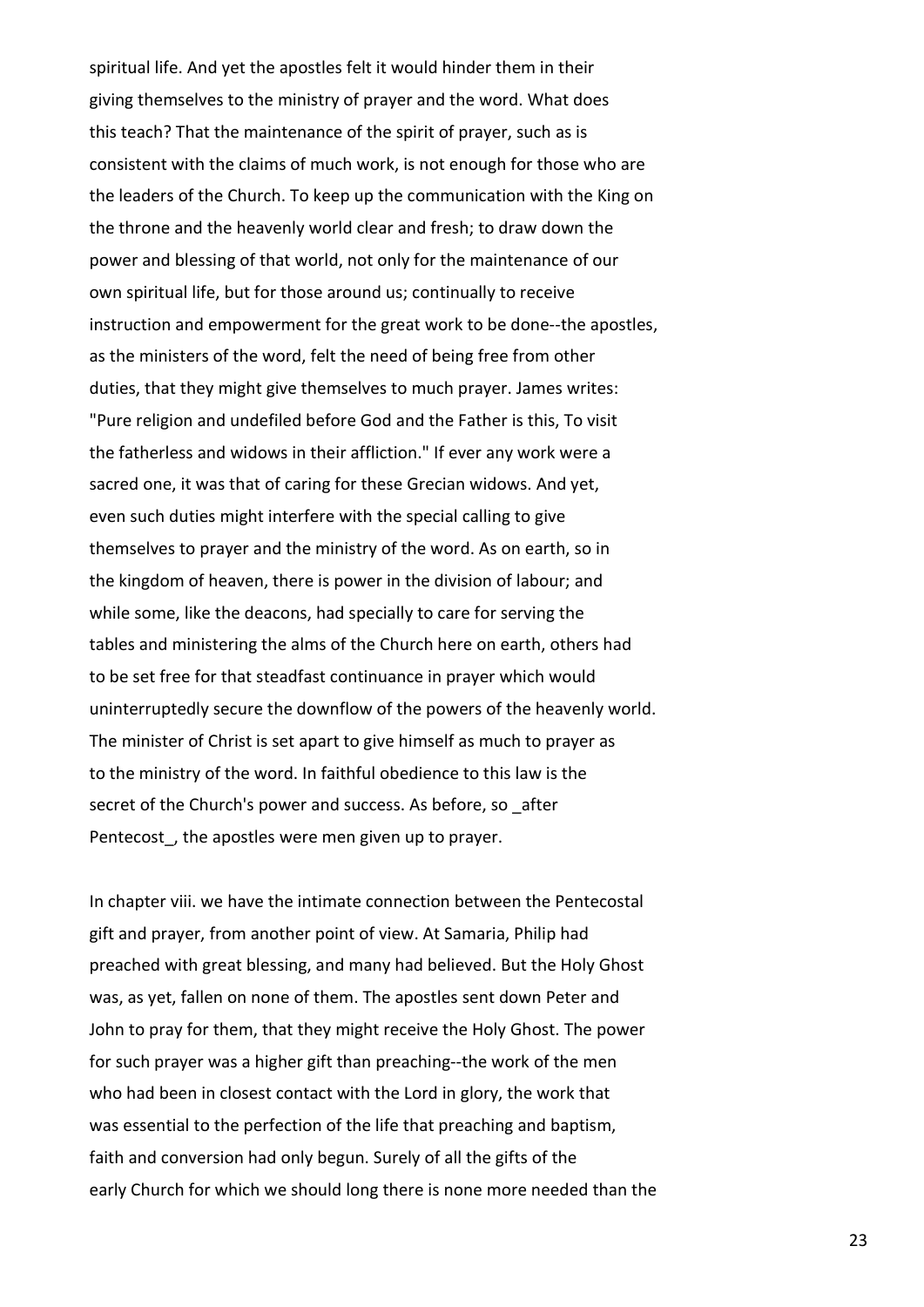spiritual life. And yet the apostles felt it would hinder them in their giving themselves to the ministry of prayer and the word. What does this teach? That the maintenance of the spirit of prayer, such as is consistent with the claims of much work, is not enough for those who are the leaders of the Church. To keep up the communication with the King on the throne and the heavenly world clear and fresh; to draw down the power and blessing of that world, not only for the maintenance of our own spiritual life, but for those around us; continually to receive instruction and empowerment for the great work to be done--the apostles, as the ministers of the word, felt the need of being free from other duties, that they might give themselves to much prayer. James writes: "Pure religion and undefiled before God and the Father is this, To visit the fatherless and widows in their affliction." If ever any work were a sacred one, it was that of caring for these Grecian widows. And yet, even such duties might interfere with the special calling to give themselves to prayer and the ministry of the word. As on earth, so in the kingdom of heaven, there is power in the division of labour; and while some, like the deacons, had specially to care for serving the tables and ministering the alms of the Church here on earth, others had to be set free for that steadfast continuance in prayer which would uninterruptedly secure the downflow of the powers of the heavenly world. The minister of Christ is set apart to give himself as much to prayer as to the ministry of the word. In faithful obedience to this law is the secret of the Church's power and success. As before, so after Pentecost, the apostles were men given up to prayer.

In chapter viii. we have the intimate connection between the Pentecostal gift and prayer, from another point of view. At Samaria, Philip had preached with great blessing, and many had believed. But the Holy Ghost was, as yet, fallen on none of them. The apostles sent down Peter and John to pray for them, that they might receive the Holy Ghost. The power for such prayer was a higher gift than preaching--the work of the men who had been in closest contact with the Lord in glory, the work that was essential to the perfection of the life that preaching and baptism, faith and conversion had only begun. Surely of all the gifts of the early Church for which we should long there is none more needed than the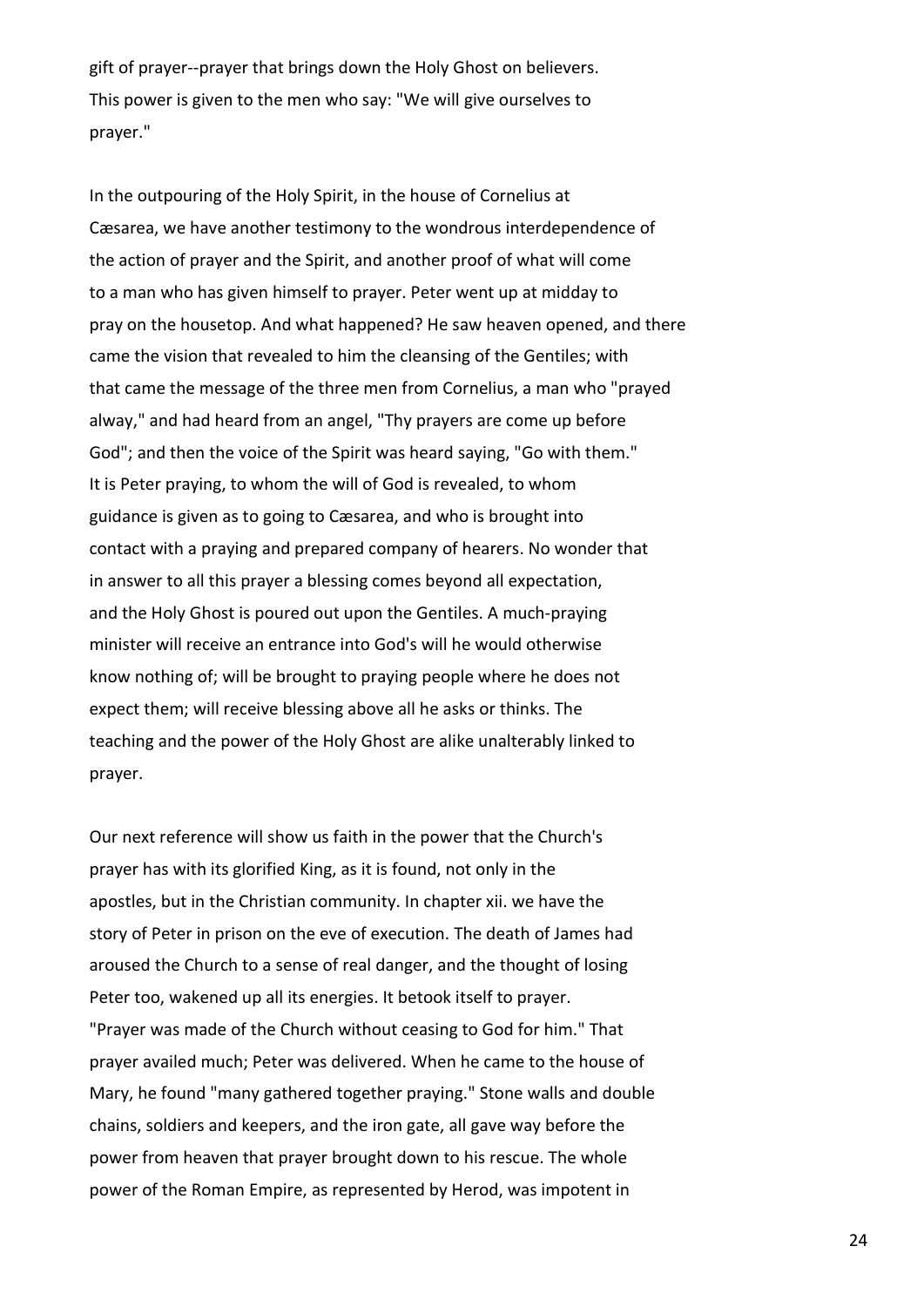gift of prayer--prayer that brings down the Holy Ghost on believers. This power is given to the men who say: "We will give ourselves to prayer."

In the outpouring of the Holy Spirit, in the house of Cornelius at Cæsarea, we have another testimony to the wondrous interdependence of the action of prayer and the Spirit, and another proof of what will come to a man who has given himself to prayer. Peter went up at midday to pray on the housetop. And what happened? He saw heaven opened, and there came the vision that revealed to him the cleansing of the Gentiles; with that came the message of the three men from Cornelius, a man who "prayed alway," and had heard from an angel, "Thy prayers are come up before God"; and then the voice of the Spirit was heard saying, "Go with them." It is Peter praying, to whom the will of God is revealed, to whom guidance is given as to going to Cæsarea, and who is brought into contact with a praying and prepared company of hearers. No wonder that in answer to all this prayer a blessing comes beyond all expectation, and the Holy Ghost is poured out upon the Gentiles. A much-praying minister will receive an entrance into God's will he would otherwise know nothing of; will be brought to praying people where he does not expect them; will receive blessing above all he asks or thinks. The teaching and the power of the Holy Ghost are alike unalterably linked to prayer.

Our next reference will show us faith in the power that the Church's prayer has with its glorified King, as it is found, not only in the apostles, but in the Christian community. In chapter xii. we have the story of Peter in prison on the eve of execution. The death of James had aroused the Church to a sense of real danger, and the thought of losing Peter too, wakened up all its energies. It betook itself to prayer. "Prayer was made of the Church without ceasing to God for him." That prayer availed much; Peter was delivered. When he came to the house of Mary, he found "many gathered together praying." Stone walls and double chains, soldiers and keepers, and the iron gate, all gave way before the power from heaven that prayer brought down to his rescue. The whole power of the Roman Empire, as represented by Herod, was impotent in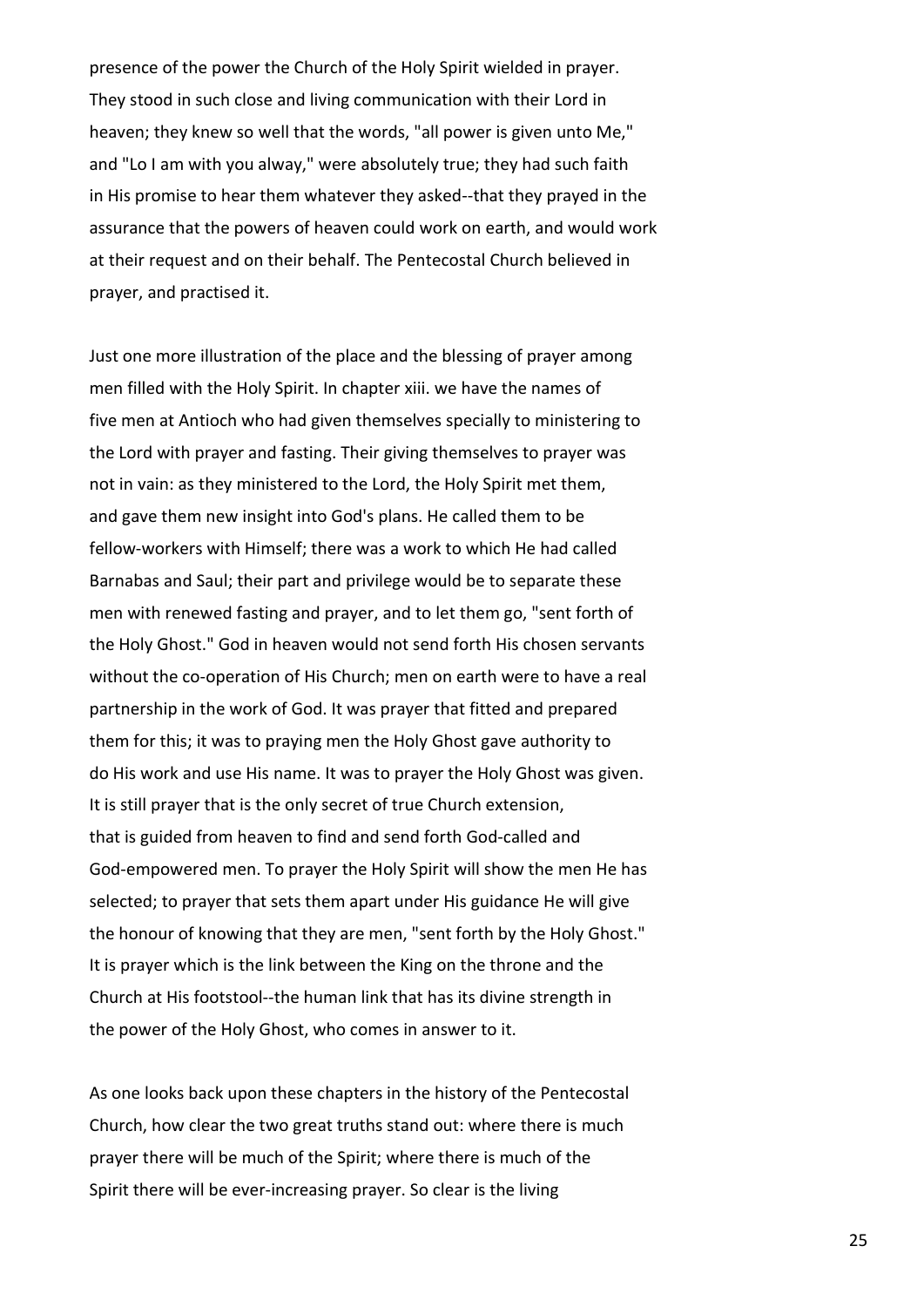presence of the power the Church of the Holy Spirit wielded in prayer. They stood in such close and living communication with their Lord in heaven; they knew so well that the words, "all power is given unto Me," and "Lo I am with you alway," were absolutely true; they had such faith in His promise to hear them whatever they asked--that they prayed in the assurance that the powers of heaven could work on earth, and would work at their request and on their behalf. The Pentecostal Church believed in prayer, and practised it.

Just one more illustration of the place and the blessing of prayer among men filled with the Holy Spirit. In chapter xiii. we have the names of five men at Antioch who had given themselves specially to ministering to the Lord with prayer and fasting. Their giving themselves to prayer was not in vain: as they ministered to the Lord, the Holy Spirit met them, and gave them new insight into God's plans. He called them to be fellow-workers with Himself; there was a work to which He had called Barnabas and Saul; their part and privilege would be to separate these men with renewed fasting and prayer, and to let them go, "sent forth of the Holy Ghost." God in heaven would not send forth His chosen servants without the co-operation of His Church; men on earth were to have a real partnership in the work of God. It was prayer that fitted and prepared them for this; it was to praying men the Holy Ghost gave authority to do His work and use His name. It was to prayer the Holy Ghost was given. It is still prayer that is the only secret of true Church extension, that is guided from heaven to find and send forth God-called and God-empowered men. To prayer the Holy Spirit will show the men He has selected; to prayer that sets them apart under His guidance He will give the honour of knowing that they are men, "sent forth by the Holy Ghost." It is prayer which is the link between the King on the throne and the Church at His footstool--the human link that has its divine strength in the power of the Holy Ghost, who comes in answer to it.

As one looks back upon these chapters in the history of the Pentecostal Church, how clear the two great truths stand out: where there is much prayer there will be much of the Spirit; where there is much of the Spirit there will be ever-increasing prayer. So clear is the living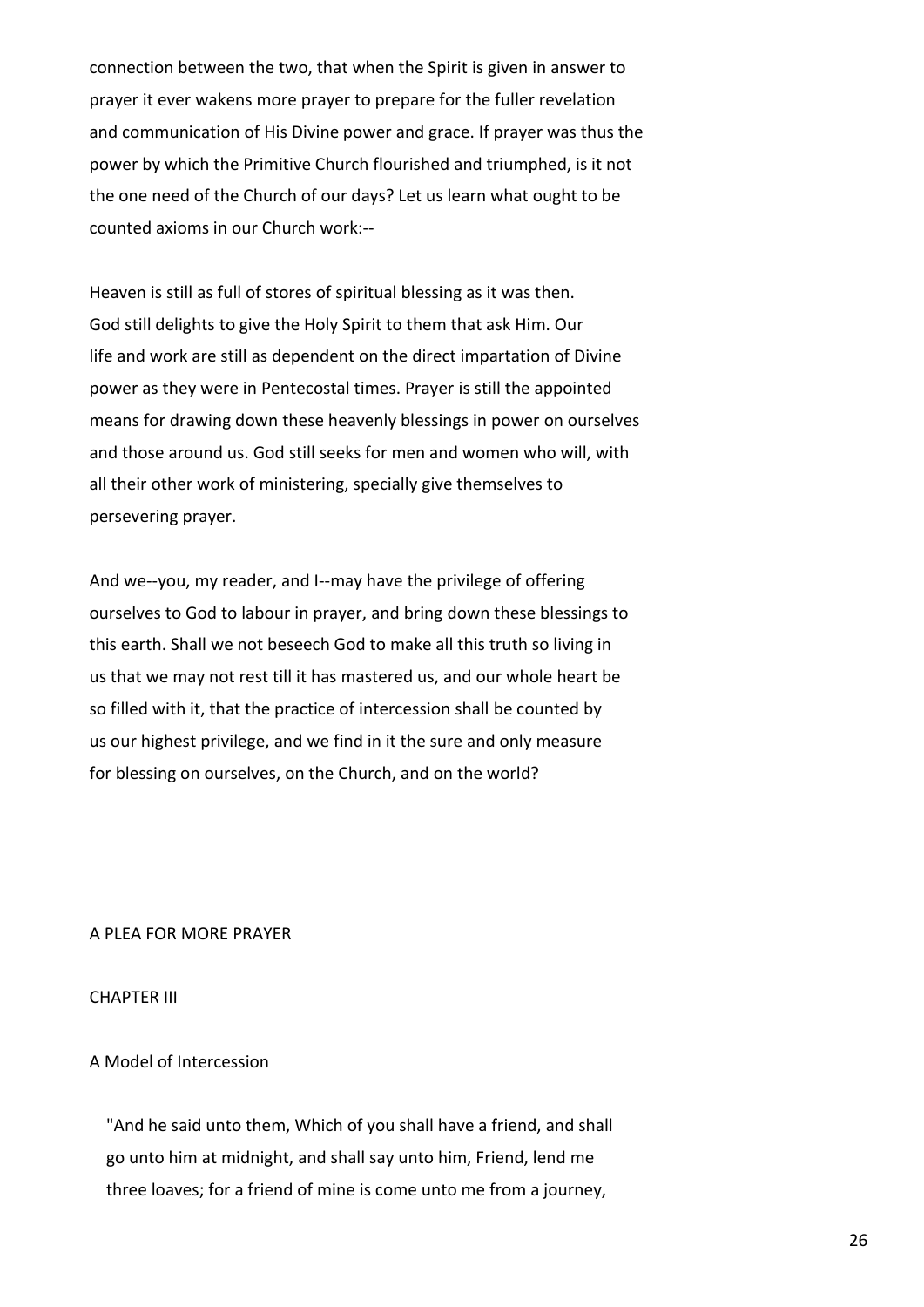connection between the two, that when the Spirit is given in answer to prayer it ever wakens more prayer to prepare for the fuller revelation and communication of His Divine power and grace. If prayer was thus the power by which the Primitive Church flourished and triumphed, is it not the one need of the Church of our days? Let us learn what ought to be counted axioms in our Church work:--

Heaven is still as full of stores of spiritual blessing as it was then. God still delights to give the Holy Spirit to them that ask Him. Our life and work are still as dependent on the direct impartation of Divine power as they were in Pentecostal times. Prayer is still the appointed means for drawing down these heavenly blessings in power on ourselves and those around us. God still seeks for men and women who will, with all their other work of ministering, specially give themselves to persevering prayer.

And we--you, my reader, and I--may have the privilege of offering ourselves to God to labour in prayer, and bring down these blessings to this earth. Shall we not beseech God to make all this truth so living in us that we may not rest till it has mastered us, and our whole heart be so filled with it, that the practice of intercession shall be counted by us our highest privilege, and we find in it the sure and only measure for blessing on ourselves, on the Church, and on the world?

## A PLEA FOR MORE PRAYER

# CHAPTER III

# A Model of Intercession

 "And he said unto them, Which of you shall have a friend, and shall go unto him at midnight, and shall say unto him, Friend, lend me three loaves; for a friend of mine is come unto me from a journey,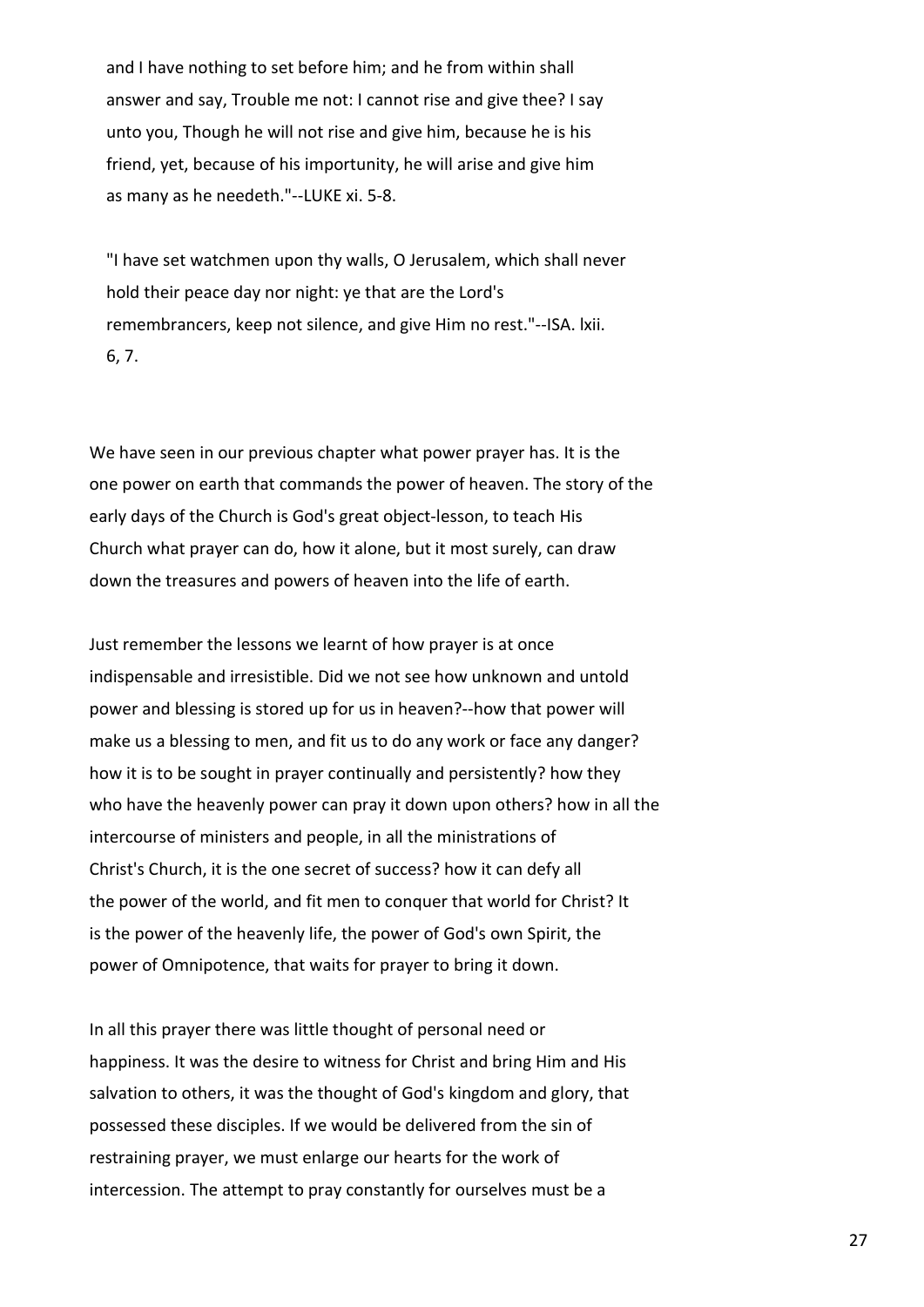and I have nothing to set before him; and he from within shall answer and say, Trouble me not: I cannot rise and give thee? I say unto you, Though he will not rise and give him, because he is his friend, yet, because of his importunity, he will arise and give him as many as he needeth."--LUKE xi. 5-8.

 "I have set watchmen upon thy walls, O Jerusalem, which shall never hold their peace day nor night: ye that are the Lord's remembrancers, keep not silence, and give Him no rest."--ISA. lxii. 6, 7.

We have seen in our previous chapter what power prayer has. It is the one power on earth that commands the power of heaven. The story of the early days of the Church is God's great object-lesson, to teach His Church what prayer can do, how it alone, but it most surely, can draw down the treasures and powers of heaven into the life of earth.

Just remember the lessons we learnt of how prayer is at once indispensable and irresistible. Did we not see how unknown and untold power and blessing is stored up for us in heaven?--how that power will make us a blessing to men, and fit us to do any work or face any danger? how it is to be sought in prayer continually and persistently? how they who have the heavenly power can pray it down upon others? how in all the intercourse of ministers and people, in all the ministrations of Christ's Church, it is the one secret of success? how it can defy all the power of the world, and fit men to conquer that world for Christ? It is the power of the heavenly life, the power of God's own Spirit, the power of Omnipotence, that waits for prayer to bring it down.

In all this prayer there was little thought of personal need or happiness. It was the desire to witness for Christ and bring Him and His salvation to others, it was the thought of God's kingdom and glory, that possessed these disciples. If we would be delivered from the sin of restraining prayer, we must enlarge our hearts for the work of intercession. The attempt to pray constantly for ourselves must be a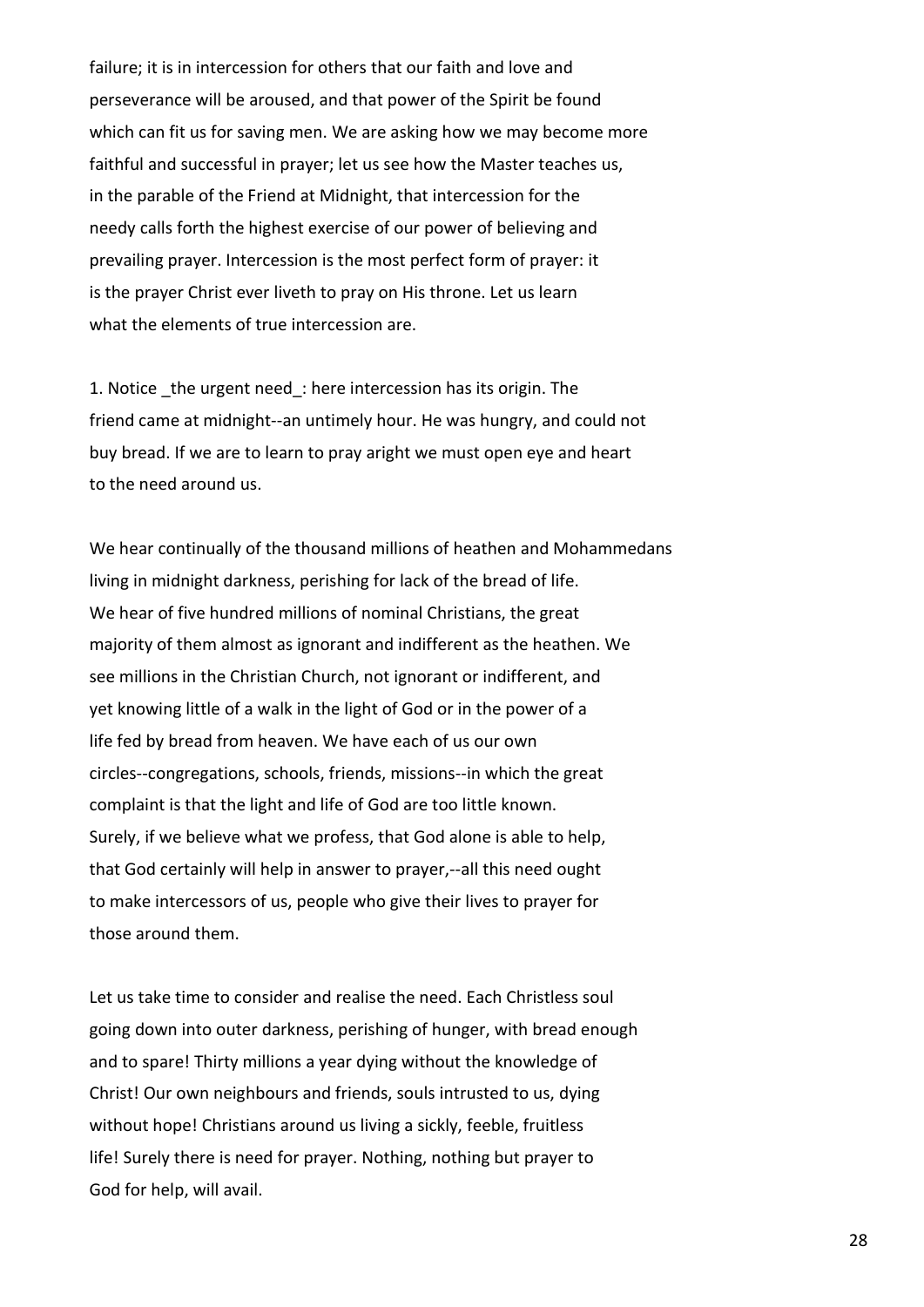failure; it is in intercession for others that our faith and love and perseverance will be aroused, and that power of the Spirit be found which can fit us for saving men. We are asking how we may become more faithful and successful in prayer; let us see how the Master teaches us, in the parable of the Friend at Midnight, that intercession for the needy calls forth the highest exercise of our power of believing and prevailing prayer. Intercession is the most perfect form of prayer: it is the prayer Christ ever liveth to pray on His throne. Let us learn what the elements of true intercession are.

1. Notice the urgent need: here intercession has its origin. The friend came at midnight--an untimely hour. He was hungry, and could not buy bread. If we are to learn to pray aright we must open eye and heart to the need around us.

We hear continually of the thousand millions of heathen and Mohammedans living in midnight darkness, perishing for lack of the bread of life. We hear of five hundred millions of nominal Christians, the great majority of them almost as ignorant and indifferent as the heathen. We see millions in the Christian Church, not ignorant or indifferent, and yet knowing little of a walk in the light of God or in the power of a life fed by bread from heaven. We have each of us our own circles--congregations, schools, friends, missions--in which the great complaint is that the light and life of God are too little known. Surely, if we believe what we profess, that God alone is able to help, that God certainly will help in answer to prayer,--all this need ought to make intercessors of us, people who give their lives to prayer for those around them.

Let us take time to consider and realise the need. Each Christless soul going down into outer darkness, perishing of hunger, with bread enough and to spare! Thirty millions a year dying without the knowledge of Christ! Our own neighbours and friends, souls intrusted to us, dying without hope! Christians around us living a sickly, feeble, fruitless life! Surely there is need for prayer. Nothing, nothing but prayer to God for help, will avail.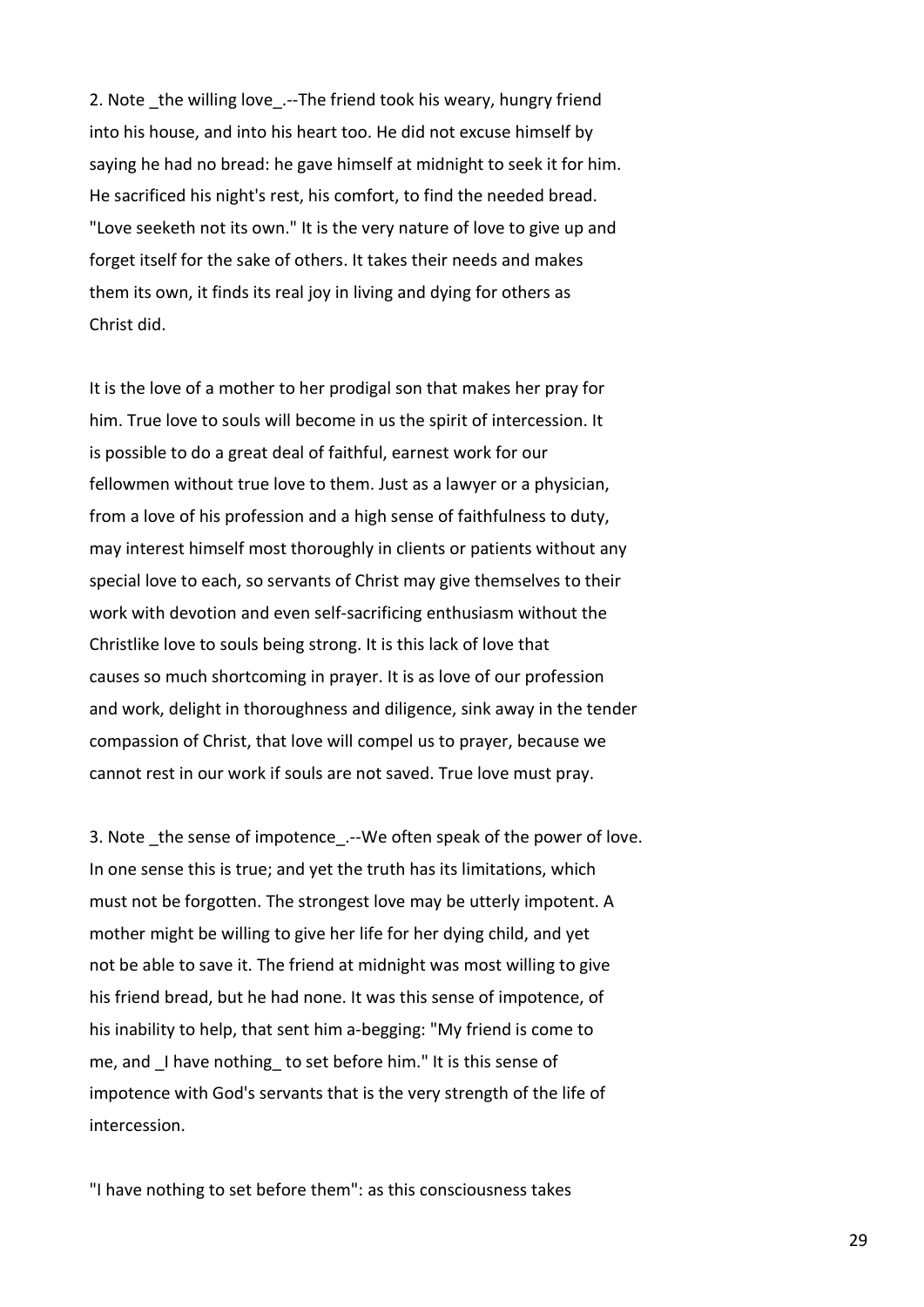2. Note the willing love .--The friend took his weary, hungry friend into his house, and into his heart too. He did not excuse himself by saying he had no bread: he gave himself at midnight to seek it for him. He sacrificed his night's rest, his comfort, to find the needed bread. "Love seeketh not its own." It is the very nature of love to give up and forget itself for the sake of others. It takes their needs and makes them its own, it finds its real joy in living and dying for others as Christ did.

It is the love of a mother to her prodigal son that makes her pray for him. True love to souls will become in us the spirit of intercession. It is possible to do a great deal of faithful, earnest work for our fellowmen without true love to them. Just as a lawyer or a physician, from a love of his profession and a high sense of faithfulness to duty, may interest himself most thoroughly in clients or patients without any special love to each, so servants of Christ may give themselves to their work with devotion and even self-sacrificing enthusiasm without the Christlike love to souls being strong. It is this lack of love that causes so much shortcoming in prayer. It is as love of our profession and work, delight in thoroughness and diligence, sink away in the tender compassion of Christ, that love will compel us to prayer, because we cannot rest in our work if souls are not saved. True love must pray.

3. Note the sense of impotence .--We often speak of the power of love. In one sense this is true; and yet the truth has its limitations, which must not be forgotten. The strongest love may be utterly impotent. A mother might be willing to give her life for her dying child, and yet not be able to save it. The friend at midnight was most willing to give his friend bread, but he had none. It was this sense of impotence, of his inability to help, that sent him a-begging: "My friend is come to me, and I have nothing to set before him." It is this sense of impotence with God's servants that is the very strength of the life of intercession.

"I have nothing to set before them": as this consciousness takes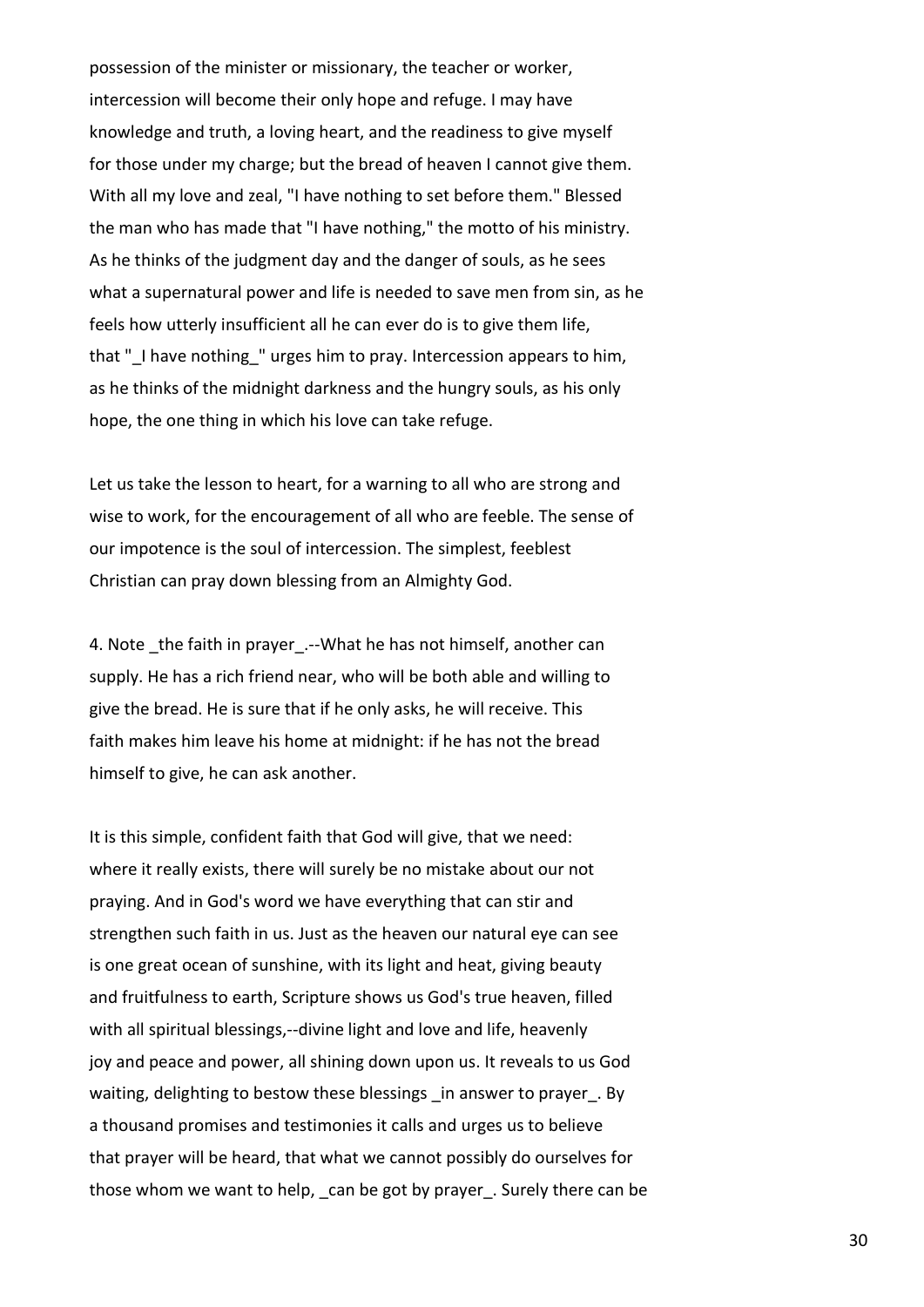possession of the minister or missionary, the teacher or worker, intercession will become their only hope and refuge. I may have knowledge and truth, a loving heart, and the readiness to give myself for those under my charge; but the bread of heaven I cannot give them. With all my love and zeal, "I have nothing to set before them." Blessed the man who has made that "I have nothing," the motto of his ministry. As he thinks of the judgment day and the danger of souls, as he sees what a supernatural power and life is needed to save men from sin, as he feels how utterly insufficient all he can ever do is to give them life, that " I have nothing " urges him to pray. Intercession appears to him, as he thinks of the midnight darkness and the hungry souls, as his only hope, the one thing in which his love can take refuge.

Let us take the lesson to heart, for a warning to all who are strong and wise to work, for the encouragement of all who are feeble. The sense of our impotence is the soul of intercession. The simplest, feeblest Christian can pray down blessing from an Almighty God.

4. Note the faith in prayer.--What he has not himself, another can supply. He has a rich friend near, who will be both able and willing to give the bread. He is sure that if he only asks, he will receive. This faith makes him leave his home at midnight: if he has not the bread himself to give, he can ask another.

It is this simple, confident faith that God will give, that we need: where it really exists, there will surely be no mistake about our not praying. And in God's word we have everything that can stir and strengthen such faith in us. Just as the heaven our natural eye can see is one great ocean of sunshine, with its light and heat, giving beauty and fruitfulness to earth, Scripture shows us God's true heaven, filled with all spiritual blessings,--divine light and love and life, heavenly joy and peace and power, all shining down upon us. It reveals to us God waiting, delighting to bestow these blessings \_in answer to prayer\_. By a thousand promises and testimonies it calls and urges us to believe that prayer will be heard, that what we cannot possibly do ourselves for those whom we want to help, can be got by prayer. Surely there can be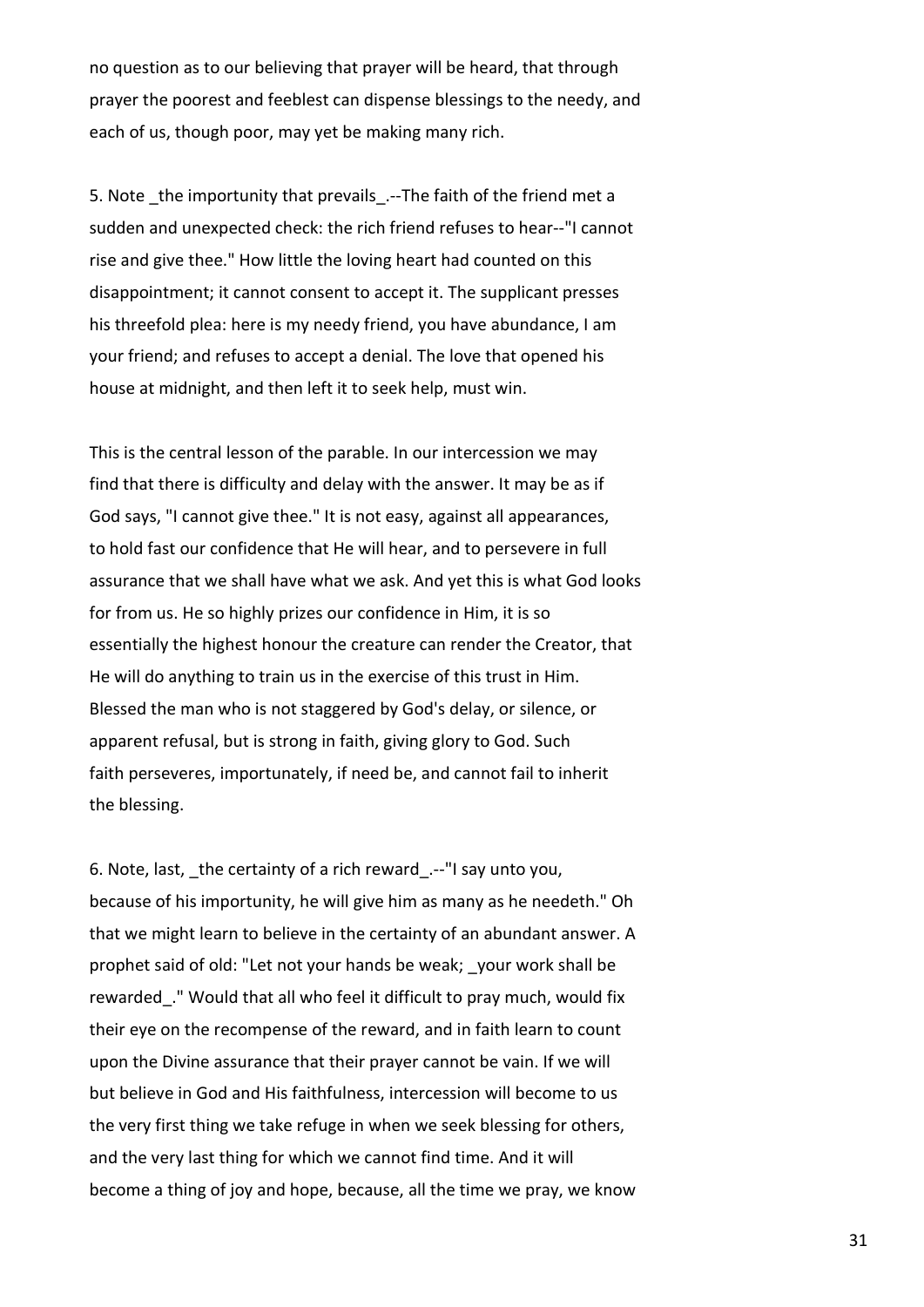no question as to our believing that prayer will be heard, that through prayer the poorest and feeblest can dispense blessings to the needy, and each of us, though poor, may yet be making many rich.

5. Note the importunity that prevails .--The faith of the friend met a sudden and unexpected check: the rich friend refuses to hear--"I cannot rise and give thee." How little the loving heart had counted on this disappointment; it cannot consent to accept it. The supplicant presses his threefold plea: here is my needy friend, you have abundance, I am your friend; and refuses to accept a denial. The love that opened his house at midnight, and then left it to seek help, must win.

This is the central lesson of the parable. In our intercession we may find that there is difficulty and delay with the answer. It may be as if God says, "I cannot give thee." It is not easy, against all appearances, to hold fast our confidence that He will hear, and to persevere in full assurance that we shall have what we ask. And yet this is what God looks for from us. He so highly prizes our confidence in Him, it is so essentially the highest honour the creature can render the Creator, that He will do anything to train us in the exercise of this trust in Him. Blessed the man who is not staggered by God's delay, or silence, or apparent refusal, but is strong in faith, giving glory to God. Such faith perseveres, importunately, if need be, and cannot fail to inherit the blessing.

6. Note, last, \_the certainty of a rich reward\_.--"I say unto you, because of his importunity, he will give him as many as he needeth." Oh that we might learn to believe in the certainty of an abundant answer. A prophet said of old: "Let not your hands be weak; \_your work shall be rewarded." Would that all who feel it difficult to pray much, would fix their eye on the recompense of the reward, and in faith learn to count upon the Divine assurance that their prayer cannot be vain. If we will but believe in God and His faithfulness, intercession will become to us the very first thing we take refuge in when we seek blessing for others, and the very last thing for which we cannot find time. And it will become a thing of joy and hope, because, all the time we pray, we know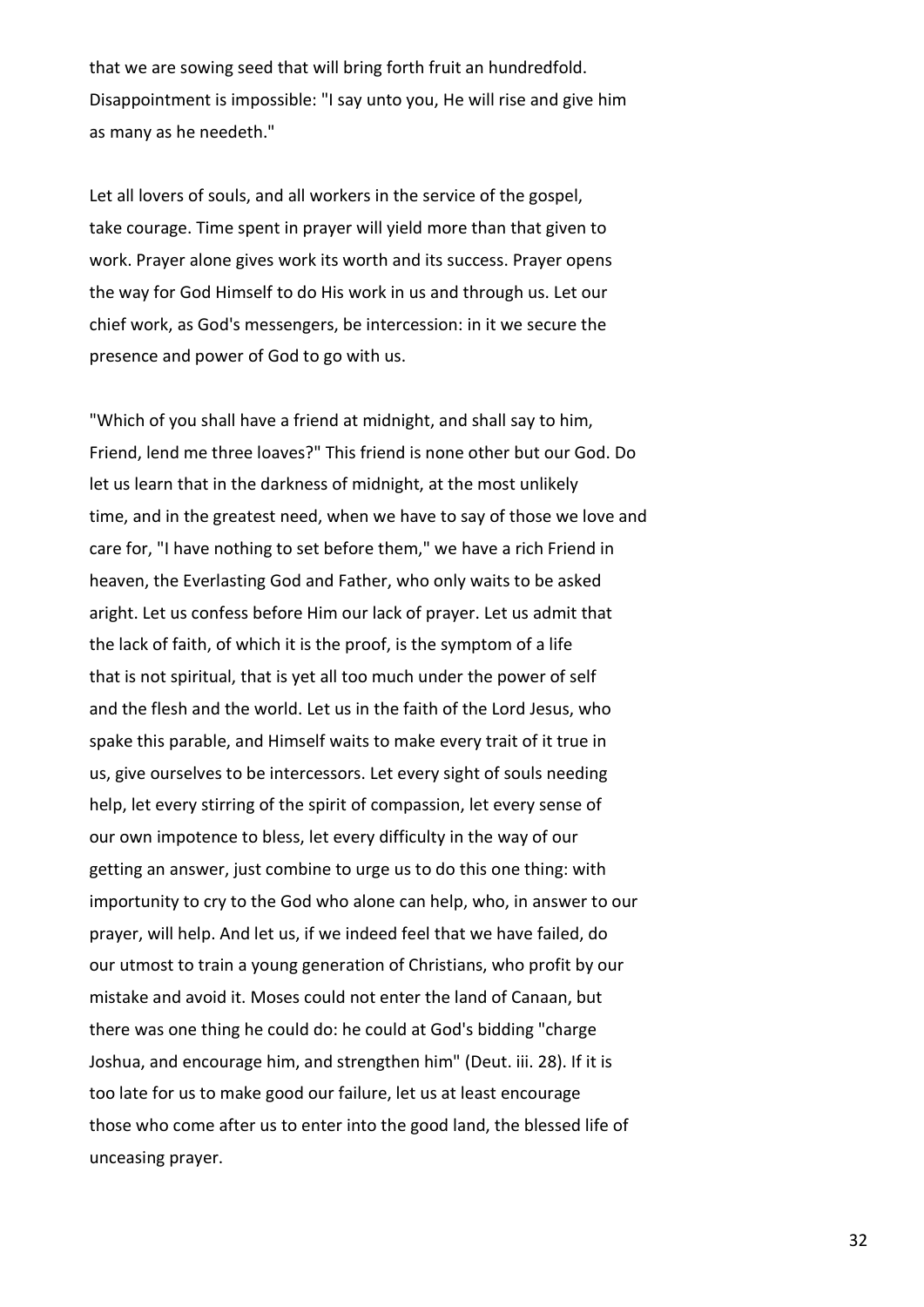that we are sowing seed that will bring forth fruit an hundredfold. Disappointment is impossible: "I say unto you, He will rise and give him as many as he needeth."

Let all lovers of souls, and all workers in the service of the gospel, take courage. Time spent in prayer will yield more than that given to work. Prayer alone gives work its worth and its success. Prayer opens the way for God Himself to do His work in us and through us. Let our chief work, as God's messengers, be intercession: in it we secure the presence and power of God to go with us.

"Which of you shall have a friend at midnight, and shall say to him, Friend, lend me three loaves?" This friend is none other but our God. Do let us learn that in the darkness of midnight, at the most unlikely time, and in the greatest need, when we have to say of those we love and care for, "I have nothing to set before them," we have a rich Friend in heaven, the Everlasting God and Father, who only waits to be asked aright. Let us confess before Him our lack of prayer. Let us admit that the lack of faith, of which it is the proof, is the symptom of a life that is not spiritual, that is yet all too much under the power of self and the flesh and the world. Let us in the faith of the Lord Jesus, who spake this parable, and Himself waits to make every trait of it true in us, give ourselves to be intercessors. Let every sight of souls needing help, let every stirring of the spirit of compassion, let every sense of our own impotence to bless, let every difficulty in the way of our getting an answer, just combine to urge us to do this one thing: with importunity to cry to the God who alone can help, who, in answer to our prayer, will help. And let us, if we indeed feel that we have failed, do our utmost to train a young generation of Christians, who profit by our mistake and avoid it. Moses could not enter the land of Canaan, but there was one thing he could do: he could at God's bidding "charge Joshua, and encourage him, and strengthen him" (Deut. iii. 28). If it is too late for us to make good our failure, let us at least encourage those who come after us to enter into the good land, the blessed life of unceasing prayer.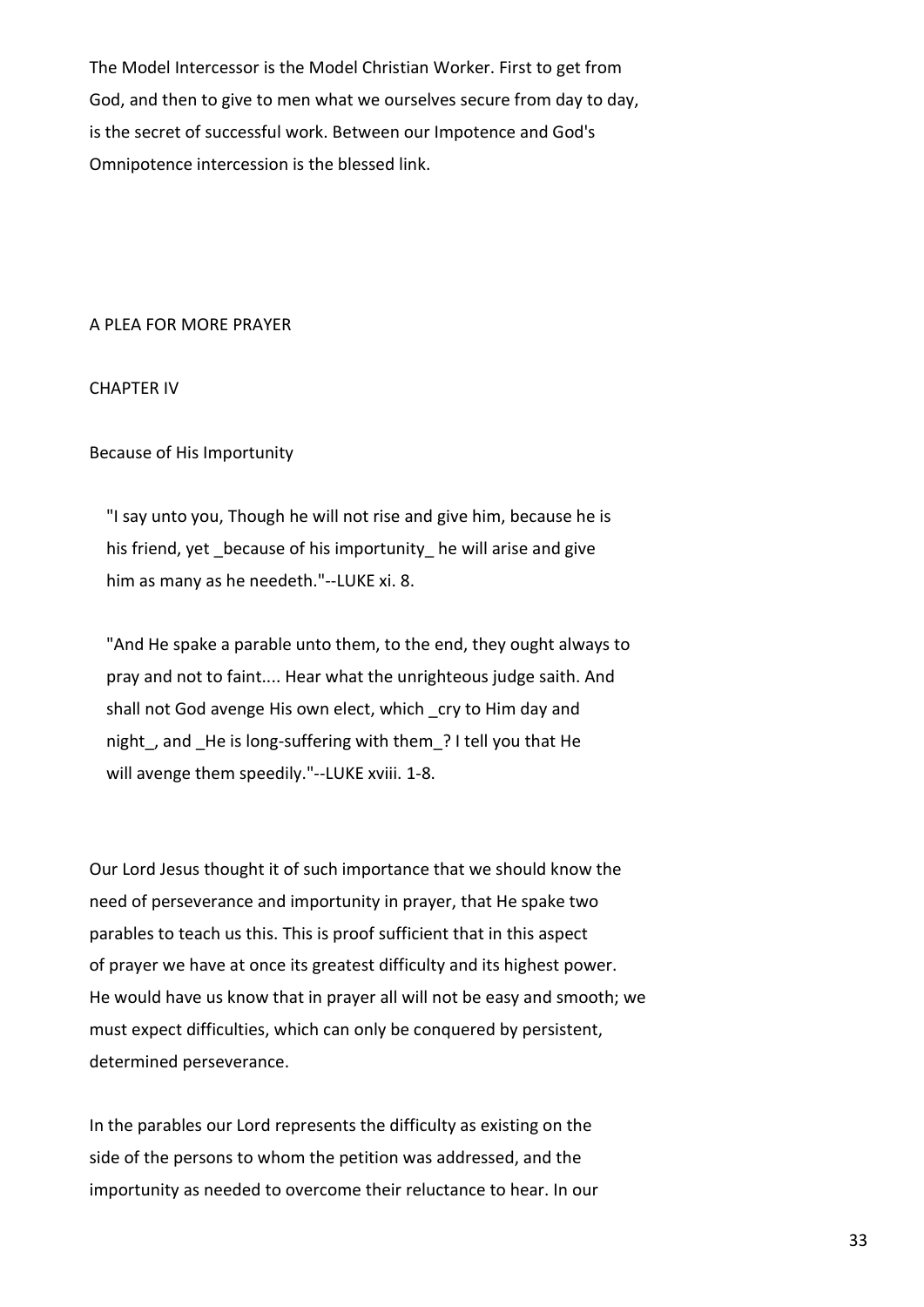The Model Intercessor is the Model Christian Worker. First to get from God, and then to give to men what we ourselves secure from day to day, is the secret of successful work. Between our Impotence and God's Omnipotence intercession is the blessed link.

#### A PLEA FOR MORE PRAYER

## CHAPTER IV

# Because of His Importunity

 "I say unto you, Though he will not rise and give him, because he is his friend, yet because of his importunity he will arise and give him as many as he needeth."--LUKE xi. 8.

 "And He spake a parable unto them, to the end, they ought always to pray and not to faint.... Hear what the unrighteous judge saith. And shall not God avenge His own elect, which cry to Him day and night, and He is long-suffering with them ? I tell you that He will avenge them speedily."--LUKE xviii. 1-8.

Our Lord Jesus thought it of such importance that we should know the need of perseverance and importunity in prayer, that He spake two parables to teach us this. This is proof sufficient that in this aspect of prayer we have at once its greatest difficulty and its highest power. He would have us know that in prayer all will not be easy and smooth; we must expect difficulties, which can only be conquered by persistent, determined perseverance.

In the parables our Lord represents the difficulty as existing on the side of the persons to whom the petition was addressed, and the importunity as needed to overcome their reluctance to hear. In our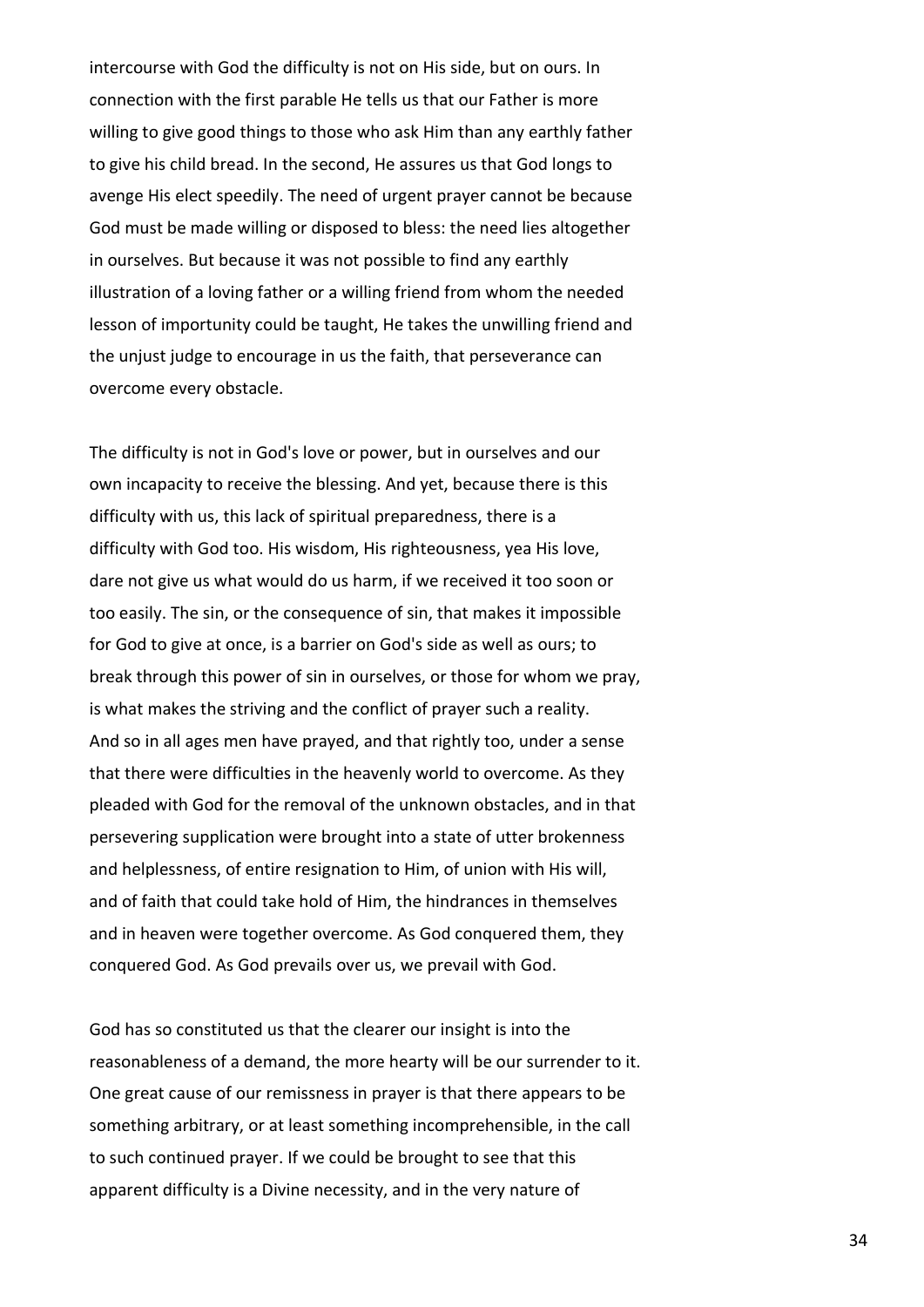intercourse with God the difficulty is not on His side, but on ours. In connection with the first parable He tells us that our Father is more willing to give good things to those who ask Him than any earthly father to give his child bread. In the second, He assures us that God longs to avenge His elect speedily. The need of urgent prayer cannot be because God must be made willing or disposed to bless: the need lies altogether in ourselves. But because it was not possible to find any earthly illustration of a loving father or a willing friend from whom the needed lesson of importunity could be taught, He takes the unwilling friend and the unjust judge to encourage in us the faith, that perseverance can overcome every obstacle.

The difficulty is not in God's love or power, but in ourselves and our own incapacity to receive the blessing. And yet, because there is this difficulty with us, this lack of spiritual preparedness, there is a difficulty with God too. His wisdom, His righteousness, yea His love, dare not give us what would do us harm, if we received it too soon or too easily. The sin, or the consequence of sin, that makes it impossible for God to give at once, is a barrier on God's side as well as ours; to break through this power of sin in ourselves, or those for whom we pray, is what makes the striving and the conflict of prayer such a reality. And so in all ages men have prayed, and that rightly too, under a sense that there were difficulties in the heavenly world to overcome. As they pleaded with God for the removal of the unknown obstacles, and in that persevering supplication were brought into a state of utter brokenness and helplessness, of entire resignation to Him, of union with His will, and of faith that could take hold of Him, the hindrances in themselves and in heaven were together overcome. As God conquered them, they conquered God. As God prevails over us, we prevail with God.

God has so constituted us that the clearer our insight is into the reasonableness of a demand, the more hearty will be our surrender to it. One great cause of our remissness in prayer is that there appears to be something arbitrary, or at least something incomprehensible, in the call to such continued prayer. If we could be brought to see that this apparent difficulty is a Divine necessity, and in the very nature of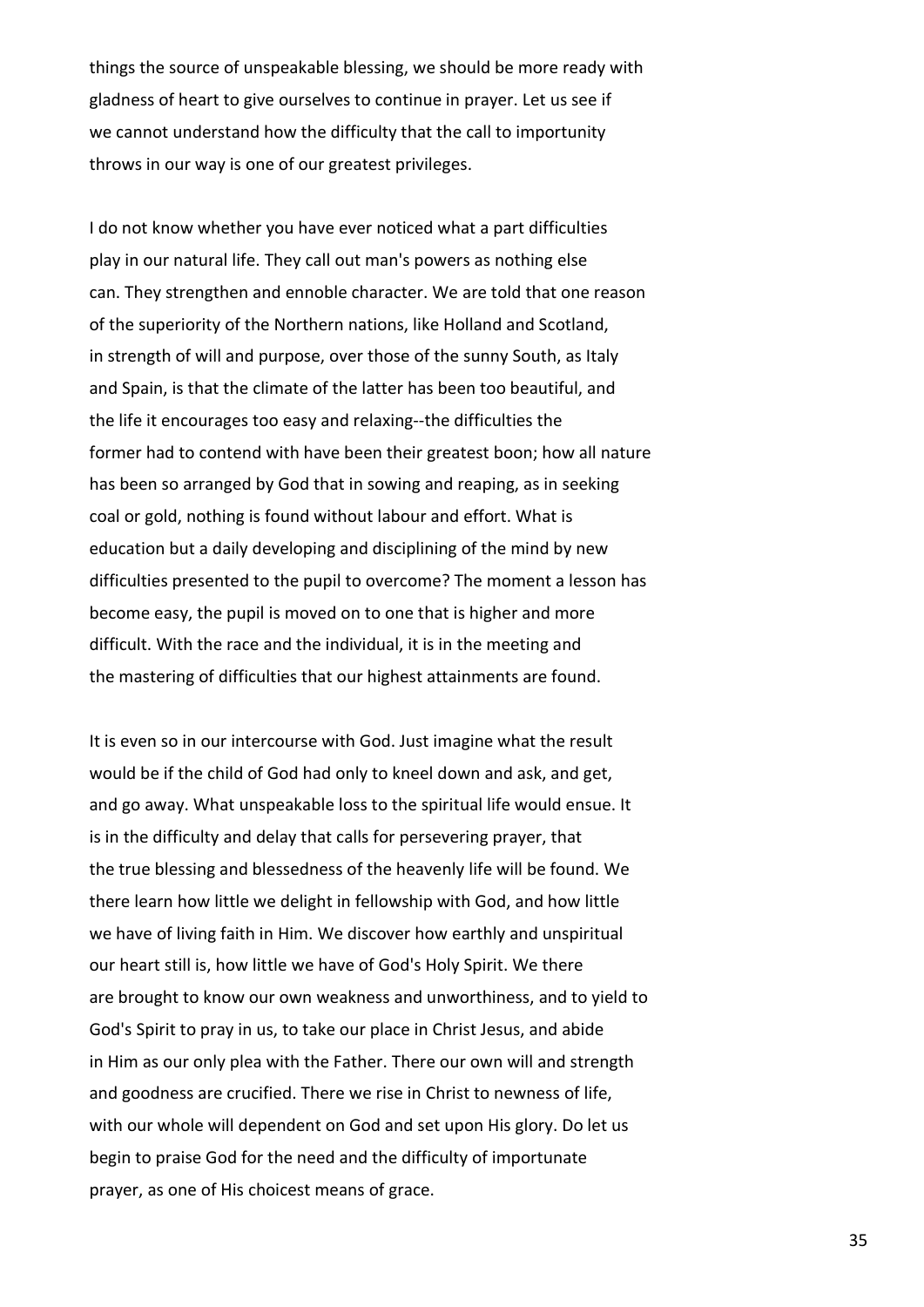things the source of unspeakable blessing, we should be more ready with gladness of heart to give ourselves to continue in prayer. Let us see if we cannot understand how the difficulty that the call to importunity throws in our way is one of our greatest privileges.

I do not know whether you have ever noticed what a part difficulties play in our natural life. They call out man's powers as nothing else can. They strengthen and ennoble character. We are told that one reason of the superiority of the Northern nations, like Holland and Scotland, in strength of will and purpose, over those of the sunny South, as Italy and Spain, is that the climate of the latter has been too beautiful, and the life it encourages too easy and relaxing--the difficulties the former had to contend with have been their greatest boon; how all nature has been so arranged by God that in sowing and reaping, as in seeking coal or gold, nothing is found without labour and effort. What is education but a daily developing and disciplining of the mind by new difficulties presented to the pupil to overcome? The moment a lesson has become easy, the pupil is moved on to one that is higher and more difficult. With the race and the individual, it is in the meeting and the mastering of difficulties that our highest attainments are found.

It is even so in our intercourse with God. Just imagine what the result would be if the child of God had only to kneel down and ask, and get, and go away. What unspeakable loss to the spiritual life would ensue. It is in the difficulty and delay that calls for persevering prayer, that the true blessing and blessedness of the heavenly life will be found. We there learn how little we delight in fellowship with God, and how little we have of living faith in Him. We discover how earthly and unspiritual our heart still is, how little we have of God's Holy Spirit. We there are brought to know our own weakness and unworthiness, and to yield to God's Spirit to pray in us, to take our place in Christ Jesus, and abide in Him as our only plea with the Father. There our own will and strength and goodness are crucified. There we rise in Christ to newness of life, with our whole will dependent on God and set upon His glory. Do let us begin to praise God for the need and the difficulty of importunate prayer, as one of His choicest means of grace.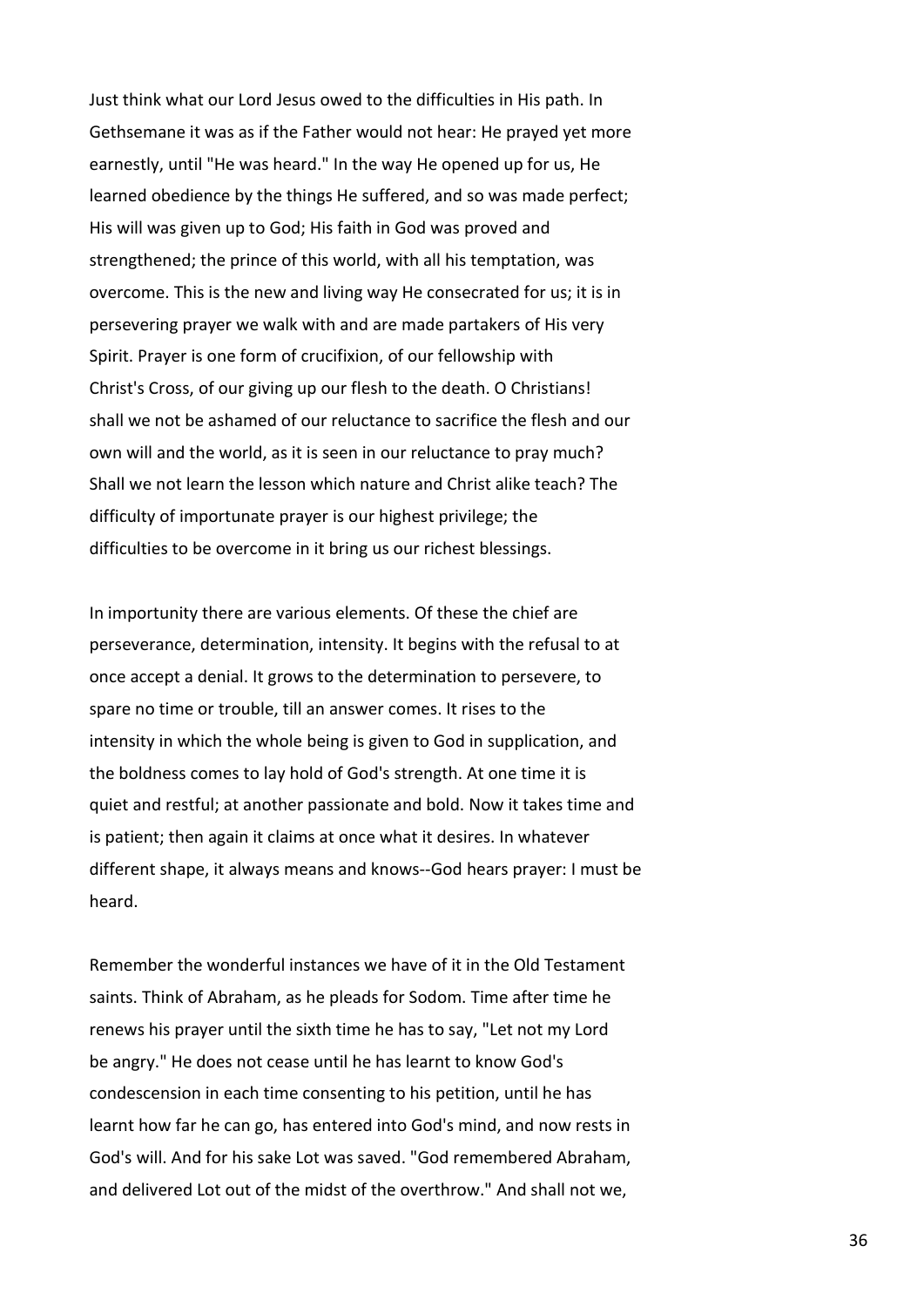Just think what our Lord Jesus owed to the difficulties in His path. In Gethsemane it was as if the Father would not hear: He prayed yet more earnestly, until "He was heard." In the way He opened up for us, He learned obedience by the things He suffered, and so was made perfect; His will was given up to God; His faith in God was proved and strengthened; the prince of this world, with all his temptation, was overcome. This is the new and living way He consecrated for us; it is in persevering prayer we walk with and are made partakers of His very Spirit. Prayer is one form of crucifixion, of our fellowship with Christ's Cross, of our giving up our flesh to the death. O Christians! shall we not be ashamed of our reluctance to sacrifice the flesh and our own will and the world, as it is seen in our reluctance to pray much? Shall we not learn the lesson which nature and Christ alike teach? The difficulty of importunate prayer is our highest privilege; the difficulties to be overcome in it bring us our richest blessings.

In importunity there are various elements. Of these the chief are perseverance, determination, intensity. It begins with the refusal to at once accept a denial. It grows to the determination to persevere, to spare no time or trouble, till an answer comes. It rises to the intensity in which the whole being is given to God in supplication, and the boldness comes to lay hold of God's strength. At one time it is quiet and restful; at another passionate and bold. Now it takes time and is patient; then again it claims at once what it desires. In whatever different shape, it always means and knows--God hears prayer: I must be heard.

Remember the wonderful instances we have of it in the Old Testament saints. Think of Abraham, as he pleads for Sodom. Time after time he renews his prayer until the sixth time he has to say, "Let not my Lord be angry." He does not cease until he has learnt to know God's condescension in each time consenting to his petition, until he has learnt how far he can go, has entered into God's mind, and now rests in God's will. And for his sake Lot was saved. "God remembered Abraham, and delivered Lot out of the midst of the overthrow." And shall not we,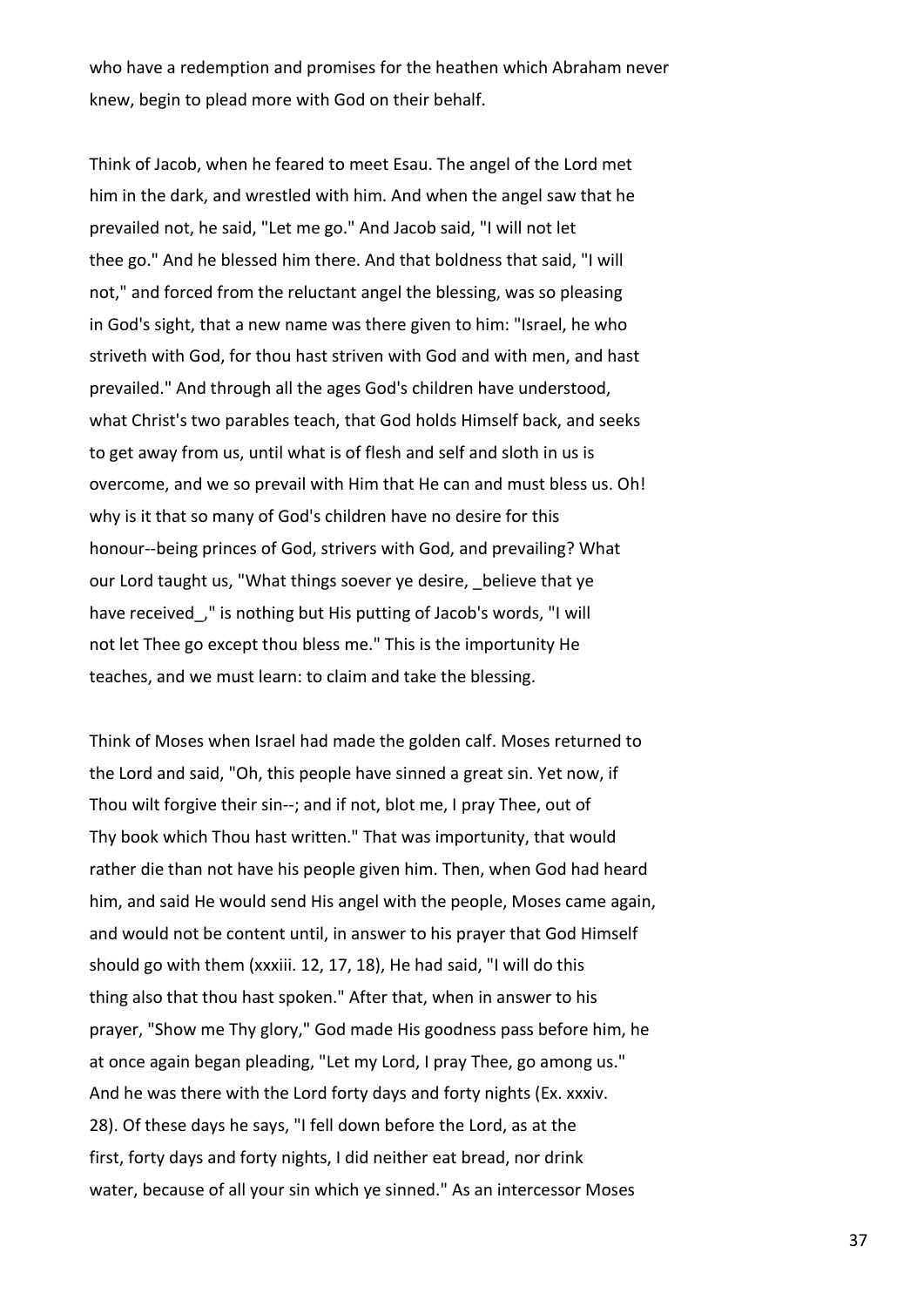who have a redemption and promises for the heathen which Abraham never knew, begin to plead more with God on their behalf.

Think of Jacob, when he feared to meet Esau. The angel of the Lord met him in the dark, and wrestled with him. And when the angel saw that he prevailed not, he said, "Let me go." And Jacob said, "I will not let thee go." And he blessed him there. And that boldness that said, "I will not," and forced from the reluctant angel the blessing, was so pleasing in God's sight, that a new name was there given to him: "Israel, he who striveth with God, for thou hast striven with God and with men, and hast prevailed." And through all the ages God's children have understood, what Christ's two parables teach, that God holds Himself back, and seeks to get away from us, until what is of flesh and self and sloth in us is overcome, and we so prevail with Him that He can and must bless us. Oh! why is it that so many of God's children have no desire for this honour--being princes of God, strivers with God, and prevailing? What our Lord taught us, "What things soever ye desire, believe that ye have received\_," is nothing but His putting of Jacob's words, "I will not let Thee go except thou bless me." This is the importunity He teaches, and we must learn: to claim and take the blessing.

Think of Moses when Israel had made the golden calf. Moses returned to the Lord and said, "Oh, this people have sinned a great sin. Yet now, if Thou wilt forgive their sin--; and if not, blot me, I pray Thee, out of Thy book which Thou hast written." That was importunity, that would rather die than not have his people given him. Then, when God had heard him, and said He would send His angel with the people, Moses came again, and would not be content until, in answer to his prayer that God Himself should go with them (xxxiii. 12, 17, 18), He had said, "I will do this thing also that thou hast spoken." After that, when in answer to his prayer, "Show me Thy glory," God made His goodness pass before him, he at once again began pleading, "Let my Lord, I pray Thee, go among us." And he was there with the Lord forty days and forty nights (Ex. xxxiv. 28). Of these days he says, "I fell down before the Lord, as at the first, forty days and forty nights, I did neither eat bread, nor drink water, because of all your sin which ye sinned." As an intercessor Moses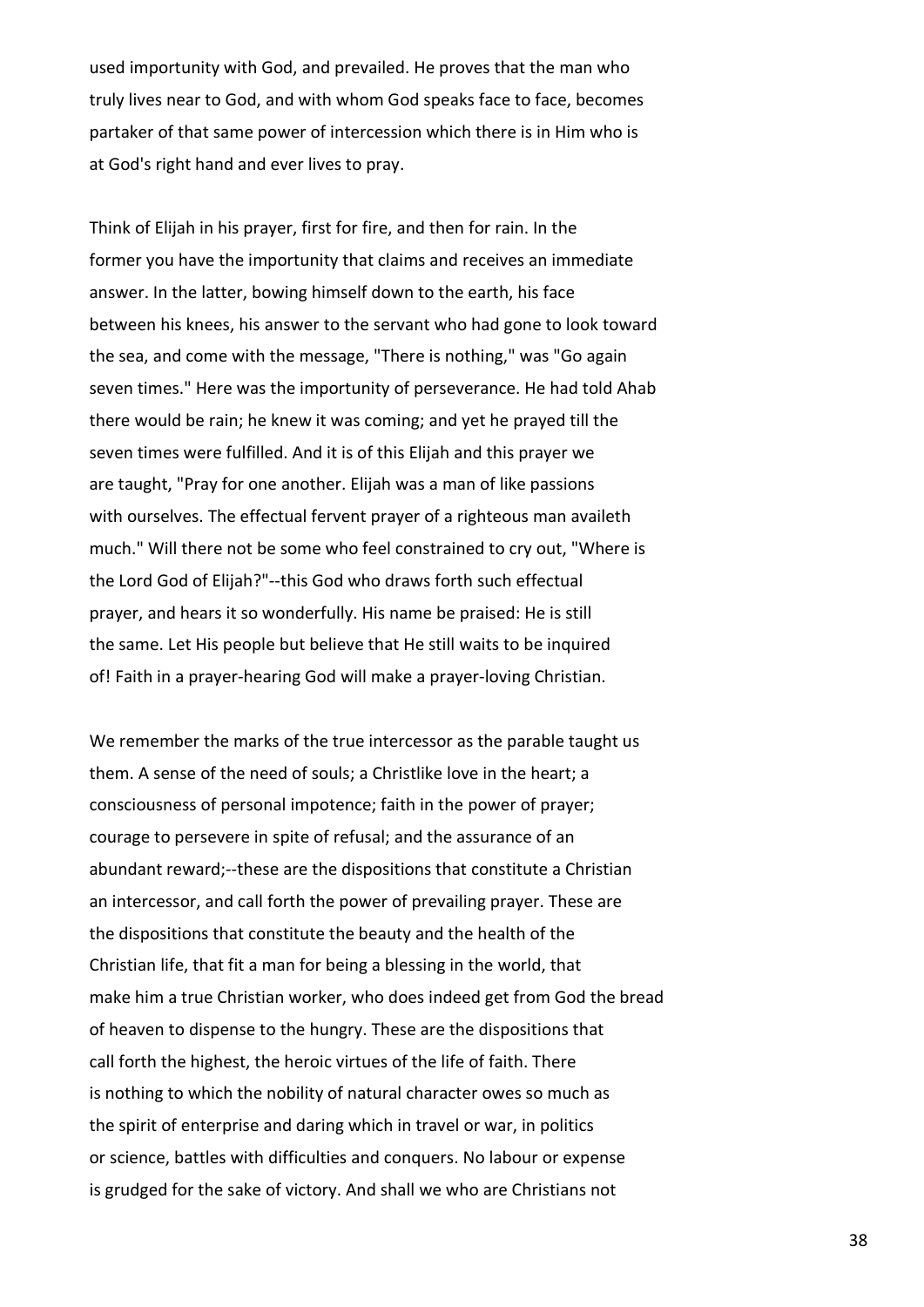used importunity with God, and prevailed. He proves that the man who truly lives near to God, and with whom God speaks face to face, becomes partaker of that same power of intercession which there is in Him who is at God's right hand and ever lives to pray.

Think of Elijah in his prayer, first for fire, and then for rain. In the former you have the importunity that claims and receives an immediate answer. In the latter, bowing himself down to the earth, his face between his knees, his answer to the servant who had gone to look toward the sea, and come with the message, "There is nothing," was "Go again seven times." Here was the importunity of perseverance. He had told Ahab there would be rain; he knew it was coming; and yet he prayed till the seven times were fulfilled. And it is of this Elijah and this prayer we are taught, "Pray for one another. Elijah was a man of like passions with ourselves. The effectual fervent prayer of a righteous man availeth much." Will there not be some who feel constrained to cry out, "Where is the Lord God of Elijah?"--this God who draws forth such effectual prayer, and hears it so wonderfully. His name be praised: He is still the same. Let His people but believe that He still waits to be inquired of! Faith in a prayer-hearing God will make a prayer-loving Christian.

We remember the marks of the true intercessor as the parable taught us them. A sense of the need of souls; a Christlike love in the heart; a consciousness of personal impotence; faith in the power of prayer; courage to persevere in spite of refusal; and the assurance of an abundant reward;--these are the dispositions that constitute a Christian an intercessor, and call forth the power of prevailing prayer. These are the dispositions that constitute the beauty and the health of the Christian life, that fit a man for being a blessing in the world, that make him a true Christian worker, who does indeed get from God the bread of heaven to dispense to the hungry. These are the dispositions that call forth the highest, the heroic virtues of the life of faith. There is nothing to which the nobility of natural character owes so much as the spirit of enterprise and daring which in travel or war, in politics or science, battles with difficulties and conquers. No labour or expense is grudged for the sake of victory. And shall we who are Christians not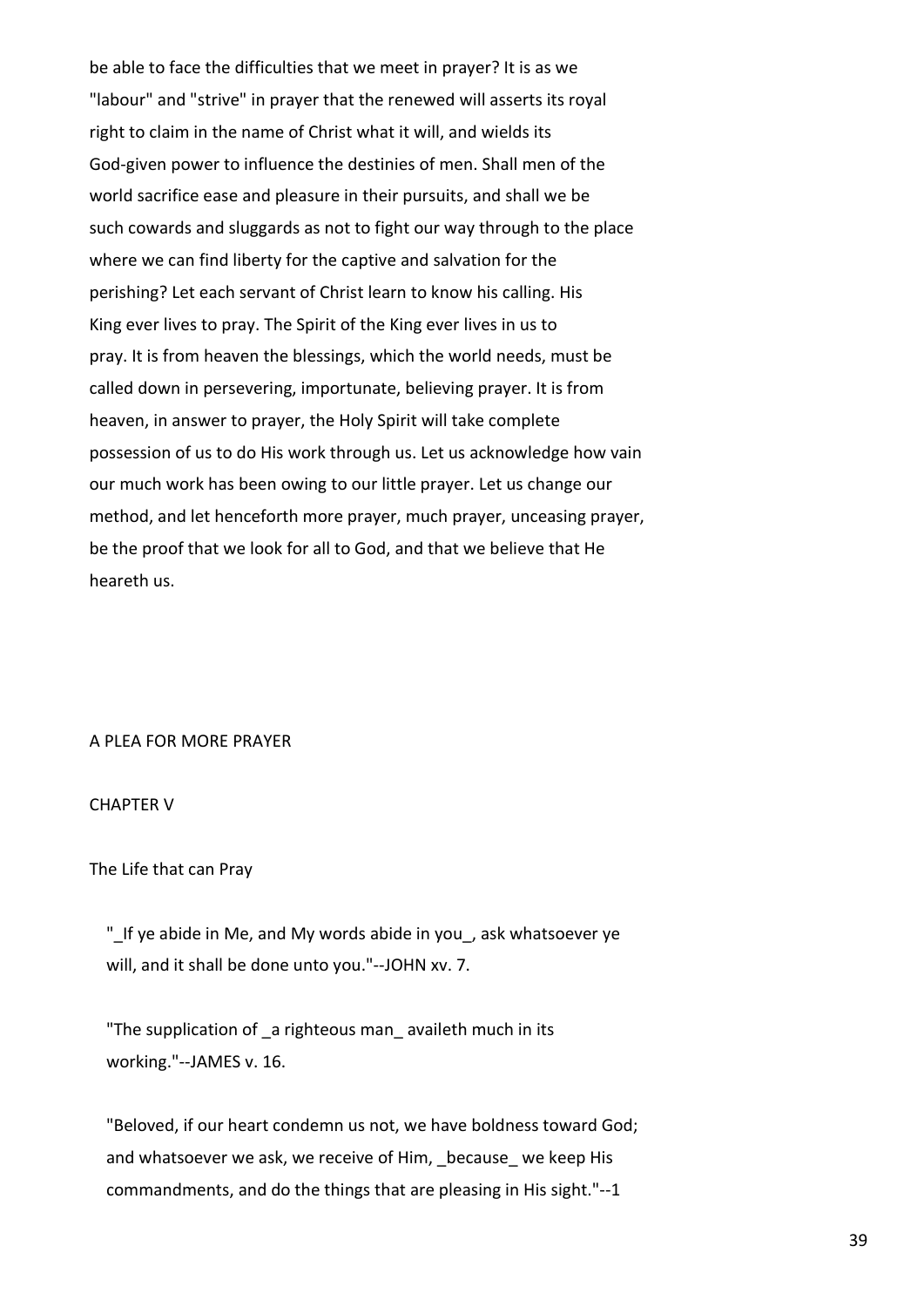be able to face the difficulties that we meet in prayer? It is as we "labour" and "strive" in prayer that the renewed will asserts its royal right to claim in the name of Christ what it will, and wields its God-given power to influence the destinies of men. Shall men of the world sacrifice ease and pleasure in their pursuits, and shall we be such cowards and sluggards as not to fight our way through to the place where we can find liberty for the captive and salvation for the perishing? Let each servant of Christ learn to know his calling. His King ever lives to pray. The Spirit of the King ever lives in us to pray. It is from heaven the blessings, which the world needs, must be called down in persevering, importunate, believing prayer. It is from heaven, in answer to prayer, the Holy Spirit will take complete possession of us to do His work through us. Let us acknowledge how vain our much work has been owing to our little prayer. Let us change our method, and let henceforth more prayer, much prayer, unceasing prayer, be the proof that we look for all to God, and that we believe that He heareth us.

# A PLEA FOR MORE PRAYER

### CHAPTER V

The Life that can Pray

 "\_If ye abide in Me, and My words abide in you\_, ask whatsoever ye will, and it shall be done unto you."--JOHN xv. 7.

 "The supplication of \_a righteous man\_ availeth much in its working."--JAMES v. 16.

 "Beloved, if our heart condemn us not, we have boldness toward God; and whatsoever we ask, we receive of Him, because we keep His commandments, and do the things that are pleasing in His sight."--1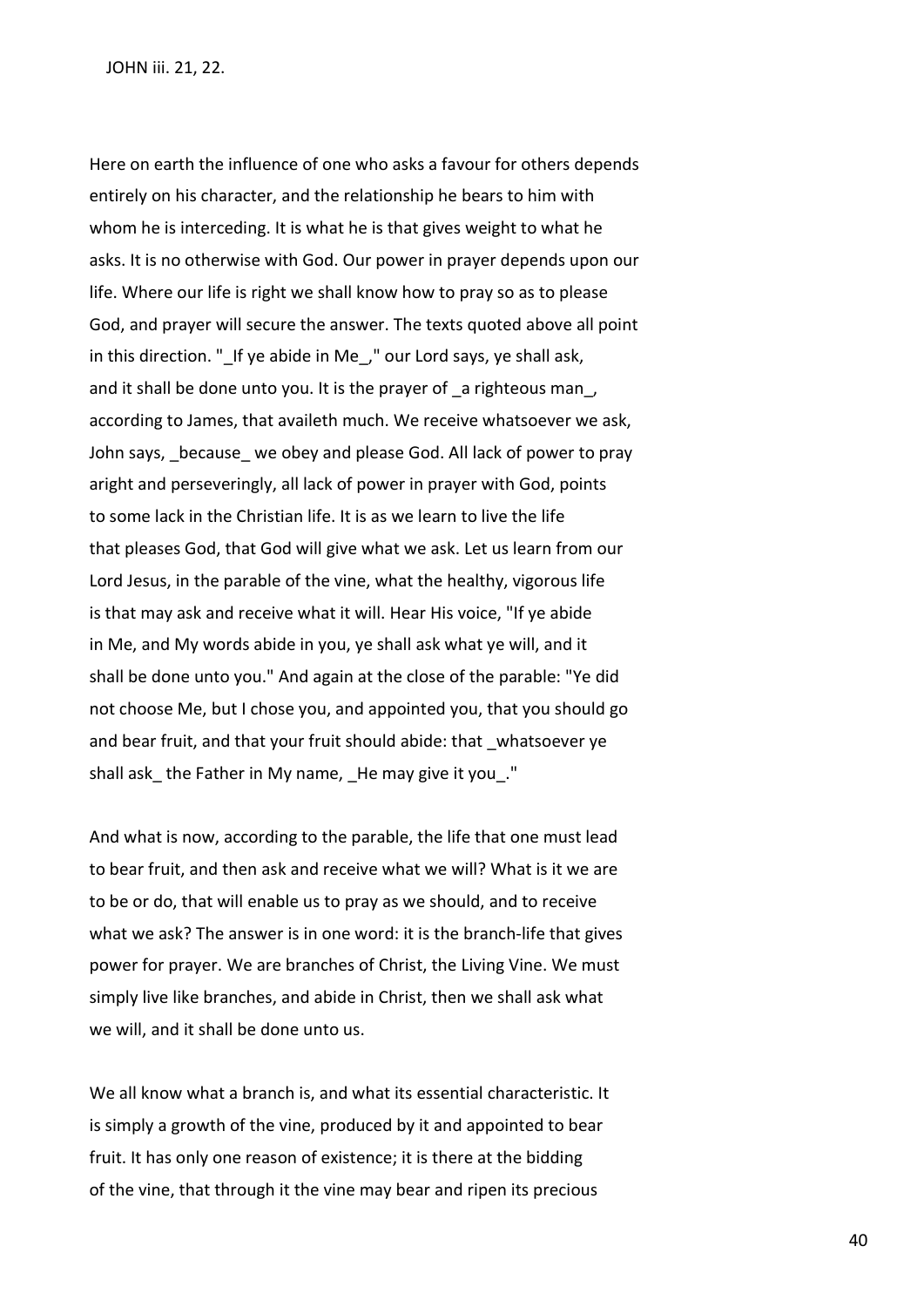Here on earth the influence of one who asks a favour for others depends entirely on his character, and the relationship he bears to him with whom he is interceding. It is what he is that gives weight to what he asks. It is no otherwise with God. Our power in prayer depends upon our life. Where our life is right we shall know how to pray so as to please God, and prayer will secure the answer. The texts quoted above all point in this direction. " If ye abide in Me, " our Lord says, ye shall ask, and it shall be done unto you. It is the prayer of a righteous man, according to James, that availeth much. We receive whatsoever we ask, John says, \_because\_ we obey and please God. All lack of power to pray aright and perseveringly, all lack of power in prayer with God, points to some lack in the Christian life. It is as we learn to live the life that pleases God, that God will give what we ask. Let us learn from our Lord Jesus, in the parable of the vine, what the healthy, vigorous life is that may ask and receive what it will. Hear His voice, "If ye abide in Me, and My words abide in you, ye shall ask what ye will, and it shall be done unto you." And again at the close of the parable: "Ye did not choose Me, but I chose you, and appointed you, that you should go and bear fruit, and that your fruit should abide: that \_whatsoever ye shall ask the Father in My name, He may give it you."

And what is now, according to the parable, the life that one must lead to bear fruit, and then ask and receive what we will? What is it we are to be or do, that will enable us to pray as we should, and to receive what we ask? The answer is in one word: it is the branch-life that gives power for prayer. We are branches of Christ, the Living Vine. We must simply live like branches, and abide in Christ, then we shall ask what we will, and it shall be done unto us.

We all know what a branch is, and what its essential characteristic. It is simply a growth of the vine, produced by it and appointed to bear fruit. It has only one reason of existence; it is there at the bidding of the vine, that through it the vine may bear and ripen its precious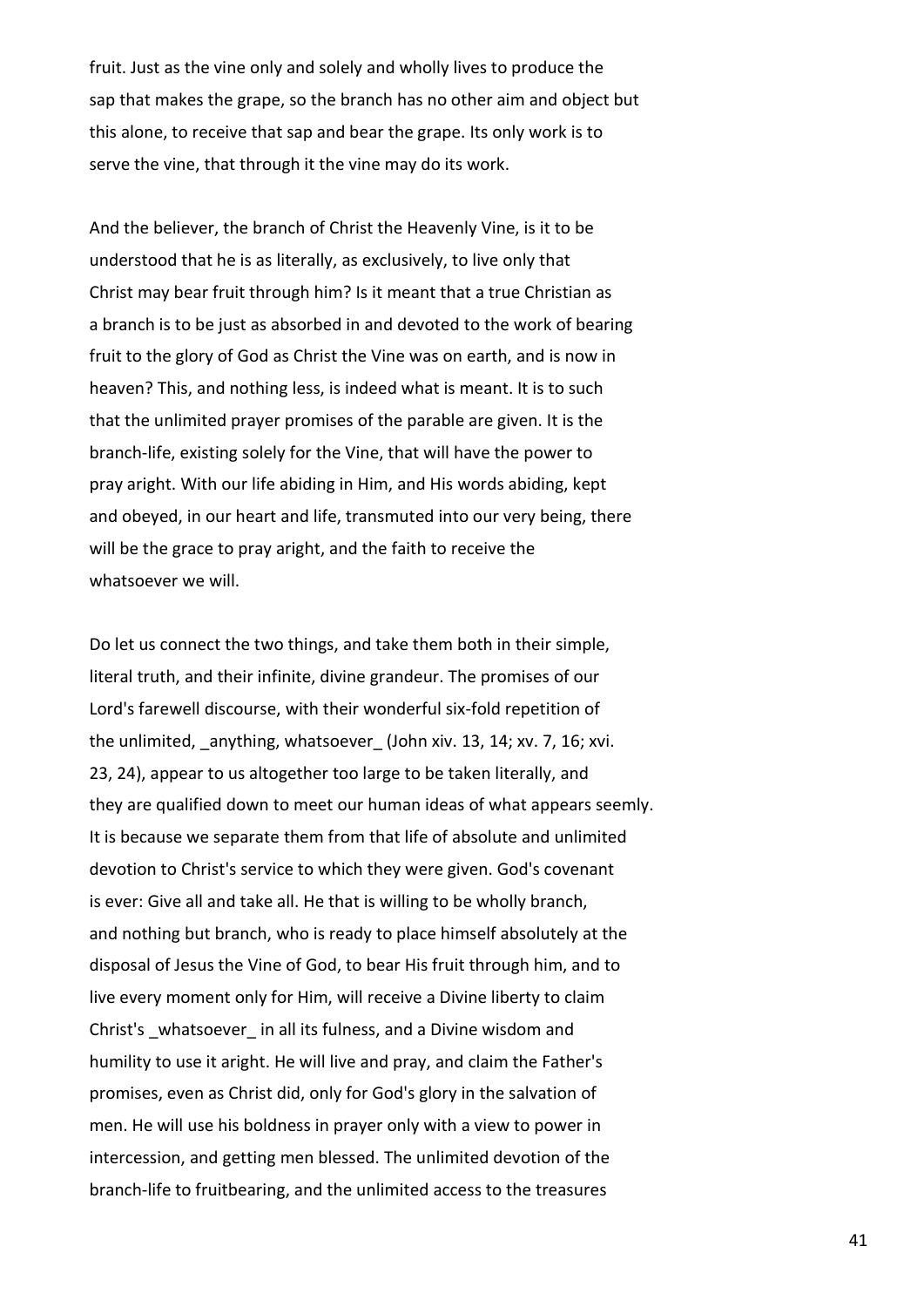fruit. Just as the vine only and solely and wholly lives to produce the sap that makes the grape, so the branch has no other aim and object but this alone, to receive that sap and bear the grape. Its only work is to serve the vine, that through it the vine may do its work.

And the believer, the branch of Christ the Heavenly Vine, is it to be understood that he is as literally, as exclusively, to live only that Christ may bear fruit through him? Is it meant that a true Christian as a branch is to be just as absorbed in and devoted to the work of bearing fruit to the glory of God as Christ the Vine was on earth, and is now in heaven? This, and nothing less, is indeed what is meant. It is to such that the unlimited prayer promises of the parable are given. It is the branch-life, existing solely for the Vine, that will have the power to pray aright. With our life abiding in Him, and His words abiding, kept and obeyed, in our heart and life, transmuted into our very being, there will be the grace to pray aright, and the faith to receive the whatsoever we will.

Do let us connect the two things, and take them both in their simple, literal truth, and their infinite, divine grandeur. The promises of our Lord's farewell discourse, with their wonderful six-fold repetition of the unlimited, anything, whatsoever (John xiv. 13, 14; xv. 7, 16; xvi. 23, 24), appear to us altogether too large to be taken literally, and they are qualified down to meet our human ideas of what appears seemly. It is because we separate them from that life of absolute and unlimited devotion to Christ's service to which they were given. God's covenant is ever: Give all and take all. He that is willing to be wholly branch, and nothing but branch, who is ready to place himself absolutely at the disposal of Jesus the Vine of God, to bear His fruit through him, and to live every moment only for Him, will receive a Divine liberty to claim Christ's whatsoever in all its fulness, and a Divine wisdom and humility to use it aright. He will live and pray, and claim the Father's promises, even as Christ did, only for God's glory in the salvation of men. He will use his boldness in prayer only with a view to power in intercession, and getting men blessed. The unlimited devotion of the branch-life to fruitbearing, and the unlimited access to the treasures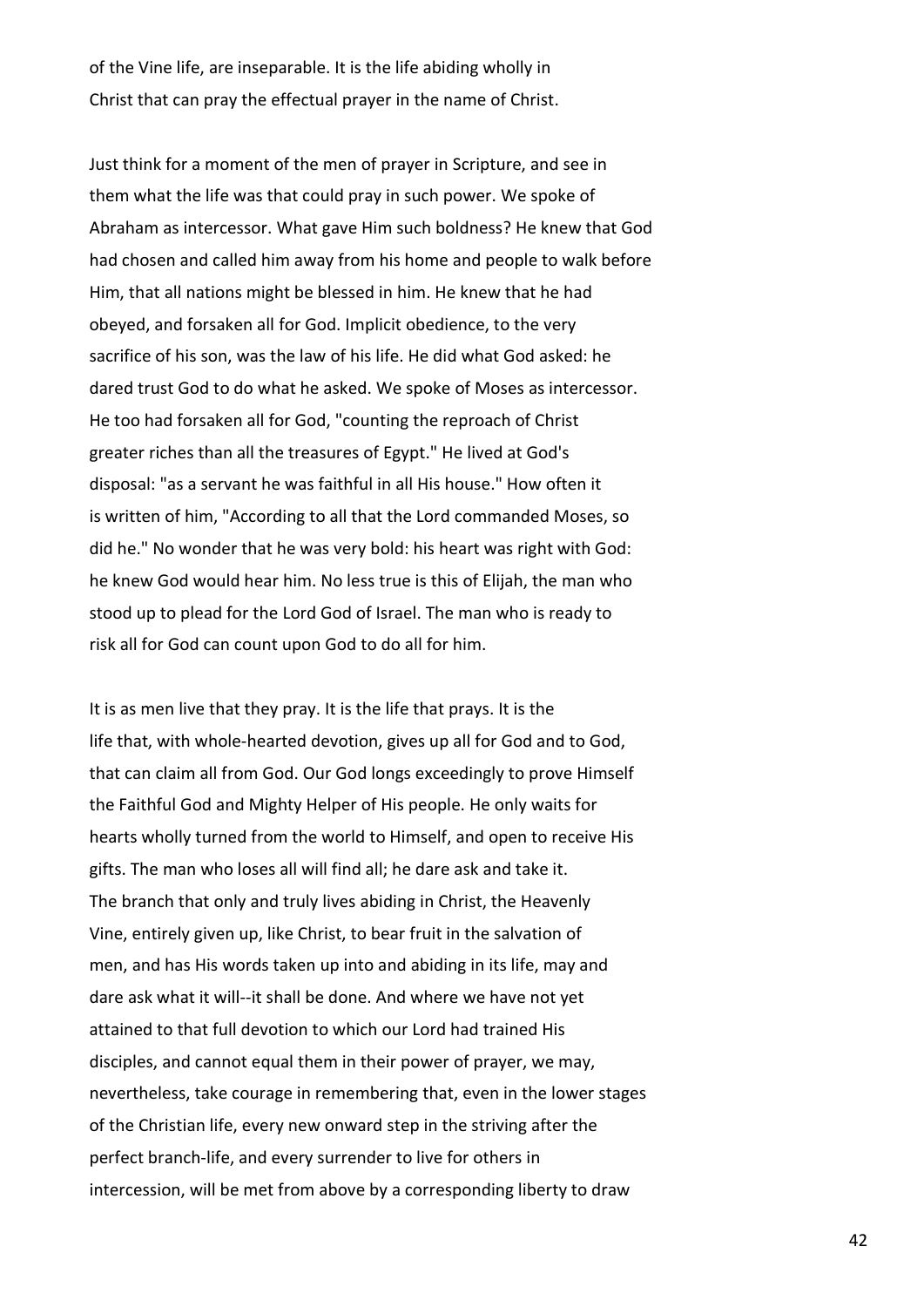of the Vine life, are inseparable. It is the life abiding wholly in Christ that can pray the effectual prayer in the name of Christ.

Just think for a moment of the men of prayer in Scripture, and see in them what the life was that could pray in such power. We spoke of Abraham as intercessor. What gave Him such boldness? He knew that God had chosen and called him away from his home and people to walk before Him, that all nations might be blessed in him. He knew that he had obeyed, and forsaken all for God. Implicit obedience, to the very sacrifice of his son, was the law of his life. He did what God asked: he dared trust God to do what he asked. We spoke of Moses as intercessor. He too had forsaken all for God, "counting the reproach of Christ greater riches than all the treasures of Egypt." He lived at God's disposal: "as a servant he was faithful in all His house." How often it is written of him, "According to all that the Lord commanded Moses, so did he." No wonder that he was very bold: his heart was right with God: he knew God would hear him. No less true is this of Elijah, the man who stood up to plead for the Lord God of Israel. The man who is ready to risk all for God can count upon God to do all for him.

It is as men live that they pray. It is the life that prays. It is the life that, with whole-hearted devotion, gives up all for God and to God, that can claim all from God. Our God longs exceedingly to prove Himself the Faithful God and Mighty Helper of His people. He only waits for hearts wholly turned from the world to Himself, and open to receive His gifts. The man who loses all will find all; he dare ask and take it. The branch that only and truly lives abiding in Christ, the Heavenly Vine, entirely given up, like Christ, to bear fruit in the salvation of men, and has His words taken up into and abiding in its life, may and dare ask what it will--it shall be done. And where we have not yet attained to that full devotion to which our Lord had trained His disciples, and cannot equal them in their power of prayer, we may, nevertheless, take courage in remembering that, even in the lower stages of the Christian life, every new onward step in the striving after the perfect branch-life, and every surrender to live for others in intercession, will be met from above by a corresponding liberty to draw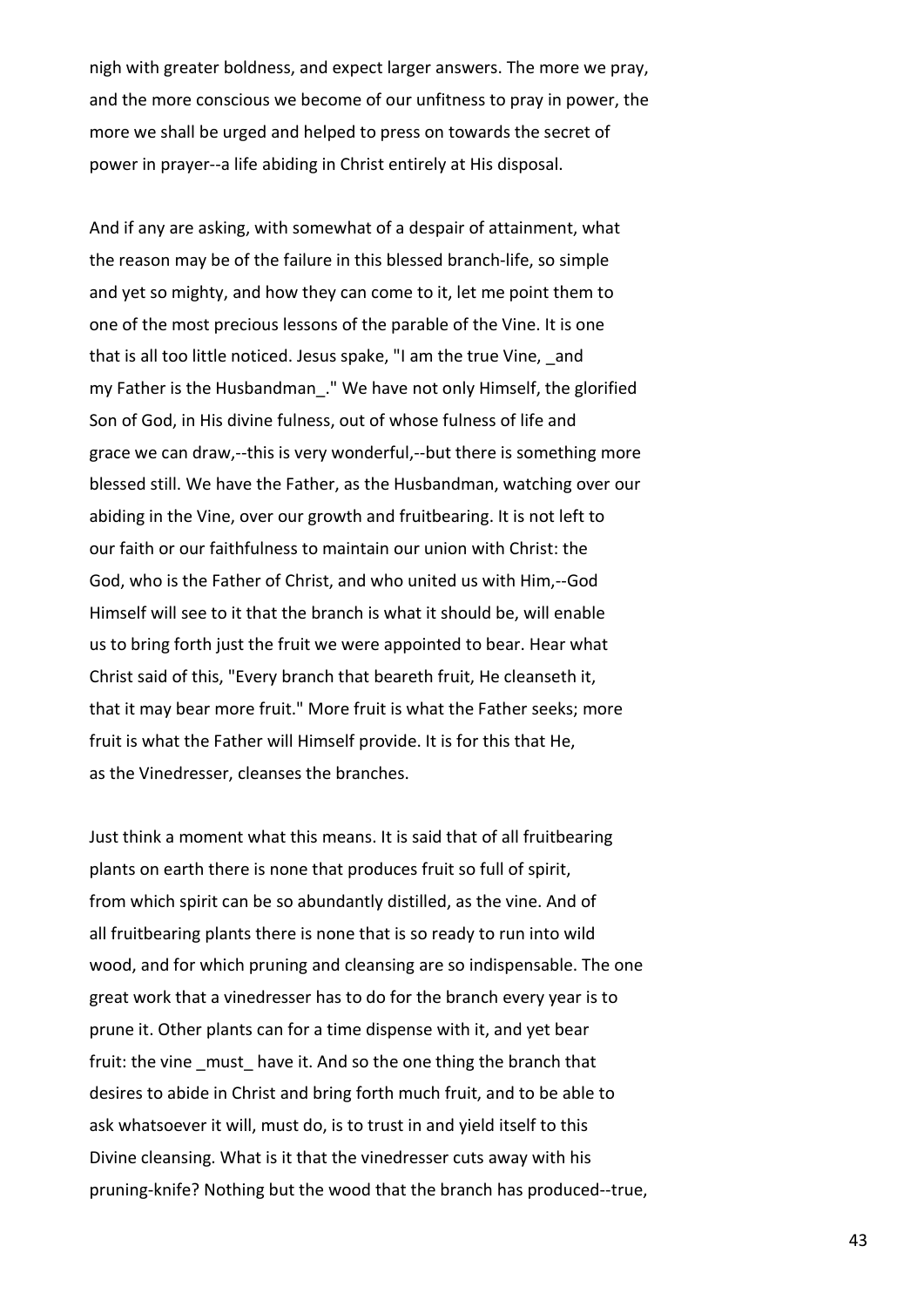nigh with greater boldness, and expect larger answers. The more we pray, and the more conscious we become of our unfitness to pray in power, the more we shall be urged and helped to press on towards the secret of power in prayer--a life abiding in Christ entirely at His disposal.

And if any are asking, with somewhat of a despair of attainment, what the reason may be of the failure in this blessed branch-life, so simple and yet so mighty, and how they can come to it, let me point them to one of the most precious lessons of the parable of the Vine. It is one that is all too little noticed. Jesus spake, "I am the true Vine, and my Father is the Husbandman\_." We have not only Himself, the glorified Son of God, in His divine fulness, out of whose fulness of life and grace we can draw,--this is very wonderful,--but there is something more blessed still. We have the Father, as the Husbandman, watching over our abiding in the Vine, over our growth and fruitbearing. It is not left to our faith or our faithfulness to maintain our union with Christ: the God, who is the Father of Christ, and who united us with Him,--God Himself will see to it that the branch is what it should be, will enable us to bring forth just the fruit we were appointed to bear. Hear what Christ said of this, "Every branch that beareth fruit, He cleanseth it, that it may bear more fruit." More fruit is what the Father seeks; more fruit is what the Father will Himself provide. It is for this that He, as the Vinedresser, cleanses the branches.

Just think a moment what this means. It is said that of all fruitbearing plants on earth there is none that produces fruit so full of spirit, from which spirit can be so abundantly distilled, as the vine. And of all fruitbearing plants there is none that is so ready to run into wild wood, and for which pruning and cleansing are so indispensable. The one great work that a vinedresser has to do for the branch every year is to prune it. Other plants can for a time dispense with it, and yet bear fruit: the vine must have it. And so the one thing the branch that desires to abide in Christ and bring forth much fruit, and to be able to ask whatsoever it will, must do, is to trust in and yield itself to this Divine cleansing. What is it that the vinedresser cuts away with his pruning-knife? Nothing but the wood that the branch has produced--true,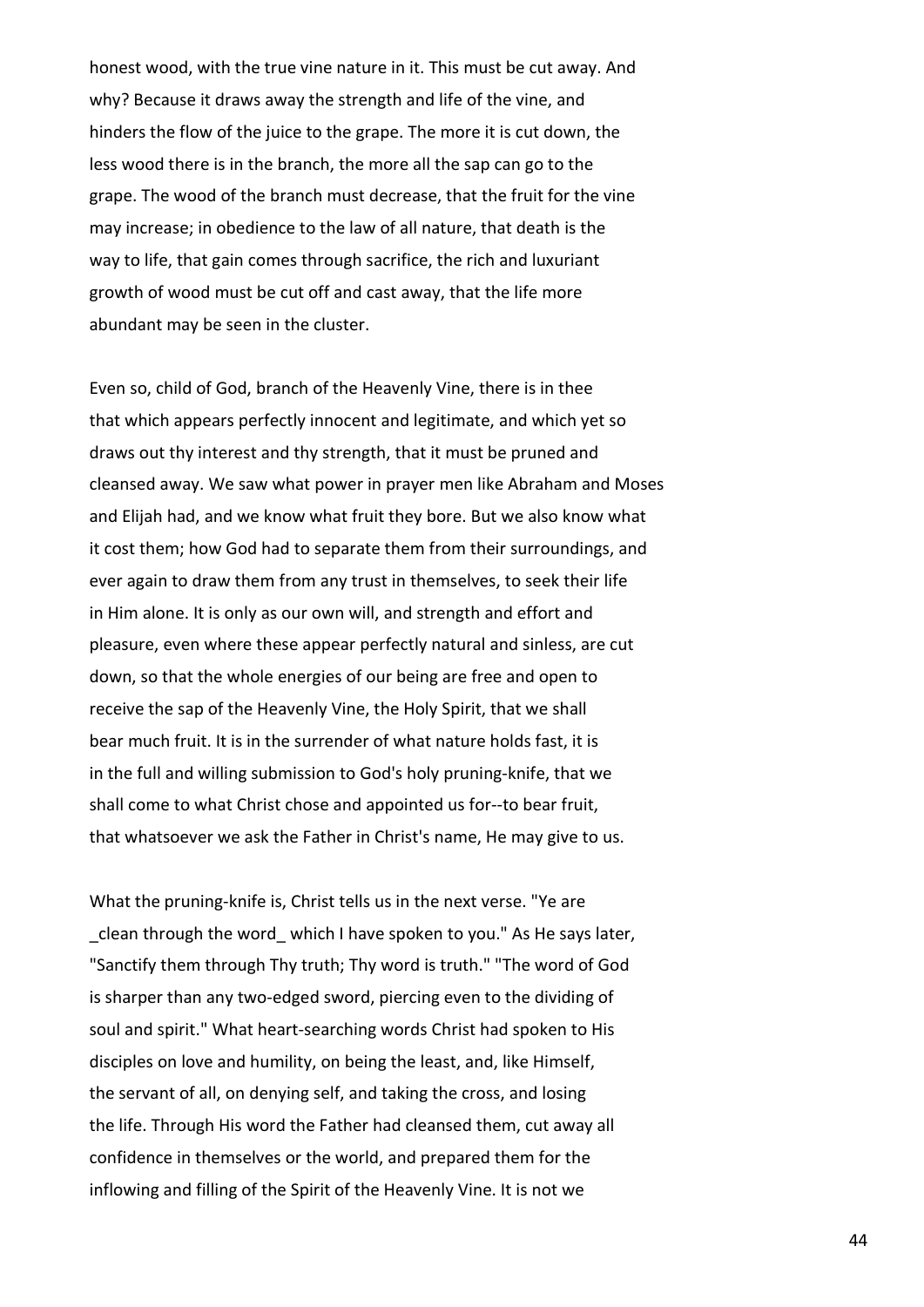honest wood, with the true vine nature in it. This must be cut away. And why? Because it draws away the strength and life of the vine, and hinders the flow of the juice to the grape. The more it is cut down, the less wood there is in the branch, the more all the sap can go to the grape. The wood of the branch must decrease, that the fruit for the vine may increase; in obedience to the law of all nature, that death is the way to life, that gain comes through sacrifice, the rich and luxuriant growth of wood must be cut off and cast away, that the life more abundant may be seen in the cluster.

Even so, child of God, branch of the Heavenly Vine, there is in thee that which appears perfectly innocent and legitimate, and which yet so draws out thy interest and thy strength, that it must be pruned and cleansed away. We saw what power in prayer men like Abraham and Moses and Elijah had, and we know what fruit they bore. But we also know what it cost them; how God had to separate them from their surroundings, and ever again to draw them from any trust in themselves, to seek their life in Him alone. It is only as our own will, and strength and effort and pleasure, even where these appear perfectly natural and sinless, are cut down, so that the whole energies of our being are free and open to receive the sap of the Heavenly Vine, the Holy Spirit, that we shall bear much fruit. It is in the surrender of what nature holds fast, it is in the full and willing submission to God's holy pruning-knife, that we shall come to what Christ chose and appointed us for--to bear fruit, that whatsoever we ask the Father in Christ's name, He may give to us.

What the pruning-knife is, Christ tells us in the next verse. "Ye are \_clean through the word\_ which I have spoken to you." As He says later, "Sanctify them through Thy truth; Thy word is truth." "The word of God is sharper than any two-edged sword, piercing even to the dividing of soul and spirit." What heart-searching words Christ had spoken to His disciples on love and humility, on being the least, and, like Himself, the servant of all, on denying self, and taking the cross, and losing the life. Through His word the Father had cleansed them, cut away all confidence in themselves or the world, and prepared them for the inflowing and filling of the Spirit of the Heavenly Vine. It is not we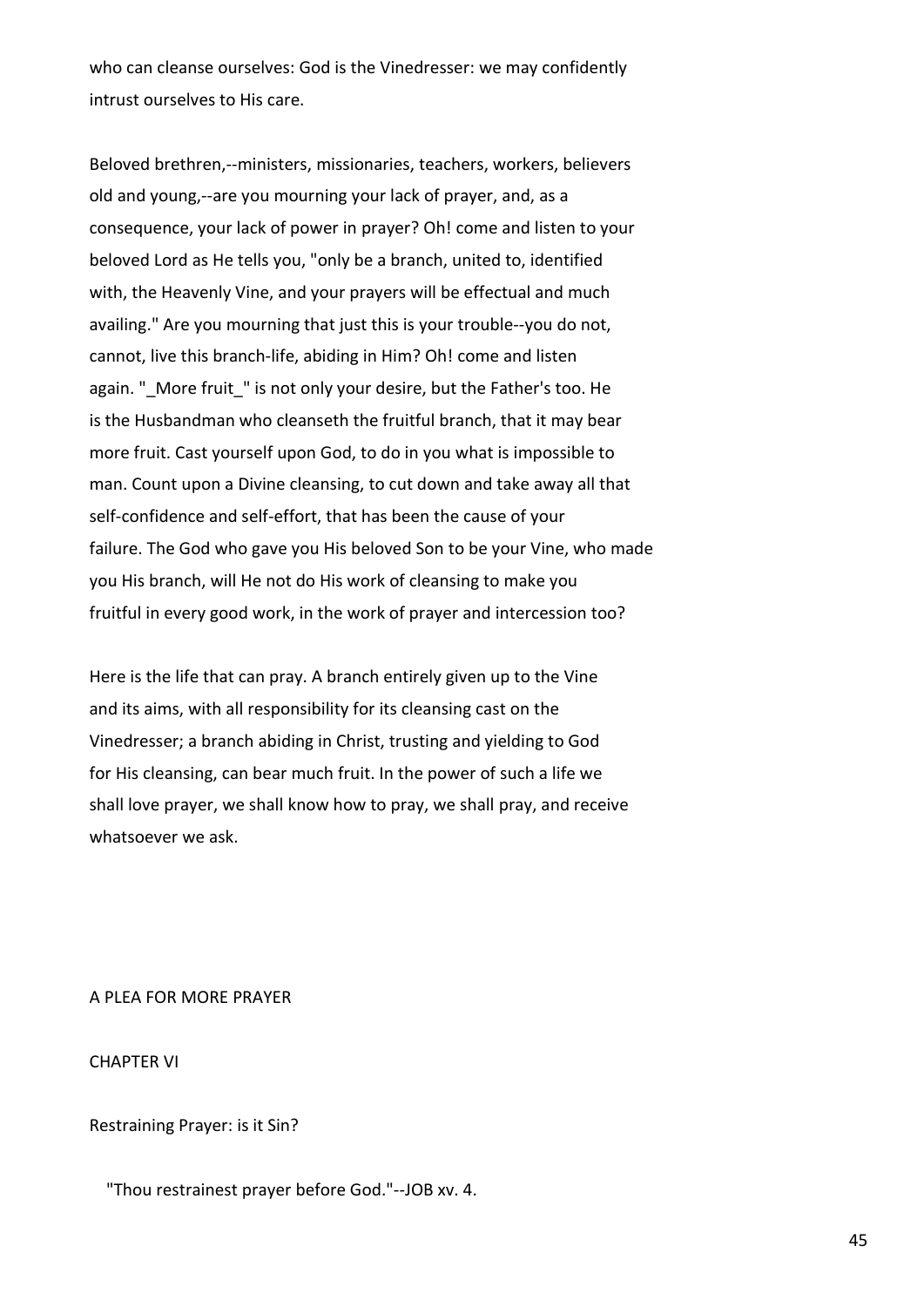who can cleanse ourselves: God is the Vinedresser: we may confidently intrust ourselves to His care.

Beloved brethren,--ministers, missionaries, teachers, workers, believers old and young,--are you mourning your lack of prayer, and, as a consequence, your lack of power in prayer? Oh! come and listen to your beloved Lord as He tells you, "only be a branch, united to, identified with, the Heavenly Vine, and your prayers will be effectual and much availing." Are you mourning that just this is your trouble--you do not, cannot, live this branch-life, abiding in Him? Oh! come and listen again. " More fruit " is not only your desire, but the Father's too. He is the Husbandman who cleanseth the fruitful branch, that it may bear more fruit. Cast yourself upon God, to do in you what is impossible to man. Count upon a Divine cleansing, to cut down and take away all that self-confidence and self-effort, that has been the cause of your failure. The God who gave you His beloved Son to be your Vine, who made you His branch, will He not do His work of cleansing to make you fruitful in every good work, in the work of prayer and intercession too?

Here is the life that can pray. A branch entirely given up to the Vine and its aims, with all responsibility for its cleansing cast on the Vinedresser; a branch abiding in Christ, trusting and yielding to God for His cleansing, can bear much fruit. In the power of such a life we shall love prayer, we shall know how to pray, we shall pray, and receive whatsoever we ask.

# A PLEA FOR MORE PRAYER

CHAPTER VI

Restraining Prayer: is it Sin?

"Thou restrainest prayer before God."--JOB xv. 4.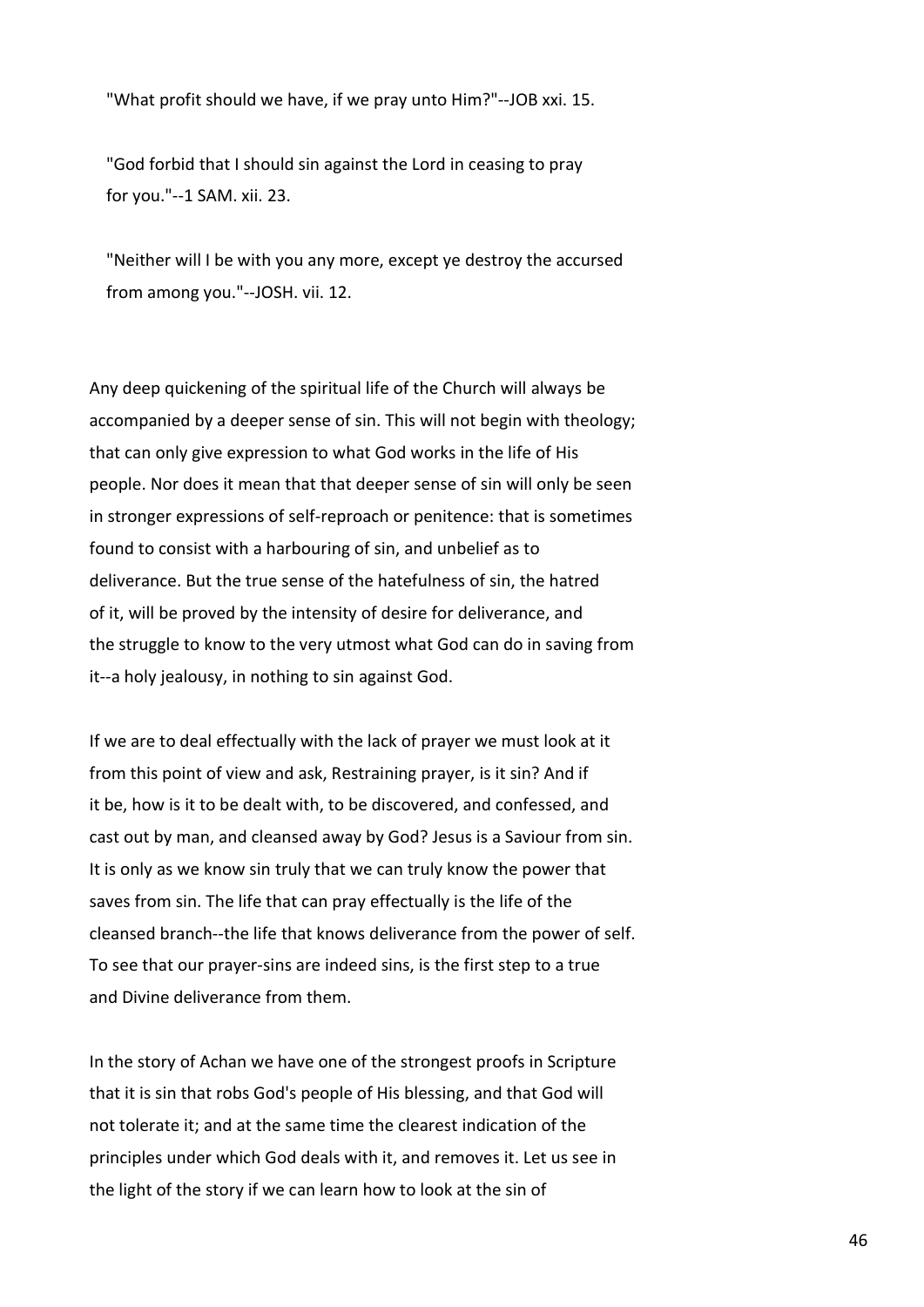"What profit should we have, if we pray unto Him?"--JOB xxi. 15.

 "God forbid that I should sin against the Lord in ceasing to pray for you."--1 SAM. xii. 23.

 "Neither will I be with you any more, except ye destroy the accursed from among you."--JOSH. vii. 12.

Any deep quickening of the spiritual life of the Church will always be accompanied by a deeper sense of sin. This will not begin with theology; that can only give expression to what God works in the life of His people. Nor does it mean that that deeper sense of sin will only be seen in stronger expressions of self-reproach or penitence: that is sometimes found to consist with a harbouring of sin, and unbelief as to deliverance. But the true sense of the hatefulness of sin, the hatred of it, will be proved by the intensity of desire for deliverance, and the struggle to know to the very utmost what God can do in saving from it--a holy jealousy, in nothing to sin against God.

If we are to deal effectually with the lack of prayer we must look at it from this point of view and ask, Restraining prayer, is it sin? And if it be, how is it to be dealt with, to be discovered, and confessed, and cast out by man, and cleansed away by God? Jesus is a Saviour from sin. It is only as we know sin truly that we can truly know the power that saves from sin. The life that can pray effectually is the life of the cleansed branch--the life that knows deliverance from the power of self. To see that our prayer-sins are indeed sins, is the first step to a true and Divine deliverance from them.

In the story of Achan we have one of the strongest proofs in Scripture that it is sin that robs God's people of His blessing, and that God will not tolerate it; and at the same time the clearest indication of the principles under which God deals with it, and removes it. Let us see in the light of the story if we can learn how to look at the sin of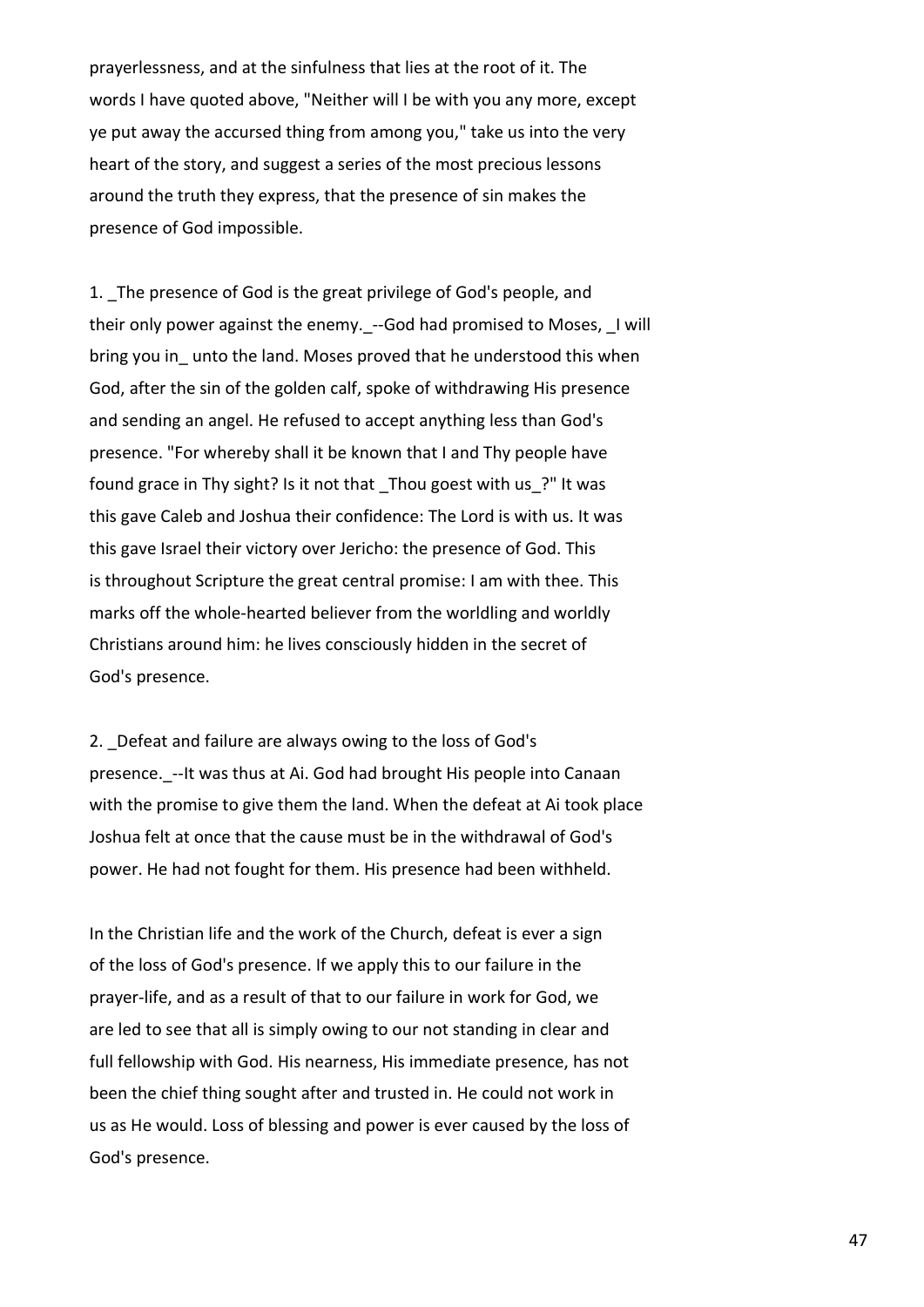prayerlessness, and at the sinfulness that lies at the root of it. The words I have quoted above, "Neither will I be with you any more, except ye put away the accursed thing from among you," take us into the very heart of the story, and suggest a series of the most precious lessons around the truth they express, that the presence of sin makes the presence of God impossible.

1. The presence of God is the great privilege of God's people, and their only power against the enemy. --God had promised to Moses, I will bring you in unto the land. Moses proved that he understood this when God, after the sin of the golden calf, spoke of withdrawing His presence and sending an angel. He refused to accept anything less than God's presence. "For whereby shall it be known that I and Thy people have found grace in Thy sight? Is it not that Thou goest with us ?" It was this gave Caleb and Joshua their confidence: The Lord is with us. It was this gave Israel their victory over Jericho: the presence of God. This is throughout Scripture the great central promise: I am with thee. This marks off the whole-hearted believer from the worldling and worldly Christians around him: he lives consciously hidden in the secret of God's presence.

2. Defeat and failure are always owing to the loss of God's presence. --It was thus at Ai. God had brought His people into Canaan with the promise to give them the land. When the defeat at Ai took place Joshua felt at once that the cause must be in the withdrawal of God's power. He had not fought for them. His presence had been withheld.

In the Christian life and the work of the Church, defeat is ever a sign of the loss of God's presence. If we apply this to our failure in the prayer-life, and as a result of that to our failure in work for God, we are led to see that all is simply owing to our not standing in clear and full fellowship with God. His nearness, His immediate presence, has not been the chief thing sought after and trusted in. He could not work in us as He would. Loss of blessing and power is ever caused by the loss of God's presence.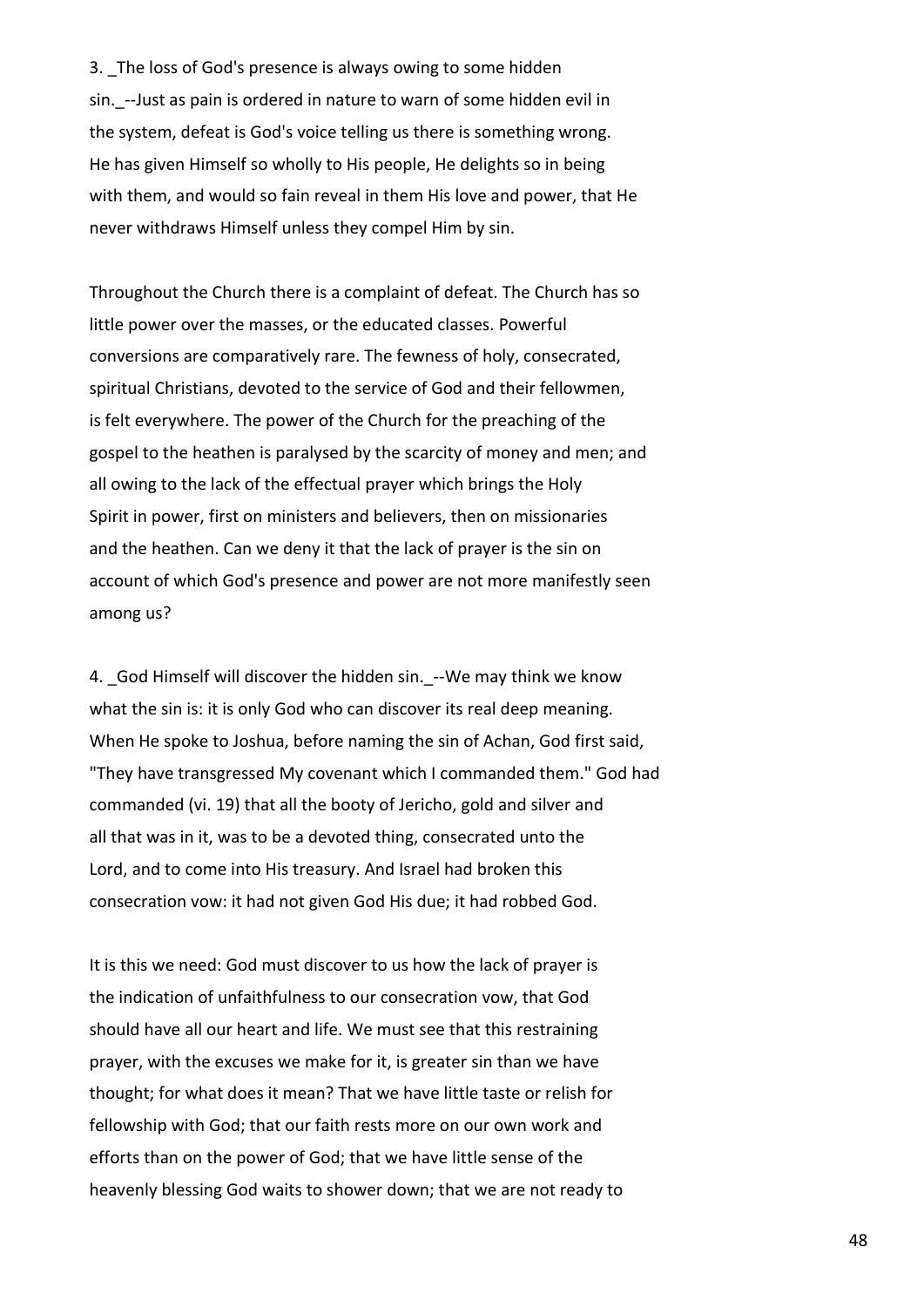3. The loss of God's presence is always owing to some hidden sin. --Just as pain is ordered in nature to warn of some hidden evil in the system, defeat is God's voice telling us there is something wrong. He has given Himself so wholly to His people, He delights so in being with them, and would so fain reveal in them His love and power, that He never withdraws Himself unless they compel Him by sin.

Throughout the Church there is a complaint of defeat. The Church has so little power over the masses, or the educated classes. Powerful conversions are comparatively rare. The fewness of holy, consecrated, spiritual Christians, devoted to the service of God and their fellowmen, is felt everywhere. The power of the Church for the preaching of the gospel to the heathen is paralysed by the scarcity of money and men; and all owing to the lack of the effectual prayer which brings the Holy Spirit in power, first on ministers and believers, then on missionaries and the heathen. Can we deny it that the lack of prayer is the sin on account of which God's presence and power are not more manifestly seen among us?

4. God Himself will discover the hidden sin. --We may think we know what the sin is: it is only God who can discover its real deep meaning. When He spoke to Joshua, before naming the sin of Achan, God first said, "They have transgressed My covenant which I commanded them." God had commanded (vi. 19) that all the booty of Jericho, gold and silver and all that was in it, was to be a devoted thing, consecrated unto the Lord, and to come into His treasury. And Israel had broken this consecration vow: it had not given God His due; it had robbed God.

It is this we need: God must discover to us how the lack of prayer is the indication of unfaithfulness to our consecration vow, that God should have all our heart and life. We must see that this restraining prayer, with the excuses we make for it, is greater sin than we have thought; for what does it mean? That we have little taste or relish for fellowship with God; that our faith rests more on our own work and efforts than on the power of God; that we have little sense of the heavenly blessing God waits to shower down; that we are not ready to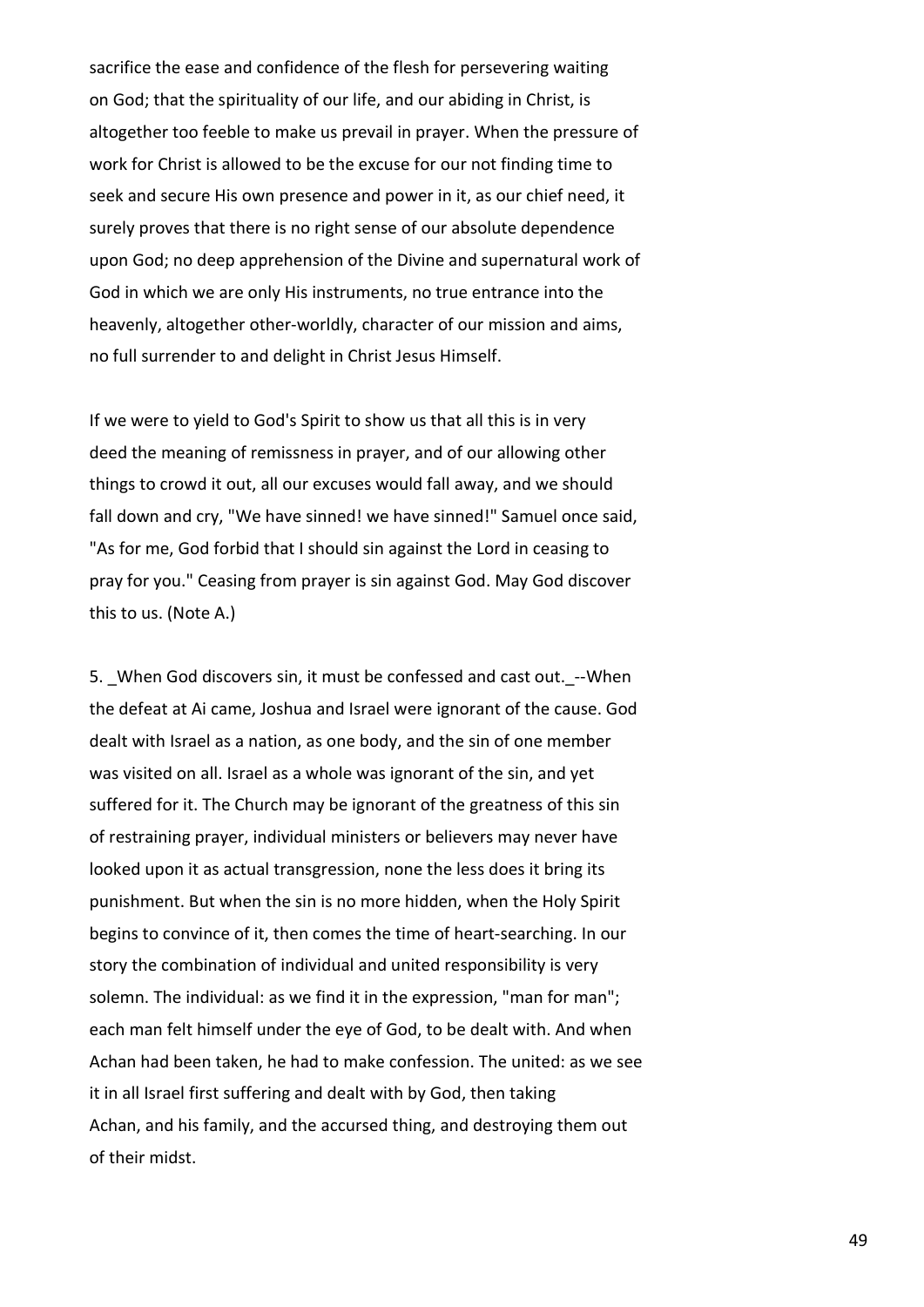sacrifice the ease and confidence of the flesh for persevering waiting on God; that the spirituality of our life, and our abiding in Christ, is altogether too feeble to make us prevail in prayer. When the pressure of work for Christ is allowed to be the excuse for our not finding time to seek and secure His own presence and power in it, as our chief need, it surely proves that there is no right sense of our absolute dependence upon God; no deep apprehension of the Divine and supernatural work of God in which we are only His instruments, no true entrance into the heavenly, altogether other-worldly, character of our mission and aims, no full surrender to and delight in Christ Jesus Himself.

If we were to yield to God's Spirit to show us that all this is in very deed the meaning of remissness in prayer, and of our allowing other things to crowd it out, all our excuses would fall away, and we should fall down and cry, "We have sinned! we have sinned!" Samuel once said, "As for me, God forbid that I should sin against the Lord in ceasing to pray for you." Ceasing from prayer is sin against God. May God discover this to us. (Note A.)

5. When God discovers sin, it must be confessed and cast out. --When the defeat at Ai came, Joshua and Israel were ignorant of the cause. God dealt with Israel as a nation, as one body, and the sin of one member was visited on all. Israel as a whole was ignorant of the sin, and yet suffered for it. The Church may be ignorant of the greatness of this sin of restraining prayer, individual ministers or believers may never have looked upon it as actual transgression, none the less does it bring its punishment. But when the sin is no more hidden, when the Holy Spirit begins to convince of it, then comes the time of heart-searching. In our story the combination of individual and united responsibility is very solemn. The individual: as we find it in the expression, "man for man"; each man felt himself under the eye of God, to be dealt with. And when Achan had been taken, he had to make confession. The united: as we see it in all Israel first suffering and dealt with by God, then taking Achan, and his family, and the accursed thing, and destroying them out of their midst.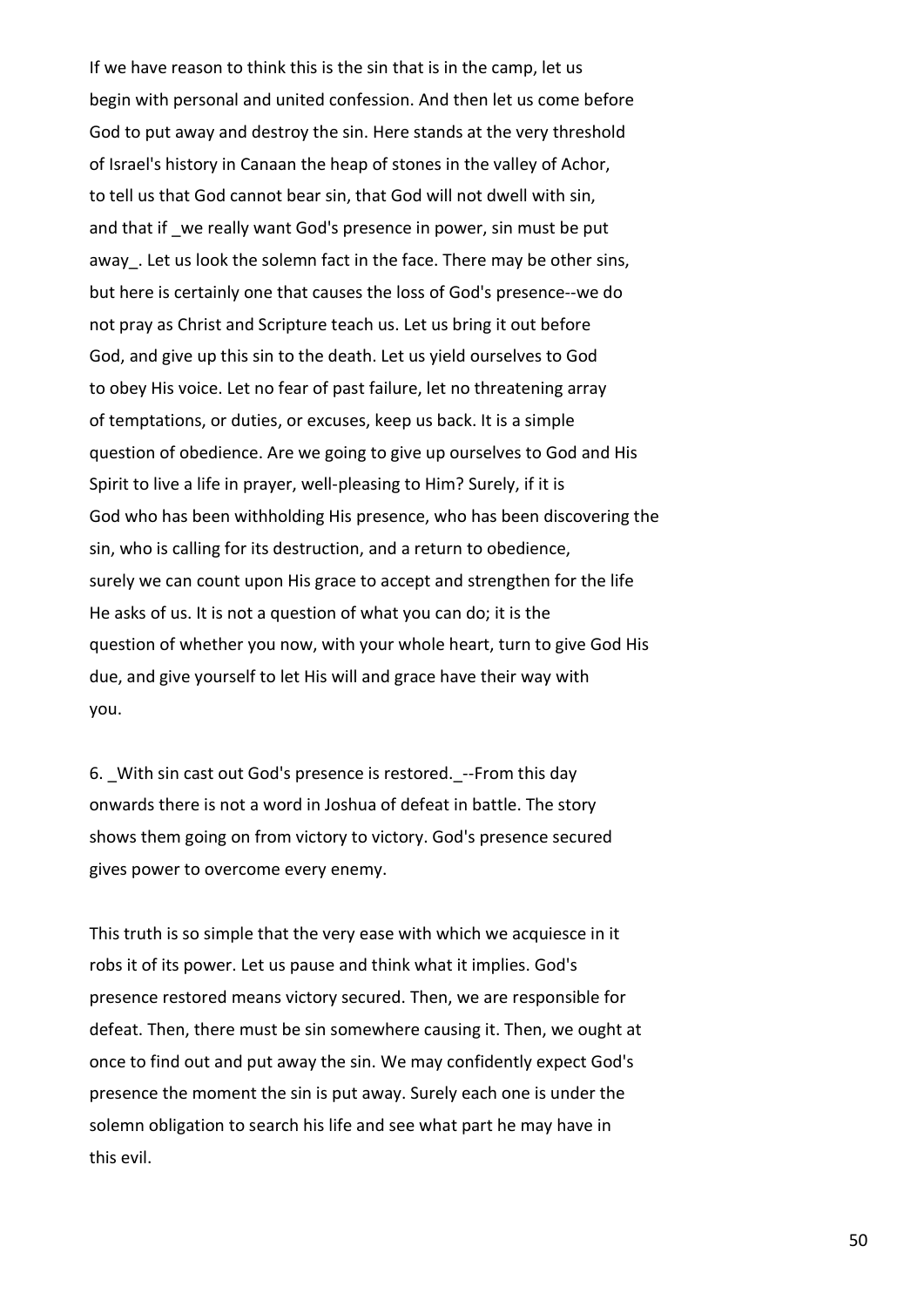If we have reason to think this is the sin that is in the camp, let us begin with personal and united confession. And then let us come before God to put away and destroy the sin. Here stands at the very threshold of Israel's history in Canaan the heap of stones in the valley of Achor, to tell us that God cannot bear sin, that God will not dwell with sin, and that if we really want God's presence in power, sin must be put away. Let us look the solemn fact in the face. There may be other sins, but here is certainly one that causes the loss of God's presence--we do not pray as Christ and Scripture teach us. Let us bring it out before God, and give up this sin to the death. Let us yield ourselves to God to obey His voice. Let no fear of past failure, let no threatening array of temptations, or duties, or excuses, keep us back. It is a simple question of obedience. Are we going to give up ourselves to God and His Spirit to live a life in prayer, well-pleasing to Him? Surely, if it is God who has been withholding His presence, who has been discovering the sin, who is calling for its destruction, and a return to obedience, surely we can count upon His grace to accept and strengthen for the life He asks of us. It is not a question of what you can do; it is the question of whether you now, with your whole heart, turn to give God His due, and give yourself to let His will and grace have their way with you.

6. With sin cast out God's presence is restored. --From this day onwards there is not a word in Joshua of defeat in battle. The story shows them going on from victory to victory. God's presence secured gives power to overcome every enemy.

This truth is so simple that the very ease with which we acquiesce in it robs it of its power. Let us pause and think what it implies. God's presence restored means victory secured. Then, we are responsible for defeat. Then, there must be sin somewhere causing it. Then, we ought at once to find out and put away the sin. We may confidently expect God's presence the moment the sin is put away. Surely each one is under the solemn obligation to search his life and see what part he may have in this evil.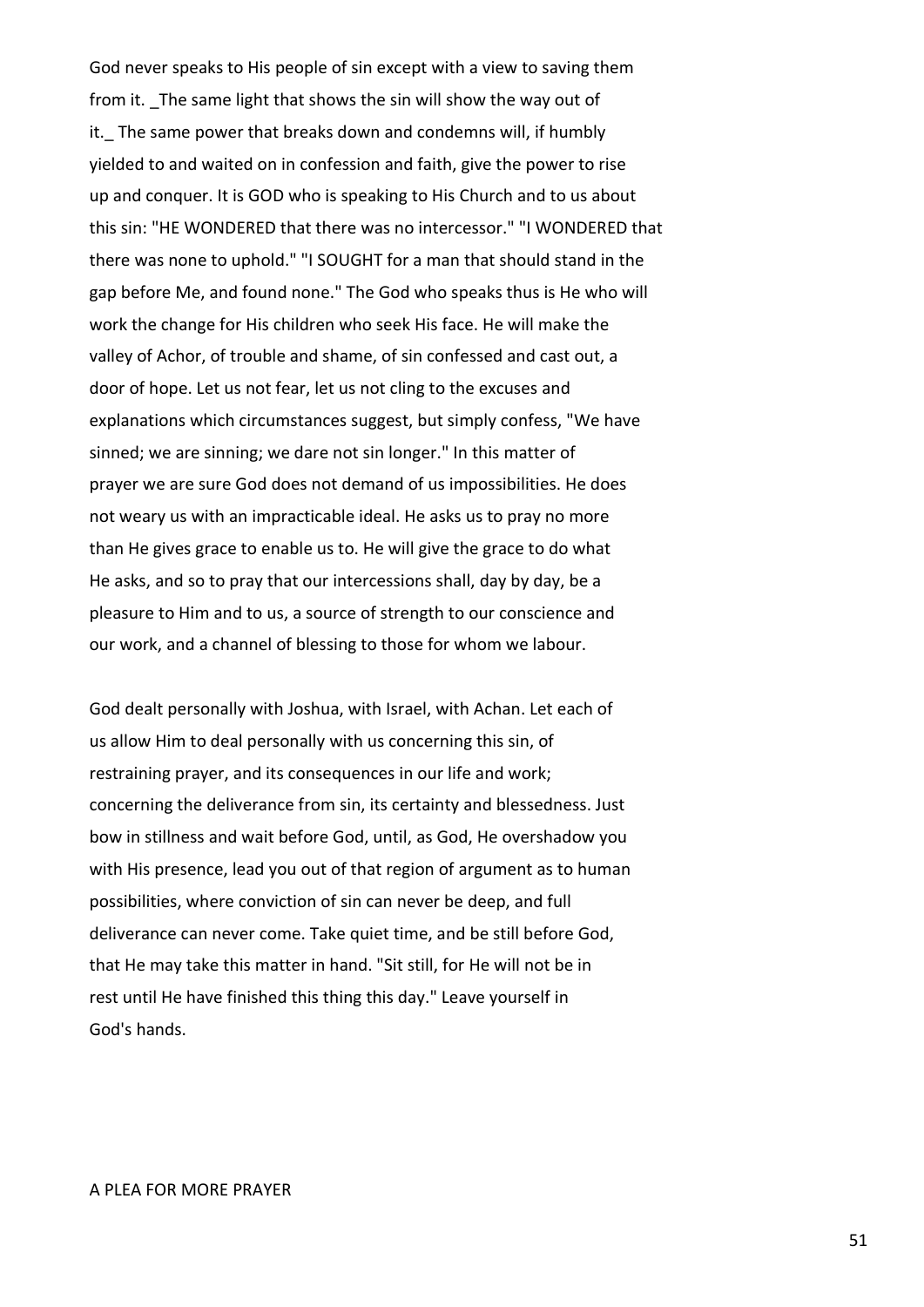God never speaks to His people of sin except with a view to saving them from it. The same light that shows the sin will show the way out of it. The same power that breaks down and condemns will, if humbly yielded to and waited on in confession and faith, give the power to rise up and conquer. It is GOD who is speaking to His Church and to us about this sin: "HE WONDERED that there was no intercessor." "I WONDERED that there was none to uphold." "I SOUGHT for a man that should stand in the gap before Me, and found none." The God who speaks thus is He who will work the change for His children who seek His face. He will make the valley of Achor, of trouble and shame, of sin confessed and cast out, a door of hope. Let us not fear, let us not cling to the excuses and explanations which circumstances suggest, but simply confess, "We have sinned; we are sinning; we dare not sin longer." In this matter of prayer we are sure God does not demand of us impossibilities. He does not weary us with an impracticable ideal. He asks us to pray no more than He gives grace to enable us to. He will give the grace to do what He asks, and so to pray that our intercessions shall, day by day, be a pleasure to Him and to us, a source of strength to our conscience and our work, and a channel of blessing to those for whom we labour.

God dealt personally with Joshua, with Israel, with Achan. Let each of us allow Him to deal personally with us concerning this sin, of restraining prayer, and its consequences in our life and work; concerning the deliverance from sin, its certainty and blessedness. Just bow in stillness and wait before God, until, as God, He overshadow you with His presence, lead you out of that region of argument as to human possibilities, where conviction of sin can never be deep, and full deliverance can never come. Take quiet time, and be still before God, that He may take this matter in hand. "Sit still, for He will not be in rest until He have finished this thing this day." Leave yourself in God's hands.

#### A PLEA FOR MORE PRAYER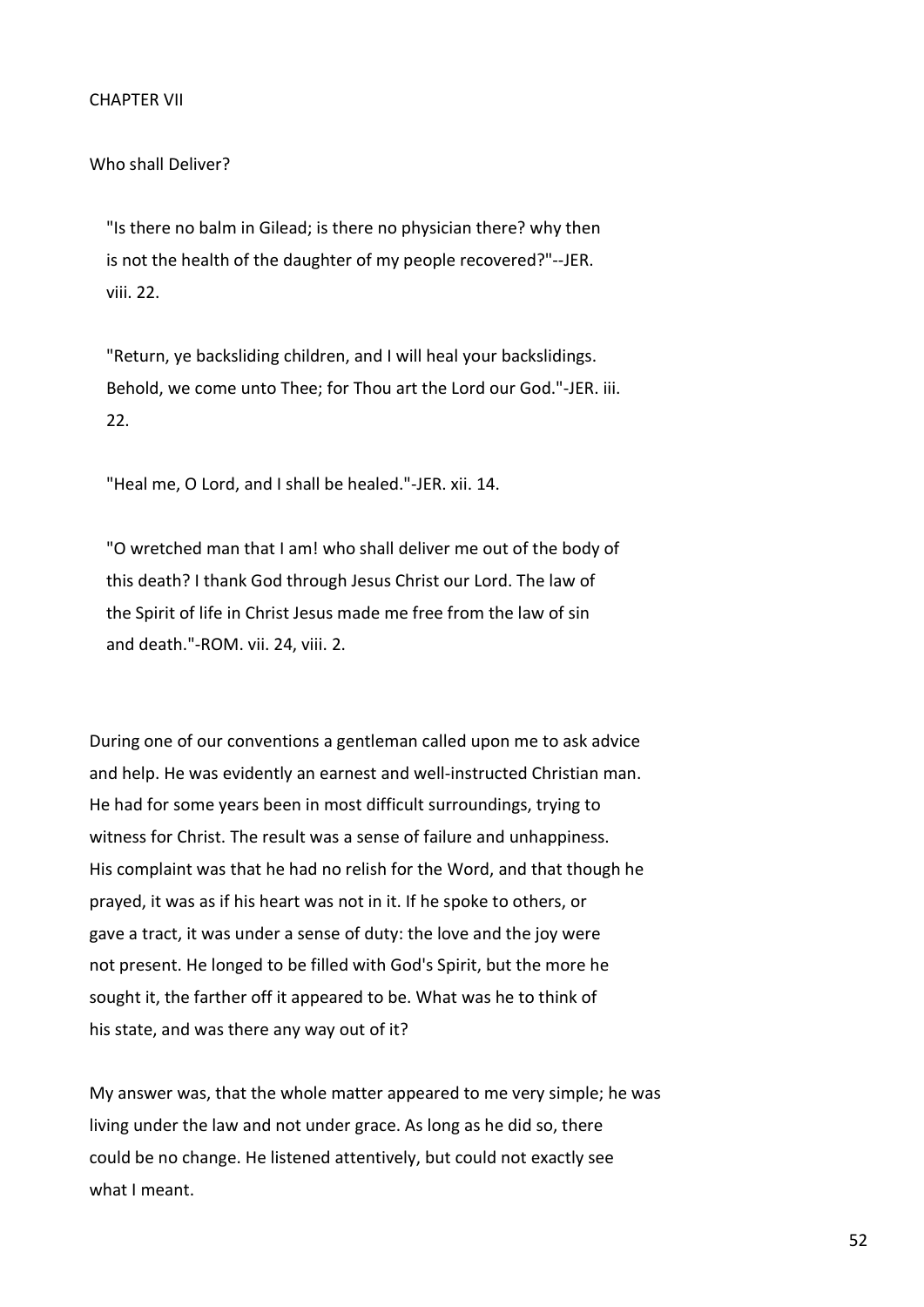Who shall Deliver?

 "Is there no balm in Gilead; is there no physician there? why then is not the health of the daughter of my people recovered?"--JER. viii. 22.

 "Return, ye backsliding children, and I will heal your backslidings. Behold, we come unto Thee; for Thou art the Lord our God."-JER. iii. 22.

"Heal me, O Lord, and I shall be healed."-JER. xii. 14.

 "O wretched man that I am! who shall deliver me out of the body of this death? I thank God through Jesus Christ our Lord. The law of the Spirit of life in Christ Jesus made me free from the law of sin and death."-ROM. vii. 24, viii. 2.

During one of our conventions a gentleman called upon me to ask advice and help. He was evidently an earnest and well-instructed Christian man. He had for some years been in most difficult surroundings, trying to witness for Christ. The result was a sense of failure and unhappiness. His complaint was that he had no relish for the Word, and that though he prayed, it was as if his heart was not in it. If he spoke to others, or gave a tract, it was under a sense of duty: the love and the joy were not present. He longed to be filled with God's Spirit, but the more he sought it, the farther off it appeared to be. What was he to think of his state, and was there any way out of it?

My answer was, that the whole matter appeared to me very simple; he was living under the law and not under grace. As long as he did so, there could be no change. He listened attentively, but could not exactly see what I meant.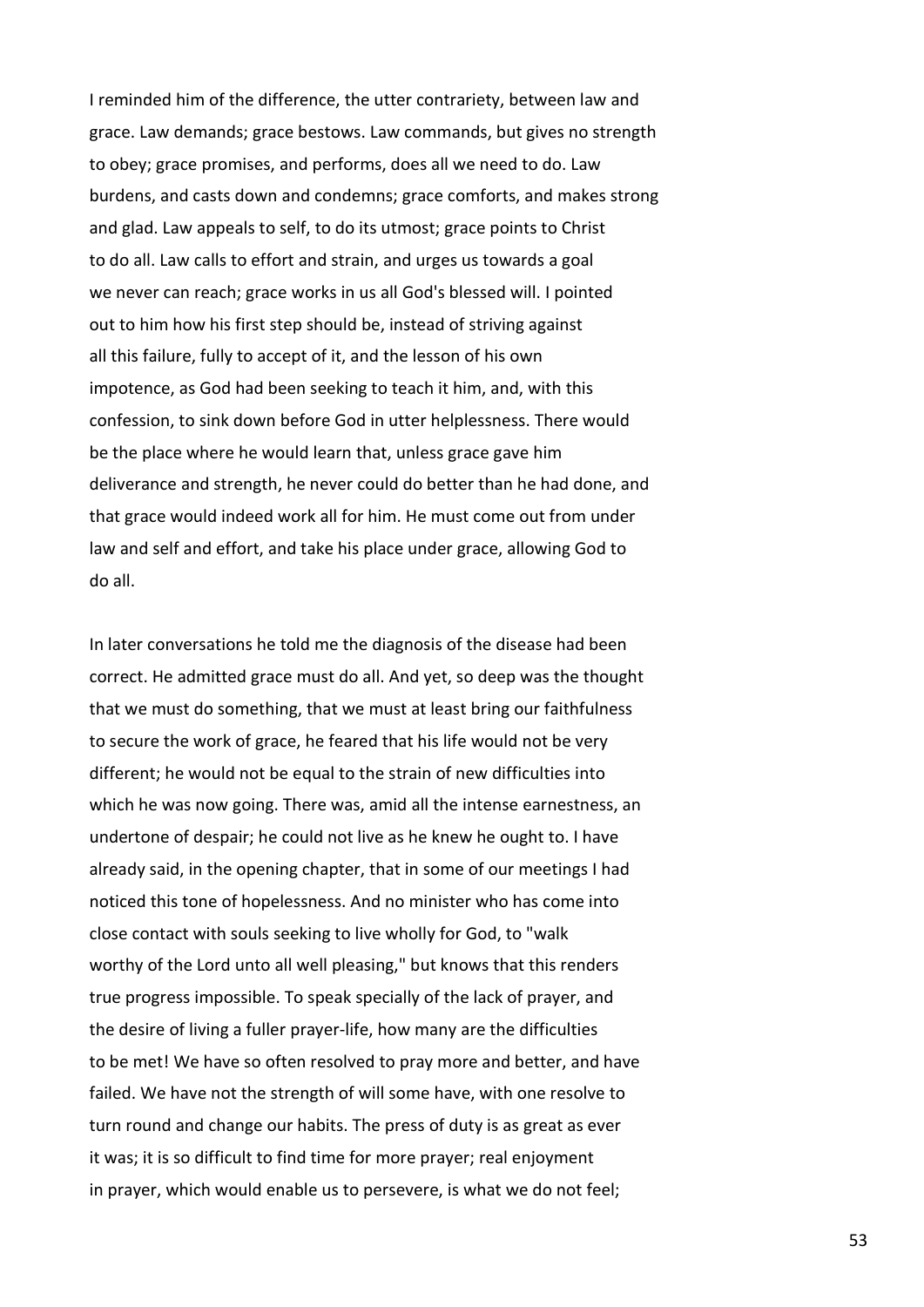I reminded him of the difference, the utter contrariety, between law and grace. Law demands; grace bestows. Law commands, but gives no strength to obey; grace promises, and performs, does all we need to do. Law burdens, and casts down and condemns; grace comforts, and makes strong and glad. Law appeals to self, to do its utmost; grace points to Christ to do all. Law calls to effort and strain, and urges us towards a goal we never can reach; grace works in us all God's blessed will. I pointed out to him how his first step should be, instead of striving against all this failure, fully to accept of it, and the lesson of his own impotence, as God had been seeking to teach it him, and, with this confession, to sink down before God in utter helplessness. There would be the place where he would learn that, unless grace gave him deliverance and strength, he never could do better than he had done, and that grace would indeed work all for him. He must come out from under law and self and effort, and take his place under grace, allowing God to do all.

In later conversations he told me the diagnosis of the disease had been correct. He admitted grace must do all. And yet, so deep was the thought that we must do something, that we must at least bring our faithfulness to secure the work of grace, he feared that his life would not be very different; he would not be equal to the strain of new difficulties into which he was now going. There was, amid all the intense earnestness, an undertone of despair; he could not live as he knew he ought to. I have already said, in the opening chapter, that in some of our meetings I had noticed this tone of hopelessness. And no minister who has come into close contact with souls seeking to live wholly for God, to "walk worthy of the Lord unto all well pleasing," but knows that this renders true progress impossible. To speak specially of the lack of prayer, and the desire of living a fuller prayer-life, how many are the difficulties to be met! We have so often resolved to pray more and better, and have failed. We have not the strength of will some have, with one resolve to turn round and change our habits. The press of duty is as great as ever it was; it is so difficult to find time for more prayer; real enjoyment in prayer, which would enable us to persevere, is what we do not feel;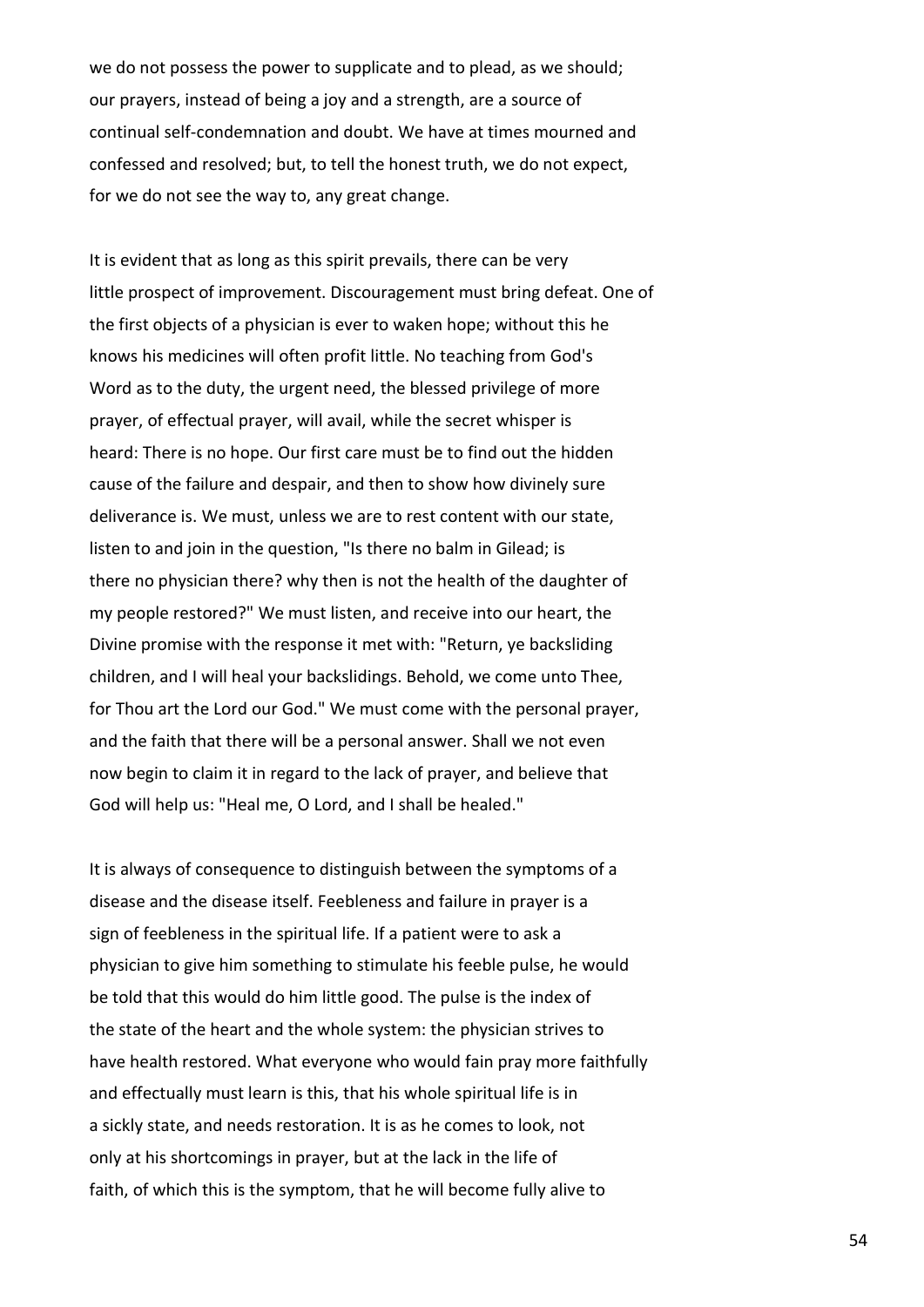we do not possess the power to supplicate and to plead, as we should; our prayers, instead of being a joy and a strength, are a source of continual self-condemnation and doubt. We have at times mourned and confessed and resolved; but, to tell the honest truth, we do not expect, for we do not see the way to, any great change.

It is evident that as long as this spirit prevails, there can be very little prospect of improvement. Discouragement must bring defeat. One of the first objects of a physician is ever to waken hope; without this he knows his medicines will often profit little. No teaching from God's Word as to the duty, the urgent need, the blessed privilege of more prayer, of effectual prayer, will avail, while the secret whisper is heard: There is no hope. Our first care must be to find out the hidden cause of the failure and despair, and then to show how divinely sure deliverance is. We must, unless we are to rest content with our state, listen to and join in the question, "Is there no balm in Gilead; is there no physician there? why then is not the health of the daughter of my people restored?" We must listen, and receive into our heart, the Divine promise with the response it met with: "Return, ye backsliding children, and I will heal your backslidings. Behold, we come unto Thee, for Thou art the Lord our God." We must come with the personal prayer, and the faith that there will be a personal answer. Shall we not even now begin to claim it in regard to the lack of prayer, and believe that God will help us: "Heal me, O Lord, and I shall be healed."

It is always of consequence to distinguish between the symptoms of a disease and the disease itself. Feebleness and failure in prayer is a sign of feebleness in the spiritual life. If a patient were to ask a physician to give him something to stimulate his feeble pulse, he would be told that this would do him little good. The pulse is the index of the state of the heart and the whole system: the physician strives to have health restored. What everyone who would fain pray more faithfully and effectually must learn is this, that his whole spiritual life is in a sickly state, and needs restoration. It is as he comes to look, not only at his shortcomings in prayer, but at the lack in the life of faith, of which this is the symptom, that he will become fully alive to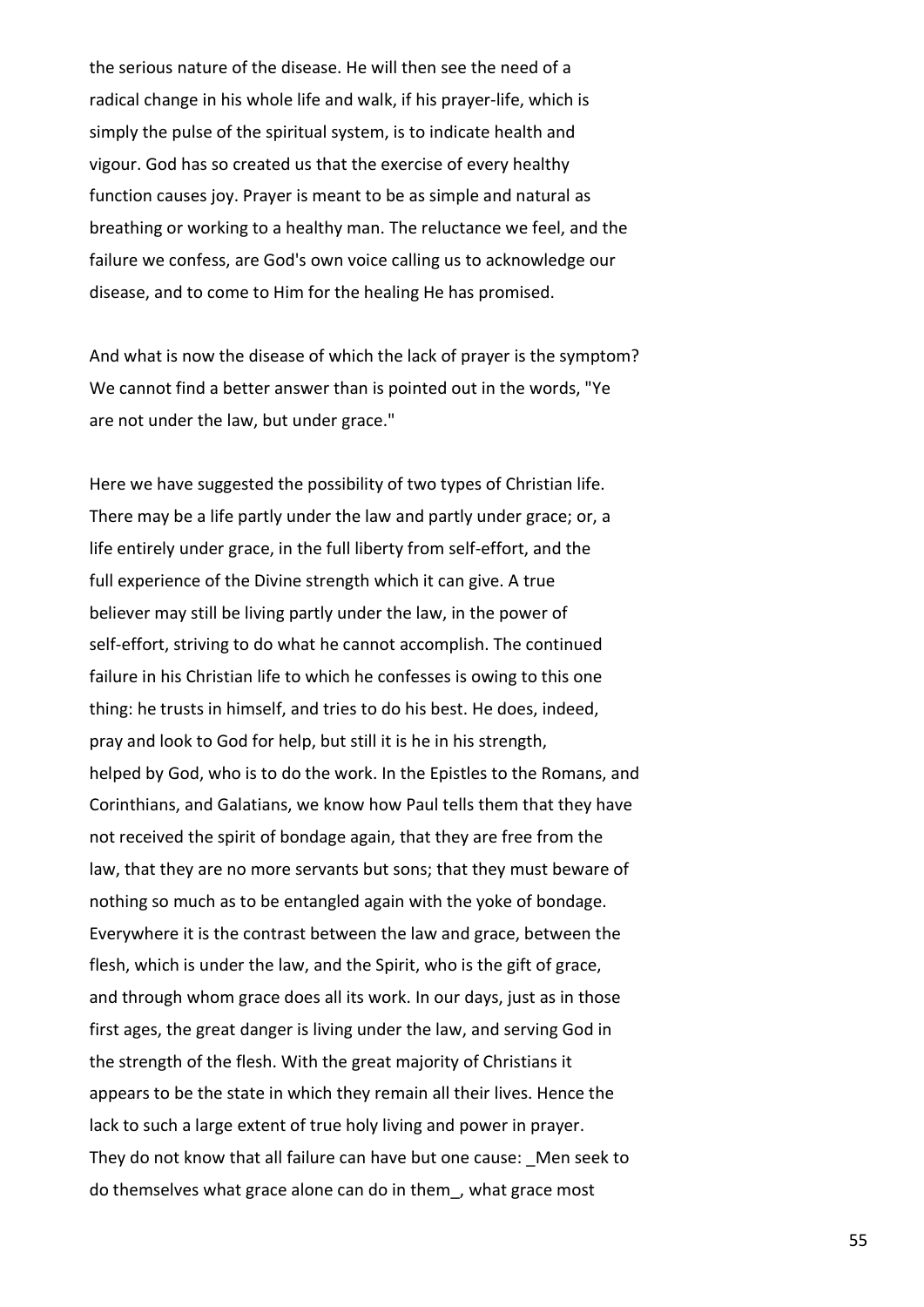the serious nature of the disease. He will then see the need of a radical change in his whole life and walk, if his prayer-life, which is simply the pulse of the spiritual system, is to indicate health and vigour. God has so created us that the exercise of every healthy function causes joy. Prayer is meant to be as simple and natural as breathing or working to a healthy man. The reluctance we feel, and the failure we confess, are God's own voice calling us to acknowledge our disease, and to come to Him for the healing He has promised.

And what is now the disease of which the lack of prayer is the symptom? We cannot find a better answer than is pointed out in the words, "Ye are not under the law, but under grace."

Here we have suggested the possibility of two types of Christian life. There may be a life partly under the law and partly under grace; or, a life entirely under grace, in the full liberty from self-effort, and the full experience of the Divine strength which it can give. A true believer may still be living partly under the law, in the power of self-effort, striving to do what he cannot accomplish. The continued failure in his Christian life to which he confesses is owing to this one thing: he trusts in himself, and tries to do his best. He does, indeed, pray and look to God for help, but still it is he in his strength, helped by God, who is to do the work. In the Epistles to the Romans, and Corinthians, and Galatians, we know how Paul tells them that they have not received the spirit of bondage again, that they are free from the law, that they are no more servants but sons; that they must beware of nothing so much as to be entangled again with the yoke of bondage. Everywhere it is the contrast between the law and grace, between the flesh, which is under the law, and the Spirit, who is the gift of grace, and through whom grace does all its work. In our days, just as in those first ages, the great danger is living under the law, and serving God in the strength of the flesh. With the great majority of Christians it appears to be the state in which they remain all their lives. Hence the lack to such a large extent of true holy living and power in prayer. They do not know that all failure can have but one cause: Men seek to do themselves what grace alone can do in them\_, what grace most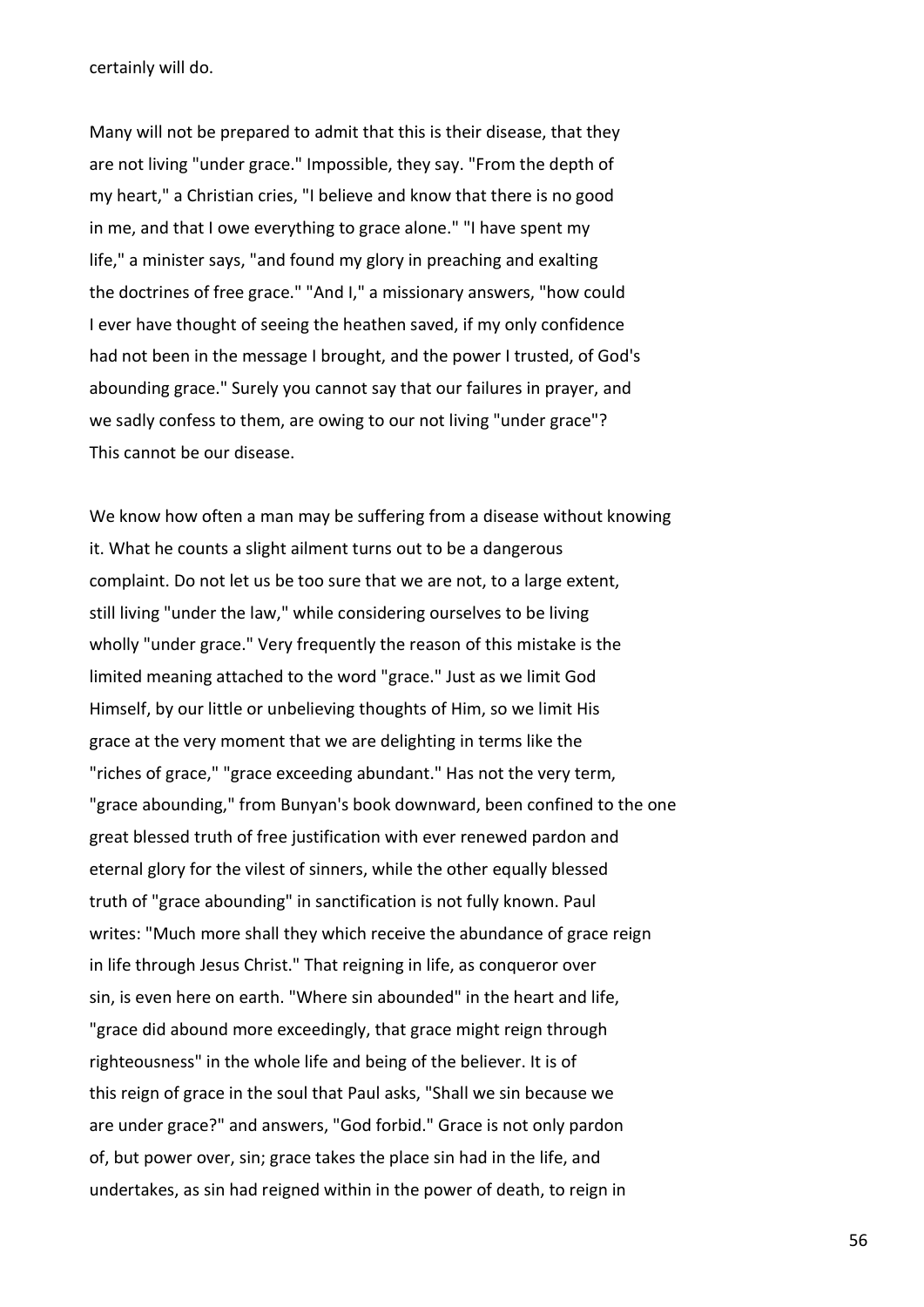certainly will do.

Many will not be prepared to admit that this is their disease, that they are not living "under grace." Impossible, they say. "From the depth of my heart," a Christian cries, "I believe and know that there is no good in me, and that I owe everything to grace alone." "I have spent my life," a minister says, "and found my glory in preaching and exalting the doctrines of free grace." "And I," a missionary answers, "how could I ever have thought of seeing the heathen saved, if my only confidence had not been in the message I brought, and the power I trusted, of God's abounding grace." Surely you cannot say that our failures in prayer, and we sadly confess to them, are owing to our not living "under grace"? This cannot be our disease.

We know how often a man may be suffering from a disease without knowing it. What he counts a slight ailment turns out to be a dangerous complaint. Do not let us be too sure that we are not, to a large extent, still living "under the law," while considering ourselves to be living wholly "under grace." Very frequently the reason of this mistake is the limited meaning attached to the word "grace." Just as we limit God Himself, by our little or unbelieving thoughts of Him, so we limit His grace at the very moment that we are delighting in terms like the "riches of grace," "grace exceeding abundant." Has not the very term, "grace abounding," from Bunyan's book downward, been confined to the one great blessed truth of free justification with ever renewed pardon and eternal glory for the vilest of sinners, while the other equally blessed truth of "grace abounding" in sanctification is not fully known. Paul writes: "Much more shall they which receive the abundance of grace reign in life through Jesus Christ." That reigning in life, as conqueror over sin, is even here on earth. "Where sin abounded" in the heart and life, "grace did abound more exceedingly, that grace might reign through righteousness" in the whole life and being of the believer. It is of this reign of grace in the soul that Paul asks, "Shall we sin because we are under grace?" and answers, "God forbid." Grace is not only pardon of, but power over, sin; grace takes the place sin had in the life, and undertakes, as sin had reigned within in the power of death, to reign in

56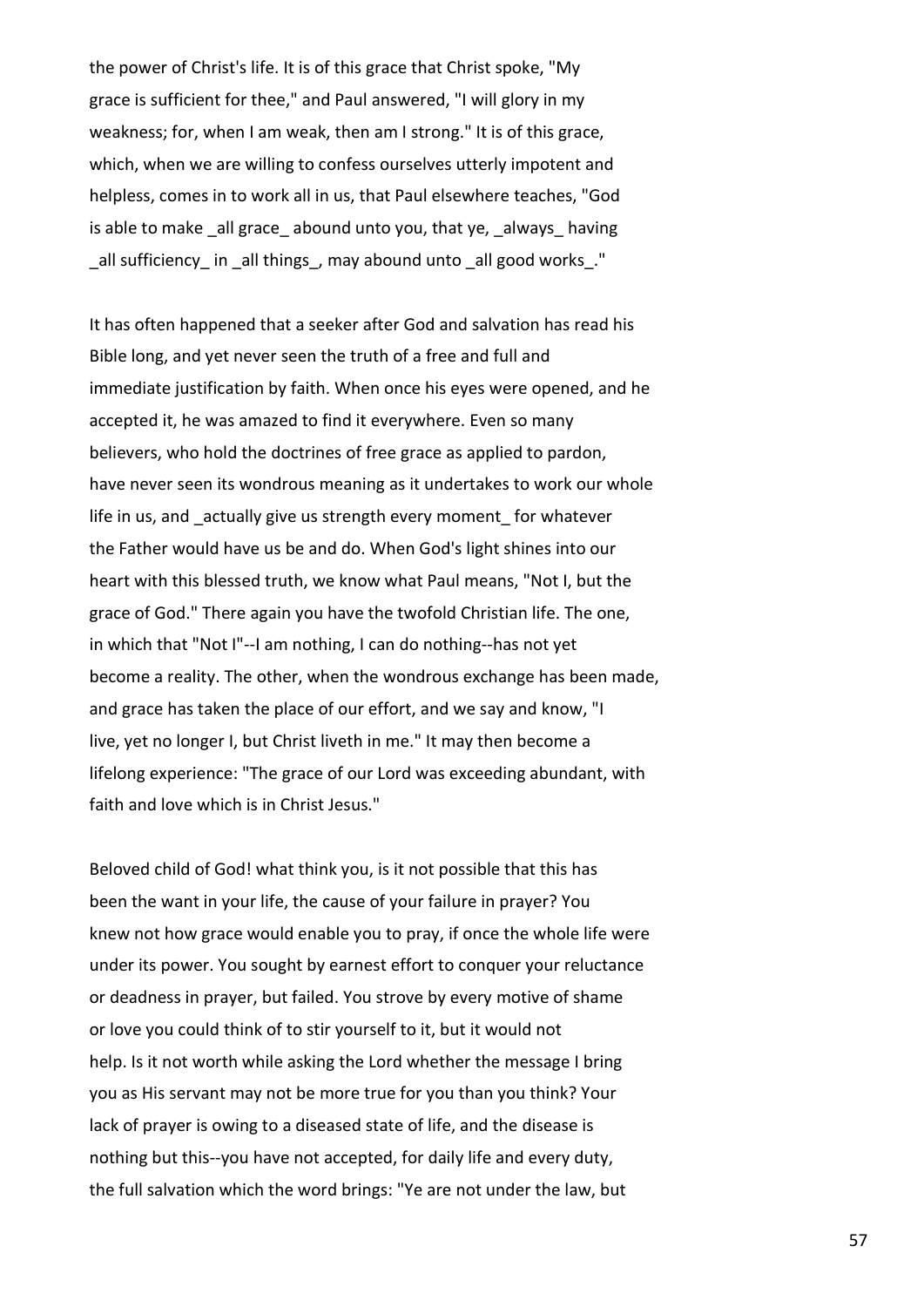the power of Christ's life. It is of this grace that Christ spoke, "My grace is sufficient for thee," and Paul answered, "I will glory in my weakness; for, when I am weak, then am I strong." It is of this grace, which, when we are willing to confess ourselves utterly impotent and helpless, comes in to work all in us, that Paul elsewhere teaches, "God is able to make \_all grace\_ abound unto you, that ye, \_always\_ having all sufficiency in all things, may abound unto all good works."

It has often happened that a seeker after God and salvation has read his Bible long, and yet never seen the truth of a free and full and immediate justification by faith. When once his eyes were opened, and he accepted it, he was amazed to find it everywhere. Even so many believers, who hold the doctrines of free grace as applied to pardon, have never seen its wondrous meaning as it undertakes to work our whole life in us, and actually give us strength every moment for whatever the Father would have us be and do. When God's light shines into our heart with this blessed truth, we know what Paul means, "Not I, but the grace of God." There again you have the twofold Christian life. The one, in which that "Not I"--I am nothing, I can do nothing--has not yet become a reality. The other, when the wondrous exchange has been made, and grace has taken the place of our effort, and we say and know, "I live, yet no longer I, but Christ liveth in me." It may then become a lifelong experience: "The grace of our Lord was exceeding abundant, with faith and love which is in Christ Jesus."

Beloved child of God! what think you, is it not possible that this has been the want in your life, the cause of your failure in prayer? You knew not how grace would enable you to pray, if once the whole life were under its power. You sought by earnest effort to conquer your reluctance or deadness in prayer, but failed. You strove by every motive of shame or love you could think of to stir yourself to it, but it would not help. Is it not worth while asking the Lord whether the message I bring you as His servant may not be more true for you than you think? Your lack of prayer is owing to a diseased state of life, and the disease is nothing but this--you have not accepted, for daily life and every duty, the full salvation which the word brings: "Ye are not under the law, but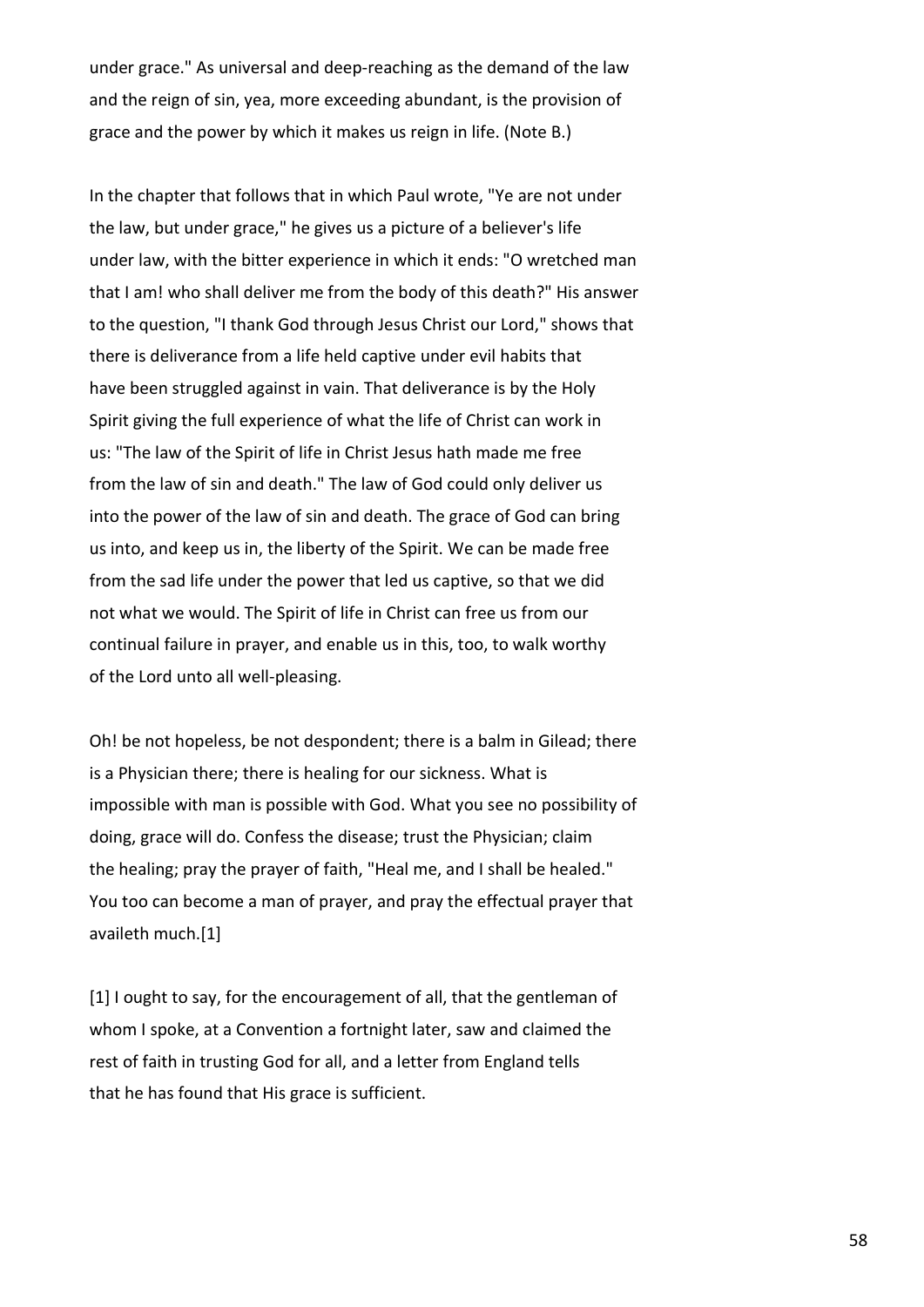under grace." As universal and deep-reaching as the demand of the law and the reign of sin, yea, more exceeding abundant, is the provision of grace and the power by which it makes us reign in life. (Note B.)

In the chapter that follows that in which Paul wrote, "Ye are not under the law, but under grace," he gives us a picture of a believer's life under law, with the bitter experience in which it ends: "O wretched man that I am! who shall deliver me from the body of this death?" His answer to the question, "I thank God through Jesus Christ our Lord," shows that there is deliverance from a life held captive under evil habits that have been struggled against in vain. That deliverance is by the Holy Spirit giving the full experience of what the life of Christ can work in us: "The law of the Spirit of life in Christ Jesus hath made me free from the law of sin and death." The law of God could only deliver us into the power of the law of sin and death. The grace of God can bring us into, and keep us in, the liberty of the Spirit. We can be made free from the sad life under the power that led us captive, so that we did not what we would. The Spirit of life in Christ can free us from our continual failure in prayer, and enable us in this, too, to walk worthy of the Lord unto all well-pleasing.

Oh! be not hopeless, be not despondent; there is a balm in Gilead; there is a Physician there; there is healing for our sickness. What is impossible with man is possible with God. What you see no possibility of doing, grace will do. Confess the disease; trust the Physician; claim the healing; pray the prayer of faith, "Heal me, and I shall be healed." You too can become a man of prayer, and pray the effectual prayer that availeth much.[1]

[1] I ought to say, for the encouragement of all, that the gentleman of whom I spoke, at a Convention a fortnight later, saw and claimed the rest of faith in trusting God for all, and a letter from England tells that he has found that His grace is sufficient.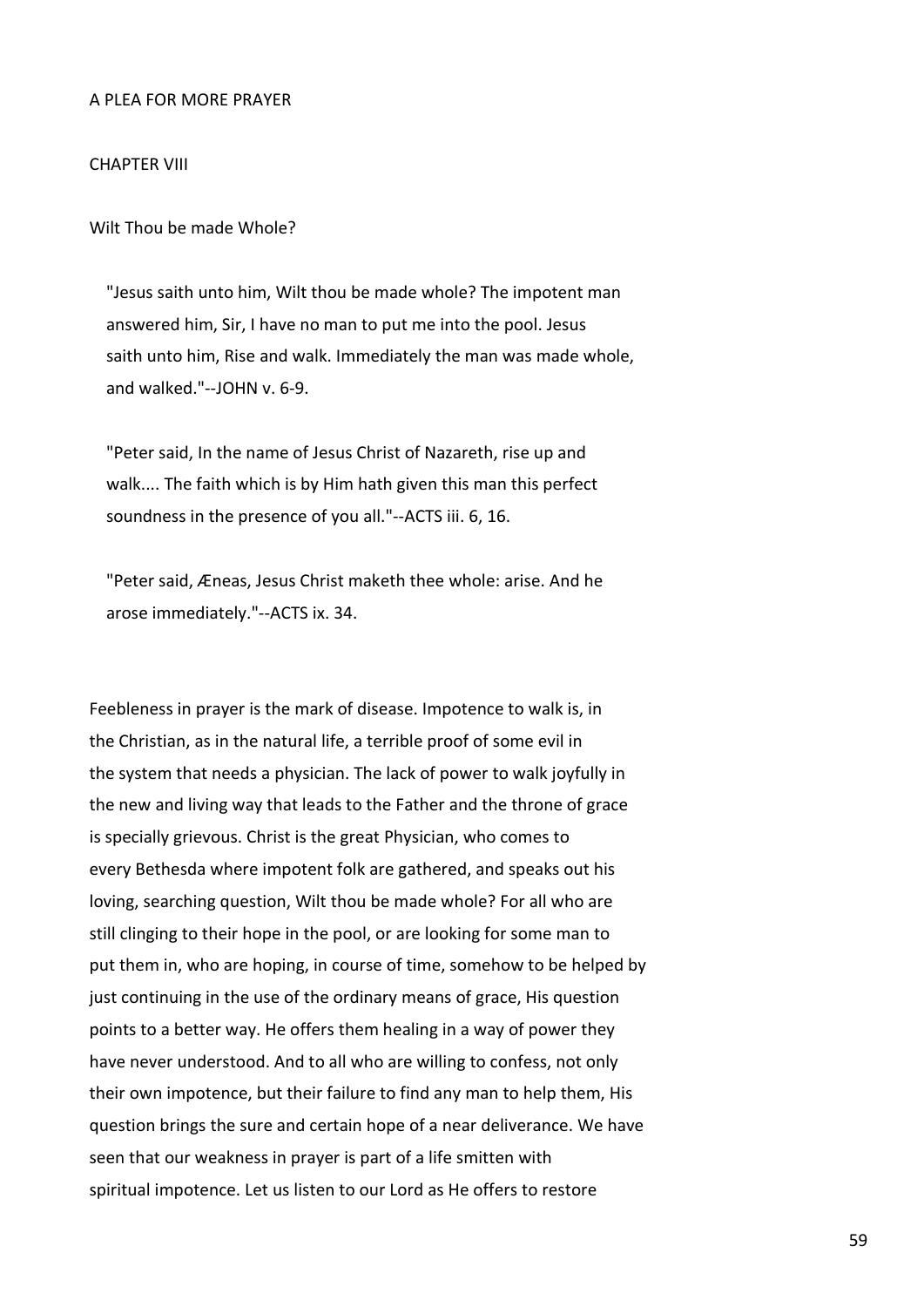#### A PLEA FOR MORE PRAYER

### CHAPTER VIII

Wilt Thou be made Whole?

 "Jesus saith unto him, Wilt thou be made whole? The impotent man answered him, Sir, I have no man to put me into the pool. Jesus saith unto him, Rise and walk. Immediately the man was made whole, and walked."--JOHN v. 6-9.

 "Peter said, In the name of Jesus Christ of Nazareth, rise up and walk.... The faith which is by Him hath given this man this perfect soundness in the presence of you all."--ACTS iii. 6, 16.

 "Peter said, Æneas, Jesus Christ maketh thee whole: arise. And he arose immediately."--ACTS ix. 34.

Feebleness in prayer is the mark of disease. Impotence to walk is, in the Christian, as in the natural life, a terrible proof of some evil in the system that needs a physician. The lack of power to walk joyfully in the new and living way that leads to the Father and the throne of grace is specially grievous. Christ is the great Physician, who comes to every Bethesda where impotent folk are gathered, and speaks out his loving, searching question, Wilt thou be made whole? For all who are still clinging to their hope in the pool, or are looking for some man to put them in, who are hoping, in course of time, somehow to be helped by just continuing in the use of the ordinary means of grace, His question points to a better way. He offers them healing in a way of power they have never understood. And to all who are willing to confess, not only their own impotence, but their failure to find any man to help them, His question brings the sure and certain hope of a near deliverance. We have seen that our weakness in prayer is part of a life smitten with spiritual impotence. Let us listen to our Lord as He offers to restore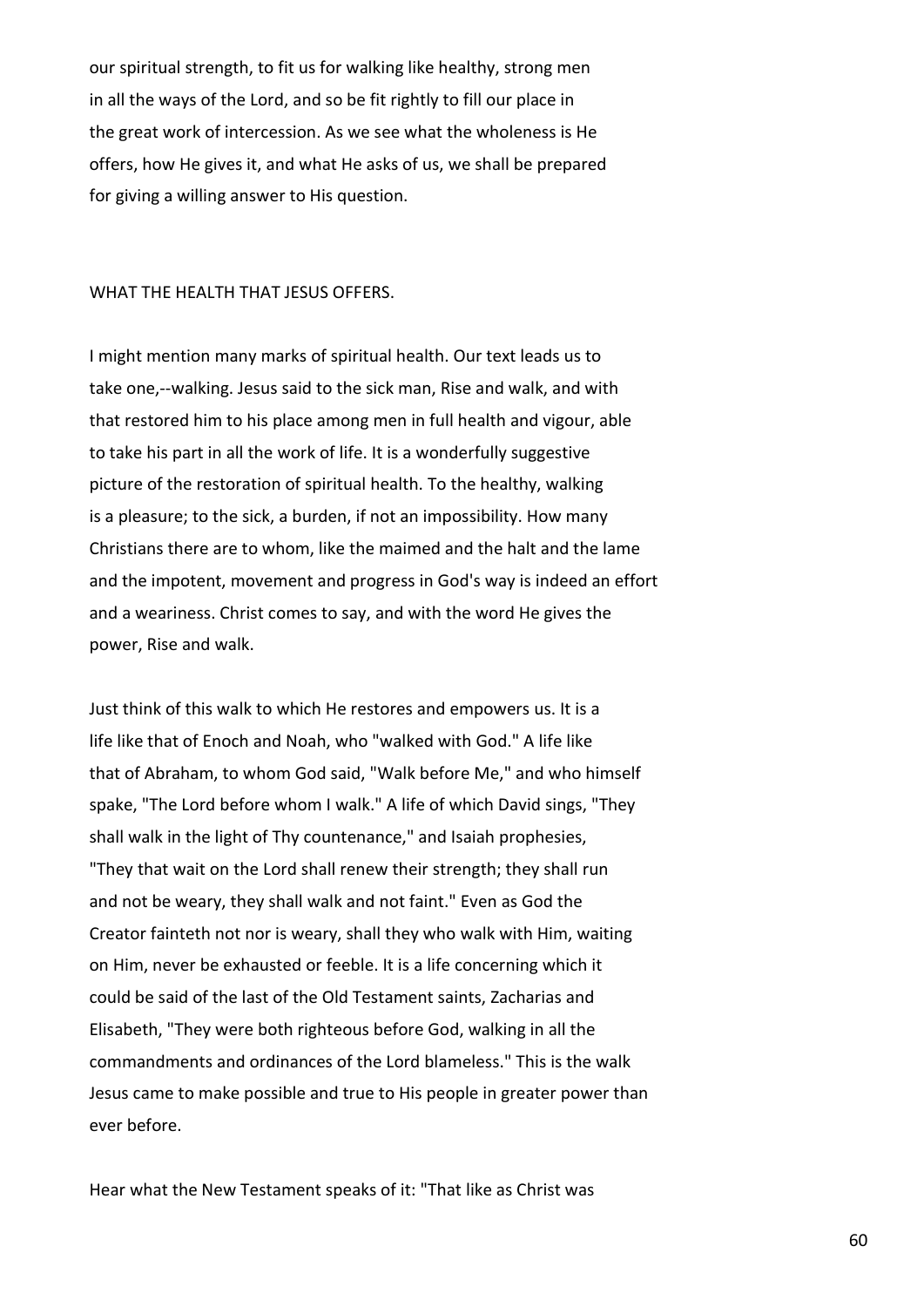our spiritual strength, to fit us for walking like healthy, strong men in all the ways of the Lord, and so be fit rightly to fill our place in the great work of intercession. As we see what the wholeness is He offers, how He gives it, and what He asks of us, we shall be prepared for giving a willing answer to His question.

#### WHAT THE HEALTH THAT JESUS OFFERS.

I might mention many marks of spiritual health. Our text leads us to take one,--walking. Jesus said to the sick man, Rise and walk, and with that restored him to his place among men in full health and vigour, able to take his part in all the work of life. It is a wonderfully suggestive picture of the restoration of spiritual health. To the healthy, walking is a pleasure; to the sick, a burden, if not an impossibility. How many Christians there are to whom, like the maimed and the halt and the lame and the impotent, movement and progress in God's way is indeed an effort and a weariness. Christ comes to say, and with the word He gives the power, Rise and walk.

Just think of this walk to which He restores and empowers us. It is a life like that of Enoch and Noah, who "walked with God." A life like that of Abraham, to whom God said, "Walk before Me," and who himself spake, "The Lord before whom I walk." A life of which David sings, "They shall walk in the light of Thy countenance," and Isaiah prophesies, "They that wait on the Lord shall renew their strength; they shall run and not be weary, they shall walk and not faint." Even as God the Creator fainteth not nor is weary, shall they who walk with Him, waiting on Him, never be exhausted or feeble. It is a life concerning which it could be said of the last of the Old Testament saints, Zacharias and Elisabeth, "They were both righteous before God, walking in all the commandments and ordinances of the Lord blameless." This is the walk Jesus came to make possible and true to His people in greater power than ever before.

Hear what the New Testament speaks of it: "That like as Christ was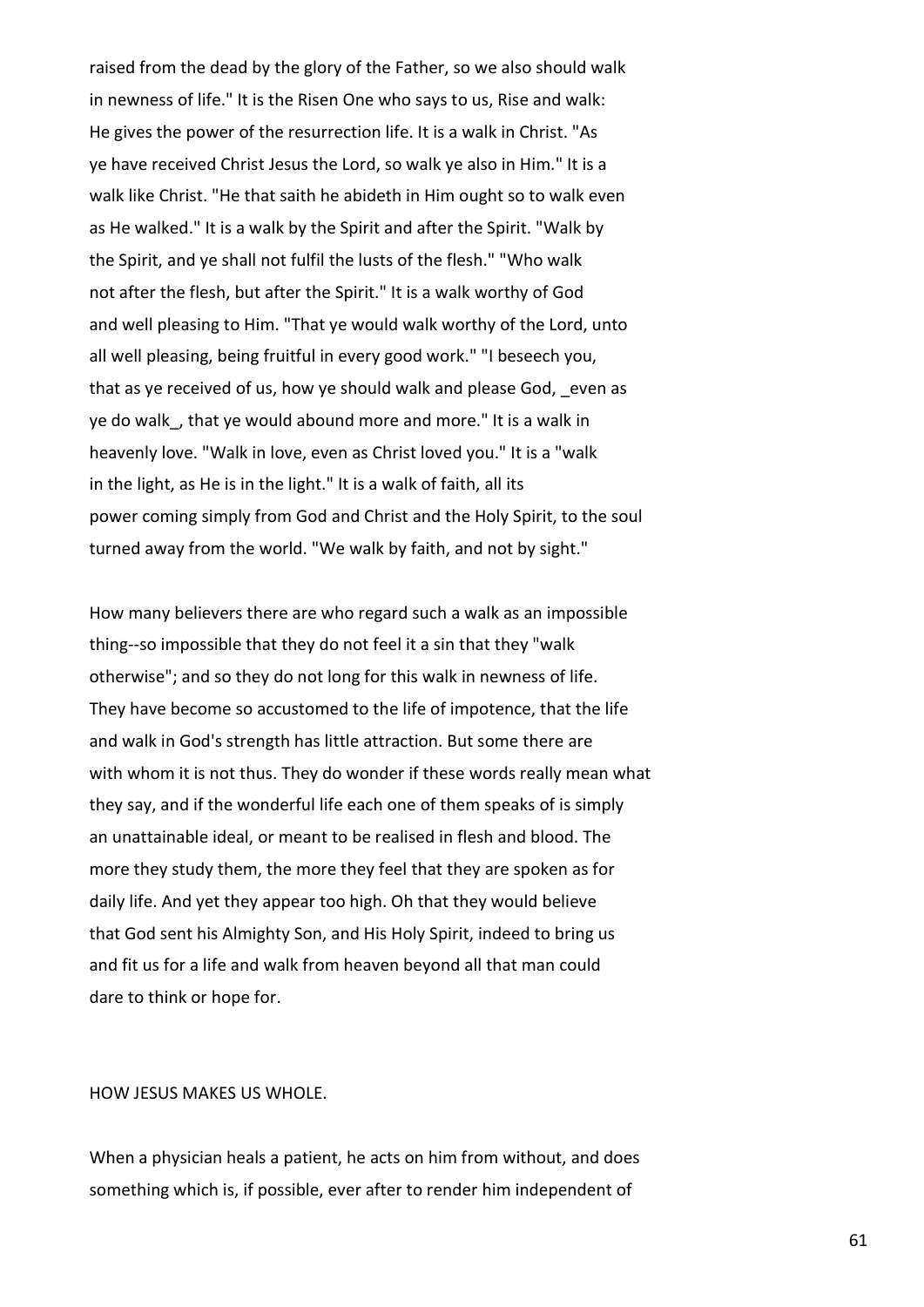raised from the dead by the glory of the Father, so we also should walk in newness of life." It is the Risen One who says to us, Rise and walk: He gives the power of the resurrection life. It is a walk in Christ. "As ye have received Christ Jesus the Lord, so walk ye also in Him." It is a walk like Christ. "He that saith he abideth in Him ought so to walk even as He walked." It is a walk by the Spirit and after the Spirit. "Walk by the Spirit, and ye shall not fulfil the lusts of the flesh." "Who walk not after the flesh, but after the Spirit." It is a walk worthy of God and well pleasing to Him. "That ye would walk worthy of the Lord, unto all well pleasing, being fruitful in every good work." "I beseech you, that as ye received of us, how ye should walk and please God, even as ye do walk, that ye would abound more and more." It is a walk in heavenly love. "Walk in love, even as Christ loved you." It is a "walk in the light, as He is in the light." It is a walk of faith, all its power coming simply from God and Christ and the Holy Spirit, to the soul turned away from the world. "We walk by faith, and not by sight."

How many believers there are who regard such a walk as an impossible thing--so impossible that they do not feel it a sin that they "walk otherwise"; and so they do not long for this walk in newness of life. They have become so accustomed to the life of impotence, that the life and walk in God's strength has little attraction. But some there are with whom it is not thus. They do wonder if these words really mean what they say, and if the wonderful life each one of them speaks of is simply an unattainable ideal, or meant to be realised in flesh and blood. The more they study them, the more they feel that they are spoken as for daily life. And yet they appear too high. Oh that they would believe that God sent his Almighty Son, and His Holy Spirit, indeed to bring us and fit us for a life and walk from heaven beyond all that man could dare to think or hope for.

# HOW JESUS MAKES US WHOLE.

When a physician heals a patient, he acts on him from without, and does something which is, if possible, ever after to render him independent of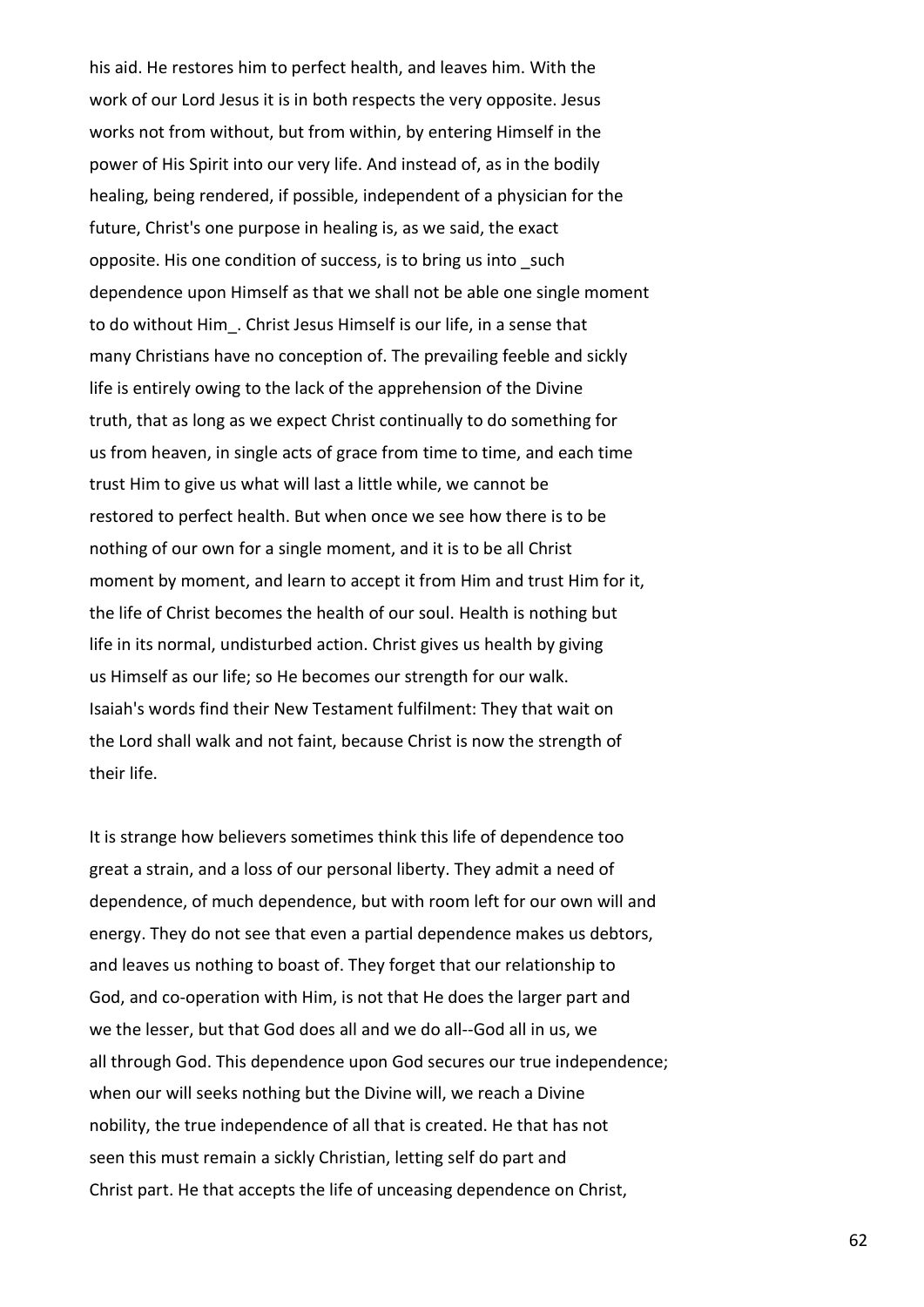his aid. He restores him to perfect health, and leaves him. With the work of our Lord Jesus it is in both respects the very opposite. Jesus works not from without, but from within, by entering Himself in the power of His Spirit into our very life. And instead of, as in the bodily healing, being rendered, if possible, independent of a physician for the future, Christ's one purpose in healing is, as we said, the exact opposite. His one condition of success, is to bring us into such dependence upon Himself as that we shall not be able one single moment to do without Him . Christ Jesus Himself is our life, in a sense that many Christians have no conception of. The prevailing feeble and sickly life is entirely owing to the lack of the apprehension of the Divine truth, that as long as we expect Christ continually to do something for us from heaven, in single acts of grace from time to time, and each time trust Him to give us what will last a little while, we cannot be restored to perfect health. But when once we see how there is to be nothing of our own for a single moment, and it is to be all Christ moment by moment, and learn to accept it from Him and trust Him for it, the life of Christ becomes the health of our soul. Health is nothing but life in its normal, undisturbed action. Christ gives us health by giving us Himself as our life; so He becomes our strength for our walk. Isaiah's words find their New Testament fulfilment: They that wait on the Lord shall walk and not faint, because Christ is now the strength of their life.

It is strange how believers sometimes think this life of dependence too great a strain, and a loss of our personal liberty. They admit a need of dependence, of much dependence, but with room left for our own will and energy. They do not see that even a partial dependence makes us debtors, and leaves us nothing to boast of. They forget that our relationship to God, and co-operation with Him, is not that He does the larger part and we the lesser, but that God does all and we do all--God all in us, we all through God. This dependence upon God secures our true independence; when our will seeks nothing but the Divine will, we reach a Divine nobility, the true independence of all that is created. He that has not seen this must remain a sickly Christian, letting self do part and Christ part. He that accepts the life of unceasing dependence on Christ,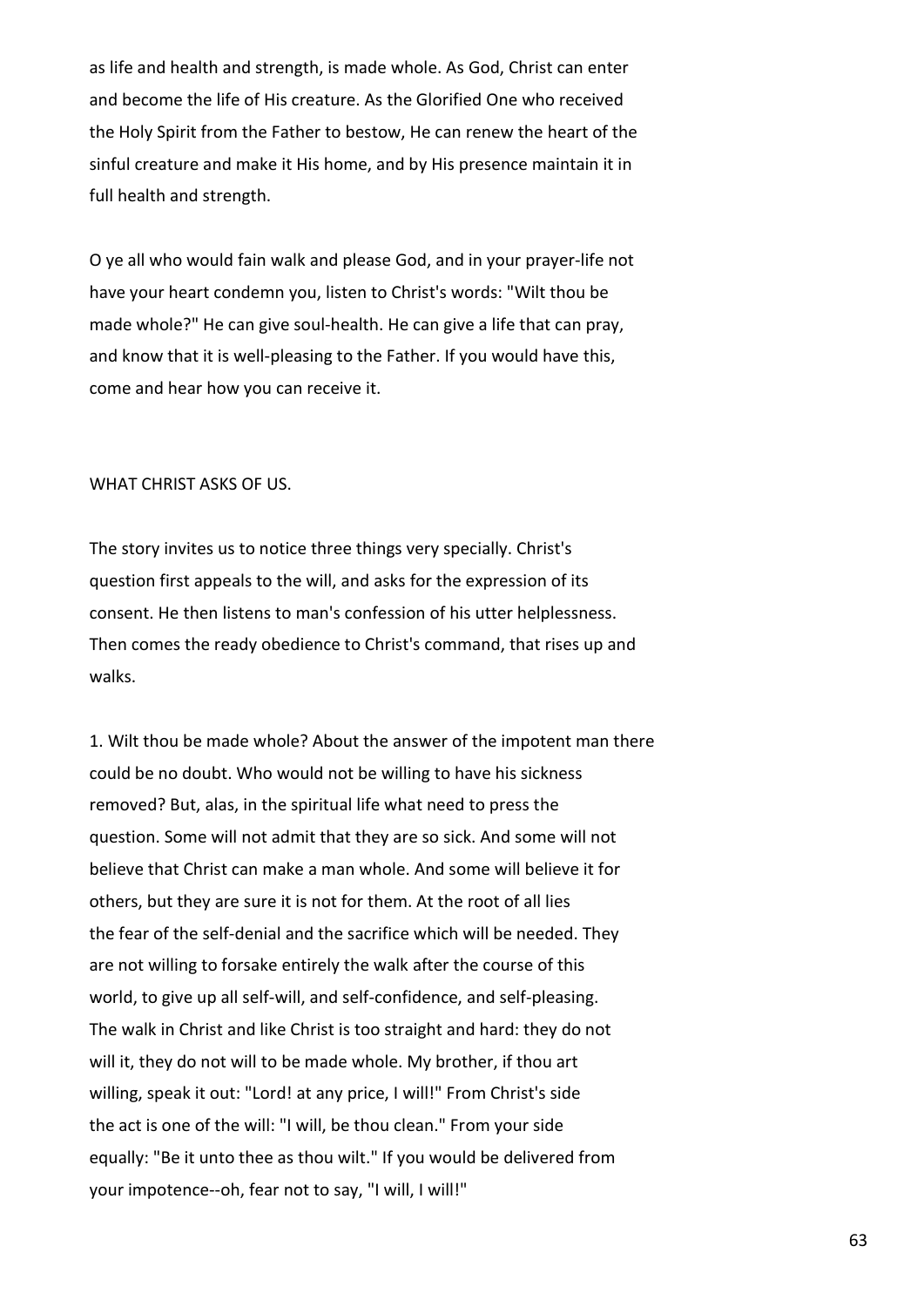as life and health and strength, is made whole. As God, Christ can enter and become the life of His creature. As the Glorified One who received the Holy Spirit from the Father to bestow, He can renew the heart of the sinful creature and make it His home, and by His presence maintain it in full health and strength.

O ye all who would fain walk and please God, and in your prayer-life not have your heart condemn you, listen to Christ's words: "Wilt thou be made whole?" He can give soul-health. He can give a life that can pray, and know that it is well-pleasing to the Father. If you would have this, come and hear how you can receive it.

### WHAT CHRIST ASKS OF US.

The story invites us to notice three things very specially. Christ's question first appeals to the will, and asks for the expression of its consent. He then listens to man's confession of his utter helplessness. Then comes the ready obedience to Christ's command, that rises up and walks.

1. Wilt thou be made whole? About the answer of the impotent man there could be no doubt. Who would not be willing to have his sickness removed? But, alas, in the spiritual life what need to press the question. Some will not admit that they are so sick. And some will not believe that Christ can make a man whole. And some will believe it for others, but they are sure it is not for them. At the root of all lies the fear of the self-denial and the sacrifice which will be needed. They are not willing to forsake entirely the walk after the course of this world, to give up all self-will, and self-confidence, and self-pleasing. The walk in Christ and like Christ is too straight and hard: they do not will it, they do not will to be made whole. My brother, if thou art willing, speak it out: "Lord! at any price, I will!" From Christ's side the act is one of the will: "I will, be thou clean." From your side equally: "Be it unto thee as thou wilt." If you would be delivered from your impotence--oh, fear not to say, "I will, I will!"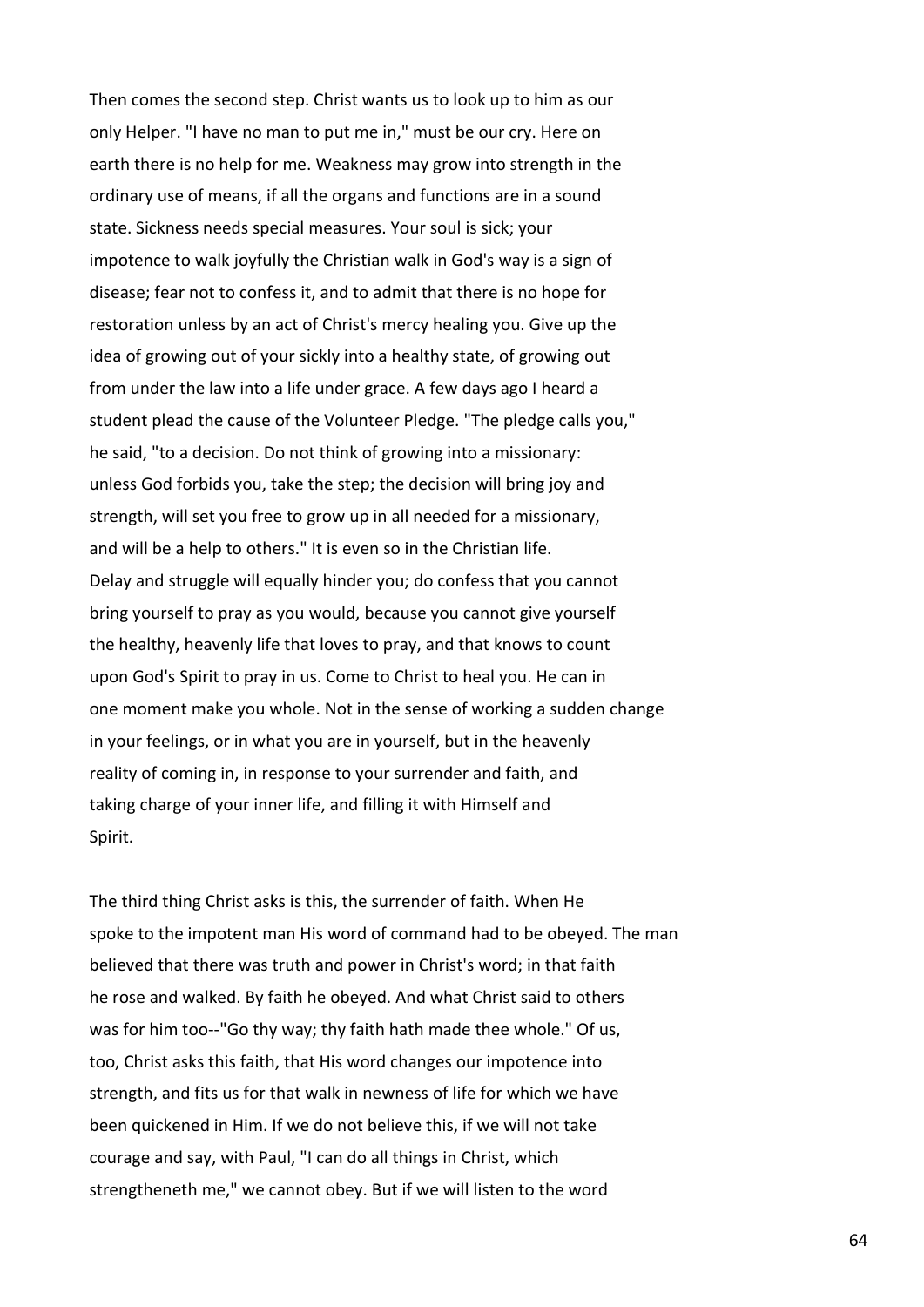Then comes the second step. Christ wants us to look up to him as our only Helper. "I have no man to put me in," must be our cry. Here on earth there is no help for me. Weakness may grow into strength in the ordinary use of means, if all the organs and functions are in a sound state. Sickness needs special measures. Your soul is sick; your impotence to walk joyfully the Christian walk in God's way is a sign of disease; fear not to confess it, and to admit that there is no hope for restoration unless by an act of Christ's mercy healing you. Give up the idea of growing out of your sickly into a healthy state, of growing out from under the law into a life under grace. A few days ago I heard a student plead the cause of the Volunteer Pledge. "The pledge calls you," he said, "to a decision. Do not think of growing into a missionary: unless God forbids you, take the step; the decision will bring joy and strength, will set you free to grow up in all needed for a missionary, and will be a help to others." It is even so in the Christian life. Delay and struggle will equally hinder you; do confess that you cannot bring yourself to pray as you would, because you cannot give yourself the healthy, heavenly life that loves to pray, and that knows to count upon God's Spirit to pray in us. Come to Christ to heal you. He can in one moment make you whole. Not in the sense of working a sudden change in your feelings, or in what you are in yourself, but in the heavenly reality of coming in, in response to your surrender and faith, and taking charge of your inner life, and filling it with Himself and Spirit.

The third thing Christ asks is this, the surrender of faith. When He spoke to the impotent man His word of command had to be obeyed. The man believed that there was truth and power in Christ's word; in that faith he rose and walked. By faith he obeyed. And what Christ said to others was for him too--"Go thy way; thy faith hath made thee whole." Of us, too, Christ asks this faith, that His word changes our impotence into strength, and fits us for that walk in newness of life for which we have been quickened in Him. If we do not believe this, if we will not take courage and say, with Paul, "I can do all things in Christ, which strengtheneth me," we cannot obey. But if we will listen to the word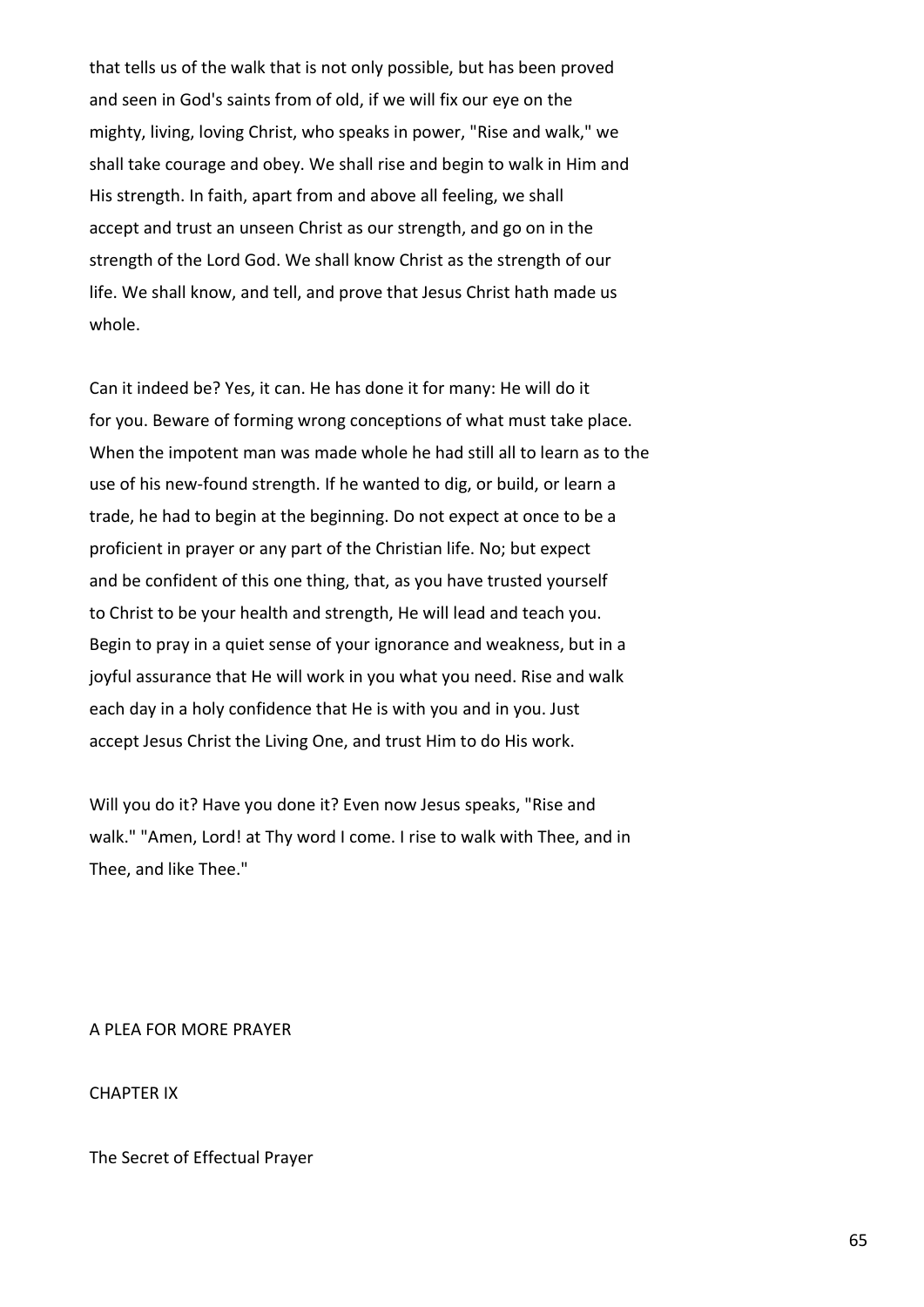that tells us of the walk that is not only possible, but has been proved and seen in God's saints from of old, if we will fix our eye on the mighty, living, loving Christ, who speaks in power, "Rise and walk," we shall take courage and obey. We shall rise and begin to walk in Him and His strength. In faith, apart from and above all feeling, we shall accept and trust an unseen Christ as our strength, and go on in the strength of the Lord God. We shall know Christ as the strength of our life. We shall know, and tell, and prove that Jesus Christ hath made us whole.

Can it indeed be? Yes, it can. He has done it for many: He will do it for you. Beware of forming wrong conceptions of what must take place. When the impotent man was made whole he had still all to learn as to the use of his new-found strength. If he wanted to dig, or build, or learn a trade, he had to begin at the beginning. Do not expect at once to be a proficient in prayer or any part of the Christian life. No; but expect and be confident of this one thing, that, as you have trusted yourself to Christ to be your health and strength, He will lead and teach you. Begin to pray in a quiet sense of your ignorance and weakness, but in a joyful assurance that He will work in you what you need. Rise and walk each day in a holy confidence that He is with you and in you. Just accept Jesus Christ the Living One, and trust Him to do His work.

Will you do it? Have you done it? Even now Jesus speaks, "Rise and walk." "Amen, Lord! at Thy word I come. I rise to walk with Thee, and in Thee, and like Thee."

A PLEA FOR MORE PRAYER

CHAPTER IX

The Secret of Effectual Prayer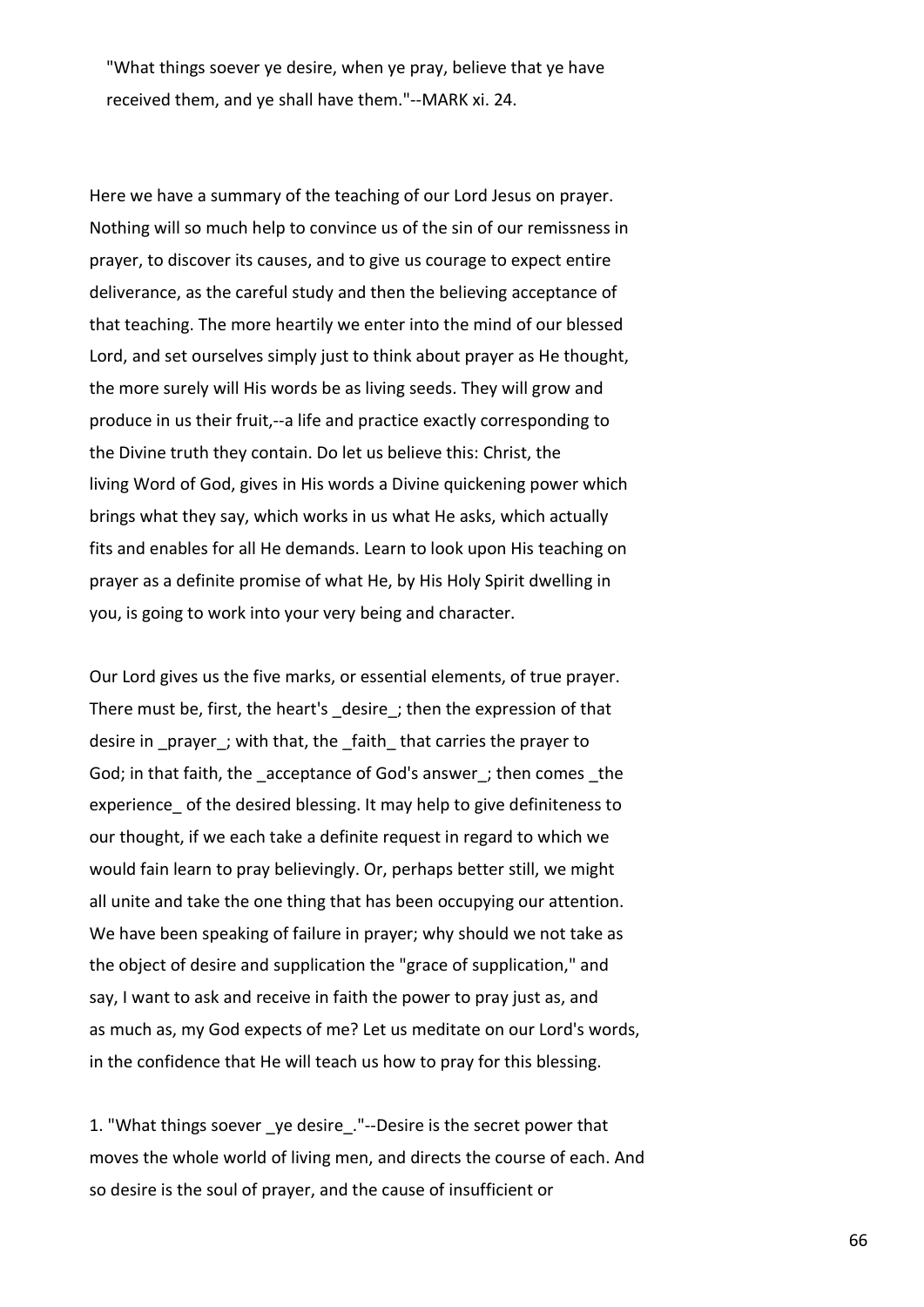"What things soever ye desire, when ye pray, believe that ye have received them, and ye shall have them."--MARK xi. 24.

Here we have a summary of the teaching of our Lord Jesus on prayer. Nothing will so much help to convince us of the sin of our remissness in prayer, to discover its causes, and to give us courage to expect entire deliverance, as the careful study and then the believing acceptance of that teaching. The more heartily we enter into the mind of our blessed Lord, and set ourselves simply just to think about prayer as He thought, the more surely will His words be as living seeds. They will grow and produce in us their fruit,--a life and practice exactly corresponding to the Divine truth they contain. Do let us believe this: Christ, the living Word of God, gives in His words a Divine quickening power which brings what they say, which works in us what He asks, which actually fits and enables for all He demands. Learn to look upon His teaching on prayer as a definite promise of what He, by His Holy Spirit dwelling in you, is going to work into your very being and character.

Our Lord gives us the five marks, or essential elements, of true prayer. There must be, first, the heart's desire; then the expression of that desire in prayer; with that, the faith that carries the prayer to God; in that faith, the acceptance of God's answer; then comes the experience of the desired blessing. It may help to give definiteness to our thought, if we each take a definite request in regard to which we would fain learn to pray believingly. Or, perhaps better still, we might all unite and take the one thing that has been occupying our attention. We have been speaking of failure in prayer; why should we not take as the object of desire and supplication the "grace of supplication," and say, I want to ask and receive in faith the power to pray just as, and as much as, my God expects of me? Let us meditate on our Lord's words, in the confidence that He will teach us how to pray for this blessing.

1. "What things soever \_ye desire\_."--Desire is the secret power that moves the whole world of living men, and directs the course of each. And so desire is the soul of prayer, and the cause of insufficient or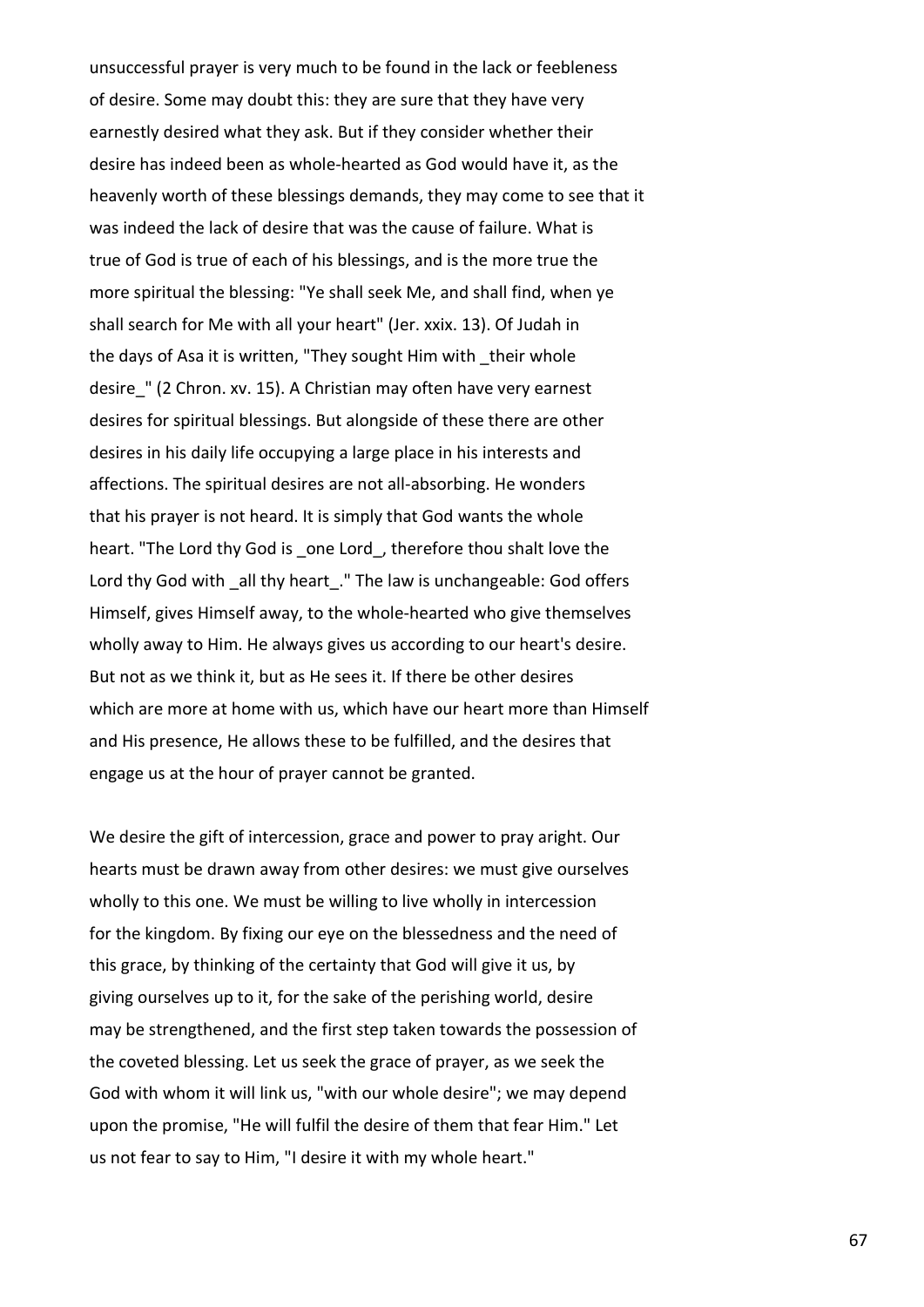unsuccessful prayer is very much to be found in the lack or feebleness of desire. Some may doubt this: they are sure that they have very earnestly desired what they ask. But if they consider whether their desire has indeed been as whole-hearted as God would have it, as the heavenly worth of these blessings demands, they may come to see that it was indeed the lack of desire that was the cause of failure. What is true of God is true of each of his blessings, and is the more true the more spiritual the blessing: "Ye shall seek Me, and shall find, when ye shall search for Me with all your heart" (Jer. xxix. 13). Of Judah in the days of Asa it is written, "They sought Him with their whole desire\_" (2 Chron. xv. 15). A Christian may often have very earnest desires for spiritual blessings. But alongside of these there are other desires in his daily life occupying a large place in his interests and affections. The spiritual desires are not all-absorbing. He wonders that his prayer is not heard. It is simply that God wants the whole heart. "The Lord thy God is one Lord, therefore thou shalt love the Lord thy God with all thy heart." The law is unchangeable: God offers Himself, gives Himself away, to the whole-hearted who give themselves wholly away to Him. He always gives us according to our heart's desire. But not as we think it, but as He sees it. If there be other desires which are more at home with us, which have our heart more than Himself and His presence, He allows these to be fulfilled, and the desires that engage us at the hour of prayer cannot be granted.

We desire the gift of intercession, grace and power to pray aright. Our hearts must be drawn away from other desires: we must give ourselves wholly to this one. We must be willing to live wholly in intercession for the kingdom. By fixing our eye on the blessedness and the need of this grace, by thinking of the certainty that God will give it us, by giving ourselves up to it, for the sake of the perishing world, desire may be strengthened, and the first step taken towards the possession of the coveted blessing. Let us seek the grace of prayer, as we seek the God with whom it will link us, "with our whole desire"; we may depend upon the promise, "He will fulfil the desire of them that fear Him." Let us not fear to say to Him, "I desire it with my whole heart."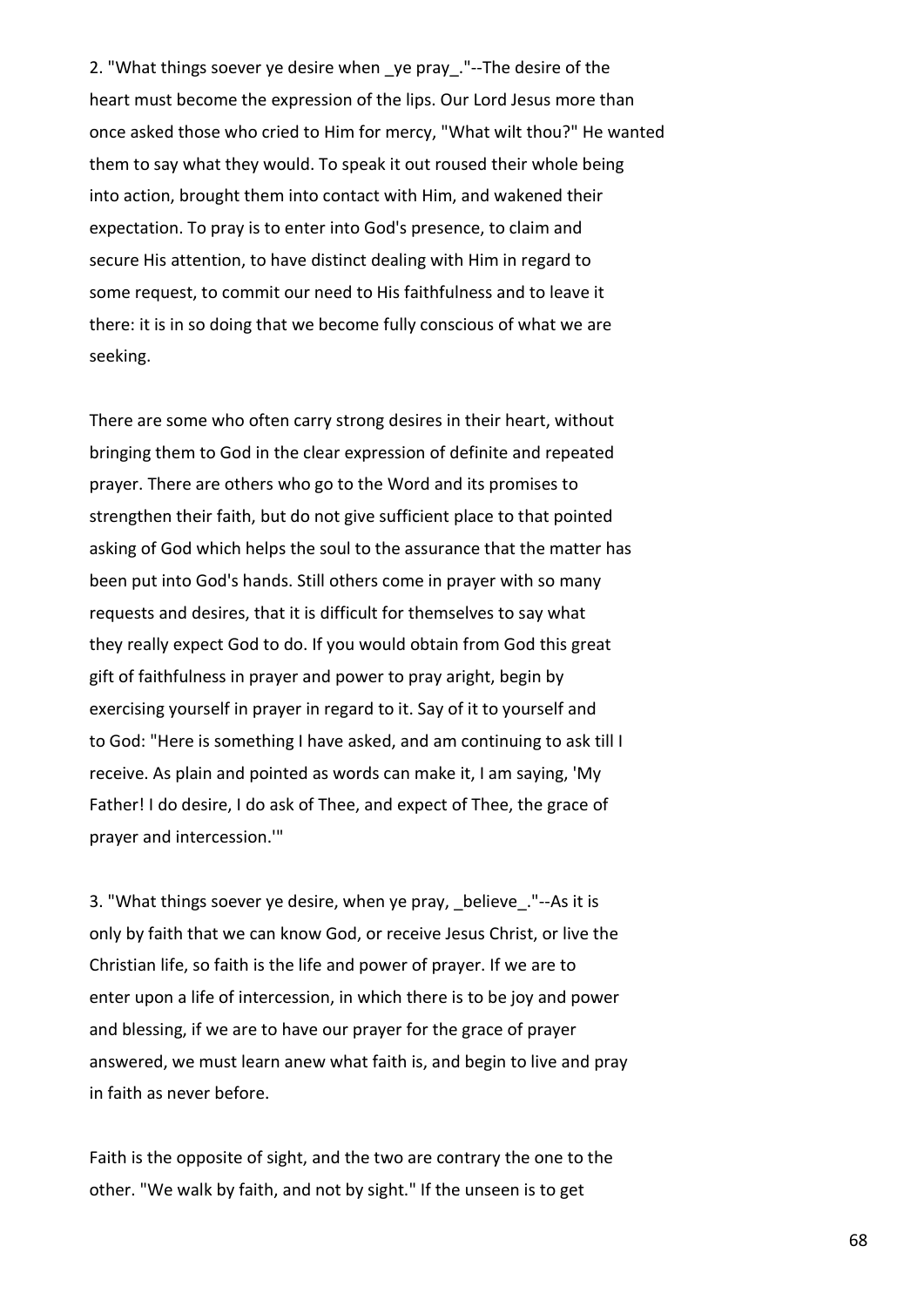2. "What things soever ye desire when ye pray. "--The desire of the heart must become the expression of the lips. Our Lord Jesus more than once asked those who cried to Him for mercy, "What wilt thou?" He wanted them to say what they would. To speak it out roused their whole being into action, brought them into contact with Him, and wakened their expectation. To pray is to enter into God's presence, to claim and secure His attention, to have distinct dealing with Him in regard to some request, to commit our need to His faithfulness and to leave it there: it is in so doing that we become fully conscious of what we are seeking.

There are some who often carry strong desires in their heart, without bringing them to God in the clear expression of definite and repeated prayer. There are others who go to the Word and its promises to strengthen their faith, but do not give sufficient place to that pointed asking of God which helps the soul to the assurance that the matter has been put into God's hands. Still others come in prayer with so many requests and desires, that it is difficult for themselves to say what they really expect God to do. If you would obtain from God this great gift of faithfulness in prayer and power to pray aright, begin by exercising yourself in prayer in regard to it. Say of it to yourself and to God: "Here is something I have asked, and am continuing to ask till I receive. As plain and pointed as words can make it, I am saying, 'My Father! I do desire, I do ask of Thee, and expect of Thee, the grace of prayer and intercession.'"

3. "What things soever ye desire, when ye pray, believe."--As it is only by faith that we can know God, or receive Jesus Christ, or live the Christian life, so faith is the life and power of prayer. If we are to enter upon a life of intercession, in which there is to be joy and power and blessing, if we are to have our prayer for the grace of prayer answered, we must learn anew what faith is, and begin to live and pray in faith as never before.

Faith is the opposite of sight, and the two are contrary the one to the other. "We walk by faith, and not by sight." If the unseen is to get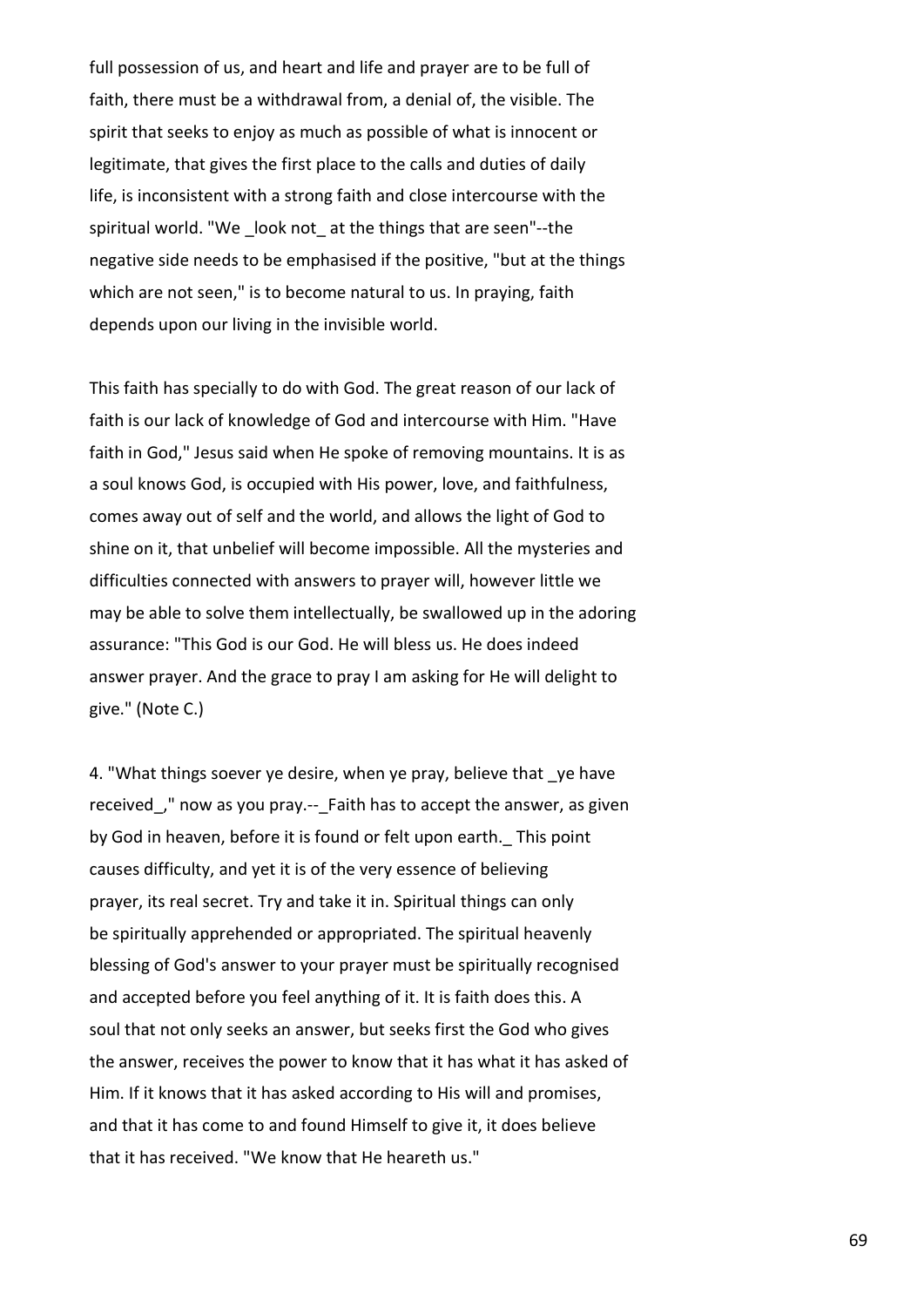full possession of us, and heart and life and prayer are to be full of faith, there must be a withdrawal from, a denial of, the visible. The spirit that seeks to enjoy as much as possible of what is innocent or legitimate, that gives the first place to the calls and duties of daily life, is inconsistent with a strong faith and close intercourse with the spiritual world. "We \_look not\_ at the things that are seen"--the negative side needs to be emphasised if the positive, "but at the things which are not seen," is to become natural to us. In praying, faith depends upon our living in the invisible world.

This faith has specially to do with God. The great reason of our lack of faith is our lack of knowledge of God and intercourse with Him. "Have faith in God," Jesus said when He spoke of removing mountains. It is as a soul knows God, is occupied with His power, love, and faithfulness, comes away out of self and the world, and allows the light of God to shine on it, that unbelief will become impossible. All the mysteries and difficulties connected with answers to prayer will, however little we may be able to solve them intellectually, be swallowed up in the adoring assurance: "This God is our God. He will bless us. He does indeed answer prayer. And the grace to pray I am asking for He will delight to give." (Note C.)

4. "What things soever ye desire, when ye pray, believe that ye have received," now as you pray.-- Faith has to accept the answer, as given by God in heaven, before it is found or felt upon earth. This point causes difficulty, and yet it is of the very essence of believing prayer, its real secret. Try and take it in. Spiritual things can only be spiritually apprehended or appropriated. The spiritual heavenly blessing of God's answer to your prayer must be spiritually recognised and accepted before you feel anything of it. It is faith does this. A soul that not only seeks an answer, but seeks first the God who gives the answer, receives the power to know that it has what it has asked of Him. If it knows that it has asked according to His will and promises, and that it has come to and found Himself to give it, it does believe that it has received. "We know that He heareth us."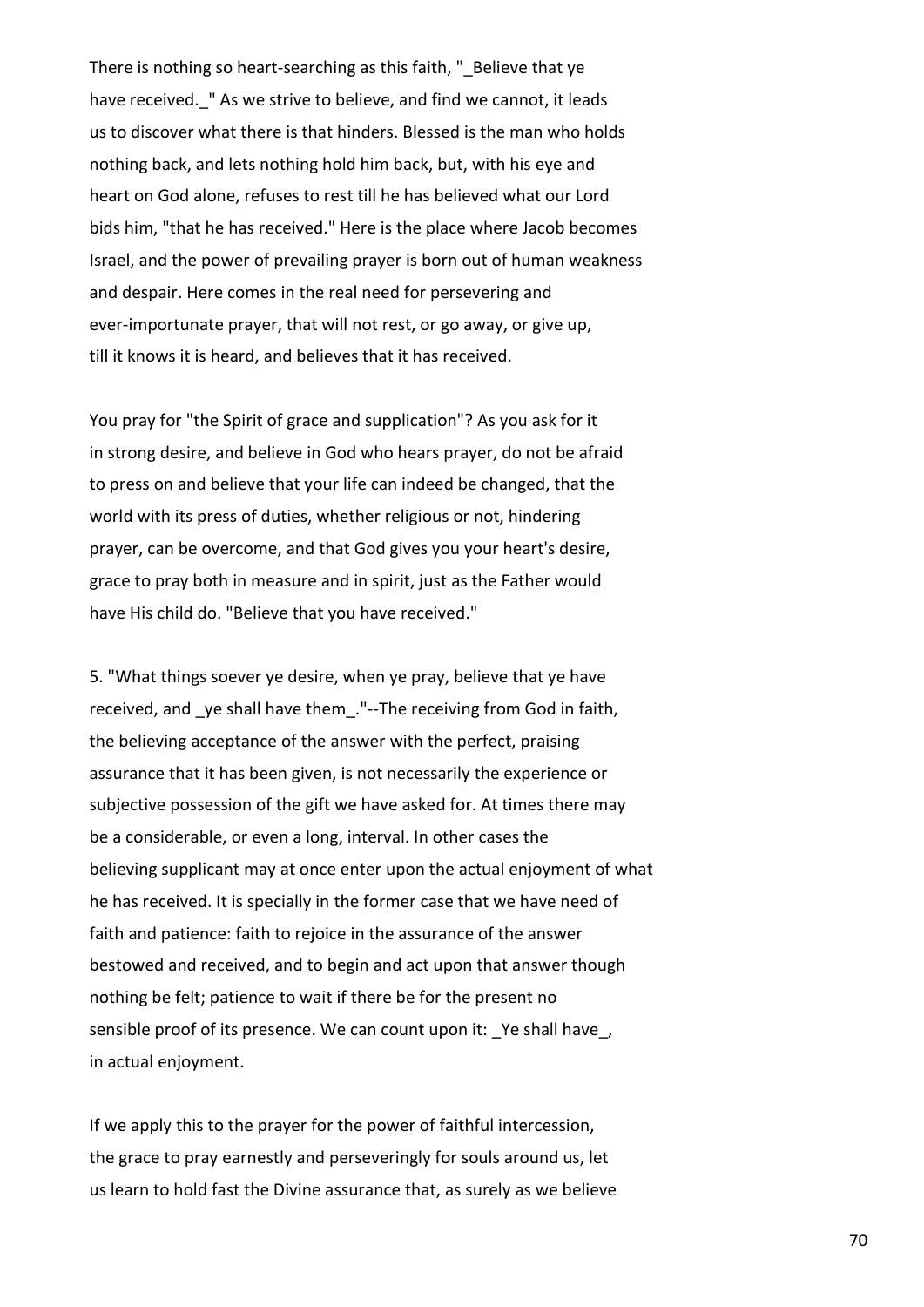There is nothing so heart-searching as this faith, " Believe that ye have received. " As we strive to believe, and find we cannot, it leads us to discover what there is that hinders. Blessed is the man who holds nothing back, and lets nothing hold him back, but, with his eye and heart on God alone, refuses to rest till he has believed what our Lord bids him, "that he has received." Here is the place where Jacob becomes Israel, and the power of prevailing prayer is born out of human weakness and despair. Here comes in the real need for persevering and ever-importunate prayer, that will not rest, or go away, or give up, till it knows it is heard, and believes that it has received.

You pray for "the Spirit of grace and supplication"? As you ask for it in strong desire, and believe in God who hears prayer, do not be afraid to press on and believe that your life can indeed be changed, that the world with its press of duties, whether religious or not, hindering prayer, can be overcome, and that God gives you your heart's desire, grace to pray both in measure and in spirit, just as the Father would have His child do. "Believe that you have received."

5. "What things soever ye desire, when ye pray, believe that ye have received, and ye shall have them. "--The receiving from God in faith, the believing acceptance of the answer with the perfect, praising assurance that it has been given, is not necessarily the experience or subjective possession of the gift we have asked for. At times there may be a considerable, or even a long, interval. In other cases the believing supplicant may at once enter upon the actual enjoyment of what he has received. It is specially in the former case that we have need of faith and patience: faith to rejoice in the assurance of the answer bestowed and received, and to begin and act upon that answer though nothing be felt; patience to wait if there be for the present no sensible proof of its presence. We can count upon it: Ye shall have, in actual enjoyment.

If we apply this to the prayer for the power of faithful intercession, the grace to pray earnestly and perseveringly for souls around us, let us learn to hold fast the Divine assurance that, as surely as we believe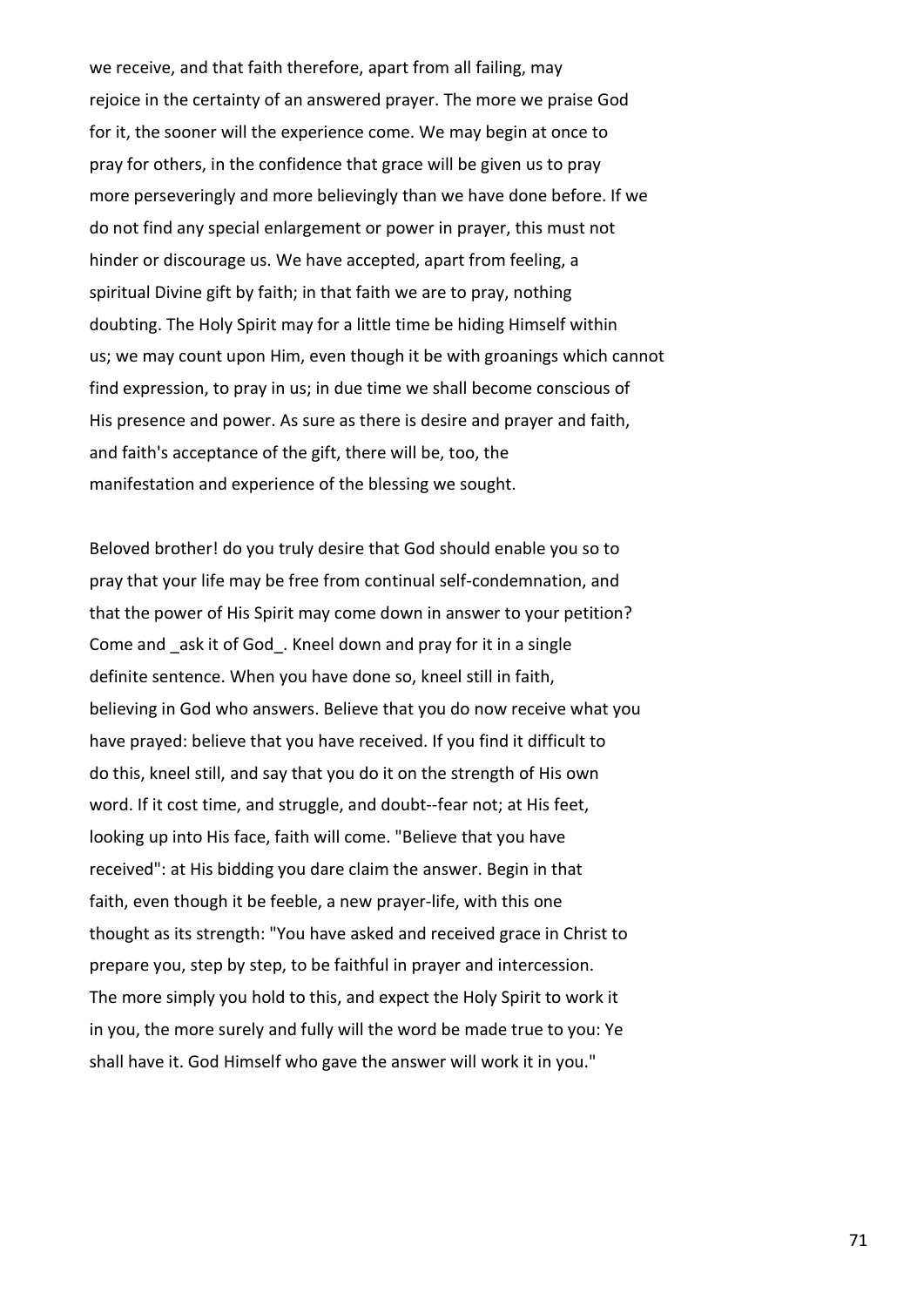we receive, and that faith therefore, apart from all failing, may rejoice in the certainty of an answered prayer. The more we praise God for it, the sooner will the experience come. We may begin at once to pray for others, in the confidence that grace will be given us to pray more perseveringly and more believingly than we have done before. If we do not find any special enlargement or power in prayer, this must not hinder or discourage us. We have accepted, apart from feeling, a spiritual Divine gift by faith; in that faith we are to pray, nothing doubting. The Holy Spirit may for a little time be hiding Himself within us; we may count upon Him, even though it be with groanings which cannot find expression, to pray in us; in due time we shall become conscious of His presence and power. As sure as there is desire and prayer and faith, and faith's acceptance of the gift, there will be, too, the manifestation and experience of the blessing we sought.

Beloved brother! do you truly desire that God should enable you so to pray that your life may be free from continual self-condemnation, and that the power of His Spirit may come down in answer to your petition? Come and ask it of God. Kneel down and pray for it in a single definite sentence. When you have done so, kneel still in faith, believing in God who answers. Believe that you do now receive what you have prayed: believe that you have received. If you find it difficult to do this, kneel still, and say that you do it on the strength of His own word. If it cost time, and struggle, and doubt--fear not; at His feet, looking up into His face, faith will come. "Believe that you have received": at His bidding you dare claim the answer. Begin in that faith, even though it be feeble, a new prayer-life, with this one thought as its strength: "You have asked and received grace in Christ to prepare you, step by step, to be faithful in prayer and intercession. The more simply you hold to this, and expect the Holy Spirit to work it in you, the more surely and fully will the word be made true to you: Ye shall have it. God Himself who gave the answer will work it in you."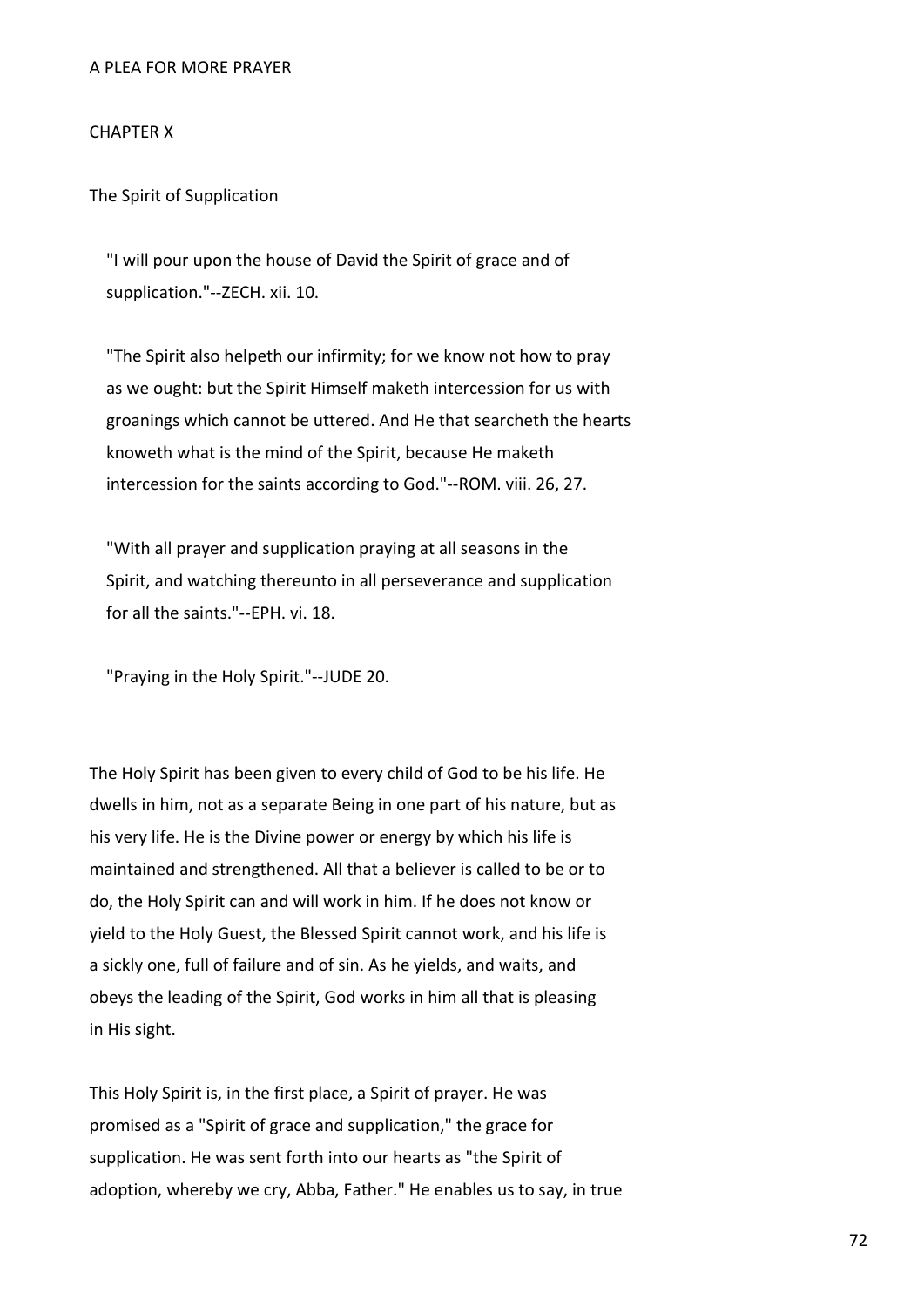# A PLEA FOR MORE PRAYER

# CHAPTER X

The Spirit of Supplication

 "I will pour upon the house of David the Spirit of grace and of supplication."--ZECH. xii. 10.

 "The Spirit also helpeth our infirmity; for we know not how to pray as we ought: but the Spirit Himself maketh intercession for us with groanings which cannot be uttered. And He that searcheth the hearts knoweth what is the mind of the Spirit, because He maketh intercession for the saints according to God."--ROM. viii. 26, 27.

 "With all prayer and supplication praying at all seasons in the Spirit, and watching thereunto in all perseverance and supplication for all the saints."--EPH. vi. 18.

"Praying in the Holy Spirit."--JUDE 20.

The Holy Spirit has been given to every child of God to be his life. He dwells in him, not as a separate Being in one part of his nature, but as his very life. He is the Divine power or energy by which his life is maintained and strengthened. All that a believer is called to be or to do, the Holy Spirit can and will work in him. If he does not know or yield to the Holy Guest, the Blessed Spirit cannot work, and his life is a sickly one, full of failure and of sin. As he yields, and waits, and obeys the leading of the Spirit, God works in him all that is pleasing in His sight.

This Holy Spirit is, in the first place, a Spirit of prayer. He was promised as a "Spirit of grace and supplication," the grace for supplication. He was sent forth into our hearts as "the Spirit of adoption, whereby we cry, Abba, Father." He enables us to say, in true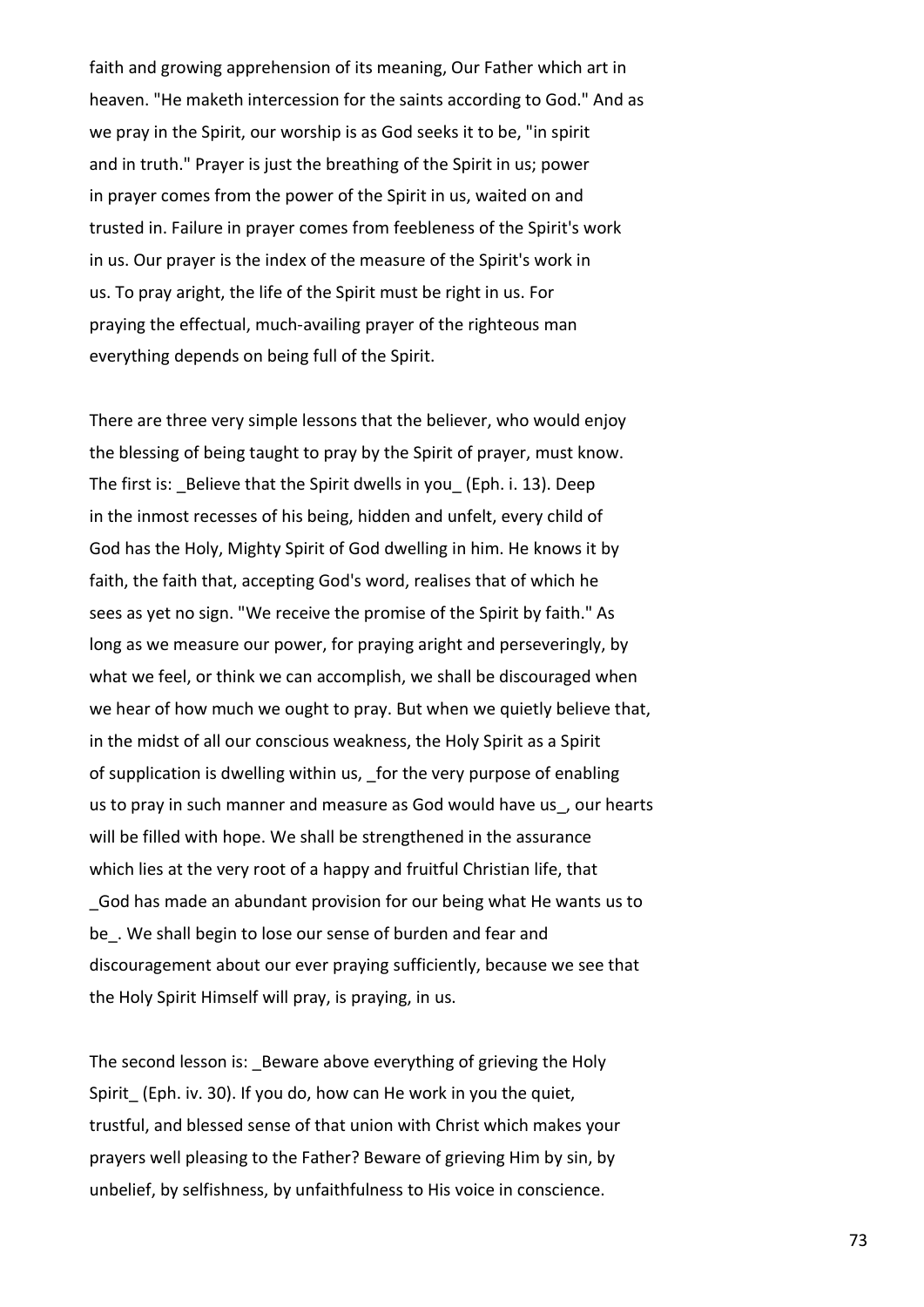faith and growing apprehension of its meaning, Our Father which art in heaven. "He maketh intercession for the saints according to God." And as we pray in the Spirit, our worship is as God seeks it to be, "in spirit and in truth." Prayer is just the breathing of the Spirit in us; power in prayer comes from the power of the Spirit in us, waited on and trusted in. Failure in prayer comes from feebleness of the Spirit's work in us. Our prayer is the index of the measure of the Spirit's work in us. To pray aright, the life of the Spirit must be right in us. For praying the effectual, much-availing prayer of the righteous man everything depends on being full of the Spirit.

There are three very simple lessons that the believer, who would enjoy the blessing of being taught to pray by the Spirit of prayer, must know. The first is: Believe that the Spirit dwells in you (Eph. i. 13). Deep in the inmost recesses of his being, hidden and unfelt, every child of God has the Holy, Mighty Spirit of God dwelling in him. He knows it by faith, the faith that, accepting God's word, realises that of which he sees as yet no sign. "We receive the promise of the Spirit by faith." As long as we measure our power, for praying aright and perseveringly, by what we feel, or think we can accomplish, we shall be discouraged when we hear of how much we ought to pray. But when we quietly believe that, in the midst of all our conscious weakness, the Holy Spirit as a Spirit of supplication is dwelling within us, for the very purpose of enabling us to pray in such manner and measure as God would have us, our hearts will be filled with hope. We shall be strengthened in the assurance which lies at the very root of a happy and fruitful Christian life, that \_God has made an abundant provision for our being what He wants us to be. We shall begin to lose our sense of burden and fear and discouragement about our ever praying sufficiently, because we see that the Holy Spirit Himself will pray, is praying, in us.

The second lesson is: Beware above everything of grieving the Holy Spirit\_ (Eph. iv. 30). If you do, how can He work in you the quiet, trustful, and blessed sense of that union with Christ which makes your prayers well pleasing to the Father? Beware of grieving Him by sin, by unbelief, by selfishness, by unfaithfulness to His voice in conscience.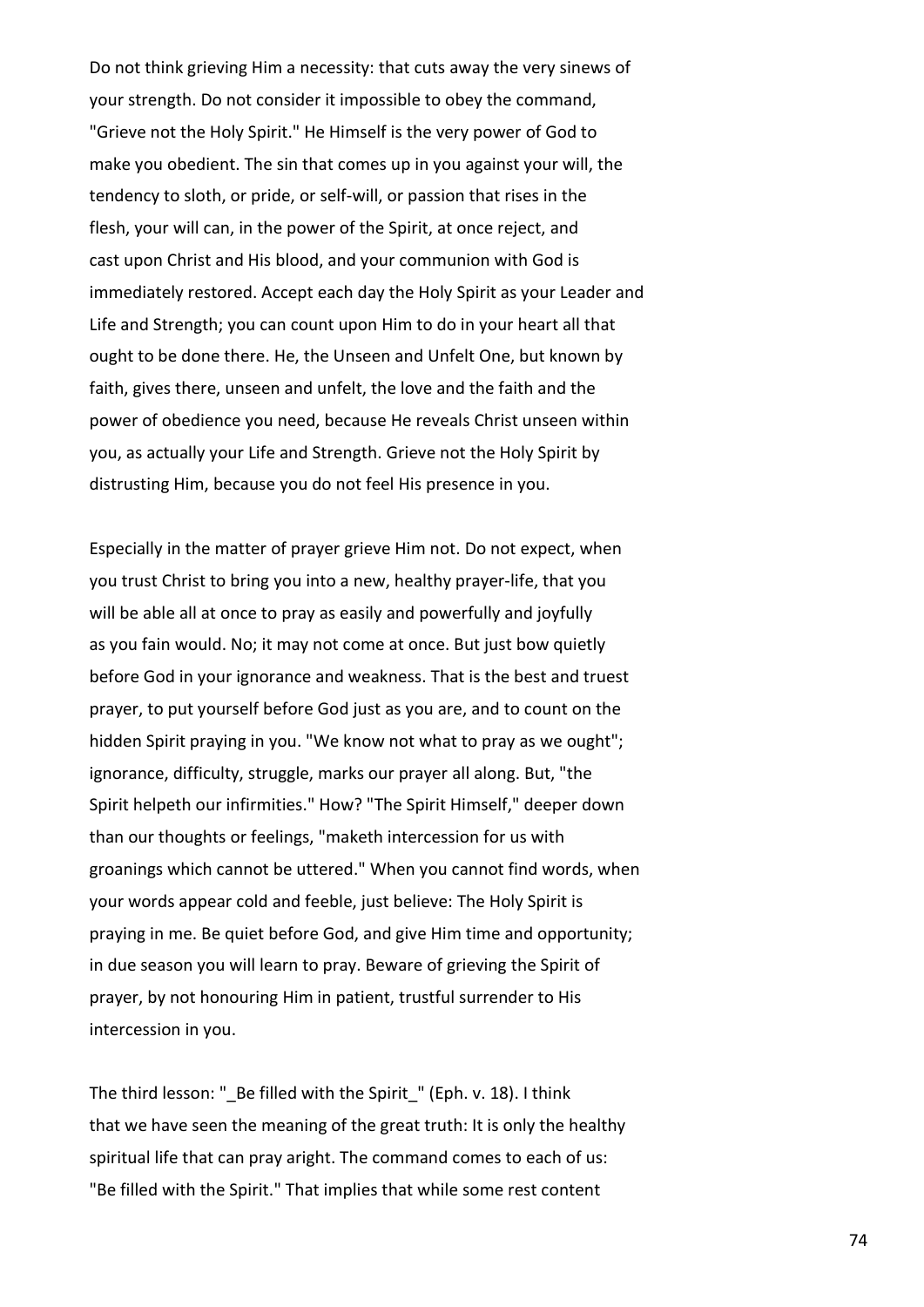Do not think grieving Him a necessity: that cuts away the very sinews of your strength. Do not consider it impossible to obey the command, "Grieve not the Holy Spirit." He Himself is the very power of God to make you obedient. The sin that comes up in you against your will, the tendency to sloth, or pride, or self-will, or passion that rises in the flesh, your will can, in the power of the Spirit, at once reject, and cast upon Christ and His blood, and your communion with God is immediately restored. Accept each day the Holy Spirit as your Leader and Life and Strength; you can count upon Him to do in your heart all that ought to be done there. He, the Unseen and Unfelt One, but known by faith, gives there, unseen and unfelt, the love and the faith and the power of obedience you need, because He reveals Christ unseen within you, as actually your Life and Strength. Grieve not the Holy Spirit by distrusting Him, because you do not feel His presence in you.

Especially in the matter of prayer grieve Him not. Do not expect, when you trust Christ to bring you into a new, healthy prayer-life, that you will be able all at once to pray as easily and powerfully and joyfully as you fain would. No; it may not come at once. But just bow quietly before God in your ignorance and weakness. That is the best and truest prayer, to put yourself before God just as you are, and to count on the hidden Spirit praying in you. "We know not what to pray as we ought"; ignorance, difficulty, struggle, marks our prayer all along. But, "the Spirit helpeth our infirmities." How? "The Spirit Himself," deeper down than our thoughts or feelings, "maketh intercession for us with groanings which cannot be uttered." When you cannot find words, when your words appear cold and feeble, just believe: The Holy Spirit is praying in me. Be quiet before God, and give Him time and opportunity; in due season you will learn to pray. Beware of grieving the Spirit of prayer, by not honouring Him in patient, trustful surrender to His intercession in you.

The third lesson: "\_Be filled with the Spirit\_" (Eph. v. 18). I think that we have seen the meaning of the great truth: It is only the healthy spiritual life that can pray aright. The command comes to each of us: "Be filled with the Spirit." That implies that while some rest content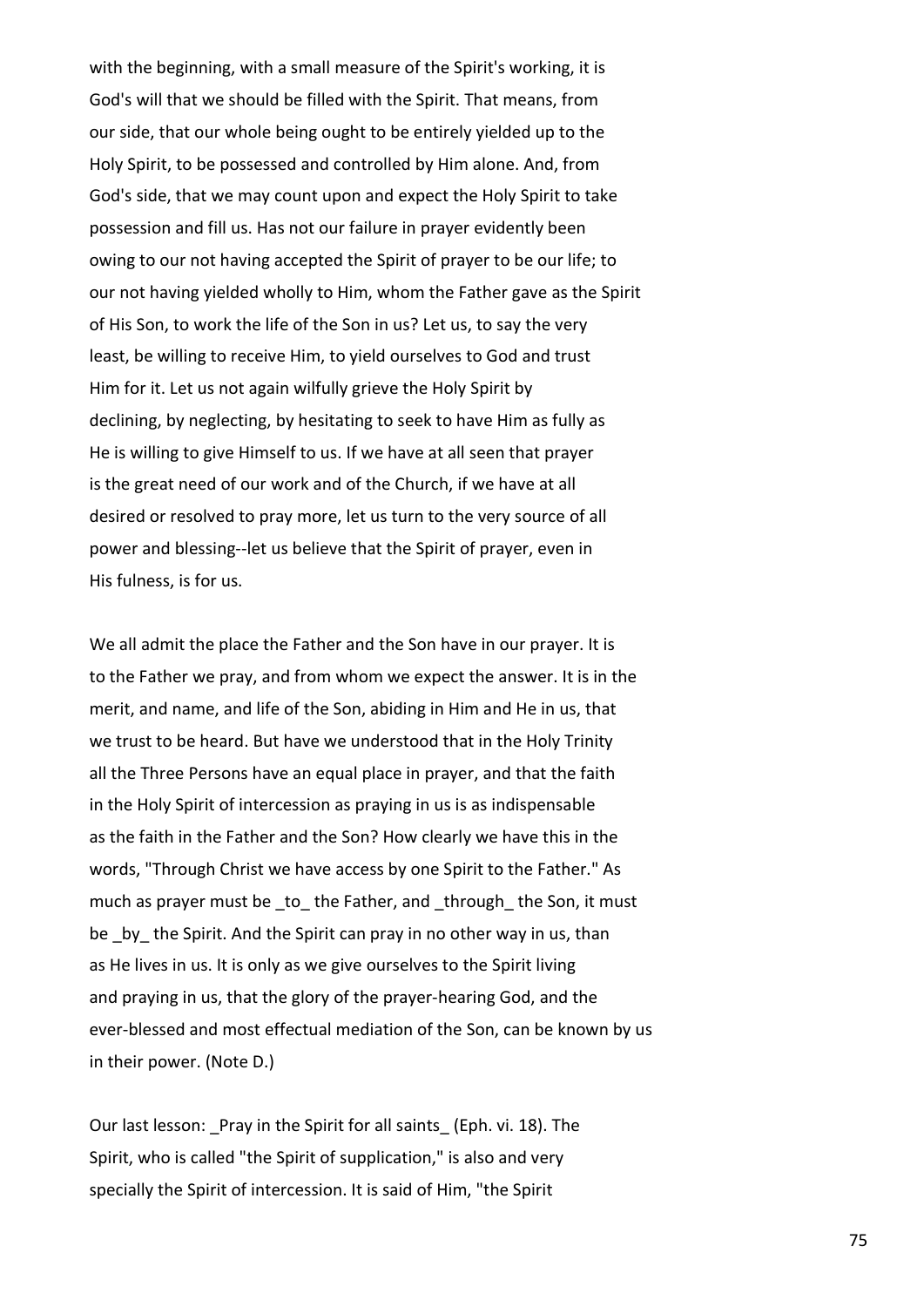with the beginning, with a small measure of the Spirit's working, it is God's will that we should be filled with the Spirit. That means, from our side, that our whole being ought to be entirely yielded up to the Holy Spirit, to be possessed and controlled by Him alone. And, from God's side, that we may count upon and expect the Holy Spirit to take possession and fill us. Has not our failure in prayer evidently been owing to our not having accepted the Spirit of prayer to be our life; to our not having yielded wholly to Him, whom the Father gave as the Spirit of His Son, to work the life of the Son in us? Let us, to say the very least, be willing to receive Him, to yield ourselves to God and trust Him for it. Let us not again wilfully grieve the Holy Spirit by declining, by neglecting, by hesitating to seek to have Him as fully as He is willing to give Himself to us. If we have at all seen that prayer is the great need of our work and of the Church, if we have at all desired or resolved to pray more, let us turn to the very source of all power and blessing--let us believe that the Spirit of prayer, even in His fulness, is for us.

We all admit the place the Father and the Son have in our prayer. It is to the Father we pray, and from whom we expect the answer. It is in the merit, and name, and life of the Son, abiding in Him and He in us, that we trust to be heard. But have we understood that in the Holy Trinity all the Three Persons have an equal place in prayer, and that the faith in the Holy Spirit of intercession as praying in us is as indispensable as the faith in the Father and the Son? How clearly we have this in the words, "Through Christ we have access by one Spirit to the Father." As much as prayer must be to the Father, and through the Son, it must be by the Spirit. And the Spirit can pray in no other way in us, than as He lives in us. It is only as we give ourselves to the Spirit living and praying in us, that the glory of the prayer-hearing God, and the ever-blessed and most effectual mediation of the Son, can be known by us in their power. (Note D.)

Our last lesson: Pray in the Spirit for all saints (Eph. vi. 18). The Spirit, who is called "the Spirit of supplication," is also and very specially the Spirit of intercession. It is said of Him, "the Spirit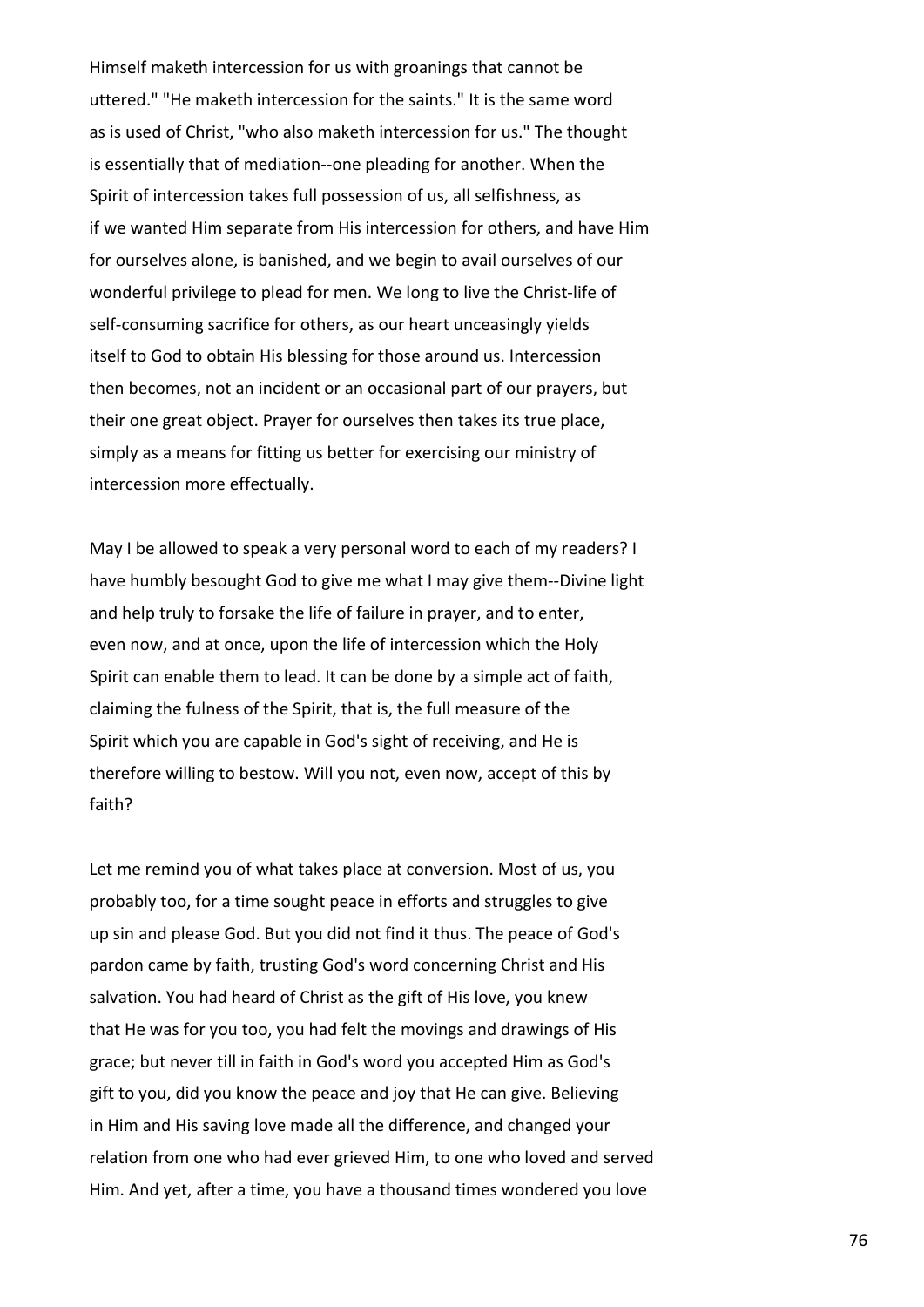Himself maketh intercession for us with groanings that cannot be uttered." "He maketh intercession for the saints." It is the same word as is used of Christ, "who also maketh intercession for us." The thought is essentially that of mediation--one pleading for another. When the Spirit of intercession takes full possession of us, all selfishness, as if we wanted Him separate from His intercession for others, and have Him for ourselves alone, is banished, and we begin to avail ourselves of our wonderful privilege to plead for men. We long to live the Christ-life of self-consuming sacrifice for others, as our heart unceasingly yields itself to God to obtain His blessing for those around us. Intercession then becomes, not an incident or an occasional part of our prayers, but their one great object. Prayer for ourselves then takes its true place, simply as a means for fitting us better for exercising our ministry of intercession more effectually.

May I be allowed to speak a very personal word to each of my readers? I have humbly besought God to give me what I may give them--Divine light and help truly to forsake the life of failure in prayer, and to enter, even now, and at once, upon the life of intercession which the Holy Spirit can enable them to lead. It can be done by a simple act of faith, claiming the fulness of the Spirit, that is, the full measure of the Spirit which you are capable in God's sight of receiving, and He is therefore willing to bestow. Will you not, even now, accept of this by faith?

Let me remind you of what takes place at conversion. Most of us, you probably too, for a time sought peace in efforts and struggles to give up sin and please God. But you did not find it thus. The peace of God's pardon came by faith, trusting God's word concerning Christ and His salvation. You had heard of Christ as the gift of His love, you knew that He was for you too, you had felt the movings and drawings of His grace; but never till in faith in God's word you accepted Him as God's gift to you, did you know the peace and joy that He can give. Believing in Him and His saving love made all the difference, and changed your relation from one who had ever grieved Him, to one who loved and served Him. And yet, after a time, you have a thousand times wondered you love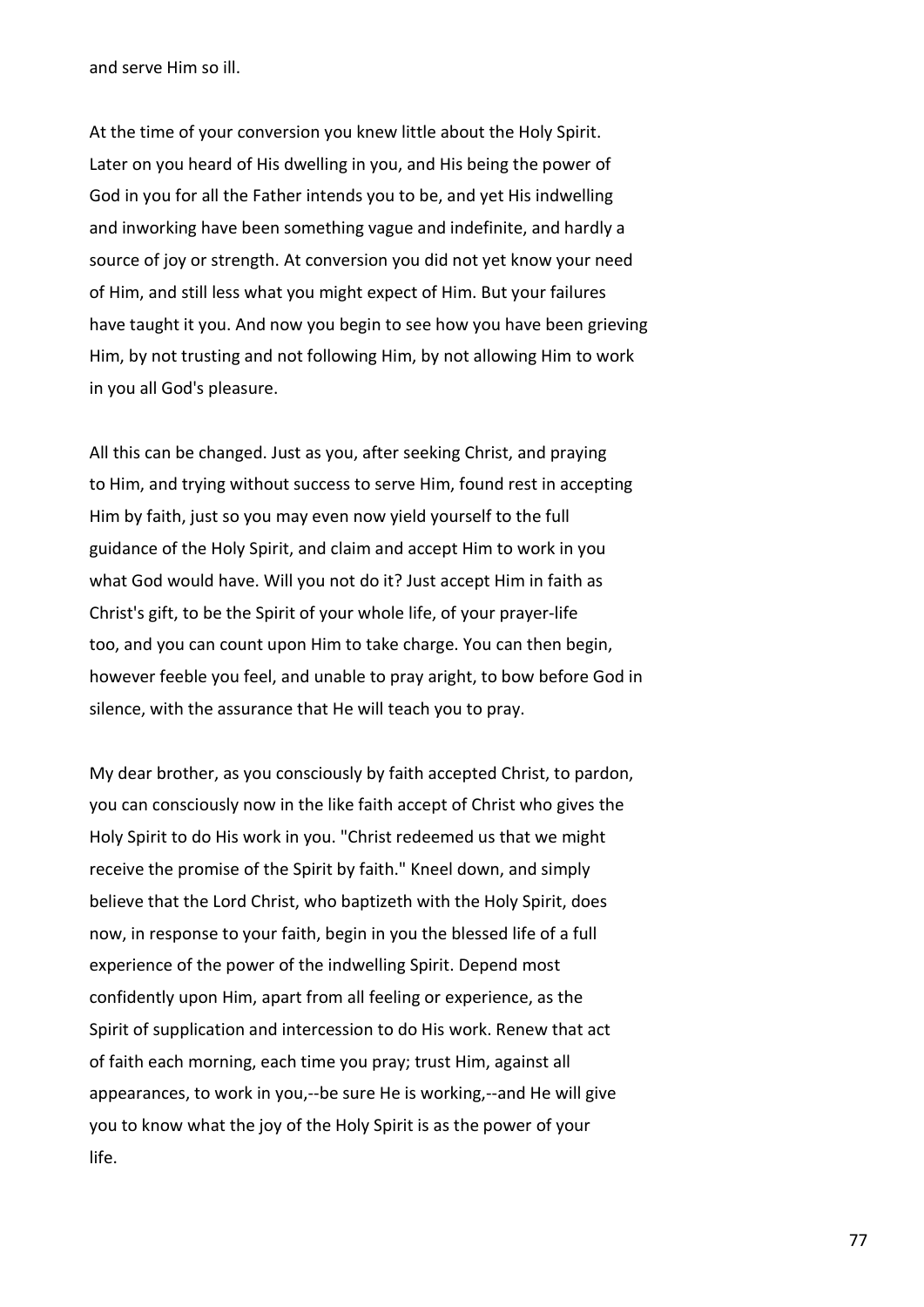and serve Him so ill.

At the time of your conversion you knew little about the Holy Spirit. Later on you heard of His dwelling in you, and His being the power of God in you for all the Father intends you to be, and yet His indwelling and inworking have been something vague and indefinite, and hardly a source of joy or strength. At conversion you did not yet know your need of Him, and still less what you might expect of Him. But your failures have taught it you. And now you begin to see how you have been grieving Him, by not trusting and not following Him, by not allowing Him to work in you all God's pleasure.

All this can be changed. Just as you, after seeking Christ, and praying to Him, and trying without success to serve Him, found rest in accepting Him by faith, just so you may even now yield yourself to the full guidance of the Holy Spirit, and claim and accept Him to work in you what God would have. Will you not do it? Just accept Him in faith as Christ's gift, to be the Spirit of your whole life, of your prayer-life too, and you can count upon Him to take charge. You can then begin, however feeble you feel, and unable to pray aright, to bow before God in silence, with the assurance that He will teach you to pray.

My dear brother, as you consciously by faith accepted Christ, to pardon, you can consciously now in the like faith accept of Christ who gives the Holy Spirit to do His work in you. "Christ redeemed us that we might receive the promise of the Spirit by faith." Kneel down, and simply believe that the Lord Christ, who baptizeth with the Holy Spirit, does now, in response to your faith, begin in you the blessed life of a full experience of the power of the indwelling Spirit. Depend most confidently upon Him, apart from all feeling or experience, as the Spirit of supplication and intercession to do His work. Renew that act of faith each morning, each time you pray; trust Him, against all appearances, to work in you,--be sure He is working,--and He will give you to know what the joy of the Holy Spirit is as the power of your life.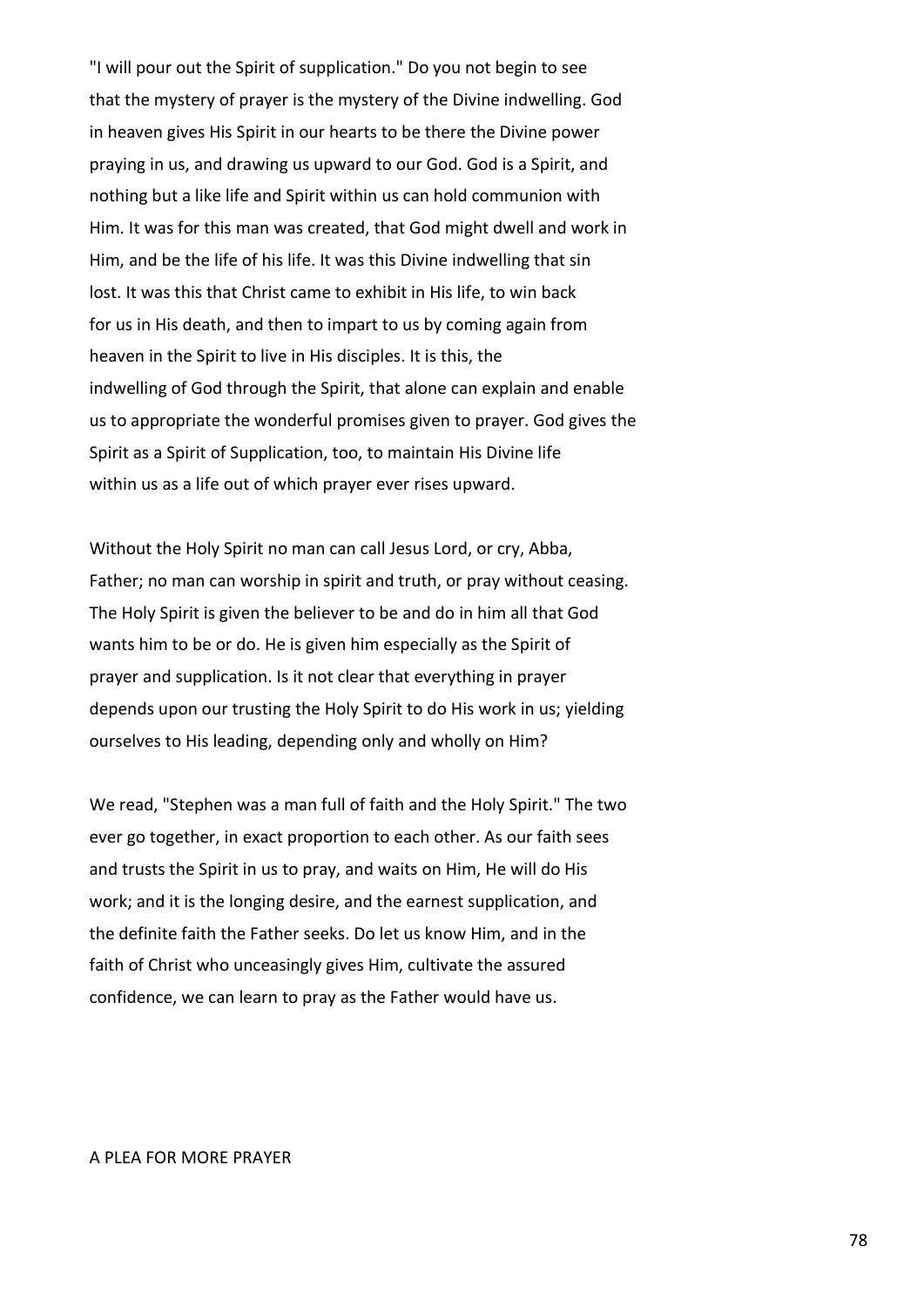"I will pour out the Spirit of supplication." Do you not begin to see that the mystery of prayer is the mystery of the Divine indwelling. God in heaven gives His Spirit in our hearts to be there the Divine power praying in us, and drawing us upward to our God. God is a Spirit, and nothing but a like life and Spirit within us can hold communion with Him. It was for this man was created, that God might dwell and work in Him, and be the life of his life. It was this Divine indwelling that sin lost. It was this that Christ came to exhibit in His life, to win back for us in His death, and then to impart to us by coming again from heaven in the Spirit to live in His disciples. It is this, the indwelling of God through the Spirit, that alone can explain and enable us to appropriate the wonderful promises given to prayer. God gives the Spirit as a Spirit of Supplication, too, to maintain His Divine life within us as a life out of which prayer ever rises upward.

Without the Holy Spirit no man can call Jesus Lord, or cry, Abba, Father; no man can worship in spirit and truth, or pray without ceasing. The Holy Spirit is given the believer to be and do in him all that God wants him to be or do. He is given him especially as the Spirit of prayer and supplication. Is it not clear that everything in prayer depends upon our trusting the Holy Spirit to do His work in us; yielding ourselves to His leading, depending only and wholly on Him?

We read, "Stephen was a man full of faith and the Holy Spirit." The two ever go together, in exact proportion to each other. As our faith sees and trusts the Spirit in us to pray, and waits on Him, He will do His work; and it is the longing desire, and the earnest supplication, and the definite faith the Father seeks. Do let us know Him, and in the faith of Christ who unceasingly gives Him, cultivate the assured confidence, we can learn to pray as the Father would have us.

#### A PLEA FOR MORE PRAYER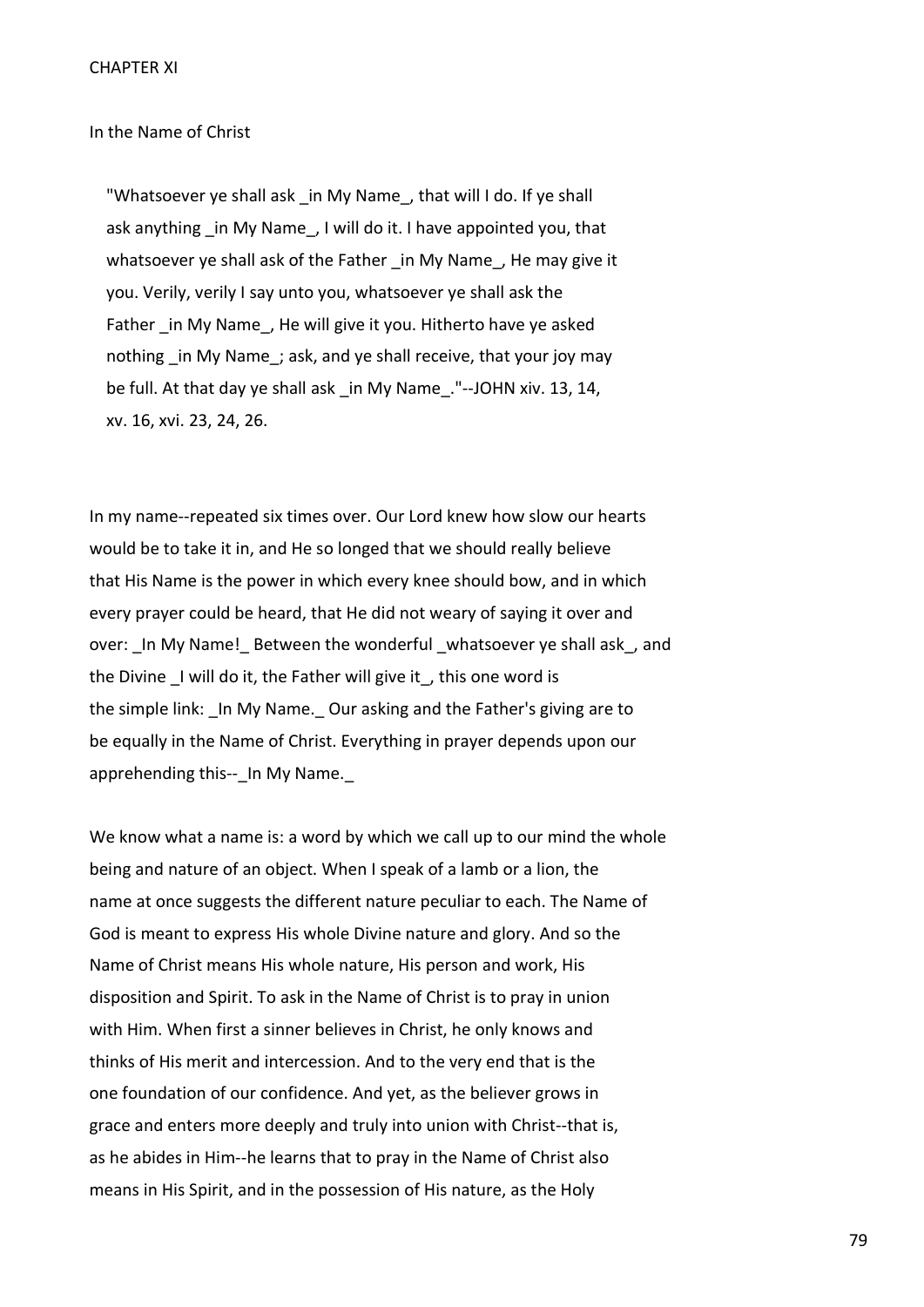In the Name of Christ

"Whatsoever ye shall ask in My Name, that will I do. If ye shall ask anything in My Name, I will do it. I have appointed you, that whatsoever ye shall ask of the Father in My Name, He may give it you. Verily, verily I say unto you, whatsoever ye shall ask the Father in My Name, He will give it you. Hitherto have ye asked nothing in My Name; ask, and ye shall receive, that your joy may be full. At that day ye shall ask in My Name. "--JOHN xiv. 13, 14, xv. 16, xvi. 23, 24, 26.

In my name--repeated six times over. Our Lord knew how slow our hearts would be to take it in, and He so longed that we should really believe that His Name is the power in which every knee should bow, and in which every prayer could be heard, that He did not weary of saying it over and over: In My Name! Between the wonderful whatsoever ye shall ask, and the Divine I will do it, the Father will give it, this one word is the simple link: \_In My Name.\_ Our asking and the Father's giving are to be equally in the Name of Christ. Everything in prayer depends upon our apprehending this-- In My Name.

We know what a name is: a word by which we call up to our mind the whole being and nature of an object. When I speak of a lamb or a lion, the name at once suggests the different nature peculiar to each. The Name of God is meant to express His whole Divine nature and glory. And so the Name of Christ means His whole nature, His person and work, His disposition and Spirit. To ask in the Name of Christ is to pray in union with Him. When first a sinner believes in Christ, he only knows and thinks of His merit and intercession. And to the very end that is the one foundation of our confidence. And yet, as the believer grows in grace and enters more deeply and truly into union with Christ--that is, as he abides in Him--he learns that to pray in the Name of Christ also means in His Spirit, and in the possession of His nature, as the Holy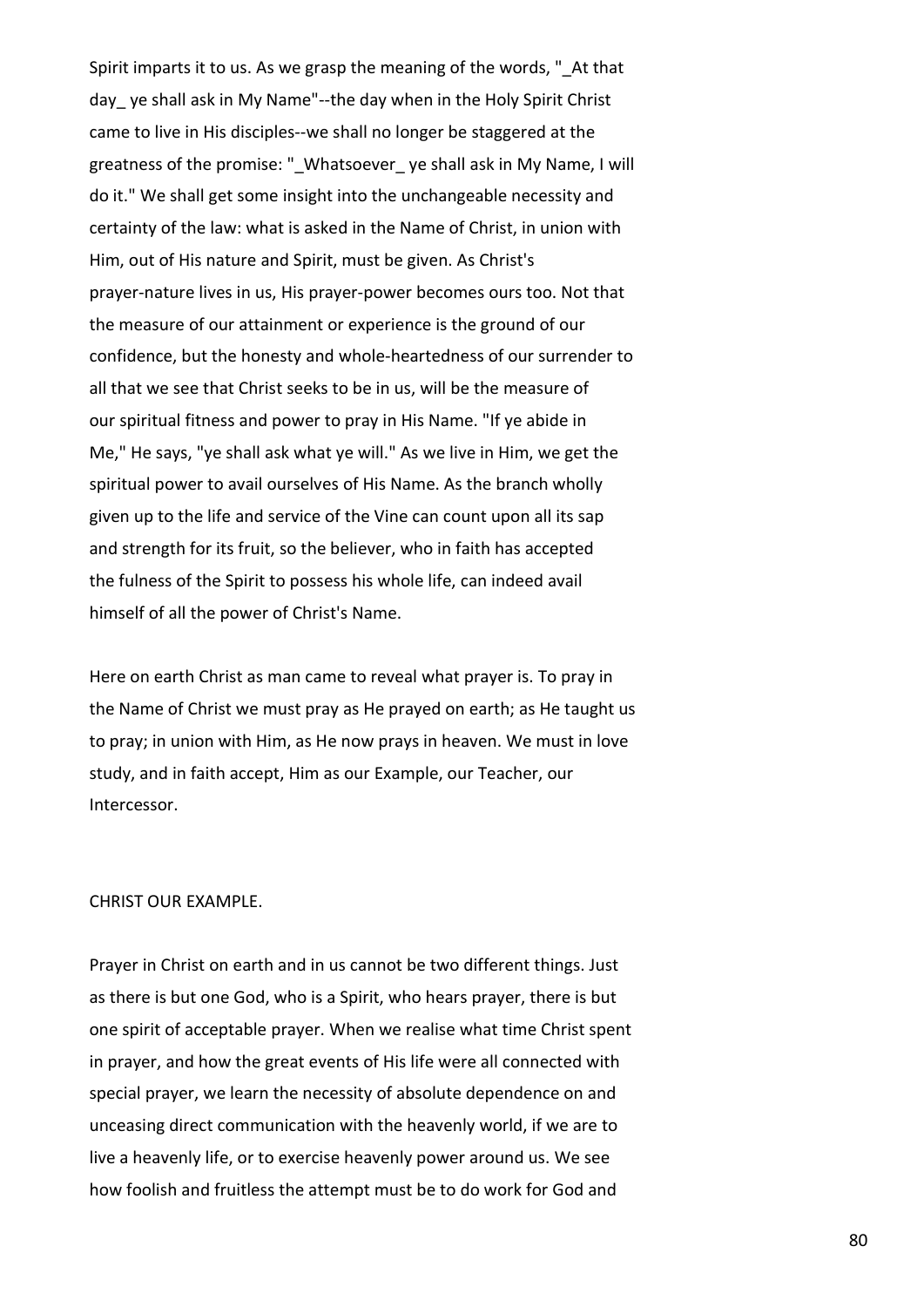Spirit imparts it to us. As we grasp the meaning of the words, " At that day\_ ye shall ask in My Name"--the day when in the Holy Spirit Christ came to live in His disciples--we shall no longer be staggered at the greatness of the promise: "\_Whatsoever\_ ye shall ask in My Name, I will do it." We shall get some insight into the unchangeable necessity and certainty of the law: what is asked in the Name of Christ, in union with Him, out of His nature and Spirit, must be given. As Christ's prayer-nature lives in us, His prayer-power becomes ours too. Not that the measure of our attainment or experience is the ground of our confidence, but the honesty and whole-heartedness of our surrender to all that we see that Christ seeks to be in us, will be the measure of our spiritual fitness and power to pray in His Name. "If ye abide in Me," He says, "ye shall ask what ye will." As we live in Him, we get the spiritual power to avail ourselves of His Name. As the branch wholly given up to the life and service of the Vine can count upon all its sap and strength for its fruit, so the believer, who in faith has accepted the fulness of the Spirit to possess his whole life, can indeed avail himself of all the power of Christ's Name.

Here on earth Christ as man came to reveal what prayer is. To pray in the Name of Christ we must pray as He prayed on earth; as He taught us to pray; in union with Him, as He now prays in heaven. We must in love study, and in faith accept, Him as our Example, our Teacher, our Intercessor.

#### CHRIST OUR EXAMPLE.

Prayer in Christ on earth and in us cannot be two different things. Just as there is but one God, who is a Spirit, who hears prayer, there is but one spirit of acceptable prayer. When we realise what time Christ spent in prayer, and how the great events of His life were all connected with special prayer, we learn the necessity of absolute dependence on and unceasing direct communication with the heavenly world, if we are to live a heavenly life, or to exercise heavenly power around us. We see how foolish and fruitless the attempt must be to do work for God and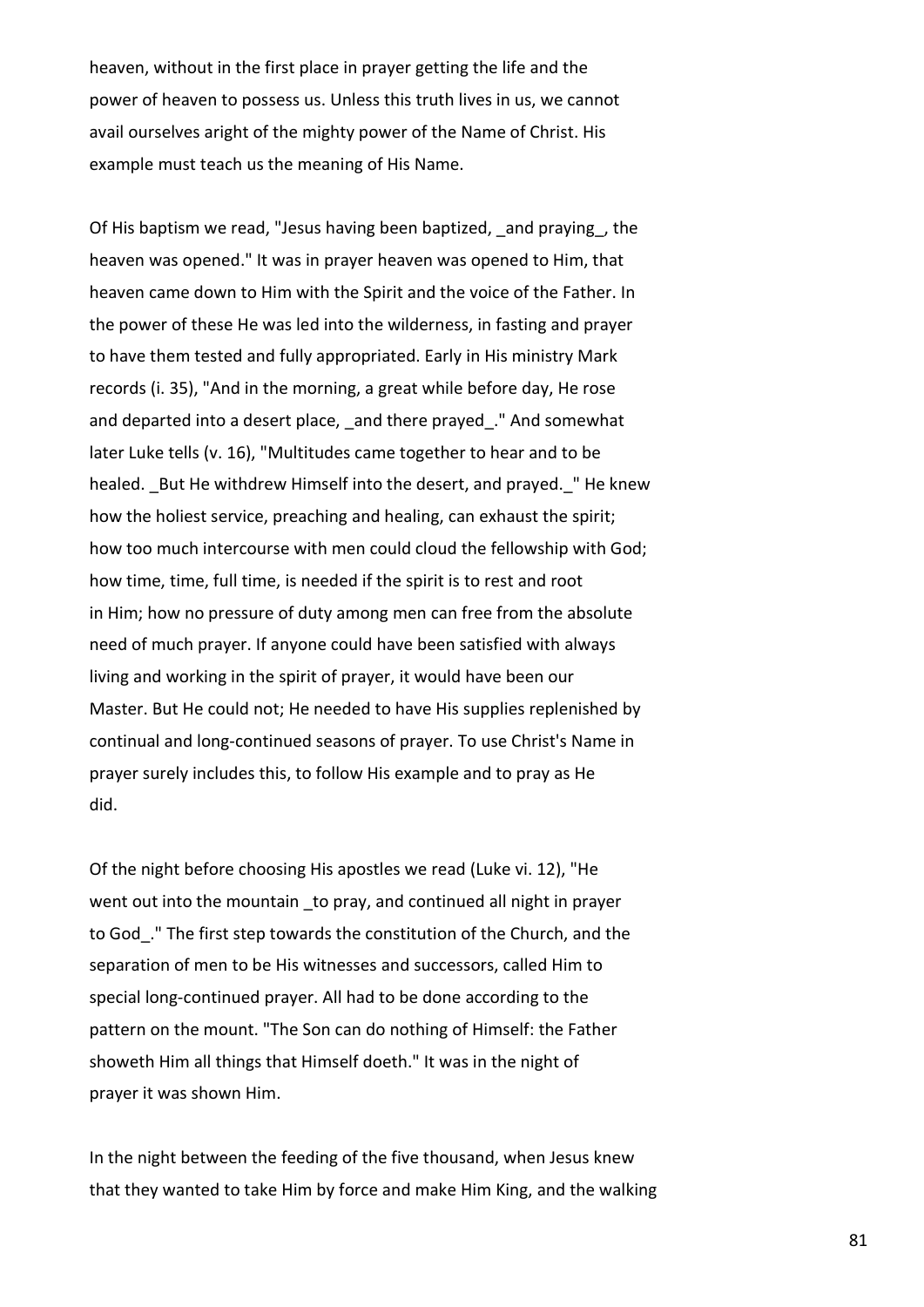heaven, without in the first place in prayer getting the life and the power of heaven to possess us. Unless this truth lives in us, we cannot avail ourselves aright of the mighty power of the Name of Christ. His example must teach us the meaning of His Name.

Of His baptism we read, "Jesus having been baptized, \_and praying\_, the heaven was opened." It was in prayer heaven was opened to Him, that heaven came down to Him with the Spirit and the voice of the Father. In the power of these He was led into the wilderness, in fasting and prayer to have them tested and fully appropriated. Early in His ministry Mark records (i. 35), "And in the morning, a great while before day, He rose and departed into a desert place, and there prayed. "And somewhat later Luke tells (v. 16), "Multitudes came together to hear and to be healed. But He withdrew Himself into the desert, and prayed. "He knew how the holiest service, preaching and healing, can exhaust the spirit; how too much intercourse with men could cloud the fellowship with God; how time, time, full time, is needed if the spirit is to rest and root in Him; how no pressure of duty among men can free from the absolute need of much prayer. If anyone could have been satisfied with always living and working in the spirit of prayer, it would have been our Master. But He could not; He needed to have His supplies replenished by continual and long-continued seasons of prayer. To use Christ's Name in prayer surely includes this, to follow His example and to pray as He did.

Of the night before choosing His apostles we read (Luke vi. 12), "He went out into the mountain to pray, and continued all night in prayer to God\_." The first step towards the constitution of the Church, and the separation of men to be His witnesses and successors, called Him to special long-continued prayer. All had to be done according to the pattern on the mount. "The Son can do nothing of Himself: the Father showeth Him all things that Himself doeth." It was in the night of prayer it was shown Him.

In the night between the feeding of the five thousand, when Jesus knew that they wanted to take Him by force and make Him King, and the walking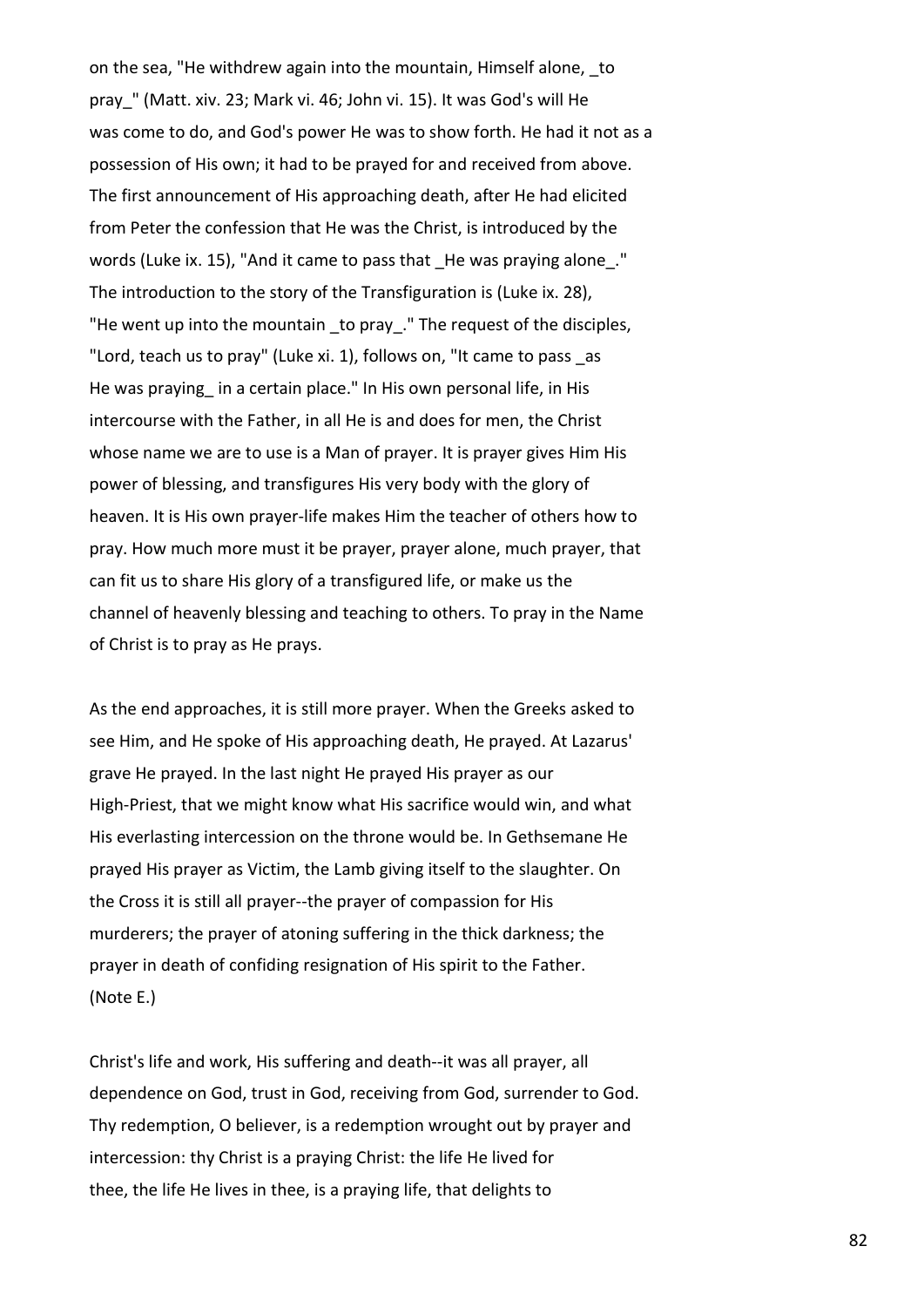on the sea, "He withdrew again into the mountain, Himself alone, to pray\_" (Matt. xiv. 23; Mark vi. 46; John vi. 15). It was God's will He was come to do, and God's power He was to show forth. He had it not as a possession of His own; it had to be prayed for and received from above. The first announcement of His approaching death, after He had elicited from Peter the confession that He was the Christ, is introduced by the words (Luke ix. 15), "And it came to pass that He was praying alone." The introduction to the story of the Transfiguration is (Luke ix. 28), "He went up into the mountain to pray." The request of the disciples, "Lord, teach us to pray" (Luke xi. 1), follows on, "It came to pass \_as He was praying in a certain place." In His own personal life, in His intercourse with the Father, in all He is and does for men, the Christ whose name we are to use is a Man of prayer. It is prayer gives Him His power of blessing, and transfigures His very body with the glory of heaven. It is His own prayer-life makes Him the teacher of others how to pray. How much more must it be prayer, prayer alone, much prayer, that can fit us to share His glory of a transfigured life, or make us the channel of heavenly blessing and teaching to others. To pray in the Name of Christ is to pray as He prays.

As the end approaches, it is still more prayer. When the Greeks asked to see Him, and He spoke of His approaching death, He prayed. At Lazarus' grave He prayed. In the last night He prayed His prayer as our High-Priest, that we might know what His sacrifice would win, and what His everlasting intercession on the throne would be. In Gethsemane He prayed His prayer as Victim, the Lamb giving itself to the slaughter. On the Cross it is still all prayer--the prayer of compassion for His murderers; the prayer of atoning suffering in the thick darkness; the prayer in death of confiding resignation of His spirit to the Father. (Note E.)

Christ's life and work, His suffering and death--it was all prayer, all dependence on God, trust in God, receiving from God, surrender to God. Thy redemption, O believer, is a redemption wrought out by prayer and intercession: thy Christ is a praying Christ: the life He lived for thee, the life He lives in thee, is a praying life, that delights to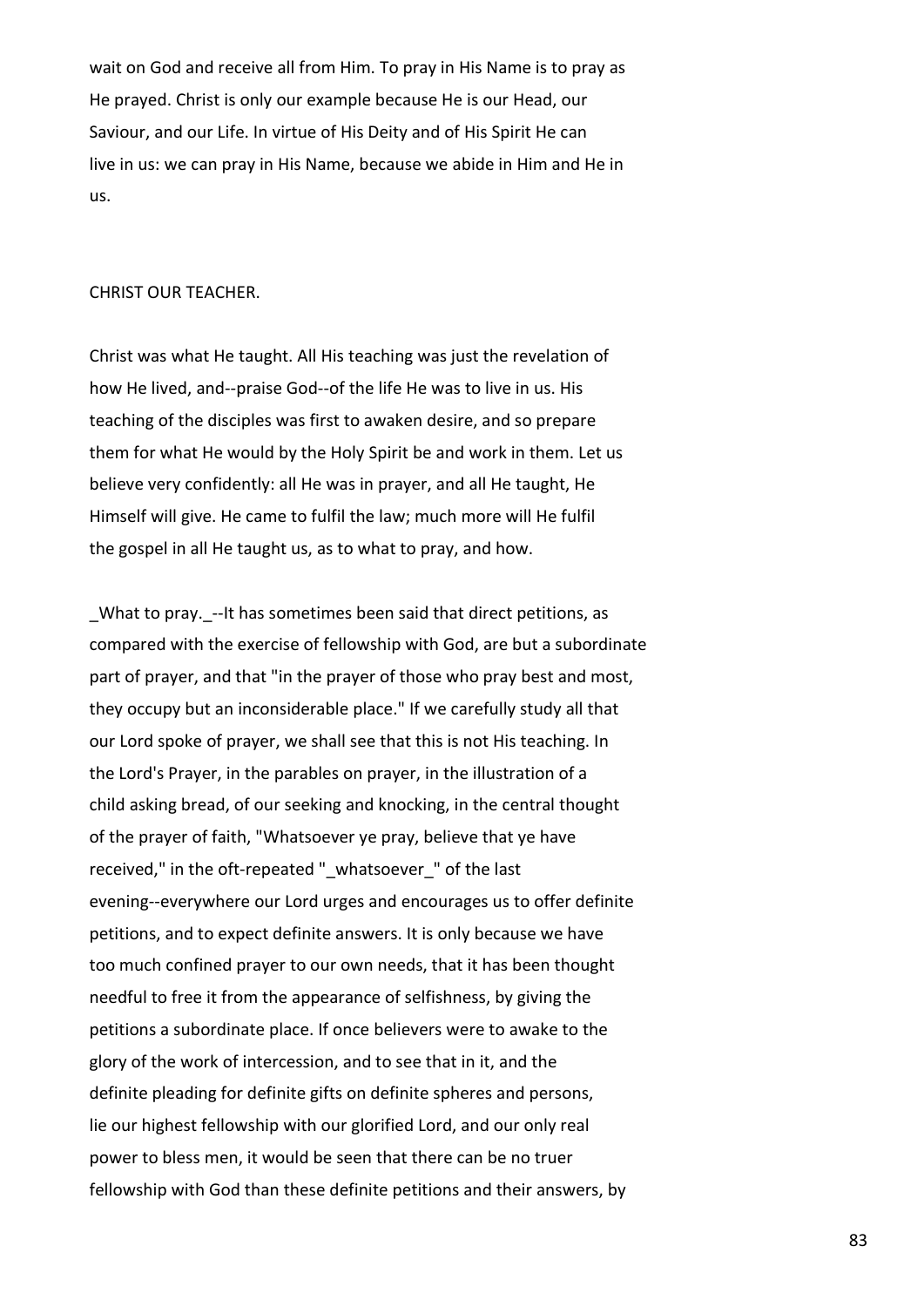wait on God and receive all from Him. To pray in His Name is to pray as He prayed. Christ is only our example because He is our Head, our Saviour, and our Life. In virtue of His Deity and of His Spirit He can live in us: we can pray in His Name, because we abide in Him and He in us.

#### CHRIST OUR TEACHER.

Christ was what He taught. All His teaching was just the revelation of how He lived, and--praise God--of the life He was to live in us. His teaching of the disciples was first to awaken desire, and so prepare them for what He would by the Holy Spirit be and work in them. Let us believe very confidently: all He was in prayer, and all He taught, He Himself will give. He came to fulfil the law; much more will He fulfil the gospel in all He taught us, as to what to pray, and how.

\_What to pray.\_--It has sometimes been said that direct petitions, as compared with the exercise of fellowship with God, are but a subordinate part of prayer, and that "in the prayer of those who pray best and most, they occupy but an inconsiderable place." If we carefully study all that our Lord spoke of prayer, we shall see that this is not His teaching. In the Lord's Prayer, in the parables on prayer, in the illustration of a child asking bread, of our seeking and knocking, in the central thought of the prayer of faith, "Whatsoever ye pray, believe that ye have received," in the oft-repeated " whatsoever " of the last evening--everywhere our Lord urges and encourages us to offer definite petitions, and to expect definite answers. It is only because we have too much confined prayer to our own needs, that it has been thought needful to free it from the appearance of selfishness, by giving the petitions a subordinate place. If once believers were to awake to the glory of the work of intercession, and to see that in it, and the definite pleading for definite gifts on definite spheres and persons, lie our highest fellowship with our glorified Lord, and our only real power to bless men, it would be seen that there can be no truer fellowship with God than these definite petitions and their answers, by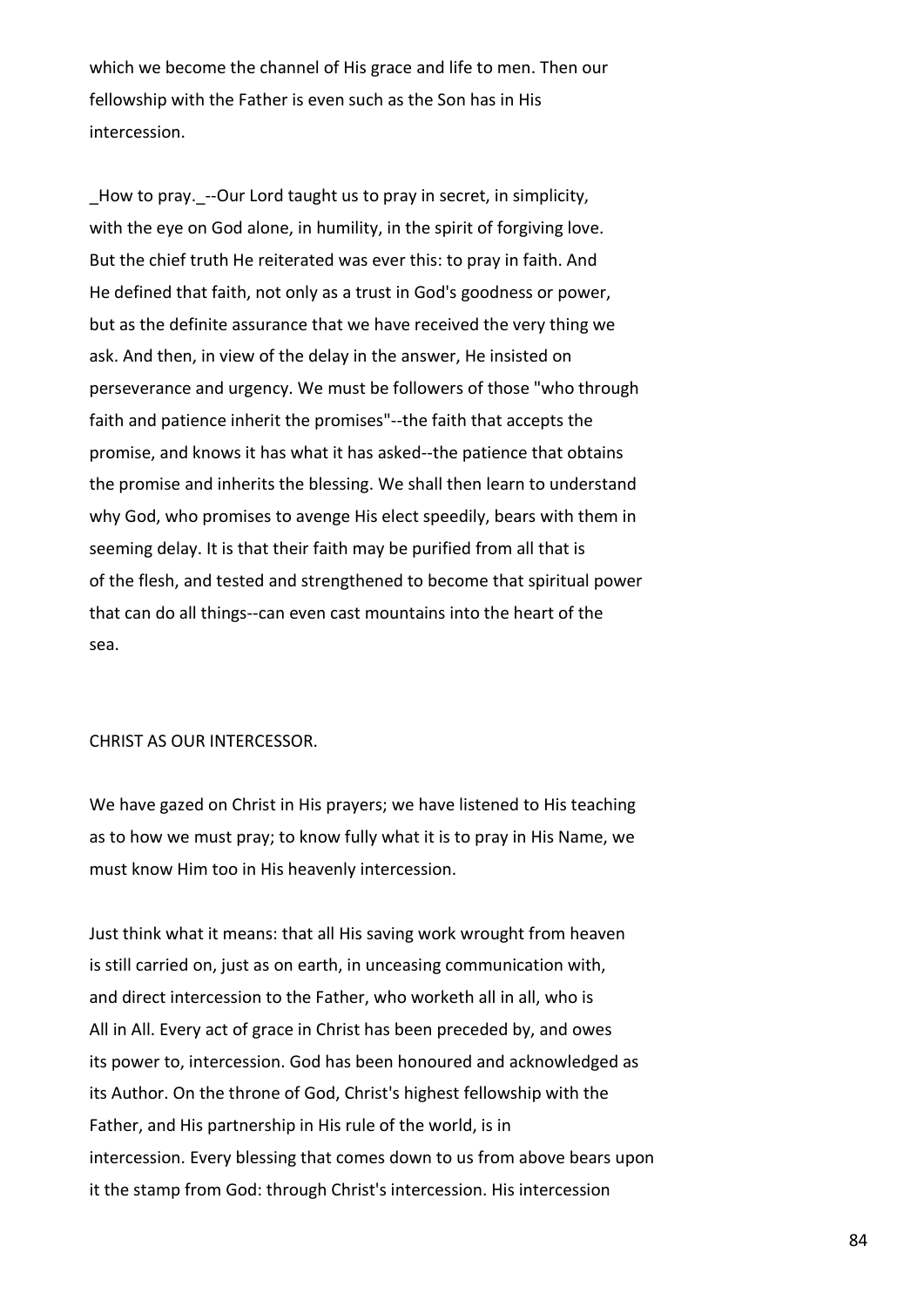which we become the channel of His grace and life to men. Then our fellowship with the Father is even such as the Son has in His intercession.

How to pray. --Our Lord taught us to pray in secret, in simplicity, with the eye on God alone, in humility, in the spirit of forgiving love. But the chief truth He reiterated was ever this: to pray in faith. And He defined that faith, not only as a trust in God's goodness or power, but as the definite assurance that we have received the very thing we ask. And then, in view of the delay in the answer, He insisted on perseverance and urgency. We must be followers of those "who through faith and patience inherit the promises"--the faith that accepts the promise, and knows it has what it has asked--the patience that obtains the promise and inherits the blessing. We shall then learn to understand why God, who promises to avenge His elect speedily, bears with them in seeming delay. It is that their faith may be purified from all that is of the flesh, and tested and strengthened to become that spiritual power that can do all things--can even cast mountains into the heart of the sea.

# CHRIST AS OUR INTERCESSOR.

We have gazed on Christ in His prayers; we have listened to His teaching as to how we must pray; to know fully what it is to pray in His Name, we must know Him too in His heavenly intercession.

Just think what it means: that all His saving work wrought from heaven is still carried on, just as on earth, in unceasing communication with, and direct intercession to the Father, who worketh all in all, who is All in All. Every act of grace in Christ has been preceded by, and owes its power to, intercession. God has been honoured and acknowledged as its Author. On the throne of God, Christ's highest fellowship with the Father, and His partnership in His rule of the world, is in intercession. Every blessing that comes down to us from above bears upon it the stamp from God: through Christ's intercession. His intercession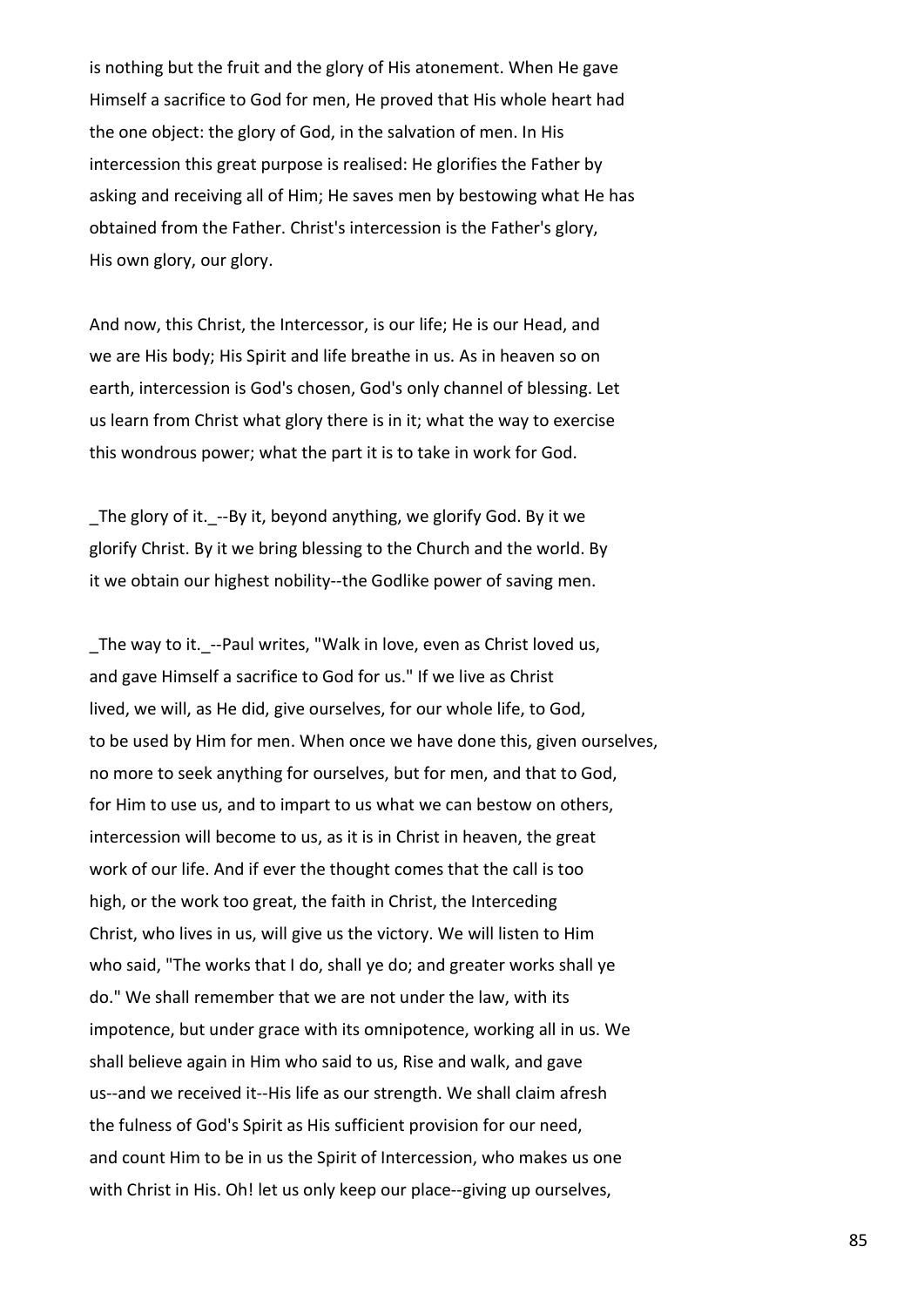is nothing but the fruit and the glory of His atonement. When He gave Himself a sacrifice to God for men, He proved that His whole heart had the one object: the glory of God, in the salvation of men. In His intercession this great purpose is realised: He glorifies the Father by asking and receiving all of Him; He saves men by bestowing what He has obtained from the Father. Christ's intercession is the Father's glory, His own glory, our glory.

And now, this Christ, the Intercessor, is our life; He is our Head, and we are His body; His Spirit and life breathe in us. As in heaven so on earth, intercession is God's chosen, God's only channel of blessing. Let us learn from Christ what glory there is in it; what the way to exercise this wondrous power; what the part it is to take in work for God.

\_The glory of it.\_--By it, beyond anything, we glorify God. By it we glorify Christ. By it we bring blessing to the Church and the world. By it we obtain our highest nobility--the Godlike power of saving men.

\_The way to it.\_--Paul writes, "Walk in love, even as Christ loved us, and gave Himself a sacrifice to God for us." If we live as Christ lived, we will, as He did, give ourselves, for our whole life, to God, to be used by Him for men. When once we have done this, given ourselves, no more to seek anything for ourselves, but for men, and that to God, for Him to use us, and to impart to us what we can bestow on others, intercession will become to us, as it is in Christ in heaven, the great work of our life. And if ever the thought comes that the call is too high, or the work too great, the faith in Christ, the Interceding Christ, who lives in us, will give us the victory. We will listen to Him who said, "The works that I do, shall ye do; and greater works shall ye do." We shall remember that we are not under the law, with its impotence, but under grace with its omnipotence, working all in us. We shall believe again in Him who said to us, Rise and walk, and gave us--and we received it--His life as our strength. We shall claim afresh the fulness of God's Spirit as His sufficient provision for our need, and count Him to be in us the Spirit of Intercession, who makes us one with Christ in His. Oh! let us only keep our place--giving up ourselves,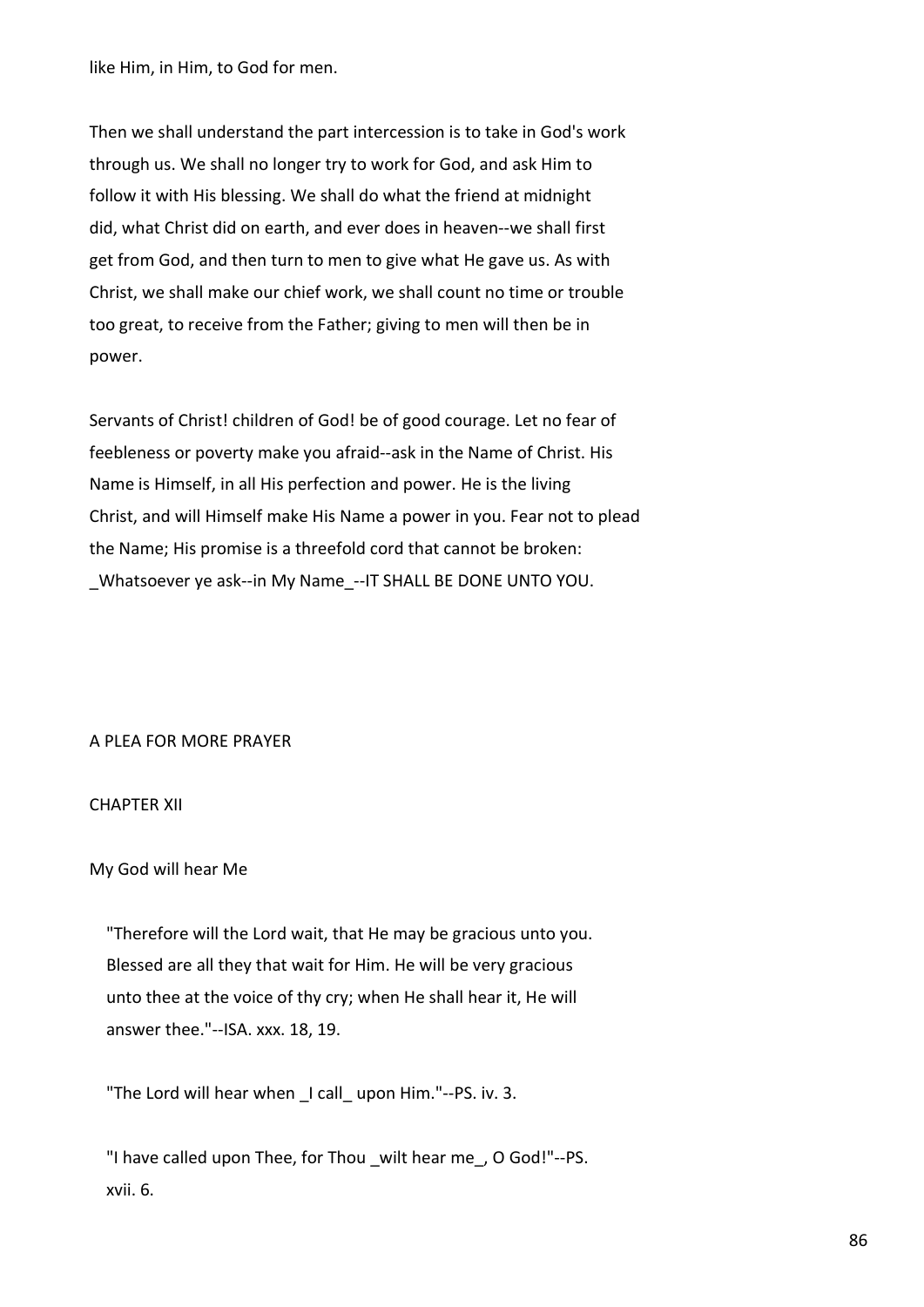like Him, in Him, to God for men.

Then we shall understand the part intercession is to take in God's work through us. We shall no longer try to work for God, and ask Him to follow it with His blessing. We shall do what the friend at midnight did, what Christ did on earth, and ever does in heaven--we shall first get from God, and then turn to men to give what He gave us. As with Christ, we shall make our chief work, we shall count no time or trouble too great, to receive from the Father; giving to men will then be in power.

Servants of Christ! children of God! be of good courage. Let no fear of feebleness or poverty make you afraid--ask in the Name of Christ. His Name is Himself, in all His perfection and power. He is the living Christ, and will Himself make His Name a power in you. Fear not to plead the Name; His promise is a threefold cord that cannot be broken: Whatsoever ye ask--in My Name --IT SHALL BE DONE UNTO YOU.

# A PLEA FOR MORE PRAYER

# CHAPTER XII

### My God will hear Me

 "Therefore will the Lord wait, that He may be gracious unto you. Blessed are all they that wait for Him. He will be very gracious unto thee at the voice of thy cry; when He shall hear it, He will answer thee."--ISA. xxx. 18, 19.

"The Lord will hear when \_I call\_ upon Him."--PS. iv. 3.

"I have called upon Thee, for Thou wilt hear me, O God!"--PS. xvii. 6.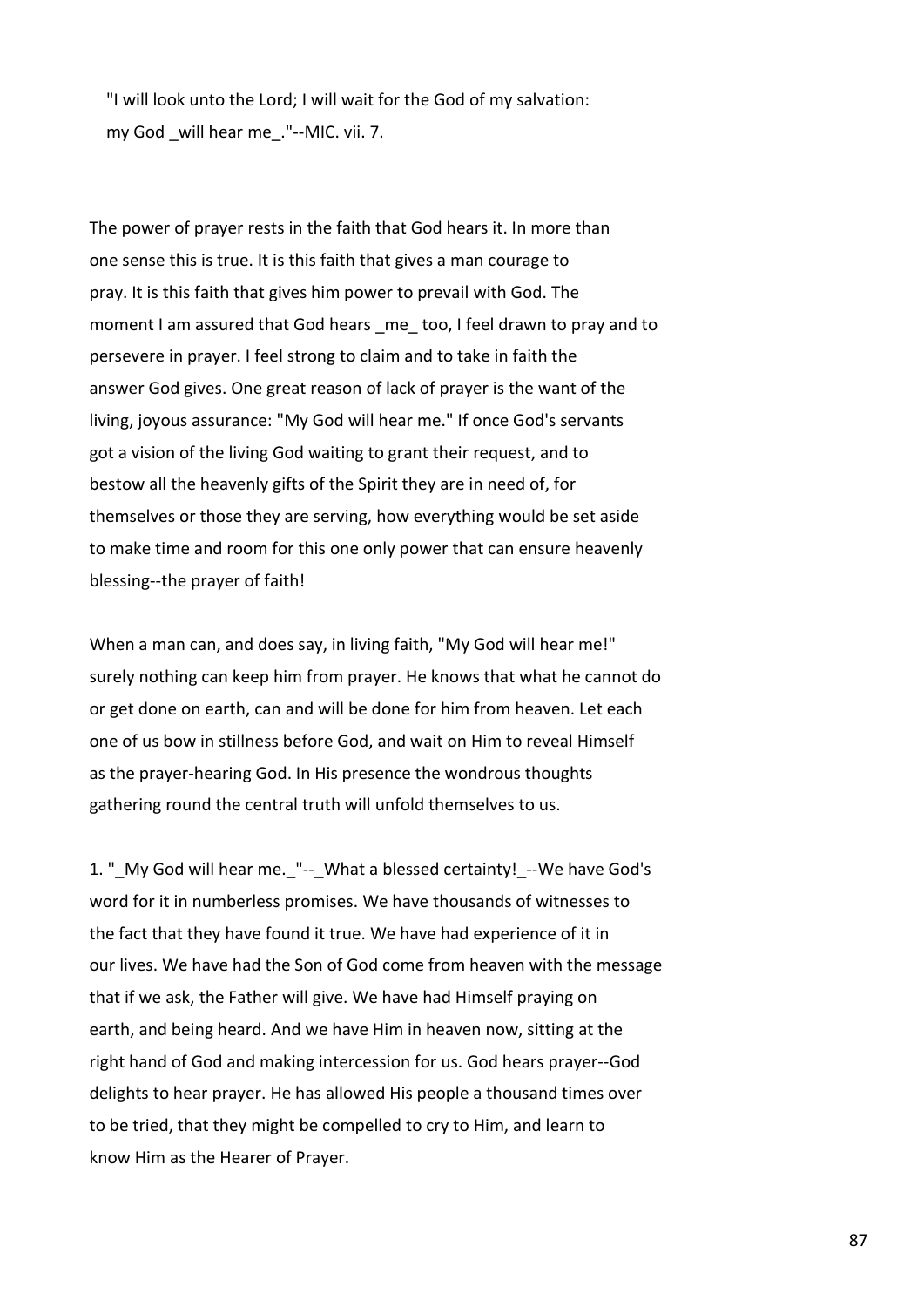"I will look unto the Lord; I will wait for the God of my salvation: my God will hear me ."--MIC. vii. 7.

The power of prayer rests in the faith that God hears it. In more than one sense this is true. It is this faith that gives a man courage to pray. It is this faith that gives him power to prevail with God. The moment I am assured that God hears me too, I feel drawn to pray and to persevere in prayer. I feel strong to claim and to take in faith the answer God gives. One great reason of lack of prayer is the want of the living, joyous assurance: "My God will hear me." If once God's servants got a vision of the living God waiting to grant their request, and to bestow all the heavenly gifts of the Spirit they are in need of, for themselves or those they are serving, how everything would be set aside to make time and room for this one only power that can ensure heavenly blessing--the prayer of faith!

When a man can, and does say, in living faith, "My God will hear me!" surely nothing can keep him from prayer. He knows that what he cannot do or get done on earth, can and will be done for him from heaven. Let each one of us bow in stillness before God, and wait on Him to reveal Himself as the prayer-hearing God. In His presence the wondrous thoughts gathering round the central truth will unfold themselves to us.

1. " My God will hear me. "-- What a blessed certainty! --We have God's word for it in numberless promises. We have thousands of witnesses to the fact that they have found it true. We have had experience of it in our lives. We have had the Son of God come from heaven with the message that if we ask, the Father will give. We have had Himself praying on earth, and being heard. And we have Him in heaven now, sitting at the right hand of God and making intercession for us. God hears prayer--God delights to hear prayer. He has allowed His people a thousand times over to be tried, that they might be compelled to cry to Him, and learn to know Him as the Hearer of Prayer.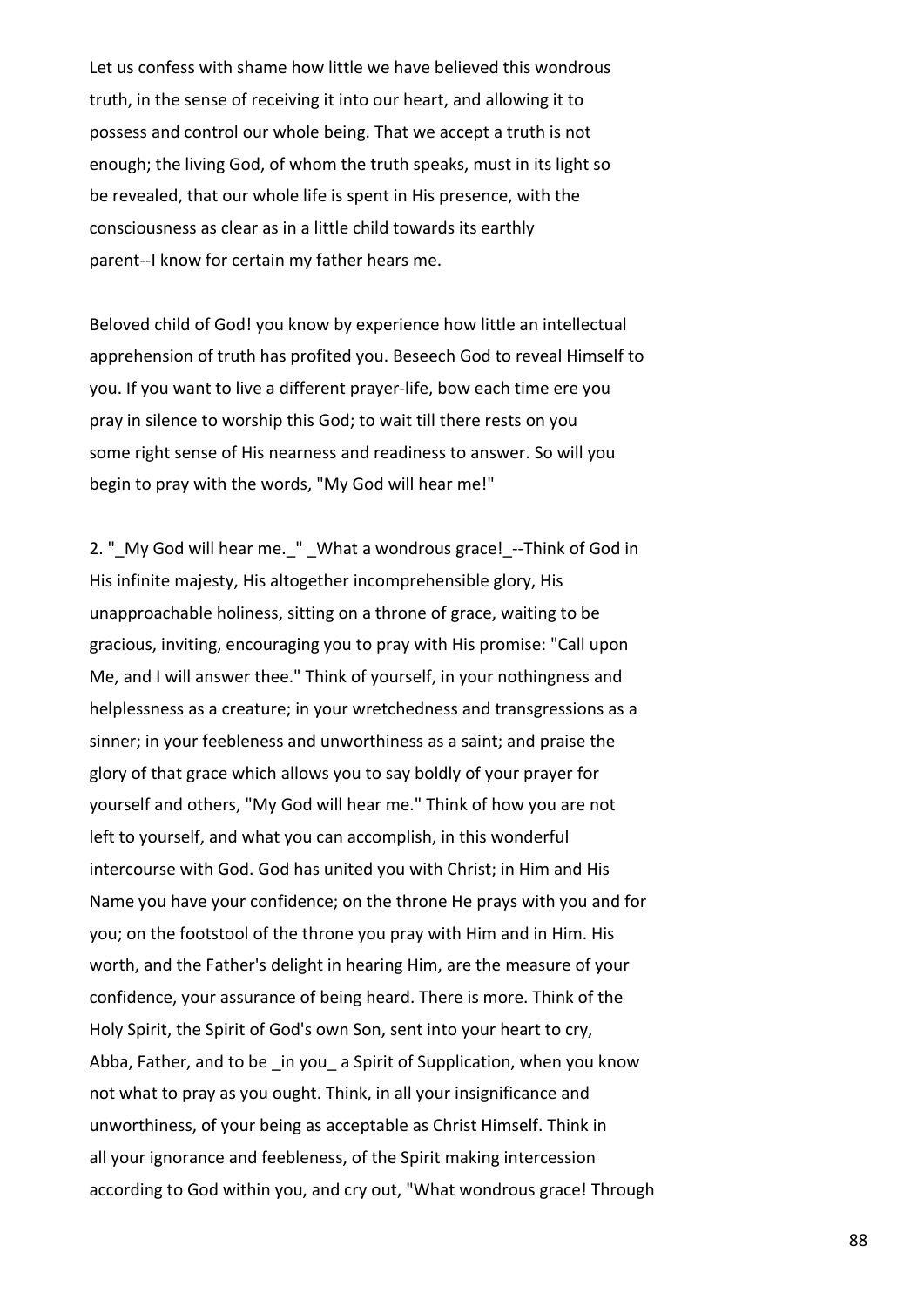Let us confess with shame how little we have believed this wondrous truth, in the sense of receiving it into our heart, and allowing it to possess and control our whole being. That we accept a truth is not enough; the living God, of whom the truth speaks, must in its light so be revealed, that our whole life is spent in His presence, with the consciousness as clear as in a little child towards its earthly parent--I know for certain my father hears me.

Beloved child of God! you know by experience how little an intellectual apprehension of truth has profited you. Beseech God to reveal Himself to you. If you want to live a different prayer-life, bow each time ere you pray in silence to worship this God; to wait till there rests on you some right sense of His nearness and readiness to answer. So will you begin to pray with the words, "My God will hear me!"

2. "\_My God will hear me.\_" \_What a wondrous grace!\_--Think of God in His infinite majesty, His altogether incomprehensible glory, His unapproachable holiness, sitting on a throne of grace, waiting to be gracious, inviting, encouraging you to pray with His promise: "Call upon Me, and I will answer thee." Think of yourself, in your nothingness and helplessness as a creature; in your wretchedness and transgressions as a sinner; in your feebleness and unworthiness as a saint; and praise the glory of that grace which allows you to say boldly of your prayer for yourself and others, "My God will hear me." Think of how you are not left to yourself, and what you can accomplish, in this wonderful intercourse with God. God has united you with Christ; in Him and His Name you have your confidence; on the throne He prays with you and for you; on the footstool of the throne you pray with Him and in Him. His worth, and the Father's delight in hearing Him, are the measure of your confidence, your assurance of being heard. There is more. Think of the Holy Spirit, the Spirit of God's own Son, sent into your heart to cry, Abba, Father, and to be in you a Spirit of Supplication, when you know not what to pray as you ought. Think, in all your insignificance and unworthiness, of your being as acceptable as Christ Himself. Think in all your ignorance and feebleness, of the Spirit making intercession according to God within you, and cry out, "What wondrous grace! Through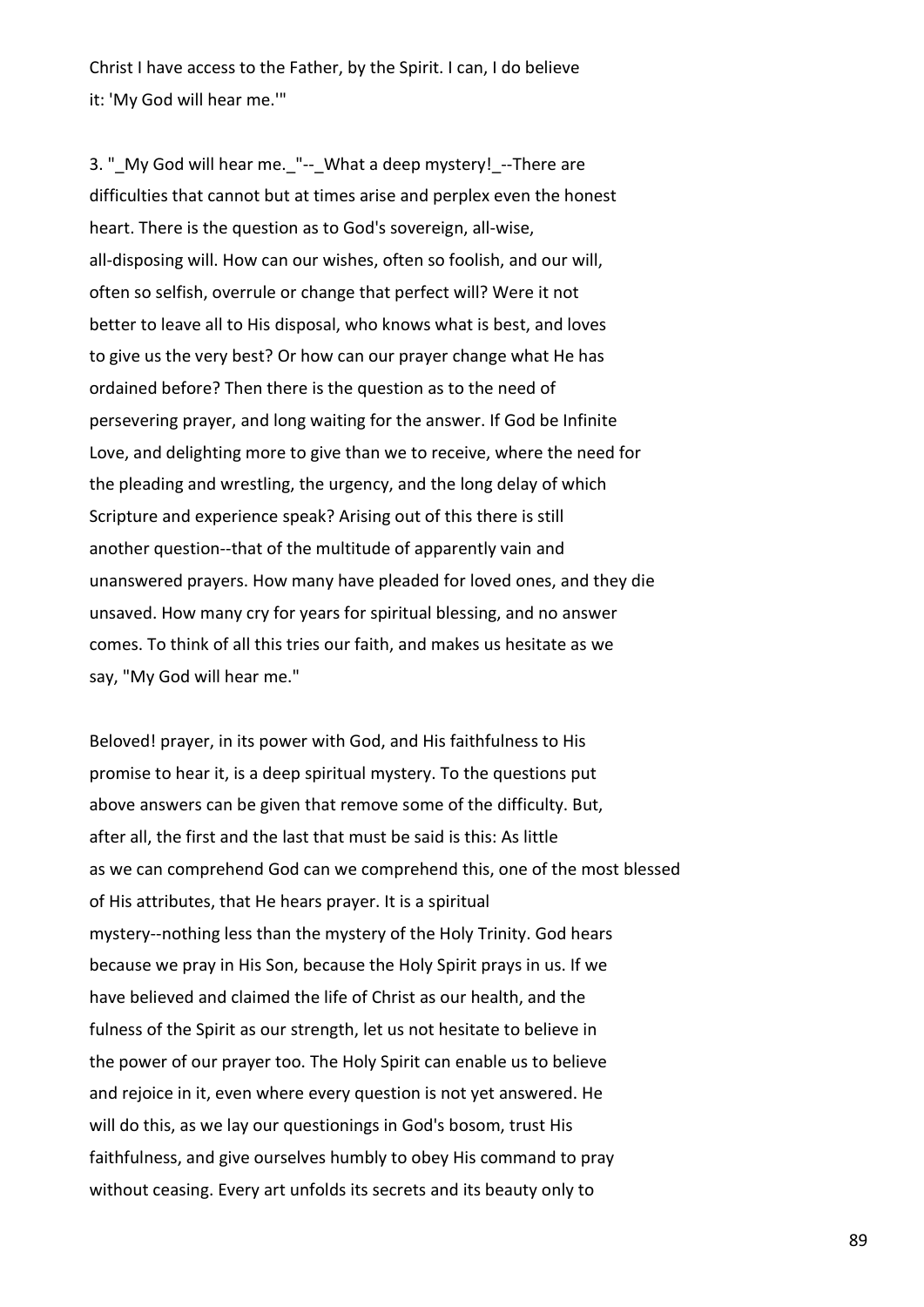Christ I have access to the Father, by the Spirit. I can, I do believe it: 'My God will hear me.'"

3. " My God will hear me. "-- What a deep mystery! --There are difficulties that cannot but at times arise and perplex even the honest heart. There is the question as to God's sovereign, all-wise, all-disposing will. How can our wishes, often so foolish, and our will, often so selfish, overrule or change that perfect will? Were it not better to leave all to His disposal, who knows what is best, and loves to give us the very best? Or how can our prayer change what He has ordained before? Then there is the question as to the need of persevering prayer, and long waiting for the answer. If God be Infinite Love, and delighting more to give than we to receive, where the need for the pleading and wrestling, the urgency, and the long delay of which Scripture and experience speak? Arising out of this there is still another question--that of the multitude of apparently vain and unanswered prayers. How many have pleaded for loved ones, and they die unsaved. How many cry for years for spiritual blessing, and no answer comes. To think of all this tries our faith, and makes us hesitate as we say, "My God will hear me."

Beloved! prayer, in its power with God, and His faithfulness to His promise to hear it, is a deep spiritual mystery. To the questions put above answers can be given that remove some of the difficulty. But, after all, the first and the last that must be said is this: As little as we can comprehend God can we comprehend this, one of the most blessed of His attributes, that He hears prayer. It is a spiritual mystery--nothing less than the mystery of the Holy Trinity. God hears because we pray in His Son, because the Holy Spirit prays in us. If we have believed and claimed the life of Christ as our health, and the fulness of the Spirit as our strength, let us not hesitate to believe in the power of our prayer too. The Holy Spirit can enable us to believe and rejoice in it, even where every question is not yet answered. He will do this, as we lay our questionings in God's bosom, trust His faithfulness, and give ourselves humbly to obey His command to pray without ceasing. Every art unfolds its secrets and its beauty only to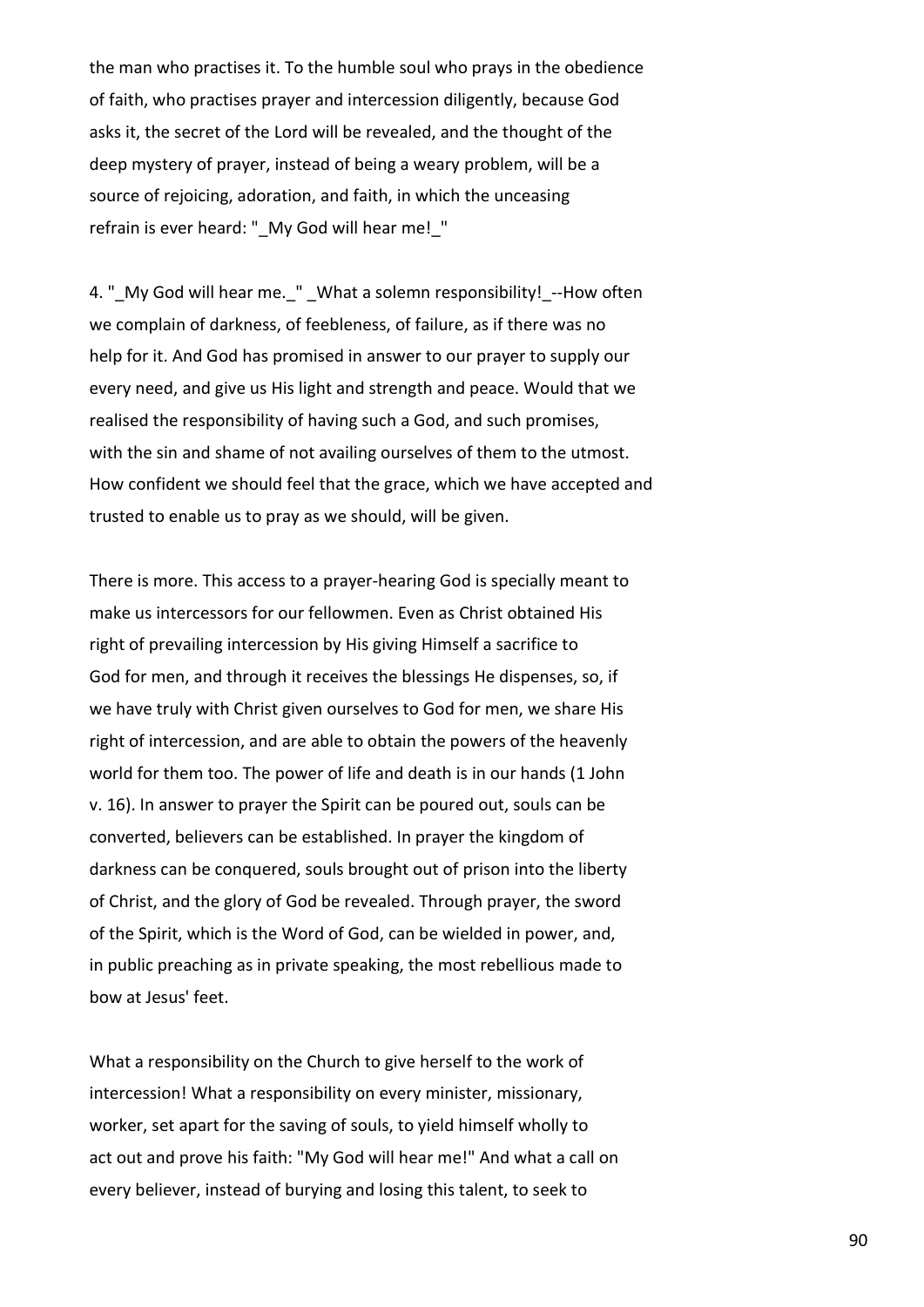the man who practises it. To the humble soul who prays in the obedience of faith, who practises prayer and intercession diligently, because God asks it, the secret of the Lord will be revealed, and the thought of the deep mystery of prayer, instead of being a weary problem, will be a source of rejoicing, adoration, and faith, in which the unceasing refrain is ever heard: "\_My God will hear me!\_"

4. " My God will hear me. " What a solemn responsibility! --How often we complain of darkness, of feebleness, of failure, as if there was no help for it. And God has promised in answer to our prayer to supply our every need, and give us His light and strength and peace. Would that we realised the responsibility of having such a God, and such promises, with the sin and shame of not availing ourselves of them to the utmost. How confident we should feel that the grace, which we have accepted and trusted to enable us to pray as we should, will be given.

There is more. This access to a prayer-hearing God is specially meant to make us intercessors for our fellowmen. Even as Christ obtained His right of prevailing intercession by His giving Himself a sacrifice to God for men, and through it receives the blessings He dispenses, so, if we have truly with Christ given ourselves to God for men, we share His right of intercession, and are able to obtain the powers of the heavenly world for them too. The power of life and death is in our hands (1 John v. 16). In answer to prayer the Spirit can be poured out, souls can be converted, believers can be established. In prayer the kingdom of darkness can be conquered, souls brought out of prison into the liberty of Christ, and the glory of God be revealed. Through prayer, the sword of the Spirit, which is the Word of God, can be wielded in power, and, in public preaching as in private speaking, the most rebellious made to bow at Jesus' feet.

What a responsibility on the Church to give herself to the work of intercession! What a responsibility on every minister, missionary, worker, set apart for the saving of souls, to yield himself wholly to act out and prove his faith: "My God will hear me!" And what a call on every believer, instead of burying and losing this talent, to seek to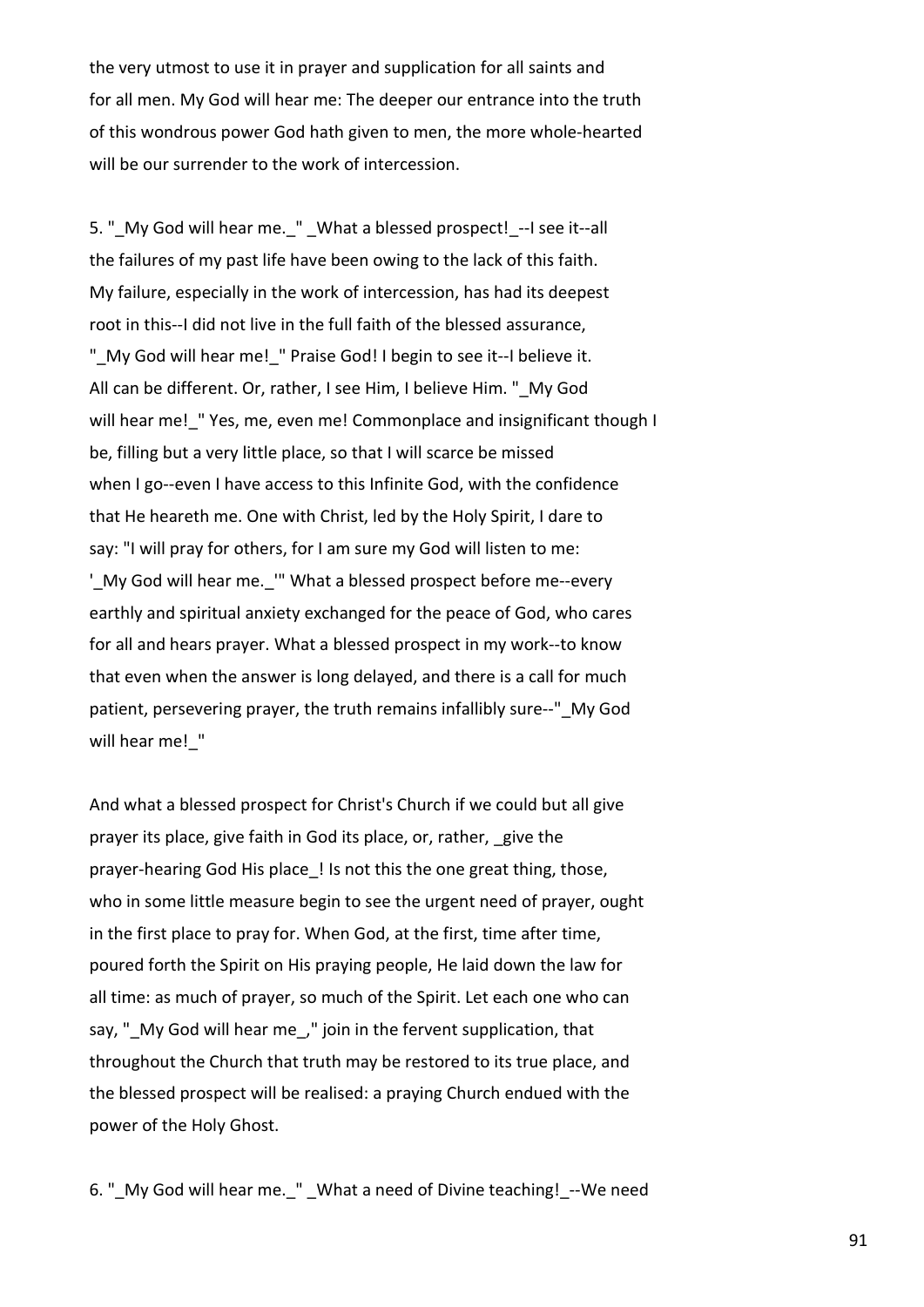the very utmost to use it in prayer and supplication for all saints and for all men. My God will hear me: The deeper our entrance into the truth of this wondrous power God hath given to men, the more whole-hearted will be our surrender to the work of intercession.

5. "\_My God will hear me.\_" \_What a blessed prospect!\_--I see it--all the failures of my past life have been owing to the lack of this faith. My failure, especially in the work of intercession, has had its deepest root in this--I did not live in the full faith of the blessed assurance, " My God will hear me! " Praise God! I begin to see it--I believe it. All can be different. Or, rather, I see Him, I believe Him. " My God will hear me! "Yes, me, even me! Commonplace and insignificant though I be, filling but a very little place, so that I will scarce be missed when I go--even I have access to this Infinite God, with the confidence that He heareth me. One with Christ, led by the Holy Spirit, I dare to say: "I will pray for others, for I am sure my God will listen to me: ' My God will hear me. "" What a blessed prospect before me--every earthly and spiritual anxiety exchanged for the peace of God, who cares for all and hears prayer. What a blessed prospect in my work--to know that even when the answer is long delayed, and there is a call for much patient, persevering prayer, the truth remains infallibly sure--" My God will hear me! "

And what a blessed prospect for Christ's Church if we could but all give prayer its place, give faith in God its place, or, rather, \_give the prayer-hearing God His place ! Is not this the one great thing, those, who in some little measure begin to see the urgent need of prayer, ought in the first place to pray for. When God, at the first, time after time, poured forth the Spirit on His praying people, He laid down the law for all time: as much of prayer, so much of the Spirit. Let each one who can say, " My God will hear me," join in the fervent supplication, that throughout the Church that truth may be restored to its true place, and the blessed prospect will be realised: a praying Church endued with the power of the Holy Ghost.

6. " My God will hear me. " What a need of Divine teaching! --We need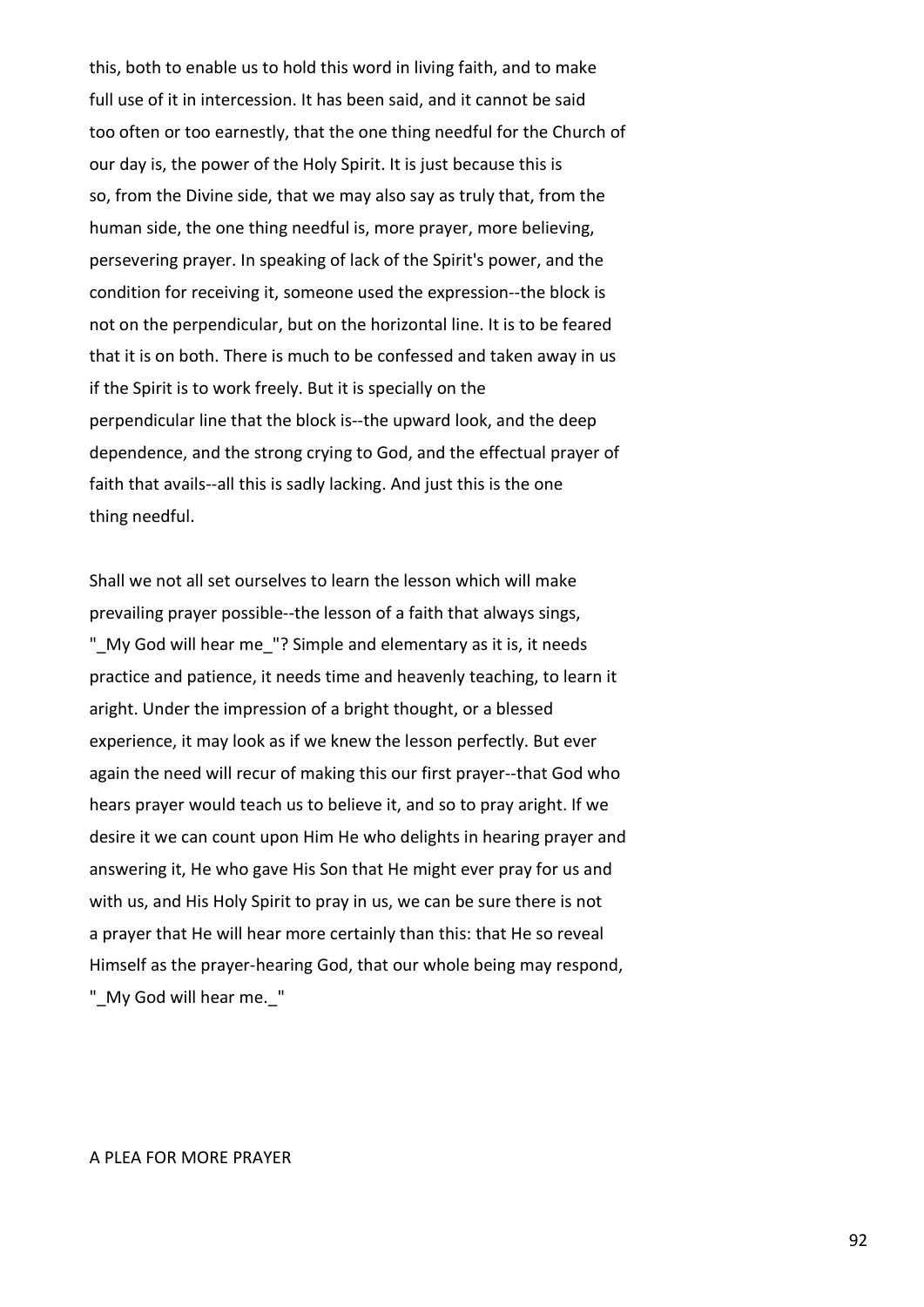this, both to enable us to hold this word in living faith, and to make full use of it in intercession. It has been said, and it cannot be said too often or too earnestly, that the one thing needful for the Church of our day is, the power of the Holy Spirit. It is just because this is so, from the Divine side, that we may also say as truly that, from the human side, the one thing needful is, more prayer, more believing, persevering prayer. In speaking of lack of the Spirit's power, and the condition for receiving it, someone used the expression--the block is not on the perpendicular, but on the horizontal line. It is to be feared that it is on both. There is much to be confessed and taken away in us if the Spirit is to work freely. But it is specially on the perpendicular line that the block is--the upward look, and the deep dependence, and the strong crying to God, and the effectual prayer of faith that avails--all this is sadly lacking. And just this is the one thing needful.

Shall we not all set ourselves to learn the lesson which will make prevailing prayer possible--the lesson of a faith that always sings, " My God will hear me "? Simple and elementary as it is, it needs practice and patience, it needs time and heavenly teaching, to learn it aright. Under the impression of a bright thought, or a blessed experience, it may look as if we knew the lesson perfectly. But ever again the need will recur of making this our first prayer--that God who hears prayer would teach us to believe it, and so to pray aright. If we desire it we can count upon Him He who delights in hearing prayer and answering it, He who gave His Son that He might ever pray for us and with us, and His Holy Spirit to pray in us, we can be sure there is not a prayer that He will hear more certainly than this: that He so reveal Himself as the prayer-hearing God, that our whole being may respond, "\_My God will hear me.\_"

#### A PLEA FOR MORE PRAYER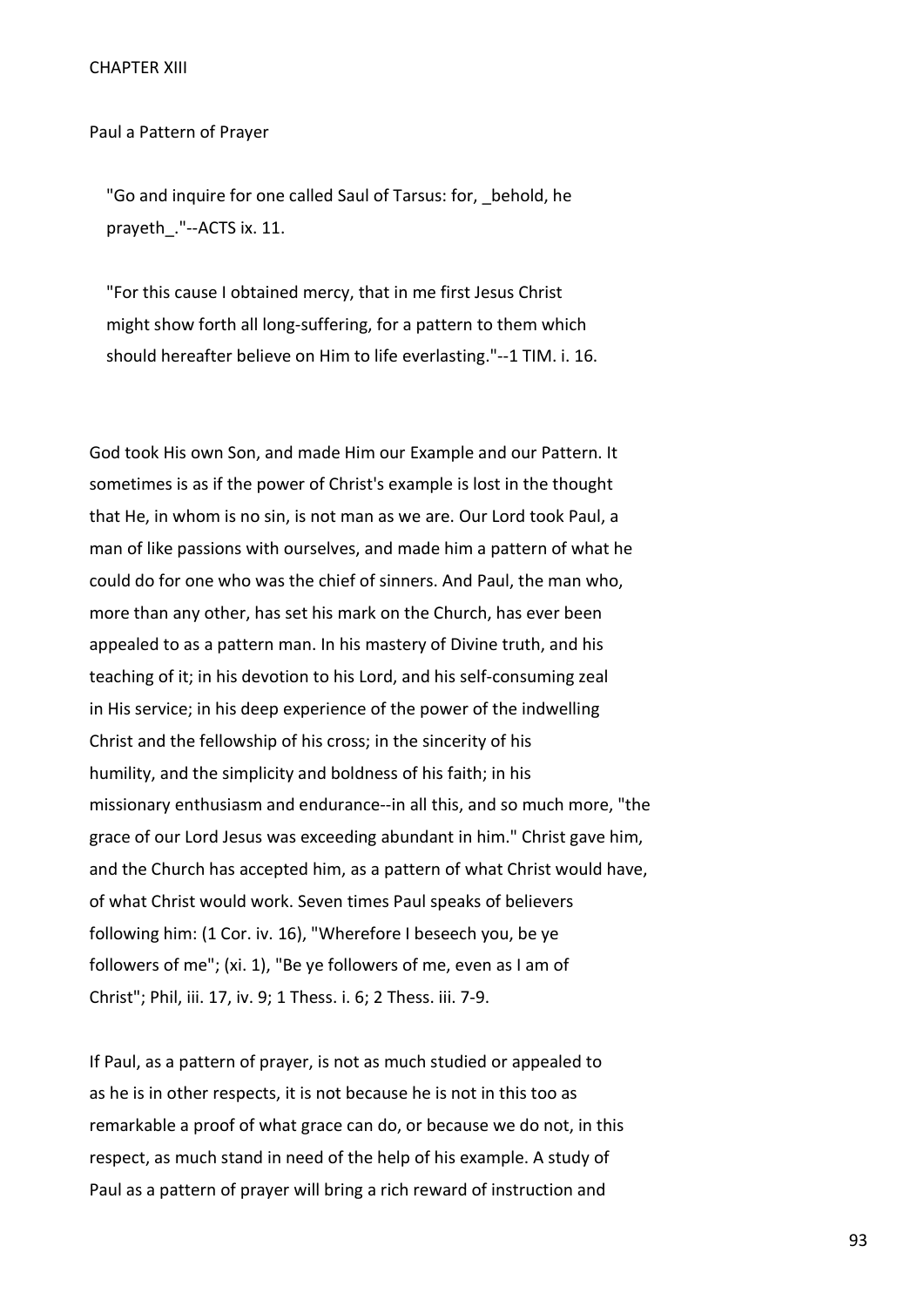Paul a Pattern of Prayer

"Go and inquire for one called Saul of Tarsus: for, behold, he prayeth\_."--ACTS ix. 11.

 "For this cause I obtained mercy, that in me first Jesus Christ might show forth all long-suffering, for a pattern to them which should hereafter believe on Him to life everlasting."--1 TIM. i. 16.

God took His own Son, and made Him our Example and our Pattern. It sometimes is as if the power of Christ's example is lost in the thought that He, in whom is no sin, is not man as we are. Our Lord took Paul, a man of like passions with ourselves, and made him a pattern of what he could do for one who was the chief of sinners. And Paul, the man who, more than any other, has set his mark on the Church, has ever been appealed to as a pattern man. In his mastery of Divine truth, and his teaching of it; in his devotion to his Lord, and his self-consuming zeal in His service; in his deep experience of the power of the indwelling Christ and the fellowship of his cross; in the sincerity of his humility, and the simplicity and boldness of his faith; in his missionary enthusiasm and endurance--in all this, and so much more, "the grace of our Lord Jesus was exceeding abundant in him." Christ gave him, and the Church has accepted him, as a pattern of what Christ would have, of what Christ would work. Seven times Paul speaks of believers following him: (1 Cor. iv. 16), "Wherefore I beseech you, be ye followers of me"; (xi. 1), "Be ye followers of me, even as I am of Christ"; Phil, iii. 17, iv. 9; 1 Thess. i. 6; 2 Thess. iii. 7-9.

If Paul, as a pattern of prayer, is not as much studied or appealed to as he is in other respects, it is not because he is not in this too as remarkable a proof of what grace can do, or because we do not, in this respect, as much stand in need of the help of his example. A study of Paul as a pattern of prayer will bring a rich reward of instruction and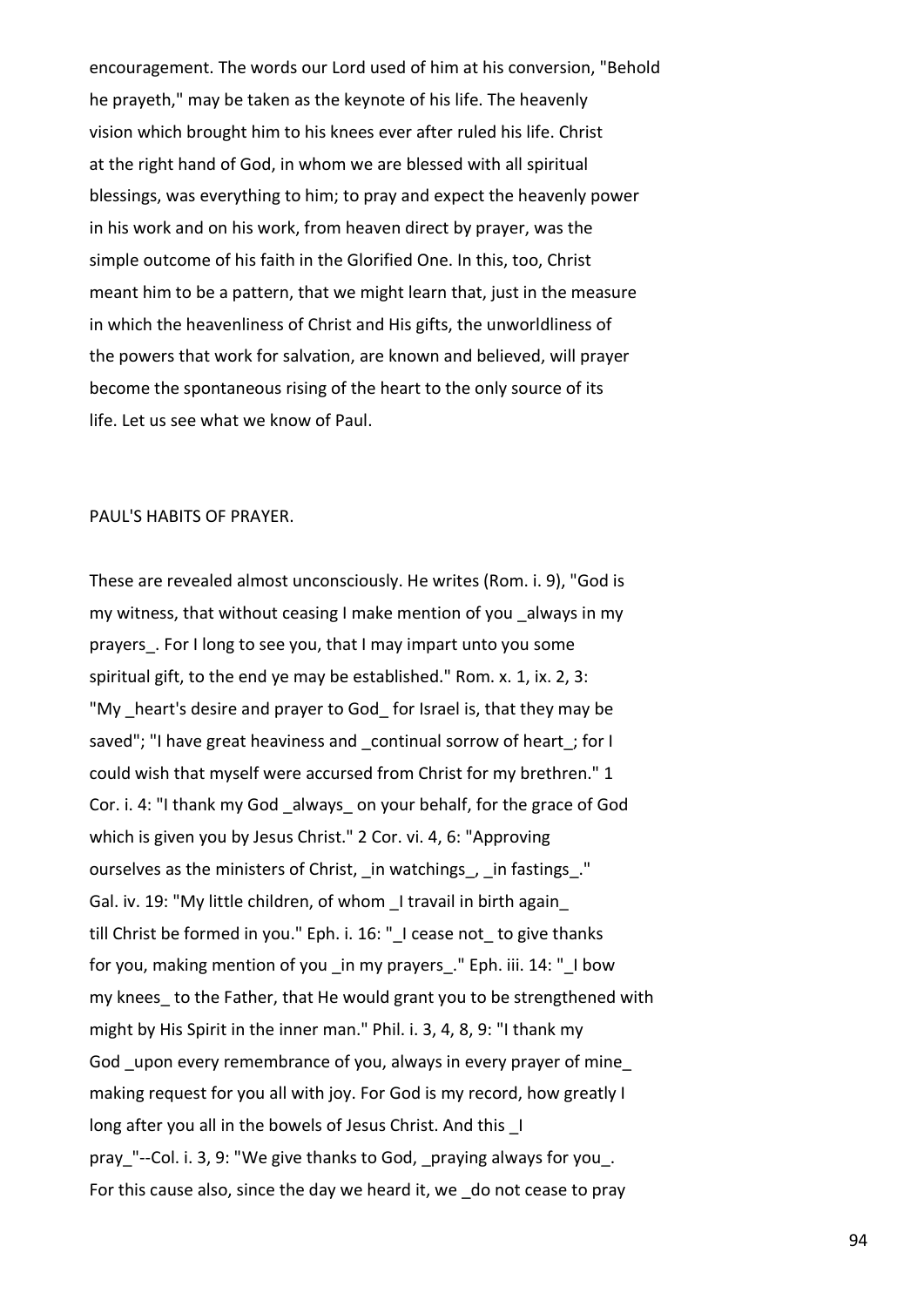encouragement. The words our Lord used of him at his conversion, "Behold he prayeth," may be taken as the keynote of his life. The heavenly vision which brought him to his knees ever after ruled his life. Christ at the right hand of God, in whom we are blessed with all spiritual blessings, was everything to him; to pray and expect the heavenly power in his work and on his work, from heaven direct by prayer, was the simple outcome of his faith in the Glorified One. In this, too, Christ meant him to be a pattern, that we might learn that, just in the measure in which the heavenliness of Christ and His gifts, the unworldliness of the powers that work for salvation, are known and believed, will prayer become the spontaneous rising of the heart to the only source of its life. Let us see what we know of Paul.

### PAUL'S HABITS OF PRAYER.

These are revealed almost unconsciously. He writes (Rom. i. 9), "God is my witness, that without ceasing I make mention of you \_always in my prayers. For I long to see you, that I may impart unto you some spiritual gift, to the end ye may be established." Rom. x. 1, ix. 2, 3: "My heart's desire and prayer to God for Israel is, that they may be saved"; "I have great heaviness and continual sorrow of heart; for I could wish that myself were accursed from Christ for my brethren." 1 Cor. i. 4: "I thank my God \_always\_ on your behalf, for the grace of God which is given you by Jesus Christ." 2 Cor. vi. 4, 6: "Approving ourselves as the ministers of Christ, in watchings, in fastings." Gal. iv. 19: "My little children, of whom \_I travail in birth again\_ till Christ be formed in you." Eph. i. 16: "I cease not to give thanks for you, making mention of you in my prayers." Eph. iii. 14: "I bow my knees to the Father, that He would grant you to be strengthened with might by His Spirit in the inner man." Phil. i. 3, 4, 8, 9: "I thank my God \_upon every remembrance of you, always in every prayer of mine\_ making request for you all with joy. For God is my record, how greatly I long after you all in the bowels of Jesus Christ. And this I pray "--Col. i. 3, 9: "We give thanks to God, praying always for you. For this cause also, since the day we heard it, we \_do not cease to pray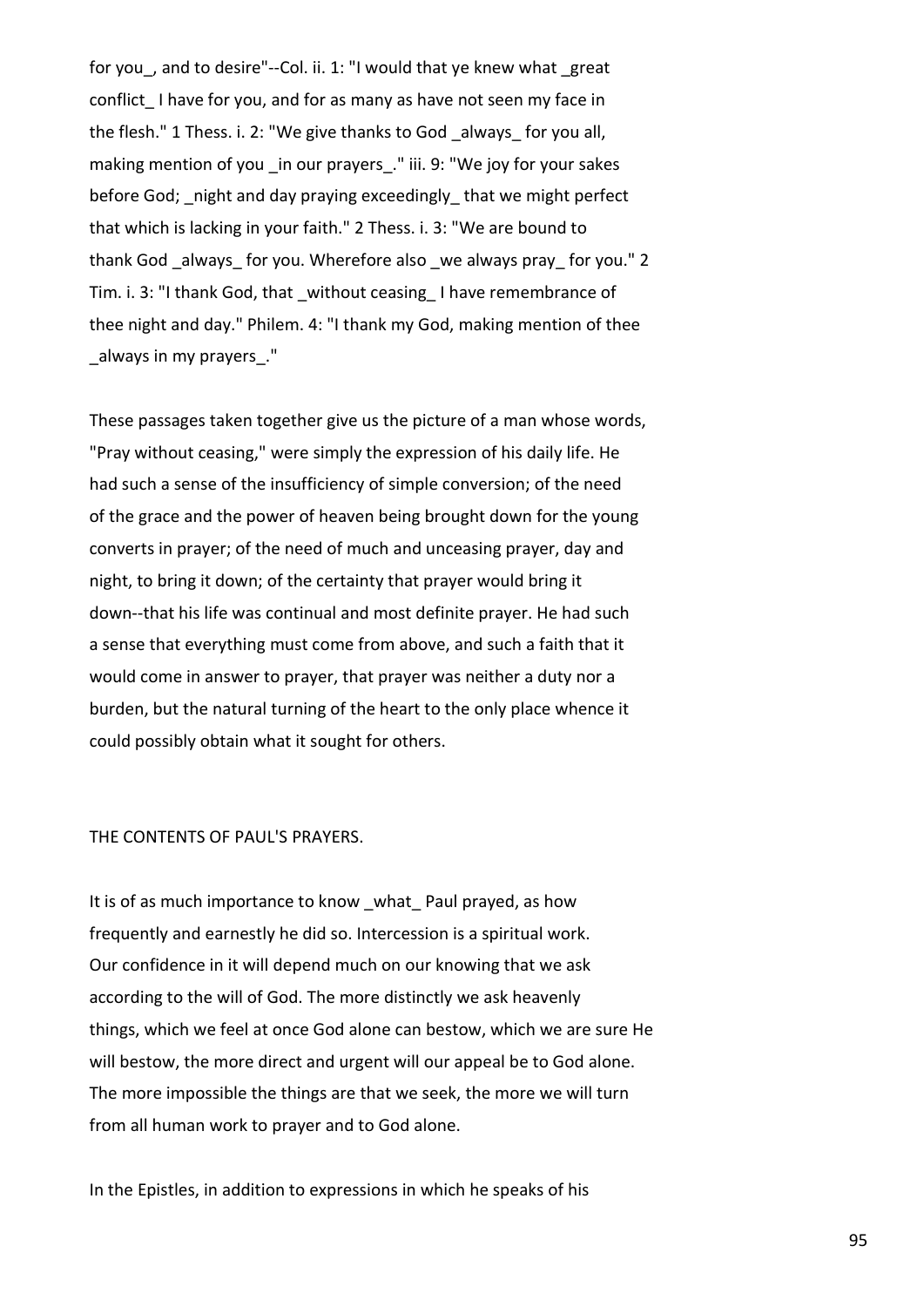for you, and to desire"--Col. ii. 1: "I would that ye knew what great conflict I have for you, and for as many as have not seen my face in the flesh." 1 Thess. i. 2: "We give thanks to God \_always\_ for you all, making mention of you in our prayers." iii. 9: "We joy for your sakes before God; night and day praying exceedingly that we might perfect that which is lacking in your faith." 2 Thess. i. 3: "We are bound to thank God always for you. Wherefore also we always pray for you." 2 Tim. i. 3: "I thank God, that \_without ceasing\_ I have remembrance of thee night and day." Philem. 4: "I thank my God, making mention of thee \_always in my prayers\_."

These passages taken together give us the picture of a man whose words, "Pray without ceasing," were simply the expression of his daily life. He had such a sense of the insufficiency of simple conversion; of the need of the grace and the power of heaven being brought down for the young converts in prayer; of the need of much and unceasing prayer, day and night, to bring it down; of the certainty that prayer would bring it down--that his life was continual and most definite prayer. He had such a sense that everything must come from above, and such a faith that it would come in answer to prayer, that prayer was neither a duty nor a burden, but the natural turning of the heart to the only place whence it could possibly obtain what it sought for others.

#### THE CONTENTS OF PAUL'S PRAYERS.

It is of as much importance to know what Paul prayed, as how frequently and earnestly he did so. Intercession is a spiritual work. Our confidence in it will depend much on our knowing that we ask according to the will of God. The more distinctly we ask heavenly things, which we feel at once God alone can bestow, which we are sure He will bestow, the more direct and urgent will our appeal be to God alone. The more impossible the things are that we seek, the more we will turn from all human work to prayer and to God alone.

In the Epistles, in addition to expressions in which he speaks of his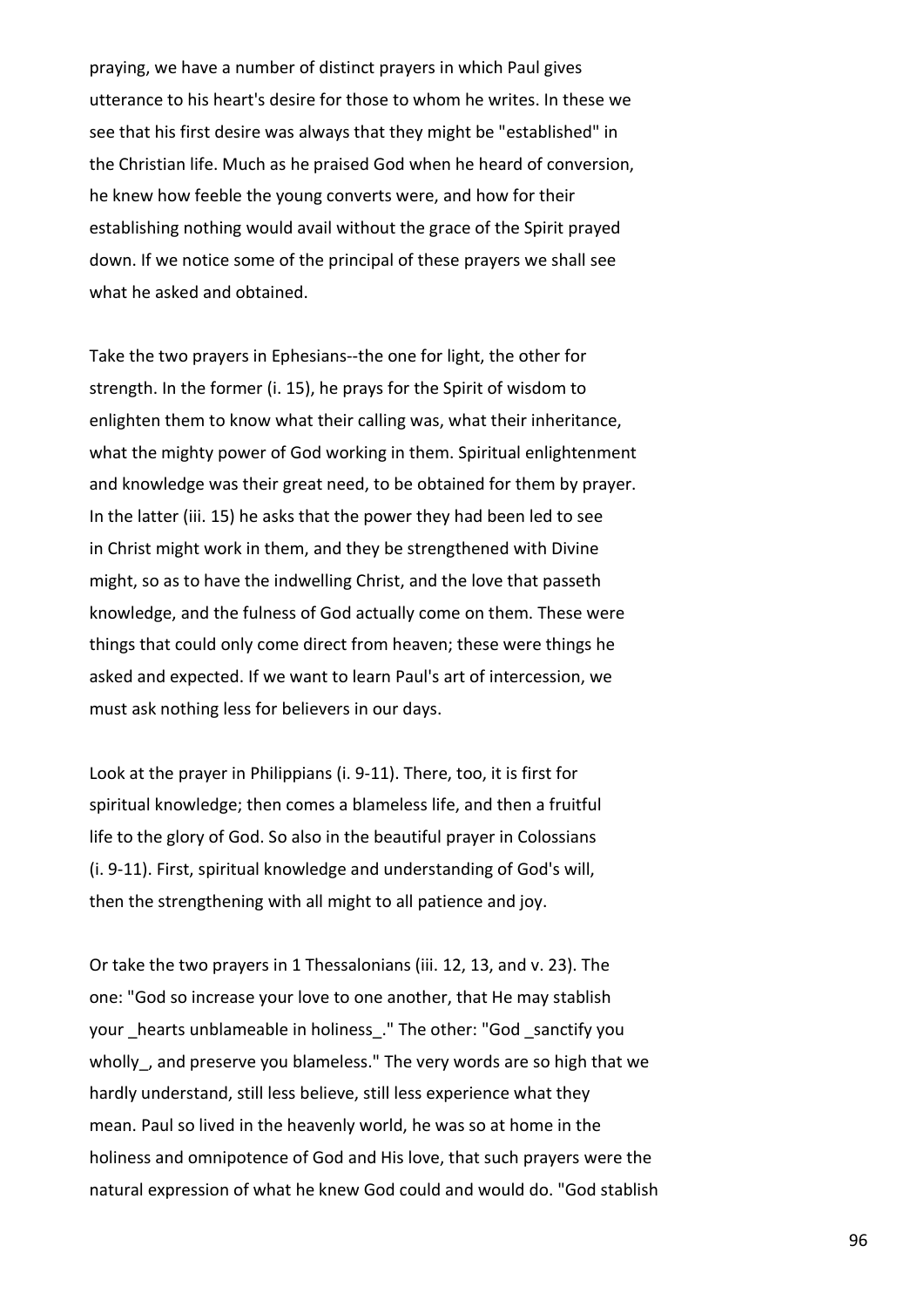praying, we have a number of distinct prayers in which Paul gives utterance to his heart's desire for those to whom he writes. In these we see that his first desire was always that they might be "established" in the Christian life. Much as he praised God when he heard of conversion, he knew how feeble the young converts were, and how for their establishing nothing would avail without the grace of the Spirit prayed down. If we notice some of the principal of these prayers we shall see what he asked and obtained.

Take the two prayers in Ephesians--the one for light, the other for strength. In the former (i. 15), he prays for the Spirit of wisdom to enlighten them to know what their calling was, what their inheritance, what the mighty power of God working in them. Spiritual enlightenment and knowledge was their great need, to be obtained for them by prayer. In the latter (iii. 15) he asks that the power they had been led to see in Christ might work in them, and they be strengthened with Divine might, so as to have the indwelling Christ, and the love that passeth knowledge, and the fulness of God actually come on them. These were things that could only come direct from heaven; these were things he asked and expected. If we want to learn Paul's art of intercession, we must ask nothing less for believers in our days.

Look at the prayer in Philippians (i. 9-11). There, too, it is first for spiritual knowledge; then comes a blameless life, and then a fruitful life to the glory of God. So also in the beautiful prayer in Colossians (i. 9-11). First, spiritual knowledge and understanding of God's will, then the strengthening with all might to all patience and joy.

Or take the two prayers in 1 Thessalonians (iii. 12, 13, and v. 23). The one: "God so increase your love to one another, that He may stablish your hearts unblameable in holiness. " The other: "God sanctify you wholly, and preserve you blameless." The very words are so high that we hardly understand, still less believe, still less experience what they mean. Paul so lived in the heavenly world, he was so at home in the holiness and omnipotence of God and His love, that such prayers were the natural expression of what he knew God could and would do. "God stablish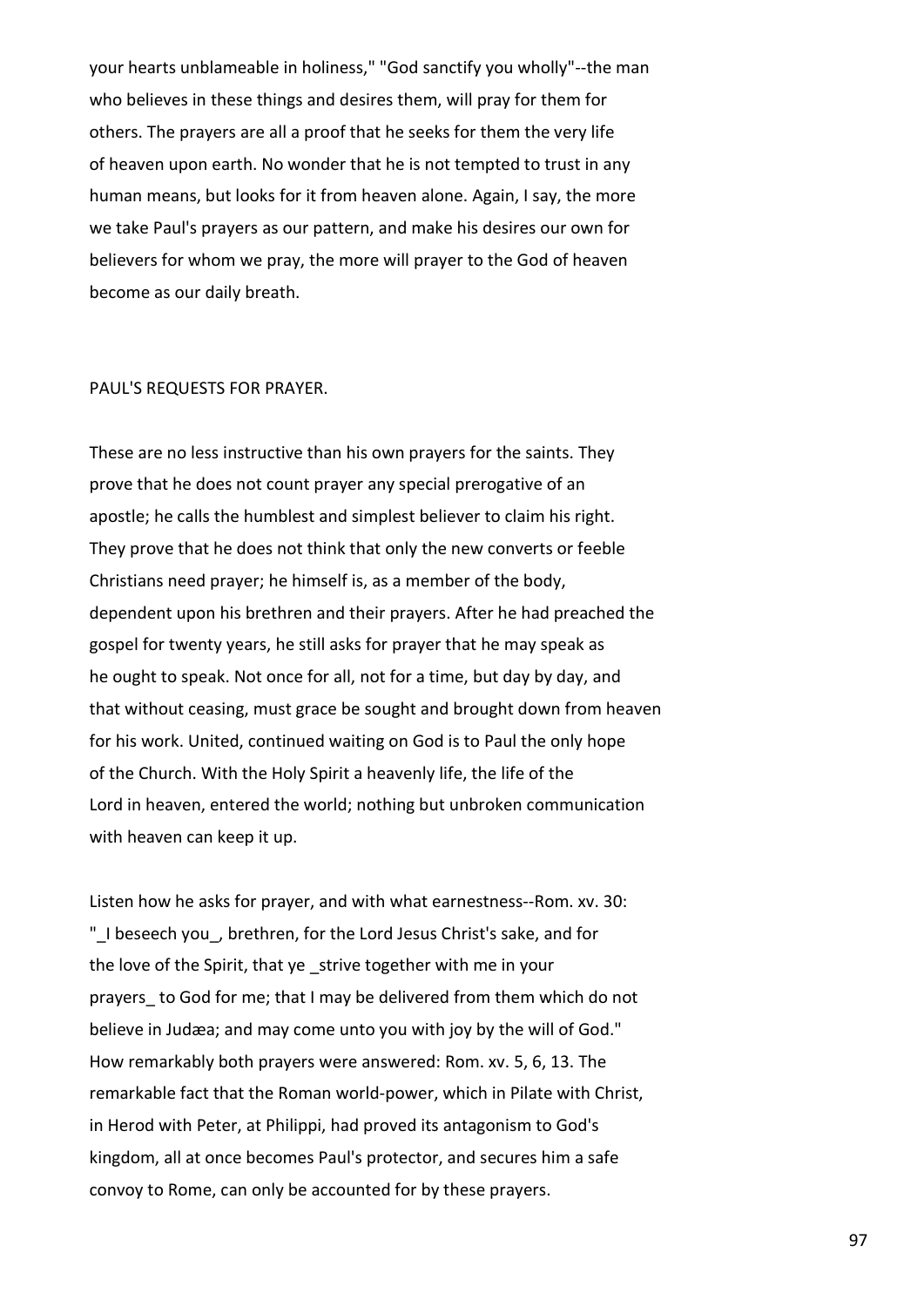your hearts unblameable in holiness," "God sanctify you wholly"--the man who believes in these things and desires them, will pray for them for others. The prayers are all a proof that he seeks for them the very life of heaven upon earth. No wonder that he is not tempted to trust in any human means, but looks for it from heaven alone. Again, I say, the more we take Paul's prayers as our pattern, and make his desires our own for believers for whom we pray, the more will prayer to the God of heaven become as our daily breath.

### PAUL'S REQUESTS FOR PRAYER.

These are no less instructive than his own prayers for the saints. They prove that he does not count prayer any special prerogative of an apostle; he calls the humblest and simplest believer to claim his right. They prove that he does not think that only the new converts or feeble Christians need prayer; he himself is, as a member of the body, dependent upon his brethren and their prayers. After he had preached the gospel for twenty years, he still asks for prayer that he may speak as he ought to speak. Not once for all, not for a time, but day by day, and that without ceasing, must grace be sought and brought down from heaven for his work. United, continued waiting on God is to Paul the only hope of the Church. With the Holy Spirit a heavenly life, the life of the Lord in heaven, entered the world; nothing but unbroken communication with heaven can keep it up.

Listen how he asks for prayer, and with what earnestness--Rom. xv. 30: "\_I beseech you\_, brethren, for the Lord Jesus Christ's sake, and for the love of the Spirit, that ye \_strive together with me in your prayers to God for me; that I may be delivered from them which do not believe in Judæa; and may come unto you with joy by the will of God." How remarkably both prayers were answered: Rom. xv. 5, 6, 13. The remarkable fact that the Roman world-power, which in Pilate with Christ, in Herod with Peter, at Philippi, had proved its antagonism to God's kingdom, all at once becomes Paul's protector, and secures him a safe convoy to Rome, can only be accounted for by these prayers.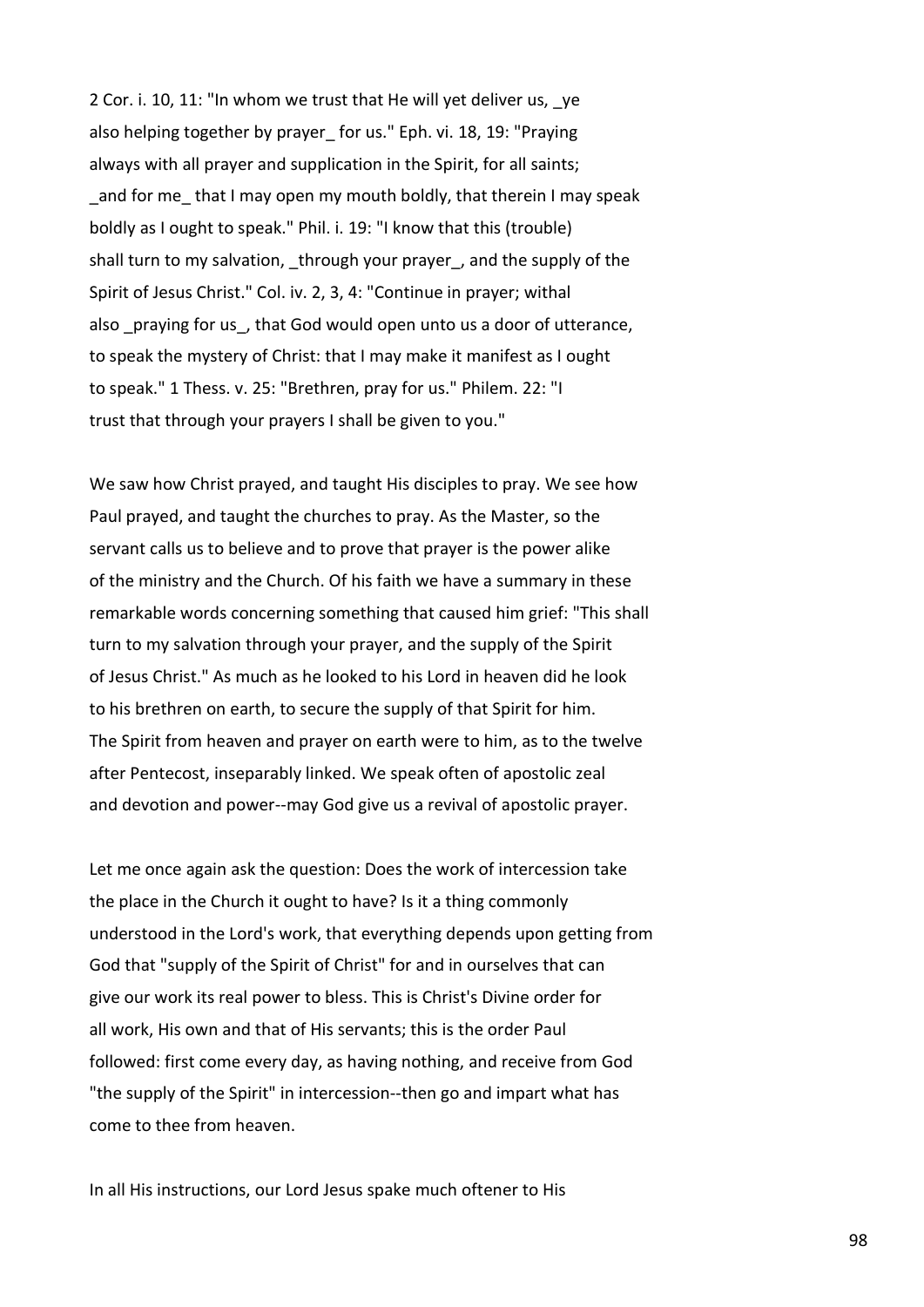2 Cor. i. 10, 11: "In whom we trust that He will yet deliver us, \_ye also helping together by prayer for us." Eph. vi. 18, 19: "Praying always with all prayer and supplication in the Spirit, for all saints; and for me that I may open my mouth boldly, that therein I may speak boldly as I ought to speak." Phil. i. 19: "I know that this (trouble) shall turn to my salvation, through your prayer, and the supply of the Spirit of Jesus Christ." Col. iv. 2, 3, 4: "Continue in prayer; withal also praying for us, that God would open unto us a door of utterance, to speak the mystery of Christ: that I may make it manifest as I ought to speak." 1 Thess. v. 25: "Brethren, pray for us." Philem. 22: "I trust that through your prayers I shall be given to you."

We saw how Christ prayed, and taught His disciples to pray. We see how Paul prayed, and taught the churches to pray. As the Master, so the servant calls us to believe and to prove that prayer is the power alike of the ministry and the Church. Of his faith we have a summary in these remarkable words concerning something that caused him grief: "This shall turn to my salvation through your prayer, and the supply of the Spirit of Jesus Christ." As much as he looked to his Lord in heaven did he look to his brethren on earth, to secure the supply of that Spirit for him. The Spirit from heaven and prayer on earth were to him, as to the twelve after Pentecost, inseparably linked. We speak often of apostolic zeal and devotion and power--may God give us a revival of apostolic prayer.

Let me once again ask the question: Does the work of intercession take the place in the Church it ought to have? Is it a thing commonly understood in the Lord's work, that everything depends upon getting from God that "supply of the Spirit of Christ" for and in ourselves that can give our work its real power to bless. This is Christ's Divine order for all work, His own and that of His servants; this is the order Paul followed: first come every day, as having nothing, and receive from God "the supply of the Spirit" in intercession--then go and impart what has come to thee from heaven.

In all His instructions, our Lord Jesus spake much oftener to His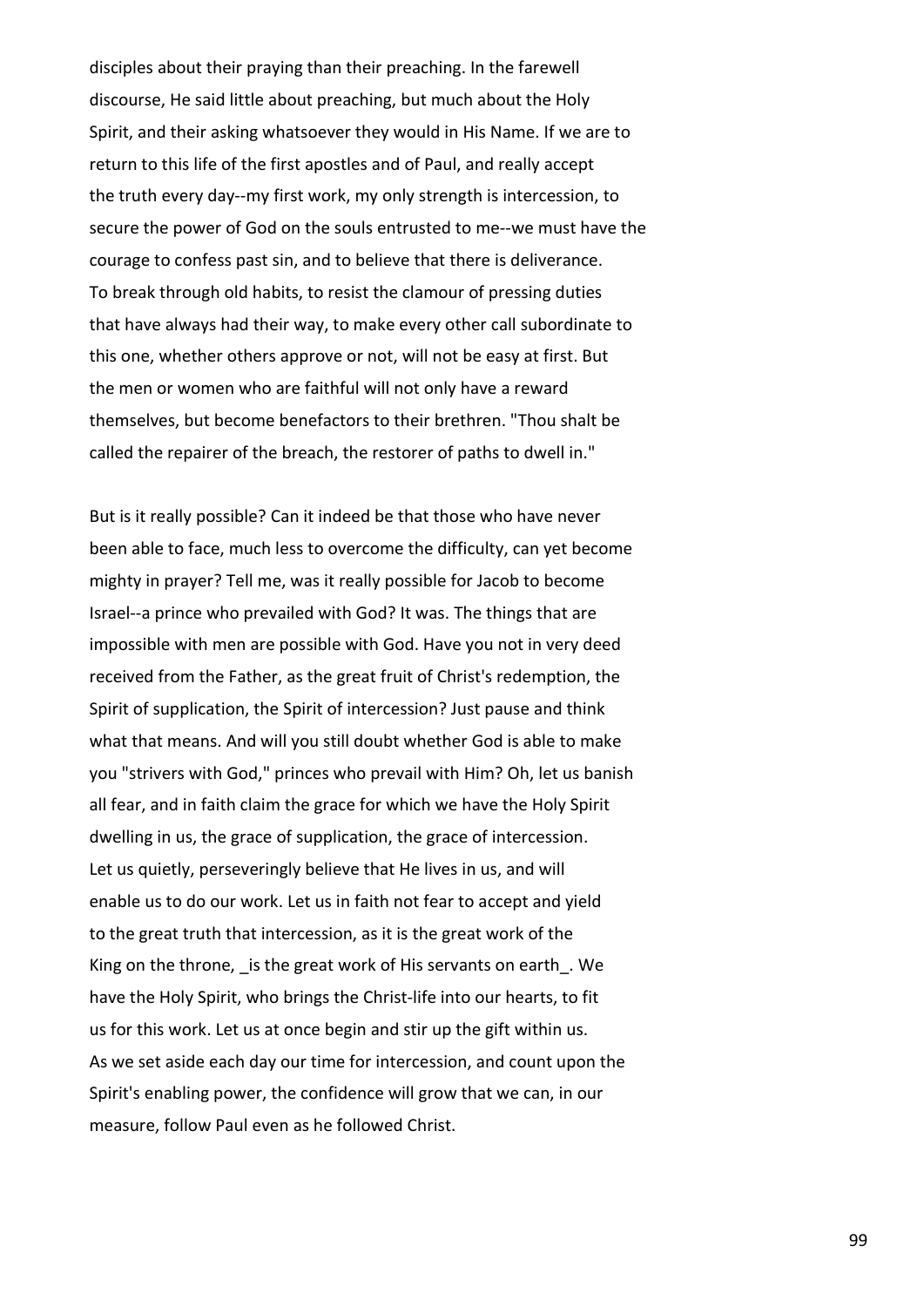disciples about their praying than their preaching. In the farewell discourse, He said little about preaching, but much about the Holy Spirit, and their asking whatsoever they would in His Name. If we are to return to this life of the first apostles and of Paul, and really accept the truth every day--my first work, my only strength is intercession, to secure the power of God on the souls entrusted to me--we must have the courage to confess past sin, and to believe that there is deliverance. To break through old habits, to resist the clamour of pressing duties that have always had their way, to make every other call subordinate to this one, whether others approve or not, will not be easy at first. But the men or women who are faithful will not only have a reward themselves, but become benefactors to their brethren. "Thou shalt be called the repairer of the breach, the restorer of paths to dwell in."

But is it really possible? Can it indeed be that those who have never been able to face, much less to overcome the difficulty, can yet become mighty in prayer? Tell me, was it really possible for Jacob to become Israel--a prince who prevailed with God? It was. The things that are impossible with men are possible with God. Have you not in very deed received from the Father, as the great fruit of Christ's redemption, the Spirit of supplication, the Spirit of intercession? Just pause and think what that means. And will you still doubt whether God is able to make you "strivers with God," princes who prevail with Him? Oh, let us banish all fear, and in faith claim the grace for which we have the Holy Spirit dwelling in us, the grace of supplication, the grace of intercession. Let us quietly, perseveringly believe that He lives in us, and will enable us to do our work. Let us in faith not fear to accept and yield to the great truth that intercession, as it is the great work of the King on the throne, is the great work of His servants on earth. We have the Holy Spirit, who brings the Christ-life into our hearts, to fit us for this work. Let us at once begin and stir up the gift within us. As we set aside each day our time for intercession, and count upon the Spirit's enabling power, the confidence will grow that we can, in our measure, follow Paul even as he followed Christ.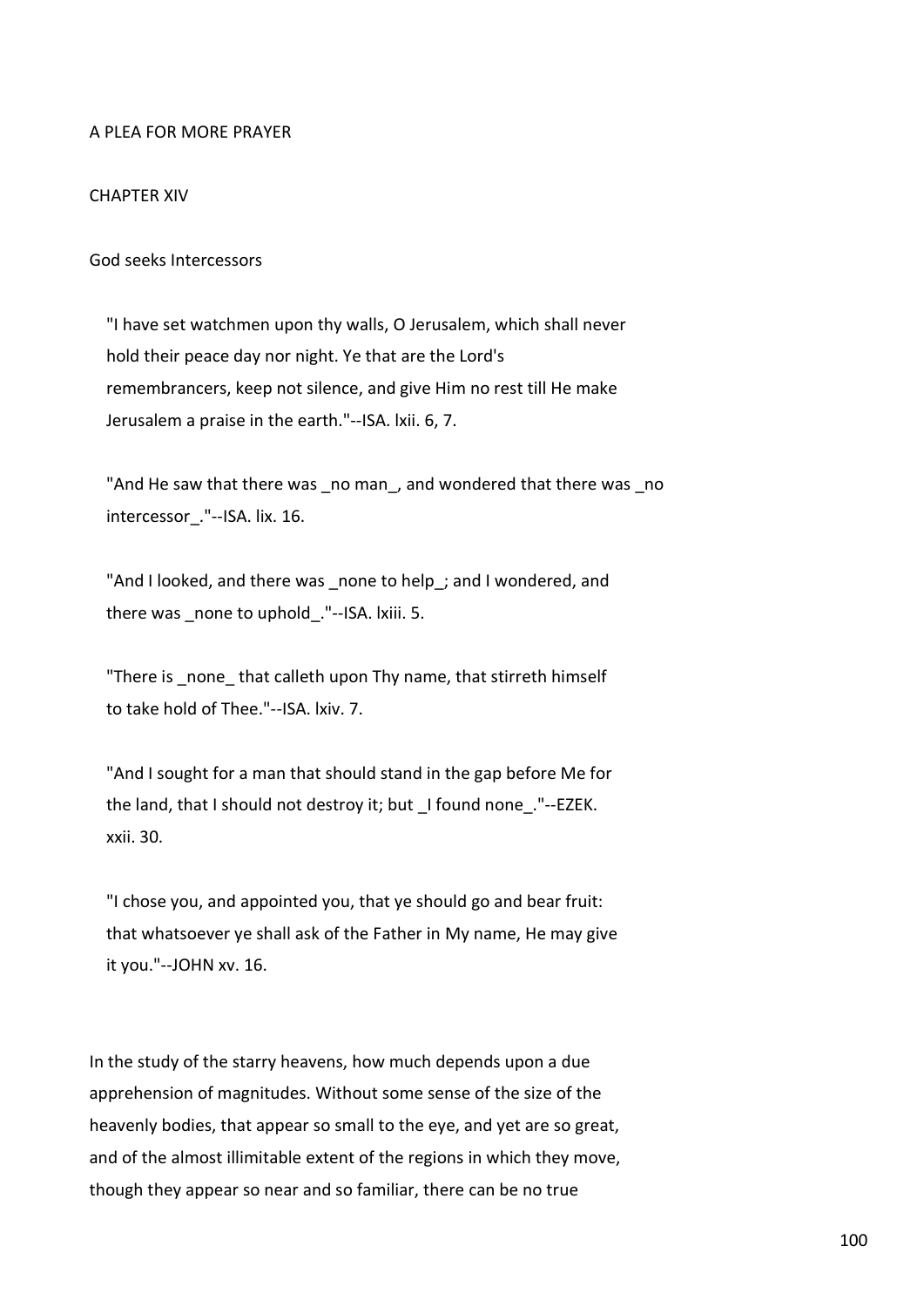# A PLEA FOR MORE PRAYER

# CHAPTER XIV

God seeks Intercessors

 "I have set watchmen upon thy walls, O Jerusalem, which shall never hold their peace day nor night. Ye that are the Lord's remembrancers, keep not silence, and give Him no rest till He make Jerusalem a praise in the earth."--ISA. lxii. 6, 7.

"And He saw that there was \_no man , and wondered that there was \_no intercessor."--ISA. lix. 16.

"And I looked, and there was \_none to help\_; and I wondered, and there was \_none to uphold\_."--ISA. lxiii. 5.

"There is none that calleth upon Thy name, that stirreth himself to take hold of Thee."--ISA. lxiv. 7.

 "And I sought for a man that should stand in the gap before Me for the land, that I should not destroy it; but \_I found none\_."--EZEK. xxii. 30.

 "I chose you, and appointed you, that ye should go and bear fruit: that whatsoever ye shall ask of the Father in My name, He may give it you."--JOHN xv. 16.

In the study of the starry heavens, how much depends upon a due apprehension of magnitudes. Without some sense of the size of the heavenly bodies, that appear so small to the eye, and yet are so great, and of the almost illimitable extent of the regions in which they move, though they appear so near and so familiar, there can be no true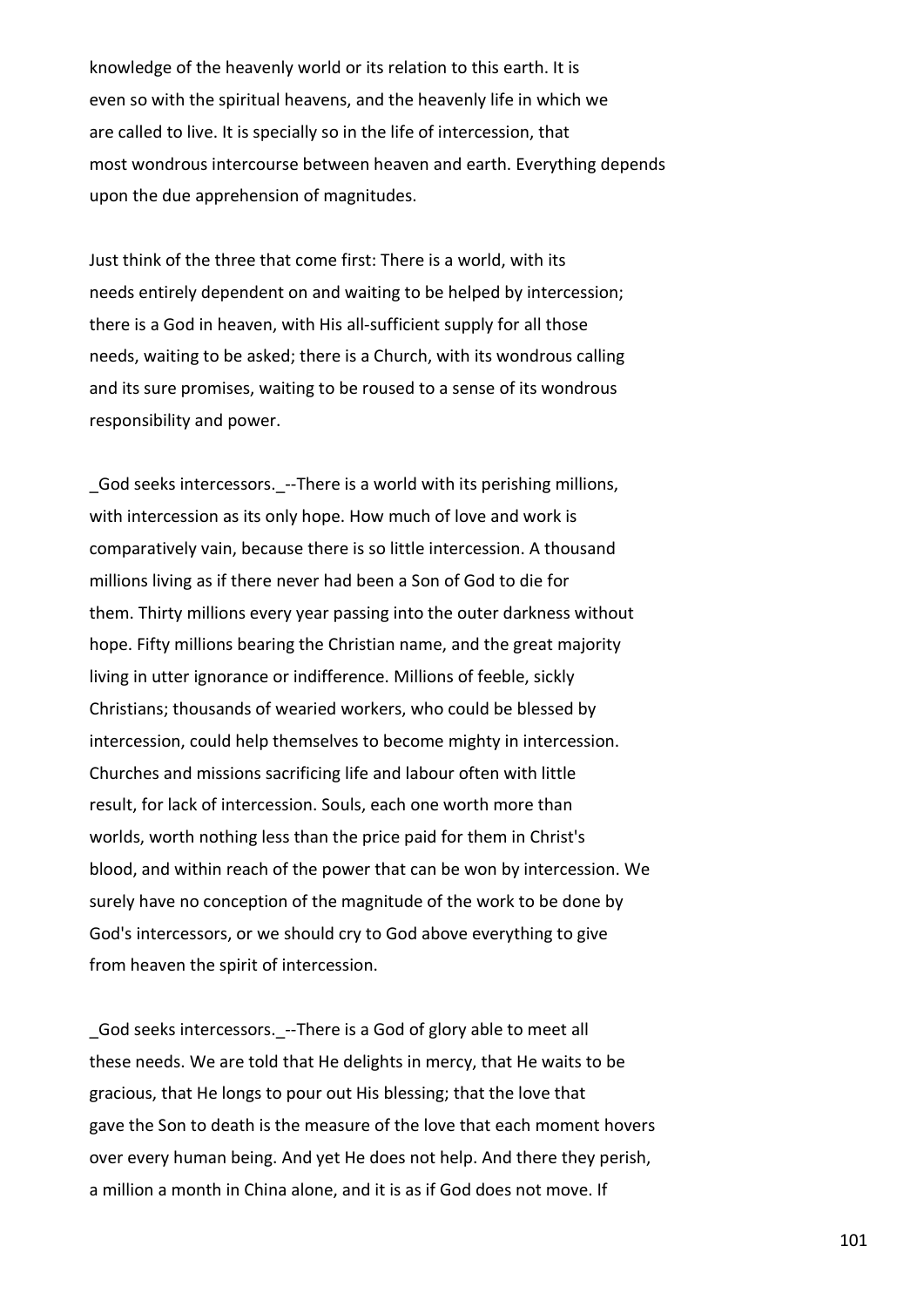knowledge of the heavenly world or its relation to this earth. It is even so with the spiritual heavens, and the heavenly life in which we are called to live. It is specially so in the life of intercession, that most wondrous intercourse between heaven and earth. Everything depends upon the due apprehension of magnitudes.

Just think of the three that come first: There is a world, with its needs entirely dependent on and waiting to be helped by intercession; there is a God in heaven, with His all-sufficient supply for all those needs, waiting to be asked; there is a Church, with its wondrous calling and its sure promises, waiting to be roused to a sense of its wondrous responsibility and power.

God seeks intercessors. --There is a world with its perishing millions, with intercession as its only hope. How much of love and work is comparatively vain, because there is so little intercession. A thousand millions living as if there never had been a Son of God to die for them. Thirty millions every year passing into the outer darkness without hope. Fifty millions bearing the Christian name, and the great majority living in utter ignorance or indifference. Millions of feeble, sickly Christians; thousands of wearied workers, who could be blessed by intercession, could help themselves to become mighty in intercession. Churches and missions sacrificing life and labour often with little result, for lack of intercession. Souls, each one worth more than worlds, worth nothing less than the price paid for them in Christ's blood, and within reach of the power that can be won by intercession. We surely have no conception of the magnitude of the work to be done by God's intercessors, or we should cry to God above everything to give from heaven the spirit of intercession.

God seeks intercessors. --There is a God of glory able to meet all these needs. We are told that He delights in mercy, that He waits to be gracious, that He longs to pour out His blessing; that the love that gave the Son to death is the measure of the love that each moment hovers over every human being. And yet He does not help. And there they perish, a million a month in China alone, and it is as if God does not move. If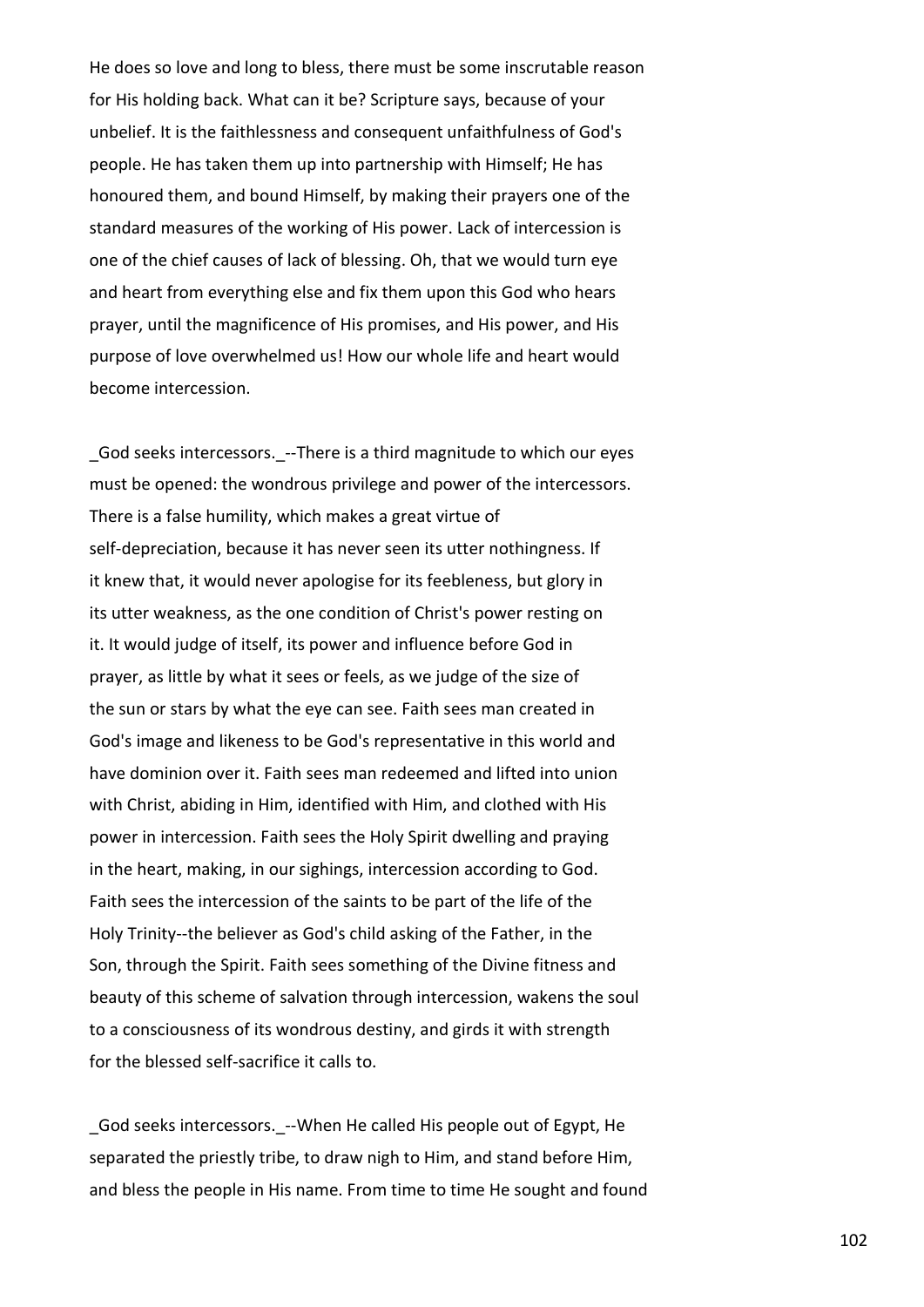He does so love and long to bless, there must be some inscrutable reason for His holding back. What can it be? Scripture says, because of your unbelief. It is the faithlessness and consequent unfaithfulness of God's people. He has taken them up into partnership with Himself; He has honoured them, and bound Himself, by making their prayers one of the standard measures of the working of His power. Lack of intercession is one of the chief causes of lack of blessing. Oh, that we would turn eye and heart from everything else and fix them upon this God who hears prayer, until the magnificence of His promises, and His power, and His purpose of love overwhelmed us! How our whole life and heart would become intercession.

God seeks intercessors. --There is a third magnitude to which our eyes must be opened: the wondrous privilege and power of the intercessors. There is a false humility, which makes a great virtue of self-depreciation, because it has never seen its utter nothingness. If it knew that, it would never apologise for its feebleness, but glory in its utter weakness, as the one condition of Christ's power resting on it. It would judge of itself, its power and influence before God in prayer, as little by what it sees or feels, as we judge of the size of the sun or stars by what the eye can see. Faith sees man created in God's image and likeness to be God's representative in this world and have dominion over it. Faith sees man redeemed and lifted into union with Christ, abiding in Him, identified with Him, and clothed with His power in intercession. Faith sees the Holy Spirit dwelling and praying in the heart, making, in our sighings, intercession according to God. Faith sees the intercession of the saints to be part of the life of the Holy Trinity--the believer as God's child asking of the Father, in the Son, through the Spirit. Faith sees something of the Divine fitness and beauty of this scheme of salvation through intercession, wakens the soul to a consciousness of its wondrous destiny, and girds it with strength for the blessed self-sacrifice it calls to.

God seeks intercessors. --When He called His people out of Egypt, He separated the priestly tribe, to draw nigh to Him, and stand before Him, and bless the people in His name. From time to time He sought and found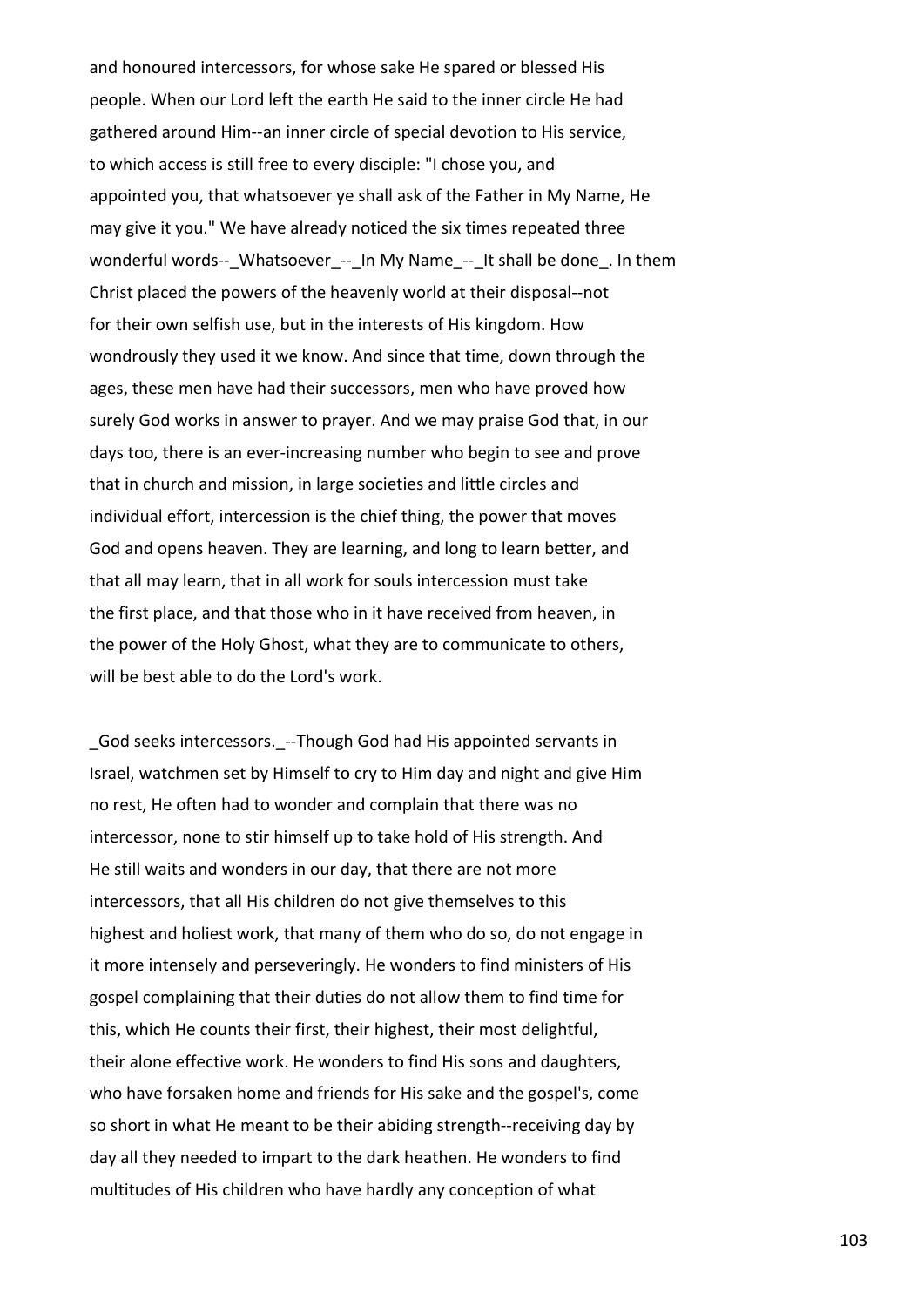and honoured intercessors, for whose sake He spared or blessed His people. When our Lord left the earth He said to the inner circle He had gathered around Him--an inner circle of special devotion to His service, to which access is still free to every disciple: "I chose you, and appointed you, that whatsoever ye shall ask of the Father in My Name, He may give it you." We have already noticed the six times repeated three wonderful words--\_Whatsoever\_--\_In My Name\_--\_It shall be done\_. In them Christ placed the powers of the heavenly world at their disposal--not for their own selfish use, but in the interests of His kingdom. How wondrously they used it we know. And since that time, down through the ages, these men have had their successors, men who have proved how surely God works in answer to prayer. And we may praise God that, in our days too, there is an ever-increasing number who begin to see and prove that in church and mission, in large societies and little circles and individual effort, intercession is the chief thing, the power that moves God and opens heaven. They are learning, and long to learn better, and that all may learn, that in all work for souls intercession must take the first place, and that those who in it have received from heaven, in the power of the Holy Ghost, what they are to communicate to others, will be best able to do the Lord's work.

God seeks intercessors. --Though God had His appointed servants in Israel, watchmen set by Himself to cry to Him day and night and give Him no rest, He often had to wonder and complain that there was no intercessor, none to stir himself up to take hold of His strength. And He still waits and wonders in our day, that there are not more intercessors, that all His children do not give themselves to this highest and holiest work, that many of them who do so, do not engage in it more intensely and perseveringly. He wonders to find ministers of His gospel complaining that their duties do not allow them to find time for this, which He counts their first, their highest, their most delightful, their alone effective work. He wonders to find His sons and daughters, who have forsaken home and friends for His sake and the gospel's, come so short in what He meant to be their abiding strength--receiving day by day all they needed to impart to the dark heathen. He wonders to find multitudes of His children who have hardly any conception of what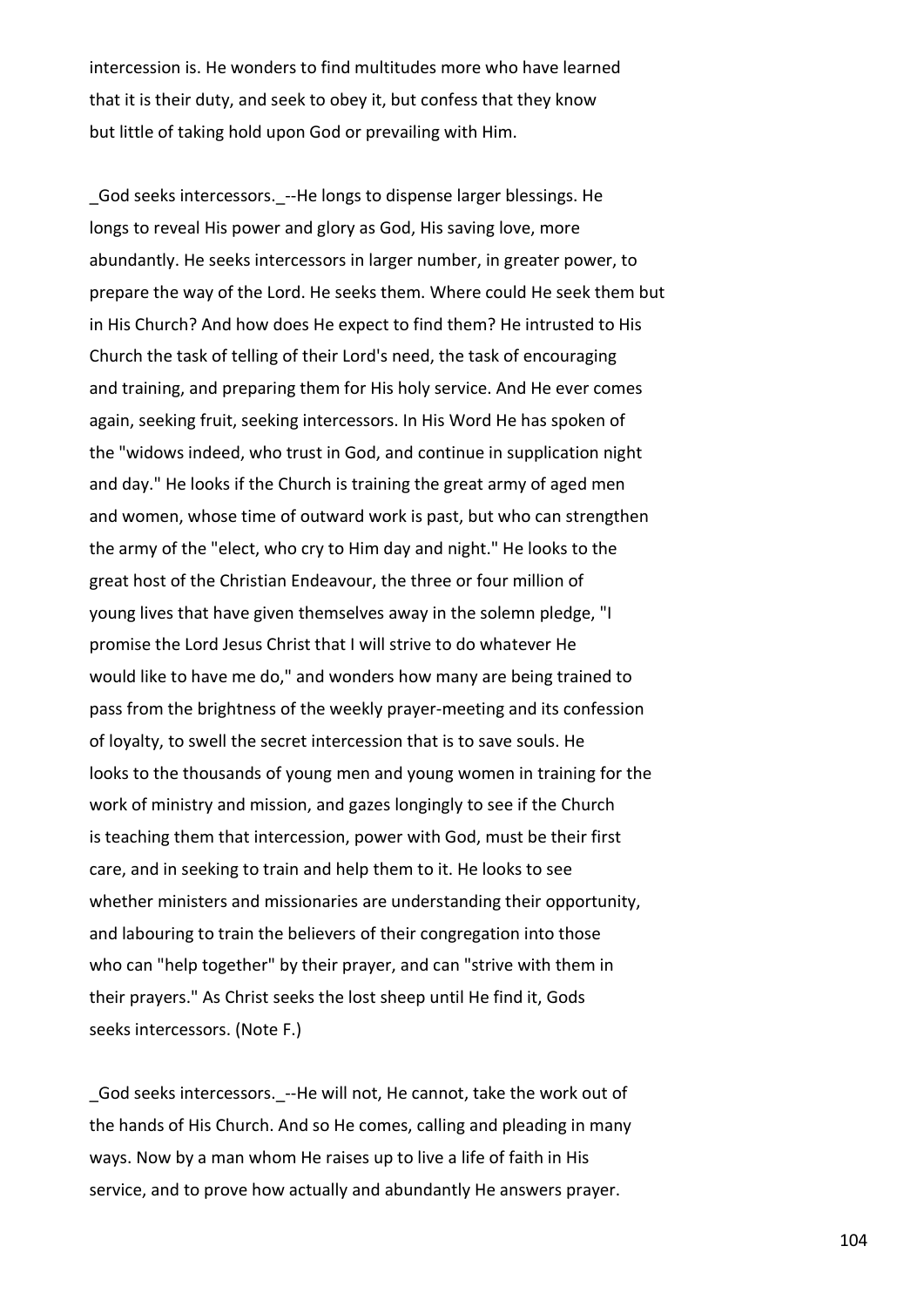intercession is. He wonders to find multitudes more who have learned that it is their duty, and seek to obey it, but confess that they know but little of taking hold upon God or prevailing with Him.

God seeks intercessors. --He longs to dispense larger blessings. He longs to reveal His power and glory as God, His saving love, more abundantly. He seeks intercessors in larger number, in greater power, to prepare the way of the Lord. He seeks them. Where could He seek them but in His Church? And how does He expect to find them? He intrusted to His Church the task of telling of their Lord's need, the task of encouraging and training, and preparing them for His holy service. And He ever comes again, seeking fruit, seeking intercessors. In His Word He has spoken of the "widows indeed, who trust in God, and continue in supplication night and day." He looks if the Church is training the great army of aged men and women, whose time of outward work is past, but who can strengthen the army of the "elect, who cry to Him day and night." He looks to the great host of the Christian Endeavour, the three or four million of young lives that have given themselves away in the solemn pledge, "I promise the Lord Jesus Christ that I will strive to do whatever He would like to have me do," and wonders how many are being trained to pass from the brightness of the weekly prayer-meeting and its confession of loyalty, to swell the secret intercession that is to save souls. He looks to the thousands of young men and young women in training for the work of ministry and mission, and gazes longingly to see if the Church is teaching them that intercession, power with God, must be their first care, and in seeking to train and help them to it. He looks to see whether ministers and missionaries are understanding their opportunity, and labouring to train the believers of their congregation into those who can "help together" by their prayer, and can "strive with them in their prayers." As Christ seeks the lost sheep until He find it, Gods seeks intercessors. (Note F.)

\_God seeks intercessors.\_--He will not, He cannot, take the work out of the hands of His Church. And so He comes, calling and pleading in many ways. Now by a man whom He raises up to live a life of faith in His service, and to prove how actually and abundantly He answers prayer.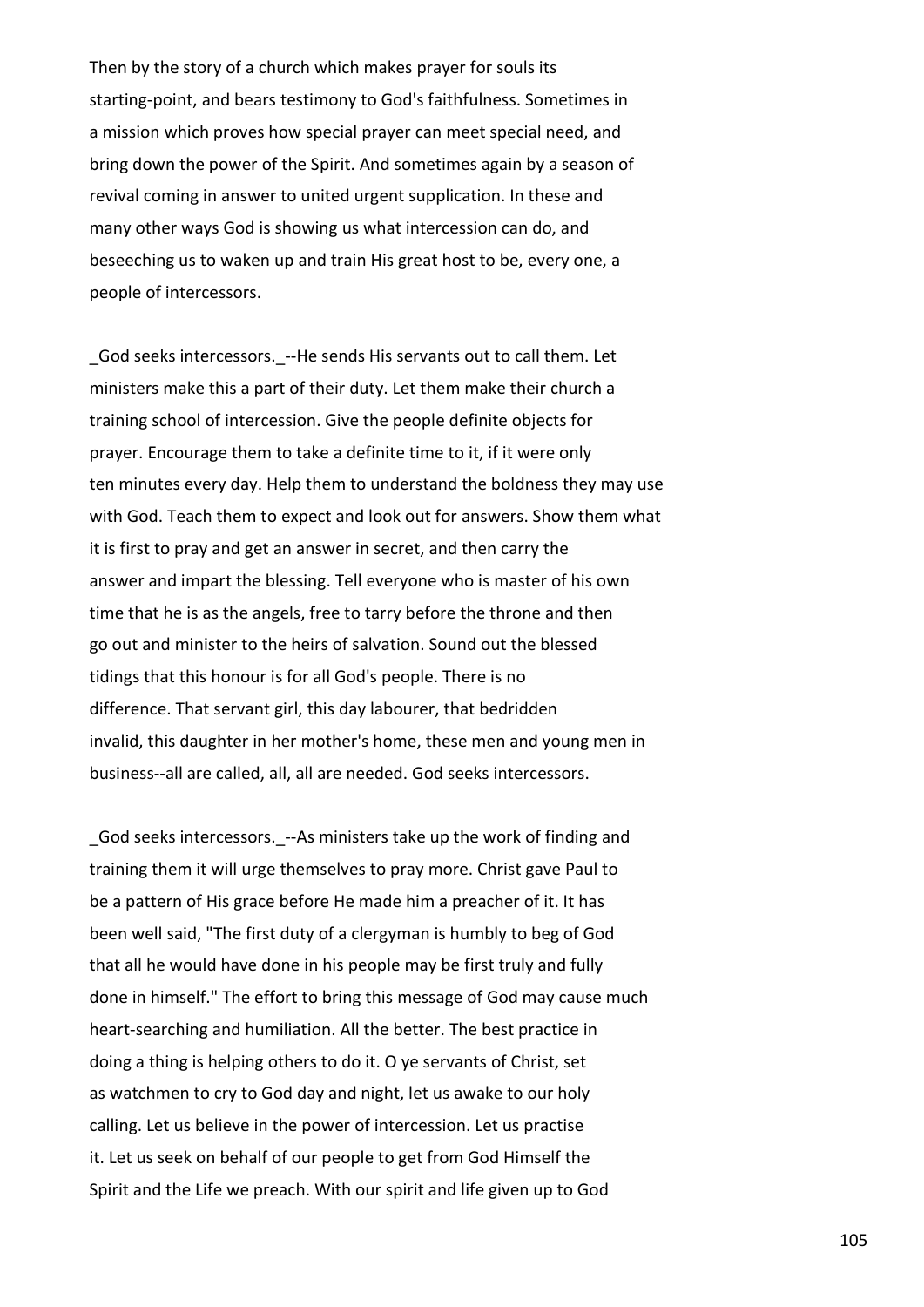Then by the story of a church which makes prayer for souls its starting-point, and bears testimony to God's faithfulness. Sometimes in a mission which proves how special prayer can meet special need, and bring down the power of the Spirit. And sometimes again by a season of revival coming in answer to united urgent supplication. In these and many other ways God is showing us what intercession can do, and beseeching us to waken up and train His great host to be, every one, a people of intercessors.

God seeks intercessors. --He sends His servants out to call them. Let ministers make this a part of their duty. Let them make their church a training school of intercession. Give the people definite objects for prayer. Encourage them to take a definite time to it, if it were only ten minutes every day. Help them to understand the boldness they may use with God. Teach them to expect and look out for answers. Show them what it is first to pray and get an answer in secret, and then carry the answer and impart the blessing. Tell everyone who is master of his own time that he is as the angels, free to tarry before the throne and then go out and minister to the heirs of salvation. Sound out the blessed tidings that this honour is for all God's people. There is no difference. That servant girl, this day labourer, that bedridden invalid, this daughter in her mother's home, these men and young men in business--all are called, all, all are needed. God seeks intercessors.

God seeks intercessors. --As ministers take up the work of finding and training them it will urge themselves to pray more. Christ gave Paul to be a pattern of His grace before He made him a preacher of it. It has been well said, "The first duty of a clergyman is humbly to beg of God that all he would have done in his people may be first truly and fully done in himself." The effort to bring this message of God may cause much heart-searching and humiliation. All the better. The best practice in doing a thing is helping others to do it. O ye servants of Christ, set as watchmen to cry to God day and night, let us awake to our holy calling. Let us believe in the power of intercession. Let us practise it. Let us seek on behalf of our people to get from God Himself the Spirit and the Life we preach. With our spirit and life given up to God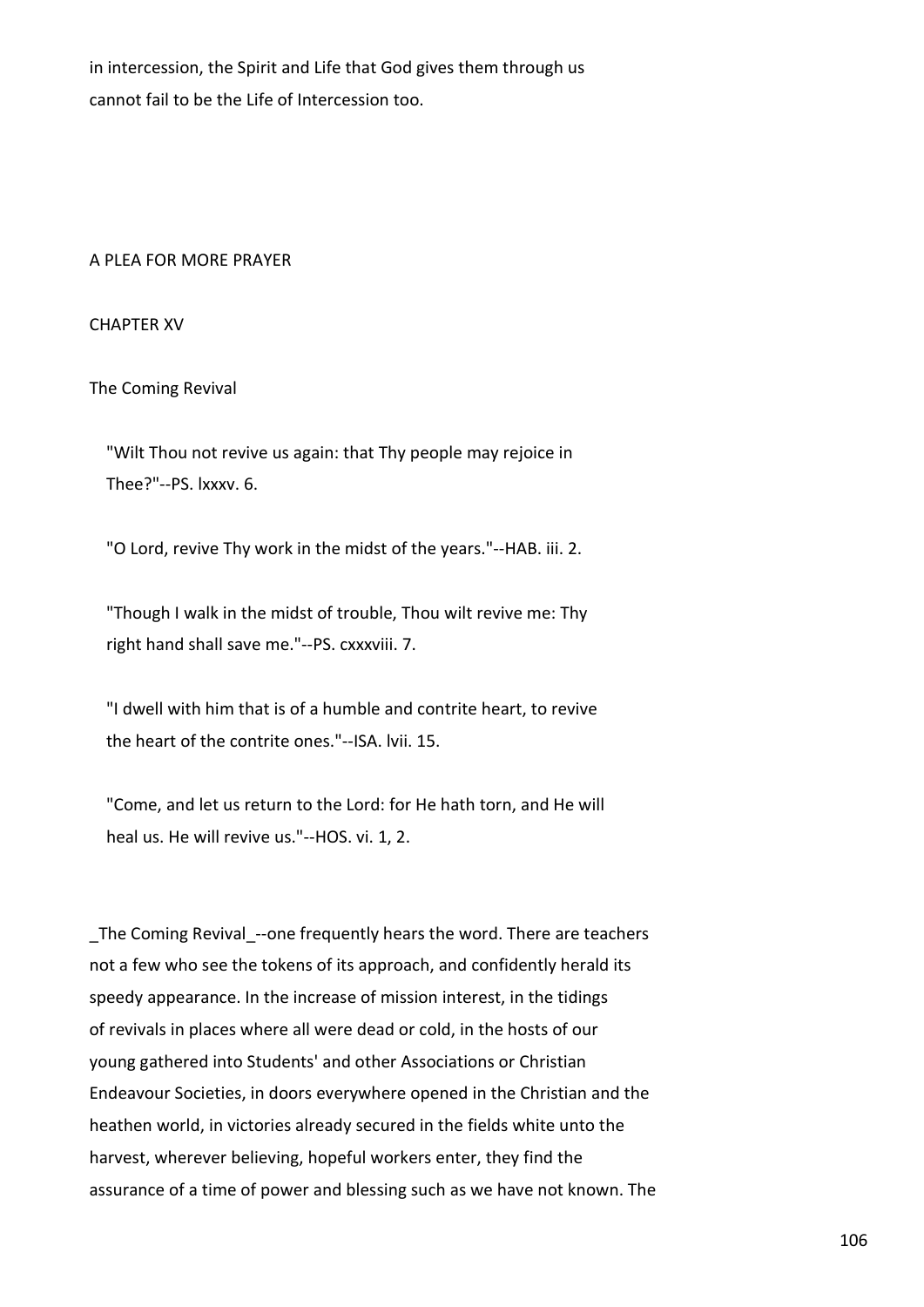in intercession, the Spirit and Life that God gives them through us cannot fail to be the Life of Intercession too.

# A PLEA FOR MORE PRAYER

CHAPTER XV

The Coming Revival

 "Wilt Thou not revive us again: that Thy people may rejoice in Thee?"--PS. lxxxv. 6.

"O Lord, revive Thy work in the midst of the years."--HAB. iii. 2.

 "Though I walk in the midst of trouble, Thou wilt revive me: Thy right hand shall save me."--PS. cxxxviii. 7.

 "I dwell with him that is of a humble and contrite heart, to revive the heart of the contrite ones."--ISA. lvii. 15.

 "Come, and let us return to the Lord: for He hath torn, and He will heal us. He will revive us."--HOS. vi. 1, 2.

The Coming Revival --one frequently hears the word. There are teachers not a few who see the tokens of its approach, and confidently herald its speedy appearance. In the increase of mission interest, in the tidings of revivals in places where all were dead or cold, in the hosts of our young gathered into Students' and other Associations or Christian Endeavour Societies, in doors everywhere opened in the Christian and the heathen world, in victories already secured in the fields white unto the harvest, wherever believing, hopeful workers enter, they find the assurance of a time of power and blessing such as we have not known. The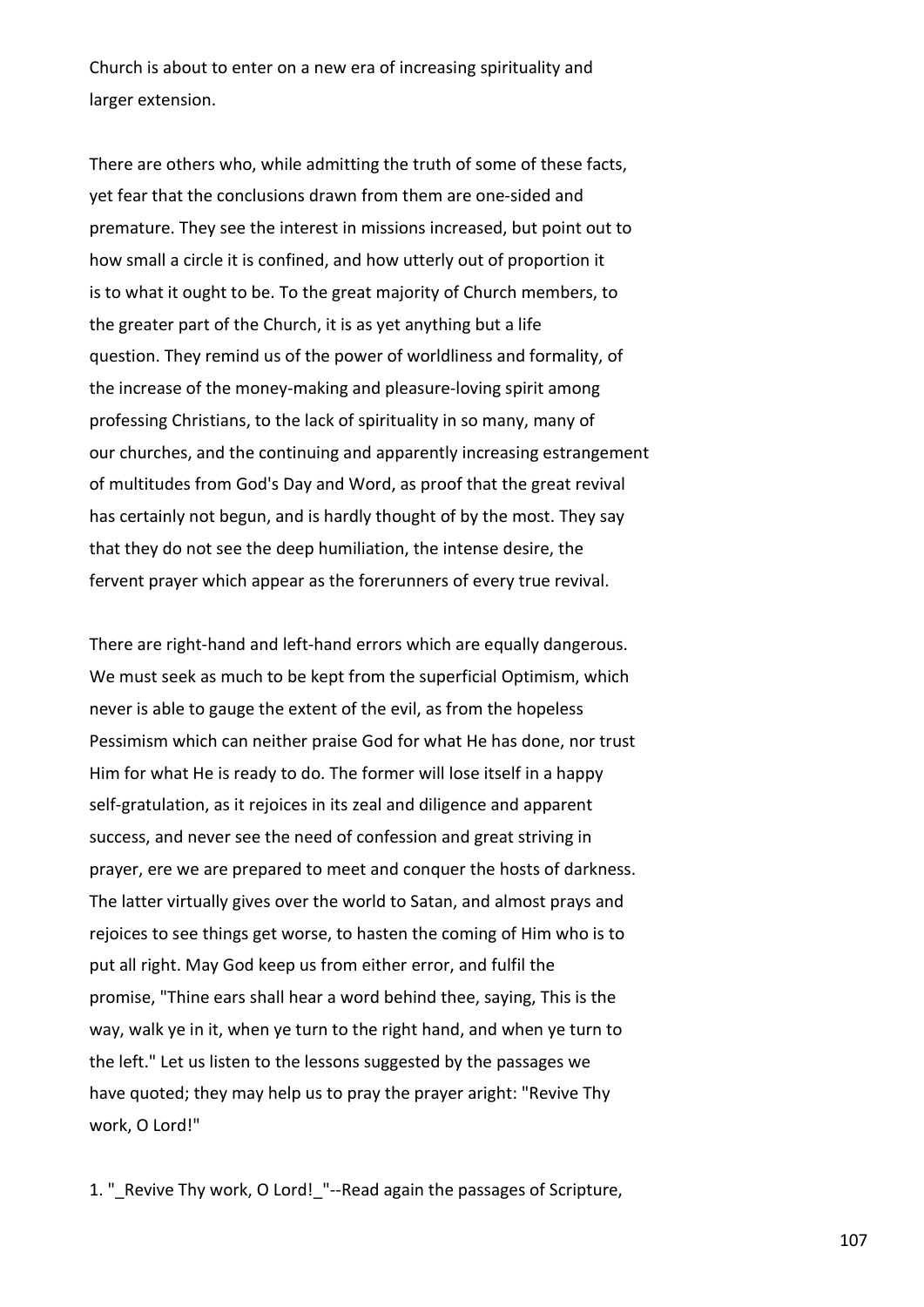Church is about to enter on a new era of increasing spirituality and larger extension.

There are others who, while admitting the truth of some of these facts, yet fear that the conclusions drawn from them are one-sided and premature. They see the interest in missions increased, but point out to how small a circle it is confined, and how utterly out of proportion it is to what it ought to be. To the great majority of Church members, to the greater part of the Church, it is as yet anything but a life question. They remind us of the power of worldliness and formality, of the increase of the money-making and pleasure-loving spirit among professing Christians, to the lack of spirituality in so many, many of our churches, and the continuing and apparently increasing estrangement of multitudes from God's Day and Word, as proof that the great revival has certainly not begun, and is hardly thought of by the most. They say that they do not see the deep humiliation, the intense desire, the fervent prayer which appear as the forerunners of every true revival.

There are right-hand and left-hand errors which are equally dangerous. We must seek as much to be kept from the superficial Optimism, which never is able to gauge the extent of the evil, as from the hopeless Pessimism which can neither praise God for what He has done, nor trust Him for what He is ready to do. The former will lose itself in a happy self-gratulation, as it rejoices in its zeal and diligence and apparent success, and never see the need of confession and great striving in prayer, ere we are prepared to meet and conquer the hosts of darkness. The latter virtually gives over the world to Satan, and almost prays and rejoices to see things get worse, to hasten the coming of Him who is to put all right. May God keep us from either error, and fulfil the promise, "Thine ears shall hear a word behind thee, saying, This is the way, walk ye in it, when ye turn to the right hand, and when ye turn to the left." Let us listen to the lessons suggested by the passages we have quoted; they may help us to pray the prayer aright: "Revive Thy work, O Lord!"

1. " Revive Thy work, O Lord! "--Read again the passages of Scripture,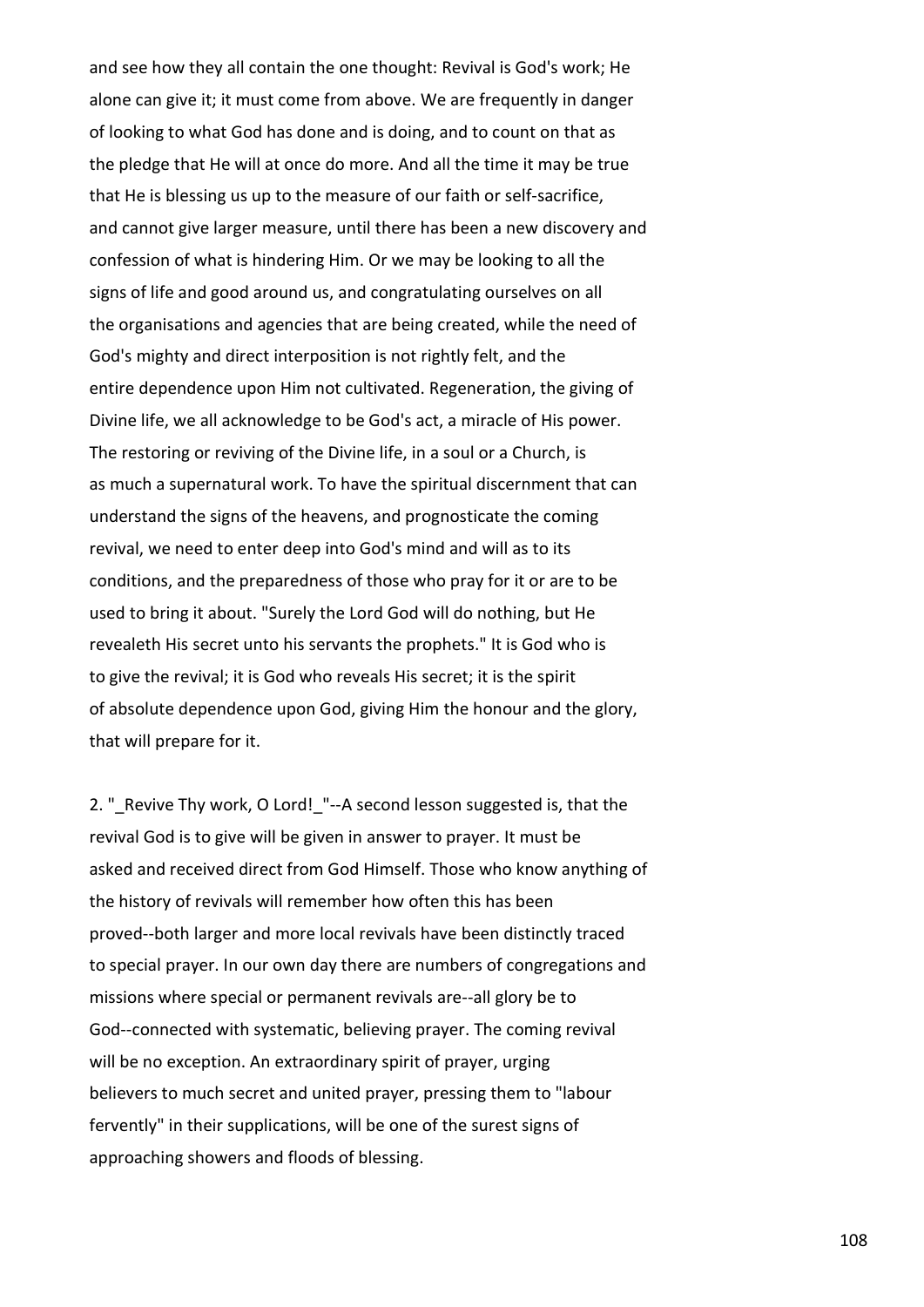and see how they all contain the one thought: Revival is God's work; He alone can give it; it must come from above. We are frequently in danger of looking to what God has done and is doing, and to count on that as the pledge that He will at once do more. And all the time it may be true that He is blessing us up to the measure of our faith or self-sacrifice, and cannot give larger measure, until there has been a new discovery and confession of what is hindering Him. Or we may be looking to all the signs of life and good around us, and congratulating ourselves on all the organisations and agencies that are being created, while the need of God's mighty and direct interposition is not rightly felt, and the entire dependence upon Him not cultivated. Regeneration, the giving of Divine life, we all acknowledge to be God's act, a miracle of His power. The restoring or reviving of the Divine life, in a soul or a Church, is as much a supernatural work. To have the spiritual discernment that can understand the signs of the heavens, and prognosticate the coming revival, we need to enter deep into God's mind and will as to its conditions, and the preparedness of those who pray for it or are to be used to bring it about. "Surely the Lord God will do nothing, but He revealeth His secret unto his servants the prophets." It is God who is to give the revival; it is God who reveals His secret; it is the spirit of absolute dependence upon God, giving Him the honour and the glory, that will prepare for it.

2. " Revive Thy work, O Lord! "--A second lesson suggested is, that the revival God is to give will be given in answer to prayer. It must be asked and received direct from God Himself. Those who know anything of the history of revivals will remember how often this has been proved--both larger and more local revivals have been distinctly traced to special prayer. In our own day there are numbers of congregations and missions where special or permanent revivals are--all glory be to God--connected with systematic, believing prayer. The coming revival will be no exception. An extraordinary spirit of prayer, urging believers to much secret and united prayer, pressing them to "labour fervently" in their supplications, will be one of the surest signs of approaching showers and floods of blessing.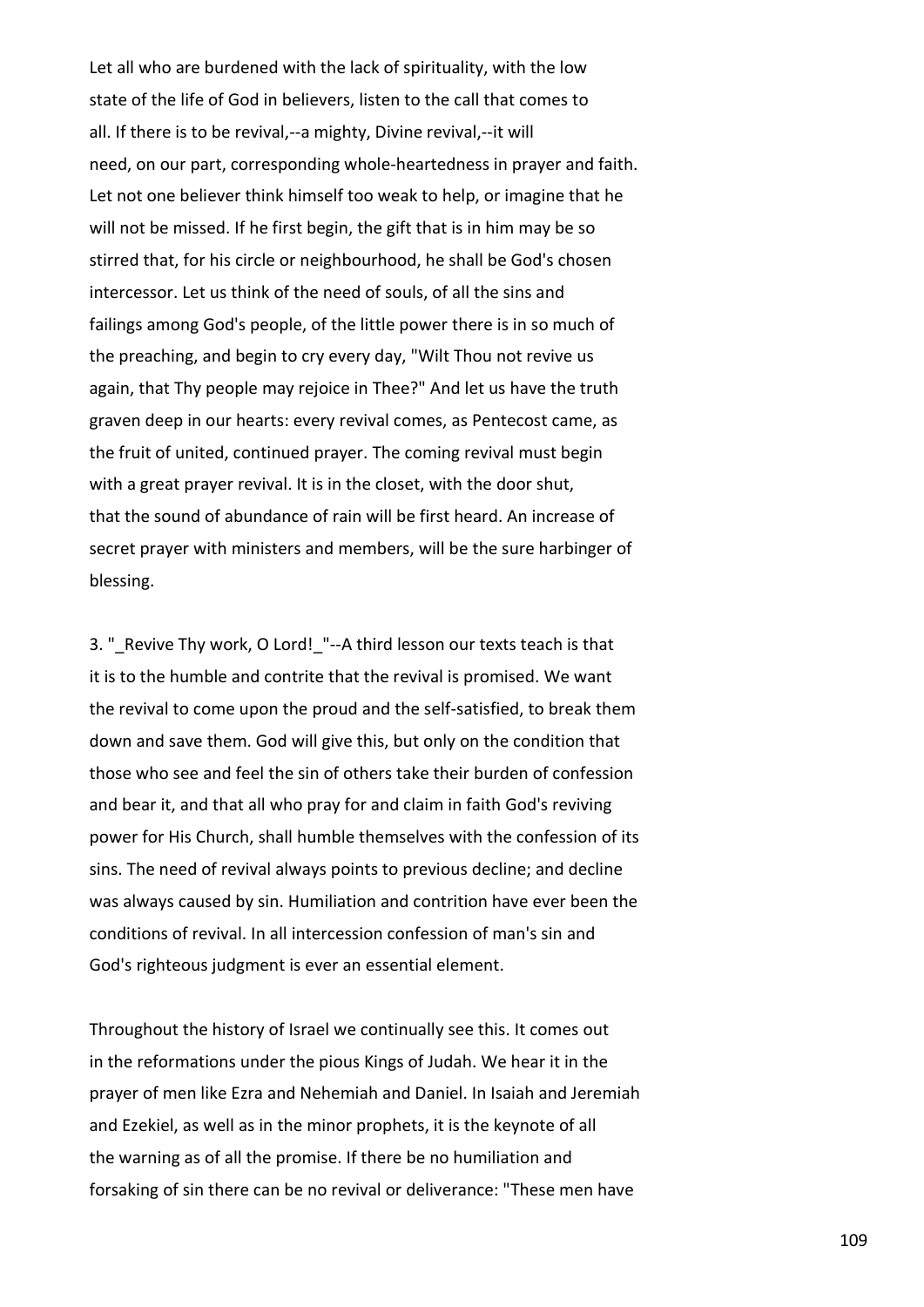Let all who are burdened with the lack of spirituality, with the low state of the life of God in believers, listen to the call that comes to all. If there is to be revival,--a mighty, Divine revival,--it will need, on our part, corresponding whole-heartedness in prayer and faith. Let not one believer think himself too weak to help, or imagine that he will not be missed. If he first begin, the gift that is in him may be so stirred that, for his circle or neighbourhood, he shall be God's chosen intercessor. Let us think of the need of souls, of all the sins and failings among God's people, of the little power there is in so much of the preaching, and begin to cry every day, "Wilt Thou not revive us again, that Thy people may rejoice in Thee?" And let us have the truth graven deep in our hearts: every revival comes, as Pentecost came, as the fruit of united, continued prayer. The coming revival must begin with a great prayer revival. It is in the closet, with the door shut, that the sound of abundance of rain will be first heard. An increase of secret prayer with ministers and members, will be the sure harbinger of blessing.

3. " Revive Thy work, O Lord! "--A third lesson our texts teach is that it is to the humble and contrite that the revival is promised. We want the revival to come upon the proud and the self-satisfied, to break them down and save them. God will give this, but only on the condition that those who see and feel the sin of others take their burden of confession and bear it, and that all who pray for and claim in faith God's reviving power for His Church, shall humble themselves with the confession of its sins. The need of revival always points to previous decline; and decline was always caused by sin. Humiliation and contrition have ever been the conditions of revival. In all intercession confession of man's sin and God's righteous judgment is ever an essential element.

Throughout the history of Israel we continually see this. It comes out in the reformations under the pious Kings of Judah. We hear it in the prayer of men like Ezra and Nehemiah and Daniel. In Isaiah and Jeremiah and Ezekiel, as well as in the minor prophets, it is the keynote of all the warning as of all the promise. If there be no humiliation and forsaking of sin there can be no revival or deliverance: "These men have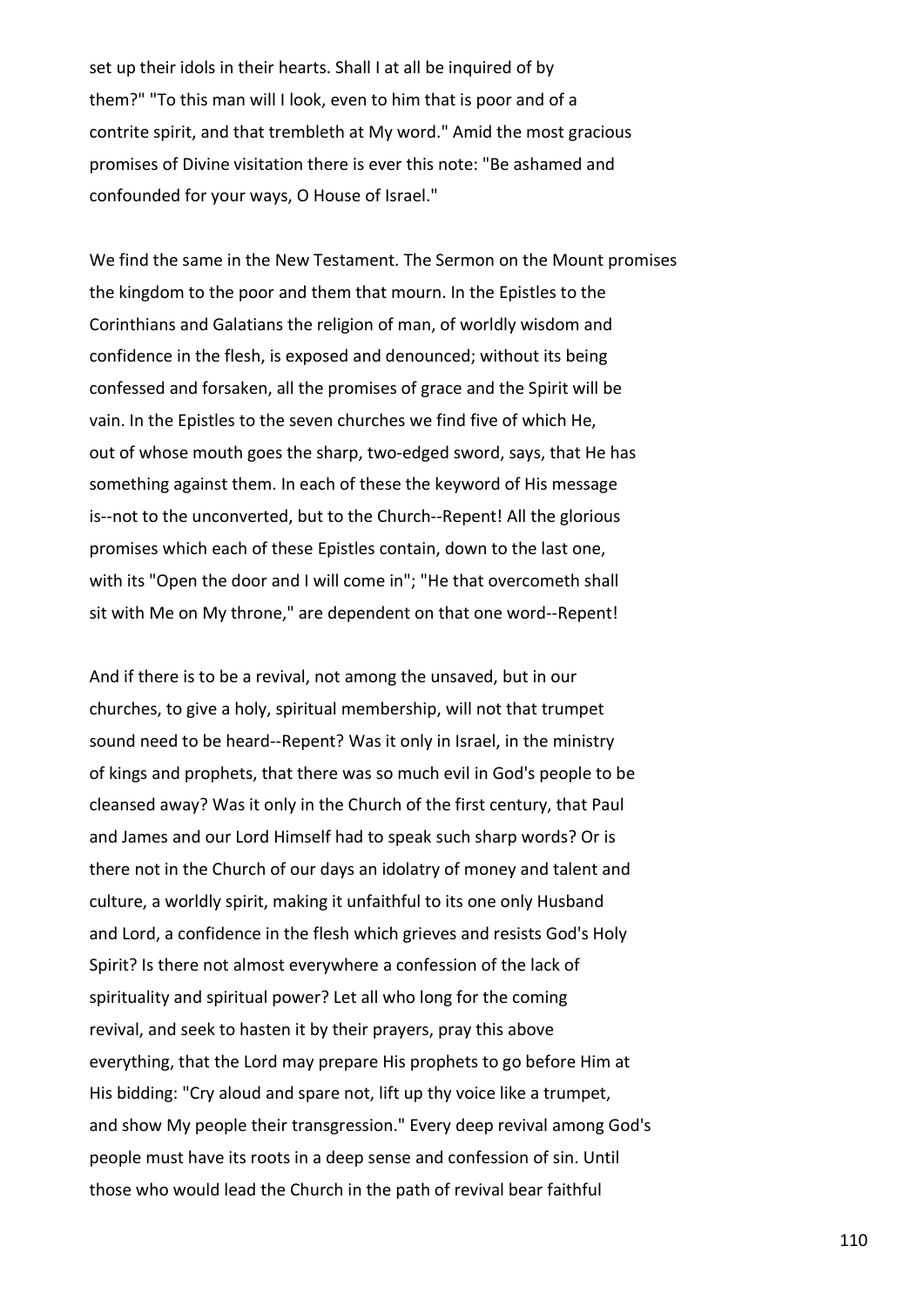set up their idols in their hearts. Shall I at all be inquired of by them?" "To this man will I look, even to him that is poor and of a contrite spirit, and that trembleth at My word." Amid the most gracious promises of Divine visitation there is ever this note: "Be ashamed and confounded for your ways, O House of Israel."

We find the same in the New Testament. The Sermon on the Mount promises the kingdom to the poor and them that mourn. In the Epistles to the Corinthians and Galatians the religion of man, of worldly wisdom and confidence in the flesh, is exposed and denounced; without its being confessed and forsaken, all the promises of grace and the Spirit will be vain. In the Epistles to the seven churches we find five of which He, out of whose mouth goes the sharp, two-edged sword, says, that He has something against them. In each of these the keyword of His message is--not to the unconverted, but to the Church--Repent! All the glorious promises which each of these Epistles contain, down to the last one, with its "Open the door and I will come in"; "He that overcometh shall sit with Me on My throne," are dependent on that one word--Repent!

And if there is to be a revival, not among the unsaved, but in our churches, to give a holy, spiritual membership, will not that trumpet sound need to be heard--Repent? Was it only in Israel, in the ministry of kings and prophets, that there was so much evil in God's people to be cleansed away? Was it only in the Church of the first century, that Paul and James and our Lord Himself had to speak such sharp words? Or is there not in the Church of our days an idolatry of money and talent and culture, a worldly spirit, making it unfaithful to its one only Husband and Lord, a confidence in the flesh which grieves and resists God's Holy Spirit? Is there not almost everywhere a confession of the lack of spirituality and spiritual power? Let all who long for the coming revival, and seek to hasten it by their prayers, pray this above everything, that the Lord may prepare His prophets to go before Him at His bidding: "Cry aloud and spare not, lift up thy voice like a trumpet, and show My people their transgression." Every deep revival among God's people must have its roots in a deep sense and confession of sin. Until those who would lead the Church in the path of revival bear faithful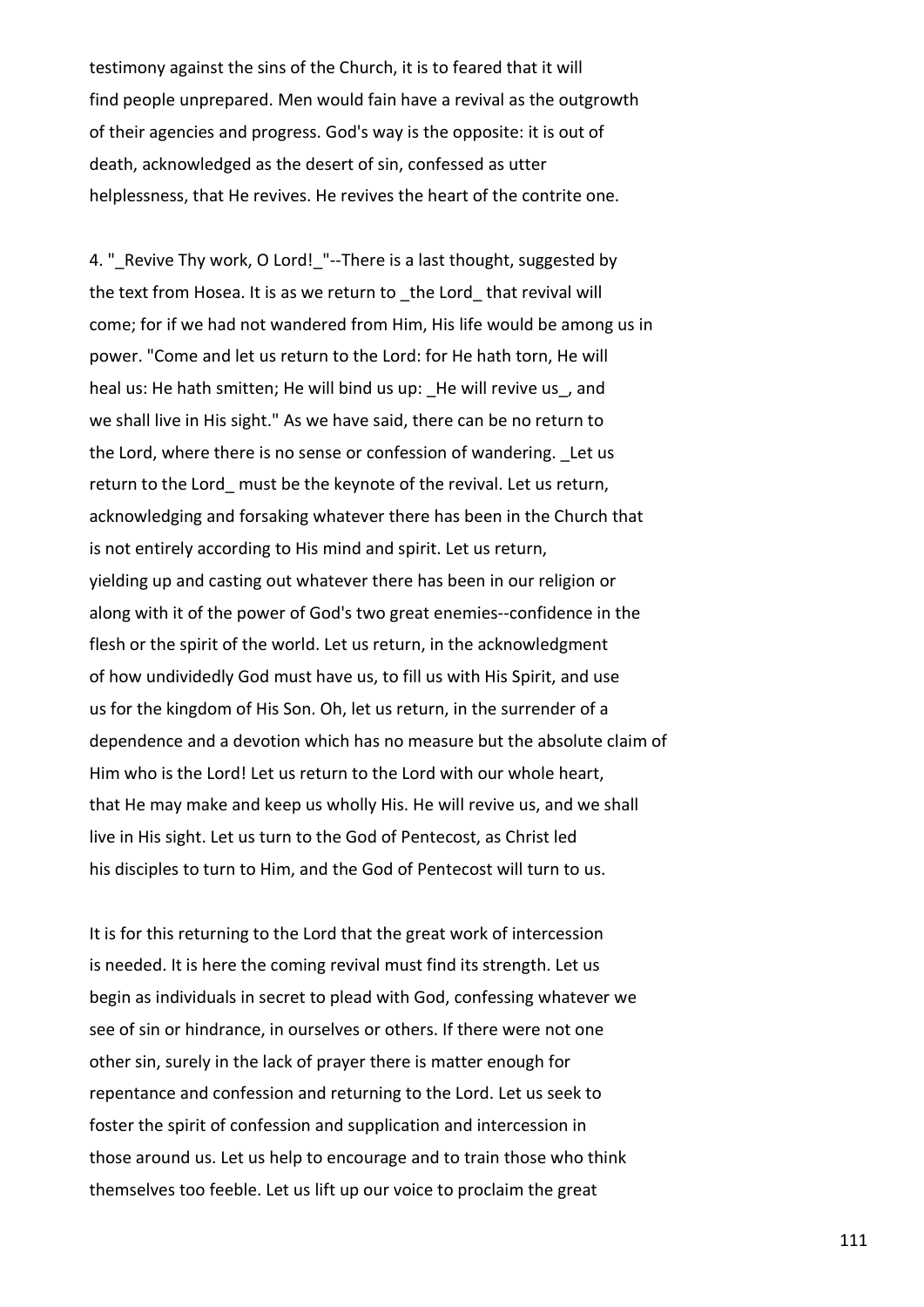testimony against the sins of the Church, it is to feared that it will find people unprepared. Men would fain have a revival as the outgrowth of their agencies and progress. God's way is the opposite: it is out of death, acknowledged as the desert of sin, confessed as utter helplessness, that He revives. He revives the heart of the contrite one.

4. " Revive Thy work, O Lord! "--There is a last thought, suggested by the text from Hosea. It is as we return to \_the Lord\_ that revival will come; for if we had not wandered from Him, His life would be among us in power. "Come and let us return to the Lord: for He hath torn, He will heal us: He hath smitten; He will bind us up: He will revive us, and we shall live in His sight." As we have said, there can be no return to the Lord, where there is no sense or confession of wandering. Let us return to the Lord must be the keynote of the revival. Let us return, acknowledging and forsaking whatever there has been in the Church that is not entirely according to His mind and spirit. Let us return, yielding up and casting out whatever there has been in our religion or along with it of the power of God's two great enemies--confidence in the flesh or the spirit of the world. Let us return, in the acknowledgment of how undividedly God must have us, to fill us with His Spirit, and use us for the kingdom of His Son. Oh, let us return, in the surrender of a dependence and a devotion which has no measure but the absolute claim of Him who is the Lord! Let us return to the Lord with our whole heart, that He may make and keep us wholly His. He will revive us, and we shall live in His sight. Let us turn to the God of Pentecost, as Christ led his disciples to turn to Him, and the God of Pentecost will turn to us.

It is for this returning to the Lord that the great work of intercession is needed. It is here the coming revival must find its strength. Let us begin as individuals in secret to plead with God, confessing whatever we see of sin or hindrance, in ourselves or others. If there were not one other sin, surely in the lack of prayer there is matter enough for repentance and confession and returning to the Lord. Let us seek to foster the spirit of confession and supplication and intercession in those around us. Let us help to encourage and to train those who think themselves too feeble. Let us lift up our voice to proclaim the great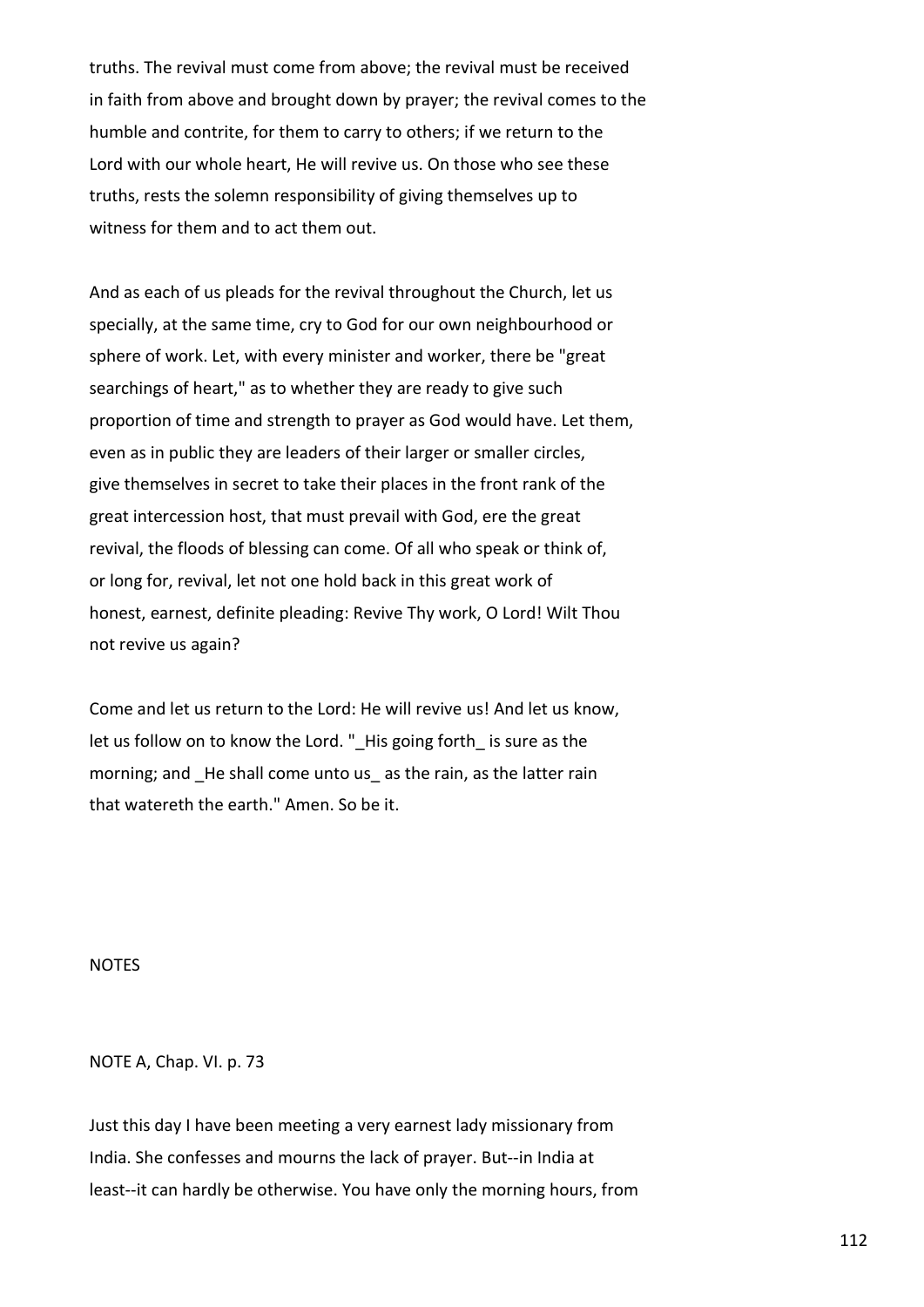truths. The revival must come from above; the revival must be received in faith from above and brought down by prayer; the revival comes to the humble and contrite, for them to carry to others; if we return to the Lord with our whole heart, He will revive us. On those who see these truths, rests the solemn responsibility of giving themselves up to witness for them and to act them out.

And as each of us pleads for the revival throughout the Church, let us specially, at the same time, cry to God for our own neighbourhood or sphere of work. Let, with every minister and worker, there be "great searchings of heart," as to whether they are ready to give such proportion of time and strength to prayer as God would have. Let them, even as in public they are leaders of their larger or smaller circles, give themselves in secret to take their places in the front rank of the great intercession host, that must prevail with God, ere the great revival, the floods of blessing can come. Of all who speak or think of, or long for, revival, let not one hold back in this great work of honest, earnest, definite pleading: Revive Thy work, O Lord! Wilt Thou not revive us again?

Come and let us return to the Lord: He will revive us! And let us know, let us follow on to know the Lord." His going forth is sure as the morning; and He shall come unto us as the rain, as the latter rain that watereth the earth." Amen. So be it.

NOTES

NOTE A, Chap. VI. p. 73

Just this day I have been meeting a very earnest lady missionary from India. She confesses and mourns the lack of prayer. But--in India at least--it can hardly be otherwise. You have only the morning hours, from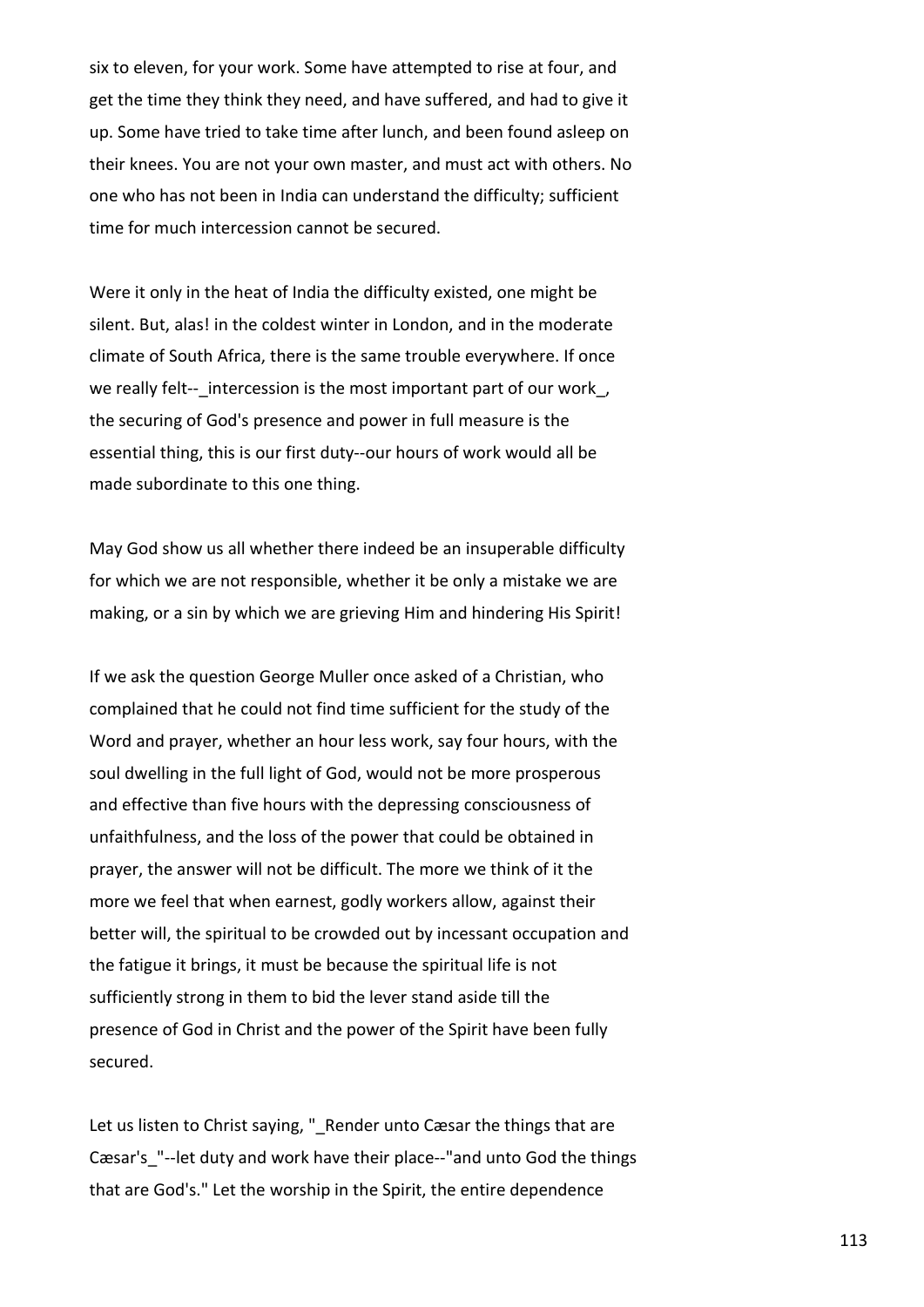six to eleven, for your work. Some have attempted to rise at four, and get the time they think they need, and have suffered, and had to give it up. Some have tried to take time after lunch, and been found asleep on their knees. You are not your own master, and must act with others. No one who has not been in India can understand the difficulty; sufficient time for much intercession cannot be secured.

Were it only in the heat of India the difficulty existed, one might be silent. But, alas! in the coldest winter in London, and in the moderate climate of South Africa, there is the same trouble everywhere. If once we really felt-- intercession is the most important part of our work, the securing of God's presence and power in full measure is the essential thing, this is our first duty--our hours of work would all be made subordinate to this one thing.

May God show us all whether there indeed be an insuperable difficulty for which we are not responsible, whether it be only a mistake we are making, or a sin by which we are grieving Him and hindering His Spirit!

If we ask the question George Muller once asked of a Christian, who complained that he could not find time sufficient for the study of the Word and prayer, whether an hour less work, say four hours, with the soul dwelling in the full light of God, would not be more prosperous and effective than five hours with the depressing consciousness of unfaithfulness, and the loss of the power that could be obtained in prayer, the answer will not be difficult. The more we think of it the more we feel that when earnest, godly workers allow, against their better will, the spiritual to be crowded out by incessant occupation and the fatigue it brings, it must be because the spiritual life is not sufficiently strong in them to bid the lever stand aside till the presence of God in Christ and the power of the Spirit have been fully secured.

Let us listen to Christ saying, " Render unto Cæsar the things that are Cæsar's "--let duty and work have their place--"and unto God the things that are God's." Let the worship in the Spirit, the entire dependence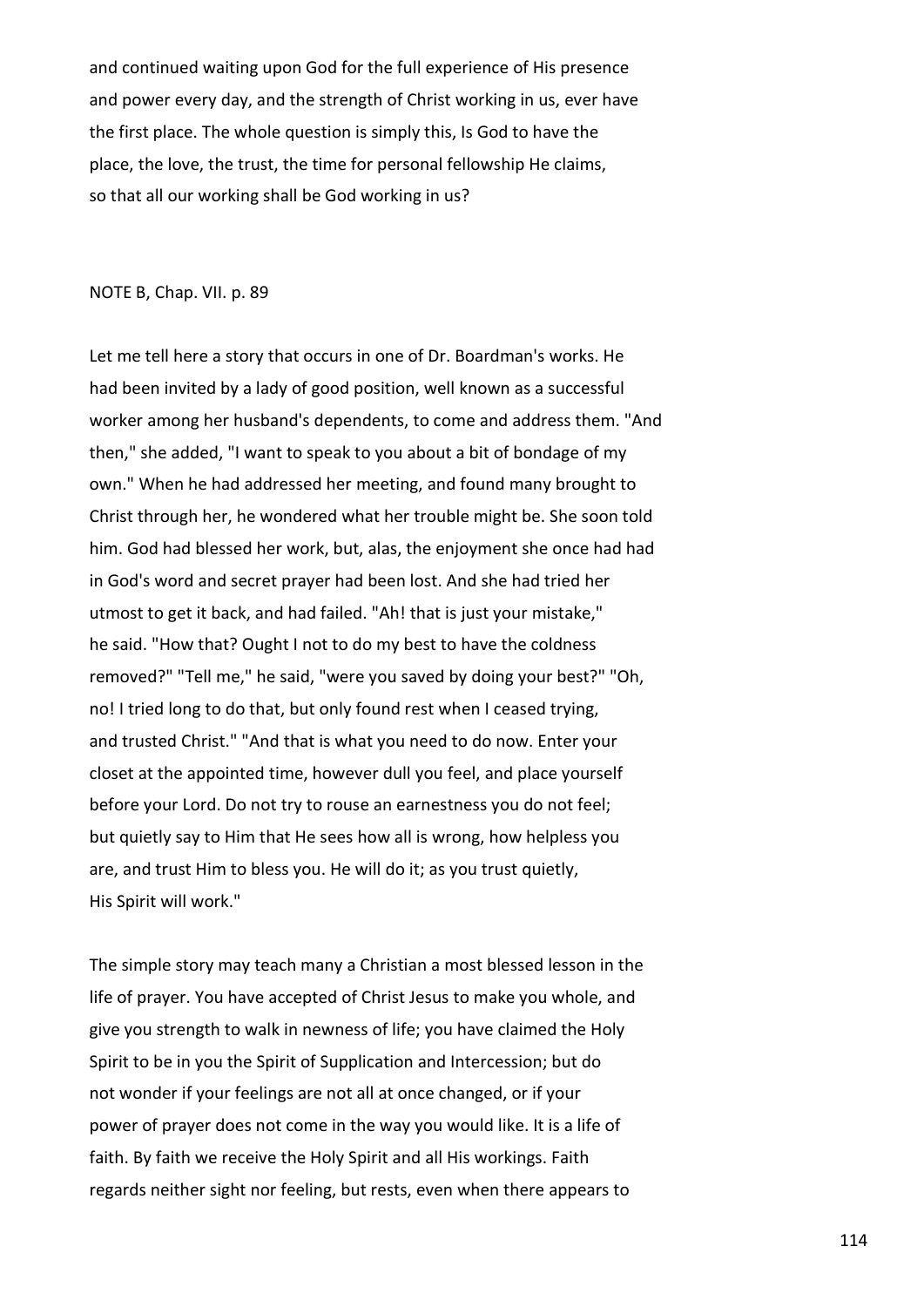and continued waiting upon God for the full experience of His presence and power every day, and the strength of Christ working in us, ever have the first place. The whole question is simply this, Is God to have the place, the love, the trust, the time for personal fellowship He claims, so that all our working shall be God working in us?

NOTE B, Chap. VII. p. 89

Let me tell here a story that occurs in one of Dr. Boardman's works. He had been invited by a lady of good position, well known as a successful worker among her husband's dependents, to come and address them. "And then," she added, "I want to speak to you about a bit of bondage of my own." When he had addressed her meeting, and found many brought to Christ through her, he wondered what her trouble might be. She soon told him. God had blessed her work, but, alas, the enjoyment she once had had in God's word and secret prayer had been lost. And she had tried her utmost to get it back, and had failed. "Ah! that is just your mistake," he said. "How that? Ought I not to do my best to have the coldness removed?" "Tell me," he said, "were you saved by doing your best?" "Oh, no! I tried long to do that, but only found rest when I ceased trying, and trusted Christ." "And that is what you need to do now. Enter your closet at the appointed time, however dull you feel, and place yourself before your Lord. Do not try to rouse an earnestness you do not feel; but quietly say to Him that He sees how all is wrong, how helpless you are, and trust Him to bless you. He will do it; as you trust quietly, His Spirit will work."

The simple story may teach many a Christian a most blessed lesson in the life of prayer. You have accepted of Christ Jesus to make you whole, and give you strength to walk in newness of life; you have claimed the Holy Spirit to be in you the Spirit of Supplication and Intercession; but do not wonder if your feelings are not all at once changed, or if your power of prayer does not come in the way you would like. It is a life of faith. By faith we receive the Holy Spirit and all His workings. Faith regards neither sight nor feeling, but rests, even when there appears to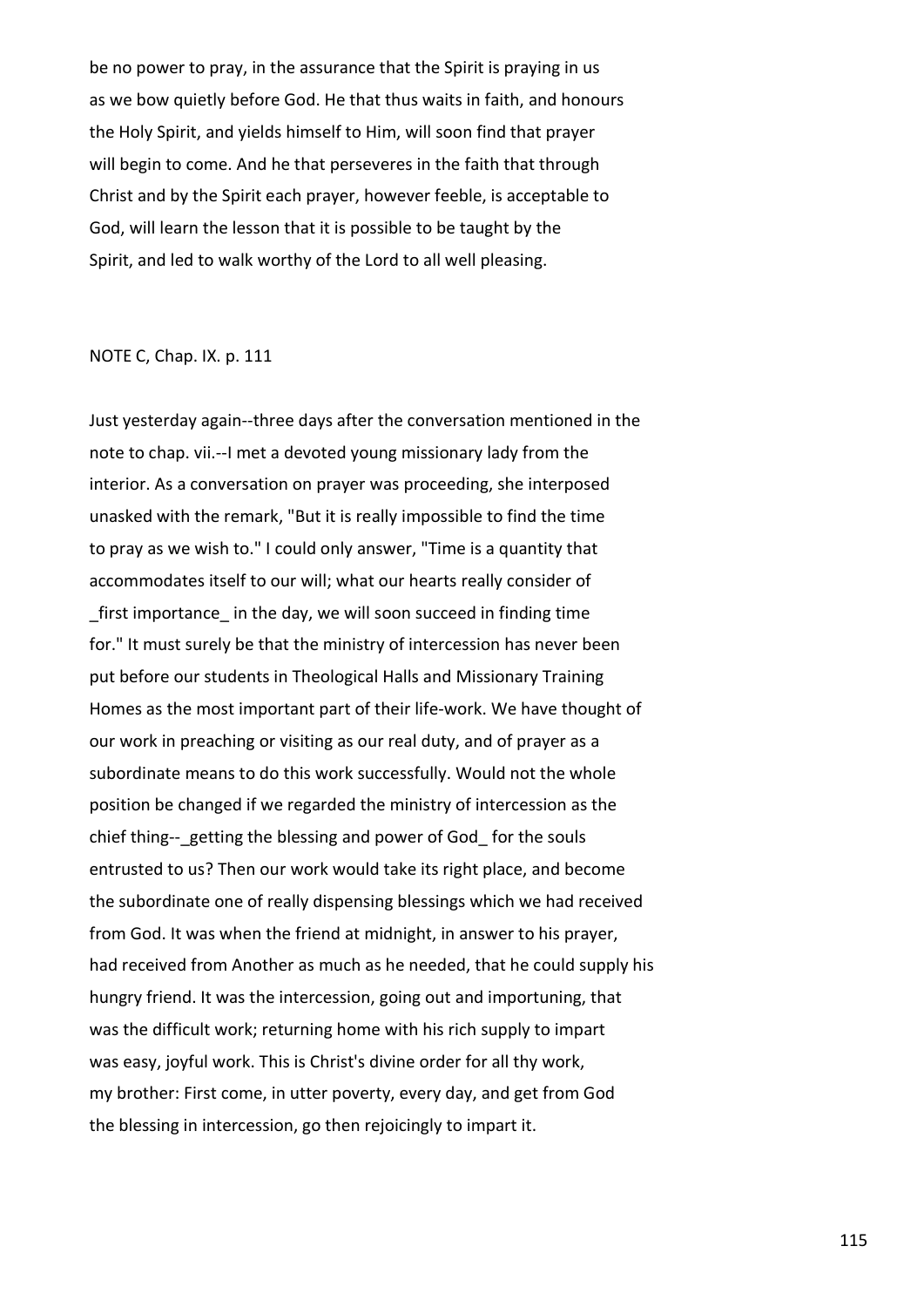be no power to pray, in the assurance that the Spirit is praying in us as we bow quietly before God. He that thus waits in faith, and honours the Holy Spirit, and yields himself to Him, will soon find that prayer will begin to come. And he that perseveres in the faith that through Christ and by the Spirit each prayer, however feeble, is acceptable to God, will learn the lesson that it is possible to be taught by the Spirit, and led to walk worthy of the Lord to all well pleasing.

## NOTE C, Chap. IX. p. 111

Just yesterday again--three days after the conversation mentioned in the note to chap. vii.--I met a devoted young missionary lady from the interior. As a conversation on prayer was proceeding, she interposed unasked with the remark, "But it is really impossible to find the time to pray as we wish to." I could only answer, "Time is a quantity that accommodates itself to our will; what our hearts really consider of \_first importance\_ in the day, we will soon succeed in finding time for." It must surely be that the ministry of intercession has never been put before our students in Theological Halls and Missionary Training Homes as the most important part of their life-work. We have thought of our work in preaching or visiting as our real duty, and of prayer as a subordinate means to do this work successfully. Would not the whole position be changed if we regarded the ministry of intercession as the chief thing-- getting the blessing and power of God for the souls entrusted to us? Then our work would take its right place, and become the subordinate one of really dispensing blessings which we had received from God. It was when the friend at midnight, in answer to his prayer, had received from Another as much as he needed, that he could supply his hungry friend. It was the intercession, going out and importuning, that was the difficult work; returning home with his rich supply to impart was easy, joyful work. This is Christ's divine order for all thy work, my brother: First come, in utter poverty, every day, and get from God the blessing in intercession, go then rejoicingly to impart it.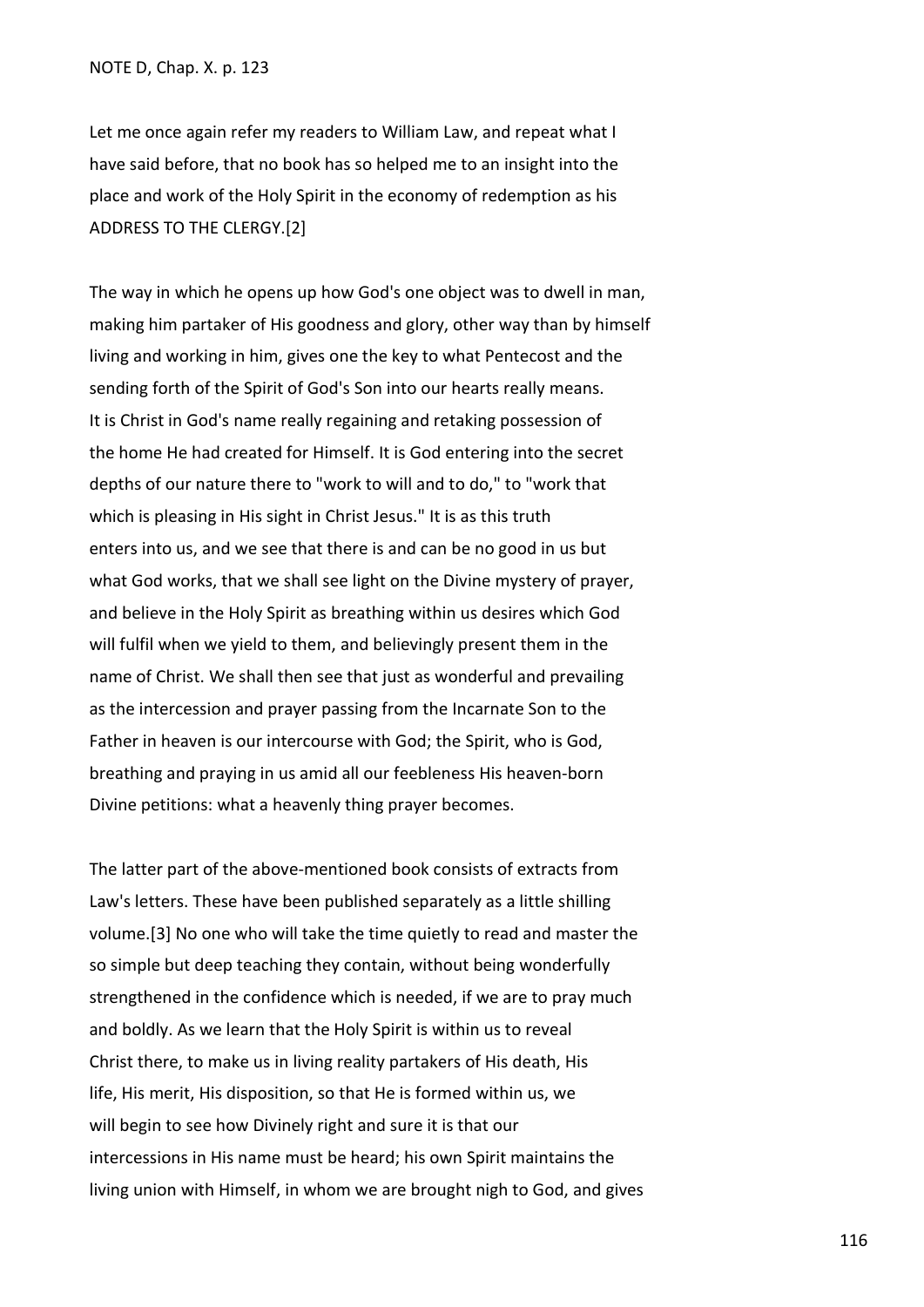Let me once again refer my readers to William Law, and repeat what I have said before, that no book has so helped me to an insight into the place and work of the Holy Spirit in the economy of redemption as his ADDRESS TO THE CLERGY.[2]

The way in which he opens up how God's one object was to dwell in man, making him partaker of His goodness and glory, other way than by himself living and working in him, gives one the key to what Pentecost and the sending forth of the Spirit of God's Son into our hearts really means. It is Christ in God's name really regaining and retaking possession of the home He had created for Himself. It is God entering into the secret depths of our nature there to "work to will and to do," to "work that which is pleasing in His sight in Christ Jesus." It is as this truth enters into us, and we see that there is and can be no good in us but what God works, that we shall see light on the Divine mystery of prayer, and believe in the Holy Spirit as breathing within us desires which God will fulfil when we yield to them, and believingly present them in the name of Christ. We shall then see that just as wonderful and prevailing as the intercession and prayer passing from the Incarnate Son to the Father in heaven is our intercourse with God; the Spirit, who is God, breathing and praying in us amid all our feebleness His heaven-born Divine petitions: what a heavenly thing prayer becomes.

The latter part of the above-mentioned book consists of extracts from Law's letters. These have been published separately as a little shilling volume.[3] No one who will take the time quietly to read and master the so simple but deep teaching they contain, without being wonderfully strengthened in the confidence which is needed, if we are to pray much and boldly. As we learn that the Holy Spirit is within us to reveal Christ there, to make us in living reality partakers of His death, His life, His merit, His disposition, so that He is formed within us, we will begin to see how Divinely right and sure it is that our intercessions in His name must be heard; his own Spirit maintains the living union with Himself, in whom we are brought nigh to God, and gives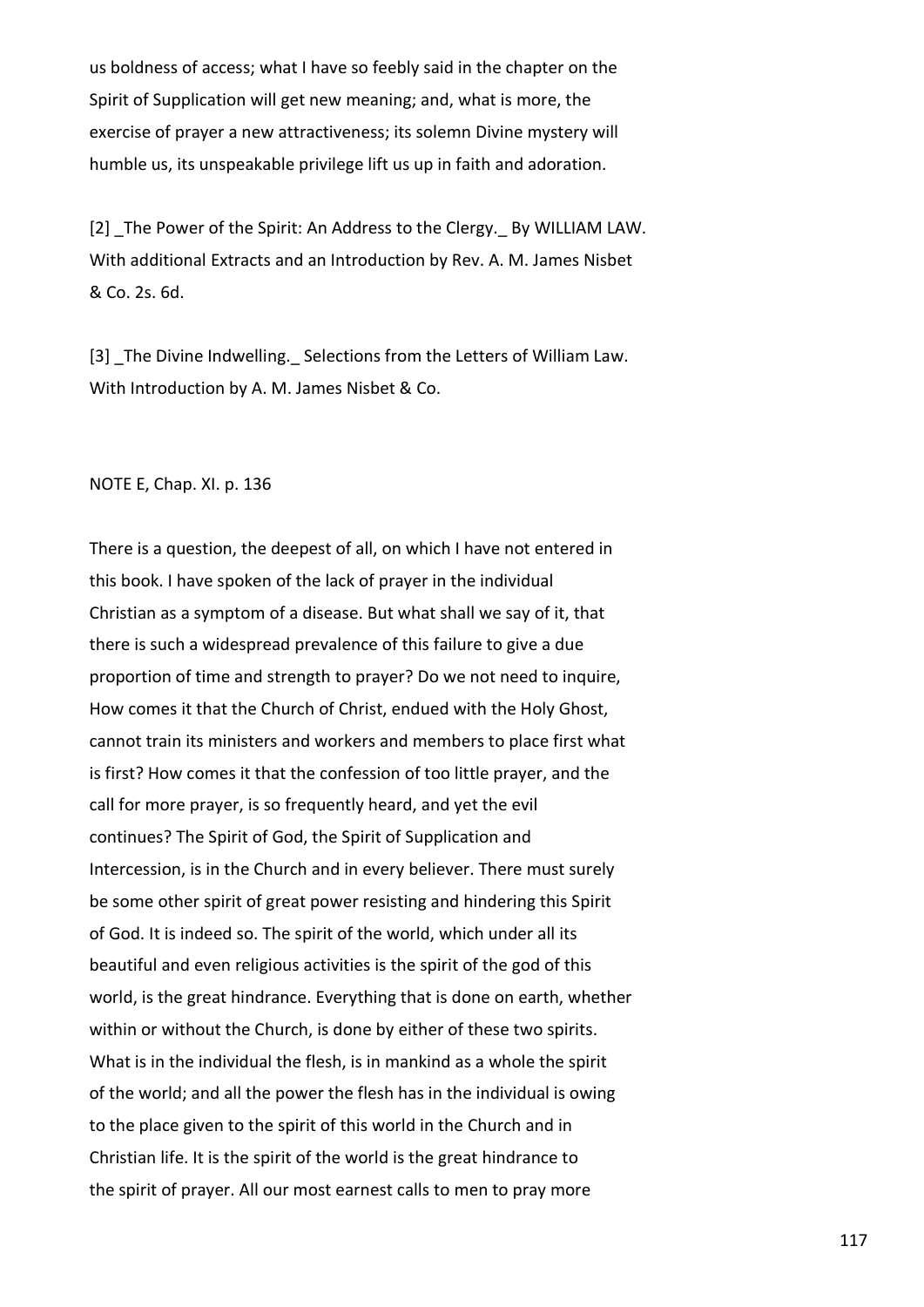us boldness of access; what I have so feebly said in the chapter on the Spirit of Supplication will get new meaning; and, what is more, the exercise of prayer a new attractiveness; its solemn Divine mystery will humble us, its unspeakable privilege lift us up in faith and adoration.

[2] \_The Power of the Spirit: An Address to the Clergy. By WILLIAM LAW. With additional Extracts and an Introduction by Rev. A. M. James Nisbet & Co. 2s. 6d.

[3] The Divine Indwelling. Selections from the Letters of William Law. With Introduction by A. M. James Nisbet & Co.

NOTE E, Chap. XI. p. 136

There is a question, the deepest of all, on which I have not entered in this book. I have spoken of the lack of prayer in the individual Christian as a symptom of a disease. But what shall we say of it, that there is such a widespread prevalence of this failure to give a due proportion of time and strength to prayer? Do we not need to inquire, How comes it that the Church of Christ, endued with the Holy Ghost, cannot train its ministers and workers and members to place first what is first? How comes it that the confession of too little prayer, and the call for more prayer, is so frequently heard, and yet the evil continues? The Spirit of God, the Spirit of Supplication and Intercession, is in the Church and in every believer. There must surely be some other spirit of great power resisting and hindering this Spirit of God. It is indeed so. The spirit of the world, which under all its beautiful and even religious activities is the spirit of the god of this world, is the great hindrance. Everything that is done on earth, whether within or without the Church, is done by either of these two spirits. What is in the individual the flesh, is in mankind as a whole the spirit of the world; and all the power the flesh has in the individual is owing to the place given to the spirit of this world in the Church and in Christian life. It is the spirit of the world is the great hindrance to the spirit of prayer. All our most earnest calls to men to pray more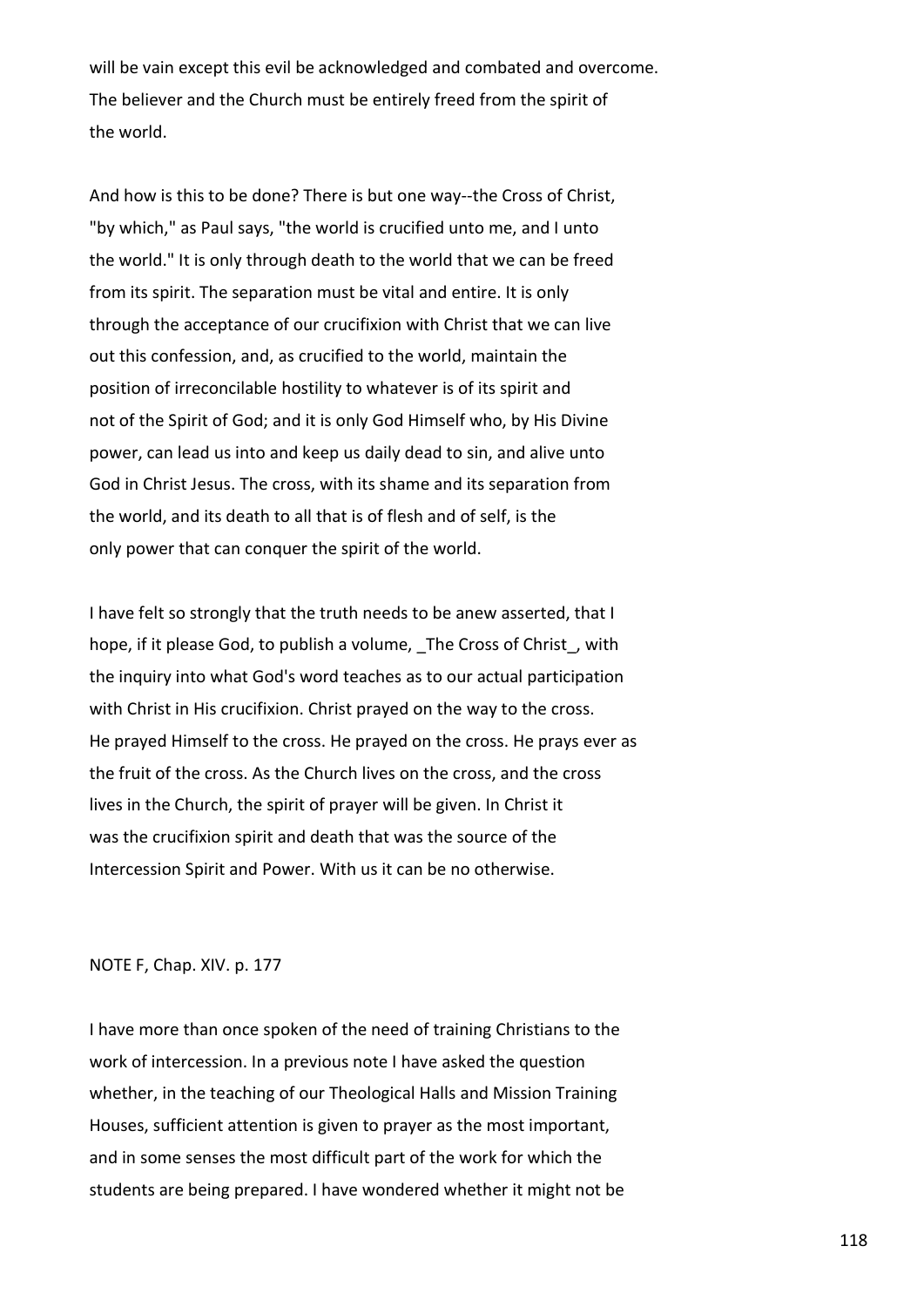will be vain except this evil be acknowledged and combated and overcome. The believer and the Church must be entirely freed from the spirit of the world.

And how is this to be done? There is but one way--the Cross of Christ, "by which," as Paul says, "the world is crucified unto me, and I unto the world." It is only through death to the world that we can be freed from its spirit. The separation must be vital and entire. It is only through the acceptance of our crucifixion with Christ that we can live out this confession, and, as crucified to the world, maintain the position of irreconcilable hostility to whatever is of its spirit and not of the Spirit of God; and it is only God Himself who, by His Divine power, can lead us into and keep us daily dead to sin, and alive unto God in Christ Jesus. The cross, with its shame and its separation from the world, and its death to all that is of flesh and of self, is the only power that can conquer the spirit of the world.

I have felt so strongly that the truth needs to be anew asserted, that I hope, if it please God, to publish a volume, The Cross of Christ, with the inquiry into what God's word teaches as to our actual participation with Christ in His crucifixion. Christ prayed on the way to the cross. He prayed Himself to the cross. He prayed on the cross. He prays ever as the fruit of the cross. As the Church lives on the cross, and the cross lives in the Church, the spirit of prayer will be given. In Christ it was the crucifixion spirit and death that was the source of the Intercession Spirit and Power. With us it can be no otherwise.

## NOTE F, Chap. XIV. p. 177

I have more than once spoken of the need of training Christians to the work of intercession. In a previous note I have asked the question whether, in the teaching of our Theological Halls and Mission Training Houses, sufficient attention is given to prayer as the most important, and in some senses the most difficult part of the work for which the students are being prepared. I have wondered whether it might not be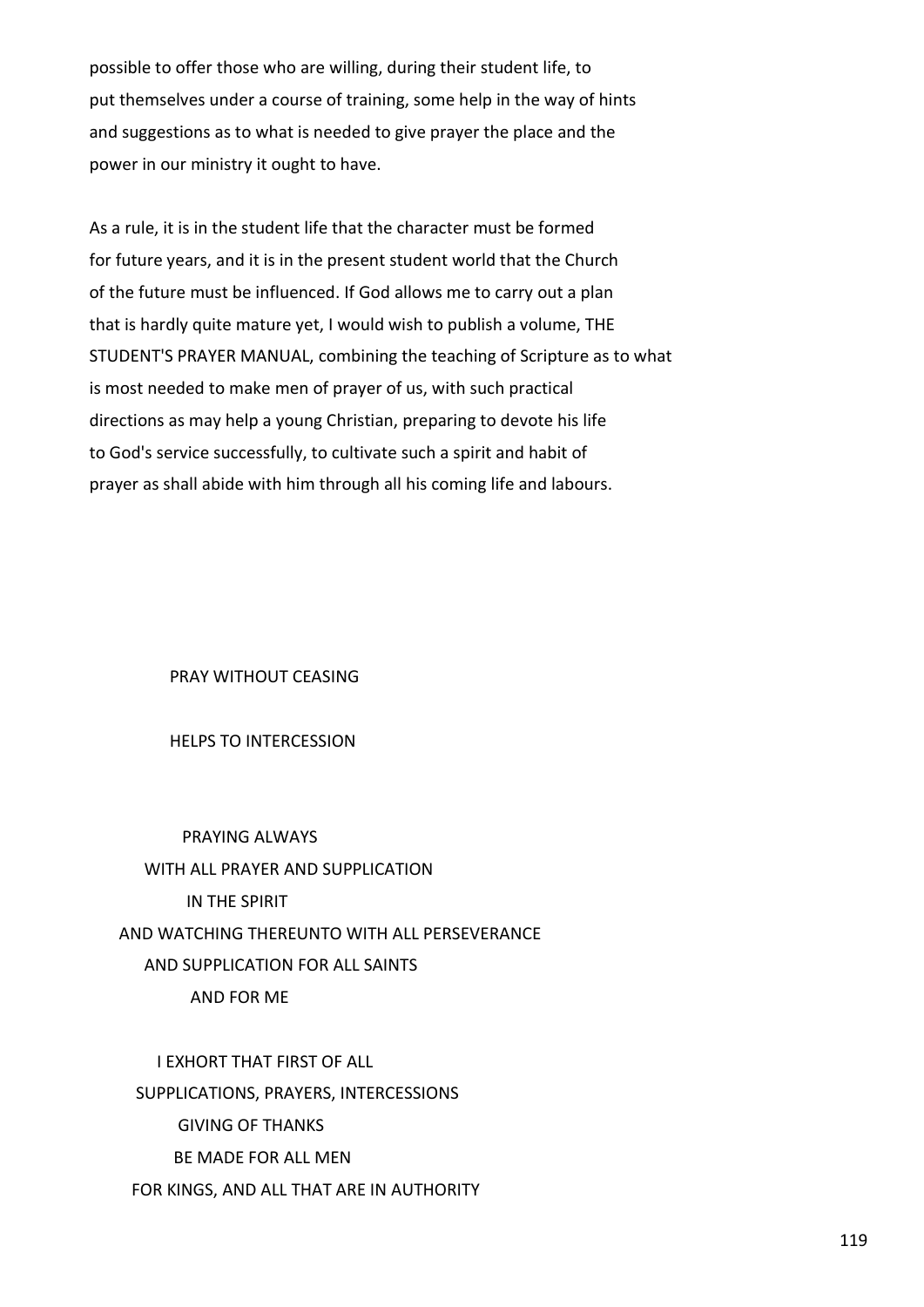possible to offer those who are willing, during their student life, to put themselves under a course of training, some help in the way of hints and suggestions as to what is needed to give prayer the place and the power in our ministry it ought to have.

As a rule, it is in the student life that the character must be formed for future years, and it is in the present student world that the Church of the future must be influenced. If God allows me to carry out a plan that is hardly quite mature yet, I would wish to publish a volume, THE STUDENT'S PRAYER MANUAL, combining the teaching of Scripture as to what is most needed to make men of prayer of us, with such practical directions as may help a young Christian, preparing to devote his life to God's service successfully, to cultivate such a spirit and habit of prayer as shall abide with him through all his coming life and labours.

PRAY WITHOUT CEASING

HELPS TO INTERCESSION

 PRAYING ALWAYS WITH ALL PRAYER AND SUPPLICATION IN THE SPIRIT AND WATCHING THEREUNTO WITH ALL PERSEVERANCE AND SUPPLICATION FOR ALL SAINTS AND FOR ME

 I EXHORT THAT FIRST OF ALL SUPPLICATIONS, PRAYERS, INTERCESSIONS GIVING OF THANKS BE MADE FOR ALL MEN FOR KINGS, AND ALL THAT ARE IN AUTHORITY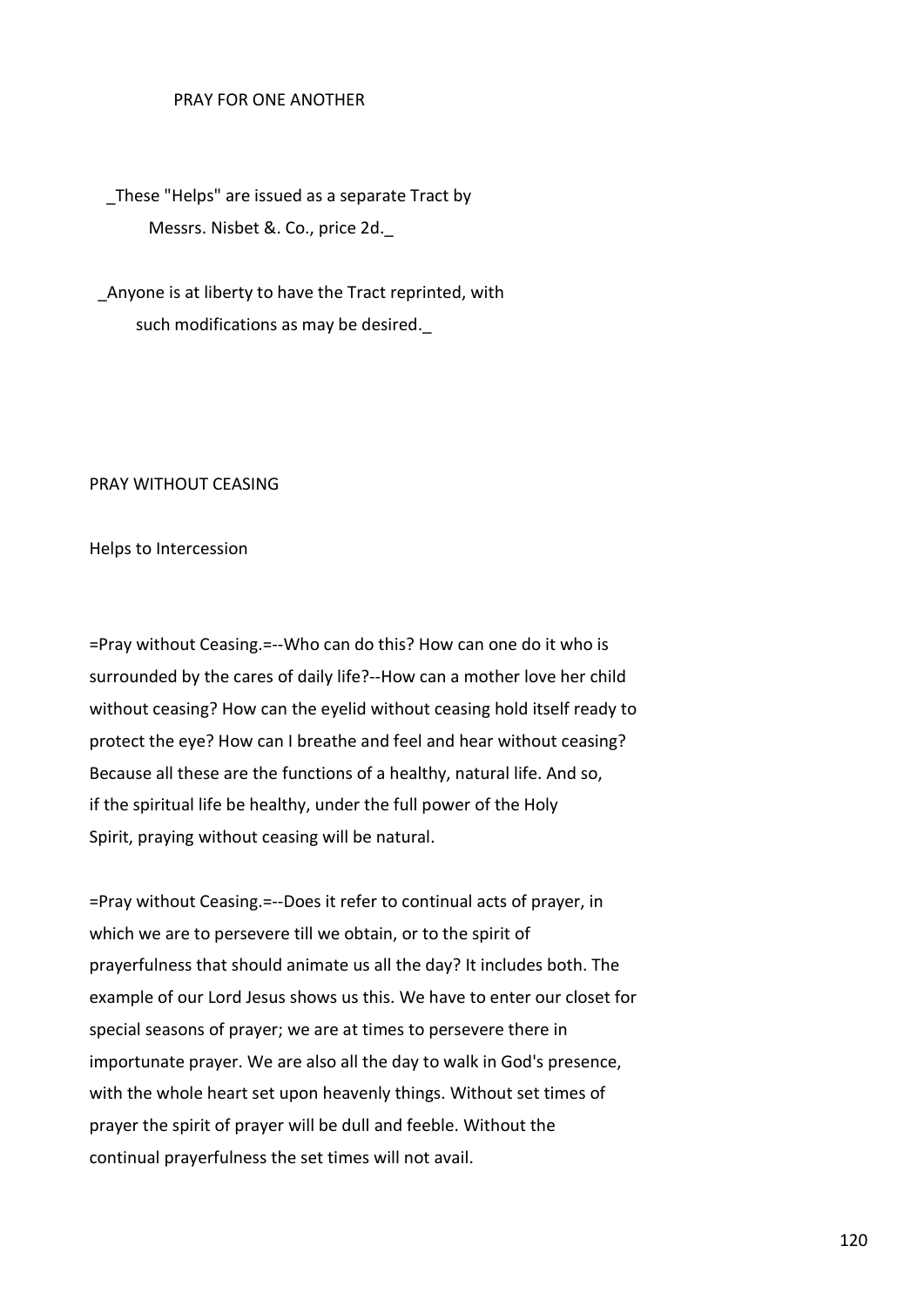## PRAY FOR ONE ANOTHER

These "Helps" are issued as a separate Tract by Messrs. Nisbet &. Co., price 2d.\_

 \_Anyone is at liberty to have the Tract reprinted, with such modifications as may be desired.

## PRAY WITHOUT CEASING

Helps to Intercession

=Pray without Ceasing.=--Who can do this? How can one do it who is surrounded by the cares of daily life?--How can a mother love her child without ceasing? How can the eyelid without ceasing hold itself ready to protect the eye? How can I breathe and feel and hear without ceasing? Because all these are the functions of a healthy, natural life. And so, if the spiritual life be healthy, under the full power of the Holy Spirit, praying without ceasing will be natural.

=Pray without Ceasing.=--Does it refer to continual acts of prayer, in which we are to persevere till we obtain, or to the spirit of prayerfulness that should animate us all the day? It includes both. The example of our Lord Jesus shows us this. We have to enter our closet for special seasons of prayer; we are at times to persevere there in importunate prayer. We are also all the day to walk in God's presence, with the whole heart set upon heavenly things. Without set times of prayer the spirit of prayer will be dull and feeble. Without the continual prayerfulness the set times will not avail.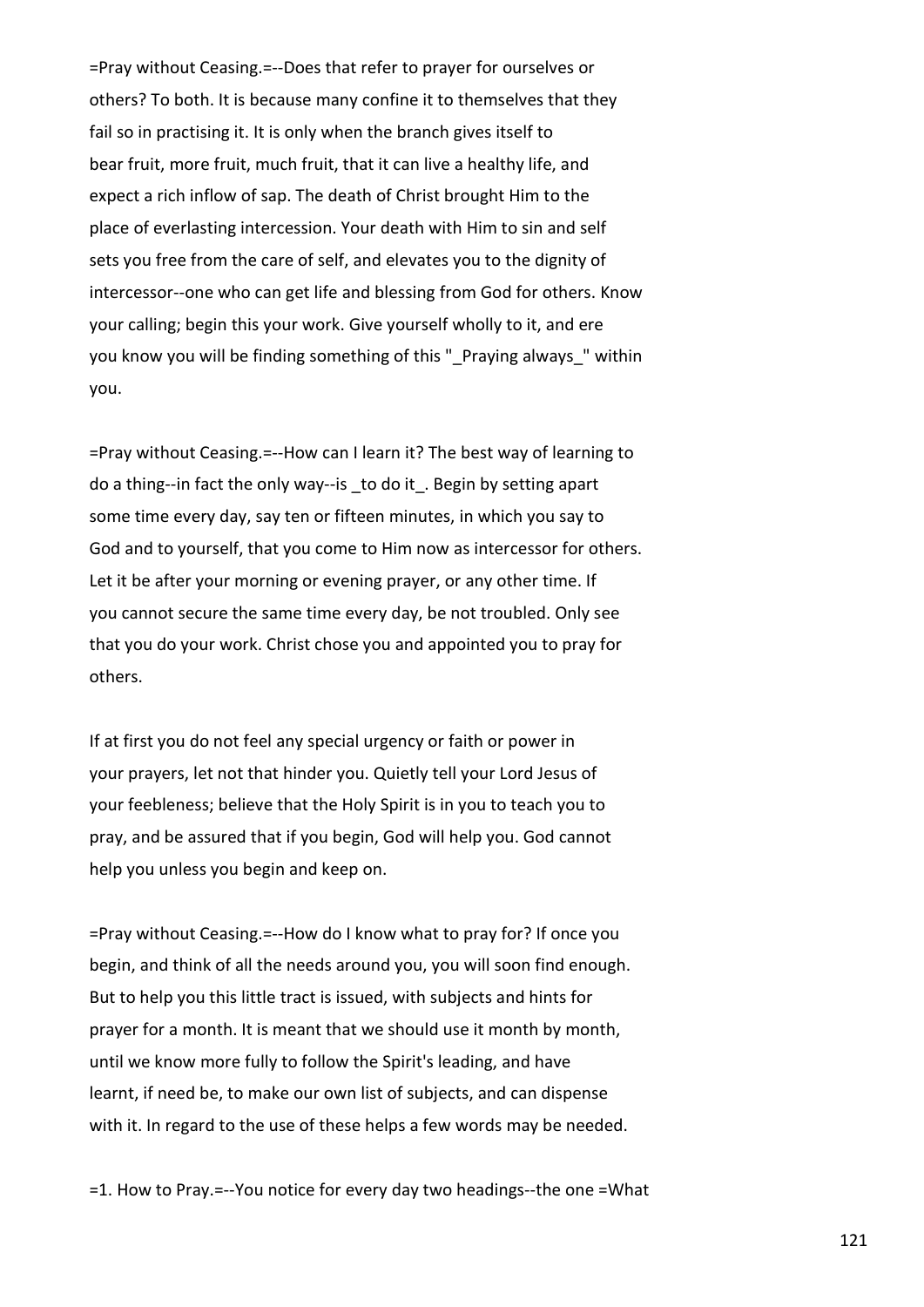=Pray without Ceasing.=--Does that refer to prayer for ourselves or others? To both. It is because many confine it to themselves that they fail so in practising it. It is only when the branch gives itself to bear fruit, more fruit, much fruit, that it can live a healthy life, and expect a rich inflow of sap. The death of Christ brought Him to the place of everlasting intercession. Your death with Him to sin and self sets you free from the care of self, and elevates you to the dignity of intercessor--one who can get life and blessing from God for others. Know your calling; begin this your work. Give yourself wholly to it, and ere you know you will be finding something of this " Praying always " within you.

=Pray without Ceasing.=--How can I learn it? The best way of learning to do a thing--in fact the only way--is \_to do it\_. Begin by setting apart some time every day, say ten or fifteen minutes, in which you say to God and to yourself, that you come to Him now as intercessor for others. Let it be after your morning or evening prayer, or any other time. If you cannot secure the same time every day, be not troubled. Only see that you do your work. Christ chose you and appointed you to pray for others.

If at first you do not feel any special urgency or faith or power in your prayers, let not that hinder you. Quietly tell your Lord Jesus of your feebleness; believe that the Holy Spirit is in you to teach you to pray, and be assured that if you begin, God will help you. God cannot help you unless you begin and keep on.

=Pray without Ceasing.=--How do I know what to pray for? If once you begin, and think of all the needs around you, you will soon find enough. But to help you this little tract is issued, with subjects and hints for prayer for a month. It is meant that we should use it month by month, until we know more fully to follow the Spirit's leading, and have learnt, if need be, to make our own list of subjects, and can dispense with it. In regard to the use of these helps a few words may be needed.

=1. How to Pray.=--You notice for every day two headings--the one =What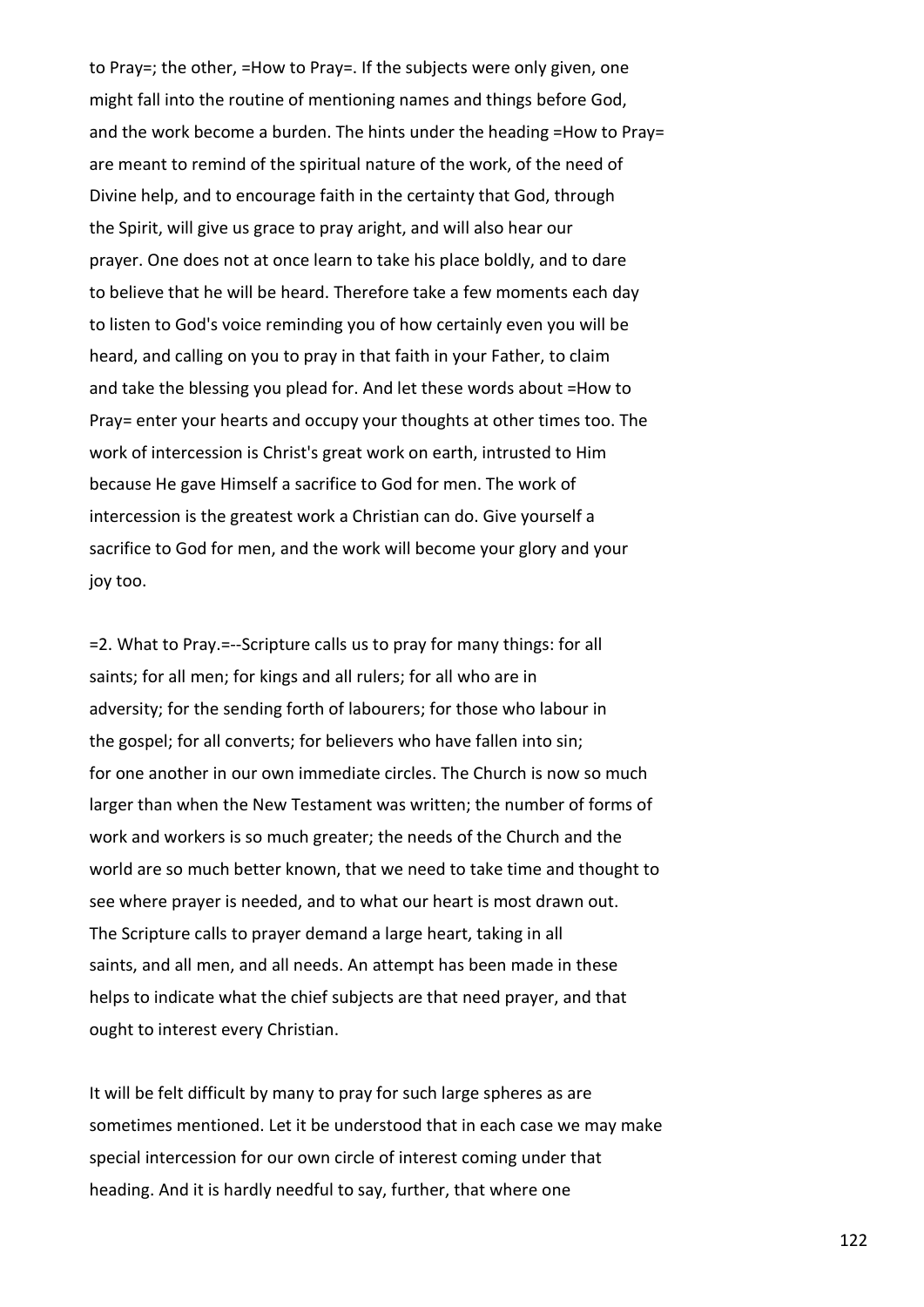to Pray=; the other, =How to Pray=. If the subjects were only given, one might fall into the routine of mentioning names and things before God, and the work become a burden. The hints under the heading =How to Pray= are meant to remind of the spiritual nature of the work, of the need of Divine help, and to encourage faith in the certainty that God, through the Spirit, will give us grace to pray aright, and will also hear our prayer. One does not at once learn to take his place boldly, and to dare to believe that he will be heard. Therefore take a few moments each day to listen to God's voice reminding you of how certainly even you will be heard, and calling on you to pray in that faith in your Father, to claim and take the blessing you plead for. And let these words about =How to Pray= enter your hearts and occupy your thoughts at other times too. The work of intercession is Christ's great work on earth, intrusted to Him because He gave Himself a sacrifice to God for men. The work of intercession is the greatest work a Christian can do. Give yourself a sacrifice to God for men, and the work will become your glory and your joy too.

=2. What to Pray.=--Scripture calls us to pray for many things: for all saints; for all men; for kings and all rulers; for all who are in adversity; for the sending forth of labourers; for those who labour in the gospel; for all converts; for believers who have fallen into sin; for one another in our own immediate circles. The Church is now so much larger than when the New Testament was written; the number of forms of work and workers is so much greater; the needs of the Church and the world are so much better known, that we need to take time and thought to see where prayer is needed, and to what our heart is most drawn out. The Scripture calls to prayer demand a large heart, taking in all saints, and all men, and all needs. An attempt has been made in these helps to indicate what the chief subjects are that need prayer, and that ought to interest every Christian.

It will be felt difficult by many to pray for such large spheres as are sometimes mentioned. Let it be understood that in each case we may make special intercession for our own circle of interest coming under that heading. And it is hardly needful to say, further, that where one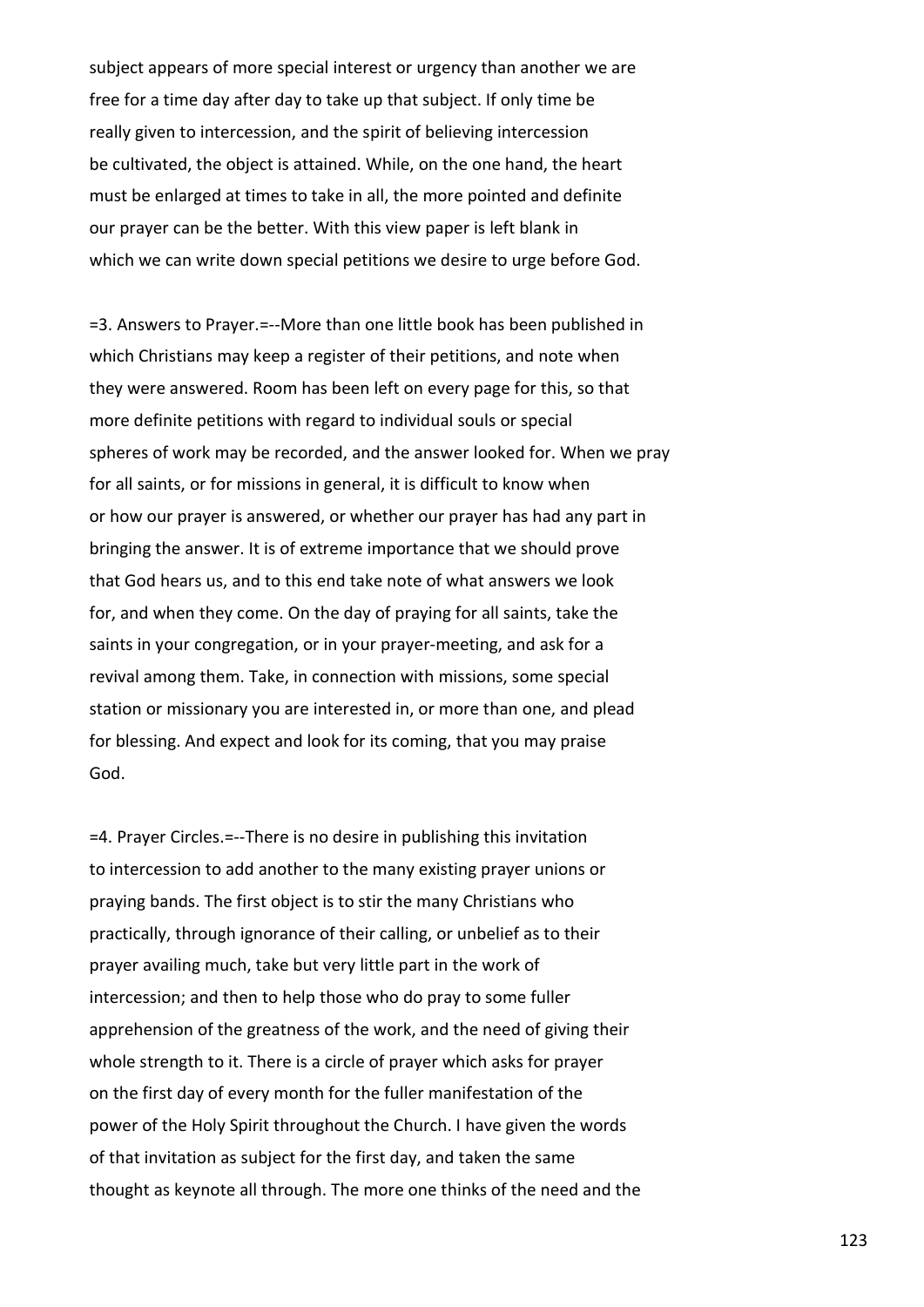subject appears of more special interest or urgency than another we are free for a time day after day to take up that subject. If only time be really given to intercession, and the spirit of believing intercession be cultivated, the object is attained. While, on the one hand, the heart must be enlarged at times to take in all, the more pointed and definite our prayer can be the better. With this view paper is left blank in which we can write down special petitions we desire to urge before God.

=3. Answers to Prayer.=--More than one little book has been published in which Christians may keep a register of their petitions, and note when they were answered. Room has been left on every page for this, so that more definite petitions with regard to individual souls or special spheres of work may be recorded, and the answer looked for. When we pray for all saints, or for missions in general, it is difficult to know when or how our prayer is answered, or whether our prayer has had any part in bringing the answer. It is of extreme importance that we should prove that God hears us, and to this end take note of what answers we look for, and when they come. On the day of praying for all saints, take the saints in your congregation, or in your prayer-meeting, and ask for a revival among them. Take, in connection with missions, some special station or missionary you are interested in, or more than one, and plead for blessing. And expect and look for its coming, that you may praise God.

=4. Prayer Circles.=--There is no desire in publishing this invitation to intercession to add another to the many existing prayer unions or praying bands. The first object is to stir the many Christians who practically, through ignorance of their calling, or unbelief as to their prayer availing much, take but very little part in the work of intercession; and then to help those who do pray to some fuller apprehension of the greatness of the work, and the need of giving their whole strength to it. There is a circle of prayer which asks for prayer on the first day of every month for the fuller manifestation of the power of the Holy Spirit throughout the Church. I have given the words of that invitation as subject for the first day, and taken the same thought as keynote all through. The more one thinks of the need and the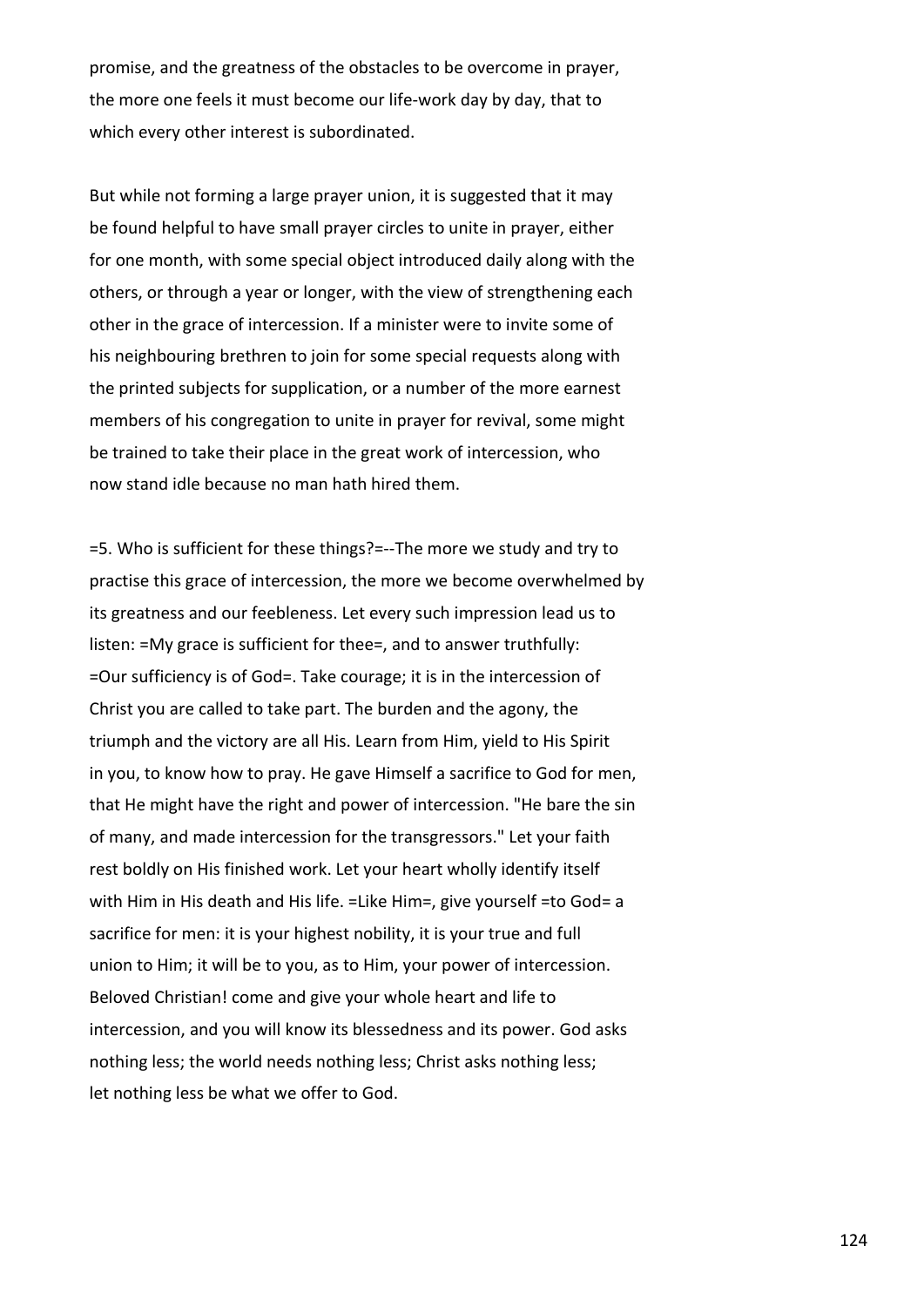promise, and the greatness of the obstacles to be overcome in prayer, the more one feels it must become our life-work day by day, that to which every other interest is subordinated.

But while not forming a large prayer union, it is suggested that it may be found helpful to have small prayer circles to unite in prayer, either for one month, with some special object introduced daily along with the others, or through a year or longer, with the view of strengthening each other in the grace of intercession. If a minister were to invite some of his neighbouring brethren to join for some special requests along with the printed subjects for supplication, or a number of the more earnest members of his congregation to unite in prayer for revival, some might be trained to take their place in the great work of intercession, who now stand idle because no man hath hired them.

=5. Who is sufficient for these things?=--The more we study and try to practise this grace of intercession, the more we become overwhelmed by its greatness and our feebleness. Let every such impression lead us to listen: =My grace is sufficient for thee=, and to answer truthfully: =Our sufficiency is of God=. Take courage; it is in the intercession of Christ you are called to take part. The burden and the agony, the triumph and the victory are all His. Learn from Him, yield to His Spirit in you, to know how to pray. He gave Himself a sacrifice to God for men, that He might have the right and power of intercession. "He bare the sin of many, and made intercession for the transgressors." Let your faith rest boldly on His finished work. Let your heart wholly identify itself with Him in His death and His life. =Like Him=, give yourself =to God= a sacrifice for men: it is your highest nobility, it is your true and full union to Him; it will be to you, as to Him, your power of intercession. Beloved Christian! come and give your whole heart and life to intercession, and you will know its blessedness and its power. God asks nothing less; the world needs nothing less; Christ asks nothing less; let nothing less be what we offer to God.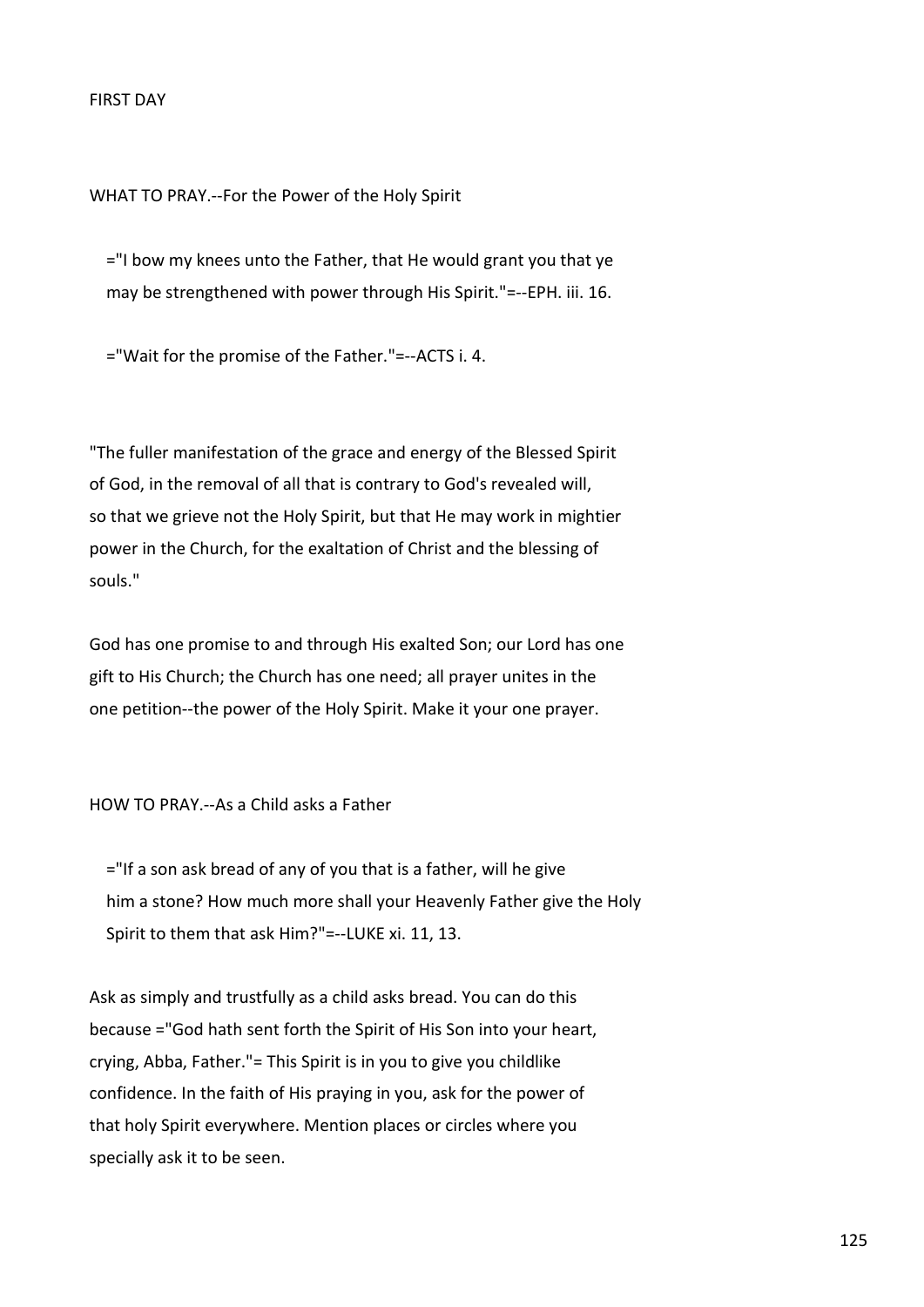WHAT TO PRAY.--For the Power of the Holy Spirit

 ="I bow my knees unto the Father, that He would grant you that ye may be strengthened with power through His Spirit."=--EPH. iii. 16.

="Wait for the promise of the Father."=--ACTS i. 4.

"The fuller manifestation of the grace and energy of the Blessed Spirit of God, in the removal of all that is contrary to God's revealed will, so that we grieve not the Holy Spirit, but that He may work in mightier power in the Church, for the exaltation of Christ and the blessing of souls."

God has one promise to and through His exalted Son; our Lord has one gift to His Church; the Church has one need; all prayer unites in the one petition--the power of the Holy Spirit. Make it your one prayer.

HOW TO PRAY.--As a Child asks a Father

 ="If a son ask bread of any of you that is a father, will he give him a stone? How much more shall your Heavenly Father give the Holy Spirit to them that ask Him?"=--LUKE xi. 11, 13.

Ask as simply and trustfully as a child asks bread. You can do this because ="God hath sent forth the Spirit of His Son into your heart, crying, Abba, Father."= This Spirit is in you to give you childlike confidence. In the faith of His praying in you, ask for the power of that holy Spirit everywhere. Mention places or circles where you specially ask it to be seen.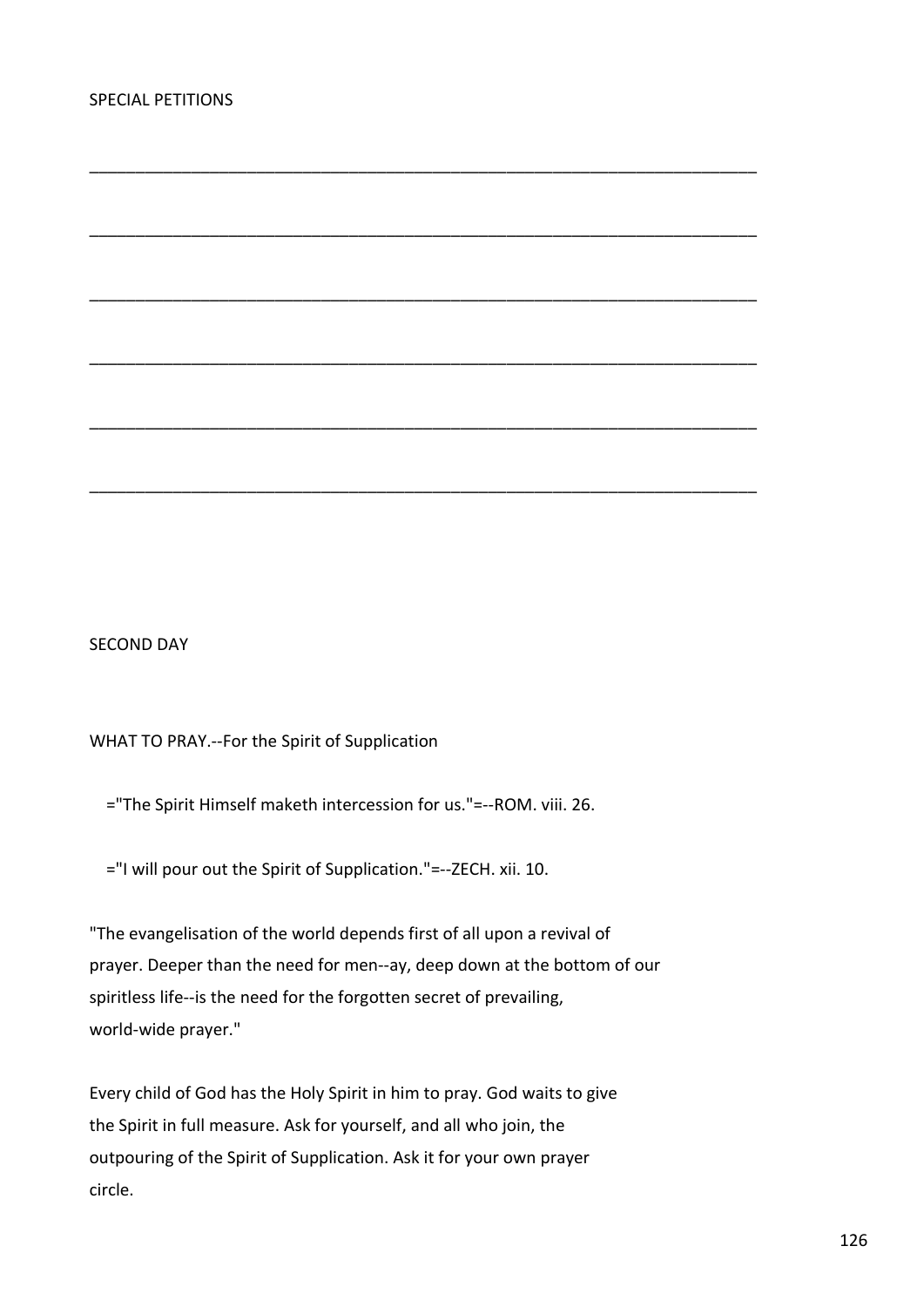SECOND DAY

## WHAT TO PRAY.--For the Spirit of Supplication

="The Spirit Himself maketh intercession for us."=--ROM. viii. 26.

\_\_\_\_\_\_\_\_\_\_\_\_\_\_\_\_\_\_\_\_\_\_\_\_\_\_\_\_\_\_\_\_\_\_\_\_\_\_\_\_\_\_\_\_\_\_\_\_\_\_\_\_\_\_\_\_\_\_\_\_\_\_\_\_\_\_\_\_\_\_\_\_

\_\_\_\_\_\_\_\_\_\_\_\_\_\_\_\_\_\_\_\_\_\_\_\_\_\_\_\_\_\_\_\_\_\_\_\_\_\_\_\_\_\_\_\_\_\_\_\_\_\_\_\_\_\_\_\_\_\_\_\_\_\_\_\_\_\_\_\_\_\_\_\_

\_\_\_\_\_\_\_\_\_\_\_\_\_\_\_\_\_\_\_\_\_\_\_\_\_\_\_\_\_\_\_\_\_\_\_\_\_\_\_\_\_\_\_\_\_\_\_\_\_\_\_\_\_\_\_\_\_\_\_\_\_\_\_\_\_\_\_\_\_\_\_\_

\_\_\_\_\_\_\_\_\_\_\_\_\_\_\_\_\_\_\_\_\_\_\_\_\_\_\_\_\_\_\_\_\_\_\_\_\_\_\_\_\_\_\_\_\_\_\_\_\_\_\_\_\_\_\_\_\_\_\_\_\_\_\_\_\_\_\_\_\_\_\_\_

\_\_\_\_\_\_\_\_\_\_\_\_\_\_\_\_\_\_\_\_\_\_\_\_\_\_\_\_\_\_\_\_\_\_\_\_\_\_\_\_\_\_\_\_\_\_\_\_\_\_\_\_\_\_\_\_\_\_\_\_\_\_\_\_\_\_\_\_\_\_\_\_

\_\_\_\_\_\_\_\_\_\_\_\_\_\_\_\_\_\_\_\_\_\_\_\_\_\_\_\_\_\_\_\_\_\_\_\_\_\_\_\_\_\_\_\_\_\_\_\_\_\_\_\_\_\_\_\_\_\_\_\_\_\_\_\_\_\_\_\_\_\_\_\_

="I will pour out the Spirit of Supplication."=--ZECH. xii. 10.

"The evangelisation of the world depends first of all upon a revival of prayer. Deeper than the need for men--ay, deep down at the bottom of our spiritless life--is the need for the forgotten secret of prevailing, world-wide prayer."

Every child of God has the Holy Spirit in him to pray. God waits to give the Spirit in full measure. Ask for yourself, and all who join, the outpouring of the Spirit of Supplication. Ask it for your own prayer circle.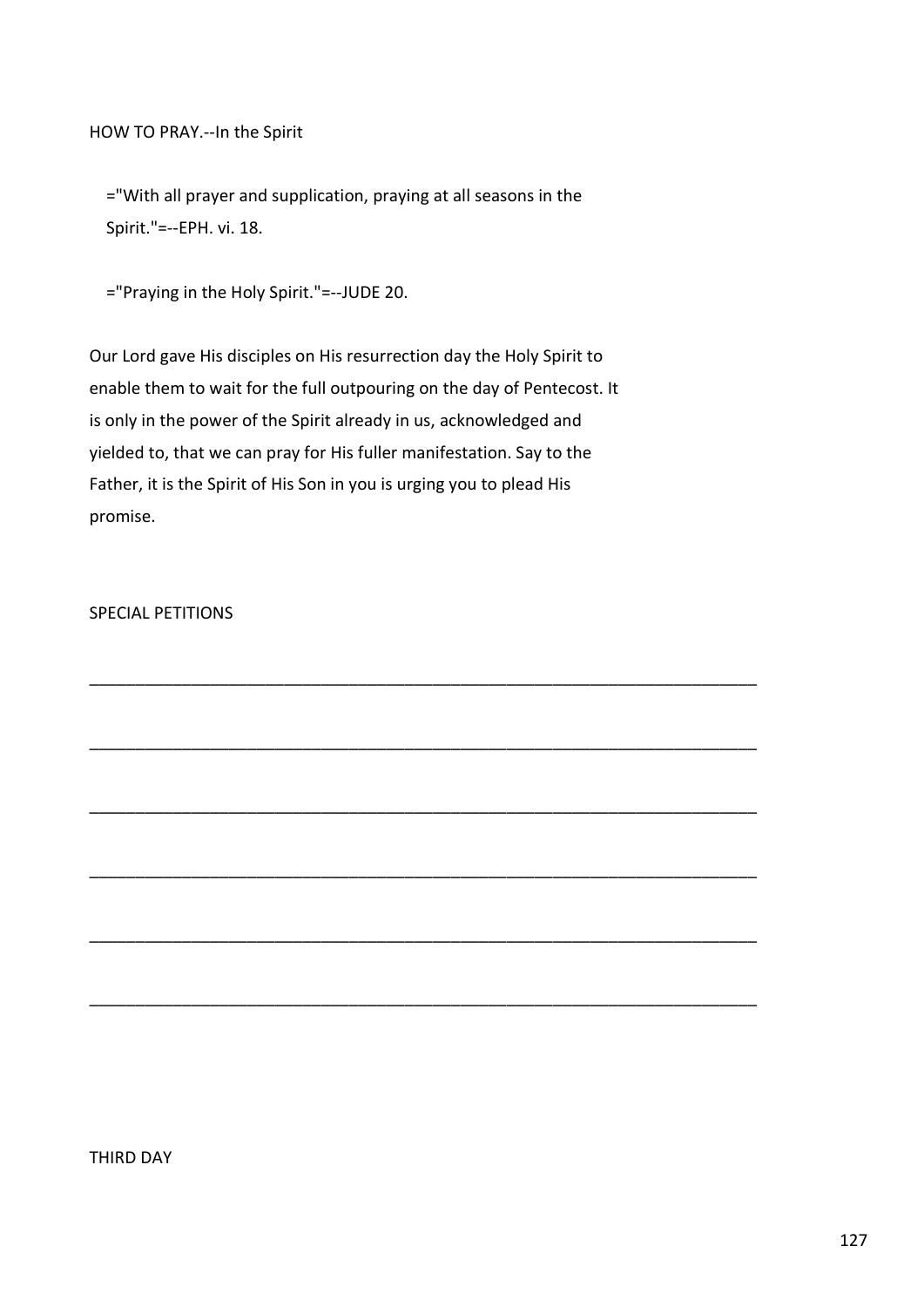HOW TO PRAY.--In the Spirit

 ="With all prayer and supplication, praying at all seasons in the Spirit."=--EPH. vi. 18.

="Praying in the Holy Spirit."=--JUDE 20.

Our Lord gave His disciples on His resurrection day the Holy Spirit to enable them to wait for the full outpouring on the day of Pentecost. It is only in the power of the Spirit already in us, acknowledged and yielded to, that we can pray for His fuller manifestation. Say to the Father, it is the Spirit of His Son in you is urging you to plead His promise.

\_\_\_\_\_\_\_\_\_\_\_\_\_\_\_\_\_\_\_\_\_\_\_\_\_\_\_\_\_\_\_\_\_\_\_\_\_\_\_\_\_\_\_\_\_\_\_\_\_\_\_\_\_\_\_\_\_\_\_\_\_\_\_\_\_\_\_\_\_\_\_\_

\_\_\_\_\_\_\_\_\_\_\_\_\_\_\_\_\_\_\_\_\_\_\_\_\_\_\_\_\_\_\_\_\_\_\_\_\_\_\_\_\_\_\_\_\_\_\_\_\_\_\_\_\_\_\_\_\_\_\_\_\_\_\_\_\_\_\_\_\_\_\_\_

\_\_\_\_\_\_\_\_\_\_\_\_\_\_\_\_\_\_\_\_\_\_\_\_\_\_\_\_\_\_\_\_\_\_\_\_\_\_\_\_\_\_\_\_\_\_\_\_\_\_\_\_\_\_\_\_\_\_\_\_\_\_\_\_\_\_\_\_\_\_\_\_

\_\_\_\_\_\_\_\_\_\_\_\_\_\_\_\_\_\_\_\_\_\_\_\_\_\_\_\_\_\_\_\_\_\_\_\_\_\_\_\_\_\_\_\_\_\_\_\_\_\_\_\_\_\_\_\_\_\_\_\_\_\_\_\_\_\_\_\_\_\_\_\_

\_\_\_\_\_\_\_\_\_\_\_\_\_\_\_\_\_\_\_\_\_\_\_\_\_\_\_\_\_\_\_\_\_\_\_\_\_\_\_\_\_\_\_\_\_\_\_\_\_\_\_\_\_\_\_\_\_\_\_\_\_\_\_\_\_\_\_\_\_\_\_\_

\_\_\_\_\_\_\_\_\_\_\_\_\_\_\_\_\_\_\_\_\_\_\_\_\_\_\_\_\_\_\_\_\_\_\_\_\_\_\_\_\_\_\_\_\_\_\_\_\_\_\_\_\_\_\_\_\_\_\_\_\_\_\_\_\_\_\_\_\_\_\_\_

SPECIAL PETITIONS

THIRD DAY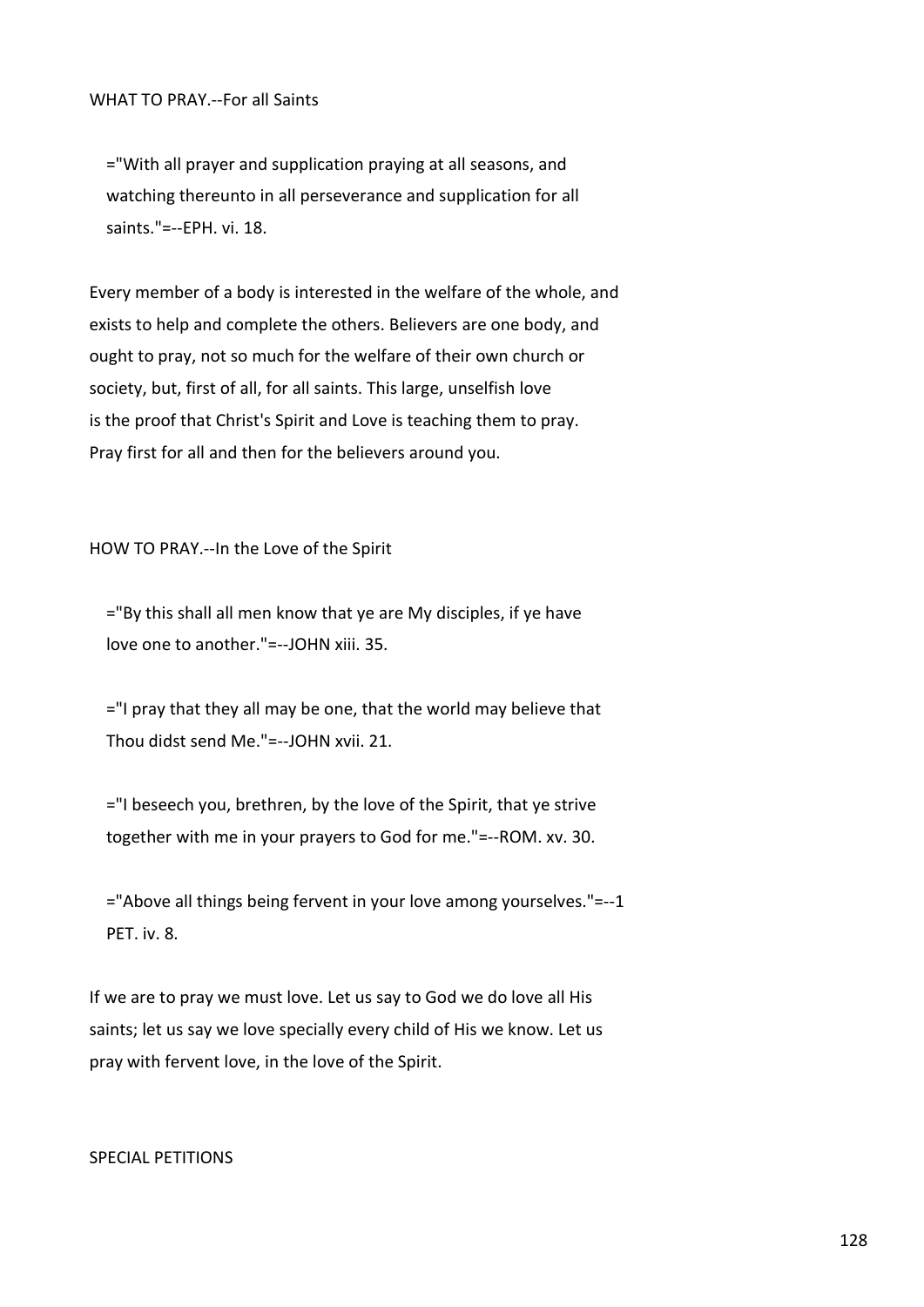="With all prayer and supplication praying at all seasons, and watching thereunto in all perseverance and supplication for all saints."=--EPH. vi. 18.

Every member of a body is interested in the welfare of the whole, and exists to help and complete the others. Believers are one body, and ought to pray, not so much for the welfare of their own church or society, but, first of all, for all saints. This large, unselfish love is the proof that Christ's Spirit and Love is teaching them to pray. Pray first for all and then for the believers around you.

HOW TO PRAY.--In the Love of the Spirit

 ="By this shall all men know that ye are My disciples, if ye have love one to another."=--JOHN xiii. 35.

 $=$ "I pray that they all may be one, that the world may believe that Thou didst send Me."=--JOHN xvii. 21.

 ="I beseech you, brethren, by the love of the Spirit, that ye strive together with me in your prayers to God for me."=--ROM. xv. 30.

 ="Above all things being fervent in your love among yourselves."=--1 PFT. iv. 8.

If we are to pray we must love. Let us say to God we do love all His saints; let us say we love specially every child of His we know. Let us pray with fervent love, in the love of the Spirit.

## SPECIAL PETITIONS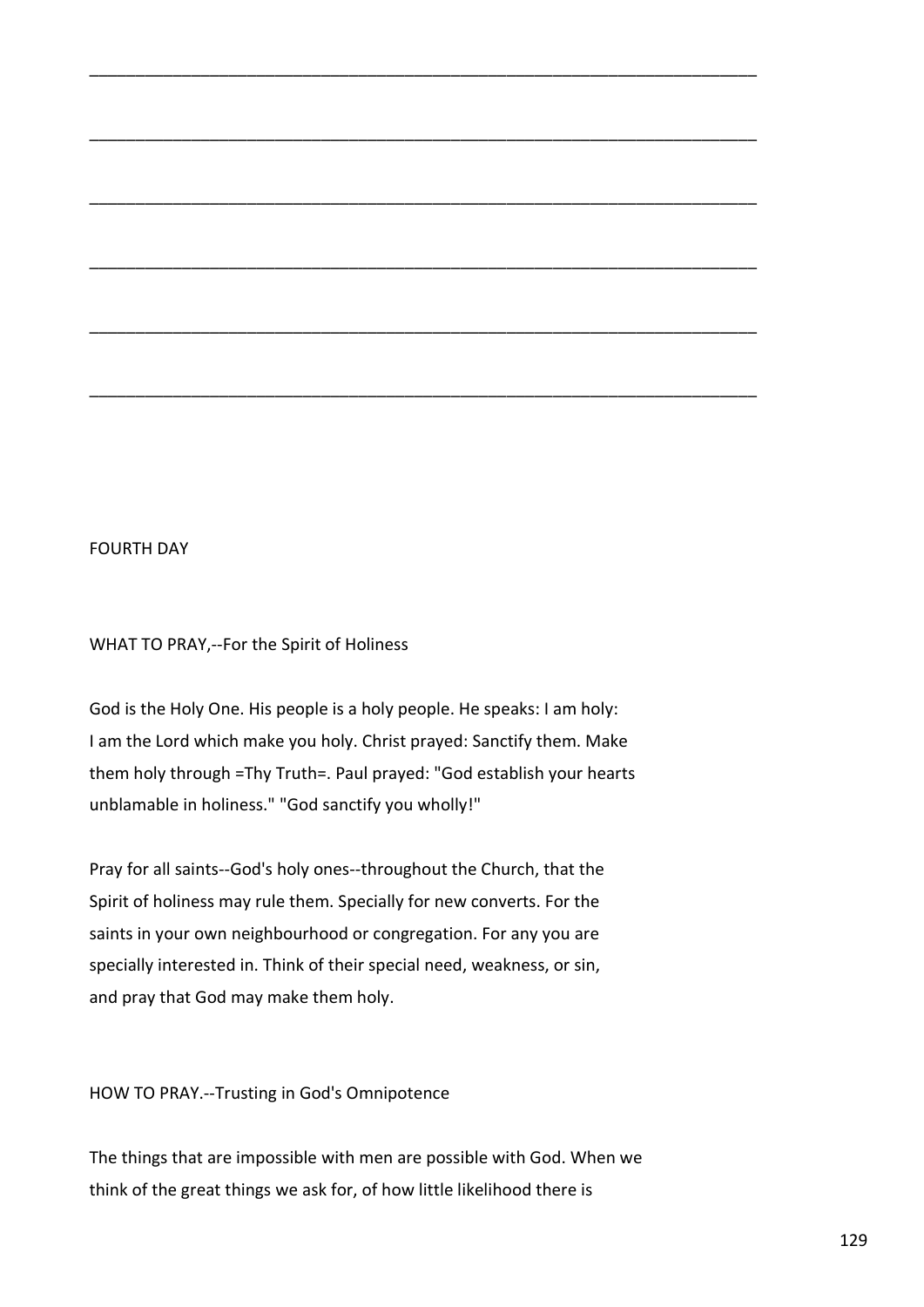## FOURTH DAY

WHAT TO PRAY,--For the Spirit of Holiness

God is the Holy One. His people is a holy people. He speaks: I am holy: I am the Lord which make you holy. Christ prayed: Sanctify them. Make them holy through =Thy Truth=. Paul prayed: "God establish your hearts unblamable in holiness." "God sanctify you wholly!"

\_\_\_\_\_\_\_\_\_\_\_\_\_\_\_\_\_\_\_\_\_\_\_\_\_\_\_\_\_\_\_\_\_\_\_\_\_\_\_\_\_\_\_\_\_\_\_\_\_\_\_\_\_\_\_\_\_\_\_\_\_\_\_\_\_\_\_\_\_\_\_\_

\_\_\_\_\_\_\_\_\_\_\_\_\_\_\_\_\_\_\_\_\_\_\_\_\_\_\_\_\_\_\_\_\_\_\_\_\_\_\_\_\_\_\_\_\_\_\_\_\_\_\_\_\_\_\_\_\_\_\_\_\_\_\_\_\_\_\_\_\_\_\_\_

\_\_\_\_\_\_\_\_\_\_\_\_\_\_\_\_\_\_\_\_\_\_\_\_\_\_\_\_\_\_\_\_\_\_\_\_\_\_\_\_\_\_\_\_\_\_\_\_\_\_\_\_\_\_\_\_\_\_\_\_\_\_\_\_\_\_\_\_\_\_\_\_

\_\_\_\_\_\_\_\_\_\_\_\_\_\_\_\_\_\_\_\_\_\_\_\_\_\_\_\_\_\_\_\_\_\_\_\_\_\_\_\_\_\_\_\_\_\_\_\_\_\_\_\_\_\_\_\_\_\_\_\_\_\_\_\_\_\_\_\_\_\_\_\_

\_\_\_\_\_\_\_\_\_\_\_\_\_\_\_\_\_\_\_\_\_\_\_\_\_\_\_\_\_\_\_\_\_\_\_\_\_\_\_\_\_\_\_\_\_\_\_\_\_\_\_\_\_\_\_\_\_\_\_\_\_\_\_\_\_\_\_\_\_\_\_\_

\_\_\_\_\_\_\_\_\_\_\_\_\_\_\_\_\_\_\_\_\_\_\_\_\_\_\_\_\_\_\_\_\_\_\_\_\_\_\_\_\_\_\_\_\_\_\_\_\_\_\_\_\_\_\_\_\_\_\_\_\_\_\_\_\_\_\_\_\_\_\_\_

Pray for all saints--God's holy ones--throughout the Church, that the Spirit of holiness may rule them. Specially for new converts. For the saints in your own neighbourhood or congregation. For any you are specially interested in. Think of their special need, weakness, or sin, and pray that God may make them holy.

HOW TO PRAY.--Trusting in God's Omnipotence

The things that are impossible with men are possible with God. When we think of the great things we ask for, of how little likelihood there is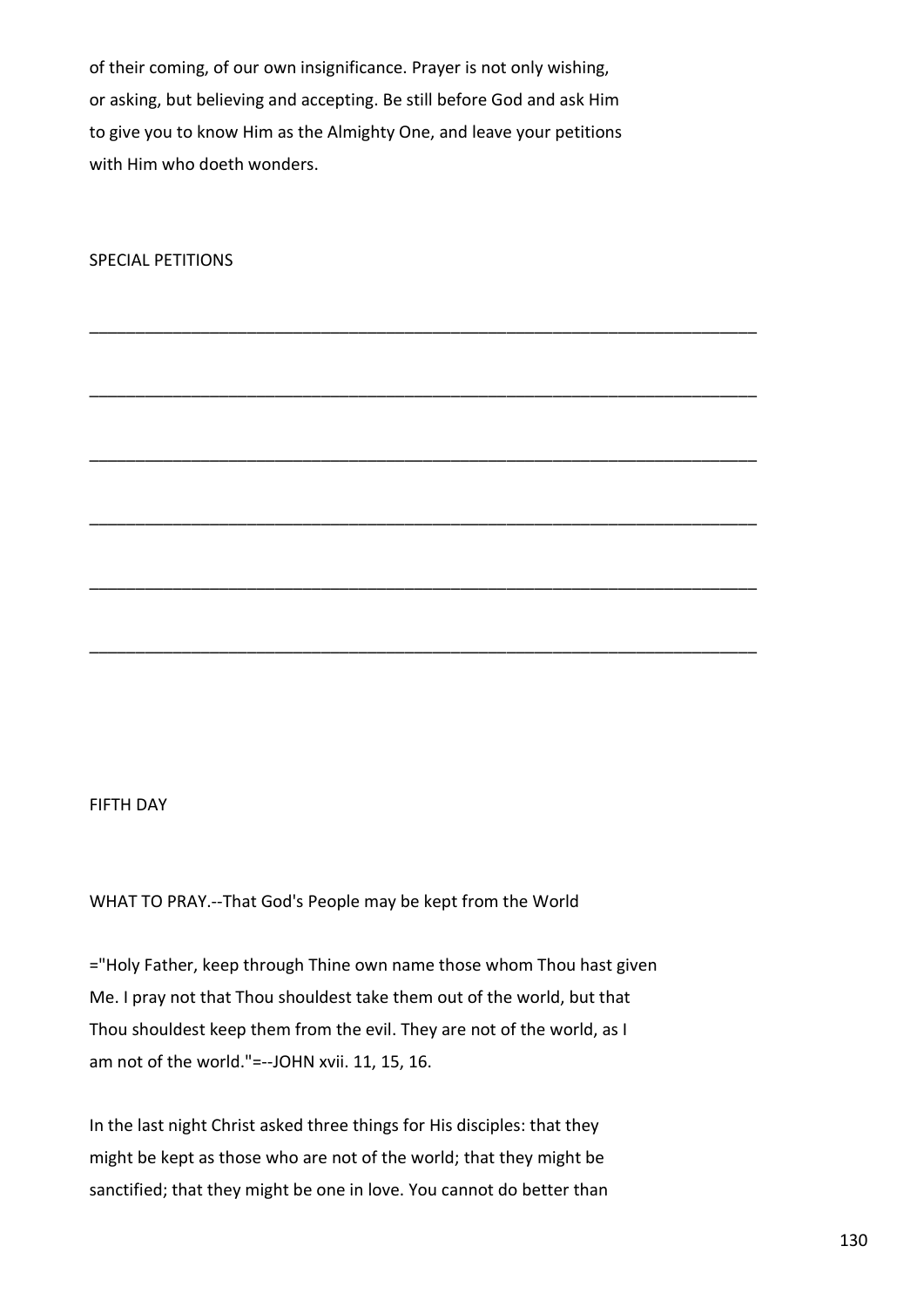of their coming, of our own insignificance. Prayer is not only wishing, or asking, but believing and accepting. Be still before God and ask Him to give you to know Him as the Almighty One, and leave your petitions with Him who doeth wonders.

\_\_\_\_\_\_\_\_\_\_\_\_\_\_\_\_\_\_\_\_\_\_\_\_\_\_\_\_\_\_\_\_\_\_\_\_\_\_\_\_\_\_\_\_\_\_\_\_\_\_\_\_\_\_\_\_\_\_\_\_\_\_\_\_\_\_\_\_\_\_\_\_

\_\_\_\_\_\_\_\_\_\_\_\_\_\_\_\_\_\_\_\_\_\_\_\_\_\_\_\_\_\_\_\_\_\_\_\_\_\_\_\_\_\_\_\_\_\_\_\_\_\_\_\_\_\_\_\_\_\_\_\_\_\_\_\_\_\_\_\_\_\_\_\_

\_\_\_\_\_\_\_\_\_\_\_\_\_\_\_\_\_\_\_\_\_\_\_\_\_\_\_\_\_\_\_\_\_\_\_\_\_\_\_\_\_\_\_\_\_\_\_\_\_\_\_\_\_\_\_\_\_\_\_\_\_\_\_\_\_\_\_\_\_\_\_\_

\_\_\_\_\_\_\_\_\_\_\_\_\_\_\_\_\_\_\_\_\_\_\_\_\_\_\_\_\_\_\_\_\_\_\_\_\_\_\_\_\_\_\_\_\_\_\_\_\_\_\_\_\_\_\_\_\_\_\_\_\_\_\_\_\_\_\_\_\_\_\_\_

\_\_\_\_\_\_\_\_\_\_\_\_\_\_\_\_\_\_\_\_\_\_\_\_\_\_\_\_\_\_\_\_\_\_\_\_\_\_\_\_\_\_\_\_\_\_\_\_\_\_\_\_\_\_\_\_\_\_\_\_\_\_\_\_\_\_\_\_\_\_\_\_

\_\_\_\_\_\_\_\_\_\_\_\_\_\_\_\_\_\_\_\_\_\_\_\_\_\_\_\_\_\_\_\_\_\_\_\_\_\_\_\_\_\_\_\_\_\_\_\_\_\_\_\_\_\_\_\_\_\_\_\_\_\_\_\_\_\_\_\_\_\_\_\_

SPECIAL PETITIONS

## FIFTH DAY

WHAT TO PRAY.--That God's People may be kept from the World

="Holy Father, keep through Thine own name those whom Thou hast given Me. I pray not that Thou shouldest take them out of the world, but that Thou shouldest keep them from the evil. They are not of the world, as I am not of the world."=--JOHN xvii. 11, 15, 16.

In the last night Christ asked three things for His disciples: that they might be kept as those who are not of the world; that they might be sanctified; that they might be one in love. You cannot do better than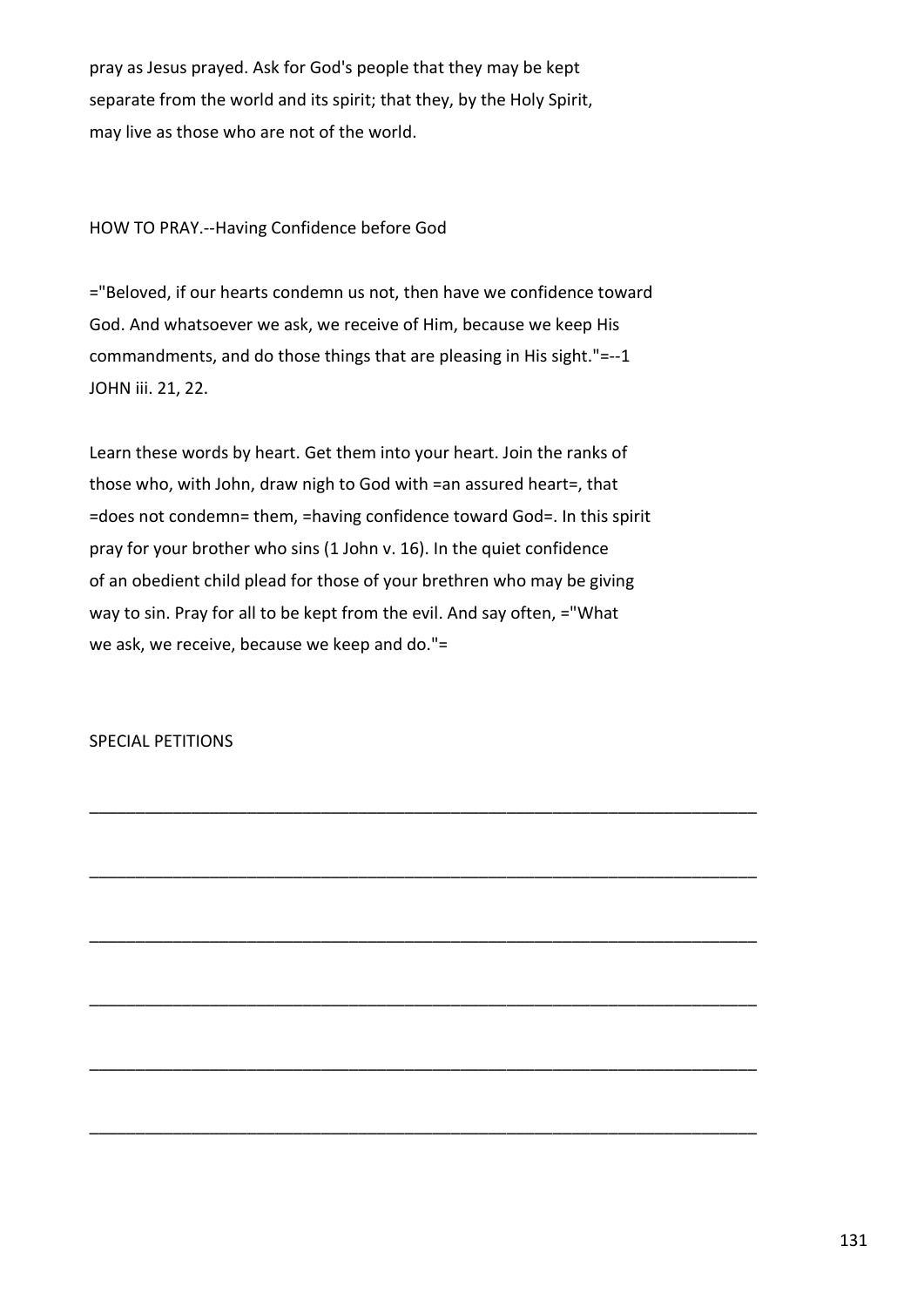pray as Jesus prayed. Ask for God's people that they may be kept separate from the world and its spirit; that they, by the Holy Spirit, may live as those who are not of the world.

HOW TO PRAY.--Having Confidence before God

="Beloved, if our hearts condemn us not, then have we confidence toward God. And whatsoever we ask, we receive of Him, because we keep His commandments, and do those things that are pleasing in His sight."=--1 JOHN iii. 21, 22.

Learn these words by heart. Get them into your heart. Join the ranks of those who, with John, draw nigh to God with =an assured heart=, that =does not condemn= them, =having confidence toward God=. In this spirit pray for your brother who sins (1 John v. 16). In the quiet confidence of an obedient child plead for those of your brethren who may be giving way to sin. Pray for all to be kept from the evil. And say often, ="What we ask, we receive, because we keep and do."=

\_\_\_\_\_\_\_\_\_\_\_\_\_\_\_\_\_\_\_\_\_\_\_\_\_\_\_\_\_\_\_\_\_\_\_\_\_\_\_\_\_\_\_\_\_\_\_\_\_\_\_\_\_\_\_\_\_\_\_\_\_\_\_\_\_\_\_\_\_\_\_\_

\_\_\_\_\_\_\_\_\_\_\_\_\_\_\_\_\_\_\_\_\_\_\_\_\_\_\_\_\_\_\_\_\_\_\_\_\_\_\_\_\_\_\_\_\_\_\_\_\_\_\_\_\_\_\_\_\_\_\_\_\_\_\_\_\_\_\_\_\_\_\_\_

\_\_\_\_\_\_\_\_\_\_\_\_\_\_\_\_\_\_\_\_\_\_\_\_\_\_\_\_\_\_\_\_\_\_\_\_\_\_\_\_\_\_\_\_\_\_\_\_\_\_\_\_\_\_\_\_\_\_\_\_\_\_\_\_\_\_\_\_\_\_\_\_

\_\_\_\_\_\_\_\_\_\_\_\_\_\_\_\_\_\_\_\_\_\_\_\_\_\_\_\_\_\_\_\_\_\_\_\_\_\_\_\_\_\_\_\_\_\_\_\_\_\_\_\_\_\_\_\_\_\_\_\_\_\_\_\_\_\_\_\_\_\_\_\_

\_\_\_\_\_\_\_\_\_\_\_\_\_\_\_\_\_\_\_\_\_\_\_\_\_\_\_\_\_\_\_\_\_\_\_\_\_\_\_\_\_\_\_\_\_\_\_\_\_\_\_\_\_\_\_\_\_\_\_\_\_\_\_\_\_\_\_\_\_\_\_\_

\_\_\_\_\_\_\_\_\_\_\_\_\_\_\_\_\_\_\_\_\_\_\_\_\_\_\_\_\_\_\_\_\_\_\_\_\_\_\_\_\_\_\_\_\_\_\_\_\_\_\_\_\_\_\_\_\_\_\_\_\_\_\_\_\_\_\_\_\_\_\_\_

SPECIAL PETITIONS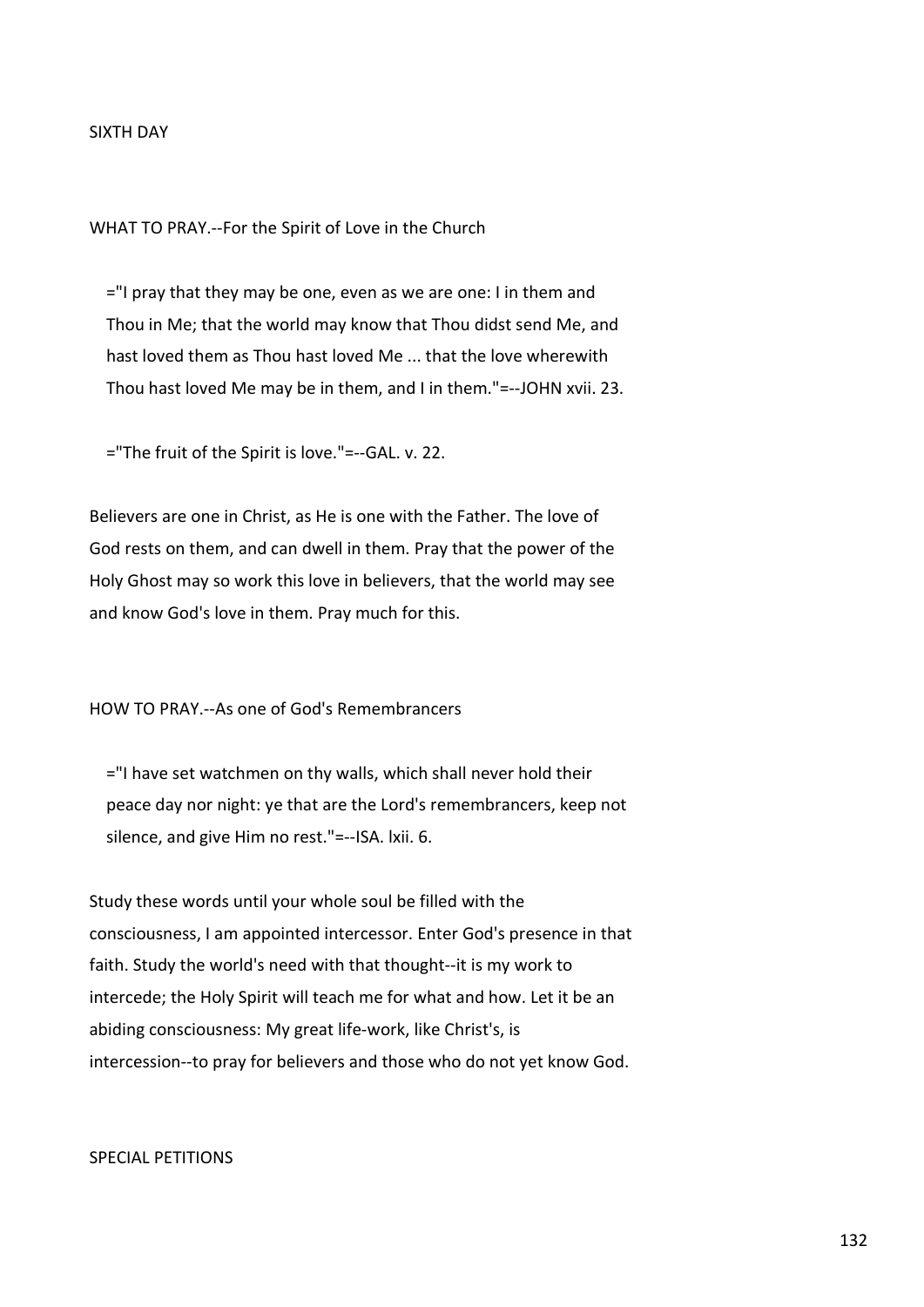## SIXTH DAY

WHAT TO PRAY.--For the Spirit of Love in the Church

 ="I pray that they may be one, even as we are one: I in them and Thou in Me; that the world may know that Thou didst send Me, and hast loved them as Thou hast loved Me ... that the love wherewith Thou hast loved Me may be in them, and I in them."=--JOHN xvii. 23.

="The fruit of the Spirit is love."=--GAL. v. 22.

Believers are one in Christ, as He is one with the Father. The love of God rests on them, and can dwell in them. Pray that the power of the Holy Ghost may so work this love in believers, that the world may see and know God's love in them. Pray much for this.

HOW TO PRAY.--As one of God's Remembrancers

 ="I have set watchmen on thy walls, which shall never hold their peace day nor night: ye that are the Lord's remembrancers, keep not silence, and give Him no rest."=--ISA. lxii. 6.

Study these words until your whole soul be filled with the consciousness, I am appointed intercessor. Enter God's presence in that faith. Study the world's need with that thought--it is my work to intercede; the Holy Spirit will teach me for what and how. Let it be an abiding consciousness: My great life-work, like Christ's, is intercession--to pray for believers and those who do not yet know God.

## SPECIAL PETITIONS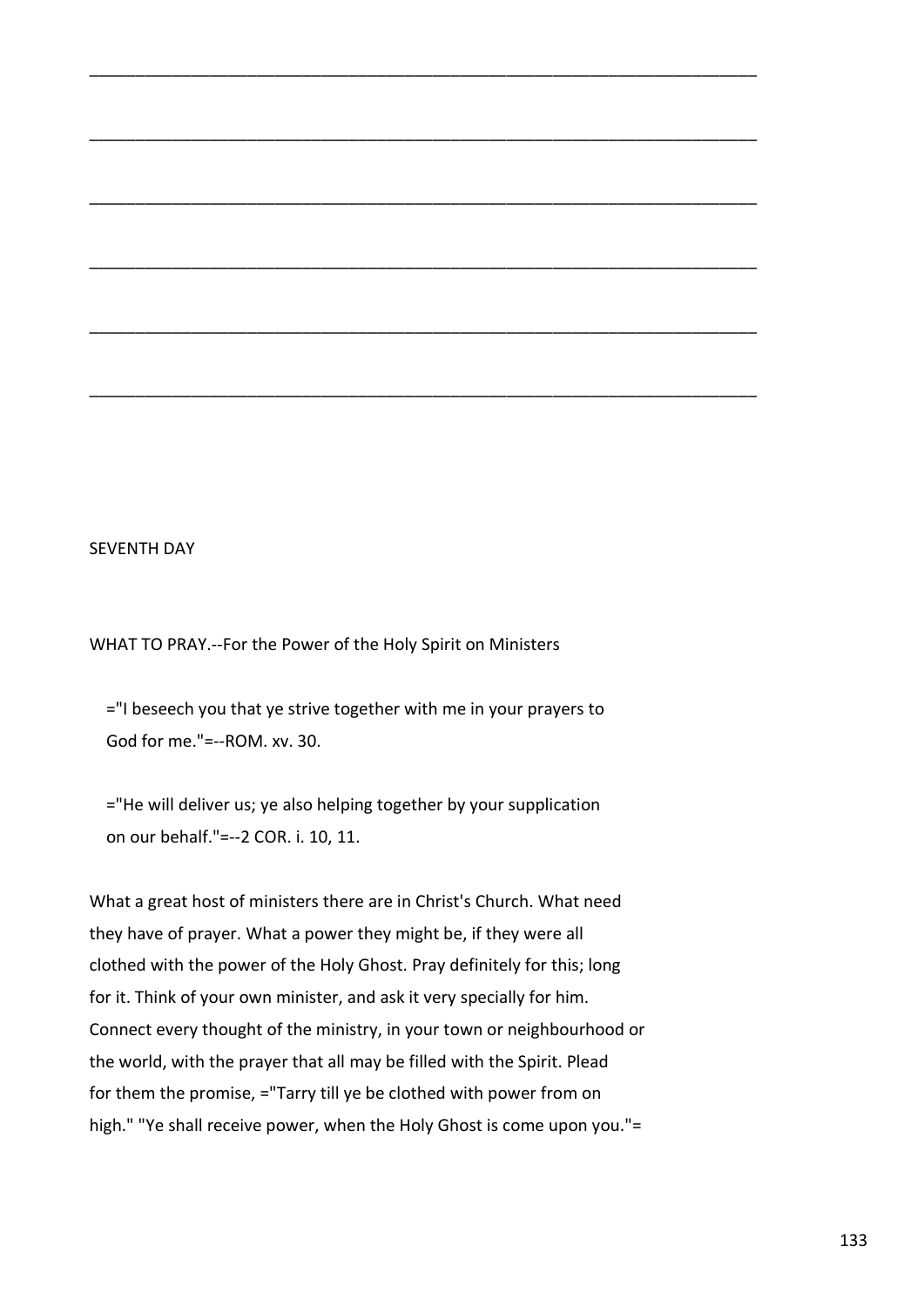## SEVENTH DAY

WHAT TO PRAY.--For the Power of the Holy Spirit on Ministers

 ="I beseech you that ye strive together with me in your prayers to God for me."=--ROM. xv. 30.

\_\_\_\_\_\_\_\_\_\_\_\_\_\_\_\_\_\_\_\_\_\_\_\_\_\_\_\_\_\_\_\_\_\_\_\_\_\_\_\_\_\_\_\_\_\_\_\_\_\_\_\_\_\_\_\_\_\_\_\_\_\_\_\_\_\_\_\_\_\_\_\_

\_\_\_\_\_\_\_\_\_\_\_\_\_\_\_\_\_\_\_\_\_\_\_\_\_\_\_\_\_\_\_\_\_\_\_\_\_\_\_\_\_\_\_\_\_\_\_\_\_\_\_\_\_\_\_\_\_\_\_\_\_\_\_\_\_\_\_\_\_\_\_\_

\_\_\_\_\_\_\_\_\_\_\_\_\_\_\_\_\_\_\_\_\_\_\_\_\_\_\_\_\_\_\_\_\_\_\_\_\_\_\_\_\_\_\_\_\_\_\_\_\_\_\_\_\_\_\_\_\_\_\_\_\_\_\_\_\_\_\_\_\_\_\_\_

\_\_\_\_\_\_\_\_\_\_\_\_\_\_\_\_\_\_\_\_\_\_\_\_\_\_\_\_\_\_\_\_\_\_\_\_\_\_\_\_\_\_\_\_\_\_\_\_\_\_\_\_\_\_\_\_\_\_\_\_\_\_\_\_\_\_\_\_\_\_\_\_

\_\_\_\_\_\_\_\_\_\_\_\_\_\_\_\_\_\_\_\_\_\_\_\_\_\_\_\_\_\_\_\_\_\_\_\_\_\_\_\_\_\_\_\_\_\_\_\_\_\_\_\_\_\_\_\_\_\_\_\_\_\_\_\_\_\_\_\_\_\_\_\_

\_\_\_\_\_\_\_\_\_\_\_\_\_\_\_\_\_\_\_\_\_\_\_\_\_\_\_\_\_\_\_\_\_\_\_\_\_\_\_\_\_\_\_\_\_\_\_\_\_\_\_\_\_\_\_\_\_\_\_\_\_\_\_\_\_\_\_\_\_\_\_\_

 ="He will deliver us; ye also helping together by your supplication on our behalf."=--2 COR. i. 10, 11.

What a great host of ministers there are in Christ's Church. What need they have of prayer. What a power they might be, if they were all clothed with the power of the Holy Ghost. Pray definitely for this; long for it. Think of your own minister, and ask it very specially for him. Connect every thought of the ministry, in your town or neighbourhood or the world, with the prayer that all may be filled with the Spirit. Plead for them the promise, ="Tarry till ye be clothed with power from on high." "Ye shall receive power, when the Holy Ghost is come upon you."=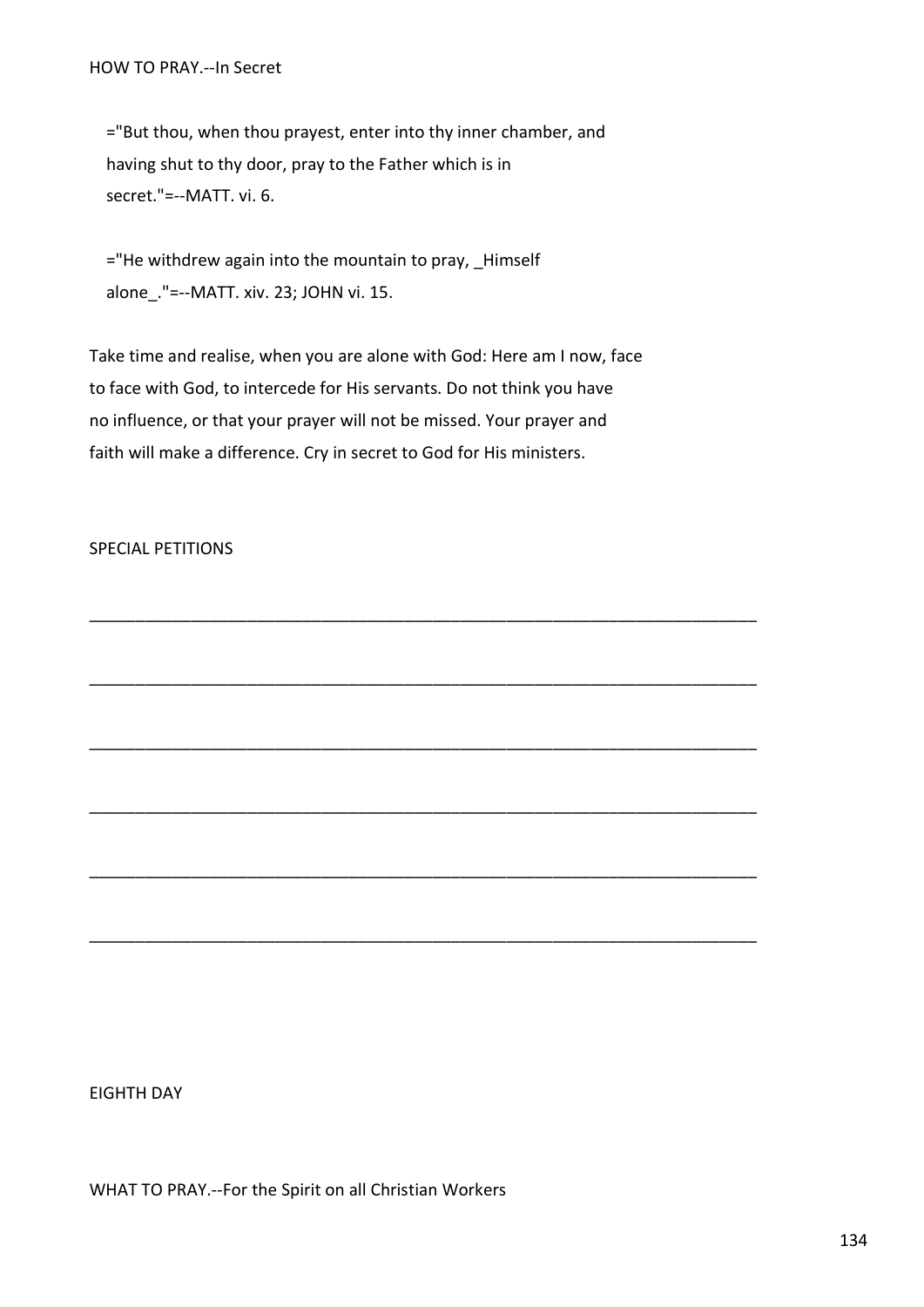="But thou, when thou prayest, enter into thy inner chamber, and having shut to thy door, pray to the Father which is in secret."=--MATT. vi. 6.

 ="He withdrew again into the mountain to pray, \_Himself alone\_."=--MATT. xiv. 23; JOHN vi. 15.

Take time and realise, when you are alone with God: Here am I now, face to face with God, to intercede for His servants. Do not think you have no influence, or that your prayer will not be missed. Your prayer and faith will make a difference. Cry in secret to God for His ministers.

\_\_\_\_\_\_\_\_\_\_\_\_\_\_\_\_\_\_\_\_\_\_\_\_\_\_\_\_\_\_\_\_\_\_\_\_\_\_\_\_\_\_\_\_\_\_\_\_\_\_\_\_\_\_\_\_\_\_\_\_\_\_\_\_\_\_\_\_\_\_\_\_

\_\_\_\_\_\_\_\_\_\_\_\_\_\_\_\_\_\_\_\_\_\_\_\_\_\_\_\_\_\_\_\_\_\_\_\_\_\_\_\_\_\_\_\_\_\_\_\_\_\_\_\_\_\_\_\_\_\_\_\_\_\_\_\_\_\_\_\_\_\_\_\_

\_\_\_\_\_\_\_\_\_\_\_\_\_\_\_\_\_\_\_\_\_\_\_\_\_\_\_\_\_\_\_\_\_\_\_\_\_\_\_\_\_\_\_\_\_\_\_\_\_\_\_\_\_\_\_\_\_\_\_\_\_\_\_\_\_\_\_\_\_\_\_\_

\_\_\_\_\_\_\_\_\_\_\_\_\_\_\_\_\_\_\_\_\_\_\_\_\_\_\_\_\_\_\_\_\_\_\_\_\_\_\_\_\_\_\_\_\_\_\_\_\_\_\_\_\_\_\_\_\_\_\_\_\_\_\_\_\_\_\_\_\_\_\_\_

\_\_\_\_\_\_\_\_\_\_\_\_\_\_\_\_\_\_\_\_\_\_\_\_\_\_\_\_\_\_\_\_\_\_\_\_\_\_\_\_\_\_\_\_\_\_\_\_\_\_\_\_\_\_\_\_\_\_\_\_\_\_\_\_\_\_\_\_\_\_\_\_

\_\_\_\_\_\_\_\_\_\_\_\_\_\_\_\_\_\_\_\_\_\_\_\_\_\_\_\_\_\_\_\_\_\_\_\_\_\_\_\_\_\_\_\_\_\_\_\_\_\_\_\_\_\_\_\_\_\_\_\_\_\_\_\_\_\_\_\_\_\_\_\_

# SPECIAL PETITIONS

EIGHTH DAY

WHAT TO PRAY.--For the Spirit on all Christian Workers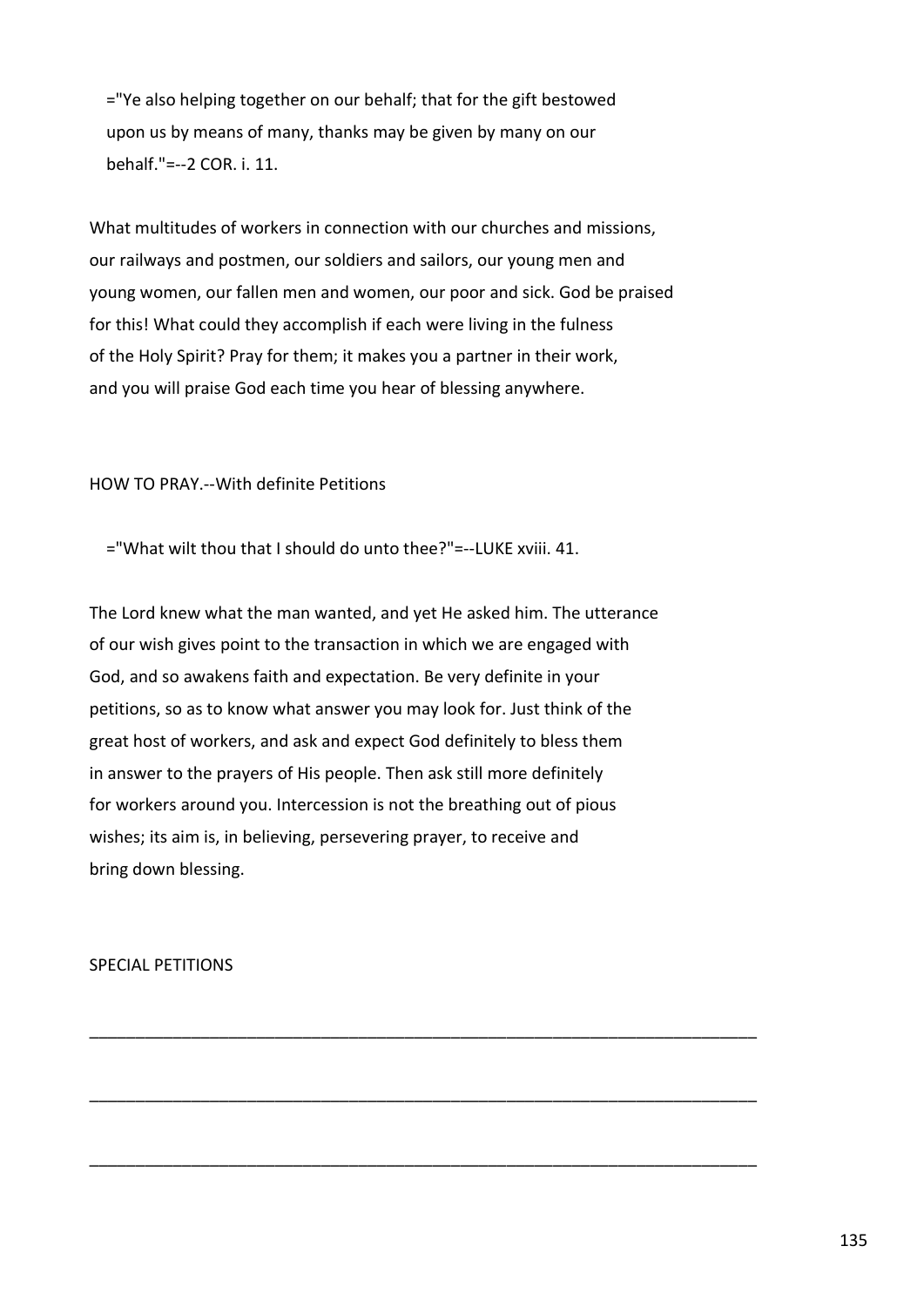="Ye also helping together on our behalf; that for the gift bestowed upon us by means of many, thanks may be given by many on our behalf."=--2 COR. i. 11.

What multitudes of workers in connection with our churches and missions, our railways and postmen, our soldiers and sailors, our young men and young women, our fallen men and women, our poor and sick. God be praised for this! What could they accomplish if each were living in the fulness of the Holy Spirit? Pray for them; it makes you a partner in their work, and you will praise God each time you hear of blessing anywhere.

HOW TO PRAY.--With definite Petitions

="What wilt thou that I should do unto thee?"=--LUKE xviii. 41.

The Lord knew what the man wanted, and yet He asked him. The utterance of our wish gives point to the transaction in which we are engaged with God, and so awakens faith and expectation. Be very definite in your petitions, so as to know what answer you may look for. Just think of the great host of workers, and ask and expect God definitely to bless them in answer to the prayers of His people. Then ask still more definitely for workers around you. Intercession is not the breathing out of pious wishes; its aim is, in believing, persevering prayer, to receive and bring down blessing.

\_\_\_\_\_\_\_\_\_\_\_\_\_\_\_\_\_\_\_\_\_\_\_\_\_\_\_\_\_\_\_\_\_\_\_\_\_\_\_\_\_\_\_\_\_\_\_\_\_\_\_\_\_\_\_\_\_\_\_\_\_\_\_\_\_\_\_\_\_\_\_\_

\_\_\_\_\_\_\_\_\_\_\_\_\_\_\_\_\_\_\_\_\_\_\_\_\_\_\_\_\_\_\_\_\_\_\_\_\_\_\_\_\_\_\_\_\_\_\_\_\_\_\_\_\_\_\_\_\_\_\_\_\_\_\_\_\_\_\_\_\_\_\_\_

\_\_\_\_\_\_\_\_\_\_\_\_\_\_\_\_\_\_\_\_\_\_\_\_\_\_\_\_\_\_\_\_\_\_\_\_\_\_\_\_\_\_\_\_\_\_\_\_\_\_\_\_\_\_\_\_\_\_\_\_\_\_\_\_\_\_\_\_\_\_\_\_

SPECIAL PETITIONS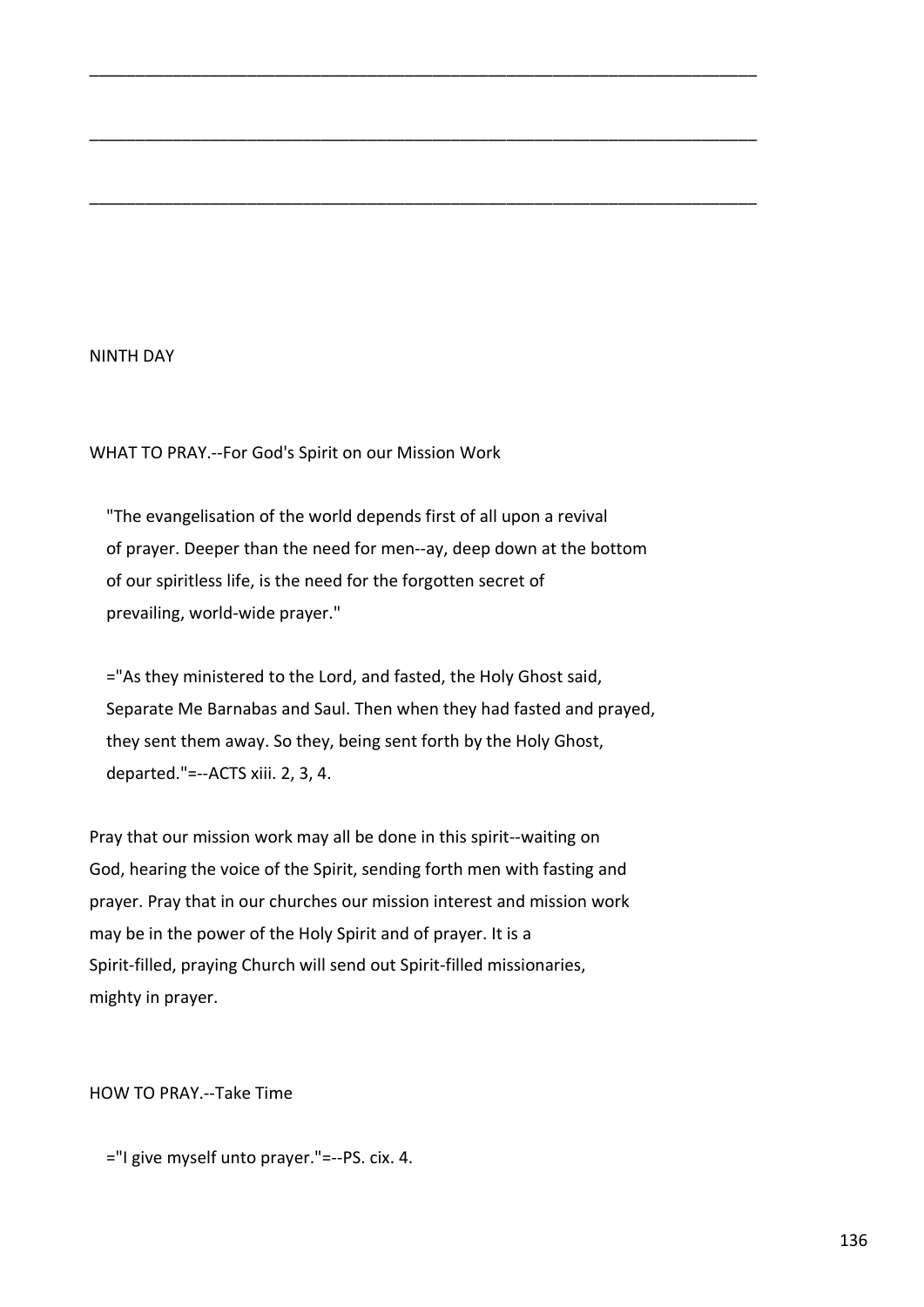## NINTH DAY

WHAT TO PRAY.--For God's Spirit on our Mission Work

 "The evangelisation of the world depends first of all upon a revival of prayer. Deeper than the need for men--ay, deep down at the bottom of our spiritless life, is the need for the forgotten secret of prevailing, world-wide prayer."

\_\_\_\_\_\_\_\_\_\_\_\_\_\_\_\_\_\_\_\_\_\_\_\_\_\_\_\_\_\_\_\_\_\_\_\_\_\_\_\_\_\_\_\_\_\_\_\_\_\_\_\_\_\_\_\_\_\_\_\_\_\_\_\_\_\_\_\_\_\_\_\_

\_\_\_\_\_\_\_\_\_\_\_\_\_\_\_\_\_\_\_\_\_\_\_\_\_\_\_\_\_\_\_\_\_\_\_\_\_\_\_\_\_\_\_\_\_\_\_\_\_\_\_\_\_\_\_\_\_\_\_\_\_\_\_\_\_\_\_\_\_\_\_\_

\_\_\_\_\_\_\_\_\_\_\_\_\_\_\_\_\_\_\_\_\_\_\_\_\_\_\_\_\_\_\_\_\_\_\_\_\_\_\_\_\_\_\_\_\_\_\_\_\_\_\_\_\_\_\_\_\_\_\_\_\_\_\_\_\_\_\_\_\_\_\_\_

 ="As they ministered to the Lord, and fasted, the Holy Ghost said, Separate Me Barnabas and Saul. Then when they had fasted and prayed, they sent them away. So they, being sent forth by the Holy Ghost, departed."=--ACTS xiii. 2, 3, 4.

Pray that our mission work may all be done in this spirit--waiting on God, hearing the voice of the Spirit, sending forth men with fasting and prayer. Pray that in our churches our mission interest and mission work may be in the power of the Holy Spirit and of prayer. It is a Spirit-filled, praying Church will send out Spirit-filled missionaries, mighty in prayer.

HOW TO PRAY.--Take Time

="I give myself unto prayer."=--PS. cix. 4.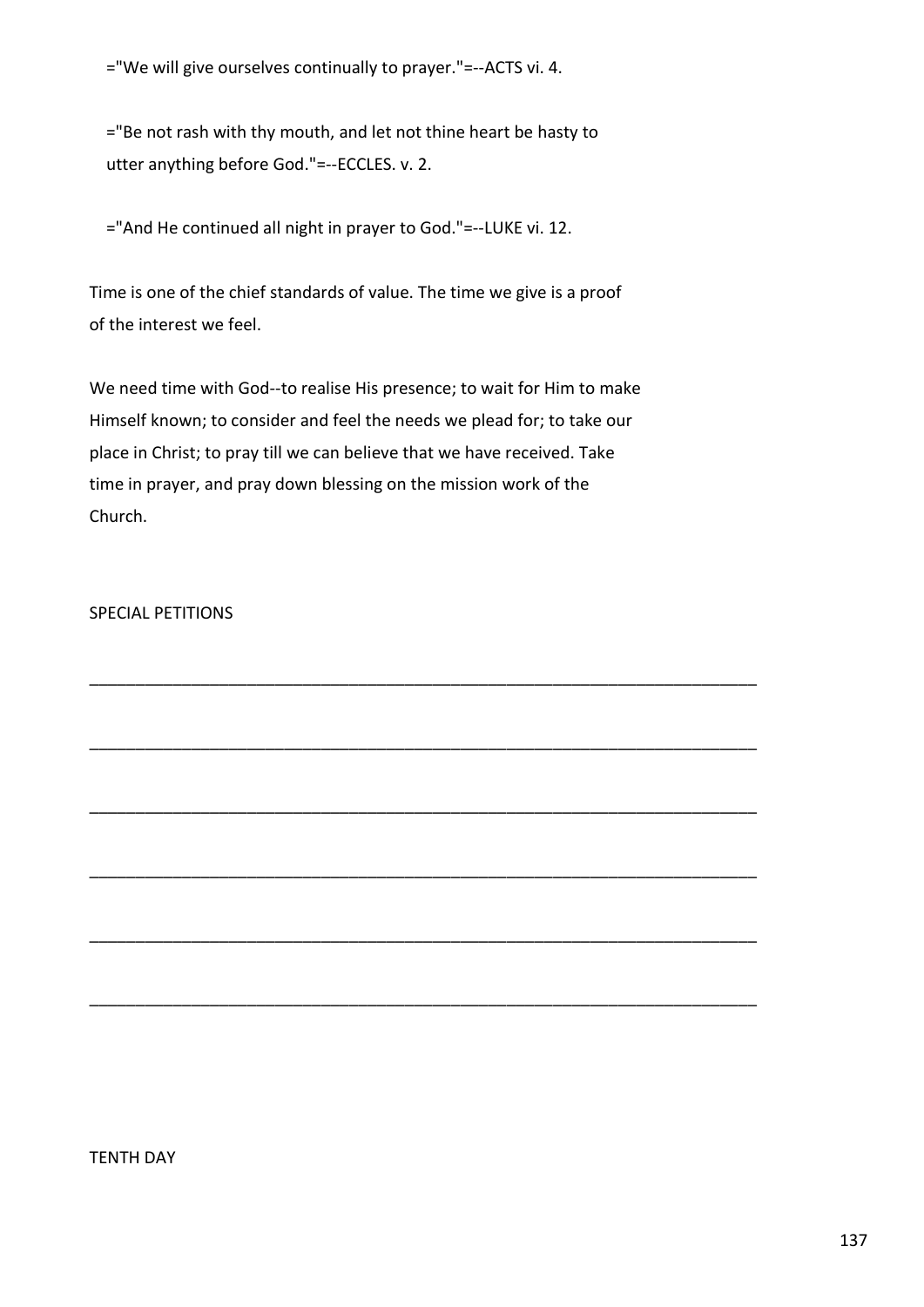="We will give ourselves continually to prayer."=--ACTS vi. 4.

 ="Be not rash with thy mouth, and let not thine heart be hasty to utter anything before God."=--ECCLES. v. 2.

="And He continued all night in prayer to God."=--LUKE vi. 12.

Time is one of the chief standards of value. The time we give is a proof of the interest we feel.

We need time with God--to realise His presence; to wait for Him to make Himself known; to consider and feel the needs we plead for; to take our place in Christ; to pray till we can believe that we have received. Take time in prayer, and pray down blessing on the mission work of the Church.

\_\_\_\_\_\_\_\_\_\_\_\_\_\_\_\_\_\_\_\_\_\_\_\_\_\_\_\_\_\_\_\_\_\_\_\_\_\_\_\_\_\_\_\_\_\_\_\_\_\_\_\_\_\_\_\_\_\_\_\_\_\_\_\_\_\_\_\_\_\_\_\_

\_\_\_\_\_\_\_\_\_\_\_\_\_\_\_\_\_\_\_\_\_\_\_\_\_\_\_\_\_\_\_\_\_\_\_\_\_\_\_\_\_\_\_\_\_\_\_\_\_\_\_\_\_\_\_\_\_\_\_\_\_\_\_\_\_\_\_\_\_\_\_\_

\_\_\_\_\_\_\_\_\_\_\_\_\_\_\_\_\_\_\_\_\_\_\_\_\_\_\_\_\_\_\_\_\_\_\_\_\_\_\_\_\_\_\_\_\_\_\_\_\_\_\_\_\_\_\_\_\_\_\_\_\_\_\_\_\_\_\_\_\_\_\_\_

\_\_\_\_\_\_\_\_\_\_\_\_\_\_\_\_\_\_\_\_\_\_\_\_\_\_\_\_\_\_\_\_\_\_\_\_\_\_\_\_\_\_\_\_\_\_\_\_\_\_\_\_\_\_\_\_\_\_\_\_\_\_\_\_\_\_\_\_\_\_\_\_

\_\_\_\_\_\_\_\_\_\_\_\_\_\_\_\_\_\_\_\_\_\_\_\_\_\_\_\_\_\_\_\_\_\_\_\_\_\_\_\_\_\_\_\_\_\_\_\_\_\_\_\_\_\_\_\_\_\_\_\_\_\_\_\_\_\_\_\_\_\_\_\_

\_\_\_\_\_\_\_\_\_\_\_\_\_\_\_\_\_\_\_\_\_\_\_\_\_\_\_\_\_\_\_\_\_\_\_\_\_\_\_\_\_\_\_\_\_\_\_\_\_\_\_\_\_\_\_\_\_\_\_\_\_\_\_\_\_\_\_\_\_\_\_\_

# SPECIAL PETITIONS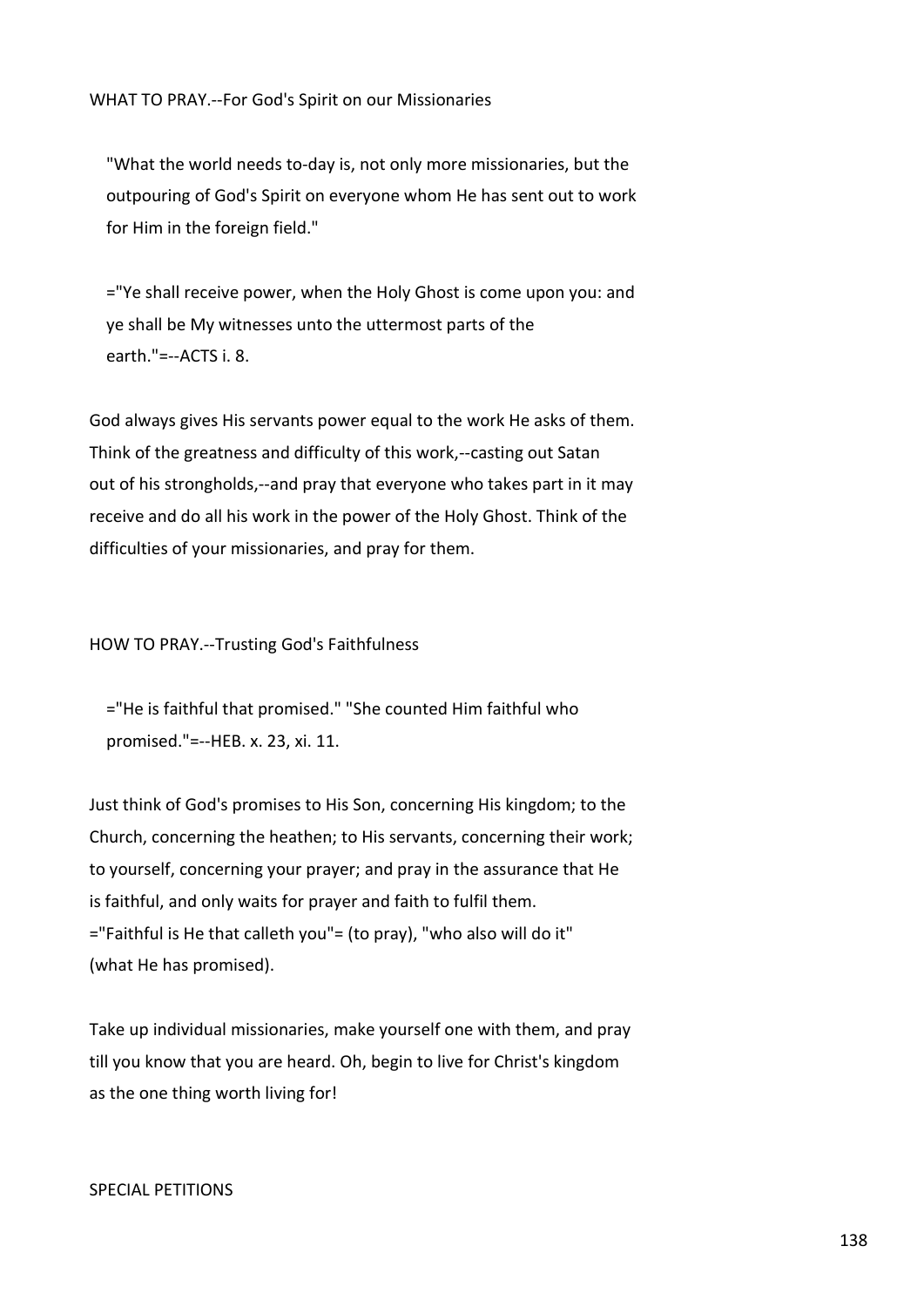"What the world needs to-day is, not only more missionaries, but the outpouring of God's Spirit on everyone whom He has sent out to work for Him in the foreign field."

 ="Ye shall receive power, when the Holy Ghost is come upon you: and ye shall be My witnesses unto the uttermost parts of the earth."=--ACTS i. 8.

God always gives His servants power equal to the work He asks of them. Think of the greatness and difficulty of this work,--casting out Satan out of his strongholds,--and pray that everyone who takes part in it may receive and do all his work in the power of the Holy Ghost. Think of the difficulties of your missionaries, and pray for them.

#### HOW TO PRAY.--Trusting God's Faithfulness

 ="He is faithful that promised." "She counted Him faithful who promised."=--HEB. x. 23, xi. 11.

Just think of God's promises to His Son, concerning His kingdom; to the Church, concerning the heathen; to His servants, concerning their work; to yourself, concerning your prayer; and pray in the assurance that He is faithful, and only waits for prayer and faith to fulfil them. ="Faithful is He that calleth you"= (to pray), "who also will do it" (what He has promised).

Take up individual missionaries, make yourself one with them, and pray till you know that you are heard. Oh, begin to live for Christ's kingdom as the one thing worth living for!

## SPECIAL PETITIONS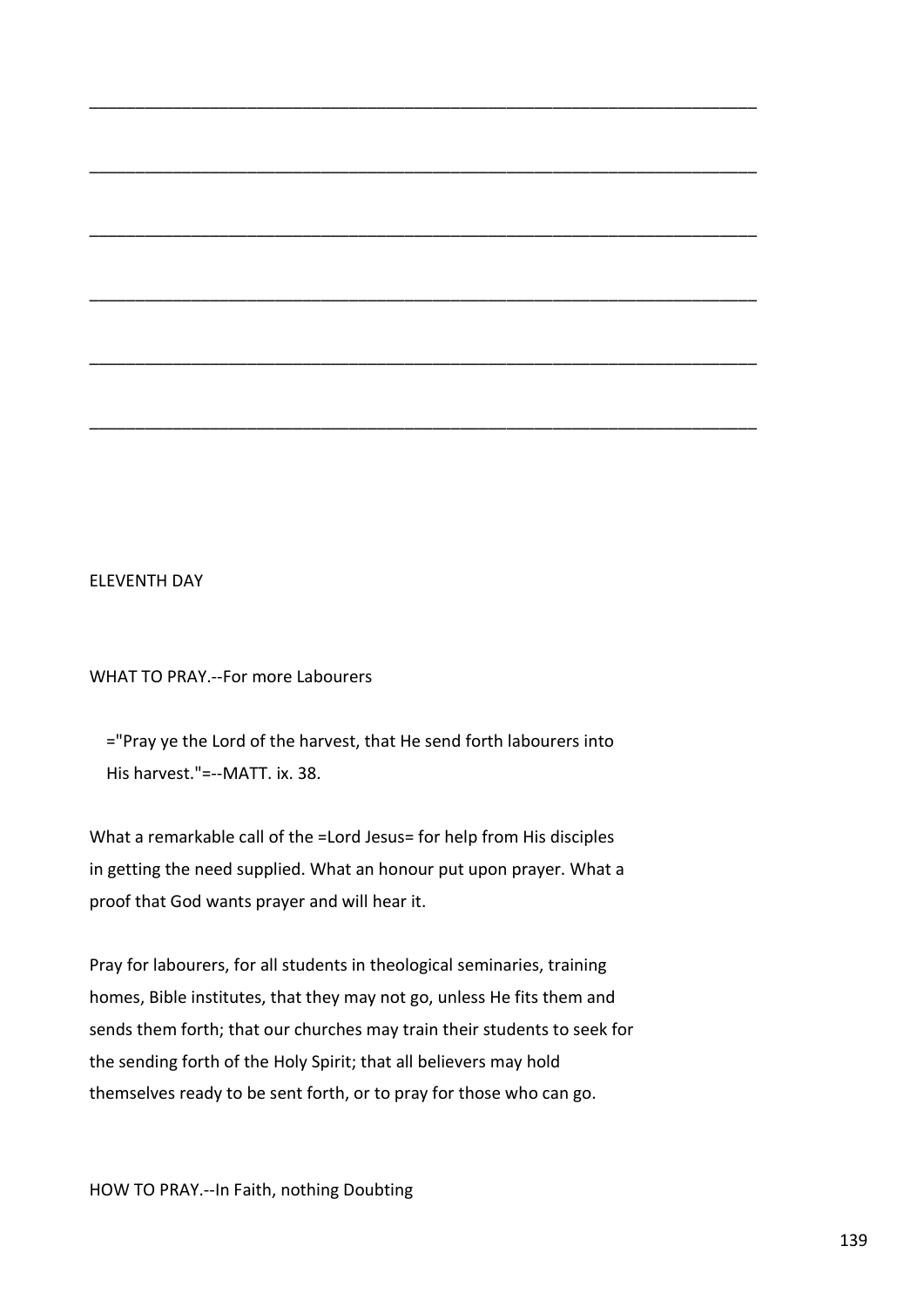## ELEVENTH DAY

WHAT TO PRAY.--For more Labourers

 ="Pray ye the Lord of the harvest, that He send forth labourers into His harvest."=--MATT. ix. 38.

\_\_\_\_\_\_\_\_\_\_\_\_\_\_\_\_\_\_\_\_\_\_\_\_\_\_\_\_\_\_\_\_\_\_\_\_\_\_\_\_\_\_\_\_\_\_\_\_\_\_\_\_\_\_\_\_\_\_\_\_\_\_\_\_\_\_\_\_\_\_\_\_

\_\_\_\_\_\_\_\_\_\_\_\_\_\_\_\_\_\_\_\_\_\_\_\_\_\_\_\_\_\_\_\_\_\_\_\_\_\_\_\_\_\_\_\_\_\_\_\_\_\_\_\_\_\_\_\_\_\_\_\_\_\_\_\_\_\_\_\_\_\_\_\_

\_\_\_\_\_\_\_\_\_\_\_\_\_\_\_\_\_\_\_\_\_\_\_\_\_\_\_\_\_\_\_\_\_\_\_\_\_\_\_\_\_\_\_\_\_\_\_\_\_\_\_\_\_\_\_\_\_\_\_\_\_\_\_\_\_\_\_\_\_\_\_\_

\_\_\_\_\_\_\_\_\_\_\_\_\_\_\_\_\_\_\_\_\_\_\_\_\_\_\_\_\_\_\_\_\_\_\_\_\_\_\_\_\_\_\_\_\_\_\_\_\_\_\_\_\_\_\_\_\_\_\_\_\_\_\_\_\_\_\_\_\_\_\_\_

\_\_\_\_\_\_\_\_\_\_\_\_\_\_\_\_\_\_\_\_\_\_\_\_\_\_\_\_\_\_\_\_\_\_\_\_\_\_\_\_\_\_\_\_\_\_\_\_\_\_\_\_\_\_\_\_\_\_\_\_\_\_\_\_\_\_\_\_\_\_\_\_

\_\_\_\_\_\_\_\_\_\_\_\_\_\_\_\_\_\_\_\_\_\_\_\_\_\_\_\_\_\_\_\_\_\_\_\_\_\_\_\_\_\_\_\_\_\_\_\_\_\_\_\_\_\_\_\_\_\_\_\_\_\_\_\_\_\_\_\_\_\_\_\_

What a remarkable call of the =Lord Jesus= for help from His disciples in getting the need supplied. What an honour put upon prayer. What a proof that God wants prayer and will hear it.

Pray for labourers, for all students in theological seminaries, training homes, Bible institutes, that they may not go, unless He fits them and sends them forth; that our churches may train their students to seek for the sending forth of the Holy Spirit; that all believers may hold themselves ready to be sent forth, or to pray for those who can go.

HOW TO PRAY.--In Faith, nothing Doubting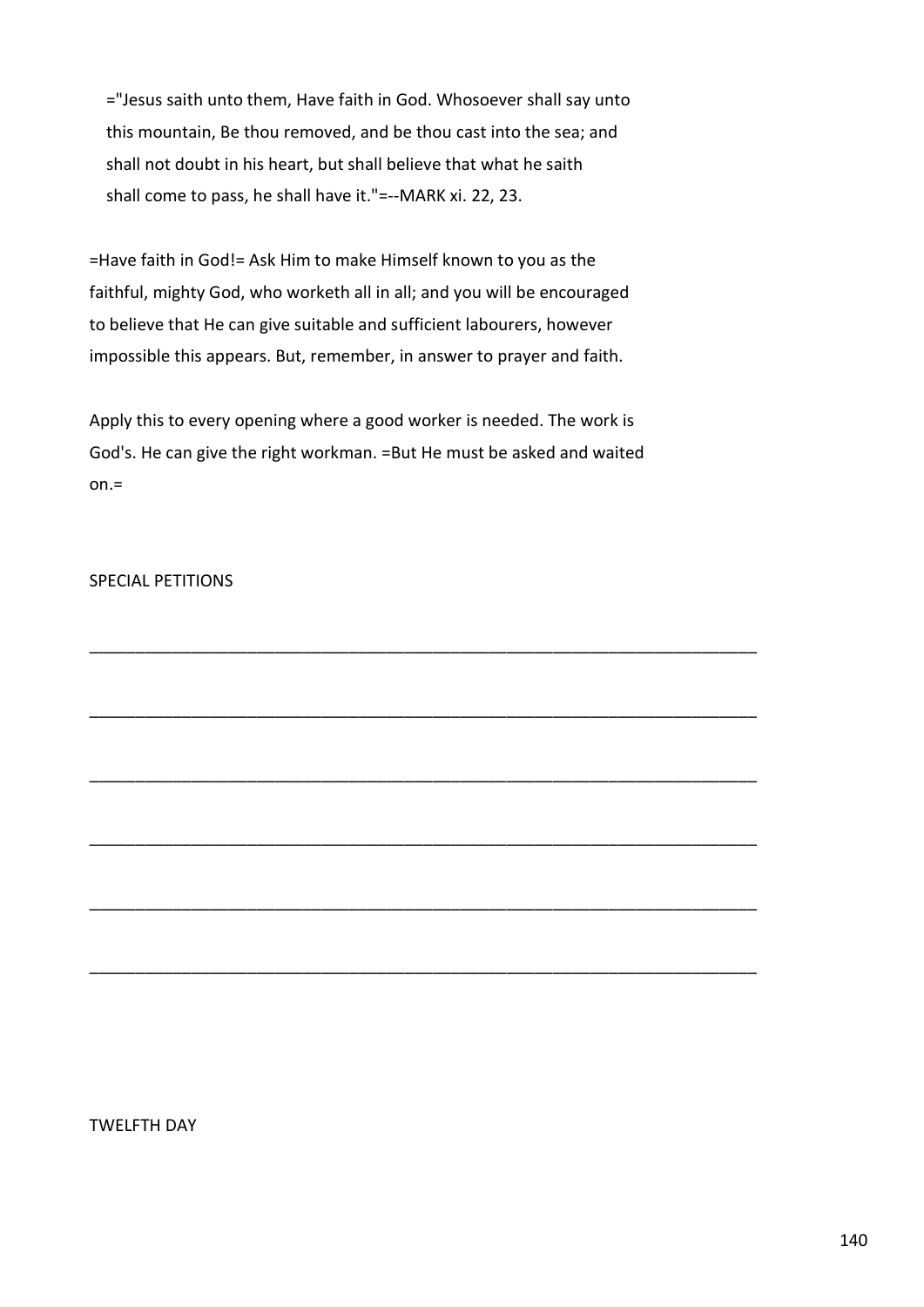="Jesus saith unto them, Have faith in God. Whosoever shall say unto this mountain, Be thou removed, and be thou cast into the sea; and shall not doubt in his heart, but shall believe that what he saith shall come to pass, he shall have it."=--MARK xi. 22, 23.

=Have faith in God!= Ask Him to make Himself known to you as the faithful, mighty God, who worketh all in all; and you will be encouraged to believe that He can give suitable and sufficient labourers, however impossible this appears. But, remember, in answer to prayer and faith.

Apply this to every opening where a good worker is needed. The work is God's. He can give the right workman. =But He must be asked and waited  $on =$ 

\_\_\_\_\_\_\_\_\_\_\_\_\_\_\_\_\_\_\_\_\_\_\_\_\_\_\_\_\_\_\_\_\_\_\_\_\_\_\_\_\_\_\_\_\_\_\_\_\_\_\_\_\_\_\_\_\_\_\_\_\_\_\_\_\_\_\_\_\_\_\_\_

\_\_\_\_\_\_\_\_\_\_\_\_\_\_\_\_\_\_\_\_\_\_\_\_\_\_\_\_\_\_\_\_\_\_\_\_\_\_\_\_\_\_\_\_\_\_\_\_\_\_\_\_\_\_\_\_\_\_\_\_\_\_\_\_\_\_\_\_\_\_\_\_

\_\_\_\_\_\_\_\_\_\_\_\_\_\_\_\_\_\_\_\_\_\_\_\_\_\_\_\_\_\_\_\_\_\_\_\_\_\_\_\_\_\_\_\_\_\_\_\_\_\_\_\_\_\_\_\_\_\_\_\_\_\_\_\_\_\_\_\_\_\_\_\_

\_\_\_\_\_\_\_\_\_\_\_\_\_\_\_\_\_\_\_\_\_\_\_\_\_\_\_\_\_\_\_\_\_\_\_\_\_\_\_\_\_\_\_\_\_\_\_\_\_\_\_\_\_\_\_\_\_\_\_\_\_\_\_\_\_\_\_\_\_\_\_\_

\_\_\_\_\_\_\_\_\_\_\_\_\_\_\_\_\_\_\_\_\_\_\_\_\_\_\_\_\_\_\_\_\_\_\_\_\_\_\_\_\_\_\_\_\_\_\_\_\_\_\_\_\_\_\_\_\_\_\_\_\_\_\_\_\_\_\_\_\_\_\_\_

\_\_\_\_\_\_\_\_\_\_\_\_\_\_\_\_\_\_\_\_\_\_\_\_\_\_\_\_\_\_\_\_\_\_\_\_\_\_\_\_\_\_\_\_\_\_\_\_\_\_\_\_\_\_\_\_\_\_\_\_\_\_\_\_\_\_\_\_\_\_\_\_

# SPECIAL PETITIONS

TWELFTH DAY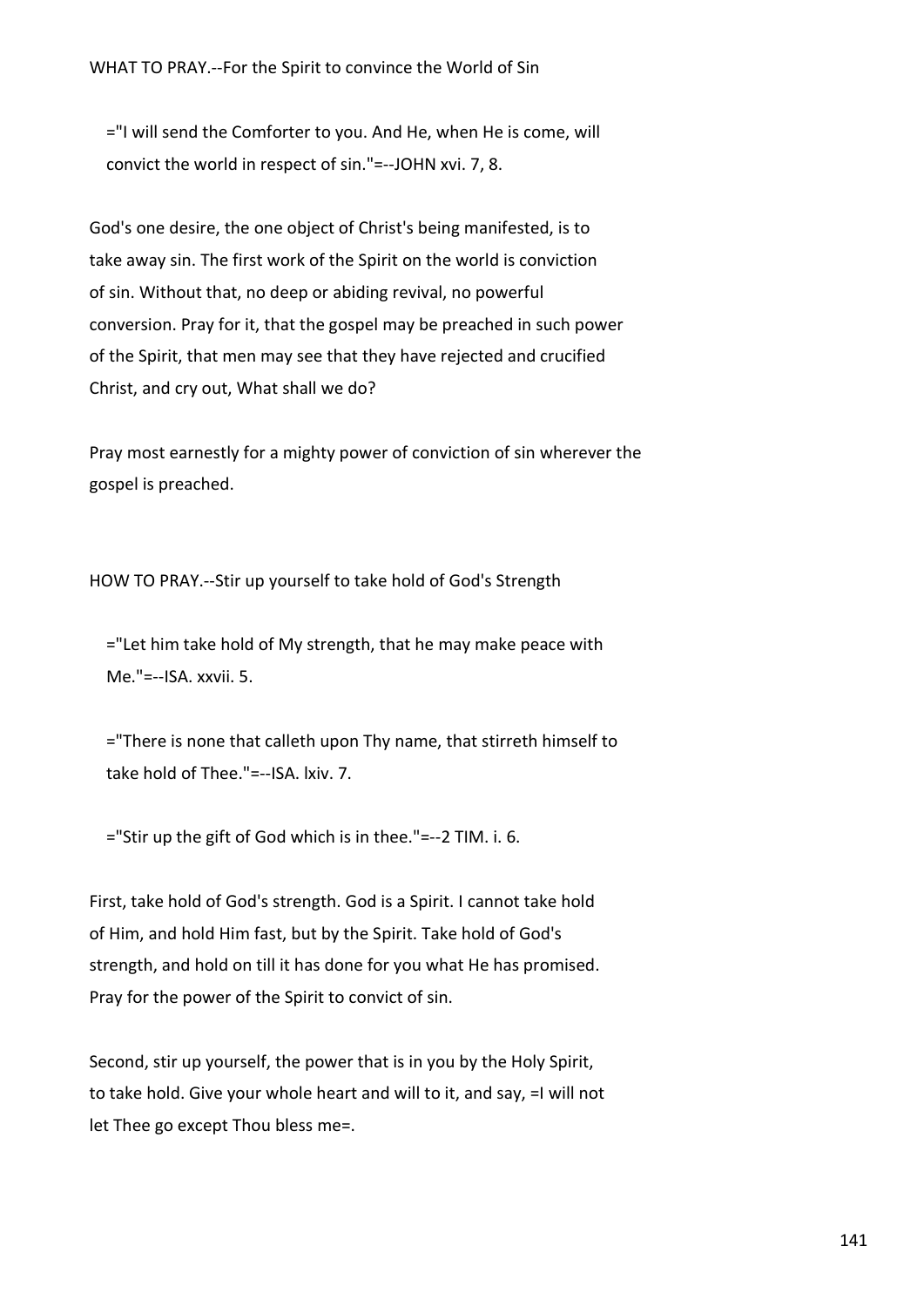="I will send the Comforter to you. And He, when He is come, will convict the world in respect of sin."=--JOHN xvi. 7, 8.

God's one desire, the one object of Christ's being manifested, is to take away sin. The first work of the Spirit on the world is conviction of sin. Without that, no deep or abiding revival, no powerful conversion. Pray for it, that the gospel may be preached in such power of the Spirit, that men may see that they have rejected and crucified Christ, and cry out, What shall we do?

Pray most earnestly for a mighty power of conviction of sin wherever the gospel is preached.

HOW TO PRAY.--Stir up yourself to take hold of God's Strength

 ="Let him take hold of My strength, that he may make peace with Me."=--ISA. xxvii. 5.

 ="There is none that calleth upon Thy name, that stirreth himself to take hold of Thee."=--ISA. lxiv. 7.

="Stir up the gift of God which is in thee."=--2 TIM. i. 6.

First, take hold of God's strength. God is a Spirit. I cannot take hold of Him, and hold Him fast, but by the Spirit. Take hold of God's strength, and hold on till it has done for you what He has promised. Pray for the power of the Spirit to convict of sin.

Second, stir up yourself, the power that is in you by the Holy Spirit, to take hold. Give your whole heart and will to it, and say, =I will not let Thee go except Thou bless me=.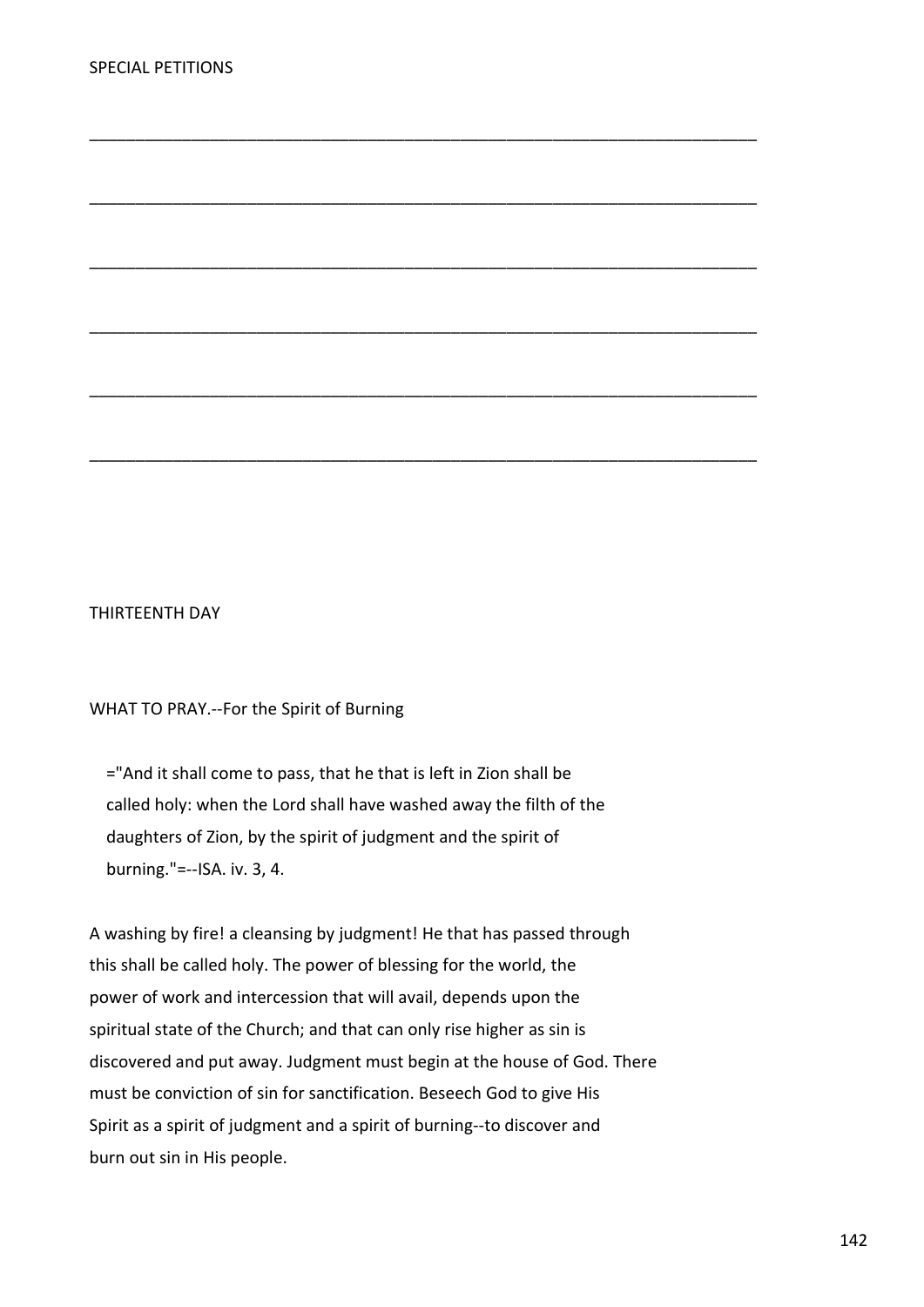## THIRTEENTH DAY

# WHAT TO PRAY.--For the Spirit of Burning

 ="And it shall come to pass, that he that is left in Zion shall be called holy: when the Lord shall have washed away the filth of the daughters of Zion, by the spirit of judgment and the spirit of burning."=--ISA. iv. 3, 4.

\_\_\_\_\_\_\_\_\_\_\_\_\_\_\_\_\_\_\_\_\_\_\_\_\_\_\_\_\_\_\_\_\_\_\_\_\_\_\_\_\_\_\_\_\_\_\_\_\_\_\_\_\_\_\_\_\_\_\_\_\_\_\_\_\_\_\_\_\_\_\_\_

\_\_\_\_\_\_\_\_\_\_\_\_\_\_\_\_\_\_\_\_\_\_\_\_\_\_\_\_\_\_\_\_\_\_\_\_\_\_\_\_\_\_\_\_\_\_\_\_\_\_\_\_\_\_\_\_\_\_\_\_\_\_\_\_\_\_\_\_\_\_\_\_

\_\_\_\_\_\_\_\_\_\_\_\_\_\_\_\_\_\_\_\_\_\_\_\_\_\_\_\_\_\_\_\_\_\_\_\_\_\_\_\_\_\_\_\_\_\_\_\_\_\_\_\_\_\_\_\_\_\_\_\_\_\_\_\_\_\_\_\_\_\_\_\_

\_\_\_\_\_\_\_\_\_\_\_\_\_\_\_\_\_\_\_\_\_\_\_\_\_\_\_\_\_\_\_\_\_\_\_\_\_\_\_\_\_\_\_\_\_\_\_\_\_\_\_\_\_\_\_\_\_\_\_\_\_\_\_\_\_\_\_\_\_\_\_\_

\_\_\_\_\_\_\_\_\_\_\_\_\_\_\_\_\_\_\_\_\_\_\_\_\_\_\_\_\_\_\_\_\_\_\_\_\_\_\_\_\_\_\_\_\_\_\_\_\_\_\_\_\_\_\_\_\_\_\_\_\_\_\_\_\_\_\_\_\_\_\_\_

\_\_\_\_\_\_\_\_\_\_\_\_\_\_\_\_\_\_\_\_\_\_\_\_\_\_\_\_\_\_\_\_\_\_\_\_\_\_\_\_\_\_\_\_\_\_\_\_\_\_\_\_\_\_\_\_\_\_\_\_\_\_\_\_\_\_\_\_\_\_\_\_

A washing by fire! a cleansing by judgment! He that has passed through this shall be called holy. The power of blessing for the world, the power of work and intercession that will avail, depends upon the spiritual state of the Church; and that can only rise higher as sin is discovered and put away. Judgment must begin at the house of God. There must be conviction of sin for sanctification. Beseech God to give His Spirit as a spirit of judgment and a spirit of burning--to discover and burn out sin in His people.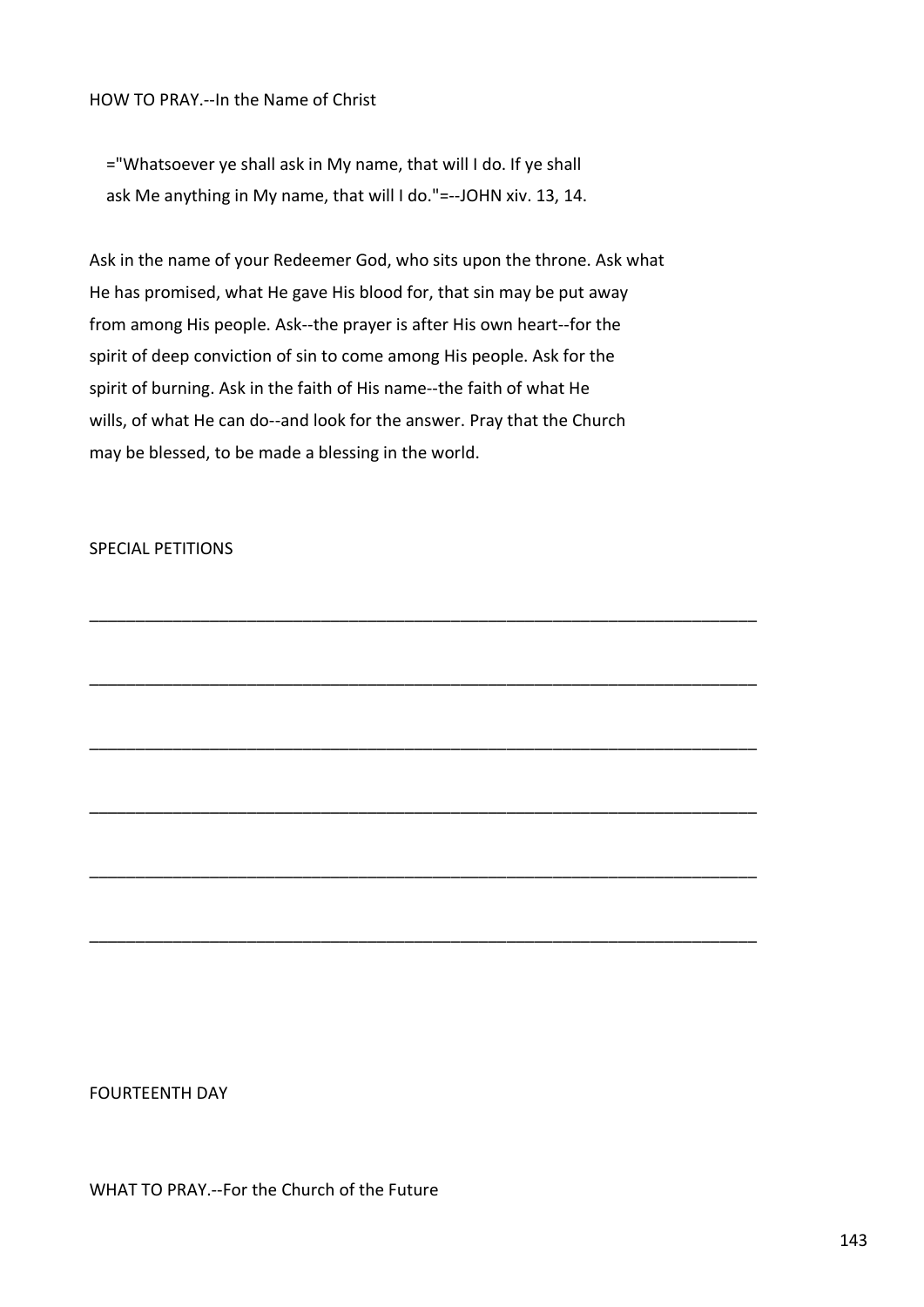HOW TO PRAY.--In the Name of Christ

 ="Whatsoever ye shall ask in My name, that will I do. If ye shall ask Me anything in My name, that will I do."=--JOHN xiv. 13, 14.

Ask in the name of your Redeemer God, who sits upon the throne. Ask what He has promised, what He gave His blood for, that sin may be put away from among His people. Ask--the prayer is after His own heart--for the spirit of deep conviction of sin to come among His people. Ask for the spirit of burning. Ask in the faith of His name--the faith of what He wills, of what He can do--and look for the answer. Pray that the Church may be blessed, to be made a blessing in the world.

\_\_\_\_\_\_\_\_\_\_\_\_\_\_\_\_\_\_\_\_\_\_\_\_\_\_\_\_\_\_\_\_\_\_\_\_\_\_\_\_\_\_\_\_\_\_\_\_\_\_\_\_\_\_\_\_\_\_\_\_\_\_\_\_\_\_\_\_\_\_\_\_

\_\_\_\_\_\_\_\_\_\_\_\_\_\_\_\_\_\_\_\_\_\_\_\_\_\_\_\_\_\_\_\_\_\_\_\_\_\_\_\_\_\_\_\_\_\_\_\_\_\_\_\_\_\_\_\_\_\_\_\_\_\_\_\_\_\_\_\_\_\_\_\_

\_\_\_\_\_\_\_\_\_\_\_\_\_\_\_\_\_\_\_\_\_\_\_\_\_\_\_\_\_\_\_\_\_\_\_\_\_\_\_\_\_\_\_\_\_\_\_\_\_\_\_\_\_\_\_\_\_\_\_\_\_\_\_\_\_\_\_\_\_\_\_\_

\_\_\_\_\_\_\_\_\_\_\_\_\_\_\_\_\_\_\_\_\_\_\_\_\_\_\_\_\_\_\_\_\_\_\_\_\_\_\_\_\_\_\_\_\_\_\_\_\_\_\_\_\_\_\_\_\_\_\_\_\_\_\_\_\_\_\_\_\_\_\_\_

\_\_\_\_\_\_\_\_\_\_\_\_\_\_\_\_\_\_\_\_\_\_\_\_\_\_\_\_\_\_\_\_\_\_\_\_\_\_\_\_\_\_\_\_\_\_\_\_\_\_\_\_\_\_\_\_\_\_\_\_\_\_\_\_\_\_\_\_\_\_\_\_

\_\_\_\_\_\_\_\_\_\_\_\_\_\_\_\_\_\_\_\_\_\_\_\_\_\_\_\_\_\_\_\_\_\_\_\_\_\_\_\_\_\_\_\_\_\_\_\_\_\_\_\_\_\_\_\_\_\_\_\_\_\_\_\_\_\_\_\_\_\_\_\_

## SPECIAL PETITIONS

FOURTEENTH DAY

WHAT TO PRAY.--For the Church of the Future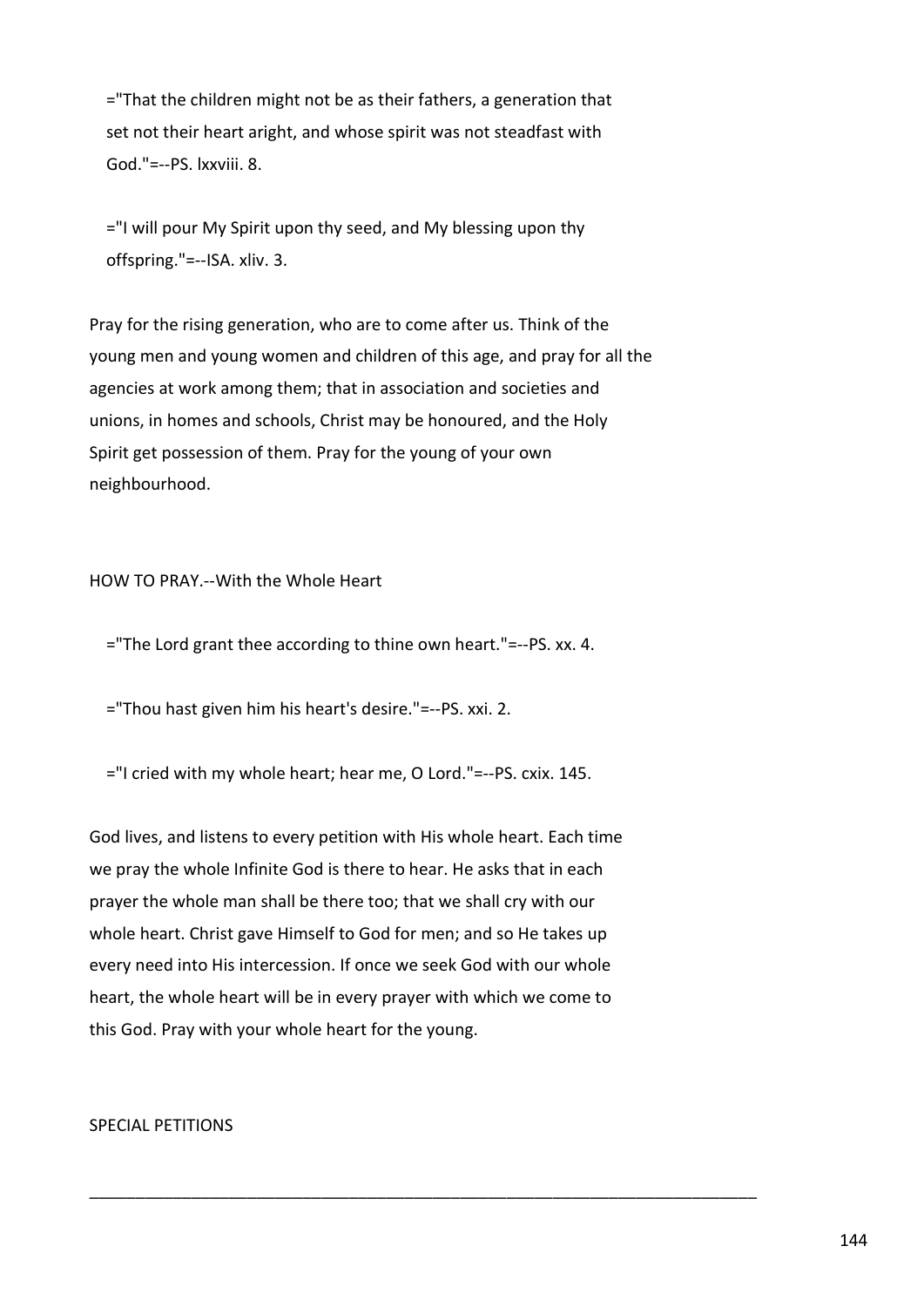="That the children might not be as their fathers, a generation that set not their heart aright, and whose spirit was not steadfast with God."=--PS. lxxviii. 8.

 ="I will pour My Spirit upon thy seed, and My blessing upon thy offspring."=--ISA. xliv. 3.

Pray for the rising generation, who are to come after us. Think of the young men and young women and children of this age, and pray for all the agencies at work among them; that in association and societies and unions, in homes and schools, Christ may be honoured, and the Holy Spirit get possession of them. Pray for the young of your own neighbourhood.

## HOW TO PRAY.--With the Whole Heart

="The Lord grant thee according to thine own heart."=--PS. xx. 4.

="Thou hast given him his heart's desire."=--PS. xxi. 2.

="I cried with my whole heart; hear me, O Lord."=--PS. cxix. 145.

God lives, and listens to every petition with His whole heart. Each time we pray the whole Infinite God is there to hear. He asks that in each prayer the whole man shall be there too; that we shall cry with our whole heart. Christ gave Himself to God for men; and so He takes up every need into His intercession. If once we seek God with our whole heart, the whole heart will be in every prayer with which we come to this God. Pray with your whole heart for the young.

\_\_\_\_\_\_\_\_\_\_\_\_\_\_\_\_\_\_\_\_\_\_\_\_\_\_\_\_\_\_\_\_\_\_\_\_\_\_\_\_\_\_\_\_\_\_\_\_\_\_\_\_\_\_\_\_\_\_\_\_\_\_\_\_\_\_\_\_\_\_\_\_

## SPECIAL PETITIONS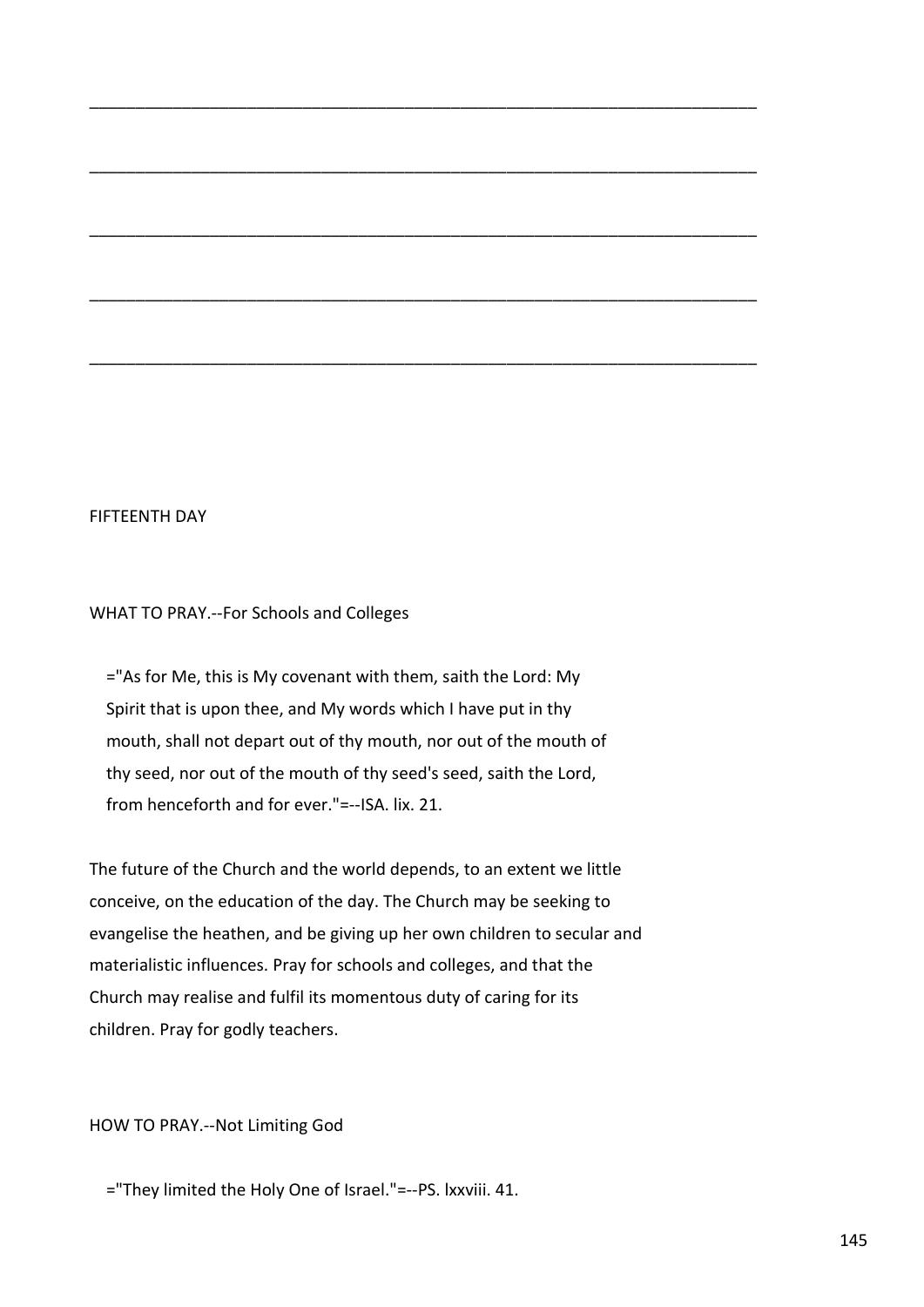# FIFTEENTH DAY

WHAT TO PRAY.--For Schools and Colleges

 ="As for Me, this is My covenant with them, saith the Lord: My Spirit that is upon thee, and My words which I have put in thy mouth, shall not depart out of thy mouth, nor out of the mouth of thy seed, nor out of the mouth of thy seed's seed, saith the Lord, from henceforth and for ever."=--ISA. lix. 21.

\_\_\_\_\_\_\_\_\_\_\_\_\_\_\_\_\_\_\_\_\_\_\_\_\_\_\_\_\_\_\_\_\_\_\_\_\_\_\_\_\_\_\_\_\_\_\_\_\_\_\_\_\_\_\_\_\_\_\_\_\_\_\_\_\_\_\_\_\_\_\_\_

\_\_\_\_\_\_\_\_\_\_\_\_\_\_\_\_\_\_\_\_\_\_\_\_\_\_\_\_\_\_\_\_\_\_\_\_\_\_\_\_\_\_\_\_\_\_\_\_\_\_\_\_\_\_\_\_\_\_\_\_\_\_\_\_\_\_\_\_\_\_\_\_

\_\_\_\_\_\_\_\_\_\_\_\_\_\_\_\_\_\_\_\_\_\_\_\_\_\_\_\_\_\_\_\_\_\_\_\_\_\_\_\_\_\_\_\_\_\_\_\_\_\_\_\_\_\_\_\_\_\_\_\_\_\_\_\_\_\_\_\_\_\_\_\_

\_\_\_\_\_\_\_\_\_\_\_\_\_\_\_\_\_\_\_\_\_\_\_\_\_\_\_\_\_\_\_\_\_\_\_\_\_\_\_\_\_\_\_\_\_\_\_\_\_\_\_\_\_\_\_\_\_\_\_\_\_\_\_\_\_\_\_\_\_\_\_\_

\_\_\_\_\_\_\_\_\_\_\_\_\_\_\_\_\_\_\_\_\_\_\_\_\_\_\_\_\_\_\_\_\_\_\_\_\_\_\_\_\_\_\_\_\_\_\_\_\_\_\_\_\_\_\_\_\_\_\_\_\_\_\_\_\_\_\_\_\_\_\_\_

The future of the Church and the world depends, to an extent we little conceive, on the education of the day. The Church may be seeking to evangelise the heathen, and be giving up her own children to secular and materialistic influences. Pray for schools and colleges, and that the Church may realise and fulfil its momentous duty of caring for its children. Pray for godly teachers.

HOW TO PRAY.--Not Limiting God

="They limited the Holy One of Israel."=--PS. lxxviii. 41.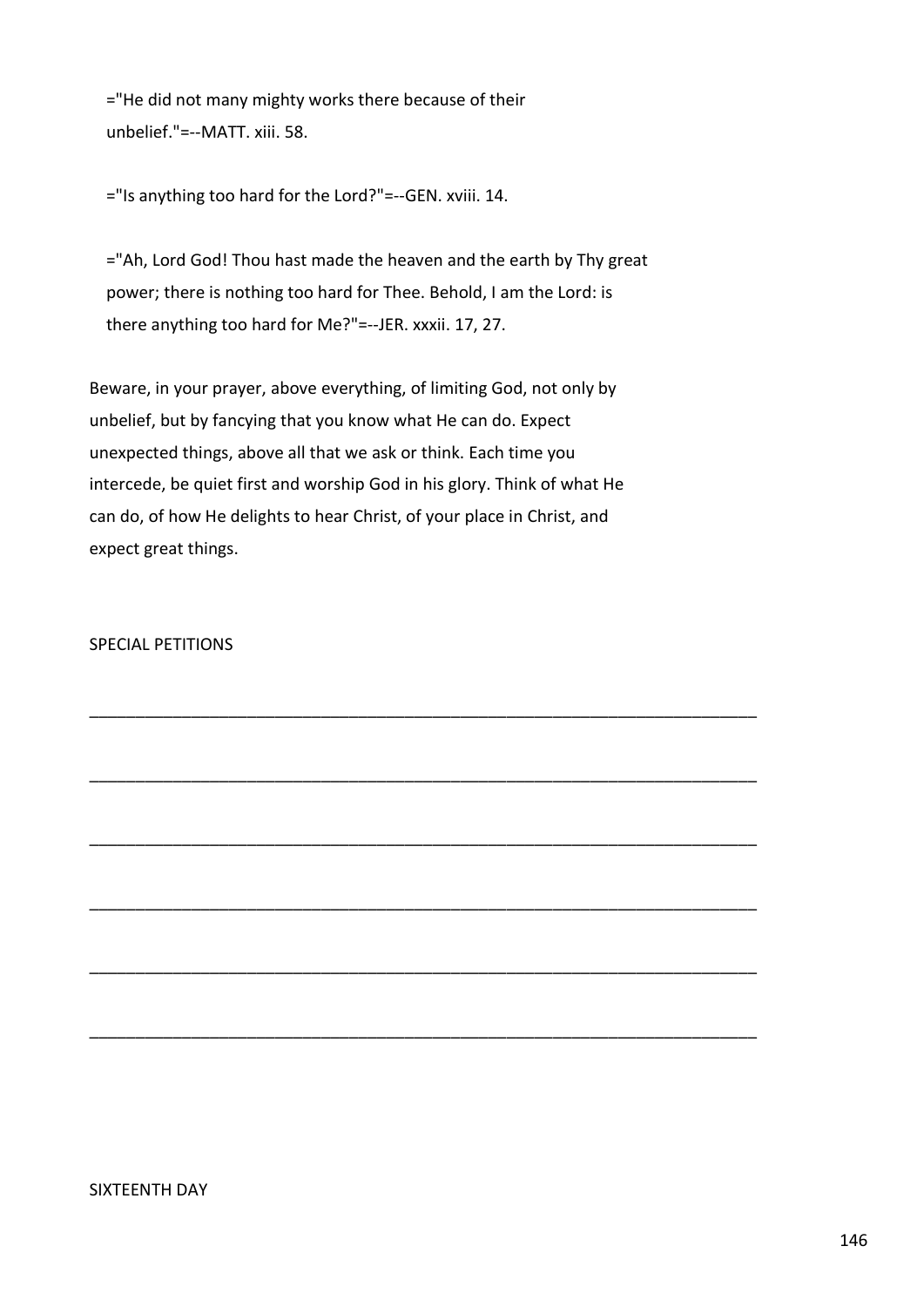="He did not many mighty works there because of their unbelief."=--MATT. xiii. 58.

="Is anything too hard for the Lord?"=--GEN. xviii. 14.

 ="Ah, Lord God! Thou hast made the heaven and the earth by Thy great power; there is nothing too hard for Thee. Behold, I am the Lord: is there anything too hard for Me?"=--JER. xxxii. 17, 27.

Beware, in your prayer, above everything, of limiting God, not only by unbelief, but by fancying that you know what He can do. Expect unexpected things, above all that we ask or think. Each time you intercede, be quiet first and worship God in his glory. Think of what He can do, of how He delights to hear Christ, of your place in Christ, and expect great things.

\_\_\_\_\_\_\_\_\_\_\_\_\_\_\_\_\_\_\_\_\_\_\_\_\_\_\_\_\_\_\_\_\_\_\_\_\_\_\_\_\_\_\_\_\_\_\_\_\_\_\_\_\_\_\_\_\_\_\_\_\_\_\_\_\_\_\_\_\_\_\_\_

\_\_\_\_\_\_\_\_\_\_\_\_\_\_\_\_\_\_\_\_\_\_\_\_\_\_\_\_\_\_\_\_\_\_\_\_\_\_\_\_\_\_\_\_\_\_\_\_\_\_\_\_\_\_\_\_\_\_\_\_\_\_\_\_\_\_\_\_\_\_\_\_

\_\_\_\_\_\_\_\_\_\_\_\_\_\_\_\_\_\_\_\_\_\_\_\_\_\_\_\_\_\_\_\_\_\_\_\_\_\_\_\_\_\_\_\_\_\_\_\_\_\_\_\_\_\_\_\_\_\_\_\_\_\_\_\_\_\_\_\_\_\_\_\_

\_\_\_\_\_\_\_\_\_\_\_\_\_\_\_\_\_\_\_\_\_\_\_\_\_\_\_\_\_\_\_\_\_\_\_\_\_\_\_\_\_\_\_\_\_\_\_\_\_\_\_\_\_\_\_\_\_\_\_\_\_\_\_\_\_\_\_\_\_\_\_\_

\_\_\_\_\_\_\_\_\_\_\_\_\_\_\_\_\_\_\_\_\_\_\_\_\_\_\_\_\_\_\_\_\_\_\_\_\_\_\_\_\_\_\_\_\_\_\_\_\_\_\_\_\_\_\_\_\_\_\_\_\_\_\_\_\_\_\_\_\_\_\_\_

\_\_\_\_\_\_\_\_\_\_\_\_\_\_\_\_\_\_\_\_\_\_\_\_\_\_\_\_\_\_\_\_\_\_\_\_\_\_\_\_\_\_\_\_\_\_\_\_\_\_\_\_\_\_\_\_\_\_\_\_\_\_\_\_\_\_\_\_\_\_\_\_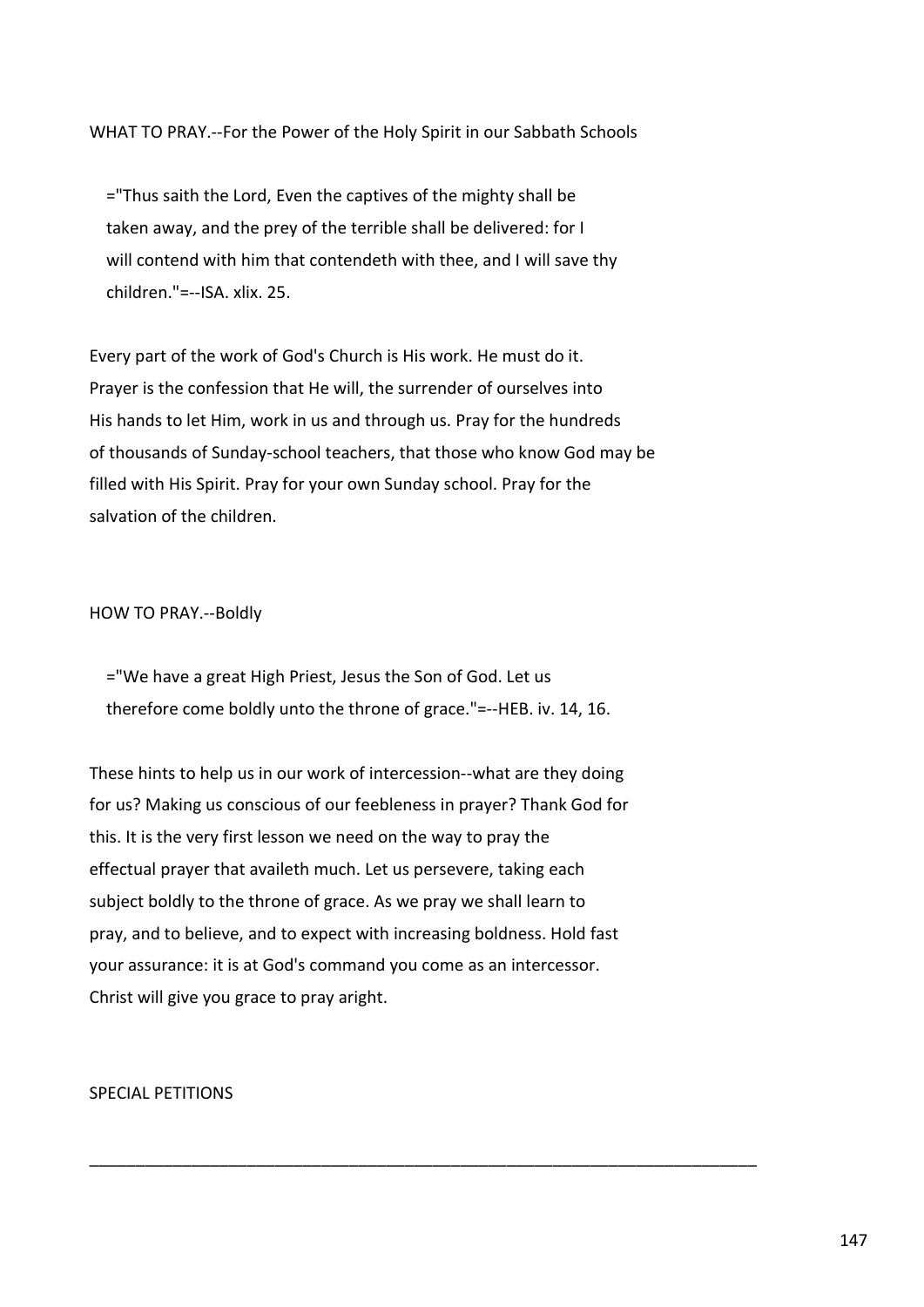WHAT TO PRAY.--For the Power of the Holy Spirit in our Sabbath Schools

 ="Thus saith the Lord, Even the captives of the mighty shall be taken away, and the prey of the terrible shall be delivered: for I will contend with him that contendeth with thee, and I will save thy children."=--ISA. xlix. 25.

Every part of the work of God's Church is His work. He must do it. Prayer is the confession that He will, the surrender of ourselves into His hands to let Him, work in us and through us. Pray for the hundreds of thousands of Sunday-school teachers, that those who know God may be filled with His Spirit. Pray for your own Sunday school. Pray for the salvation of the children.

HOW TO PRAY.--Boldly

 ="We have a great High Priest, Jesus the Son of God. Let us therefore come boldly unto the throne of grace."=--HEB. iv. 14, 16.

These hints to help us in our work of intercession--what are they doing for us? Making us conscious of our feebleness in prayer? Thank God for this. It is the very first lesson we need on the way to pray the effectual prayer that availeth much. Let us persevere, taking each subject boldly to the throne of grace. As we pray we shall learn to pray, and to believe, and to expect with increasing boldness. Hold fast your assurance: it is at God's command you come as an intercessor. Christ will give you grace to pray aright.

\_\_\_\_\_\_\_\_\_\_\_\_\_\_\_\_\_\_\_\_\_\_\_\_\_\_\_\_\_\_\_\_\_\_\_\_\_\_\_\_\_\_\_\_\_\_\_\_\_\_\_\_\_\_\_\_\_\_\_\_\_\_\_\_\_\_\_\_\_\_\_\_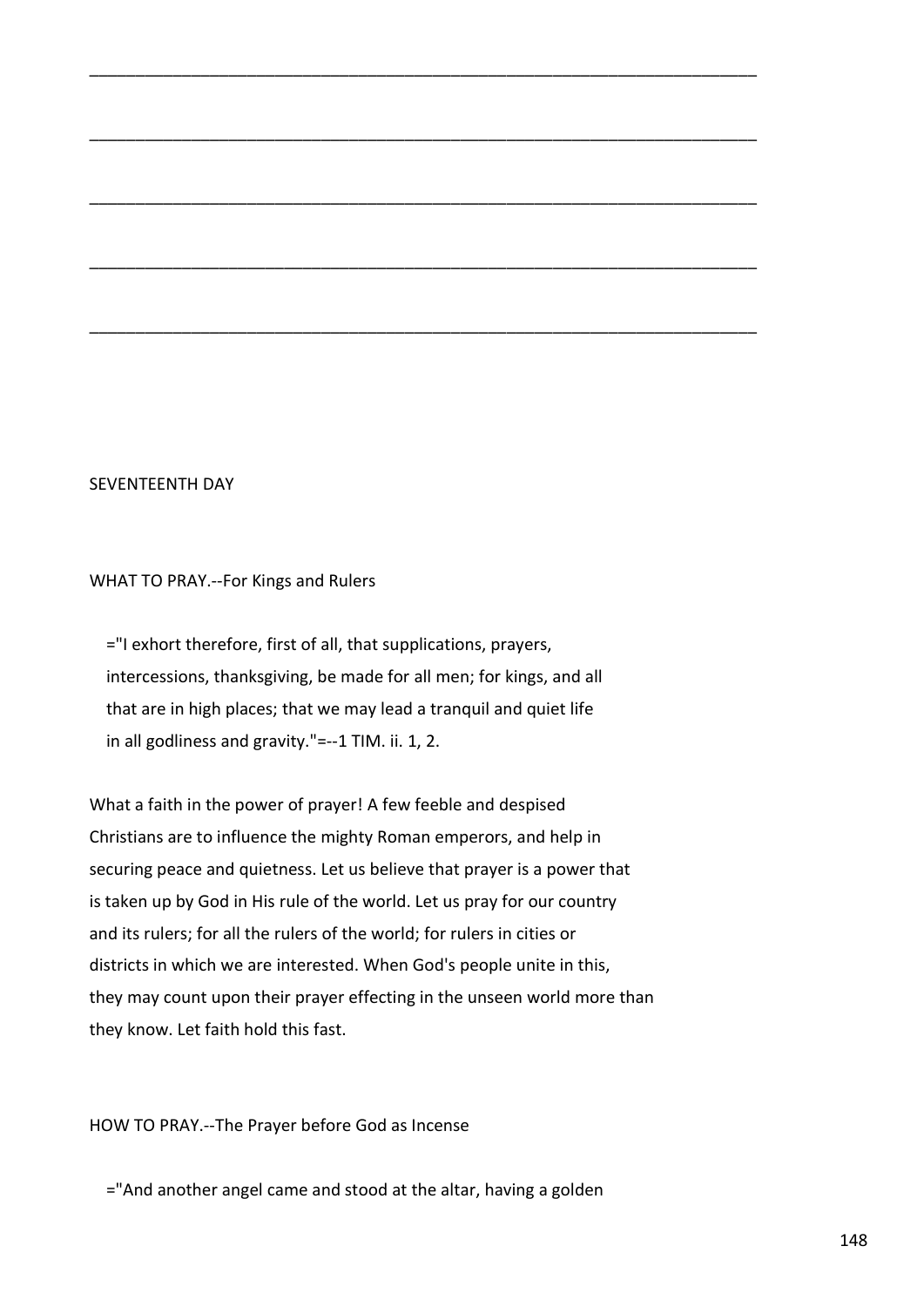#### SEVENTEENTH DAY

WHAT TO PRAY.--For Kings and Rulers

 ="I exhort therefore, first of all, that supplications, prayers, intercessions, thanksgiving, be made for all men; for kings, and all that are in high places; that we may lead a tranquil and quiet life in all godliness and gravity."=--1 TIM. ii. 1, 2.

\_\_\_\_\_\_\_\_\_\_\_\_\_\_\_\_\_\_\_\_\_\_\_\_\_\_\_\_\_\_\_\_\_\_\_\_\_\_\_\_\_\_\_\_\_\_\_\_\_\_\_\_\_\_\_\_\_\_\_\_\_\_\_\_\_\_\_\_\_\_\_\_

\_\_\_\_\_\_\_\_\_\_\_\_\_\_\_\_\_\_\_\_\_\_\_\_\_\_\_\_\_\_\_\_\_\_\_\_\_\_\_\_\_\_\_\_\_\_\_\_\_\_\_\_\_\_\_\_\_\_\_\_\_\_\_\_\_\_\_\_\_\_\_\_

\_\_\_\_\_\_\_\_\_\_\_\_\_\_\_\_\_\_\_\_\_\_\_\_\_\_\_\_\_\_\_\_\_\_\_\_\_\_\_\_\_\_\_\_\_\_\_\_\_\_\_\_\_\_\_\_\_\_\_\_\_\_\_\_\_\_\_\_\_\_\_\_

\_\_\_\_\_\_\_\_\_\_\_\_\_\_\_\_\_\_\_\_\_\_\_\_\_\_\_\_\_\_\_\_\_\_\_\_\_\_\_\_\_\_\_\_\_\_\_\_\_\_\_\_\_\_\_\_\_\_\_\_\_\_\_\_\_\_\_\_\_\_\_\_

\_\_\_\_\_\_\_\_\_\_\_\_\_\_\_\_\_\_\_\_\_\_\_\_\_\_\_\_\_\_\_\_\_\_\_\_\_\_\_\_\_\_\_\_\_\_\_\_\_\_\_\_\_\_\_\_\_\_\_\_\_\_\_\_\_\_\_\_\_\_\_\_

What a faith in the power of prayer! A few feeble and despised Christians are to influence the mighty Roman emperors, and help in securing peace and quietness. Let us believe that prayer is a power that is taken up by God in His rule of the world. Let us pray for our country and its rulers; for all the rulers of the world; for rulers in cities or districts in which we are interested. When God's people unite in this, they may count upon their prayer effecting in the unseen world more than they know. Let faith hold this fast.

HOW TO PRAY.--The Prayer before God as Incense

="And another angel came and stood at the altar, having a golden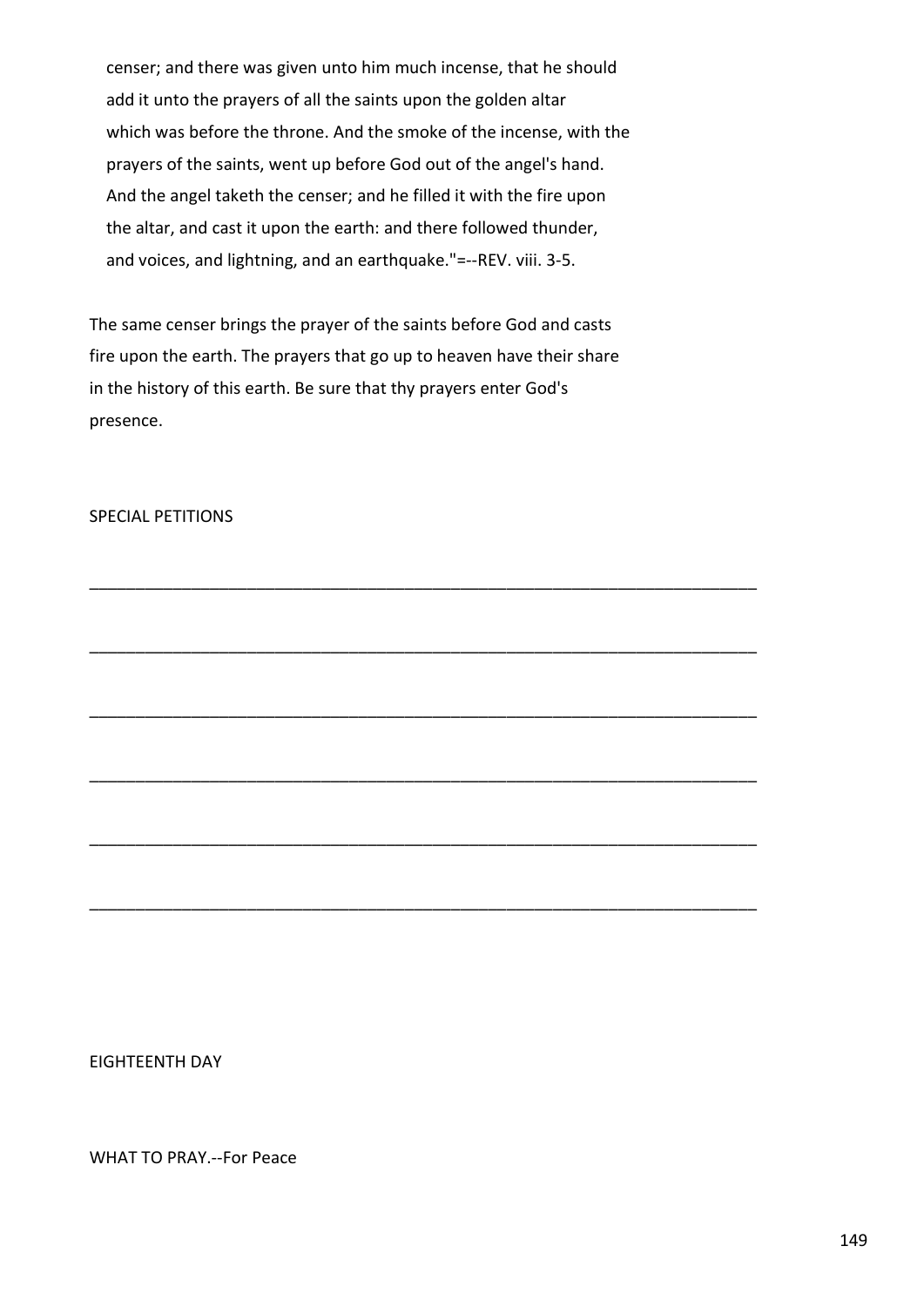censer; and there was given unto him much incense, that he should add it unto the prayers of all the saints upon the golden altar which was before the throne. And the smoke of the incense, with the prayers of the saints, went up before God out of the angel's hand. And the angel taketh the censer; and he filled it with the fire upon the altar, and cast it upon the earth: and there followed thunder, and voices, and lightning, and an earthquake."=--REV. viii. 3-5.

The same censer brings the prayer of the saints before God and casts fire upon the earth. The prayers that go up to heaven have their share in the history of this earth. Be sure that thy prayers enter God's presence.

\_\_\_\_\_\_\_\_\_\_\_\_\_\_\_\_\_\_\_\_\_\_\_\_\_\_\_\_\_\_\_\_\_\_\_\_\_\_\_\_\_\_\_\_\_\_\_\_\_\_\_\_\_\_\_\_\_\_\_\_\_\_\_\_\_\_\_\_\_\_\_\_

\_\_\_\_\_\_\_\_\_\_\_\_\_\_\_\_\_\_\_\_\_\_\_\_\_\_\_\_\_\_\_\_\_\_\_\_\_\_\_\_\_\_\_\_\_\_\_\_\_\_\_\_\_\_\_\_\_\_\_\_\_\_\_\_\_\_\_\_\_\_\_\_

\_\_\_\_\_\_\_\_\_\_\_\_\_\_\_\_\_\_\_\_\_\_\_\_\_\_\_\_\_\_\_\_\_\_\_\_\_\_\_\_\_\_\_\_\_\_\_\_\_\_\_\_\_\_\_\_\_\_\_\_\_\_\_\_\_\_\_\_\_\_\_\_

\_\_\_\_\_\_\_\_\_\_\_\_\_\_\_\_\_\_\_\_\_\_\_\_\_\_\_\_\_\_\_\_\_\_\_\_\_\_\_\_\_\_\_\_\_\_\_\_\_\_\_\_\_\_\_\_\_\_\_\_\_\_\_\_\_\_\_\_\_\_\_\_

\_\_\_\_\_\_\_\_\_\_\_\_\_\_\_\_\_\_\_\_\_\_\_\_\_\_\_\_\_\_\_\_\_\_\_\_\_\_\_\_\_\_\_\_\_\_\_\_\_\_\_\_\_\_\_\_\_\_\_\_\_\_\_\_\_\_\_\_\_\_\_\_

\_\_\_\_\_\_\_\_\_\_\_\_\_\_\_\_\_\_\_\_\_\_\_\_\_\_\_\_\_\_\_\_\_\_\_\_\_\_\_\_\_\_\_\_\_\_\_\_\_\_\_\_\_\_\_\_\_\_\_\_\_\_\_\_\_\_\_\_\_\_\_\_

# SPECIAL PETITIONS

EIGHTEENTH DAY

WHAT TO PRAY.--For Peace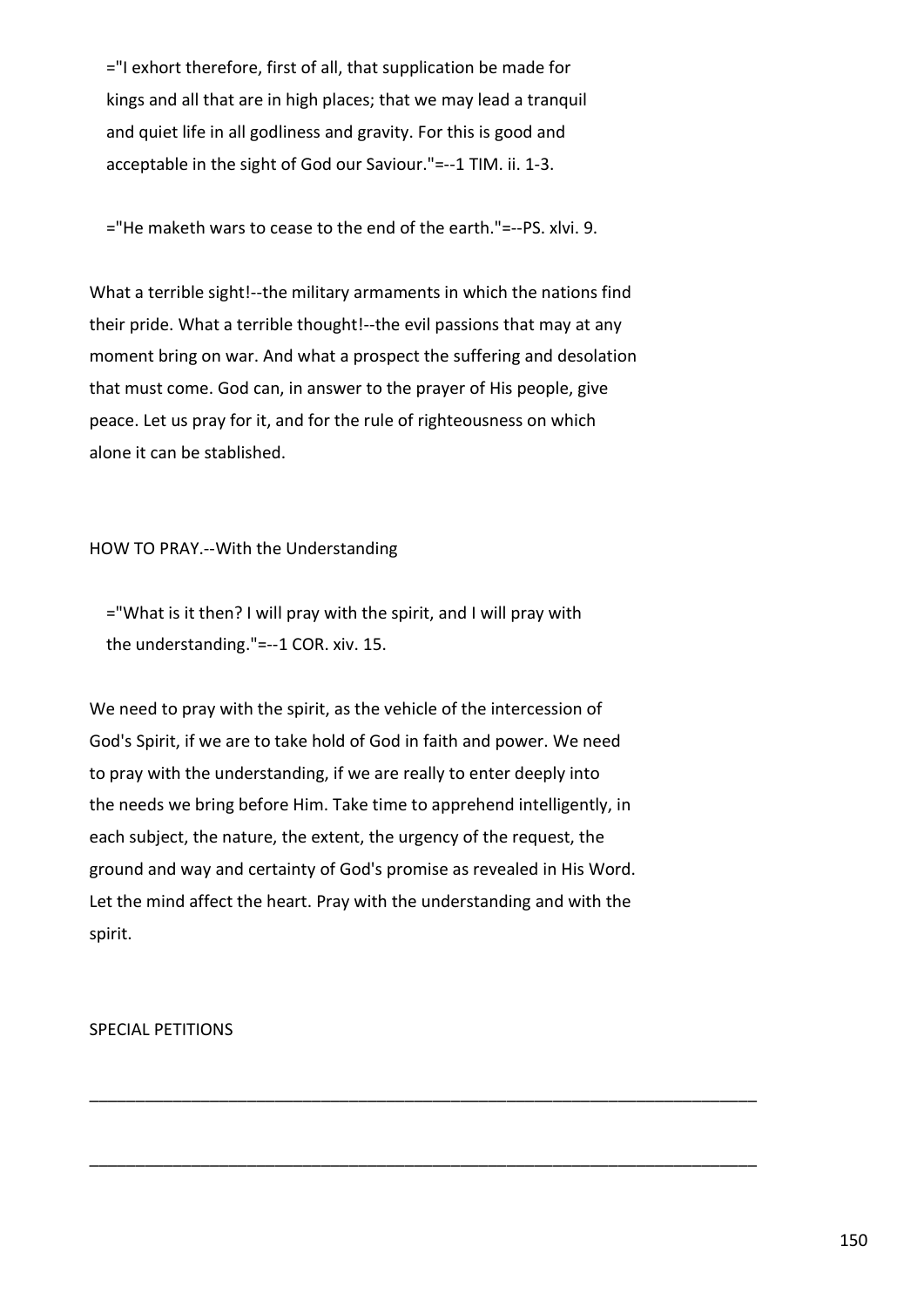="I exhort therefore, first of all, that supplication be made for kings and all that are in high places; that we may lead a tranquil and quiet life in all godliness and gravity. For this is good and acceptable in the sight of God our Saviour."=--1 TIM. ii. 1-3.

="He maketh wars to cease to the end of the earth."=--PS. xlvi. 9.

What a terrible sight!--the military armaments in which the nations find their pride. What a terrible thought!--the evil passions that may at any moment bring on war. And what a prospect the suffering and desolation that must come. God can, in answer to the prayer of His people, give peace. Let us pray for it, and for the rule of righteousness on which alone it can be stablished.

# HOW TO PRAY.--With the Understanding

 ="What is it then? I will pray with the spirit, and I will pray with the understanding."=--1 COR. xiv. 15.

We need to pray with the spirit, as the vehicle of the intercession of God's Spirit, if we are to take hold of God in faith and power. We need to pray with the understanding, if we are really to enter deeply into the needs we bring before Him. Take time to apprehend intelligently, in each subject, the nature, the extent, the urgency of the request, the ground and way and certainty of God's promise as revealed in His Word. Let the mind affect the heart. Pray with the understanding and with the spirit.

\_\_\_\_\_\_\_\_\_\_\_\_\_\_\_\_\_\_\_\_\_\_\_\_\_\_\_\_\_\_\_\_\_\_\_\_\_\_\_\_\_\_\_\_\_\_\_\_\_\_\_\_\_\_\_\_\_\_\_\_\_\_\_\_\_\_\_\_\_\_\_\_

\_\_\_\_\_\_\_\_\_\_\_\_\_\_\_\_\_\_\_\_\_\_\_\_\_\_\_\_\_\_\_\_\_\_\_\_\_\_\_\_\_\_\_\_\_\_\_\_\_\_\_\_\_\_\_\_\_\_\_\_\_\_\_\_\_\_\_\_\_\_\_\_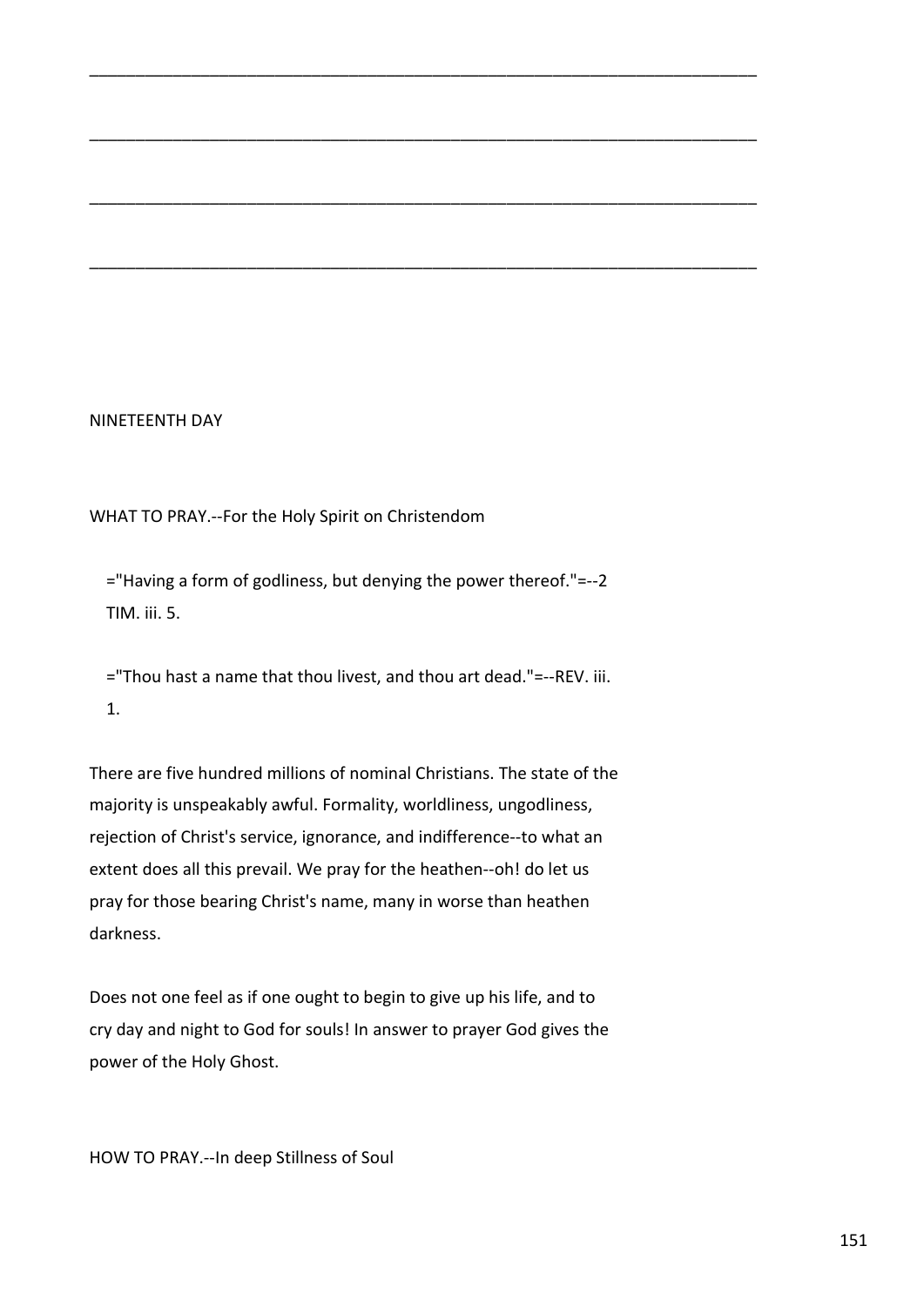# NINETEENTH DAY

WHAT TO PRAY.--For the Holy Spirit on Christendom

 ="Having a form of godliness, but denying the power thereof."=--2 TIM. iii. 5.

\_\_\_\_\_\_\_\_\_\_\_\_\_\_\_\_\_\_\_\_\_\_\_\_\_\_\_\_\_\_\_\_\_\_\_\_\_\_\_\_\_\_\_\_\_\_\_\_\_\_\_\_\_\_\_\_\_\_\_\_\_\_\_\_\_\_\_\_\_\_\_\_

\_\_\_\_\_\_\_\_\_\_\_\_\_\_\_\_\_\_\_\_\_\_\_\_\_\_\_\_\_\_\_\_\_\_\_\_\_\_\_\_\_\_\_\_\_\_\_\_\_\_\_\_\_\_\_\_\_\_\_\_\_\_\_\_\_\_\_\_\_\_\_\_

\_\_\_\_\_\_\_\_\_\_\_\_\_\_\_\_\_\_\_\_\_\_\_\_\_\_\_\_\_\_\_\_\_\_\_\_\_\_\_\_\_\_\_\_\_\_\_\_\_\_\_\_\_\_\_\_\_\_\_\_\_\_\_\_\_\_\_\_\_\_\_\_

\_\_\_\_\_\_\_\_\_\_\_\_\_\_\_\_\_\_\_\_\_\_\_\_\_\_\_\_\_\_\_\_\_\_\_\_\_\_\_\_\_\_\_\_\_\_\_\_\_\_\_\_\_\_\_\_\_\_\_\_\_\_\_\_\_\_\_\_\_\_\_\_

 ="Thou hast a name that thou livest, and thou art dead."=--REV. iii. 1.

There are five hundred millions of nominal Christians. The state of the majority is unspeakably awful. Formality, worldliness, ungodliness, rejection of Christ's service, ignorance, and indifference--to what an extent does all this prevail. We pray for the heathen--oh! do let us pray for those bearing Christ's name, many in worse than heathen darkness.

Does not one feel as if one ought to begin to give up his life, and to cry day and night to God for souls! In answer to prayer God gives the power of the Holy Ghost.

HOW TO PRAY.--In deep Stillness of Soul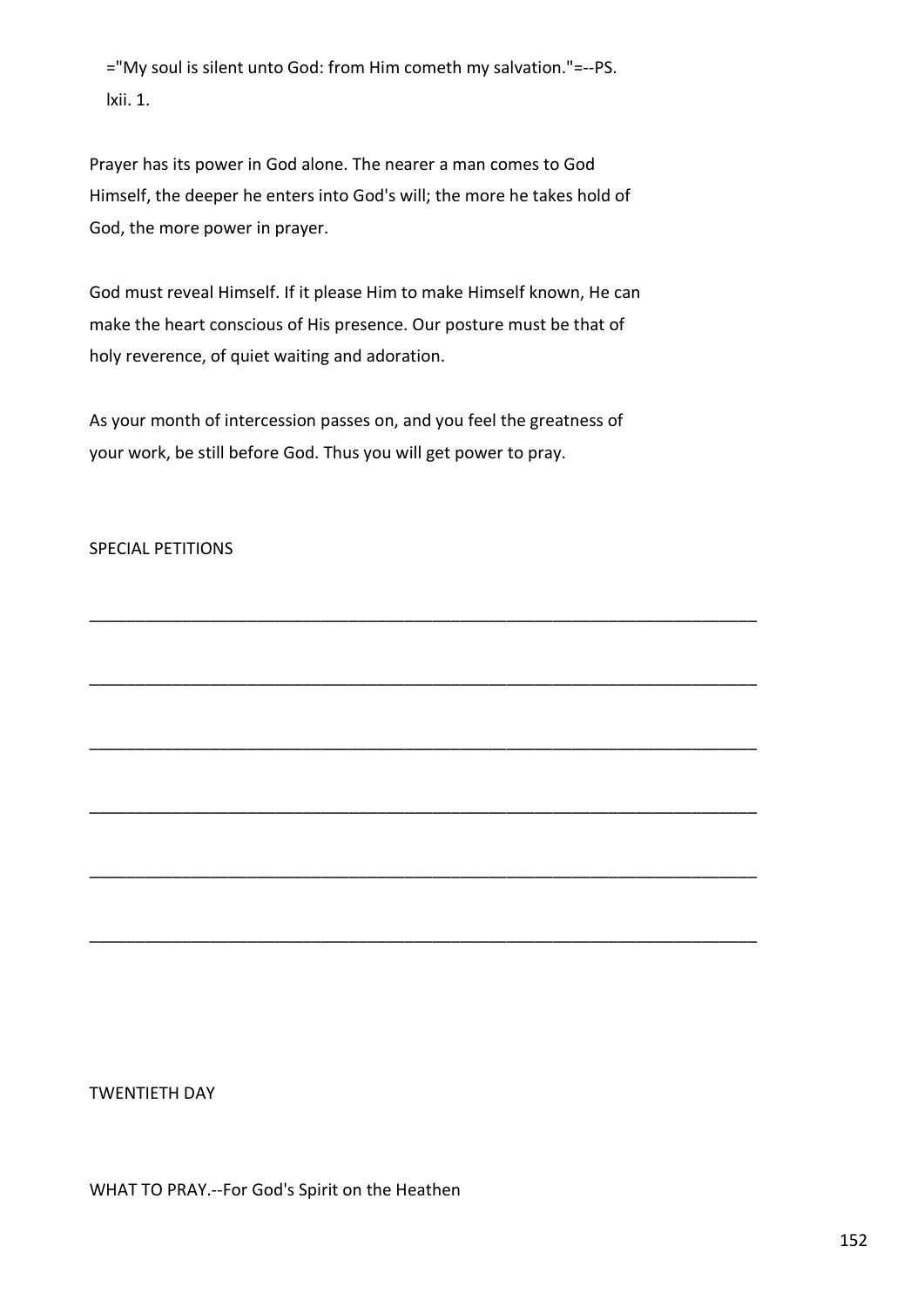="My soul is silent unto God: from Him cometh my salvation."=--PS. lxii. 1.

Prayer has its power in God alone. The nearer a man comes to God Himself, the deeper he enters into God's will; the more he takes hold of God, the more power in prayer.

God must reveal Himself. If it please Him to make Himself known, He can make the heart conscious of His presence. Our posture must be that of holy reverence, of quiet waiting and adoration.

As your month of intercession passes on, and you feel the greatness of your work, be still before God. Thus you will get power to pray.

\_\_\_\_\_\_\_\_\_\_\_\_\_\_\_\_\_\_\_\_\_\_\_\_\_\_\_\_\_\_\_\_\_\_\_\_\_\_\_\_\_\_\_\_\_\_\_\_\_\_\_\_\_\_\_\_\_\_\_\_\_\_\_\_\_\_\_\_\_\_\_\_

\_\_\_\_\_\_\_\_\_\_\_\_\_\_\_\_\_\_\_\_\_\_\_\_\_\_\_\_\_\_\_\_\_\_\_\_\_\_\_\_\_\_\_\_\_\_\_\_\_\_\_\_\_\_\_\_\_\_\_\_\_\_\_\_\_\_\_\_\_\_\_\_

\_\_\_\_\_\_\_\_\_\_\_\_\_\_\_\_\_\_\_\_\_\_\_\_\_\_\_\_\_\_\_\_\_\_\_\_\_\_\_\_\_\_\_\_\_\_\_\_\_\_\_\_\_\_\_\_\_\_\_\_\_\_\_\_\_\_\_\_\_\_\_\_

\_\_\_\_\_\_\_\_\_\_\_\_\_\_\_\_\_\_\_\_\_\_\_\_\_\_\_\_\_\_\_\_\_\_\_\_\_\_\_\_\_\_\_\_\_\_\_\_\_\_\_\_\_\_\_\_\_\_\_\_\_\_\_\_\_\_\_\_\_\_\_\_

\_\_\_\_\_\_\_\_\_\_\_\_\_\_\_\_\_\_\_\_\_\_\_\_\_\_\_\_\_\_\_\_\_\_\_\_\_\_\_\_\_\_\_\_\_\_\_\_\_\_\_\_\_\_\_\_\_\_\_\_\_\_\_\_\_\_\_\_\_\_\_\_

\_\_\_\_\_\_\_\_\_\_\_\_\_\_\_\_\_\_\_\_\_\_\_\_\_\_\_\_\_\_\_\_\_\_\_\_\_\_\_\_\_\_\_\_\_\_\_\_\_\_\_\_\_\_\_\_\_\_\_\_\_\_\_\_\_\_\_\_\_\_\_\_

# SPECIAL PETITIONS

TWENTIETH DAY

WHAT TO PRAY.--For God's Spirit on the Heathen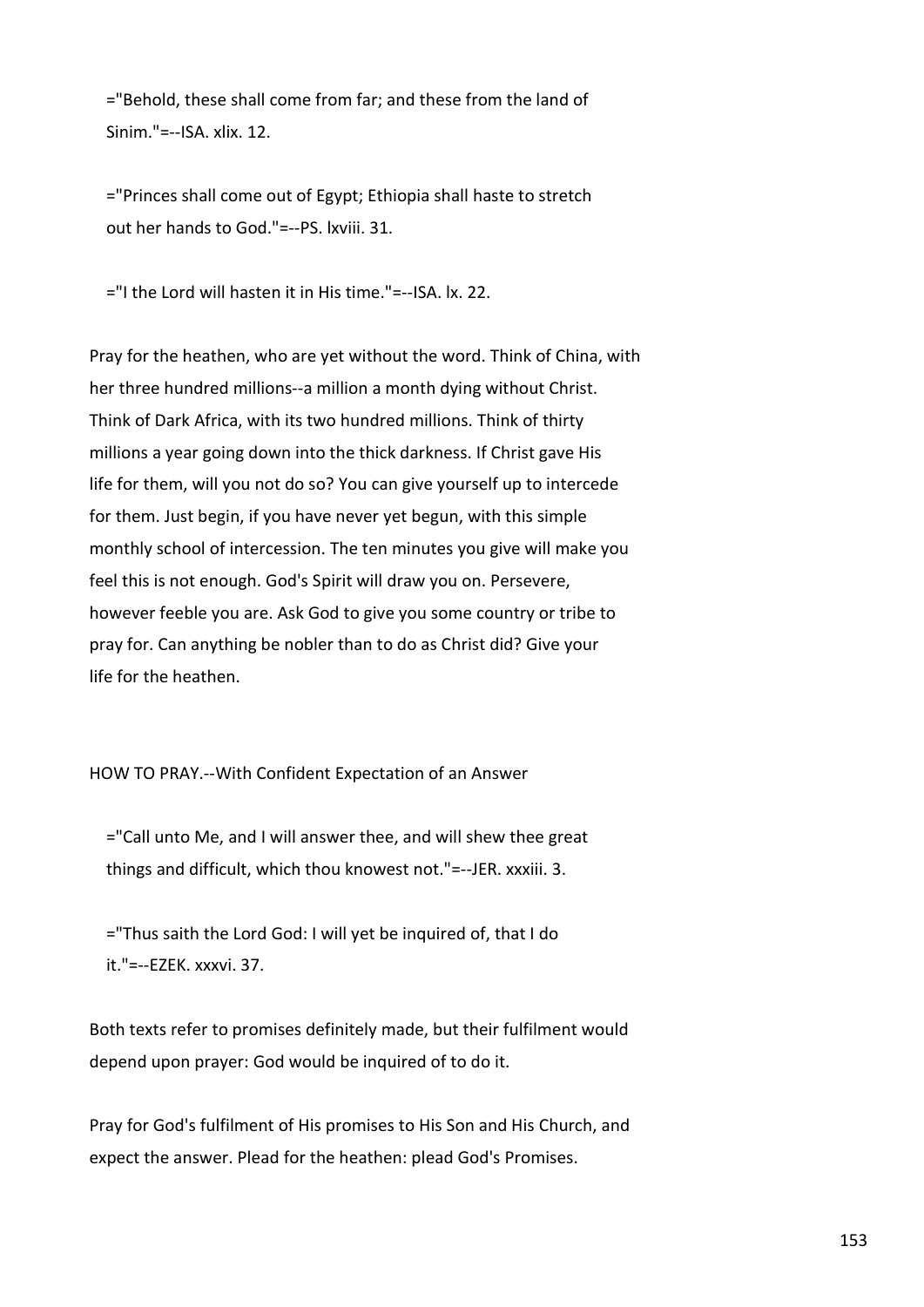="Behold, these shall come from far; and these from the land of  $Sinim$  "=--ISA xlix. 12

 ="Princes shall come out of Egypt; Ethiopia shall haste to stretch out her hands to God."=--PS. lxviii. 31.

="I the Lord will hasten it in His time."=--ISA. lx. 22.

Pray for the heathen, who are yet without the word. Think of China, with her three hundred millions--a million a month dying without Christ. Think of Dark Africa, with its two hundred millions. Think of thirty millions a year going down into the thick darkness. If Christ gave His life for them, will you not do so? You can give yourself up to intercede for them. Just begin, if you have never yet begun, with this simple monthly school of intercession. The ten minutes you give will make you feel this is not enough. God's Spirit will draw you on. Persevere, however feeble you are. Ask God to give you some country or tribe to pray for. Can anything be nobler than to do as Christ did? Give your life for the heathen.

HOW TO PRAY.--With Confident Expectation of an Answer

 ="Call unto Me, and I will answer thee, and will shew thee great things and difficult, which thou knowest not."=--JER. xxxiii. 3.

 ="Thus saith the Lord God: I will yet be inquired of, that I do it."=--EZEK. xxxvi. 37.

Both texts refer to promises definitely made, but their fulfilment would depend upon prayer: God would be inquired of to do it.

Pray for God's fulfilment of His promises to His Son and His Church, and expect the answer. Plead for the heathen: plead God's Promises.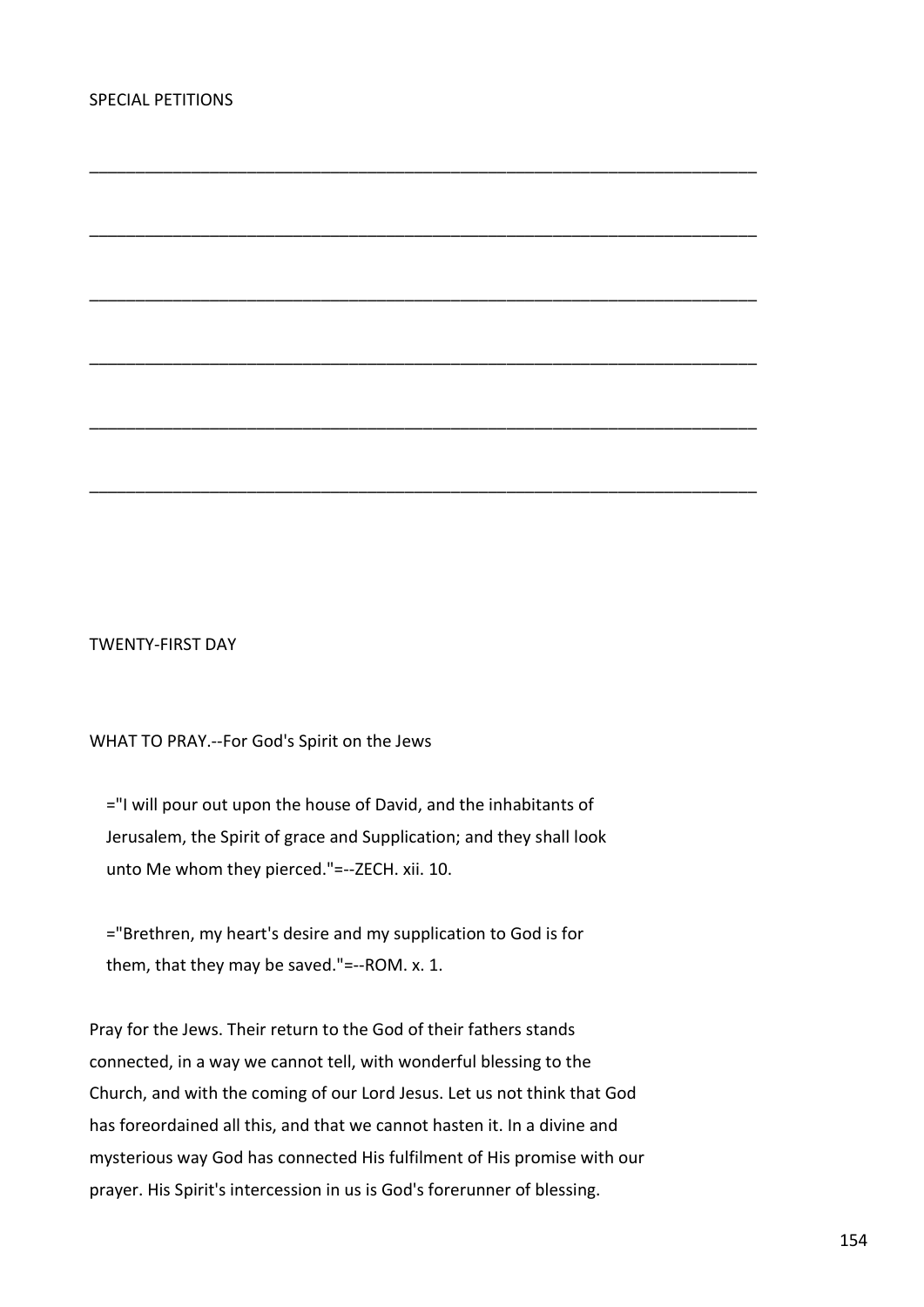TWENTY-FIRST DAY

WHAT TO PRAY.--For God's Spirit on the Jews

 ="I will pour out upon the house of David, and the inhabitants of Jerusalem, the Spirit of grace and Supplication; and they shall look unto Me whom they pierced."=--ZECH. xii. 10.

\_\_\_\_\_\_\_\_\_\_\_\_\_\_\_\_\_\_\_\_\_\_\_\_\_\_\_\_\_\_\_\_\_\_\_\_\_\_\_\_\_\_\_\_\_\_\_\_\_\_\_\_\_\_\_\_\_\_\_\_\_\_\_\_\_\_\_\_\_\_\_\_

\_\_\_\_\_\_\_\_\_\_\_\_\_\_\_\_\_\_\_\_\_\_\_\_\_\_\_\_\_\_\_\_\_\_\_\_\_\_\_\_\_\_\_\_\_\_\_\_\_\_\_\_\_\_\_\_\_\_\_\_\_\_\_\_\_\_\_\_\_\_\_\_

\_\_\_\_\_\_\_\_\_\_\_\_\_\_\_\_\_\_\_\_\_\_\_\_\_\_\_\_\_\_\_\_\_\_\_\_\_\_\_\_\_\_\_\_\_\_\_\_\_\_\_\_\_\_\_\_\_\_\_\_\_\_\_\_\_\_\_\_\_\_\_\_

\_\_\_\_\_\_\_\_\_\_\_\_\_\_\_\_\_\_\_\_\_\_\_\_\_\_\_\_\_\_\_\_\_\_\_\_\_\_\_\_\_\_\_\_\_\_\_\_\_\_\_\_\_\_\_\_\_\_\_\_\_\_\_\_\_\_\_\_\_\_\_\_

\_\_\_\_\_\_\_\_\_\_\_\_\_\_\_\_\_\_\_\_\_\_\_\_\_\_\_\_\_\_\_\_\_\_\_\_\_\_\_\_\_\_\_\_\_\_\_\_\_\_\_\_\_\_\_\_\_\_\_\_\_\_\_\_\_\_\_\_\_\_\_\_

\_\_\_\_\_\_\_\_\_\_\_\_\_\_\_\_\_\_\_\_\_\_\_\_\_\_\_\_\_\_\_\_\_\_\_\_\_\_\_\_\_\_\_\_\_\_\_\_\_\_\_\_\_\_\_\_\_\_\_\_\_\_\_\_\_\_\_\_\_\_\_\_

 ="Brethren, my heart's desire and my supplication to God is for them, that they may be saved."=--ROM. x. 1.

Pray for the Jews. Their return to the God of their fathers stands connected, in a way we cannot tell, with wonderful blessing to the Church, and with the coming of our Lord Jesus. Let us not think that God has foreordained all this, and that we cannot hasten it. In a divine and mysterious way God has connected His fulfilment of His promise with our prayer. His Spirit's intercession in us is God's forerunner of blessing.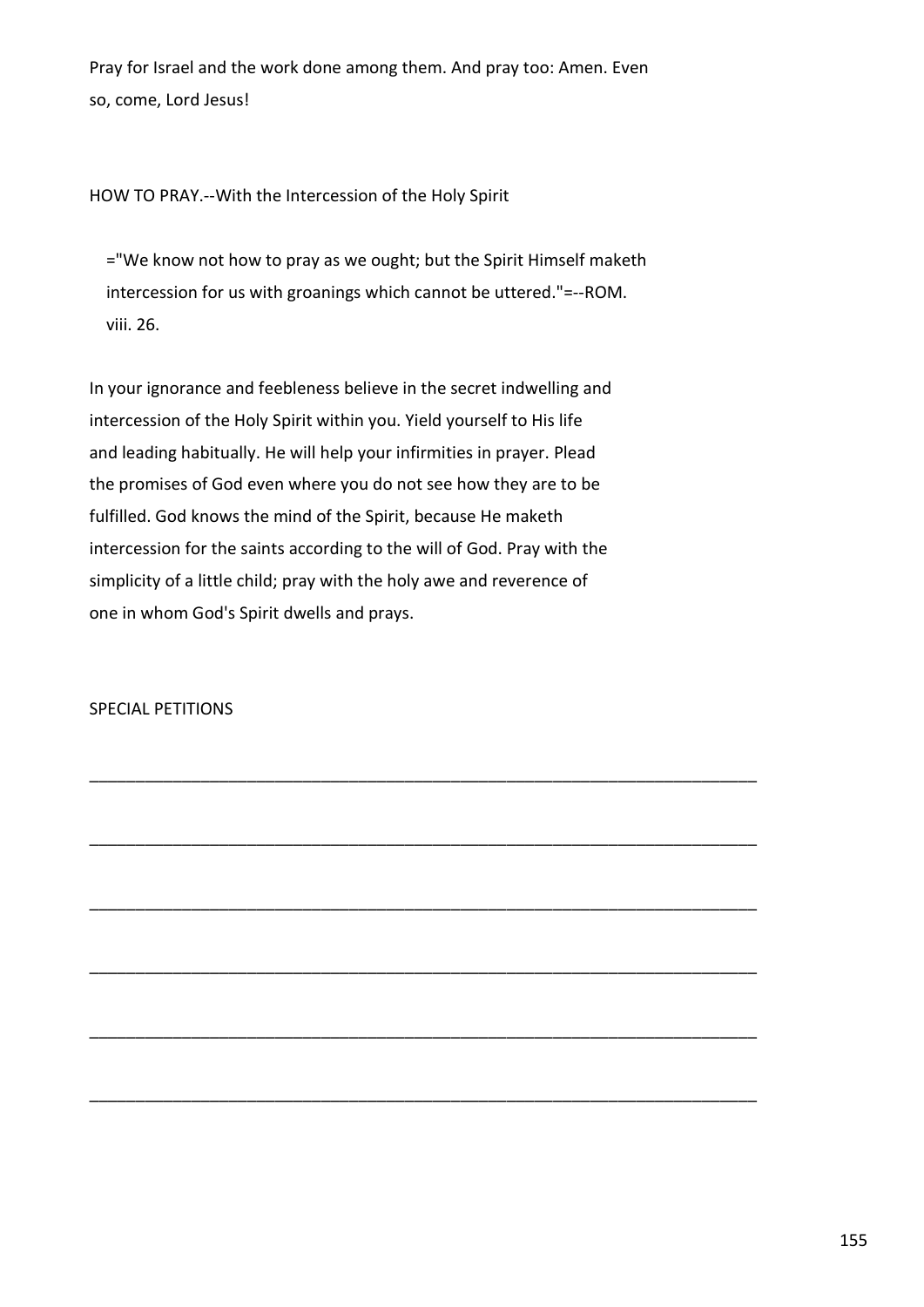Pray for Israel and the work done among them. And pray too: Amen. Even so, come, Lord Jesus!

HOW TO PRAY.--With the Intercession of the Holy Spirit

 ="We know not how to pray as we ought; but the Spirit Himself maketh intercession for us with groanings which cannot be uttered."=--ROM. viii. 26.

In your ignorance and feebleness believe in the secret indwelling and intercession of the Holy Spirit within you. Yield yourself to His life and leading habitually. He will help your infirmities in prayer. Plead the promises of God even where you do not see how they are to be fulfilled. God knows the mind of the Spirit, because He maketh intercession for the saints according to the will of God. Pray with the simplicity of a little child; pray with the holy awe and reverence of one in whom God's Spirit dwells and prays.

\_\_\_\_\_\_\_\_\_\_\_\_\_\_\_\_\_\_\_\_\_\_\_\_\_\_\_\_\_\_\_\_\_\_\_\_\_\_\_\_\_\_\_\_\_\_\_\_\_\_\_\_\_\_\_\_\_\_\_\_\_\_\_\_\_\_\_\_\_\_\_\_

\_\_\_\_\_\_\_\_\_\_\_\_\_\_\_\_\_\_\_\_\_\_\_\_\_\_\_\_\_\_\_\_\_\_\_\_\_\_\_\_\_\_\_\_\_\_\_\_\_\_\_\_\_\_\_\_\_\_\_\_\_\_\_\_\_\_\_\_\_\_\_\_

\_\_\_\_\_\_\_\_\_\_\_\_\_\_\_\_\_\_\_\_\_\_\_\_\_\_\_\_\_\_\_\_\_\_\_\_\_\_\_\_\_\_\_\_\_\_\_\_\_\_\_\_\_\_\_\_\_\_\_\_\_\_\_\_\_\_\_\_\_\_\_\_

\_\_\_\_\_\_\_\_\_\_\_\_\_\_\_\_\_\_\_\_\_\_\_\_\_\_\_\_\_\_\_\_\_\_\_\_\_\_\_\_\_\_\_\_\_\_\_\_\_\_\_\_\_\_\_\_\_\_\_\_\_\_\_\_\_\_\_\_\_\_\_\_

\_\_\_\_\_\_\_\_\_\_\_\_\_\_\_\_\_\_\_\_\_\_\_\_\_\_\_\_\_\_\_\_\_\_\_\_\_\_\_\_\_\_\_\_\_\_\_\_\_\_\_\_\_\_\_\_\_\_\_\_\_\_\_\_\_\_\_\_\_\_\_\_

\_\_\_\_\_\_\_\_\_\_\_\_\_\_\_\_\_\_\_\_\_\_\_\_\_\_\_\_\_\_\_\_\_\_\_\_\_\_\_\_\_\_\_\_\_\_\_\_\_\_\_\_\_\_\_\_\_\_\_\_\_\_\_\_\_\_\_\_\_\_\_\_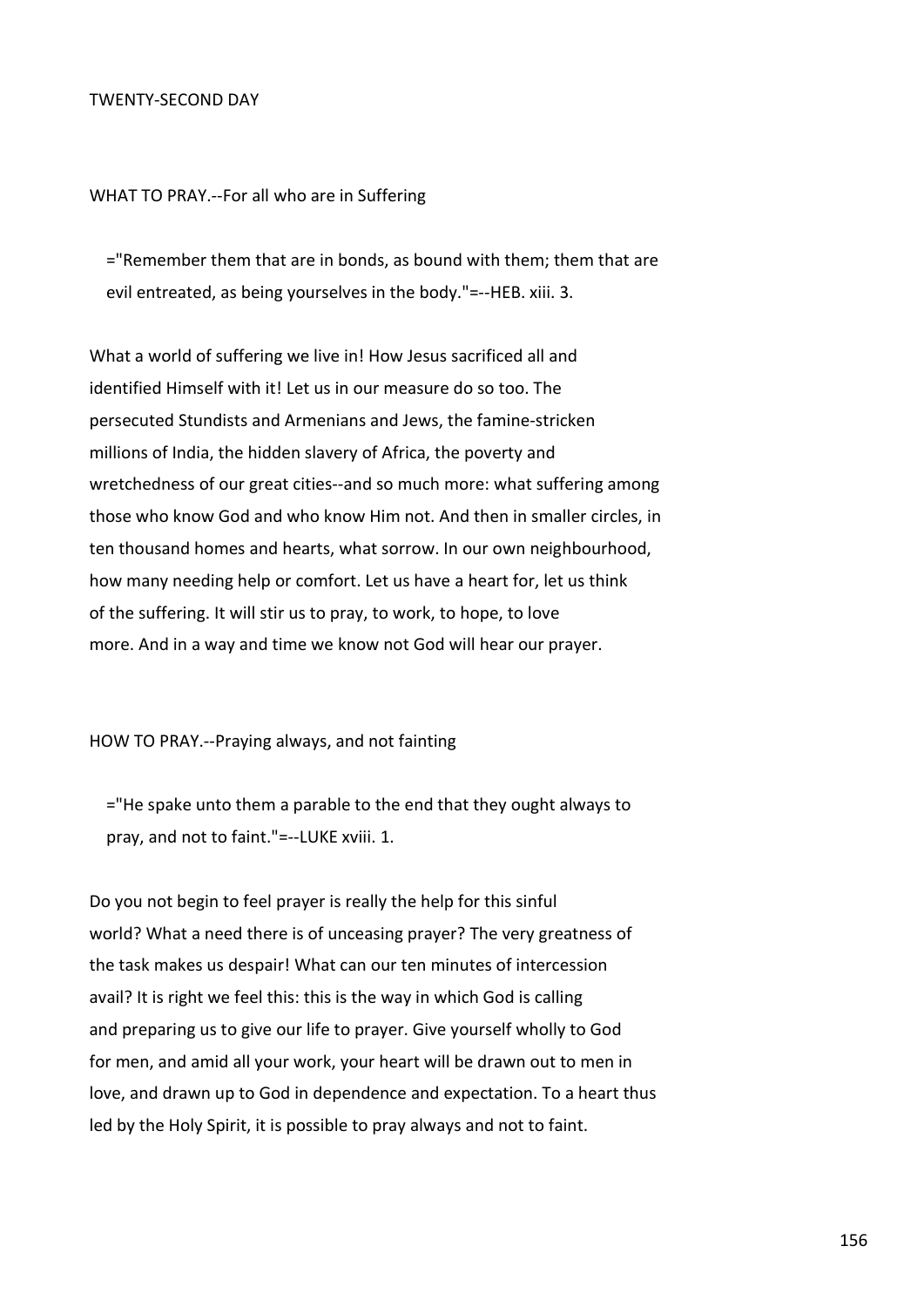# TWENTY-SECOND DAY

### WHAT TO PRAY.--For all who are in Suffering

 ="Remember them that are in bonds, as bound with them; them that are evil entreated, as being yourselves in the body."=--HEB. xiii. 3.

What a world of suffering we live in! How Jesus sacrificed all and identified Himself with it! Let us in our measure do so too. The persecuted Stundists and Armenians and Jews, the famine-stricken millions of India, the hidden slavery of Africa, the poverty and wretchedness of our great cities--and so much more: what suffering among those who know God and who know Him not. And then in smaller circles, in ten thousand homes and hearts, what sorrow. In our own neighbourhood, how many needing help or comfort. Let us have a heart for, let us think of the suffering. It will stir us to pray, to work, to hope, to love more. And in a way and time we know not God will hear our prayer.

#### HOW TO PRAY.--Praying always, and not fainting

 ="He spake unto them a parable to the end that they ought always to pray, and not to faint."=--LUKE xviii. 1.

Do you not begin to feel prayer is really the help for this sinful world? What a need there is of unceasing prayer? The very greatness of the task makes us despair! What can our ten minutes of intercession avail? It is right we feel this: this is the way in which God is calling and preparing us to give our life to prayer. Give yourself wholly to God for men, and amid all your work, your heart will be drawn out to men in love, and drawn up to God in dependence and expectation. To a heart thus led by the Holy Spirit, it is possible to pray always and not to faint.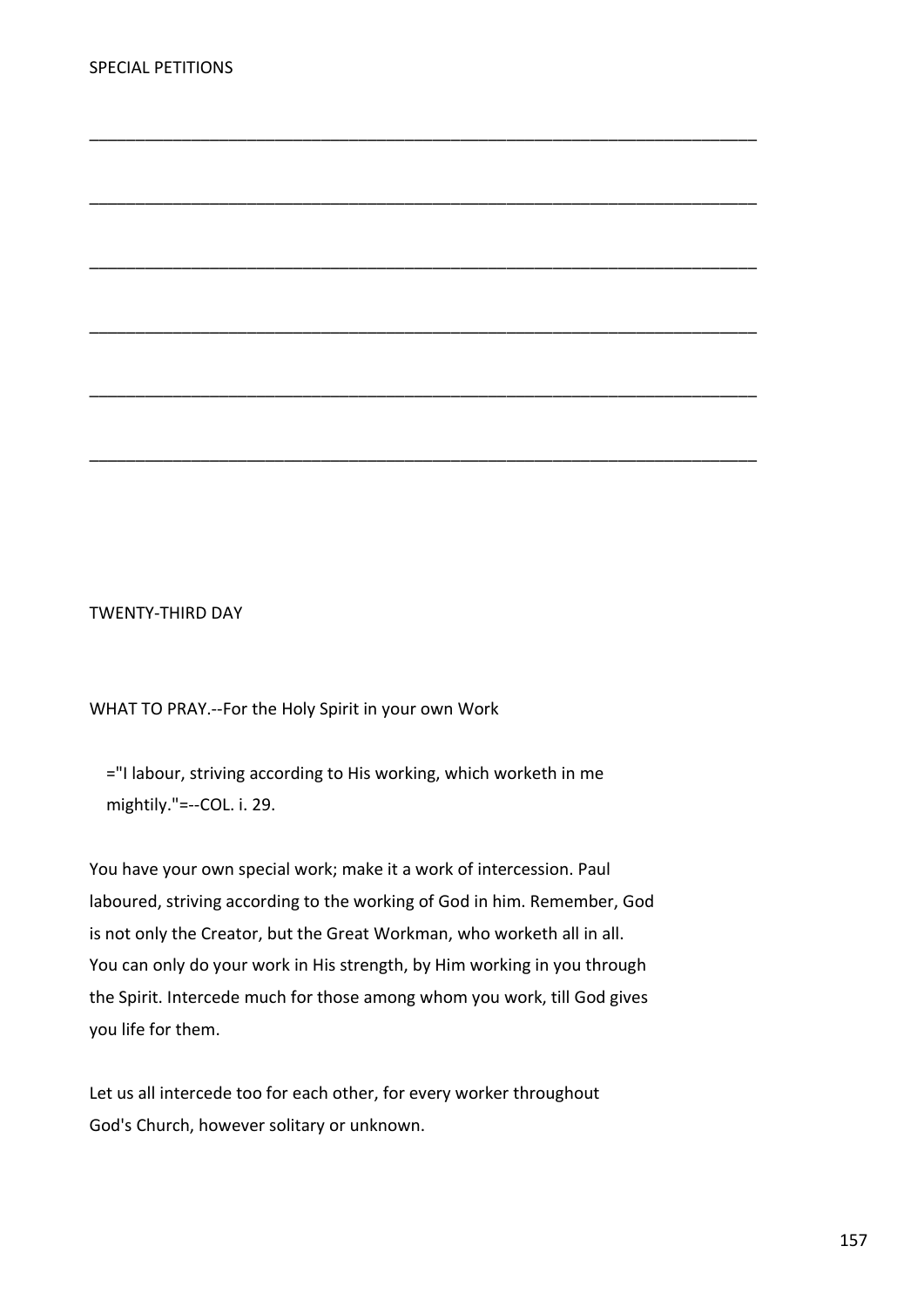TWENTY-THIRD DAY

WHAT TO PRAY.--For the Holy Spirit in your own Work

 ="I labour, striving according to His working, which worketh in me mightily."=--COL. i. 29.

\_\_\_\_\_\_\_\_\_\_\_\_\_\_\_\_\_\_\_\_\_\_\_\_\_\_\_\_\_\_\_\_\_\_\_\_\_\_\_\_\_\_\_\_\_\_\_\_\_\_\_\_\_\_\_\_\_\_\_\_\_\_\_\_\_\_\_\_\_\_\_\_

\_\_\_\_\_\_\_\_\_\_\_\_\_\_\_\_\_\_\_\_\_\_\_\_\_\_\_\_\_\_\_\_\_\_\_\_\_\_\_\_\_\_\_\_\_\_\_\_\_\_\_\_\_\_\_\_\_\_\_\_\_\_\_\_\_\_\_\_\_\_\_\_

\_\_\_\_\_\_\_\_\_\_\_\_\_\_\_\_\_\_\_\_\_\_\_\_\_\_\_\_\_\_\_\_\_\_\_\_\_\_\_\_\_\_\_\_\_\_\_\_\_\_\_\_\_\_\_\_\_\_\_\_\_\_\_\_\_\_\_\_\_\_\_\_

\_\_\_\_\_\_\_\_\_\_\_\_\_\_\_\_\_\_\_\_\_\_\_\_\_\_\_\_\_\_\_\_\_\_\_\_\_\_\_\_\_\_\_\_\_\_\_\_\_\_\_\_\_\_\_\_\_\_\_\_\_\_\_\_\_\_\_\_\_\_\_\_

\_\_\_\_\_\_\_\_\_\_\_\_\_\_\_\_\_\_\_\_\_\_\_\_\_\_\_\_\_\_\_\_\_\_\_\_\_\_\_\_\_\_\_\_\_\_\_\_\_\_\_\_\_\_\_\_\_\_\_\_\_\_\_\_\_\_\_\_\_\_\_\_

\_\_\_\_\_\_\_\_\_\_\_\_\_\_\_\_\_\_\_\_\_\_\_\_\_\_\_\_\_\_\_\_\_\_\_\_\_\_\_\_\_\_\_\_\_\_\_\_\_\_\_\_\_\_\_\_\_\_\_\_\_\_\_\_\_\_\_\_\_\_\_\_

You have your own special work; make it a work of intercession. Paul laboured, striving according to the working of God in him. Remember, God is not only the Creator, but the Great Workman, who worketh all in all. You can only do your work in His strength, by Him working in you through the Spirit. Intercede much for those among whom you work, till God gives you life for them.

Let us all intercede too for each other, for every worker throughout God's Church, however solitary or unknown.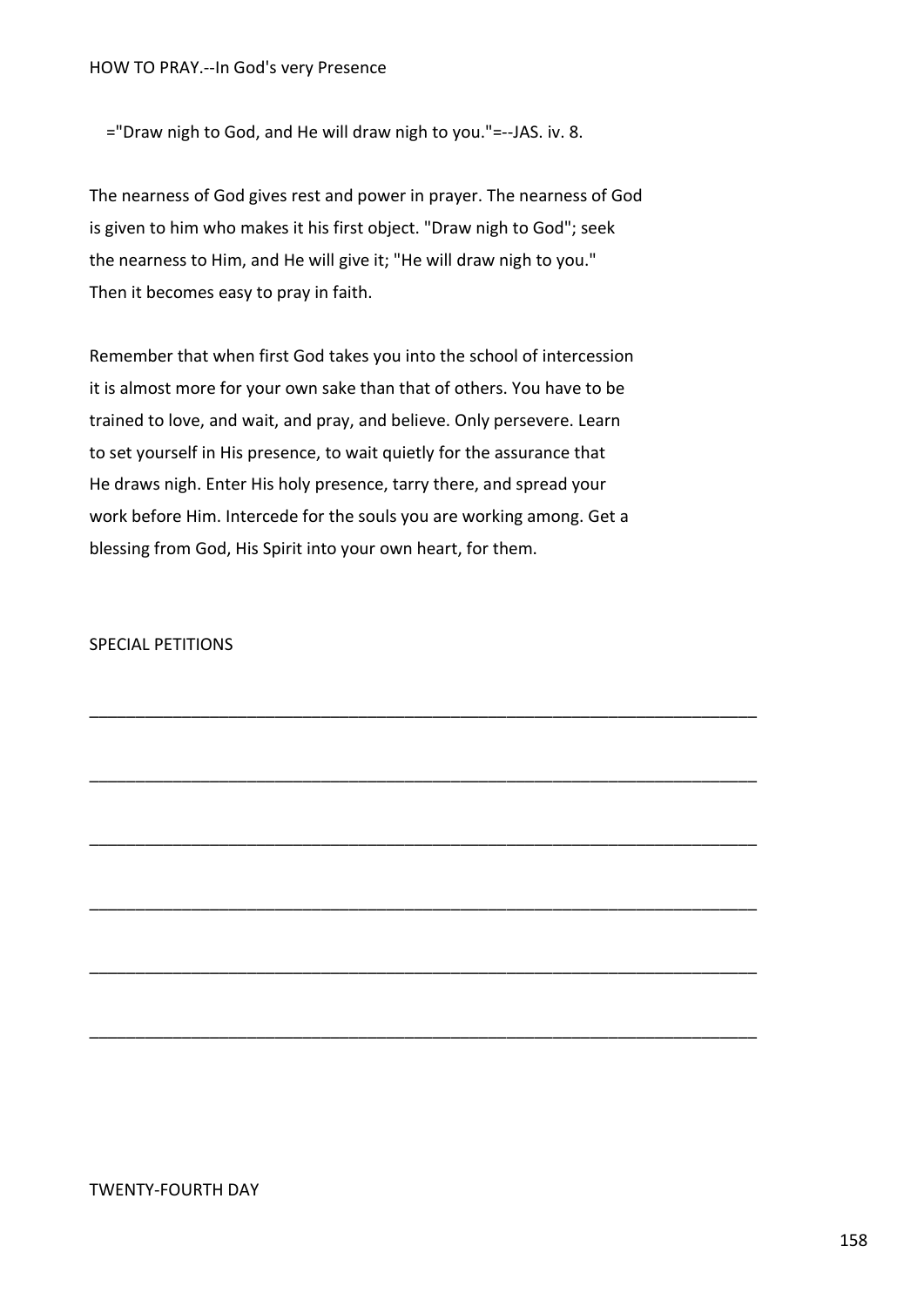="Draw nigh to God, and He will draw nigh to you."=--JAS. iv. 8.

The nearness of God gives rest and power in prayer. The nearness of God is given to him who makes it his first object. "Draw nigh to God"; seek the nearness to Him, and He will give it; "He will draw nigh to you." Then it becomes easy to pray in faith.

Remember that when first God takes you into the school of intercession it is almost more for your own sake than that of others. You have to be trained to love, and wait, and pray, and believe. Only persevere. Learn to set yourself in His presence, to wait quietly for the assurance that He draws nigh. Enter His holy presence, tarry there, and spread your work before Him. Intercede for the souls you are working among. Get a blessing from God, His Spirit into your own heart, for them.

\_\_\_\_\_\_\_\_\_\_\_\_\_\_\_\_\_\_\_\_\_\_\_\_\_\_\_\_\_\_\_\_\_\_\_\_\_\_\_\_\_\_\_\_\_\_\_\_\_\_\_\_\_\_\_\_\_\_\_\_\_\_\_\_\_\_\_\_\_\_\_\_

\_\_\_\_\_\_\_\_\_\_\_\_\_\_\_\_\_\_\_\_\_\_\_\_\_\_\_\_\_\_\_\_\_\_\_\_\_\_\_\_\_\_\_\_\_\_\_\_\_\_\_\_\_\_\_\_\_\_\_\_\_\_\_\_\_\_\_\_\_\_\_\_

\_\_\_\_\_\_\_\_\_\_\_\_\_\_\_\_\_\_\_\_\_\_\_\_\_\_\_\_\_\_\_\_\_\_\_\_\_\_\_\_\_\_\_\_\_\_\_\_\_\_\_\_\_\_\_\_\_\_\_\_\_\_\_\_\_\_\_\_\_\_\_\_

\_\_\_\_\_\_\_\_\_\_\_\_\_\_\_\_\_\_\_\_\_\_\_\_\_\_\_\_\_\_\_\_\_\_\_\_\_\_\_\_\_\_\_\_\_\_\_\_\_\_\_\_\_\_\_\_\_\_\_\_\_\_\_\_\_\_\_\_\_\_\_\_

\_\_\_\_\_\_\_\_\_\_\_\_\_\_\_\_\_\_\_\_\_\_\_\_\_\_\_\_\_\_\_\_\_\_\_\_\_\_\_\_\_\_\_\_\_\_\_\_\_\_\_\_\_\_\_\_\_\_\_\_\_\_\_\_\_\_\_\_\_\_\_\_

\_\_\_\_\_\_\_\_\_\_\_\_\_\_\_\_\_\_\_\_\_\_\_\_\_\_\_\_\_\_\_\_\_\_\_\_\_\_\_\_\_\_\_\_\_\_\_\_\_\_\_\_\_\_\_\_\_\_\_\_\_\_\_\_\_\_\_\_\_\_\_\_

SPECIAL PETITIONS

# TWENTY-FOURTH DAY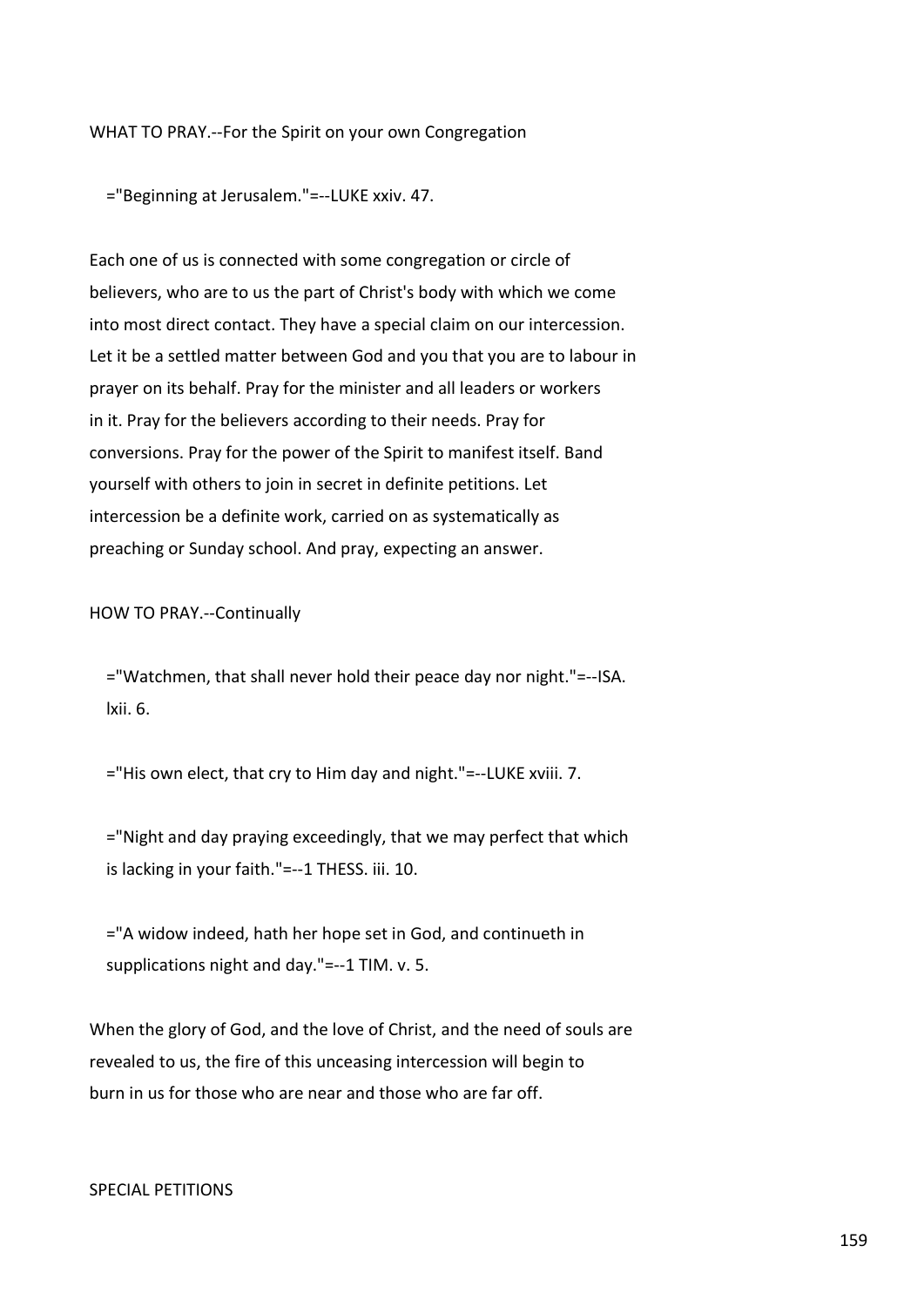### WHAT TO PRAY.--For the Spirit on your own Congregation

="Beginning at Jerusalem."=--LUKE xxiv. 47.

Each one of us is connected with some congregation or circle of believers, who are to us the part of Christ's body with which we come into most direct contact. They have a special claim on our intercession. Let it be a settled matter between God and you that you are to labour in prayer on its behalf. Pray for the minister and all leaders or workers in it. Pray for the believers according to their needs. Pray for conversions. Pray for the power of the Spirit to manifest itself. Band yourself with others to join in secret in definite petitions. Let intercession be a definite work, carried on as systematically as preaching or Sunday school. And pray, expecting an answer.

#### HOW TO PRAY.--Continually

 ="Watchmen, that shall never hold their peace day nor night."=--ISA. lxii. 6.

="His own elect, that cry to Him day and night."=--LUKE xviii. 7.

 ="Night and day praying exceedingly, that we may perfect that which is lacking in your faith."=--1 THESS. iii. 10.

 ="A widow indeed, hath her hope set in God, and continueth in supplications night and day."=--1 TIM. v. 5.

When the glory of God, and the love of Christ, and the need of souls are revealed to us, the fire of this unceasing intercession will begin to burn in us for those who are near and those who are far off.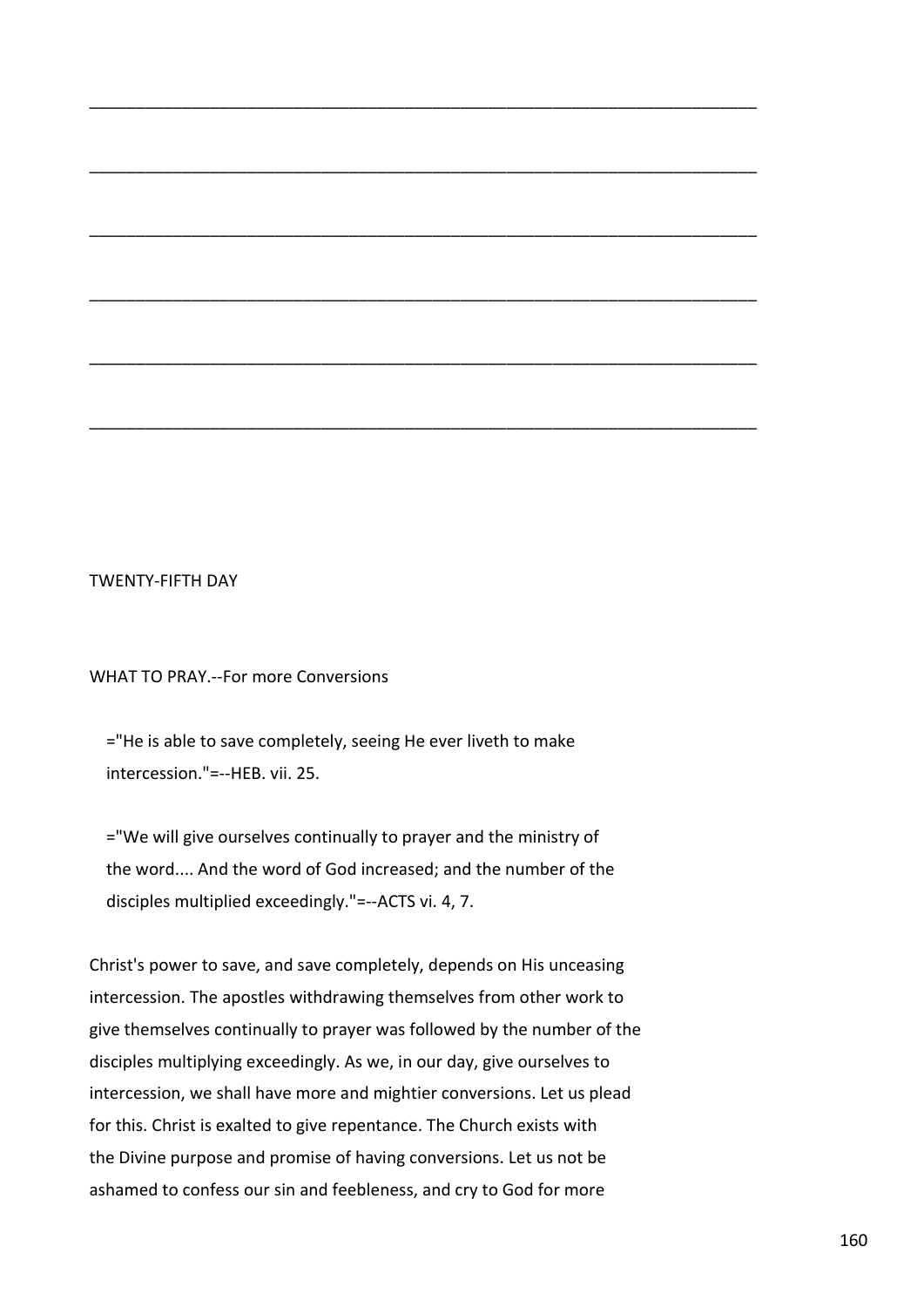#### TWENTY-FIFTH DAY

WHAT TO PRAY.--For more Conversions

 ="He is able to save completely, seeing He ever liveth to make intercession."=--HEB. vii. 25.

\_\_\_\_\_\_\_\_\_\_\_\_\_\_\_\_\_\_\_\_\_\_\_\_\_\_\_\_\_\_\_\_\_\_\_\_\_\_\_\_\_\_\_\_\_\_\_\_\_\_\_\_\_\_\_\_\_\_\_\_\_\_\_\_\_\_\_\_\_\_\_\_

\_\_\_\_\_\_\_\_\_\_\_\_\_\_\_\_\_\_\_\_\_\_\_\_\_\_\_\_\_\_\_\_\_\_\_\_\_\_\_\_\_\_\_\_\_\_\_\_\_\_\_\_\_\_\_\_\_\_\_\_\_\_\_\_\_\_\_\_\_\_\_\_

\_\_\_\_\_\_\_\_\_\_\_\_\_\_\_\_\_\_\_\_\_\_\_\_\_\_\_\_\_\_\_\_\_\_\_\_\_\_\_\_\_\_\_\_\_\_\_\_\_\_\_\_\_\_\_\_\_\_\_\_\_\_\_\_\_\_\_\_\_\_\_\_

\_\_\_\_\_\_\_\_\_\_\_\_\_\_\_\_\_\_\_\_\_\_\_\_\_\_\_\_\_\_\_\_\_\_\_\_\_\_\_\_\_\_\_\_\_\_\_\_\_\_\_\_\_\_\_\_\_\_\_\_\_\_\_\_\_\_\_\_\_\_\_\_

\_\_\_\_\_\_\_\_\_\_\_\_\_\_\_\_\_\_\_\_\_\_\_\_\_\_\_\_\_\_\_\_\_\_\_\_\_\_\_\_\_\_\_\_\_\_\_\_\_\_\_\_\_\_\_\_\_\_\_\_\_\_\_\_\_\_\_\_\_\_\_\_

\_\_\_\_\_\_\_\_\_\_\_\_\_\_\_\_\_\_\_\_\_\_\_\_\_\_\_\_\_\_\_\_\_\_\_\_\_\_\_\_\_\_\_\_\_\_\_\_\_\_\_\_\_\_\_\_\_\_\_\_\_\_\_\_\_\_\_\_\_\_\_\_

 ="We will give ourselves continually to prayer and the ministry of the word.... And the word of God increased; and the number of the disciples multiplied exceedingly."=--ACTS vi. 4, 7.

Christ's power to save, and save completely, depends on His unceasing intercession. The apostles withdrawing themselves from other work to give themselves continually to prayer was followed by the number of the disciples multiplying exceedingly. As we, in our day, give ourselves to intercession, we shall have more and mightier conversions. Let us plead for this. Christ is exalted to give repentance. The Church exists with the Divine purpose and promise of having conversions. Let us not be ashamed to confess our sin and feebleness, and cry to God for more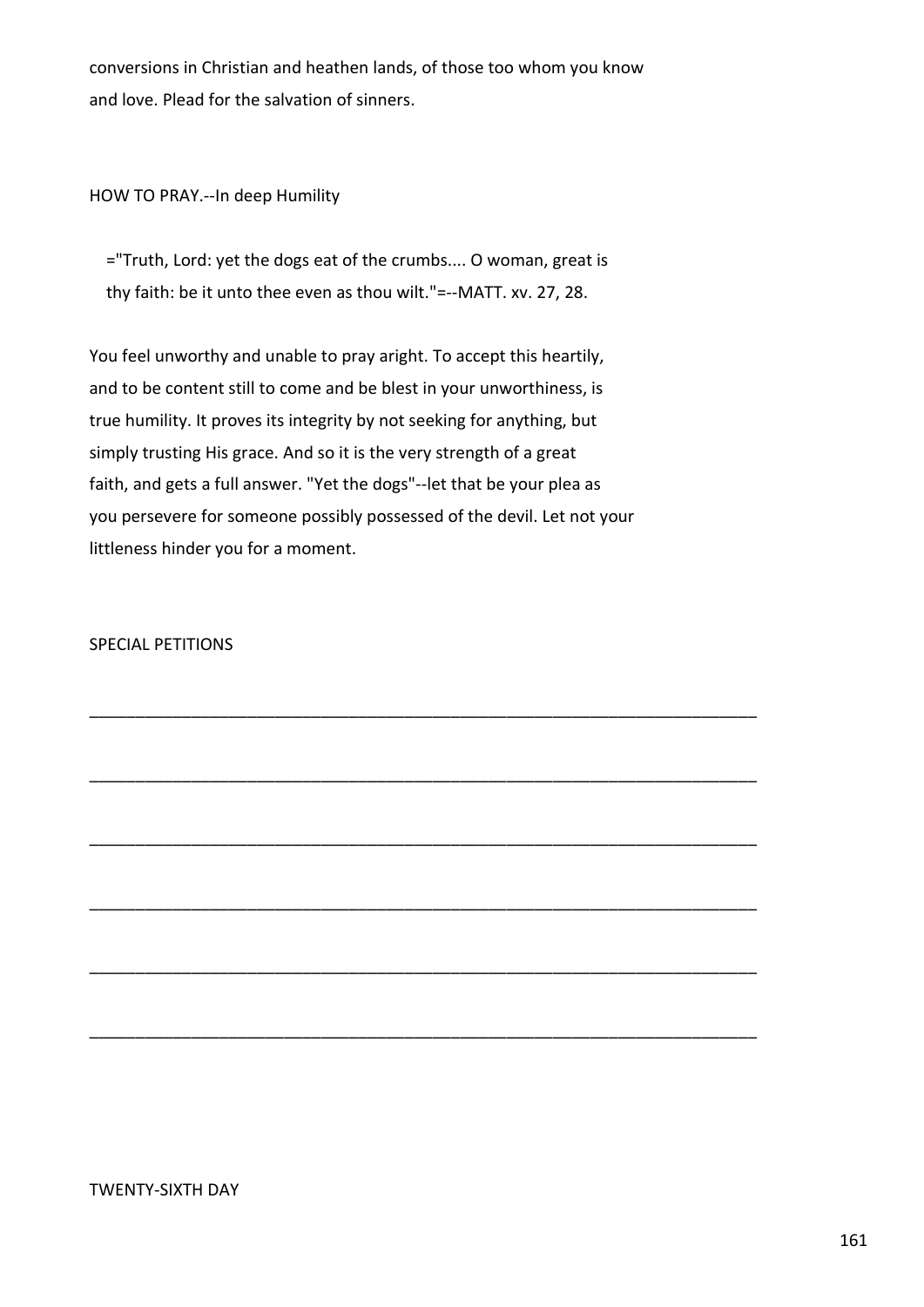conversions in Christian and heathen lands, of those too whom you know and love. Plead for the salvation of sinners.

HOW TO PRAY.--In deep Humility

 ="Truth, Lord: yet the dogs eat of the crumbs.... O woman, great is thy faith: be it unto thee even as thou wilt."=--MATT. xv. 27, 28.

You feel unworthy and unable to pray aright. To accept this heartily, and to be content still to come and be blest in your unworthiness, is true humility. It proves its integrity by not seeking for anything, but simply trusting His grace. And so it is the very strength of a great faith, and gets a full answer. "Yet the dogs"--let that be your plea as you persevere for someone possibly possessed of the devil. Let not your littleness hinder you for a moment.

\_\_\_\_\_\_\_\_\_\_\_\_\_\_\_\_\_\_\_\_\_\_\_\_\_\_\_\_\_\_\_\_\_\_\_\_\_\_\_\_\_\_\_\_\_\_\_\_\_\_\_\_\_\_\_\_\_\_\_\_\_\_\_\_\_\_\_\_\_\_\_\_

\_\_\_\_\_\_\_\_\_\_\_\_\_\_\_\_\_\_\_\_\_\_\_\_\_\_\_\_\_\_\_\_\_\_\_\_\_\_\_\_\_\_\_\_\_\_\_\_\_\_\_\_\_\_\_\_\_\_\_\_\_\_\_\_\_\_\_\_\_\_\_\_

\_\_\_\_\_\_\_\_\_\_\_\_\_\_\_\_\_\_\_\_\_\_\_\_\_\_\_\_\_\_\_\_\_\_\_\_\_\_\_\_\_\_\_\_\_\_\_\_\_\_\_\_\_\_\_\_\_\_\_\_\_\_\_\_\_\_\_\_\_\_\_\_

\_\_\_\_\_\_\_\_\_\_\_\_\_\_\_\_\_\_\_\_\_\_\_\_\_\_\_\_\_\_\_\_\_\_\_\_\_\_\_\_\_\_\_\_\_\_\_\_\_\_\_\_\_\_\_\_\_\_\_\_\_\_\_\_\_\_\_\_\_\_\_\_

\_\_\_\_\_\_\_\_\_\_\_\_\_\_\_\_\_\_\_\_\_\_\_\_\_\_\_\_\_\_\_\_\_\_\_\_\_\_\_\_\_\_\_\_\_\_\_\_\_\_\_\_\_\_\_\_\_\_\_\_\_\_\_\_\_\_\_\_\_\_\_\_

\_\_\_\_\_\_\_\_\_\_\_\_\_\_\_\_\_\_\_\_\_\_\_\_\_\_\_\_\_\_\_\_\_\_\_\_\_\_\_\_\_\_\_\_\_\_\_\_\_\_\_\_\_\_\_\_\_\_\_\_\_\_\_\_\_\_\_\_\_\_\_\_

SPECIAL PETITIONS

TWENTY-SIXTH DAY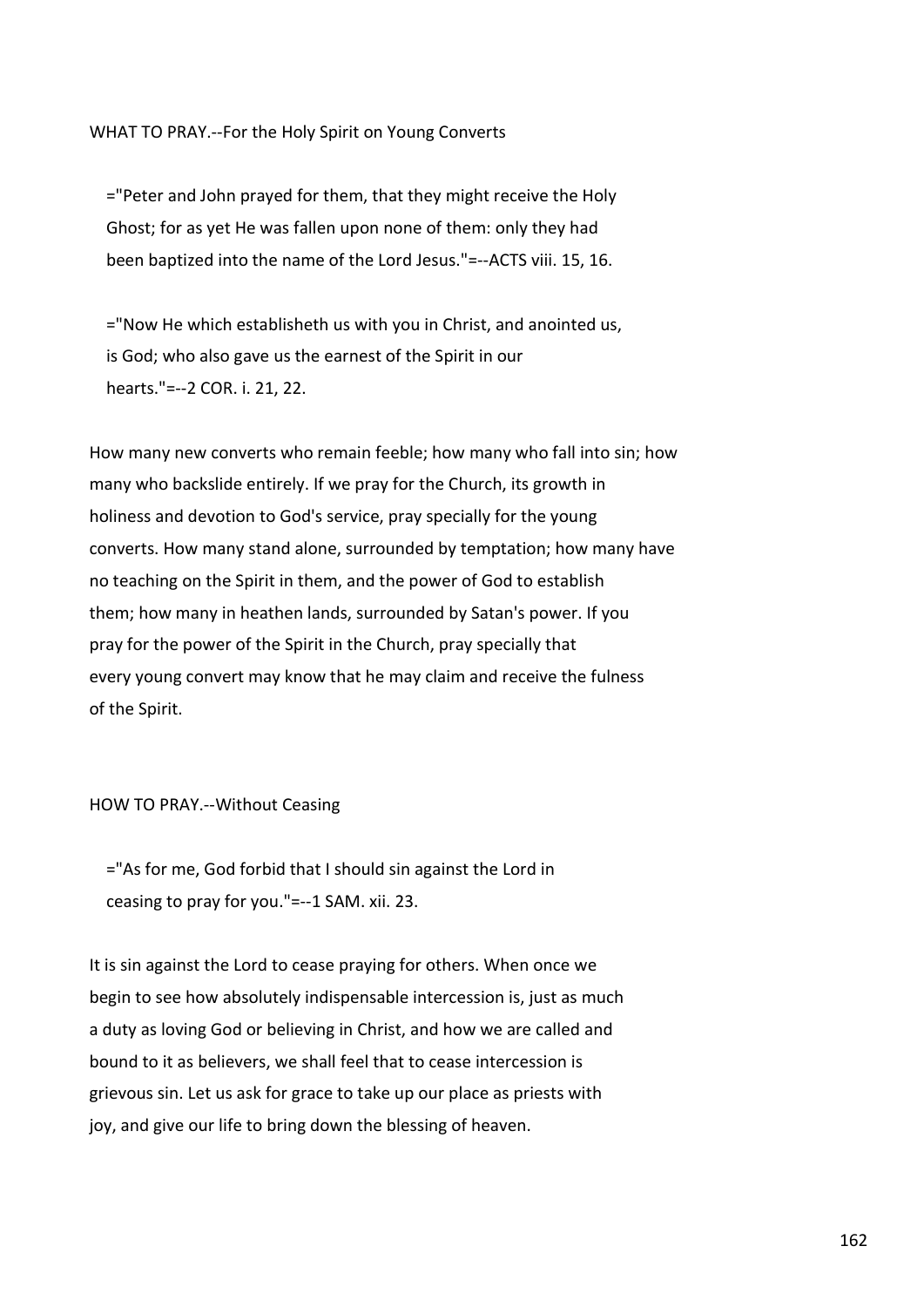# WHAT TO PRAY.--For the Holy Spirit on Young Converts

 ="Peter and John prayed for them, that they might receive the Holy Ghost; for as yet He was fallen upon none of them: only they had been baptized into the name of the Lord Jesus."=--ACTS viii. 15, 16.

 ="Now He which establisheth us with you in Christ, and anointed us, is God; who also gave us the earnest of the Spirit in our hearts."=--2 COR. i. 21, 22.

How many new converts who remain feeble; how many who fall into sin; how many who backslide entirely. If we pray for the Church, its growth in holiness and devotion to God's service, pray specially for the young converts. How many stand alone, surrounded by temptation; how many have no teaching on the Spirit in them, and the power of God to establish them; how many in heathen lands, surrounded by Satan's power. If you pray for the power of the Spirit in the Church, pray specially that every young convert may know that he may claim and receive the fulness of the Spirit.

#### HOW TO PRAY.--Without Ceasing

 ="As for me, God forbid that I should sin against the Lord in ceasing to pray for you."=--1 SAM. xii. 23.

It is sin against the Lord to cease praying for others. When once we begin to see how absolutely indispensable intercession is, just as much a duty as loving God or believing in Christ, and how we are called and bound to it as believers, we shall feel that to cease intercession is grievous sin. Let us ask for grace to take up our place as priests with joy, and give our life to bring down the blessing of heaven.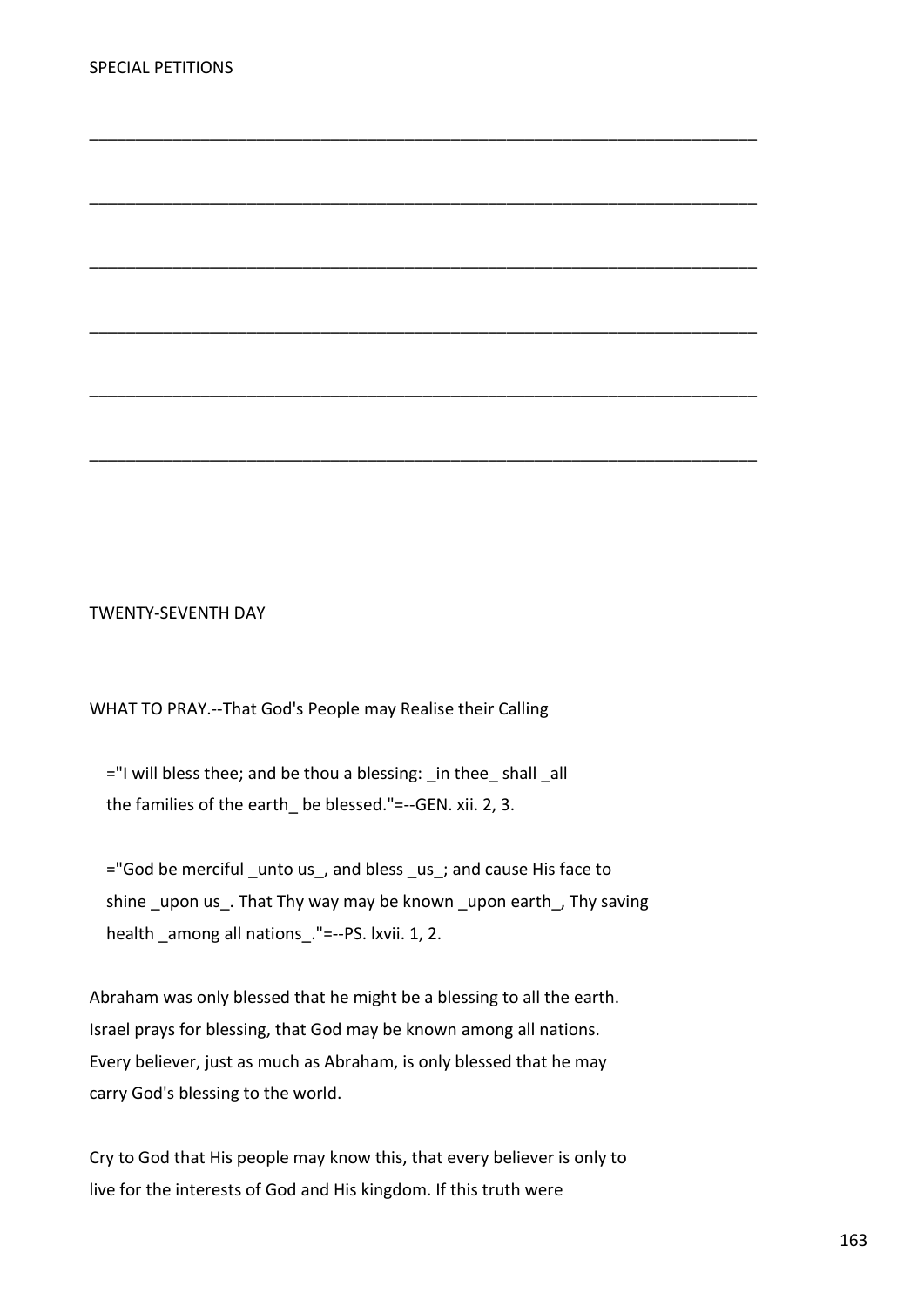TWENTY-SEVENTH DAY

WHAT TO PRAY.--That God's People may Realise their Calling

 $=$ "I will bless thee; and be thou a blessing: in thee shall all the families of the earth be blessed."=--GEN. xii. 2, 3.

 ="God be merciful \_unto us\_, and bless \_us\_; and cause His face to shine upon us. That Thy way may be known upon earth, Thy saving health \_among all nations\_."=--PS. lxvii. 1, 2.

\_\_\_\_\_\_\_\_\_\_\_\_\_\_\_\_\_\_\_\_\_\_\_\_\_\_\_\_\_\_\_\_\_\_\_\_\_\_\_\_\_\_\_\_\_\_\_\_\_\_\_\_\_\_\_\_\_\_\_\_\_\_\_\_\_\_\_\_\_\_\_\_

\_\_\_\_\_\_\_\_\_\_\_\_\_\_\_\_\_\_\_\_\_\_\_\_\_\_\_\_\_\_\_\_\_\_\_\_\_\_\_\_\_\_\_\_\_\_\_\_\_\_\_\_\_\_\_\_\_\_\_\_\_\_\_\_\_\_\_\_\_\_\_\_

\_\_\_\_\_\_\_\_\_\_\_\_\_\_\_\_\_\_\_\_\_\_\_\_\_\_\_\_\_\_\_\_\_\_\_\_\_\_\_\_\_\_\_\_\_\_\_\_\_\_\_\_\_\_\_\_\_\_\_\_\_\_\_\_\_\_\_\_\_\_\_\_

\_\_\_\_\_\_\_\_\_\_\_\_\_\_\_\_\_\_\_\_\_\_\_\_\_\_\_\_\_\_\_\_\_\_\_\_\_\_\_\_\_\_\_\_\_\_\_\_\_\_\_\_\_\_\_\_\_\_\_\_\_\_\_\_\_\_\_\_\_\_\_\_

\_\_\_\_\_\_\_\_\_\_\_\_\_\_\_\_\_\_\_\_\_\_\_\_\_\_\_\_\_\_\_\_\_\_\_\_\_\_\_\_\_\_\_\_\_\_\_\_\_\_\_\_\_\_\_\_\_\_\_\_\_\_\_\_\_\_\_\_\_\_\_\_

\_\_\_\_\_\_\_\_\_\_\_\_\_\_\_\_\_\_\_\_\_\_\_\_\_\_\_\_\_\_\_\_\_\_\_\_\_\_\_\_\_\_\_\_\_\_\_\_\_\_\_\_\_\_\_\_\_\_\_\_\_\_\_\_\_\_\_\_\_\_\_\_

Abraham was only blessed that he might be a blessing to all the earth. Israel prays for blessing, that God may be known among all nations. Every believer, just as much as Abraham, is only blessed that he may carry God's blessing to the world.

Cry to God that His people may know this, that every believer is only to live for the interests of God and His kingdom. If this truth were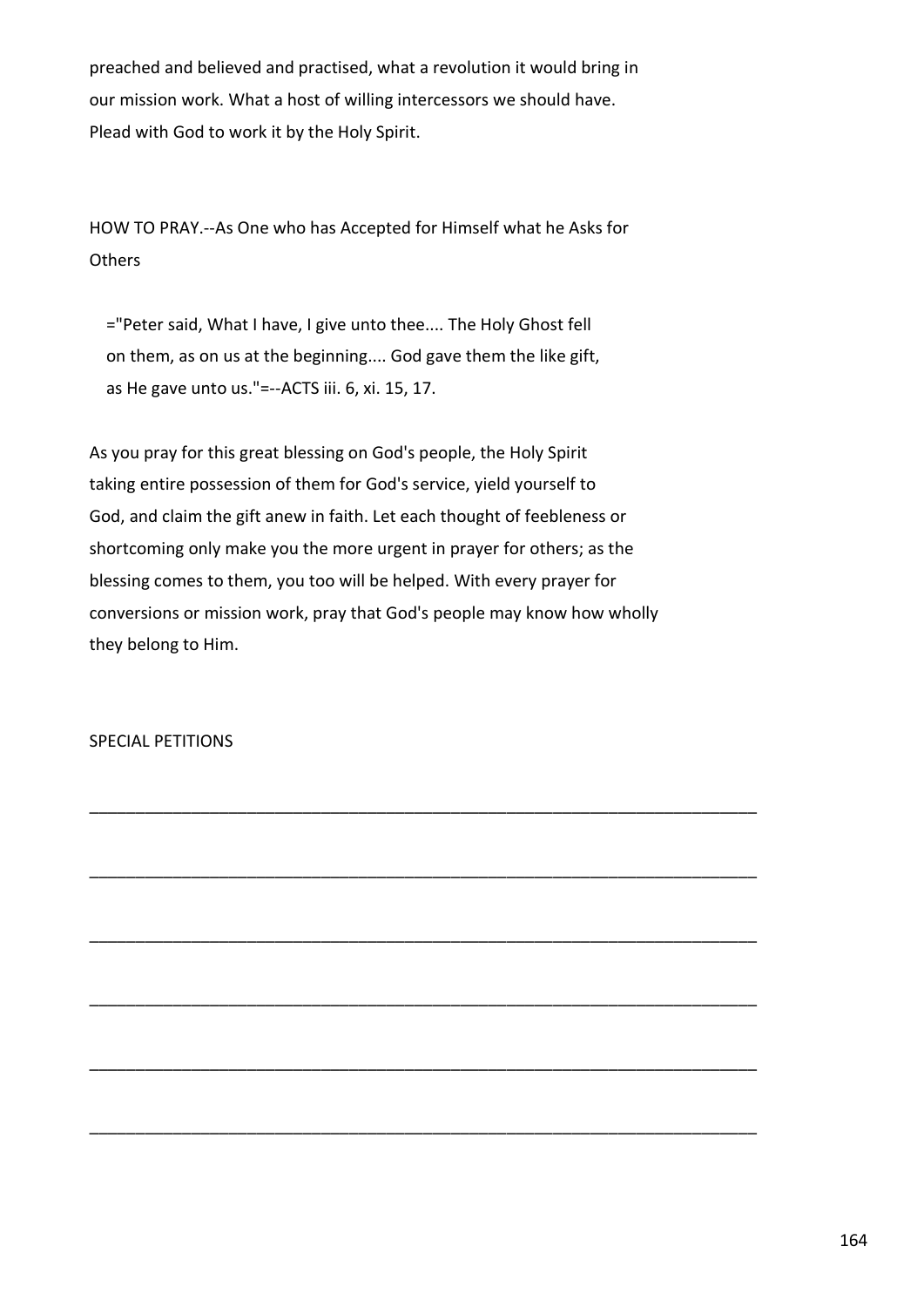preached and believed and practised, what a revolution it would bring in our mission work. What a host of willing intercessors we should have. Plead with God to work it by the Holy Spirit.

HOW TO PRAY.--As One who has Accepted for Himself what he Asks for **Others** 

 ="Peter said, What I have, I give unto thee.... The Holy Ghost fell on them, as on us at the beginning.... God gave them the like gift, as He gave unto us."=--ACTS iii. 6, xi. 15, 17.

As you pray for this great blessing on God's people, the Holy Spirit taking entire possession of them for God's service, yield yourself to God, and claim the gift anew in faith. Let each thought of feebleness or shortcoming only make you the more urgent in prayer for others; as the blessing comes to them, you too will be helped. With every prayer for conversions or mission work, pray that God's people may know how wholly they belong to Him.

\_\_\_\_\_\_\_\_\_\_\_\_\_\_\_\_\_\_\_\_\_\_\_\_\_\_\_\_\_\_\_\_\_\_\_\_\_\_\_\_\_\_\_\_\_\_\_\_\_\_\_\_\_\_\_\_\_\_\_\_\_\_\_\_\_\_\_\_\_\_\_\_

\_\_\_\_\_\_\_\_\_\_\_\_\_\_\_\_\_\_\_\_\_\_\_\_\_\_\_\_\_\_\_\_\_\_\_\_\_\_\_\_\_\_\_\_\_\_\_\_\_\_\_\_\_\_\_\_\_\_\_\_\_\_\_\_\_\_\_\_\_\_\_\_

\_\_\_\_\_\_\_\_\_\_\_\_\_\_\_\_\_\_\_\_\_\_\_\_\_\_\_\_\_\_\_\_\_\_\_\_\_\_\_\_\_\_\_\_\_\_\_\_\_\_\_\_\_\_\_\_\_\_\_\_\_\_\_\_\_\_\_\_\_\_\_\_

\_\_\_\_\_\_\_\_\_\_\_\_\_\_\_\_\_\_\_\_\_\_\_\_\_\_\_\_\_\_\_\_\_\_\_\_\_\_\_\_\_\_\_\_\_\_\_\_\_\_\_\_\_\_\_\_\_\_\_\_\_\_\_\_\_\_\_\_\_\_\_\_

\_\_\_\_\_\_\_\_\_\_\_\_\_\_\_\_\_\_\_\_\_\_\_\_\_\_\_\_\_\_\_\_\_\_\_\_\_\_\_\_\_\_\_\_\_\_\_\_\_\_\_\_\_\_\_\_\_\_\_\_\_\_\_\_\_\_\_\_\_\_\_\_

\_\_\_\_\_\_\_\_\_\_\_\_\_\_\_\_\_\_\_\_\_\_\_\_\_\_\_\_\_\_\_\_\_\_\_\_\_\_\_\_\_\_\_\_\_\_\_\_\_\_\_\_\_\_\_\_\_\_\_\_\_\_\_\_\_\_\_\_\_\_\_\_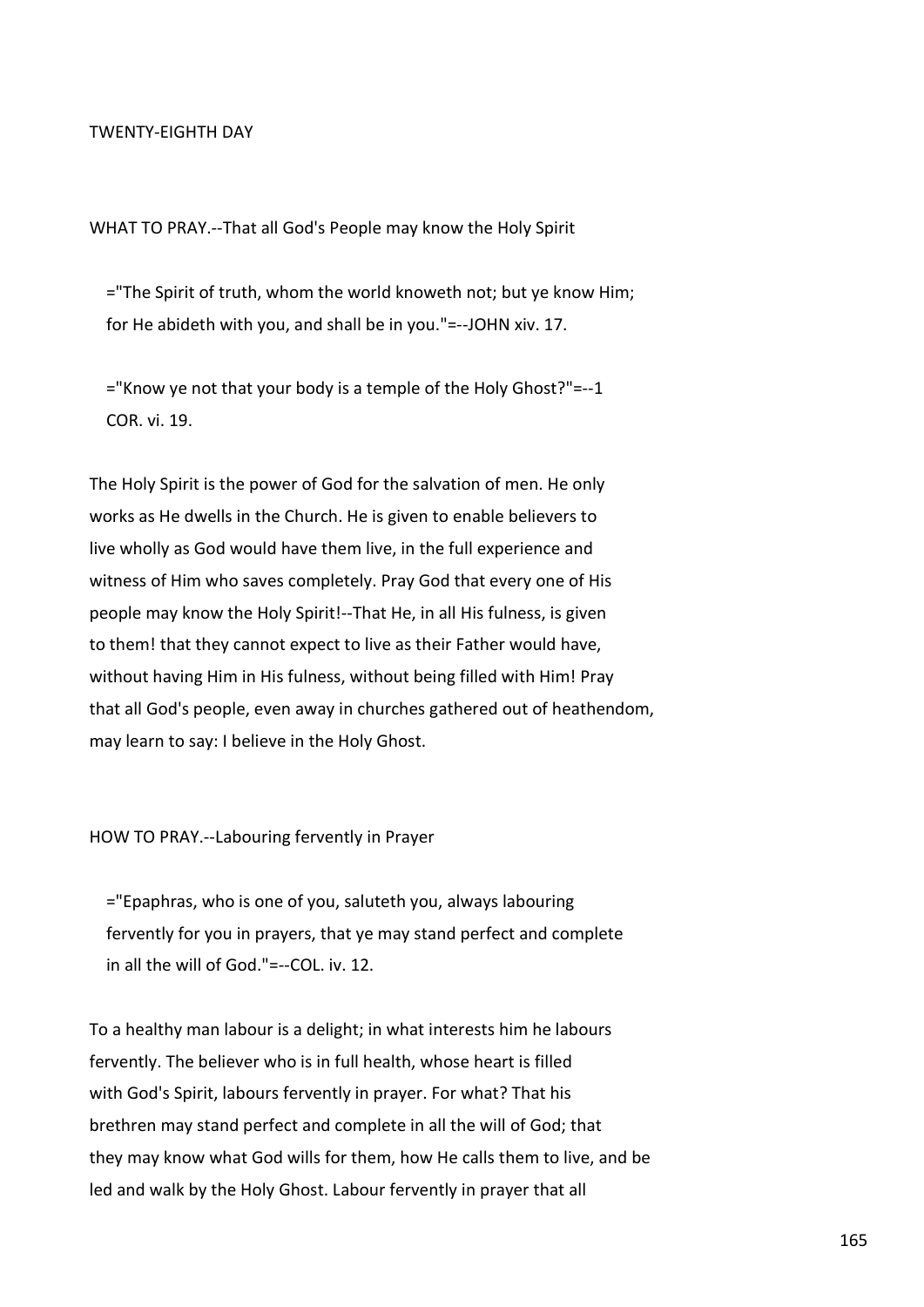#### TWENTY-EIGHTH DAY

WHAT TO PRAY.--That all God's People may know the Holy Spirit

 ="The Spirit of truth, whom the world knoweth not; but ye know Him; for He abideth with you, and shall be in you."=--JOHN xiv. 17.

 ="Know ye not that your body is a temple of the Holy Ghost?"=--1 COR. vi. 19.

The Holy Spirit is the power of God for the salvation of men. He only works as He dwells in the Church. He is given to enable believers to live wholly as God would have them live, in the full experience and witness of Him who saves completely. Pray God that every one of His people may know the Holy Spirit!--That He, in all His fulness, is given to them! that they cannot expect to live as their Father would have, without having Him in His fulness, without being filled with Him! Pray that all God's people, even away in churches gathered out of heathendom, may learn to say: I believe in the Holy Ghost.

HOW TO PRAY.--Labouring fervently in Prayer

 ="Epaphras, who is one of you, saluteth you, always labouring fervently for you in prayers, that ye may stand perfect and complete in all the will of God."=--COL. iv. 12.

To a healthy man labour is a delight; in what interests him he labours fervently. The believer who is in full health, whose heart is filled with God's Spirit, labours fervently in prayer. For what? That his brethren may stand perfect and complete in all the will of God; that they may know what God wills for them, how He calls them to live, and be led and walk by the Holy Ghost. Labour fervently in prayer that all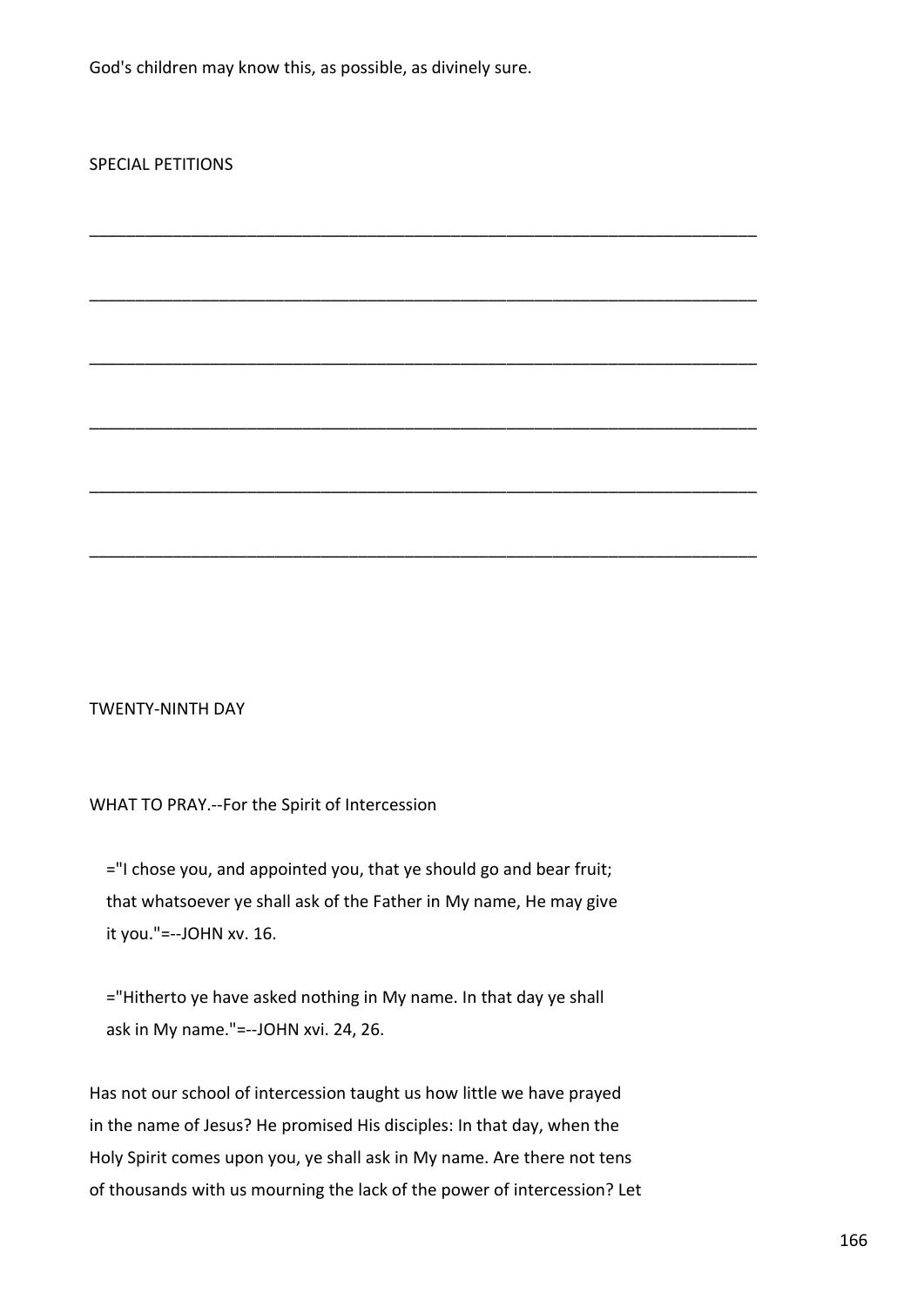God's children may know this, as possible, as divinely sure.

\_\_\_\_\_\_\_\_\_\_\_\_\_\_\_\_\_\_\_\_\_\_\_\_\_\_\_\_\_\_\_\_\_\_\_\_\_\_\_\_\_\_\_\_\_\_\_\_\_\_\_\_\_\_\_\_\_\_\_\_\_\_\_\_\_\_\_\_\_\_\_\_

\_\_\_\_\_\_\_\_\_\_\_\_\_\_\_\_\_\_\_\_\_\_\_\_\_\_\_\_\_\_\_\_\_\_\_\_\_\_\_\_\_\_\_\_\_\_\_\_\_\_\_\_\_\_\_\_\_\_\_\_\_\_\_\_\_\_\_\_\_\_\_\_

\_\_\_\_\_\_\_\_\_\_\_\_\_\_\_\_\_\_\_\_\_\_\_\_\_\_\_\_\_\_\_\_\_\_\_\_\_\_\_\_\_\_\_\_\_\_\_\_\_\_\_\_\_\_\_\_\_\_\_\_\_\_\_\_\_\_\_\_\_\_\_\_

\_\_\_\_\_\_\_\_\_\_\_\_\_\_\_\_\_\_\_\_\_\_\_\_\_\_\_\_\_\_\_\_\_\_\_\_\_\_\_\_\_\_\_\_\_\_\_\_\_\_\_\_\_\_\_\_\_\_\_\_\_\_\_\_\_\_\_\_\_\_\_\_

\_\_\_\_\_\_\_\_\_\_\_\_\_\_\_\_\_\_\_\_\_\_\_\_\_\_\_\_\_\_\_\_\_\_\_\_\_\_\_\_\_\_\_\_\_\_\_\_\_\_\_\_\_\_\_\_\_\_\_\_\_\_\_\_\_\_\_\_\_\_\_\_

\_\_\_\_\_\_\_\_\_\_\_\_\_\_\_\_\_\_\_\_\_\_\_\_\_\_\_\_\_\_\_\_\_\_\_\_\_\_\_\_\_\_\_\_\_\_\_\_\_\_\_\_\_\_\_\_\_\_\_\_\_\_\_\_\_\_\_\_\_\_\_\_

# SPECIAL PETITIONS

# TWENTY-NINTH DAY

#### WHAT TO PRAY.--For the Spirit of Intercession

 ="I chose you, and appointed you, that ye should go and bear fruit; that whatsoever ye shall ask of the Father in My name, He may give it you."=--JOHN xv. 16.

 ="Hitherto ye have asked nothing in My name. In that day ye shall ask in My name."=--JOHN xvi. 24, 26.

Has not our school of intercession taught us how little we have prayed in the name of Jesus? He promised His disciples: In that day, when the Holy Spirit comes upon you, ye shall ask in My name. Are there not tens of thousands with us mourning the lack of the power of intercession? Let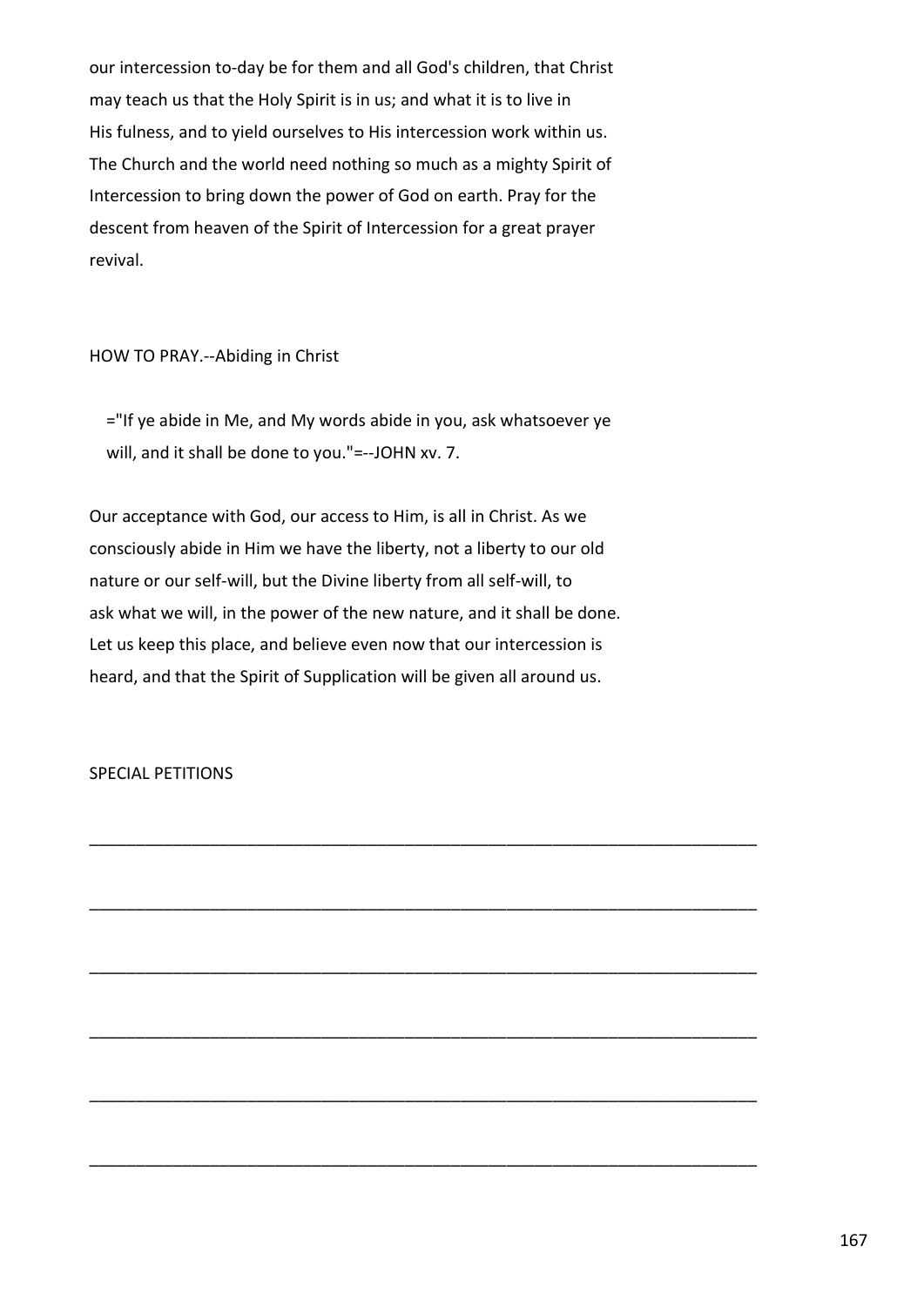our intercession to-day be for them and all God's children, that Christ may teach us that the Holy Spirit is in us; and what it is to live in His fulness, and to yield ourselves to His intercession work within us. The Church and the world need nothing so much as a mighty Spirit of Intercession to bring down the power of God on earth. Pray for the descent from heaven of the Spirit of Intercession for a great prayer revival.

HOW TO PRAY.--Abiding in Christ

 ="If ye abide in Me, and My words abide in you, ask whatsoever ye will, and it shall be done to you."=--JOHN xv. 7.

Our acceptance with God, our access to Him, is all in Christ. As we consciously abide in Him we have the liberty, not a liberty to our old nature or our self-will, but the Divine liberty from all self-will, to ask what we will, in the power of the new nature, and it shall be done. Let us keep this place, and believe even now that our intercession is heard, and that the Spirit of Supplication will be given all around us.

\_\_\_\_\_\_\_\_\_\_\_\_\_\_\_\_\_\_\_\_\_\_\_\_\_\_\_\_\_\_\_\_\_\_\_\_\_\_\_\_\_\_\_\_\_\_\_\_\_\_\_\_\_\_\_\_\_\_\_\_\_\_\_\_\_\_\_\_\_\_\_\_

\_\_\_\_\_\_\_\_\_\_\_\_\_\_\_\_\_\_\_\_\_\_\_\_\_\_\_\_\_\_\_\_\_\_\_\_\_\_\_\_\_\_\_\_\_\_\_\_\_\_\_\_\_\_\_\_\_\_\_\_\_\_\_\_\_\_\_\_\_\_\_\_

\_\_\_\_\_\_\_\_\_\_\_\_\_\_\_\_\_\_\_\_\_\_\_\_\_\_\_\_\_\_\_\_\_\_\_\_\_\_\_\_\_\_\_\_\_\_\_\_\_\_\_\_\_\_\_\_\_\_\_\_\_\_\_\_\_\_\_\_\_\_\_\_

\_\_\_\_\_\_\_\_\_\_\_\_\_\_\_\_\_\_\_\_\_\_\_\_\_\_\_\_\_\_\_\_\_\_\_\_\_\_\_\_\_\_\_\_\_\_\_\_\_\_\_\_\_\_\_\_\_\_\_\_\_\_\_\_\_\_\_\_\_\_\_\_

\_\_\_\_\_\_\_\_\_\_\_\_\_\_\_\_\_\_\_\_\_\_\_\_\_\_\_\_\_\_\_\_\_\_\_\_\_\_\_\_\_\_\_\_\_\_\_\_\_\_\_\_\_\_\_\_\_\_\_\_\_\_\_\_\_\_\_\_\_\_\_\_

\_\_\_\_\_\_\_\_\_\_\_\_\_\_\_\_\_\_\_\_\_\_\_\_\_\_\_\_\_\_\_\_\_\_\_\_\_\_\_\_\_\_\_\_\_\_\_\_\_\_\_\_\_\_\_\_\_\_\_\_\_\_\_\_\_\_\_\_\_\_\_\_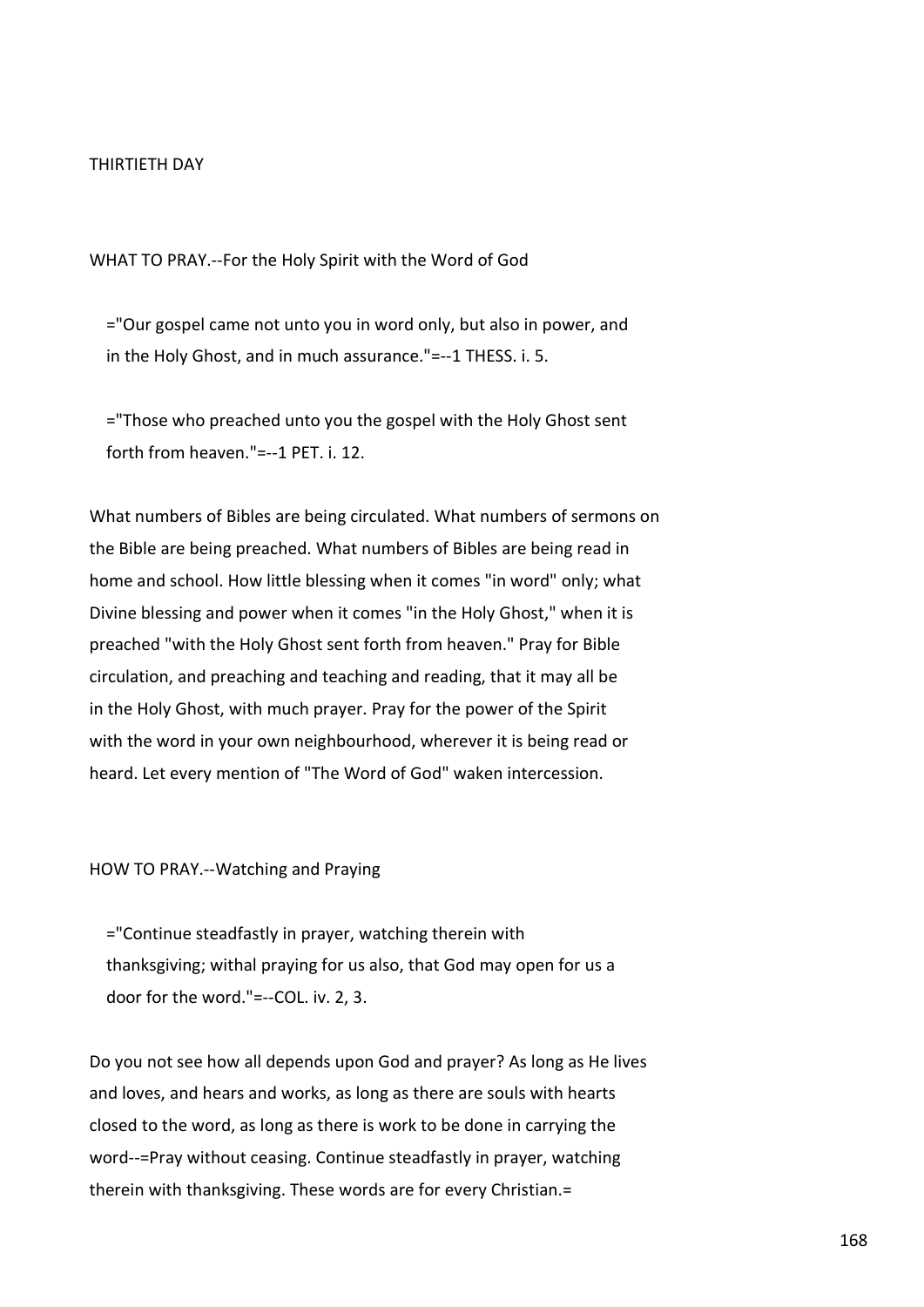#### THIRTIETH DAY

WHAT TO PRAY.--For the Holy Spirit with the Word of God

 ="Our gospel came not unto you in word only, but also in power, and in the Holy Ghost, and in much assurance."=--1 THESS. i. 5.

 ="Those who preached unto you the gospel with the Holy Ghost sent forth from heaven."=--1 PET. i. 12.

What numbers of Bibles are being circulated. What numbers of sermons on the Bible are being preached. What numbers of Bibles are being read in home and school. How little blessing when it comes "in word" only; what Divine blessing and power when it comes "in the Holy Ghost," when it is preached "with the Holy Ghost sent forth from heaven." Pray for Bible circulation, and preaching and teaching and reading, that it may all be in the Holy Ghost, with much prayer. Pray for the power of the Spirit with the word in your own neighbourhood, wherever it is being read or heard. Let every mention of "The Word of God" waken intercession.

HOW TO PRAY.--Watching and Praying

 ="Continue steadfastly in prayer, watching therein with thanksgiving; withal praying for us also, that God may open for us a door for the word."=--COL. iv. 2, 3.

Do you not see how all depends upon God and prayer? As long as He lives and loves, and hears and works, as long as there are souls with hearts closed to the word, as long as there is work to be done in carrying the word--=Pray without ceasing. Continue steadfastly in prayer, watching therein with thanksgiving. These words are for every Christian.=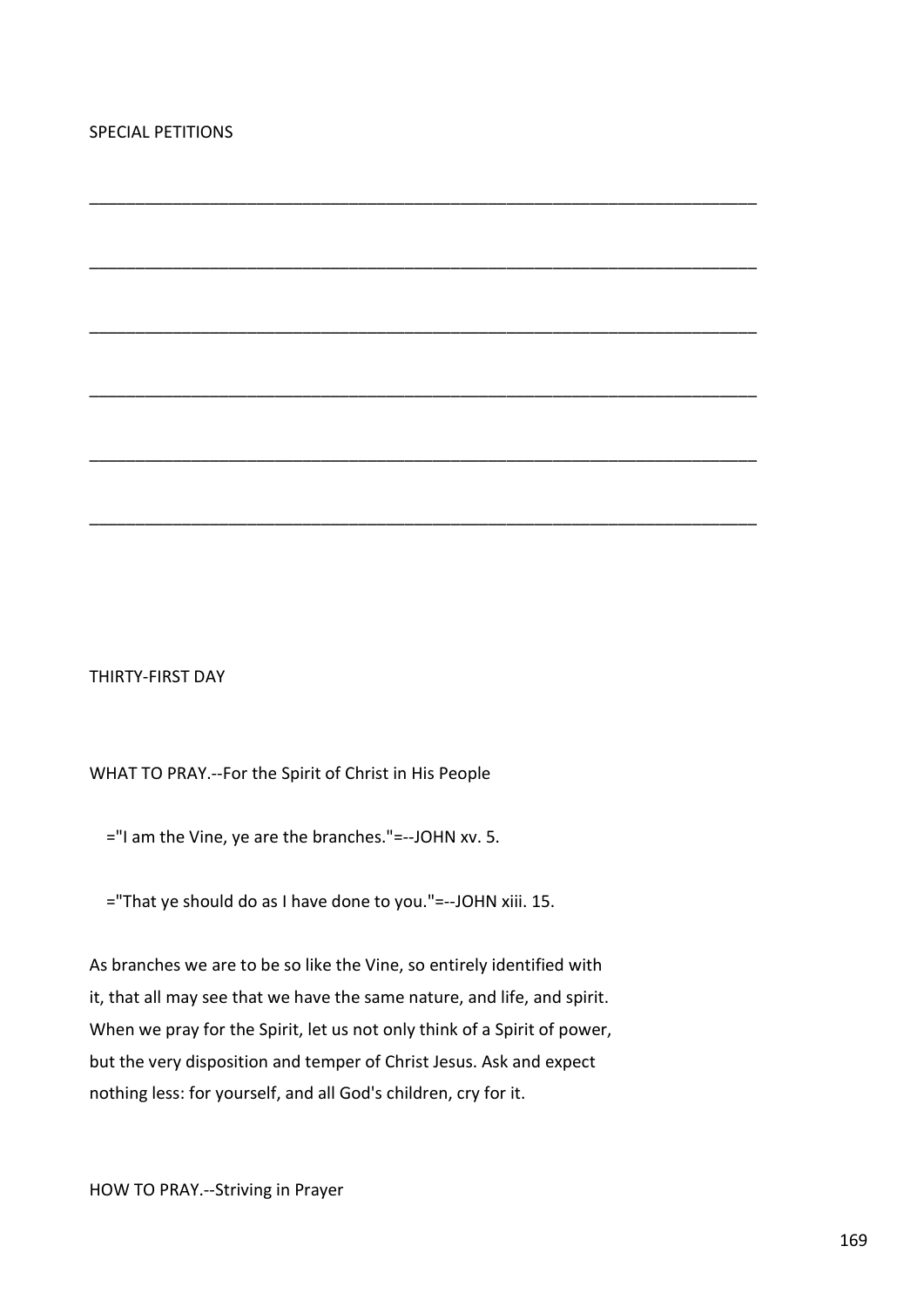# THIRTY-FIRST DAY

WHAT TO PRAY.--For the Spirit of Christ in His People

="I am the Vine, ye are the branches."=--JOHN xv. 5.

="That ye should do as I have done to you."=--JOHN xiii. 15.

\_\_\_\_\_\_\_\_\_\_\_\_\_\_\_\_\_\_\_\_\_\_\_\_\_\_\_\_\_\_\_\_\_\_\_\_\_\_\_\_\_\_\_\_\_\_\_\_\_\_\_\_\_\_\_\_\_\_\_\_\_\_\_\_\_\_\_\_\_\_\_\_

\_\_\_\_\_\_\_\_\_\_\_\_\_\_\_\_\_\_\_\_\_\_\_\_\_\_\_\_\_\_\_\_\_\_\_\_\_\_\_\_\_\_\_\_\_\_\_\_\_\_\_\_\_\_\_\_\_\_\_\_\_\_\_\_\_\_\_\_\_\_\_\_

\_\_\_\_\_\_\_\_\_\_\_\_\_\_\_\_\_\_\_\_\_\_\_\_\_\_\_\_\_\_\_\_\_\_\_\_\_\_\_\_\_\_\_\_\_\_\_\_\_\_\_\_\_\_\_\_\_\_\_\_\_\_\_\_\_\_\_\_\_\_\_\_

\_\_\_\_\_\_\_\_\_\_\_\_\_\_\_\_\_\_\_\_\_\_\_\_\_\_\_\_\_\_\_\_\_\_\_\_\_\_\_\_\_\_\_\_\_\_\_\_\_\_\_\_\_\_\_\_\_\_\_\_\_\_\_\_\_\_\_\_\_\_\_\_

\_\_\_\_\_\_\_\_\_\_\_\_\_\_\_\_\_\_\_\_\_\_\_\_\_\_\_\_\_\_\_\_\_\_\_\_\_\_\_\_\_\_\_\_\_\_\_\_\_\_\_\_\_\_\_\_\_\_\_\_\_\_\_\_\_\_\_\_\_\_\_\_

\_\_\_\_\_\_\_\_\_\_\_\_\_\_\_\_\_\_\_\_\_\_\_\_\_\_\_\_\_\_\_\_\_\_\_\_\_\_\_\_\_\_\_\_\_\_\_\_\_\_\_\_\_\_\_\_\_\_\_\_\_\_\_\_\_\_\_\_\_\_\_\_

As branches we are to be so like the Vine, so entirely identified with it, that all may see that we have the same nature, and life, and spirit. When we pray for the Spirit, let us not only think of a Spirit of power, but the very disposition and temper of Christ Jesus. Ask and expect nothing less: for yourself, and all God's children, cry for it.

HOW TO PRAY.--Striving in Prayer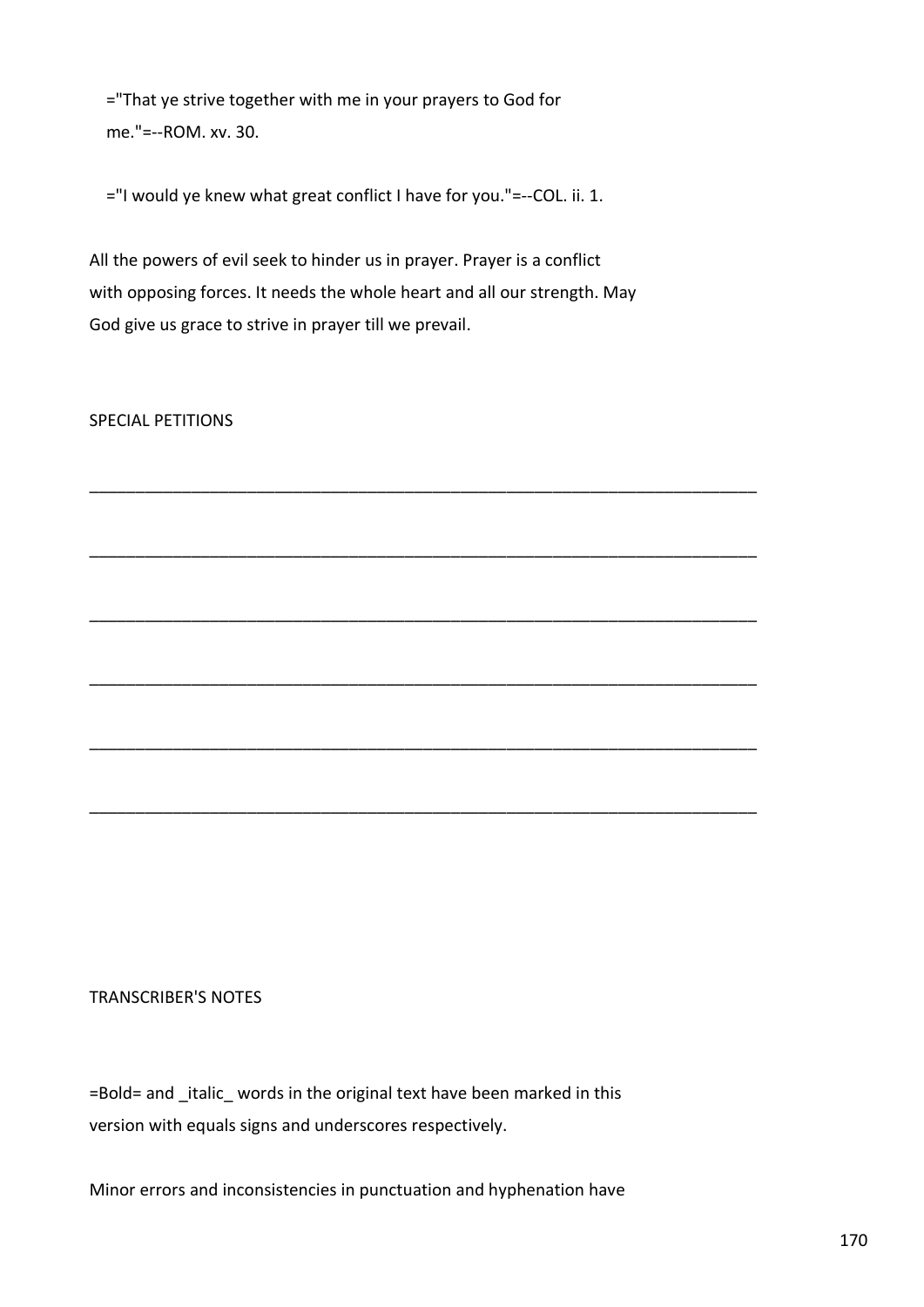="That ye strive together with me in your prayers to God for me."=--ROM. xv. 30.

="I would ye knew what great conflict I have for you."=--COL. ii. 1.

All the powers of evil seek to hinder us in prayer. Prayer is a conflict with opposing forces. It needs the whole heart and all our strength. May God give us grace to strive in prayer till we prevail.

\_\_\_\_\_\_\_\_\_\_\_\_\_\_\_\_\_\_\_\_\_\_\_\_\_\_\_\_\_\_\_\_\_\_\_\_\_\_\_\_\_\_\_\_\_\_\_\_\_\_\_\_\_\_\_\_\_\_\_\_\_\_\_\_\_\_\_\_\_\_\_\_

\_\_\_\_\_\_\_\_\_\_\_\_\_\_\_\_\_\_\_\_\_\_\_\_\_\_\_\_\_\_\_\_\_\_\_\_\_\_\_\_\_\_\_\_\_\_\_\_\_\_\_\_\_\_\_\_\_\_\_\_\_\_\_\_\_\_\_\_\_\_\_\_

\_\_\_\_\_\_\_\_\_\_\_\_\_\_\_\_\_\_\_\_\_\_\_\_\_\_\_\_\_\_\_\_\_\_\_\_\_\_\_\_\_\_\_\_\_\_\_\_\_\_\_\_\_\_\_\_\_\_\_\_\_\_\_\_\_\_\_\_\_\_\_\_

\_\_\_\_\_\_\_\_\_\_\_\_\_\_\_\_\_\_\_\_\_\_\_\_\_\_\_\_\_\_\_\_\_\_\_\_\_\_\_\_\_\_\_\_\_\_\_\_\_\_\_\_\_\_\_\_\_\_\_\_\_\_\_\_\_\_\_\_\_\_\_\_

\_\_\_\_\_\_\_\_\_\_\_\_\_\_\_\_\_\_\_\_\_\_\_\_\_\_\_\_\_\_\_\_\_\_\_\_\_\_\_\_\_\_\_\_\_\_\_\_\_\_\_\_\_\_\_\_\_\_\_\_\_\_\_\_\_\_\_\_\_\_\_\_

\_\_\_\_\_\_\_\_\_\_\_\_\_\_\_\_\_\_\_\_\_\_\_\_\_\_\_\_\_\_\_\_\_\_\_\_\_\_\_\_\_\_\_\_\_\_\_\_\_\_\_\_\_\_\_\_\_\_\_\_\_\_\_\_\_\_\_\_\_\_\_\_

SPECIAL PETITIONS

# TRANSCRIBER'S NOTES

=Bold= and \_italic\_ words in the original text have been marked in this version with equals signs and underscores respectively.

Minor errors and inconsistencies in punctuation and hyphenation have